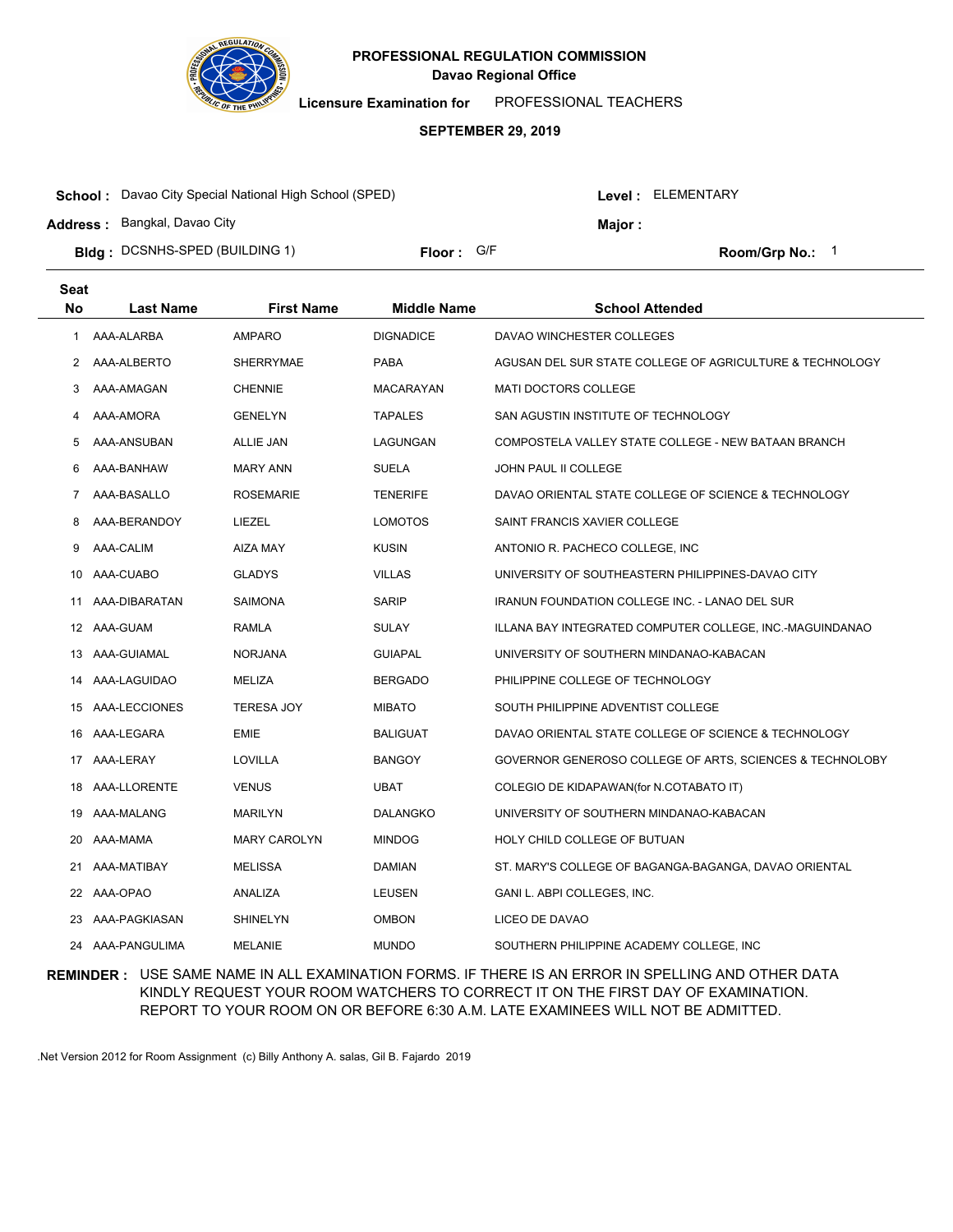

**Licensure Examination for**  PROFESSIONAL TEACHERS

#### **SEPTEMBER 29, 2019**

| <b>School:</b> Davao City Special National High School (SPED) |                     |  |               | Level: ELEMENTARY    |  |
|---------------------------------------------------------------|---------------------|--|---------------|----------------------|--|
| <b>Address: Bangkal, Davao City</b>                           |                     |  | <b>Maior:</b> |                      |  |
| <b>Bidg: DCSNHS-SPED (BUILDING 1)</b>                         | <b>Floor:</b> $G/F$ |  |               | <b>Room/Grp No.:</b> |  |

| <b>Seat</b> |                  |                     |                    |                                                          |
|-------------|------------------|---------------------|--------------------|----------------------------------------------------------|
| No          | <b>Last Name</b> | <b>First Name</b>   | <b>Middle Name</b> | <b>School Attended</b>                                   |
| 1           | AAA-ALARBA       | <b>AMPARO</b>       | <b>DIGNADICE</b>   | DAVAO WINCHESTER COLLEGES                                |
| 2           | AAA-ALBERTO      | SHERRYMAE           | <b>PABA</b>        | AGUSAN DEL SUR STATE COLLEGE OF AGRICULTURE & TECHNOLOGY |
| 3           | AAA-AMAGAN       | <b>CHENNIE</b>      | <b>MACARAYAN</b>   | MATI DOCTORS COLLEGE                                     |
| 4           | AAA-AMORA        | <b>GENELYN</b>      | <b>TAPALES</b>     | SAN AGUSTIN INSTITUTE OF TECHNOLOGY                      |
| 5           | AAA-ANSUBAN      | <b>ALLIE JAN</b>    | LAGUNGAN           | COMPOSTELA VALLEY STATE COLLEGE - NEW BATAAN BRANCH      |
| 6           | AAA-BANHAW       | <b>MARY ANN</b>     | <b>SUELA</b>       | JOHN PAUL II COLLEGE                                     |
| 7           | AAA-BASALLO      | ROSEMARIE           | <b>TENERIFE</b>    | DAVAO ORIENTAL STATE COLLEGE OF SCIENCE & TECHNOLOGY     |
| 8           | AAA-BERANDOY     | LIEZEL              | <b>LOMOTOS</b>     | SAINT FRANCIS XAVIER COLLEGE                             |
| 9           | AAA-CALIM        | <b>AIZA MAY</b>     | <b>KUSIN</b>       | ANTONIO R. PACHECO COLLEGE, INC                          |
| 10          | AAA-CUABO        | <b>GLADYS</b>       | <b>VILLAS</b>      | UNIVERSITY OF SOUTHEASTERN PHILIPPINES-DAVAO CITY        |
| 11          | AAA-DIBARATAN    | <b>SAIMONA</b>      | <b>SARIP</b>       | <b>IRANUN FOUNDATION COLLEGE INC. - LANAO DEL SUR</b>    |
|             | 12 AAA-GUAM      | RAMLA               | <b>SULAY</b>       | ILLANA BAY INTEGRATED COMPUTER COLLEGE, INC.-MAGUINDANAO |
| 13          | AAA-GUIAMAL      | <b>NORJANA</b>      | <b>GUIAPAL</b>     | UNIVERSITY OF SOUTHERN MINDANAO-KABACAN                  |
|             | 14 AAA-LAGUIDAO  | MELIZA              | <b>BERGADO</b>     | PHILIPPINE COLLEGE OF TECHNOLOGY                         |
|             | 15 AAA-LECCIONES | <b>TERESA JOY</b>   | <b>MIBATO</b>      | SOUTH PHILIPPINE ADVENTIST COLLEGE                       |
|             | 16 AAA-LEGARA    | <b>EMIE</b>         | <b>BALIGUAT</b>    | DAVAO ORIENTAL STATE COLLEGE OF SCIENCE & TECHNOLOGY     |
|             | 17 AAA-LERAY     | LOVILLA             | <b>BANGOY</b>      | GOVERNOR GENEROSO COLLEGE OF ARTS, SCIENCES & TECHNOLOBY |
|             | 18 AAA-LLORENTE  | <b>VENUS</b>        | <b>UBAT</b>        | COLEGIO DE KIDAPAWAN(for N.COTABATO IT)                  |
|             | 19 AAA-MALANG    | <b>MARILYN</b>      | DALANGKO           | UNIVERSITY OF SOUTHERN MINDANAO-KABACAN                  |
| 20          | AAA-MAMA         | <b>MARY CAROLYN</b> | <b>MINDOG</b>      | HOLY CHILD COLLEGE OF BUTUAN                             |
| 21.         | AAA-MATIBAY      | <b>MELISSA</b>      | DAMIAN             | ST. MARY'S COLLEGE OF BAGANGA-BAGANGA, DAVAO ORIENTAL    |
|             | 22 AAA-OPAO      | ANALIZA             | LEUSEN             | GANI L. ABPI COLLEGES, INC.                              |
| 23          | AAA-PAGKIASAN    | <b>SHINELYN</b>     | <b>OMBON</b>       | LICEO DE DAVAO                                           |
|             | 24 AAA-PANGULIMA | <b>MELANIE</b>      | <b>MUNDO</b>       | SOUTHERN PHILIPPINE ACADEMY COLLEGE. INC                 |

## **REMINDER :** USE SAME NAME IN ALL EXAMINATION FORMS. IF THERE IS AN ERROR IN SPELLING AND OTHER DATA KINDLY REQUEST YOUR ROOM WATCHERS TO CORRECT IT ON THE FIRST DAY OF EXAMINATION. REPORT TO YOUR ROOM ON OR BEFORE 6:30 A.M. LATE EXAMINEES WILL NOT BE ADMITTED.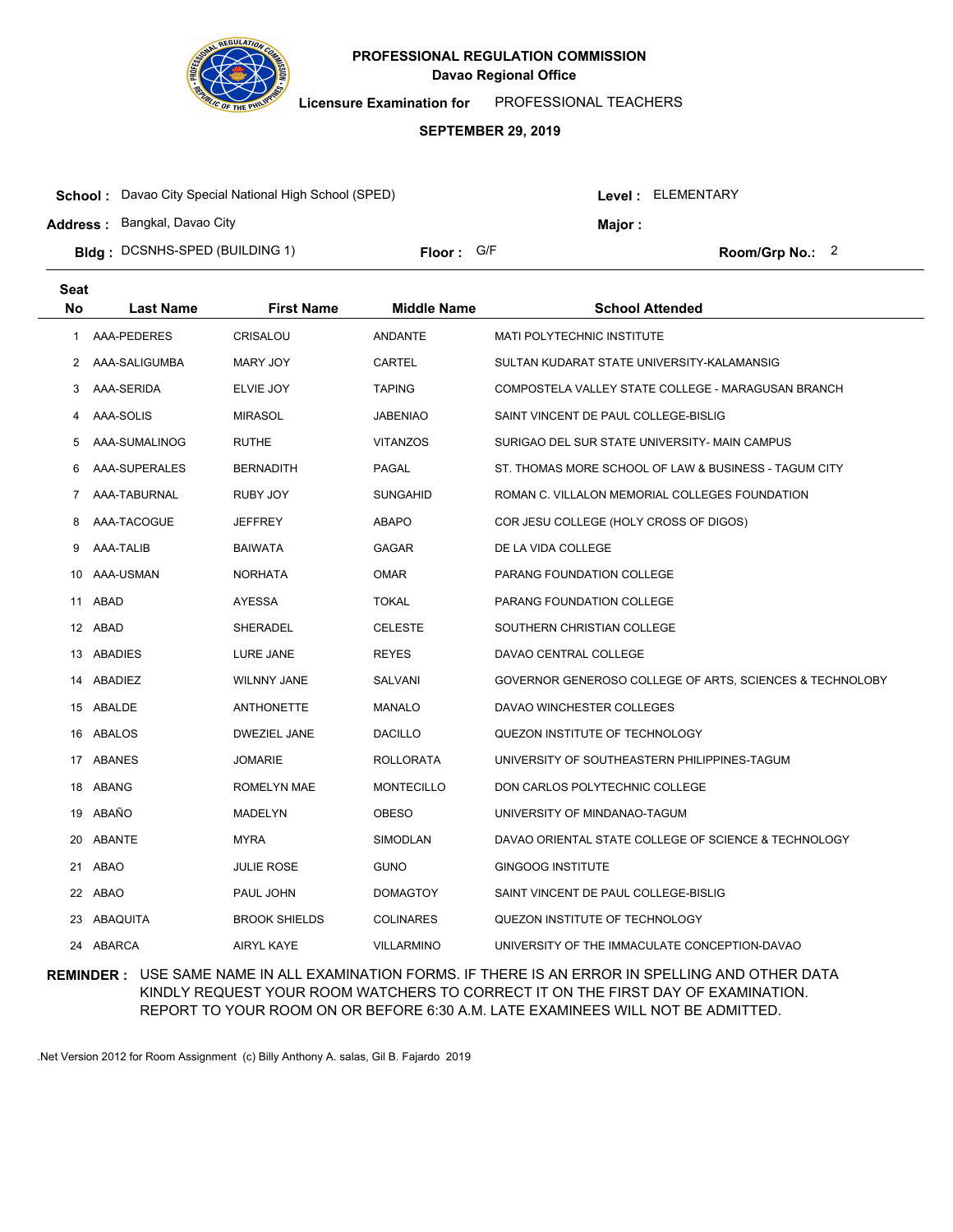

**Licensure Examination for**  PROFESSIONAL TEACHERS

#### **SEPTEMBER 29, 2019**

| <b>School:</b> Davao City Special National High School (SPED) |            |  | Level : ELEMENTARY |                 |  |
|---------------------------------------------------------------|------------|--|--------------------|-----------------|--|
| <b>Address: Bangkal, Davao City</b>                           |            |  | Maior:             |                 |  |
| <b>Bidg: DCSNHS-SPED (BUILDING 1)</b>                         | Floor: G/F |  |                    | Room/Grp No.: 2 |  |

| <b>Seat</b> |                  |                      |                    |                                                          |
|-------------|------------------|----------------------|--------------------|----------------------------------------------------------|
| <b>No</b>   | <b>Last Name</b> | <b>First Name</b>    | <b>Middle Name</b> | <b>School Attended</b>                                   |
| 1           | AAA-PEDERES      | CRISALOU             | <b>ANDANTE</b>     | MATI POLYTECHNIC INSTITUTE                               |
| 2           | AAA-SALIGUMBA    | MARY JOY             | <b>CARTEL</b>      | SULTAN KUDARAT STATE UNIVERSITY-KALAMANSIG               |
| 3           | AAA-SERIDA       | ELVIE JOY            | <b>TAPING</b>      | COMPOSTELA VALLEY STATE COLLEGE - MARAGUSAN BRANCH       |
| 4           | AAA-SOLIS        | <b>MIRASOL</b>       | <b>JABENIAO</b>    | SAINT VINCENT DE PAUL COLLEGE-BISLIG                     |
| 5           | AAA-SUMALINOG    | <b>RUTHE</b>         | <b>VITANZOS</b>    | SURIGAO DEL SUR STATE UNIVERSITY- MAIN CAMPUS            |
| 6           | AAA-SUPERALES    | <b>BERNADITH</b>     | <b>PAGAL</b>       | ST. THOMAS MORE SCHOOL OF LAW & BUSINESS - TAGUM CITY    |
| 7           | AAA-TABURNAL     | RUBY JOY             | <b>SUNGAHID</b>    | ROMAN C. VILLALON MEMORIAL COLLEGES FOUNDATION           |
| 8           | AAA-TACOGUE      | <b>JEFFREY</b>       | <b>ABAPO</b>       | COR JESU COLLEGE (HOLY CROSS OF DIGOS)                   |
| 9           | AAA-TALIB        | <b>BAIWATA</b>       | <b>GAGAR</b>       | DE LA VIDA COLLEGE                                       |
| 10          | AAA-USMAN        | <b>NORHATA</b>       | <b>OMAR</b>        | PARANG FOUNDATION COLLEGE                                |
| 11          | ABAD             | <b>AYESSA</b>        | <b>TOKAL</b>       | PARANG FOUNDATION COLLEGE                                |
|             | 12 ABAD          | SHERADEL             | <b>CELESTE</b>     | SOUTHERN CHRISTIAN COLLEGE                               |
|             | 13 ABADIES       | LURE JANE            | <b>REYES</b>       | DAVAO CENTRAL COLLEGE                                    |
|             | 14 ABADIEZ       | <b>WILNNY JANE</b>   | SALVANI            | GOVERNOR GENEROSO COLLEGE OF ARTS, SCIENCES & TECHNOLOBY |
|             | 15 ABALDE        | ANTHONETTE           | <b>MANALO</b>      | DAVAO WINCHESTER COLLEGES                                |
|             | 16 ABALOS        | <b>DWEZIEL JANE</b>  | <b>DACILLO</b>     | QUEZON INSTITUTE OF TECHNOLOGY                           |
|             | 17 ABANES        | <b>JOMARIE</b>       | <b>ROLLORATA</b>   | UNIVERSITY OF SOUTHEASTERN PHILIPPINES-TAGUM             |
|             | 18 ABANG         | ROMELYN MAE          | <b>MONTECILLO</b>  | DON CARLOS POLYTECHNIC COLLEGE                           |
| 19          | ABAÑO            | MADELYN              | <b>OBESO</b>       | UNIVERSITY OF MINDANAO-TAGUM                             |
| 20          | <b>ABANTE</b>    | <b>MYRA</b>          | <b>SIMODLAN</b>    | DAVAO ORIENTAL STATE COLLEGE OF SCIENCE & TECHNOLOGY     |
| 21          | ABAO             | <b>JULIE ROSE</b>    | <b>GUNO</b>        | <b>GINGOOG INSTITUTE</b>                                 |
|             | 22 ABAO          | PAUL JOHN            | <b>DOMAGTOY</b>    | SAINT VINCENT DE PAUL COLLEGE-BISLIG                     |
| 23          | ABAQUITA         | <b>BROOK SHIELDS</b> | <b>COLINARES</b>   | QUEZON INSTITUTE OF TECHNOLOGY                           |
|             | 24 ABARCA        | <b>AIRYL KAYE</b>    | <b>VILLARMINO</b>  | UNIVERSITY OF THE IMMACULATE CONCEPTION-DAVAO            |

## **REMINDER :** USE SAME NAME IN ALL EXAMINATION FORMS. IF THERE IS AN ERROR IN SPELLING AND OTHER DATA KINDLY REQUEST YOUR ROOM WATCHERS TO CORRECT IT ON THE FIRST DAY OF EXAMINATION. REPORT TO YOUR ROOM ON OR BEFORE 6:30 A.M. LATE EXAMINEES WILL NOT BE ADMITTED.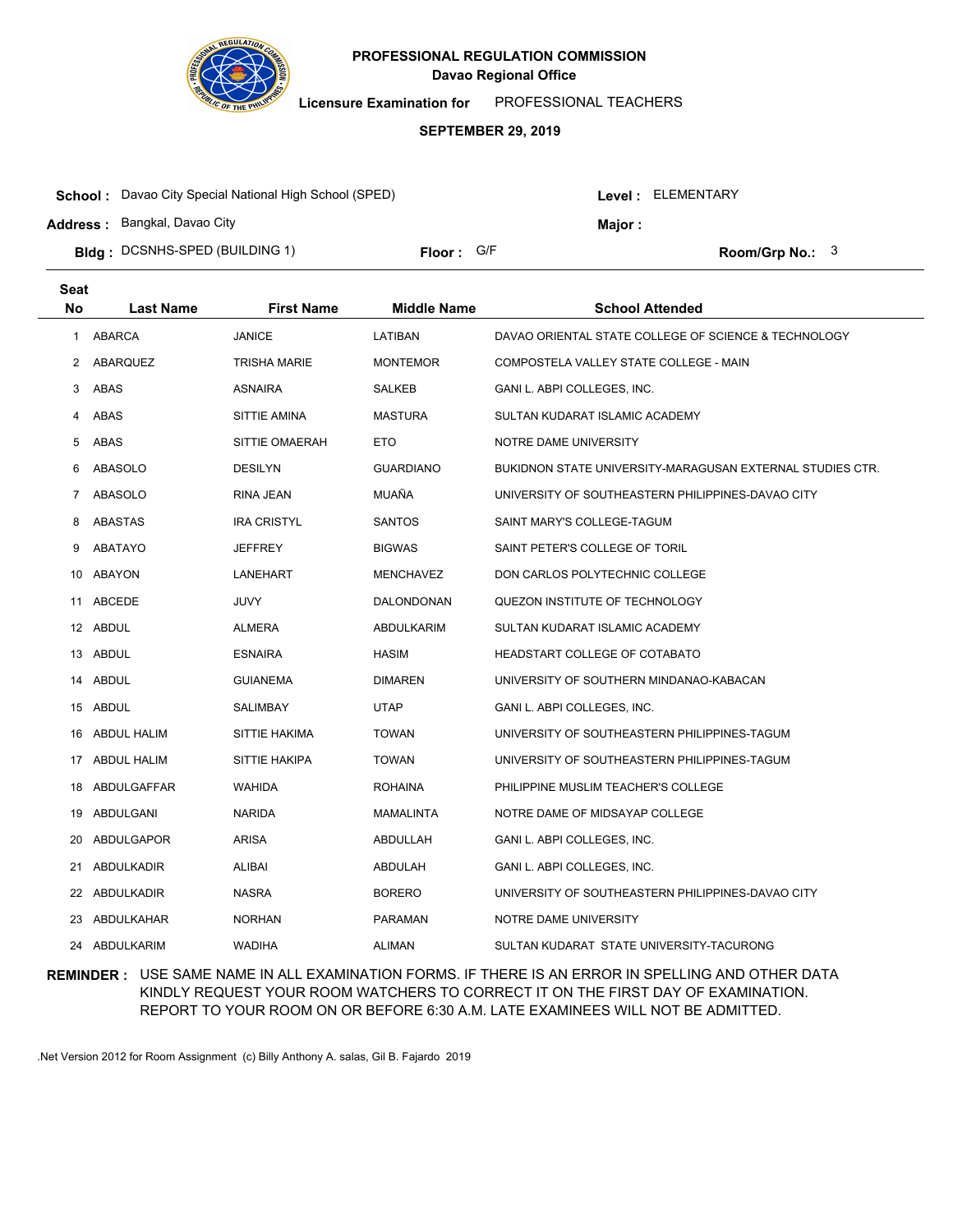

**Licensure Examination for**  PROFESSIONAL TEACHERS

### **SEPTEMBER 29, 2019**

| <b>School:</b> Davao City Special National High School (SPED) |            |  | Level : ELEMENTARY |                   |  |
|---------------------------------------------------------------|------------|--|--------------------|-------------------|--|
| <b>Address: Bangkal, Davao City</b>                           |            |  | Maior :            |                   |  |
| <b>Bidg: DCSNHS-SPED (BUILDING 1)</b>                         | Floor: G/F |  |                    | Room/Grp No.: $3$ |  |

| <b>Seat</b>  |                    |                     |                    |                                                           |
|--------------|--------------------|---------------------|--------------------|-----------------------------------------------------------|
| <b>No</b>    | <b>Last Name</b>   | <b>First Name</b>   | <b>Middle Name</b> | <b>School Attended</b>                                    |
| $\mathbf{1}$ | ABARCA             | <b>JANICE</b>       | LATIBAN            | DAVAO ORIENTAL STATE COLLEGE OF SCIENCE & TECHNOLOGY      |
| 2            | ABARQUEZ           | <b>TRISHA MARIE</b> | <b>MONTEMOR</b>    | COMPOSTELA VALLEY STATE COLLEGE - MAIN                    |
| 3            | ABAS               | <b>ASNAIRA</b>      | <b>SALKEB</b>      | GANI L. ABPI COLLEGES, INC.                               |
| 4            | ABAS               | SITTIE AMINA        | <b>MASTURA</b>     | SULTAN KUDARAT ISLAMIC ACADEMY                            |
| 5            | ABAS               | SITTIE OMAERAH      | ETO                | NOTRE DAME UNIVERSITY                                     |
| 6            | ABASOLO            | <b>DESILYN</b>      | <b>GUARDIANO</b>   | BUKIDNON STATE UNIVERSITY-MARAGUSAN EXTERNAL STUDIES CTR. |
| 7            | <b>ABASOLO</b>     | RINA JEAN           | MUAÑA              | UNIVERSITY OF SOUTHEASTERN PHILIPPINES-DAVAO CITY         |
| 8            | ABASTAS            | <b>IRA CRISTYL</b>  | <b>SANTOS</b>      | SAINT MARY'S COLLEGE-TAGUM                                |
| 9            | ABATAYO            | <b>JEFFREY</b>      | <b>BIGWAS</b>      | SAINT PETER'S COLLEGE OF TORIL                            |
| 10           | ABAYON             | LANEHART            | <b>MENCHAVEZ</b>   | DON CARLOS POLYTECHNIC COLLEGE                            |
| 11           | ABCEDE             | JUVY                | DALONDONAN         | QUEZON INSTITUTE OF TECHNOLOGY                            |
| 12           | ABDUL              | ALMERA              | ABDULKARIM         | SULTAN KUDARAT ISLAMIC ACADEMY                            |
| 13           | ABDUL              | <b>ESNAIRA</b>      | <b>HASIM</b>       | HEADSTART COLLEGE OF COTABATO                             |
| 14           | ABDUL              | <b>GUIANEMA</b>     | <b>DIMAREN</b>     | UNIVERSITY OF SOUTHERN MINDANAO-KABACAN                   |
|              | 15 ABDUL           | SALIMBAY            | UTAP               | GANI L. ABPI COLLEGES, INC.                               |
| 16           | <b>ABDUL HALIM</b> | SITTIE HAKIMA       | <b>TOWAN</b>       | UNIVERSITY OF SOUTHEASTERN PHILIPPINES-TAGUM              |
|              | 17 ABDUL HALIM     | SITTIE HAKIPA       | <b>TOWAN</b>       | UNIVERSITY OF SOUTHEASTERN PHILIPPINES-TAGUM              |
| 18           | ABDULGAFFAR        | WAHIDA              | <b>ROHAINA</b>     | PHILIPPINE MUSLIM TEACHER'S COLLEGE                       |
| 19           | ABDULGANI          | <b>NARIDA</b>       | <b>MAMALINTA</b>   | NOTRE DAME OF MIDSAYAP COLLEGE                            |
| 20           | ABDULGAPOR         | <b>ARISA</b>        | ABDULLAH           | GANI L. ABPI COLLEGES, INC.                               |
| 21           | ABDULKADIR         | <b>ALIBAI</b>       | ABDULAH            | GANI L. ABPI COLLEGES, INC.                               |
| 22           | ABDULKADIR         | <b>NASRA</b>        | <b>BORERO</b>      | UNIVERSITY OF SOUTHEASTERN PHILIPPINES-DAVAO CITY         |
| 23           | ABDULKAHAR         | <b>NORHAN</b>       | <b>PARAMAN</b>     | NOTRE DAME UNIVERSITY                                     |
| 24           | ABDULKARIM         | <b>WADIHA</b>       | <b>ALIMAN</b>      | SULTAN KUDARAT STATE UNIVERSITY-TACURONG                  |

## **REMINDER :** USE SAME NAME IN ALL EXAMINATION FORMS. IF THERE IS AN ERROR IN SPELLING AND OTHER DATA KINDLY REQUEST YOUR ROOM WATCHERS TO CORRECT IT ON THE FIRST DAY OF EXAMINATION. REPORT TO YOUR ROOM ON OR BEFORE 6:30 A.M. LATE EXAMINEES WILL NOT BE ADMITTED.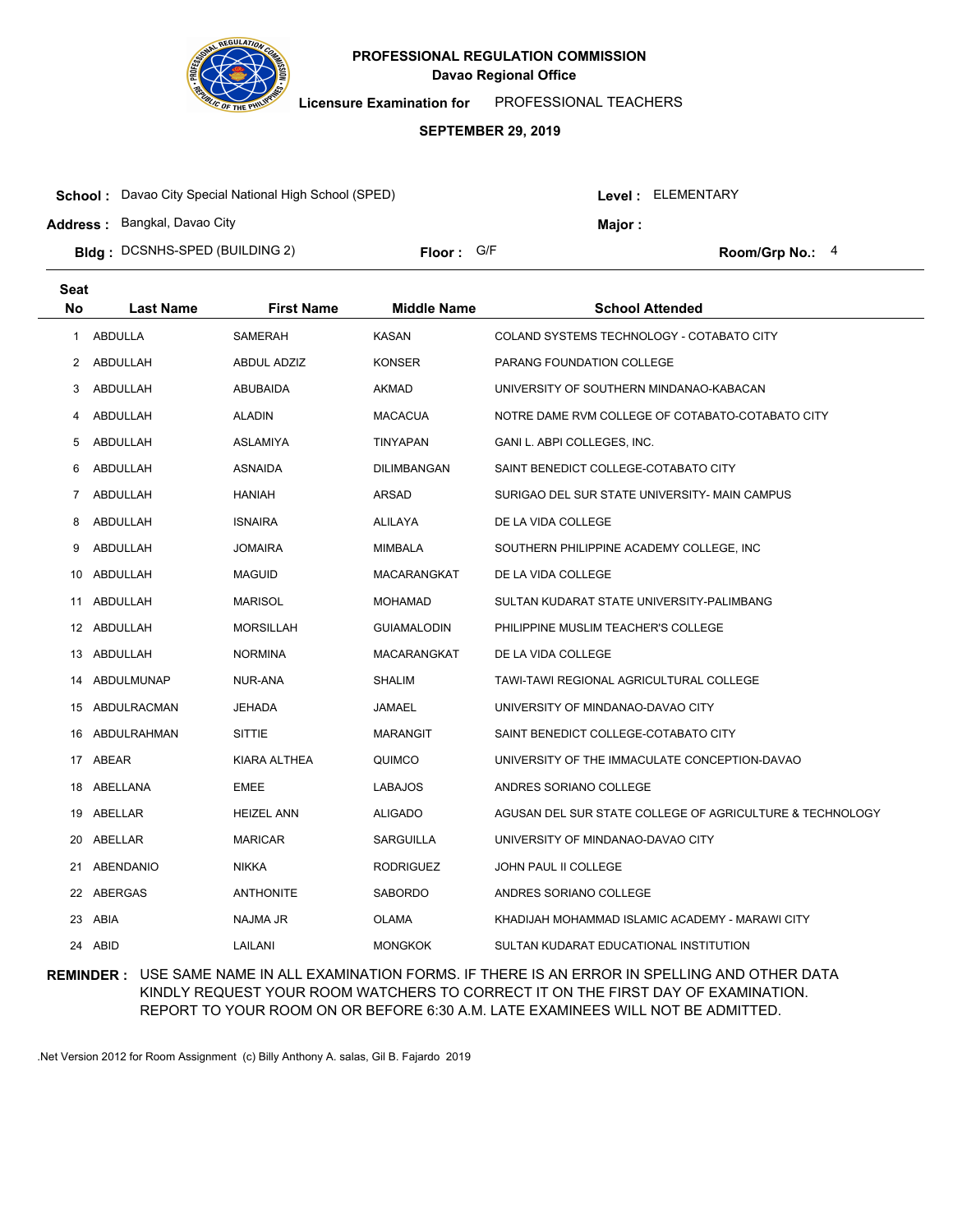

**Licensure Examination for**  PROFESSIONAL TEACHERS

#### **SEPTEMBER 29, 2019**

| <b>School:</b> Davao City Special National High School (SPED) |            |  | Level: ELEMENTARY |                   |  |
|---------------------------------------------------------------|------------|--|-------------------|-------------------|--|
| <b>Address: Bangkal, Davao City</b>                           |            |  | Maior :           |                   |  |
| <b>Bidg</b> : DCSNHS-SPED (BUILDING 2)                        | Floor: G/F |  |                   | Room/Grp No.: $4$ |  |

| <b>Seat</b>    |                  |                   |                    |                                                          |
|----------------|------------------|-------------------|--------------------|----------------------------------------------------------|
| No             | <b>Last Name</b> | <b>First Name</b> | <b>Middle Name</b> | <b>School Attended</b>                                   |
| 1              | ABDULLA          | SAMERAH           | <b>KASAN</b>       | COLAND SYSTEMS TECHNOLOGY - COTABATO CITY                |
| 2              | ABDULLAH         | ABDUL ADZIZ       | <b>KONSER</b>      | PARANG FOUNDATION COLLEGE                                |
| 3              | ABDULLAH         | <b>ABUBAIDA</b>   | AKMAD              | UNIVERSITY OF SOUTHERN MINDANAO-KABACAN                  |
| 4              | ABDULLAH         | <b>ALADIN</b>     | <b>MACACUA</b>     | NOTRE DAME RVM COLLEGE OF COTABATO-COTABATO CITY         |
| 5              | ABDULLAH         | ASLAMIYA          | TINYAPAN           | GANI L. ABPI COLLEGES, INC.                              |
| 6              | ABDULLAH         | ASNAIDA           | DILIMBANGAN        | SAINT BENEDICT COLLEGE-COTABATO CITY                     |
| $\overline{7}$ | ABDULLAH         | <b>HANIAH</b>     | ARSAD              | SURIGAO DEL SUR STATE UNIVERSITY- MAIN CAMPUS            |
| 8              | ABDULLAH         | <b>ISNAIRA</b>    | ALILAYA            | DE LA VIDA COLLEGE                                       |
| 9              | ABDULLAH         | <b>JOMAIRA</b>    | <b>MIMBALA</b>     | SOUTHERN PHILIPPINE ACADEMY COLLEGE, INC                 |
|                | 10 ABDULLAH      | <b>MAGUID</b>     | MACARANGKAT        | DE LA VIDA COLLEGE                                       |
|                | 11 ABDULLAH      | MARISOL           | <b>MOHAMAD</b>     | SULTAN KUDARAT STATE UNIVERSITY-PALIMBANG                |
|                | 12 ABDULLAH      | <b>MORSILLAH</b>  | <b>GUIAMALODIN</b> | PHILIPPINE MUSLIM TEACHER'S COLLEGE                      |
|                | 13 ABDULLAH      | <b>NORMINA</b>    | MACARANGKAT        | DE LA VIDA COLLEGE                                       |
|                | 14 ABDULMUNAP    | NUR-ANA           | <b>SHALIM</b>      | TAWI-TAWI REGIONAL AGRICULTURAL COLLEGE                  |
|                | 15 ABDULRACMAN   | JEHADA            | JAMAEL             | UNIVERSITY OF MINDANAO-DAVAO CITY                        |
|                | 16 ABDULRAHMAN   | <b>SITTIE</b>     | <b>MARANGIT</b>    | SAINT BENEDICT COLLEGE-COTABATO CITY                     |
|                | 17 ABEAR         | KIARA ALTHEA      | QUIMCO             | UNIVERSITY OF THE IMMACULATE CONCEPTION-DAVAO            |
|                | 18 ABELLANA      | EMEE              | LABAJOS            | ANDRES SORIANO COLLEGE                                   |
|                | 19 ABELLAR       | <b>HEIZEL ANN</b> | ALIGADO            | AGUSAN DEL SUR STATE COLLEGE OF AGRICULTURE & TECHNOLOGY |
|                | 20 ABELLAR       | <b>MARICAR</b>    | <b>SARGUILLA</b>   | UNIVERSITY OF MINDANAO-DAVAO CITY                        |
| 21             | ABENDANIO        | <b>NIKKA</b>      | <b>RODRIGUEZ</b>   | <b>JOHN PAUL II COLLEGE</b>                              |
|                | 22 ABERGAS       | <b>ANTHONITE</b>  | <b>SABORDO</b>     | ANDRES SORIANO COLLEGE                                   |
| 23             | ABIA             | NAJMA JR          | <b>OLAMA</b>       | KHADIJAH MOHAMMAD ISLAMIC ACADEMY - MARAWI CITY          |
|                | 24 ABID          | LAILANI           | <b>MONGKOK</b>     | SULTAN KUDARAT EDUCATIONAL INSTITUTION                   |

## **REMINDER :** USE SAME NAME IN ALL EXAMINATION FORMS. IF THERE IS AN ERROR IN SPELLING AND OTHER DATA KINDLY REQUEST YOUR ROOM WATCHERS TO CORRECT IT ON THE FIRST DAY OF EXAMINATION. REPORT TO YOUR ROOM ON OR BEFORE 6:30 A.M. LATE EXAMINEES WILL NOT BE ADMITTED.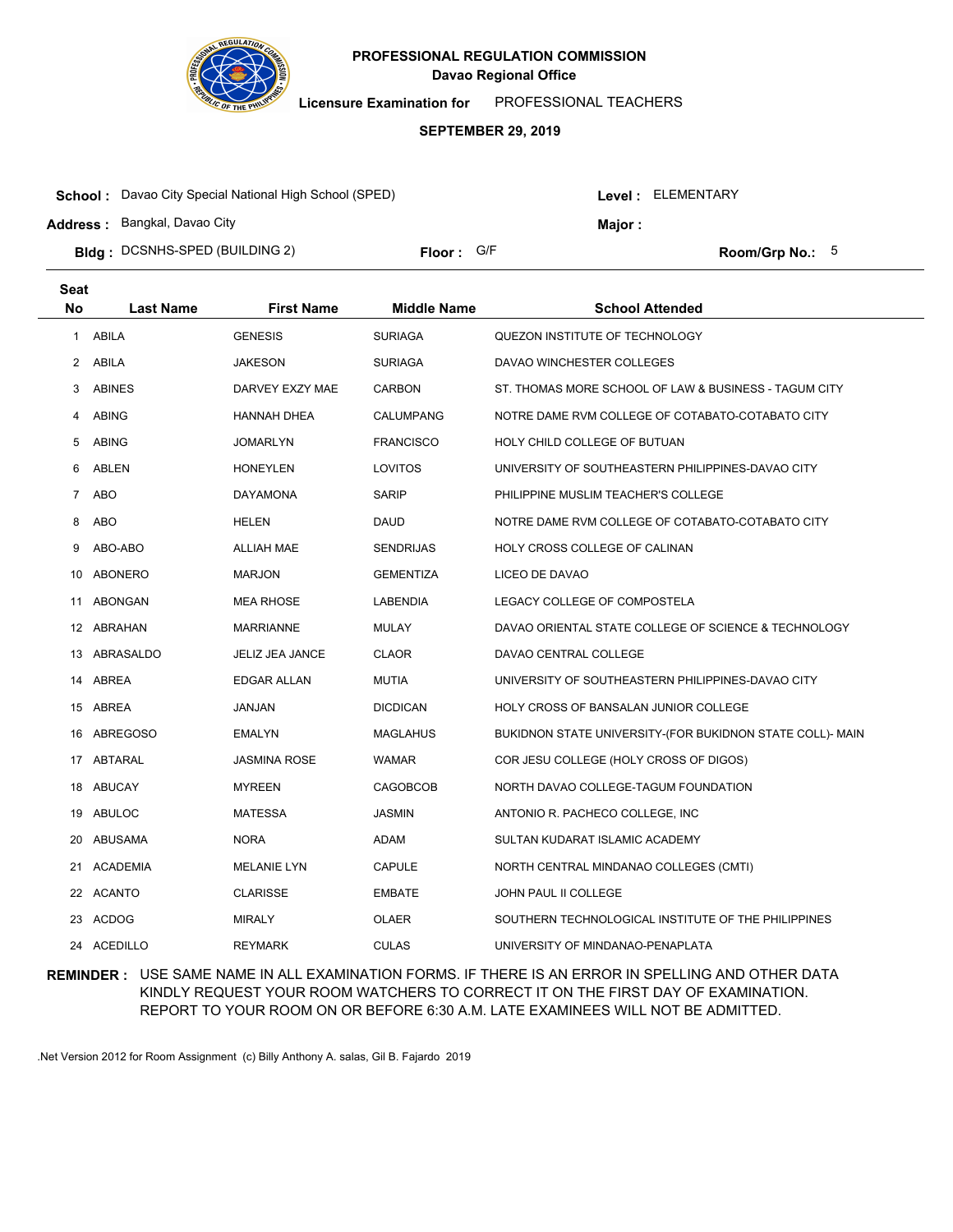

**Licensure Examination for**  PROFESSIONAL TEACHERS

### **SEPTEMBER 29, 2019**

| <b>School:</b> Davao City Special National High School (SPED) |            |  | Level : ELEMENTARY |                   |  |
|---------------------------------------------------------------|------------|--|--------------------|-------------------|--|
| <b>Address:</b> Bangkal, Davao City                           |            |  | Maior:             |                   |  |
| <b>Bidg</b> : DCSNHS-SPED (BUILDING 2)                        | Floor: G/F |  |                    | Room/Grp No.: $5$ |  |

| <b>Seat</b>    |                  |                    |                    |                                                           |
|----------------|------------------|--------------------|--------------------|-----------------------------------------------------------|
| <b>No</b>      | <b>Last Name</b> | <b>First Name</b>  | <b>Middle Name</b> | <b>School Attended</b>                                    |
| 1              | ABILA            | <b>GENESIS</b>     | <b>SURIAGA</b>     | QUEZON INSTITUTE OF TECHNOLOGY                            |
| 2              | ABILA            | <b>JAKESON</b>     | <b>SURIAGA</b>     | DAVAO WINCHESTER COLLEGES                                 |
| 3              | <b>ABINES</b>    | DARVEY EXZY MAE    | <b>CARBON</b>      | ST. THOMAS MORE SCHOOL OF LAW & BUSINESS - TAGUM CITY     |
| 4              | <b>ABING</b>     | HANNAH DHEA        | CALUMPANG          | NOTRE DAME RVM COLLEGE OF COTABATO-COTABATO CITY          |
| 5              | <b>ABING</b>     | <b>JOMARLYN</b>    | <b>FRANCISCO</b>   | HOLY CHILD COLLEGE OF BUTUAN                              |
| 6              | ABLEN            | <b>HONEYLEN</b>    | <b>LOVITOS</b>     | UNIVERSITY OF SOUTHEASTERN PHILIPPINES-DAVAO CITY         |
| $\overline{7}$ | <b>ABO</b>       | <b>DAYAMONA</b>    | <b>SARIP</b>       | PHILIPPINE MUSLIM TEACHER'S COLLEGE                       |
| 8              | <b>ABO</b>       | <b>HELEN</b>       | <b>DAUD</b>        | NOTRE DAME RVM COLLEGE OF COTABATO-COTABATO CITY          |
| 9              | ABO-ABO          | <b>ALLIAH MAE</b>  | <b>SENDRIJAS</b>   | HOLY CROSS COLLEGE OF CALINAN                             |
| 10             | ABONERO          | <b>MARJON</b>      | <b>GEMENTIZA</b>   | LICEO DE DAVAO                                            |
|                | 11 ABONGAN       | MEA RHOSE          | LABENDIA           | LEGACY COLLEGE OF COMPOSTELA                              |
|                | 12 ABRAHAN       | MARRIANNE          | <b>MULAY</b>       | DAVAO ORIENTAL STATE COLLEGE OF SCIENCE & TECHNOLOGY      |
|                | 13 ABRASALDO     | JELIZ JEA JANCE    | <b>CLAOR</b>       | DAVAO CENTRAL COLLEGE                                     |
|                | 14 ABREA         | EDGAR ALLAN        | <b>MUTIA</b>       | UNIVERSITY OF SOUTHEASTERN PHILIPPINES-DAVAO CITY         |
|                | 15 ABREA         | JANJAN             | <b>DICDICAN</b>    | HOLY CROSS OF BANSALAN JUNIOR COLLEGE                     |
| 16             | ABREGOSO         | EMALYN             | <b>MAGLAHUS</b>    | BUKIDNON STATE UNIVERSITY-(FOR BUKIDNON STATE COLL)- MAIN |
| 17             | ABTARAL          | JASMINA ROSE       | <b>WAMAR</b>       | COR JESU COLLEGE (HOLY CROSS OF DIGOS)                    |
| 18             | ABUCAY           | MYREEN             | CAGOBCOB           | NORTH DAVAO COLLEGE-TAGUM FOUNDATION                      |
| 19             | ABULOC           | MATESSA            | <b>JASMIN</b>      | ANTONIO R. PACHECO COLLEGE, INC.                          |
| 20             | ABUSAMA          | <b>NORA</b>        | ADAM               | SULTAN KUDARAT ISLAMIC ACADEMY                            |
|                | 21 ACADEMIA      | <b>MELANIE LYN</b> | <b>CAPULE</b>      | NORTH CENTRAL MINDANAO COLLEGES (CMTI)                    |
|                | 22 ACANTO        | <b>CLARISSE</b>    | <b>EMBATE</b>      | JOHN PAUL II COLLEGE                                      |
| 23             | ACDOG            | MIRALY             | <b>OLAER</b>       | SOUTHERN TECHNOLOGICAL INSTITUTE OF THE PHILIPPINES       |
|                | 24 ACEDILLO      | <b>REYMARK</b>     | <b>CULAS</b>       | UNIVERSITY OF MINDANAO-PENAPLATA                          |

## **REMINDER :** USE SAME NAME IN ALL EXAMINATION FORMS. IF THERE IS AN ERROR IN SPELLING AND OTHER DATA KINDLY REQUEST YOUR ROOM WATCHERS TO CORRECT IT ON THE FIRST DAY OF EXAMINATION. REPORT TO YOUR ROOM ON OR BEFORE 6:30 A.M. LATE EXAMINEES WILL NOT BE ADMITTED.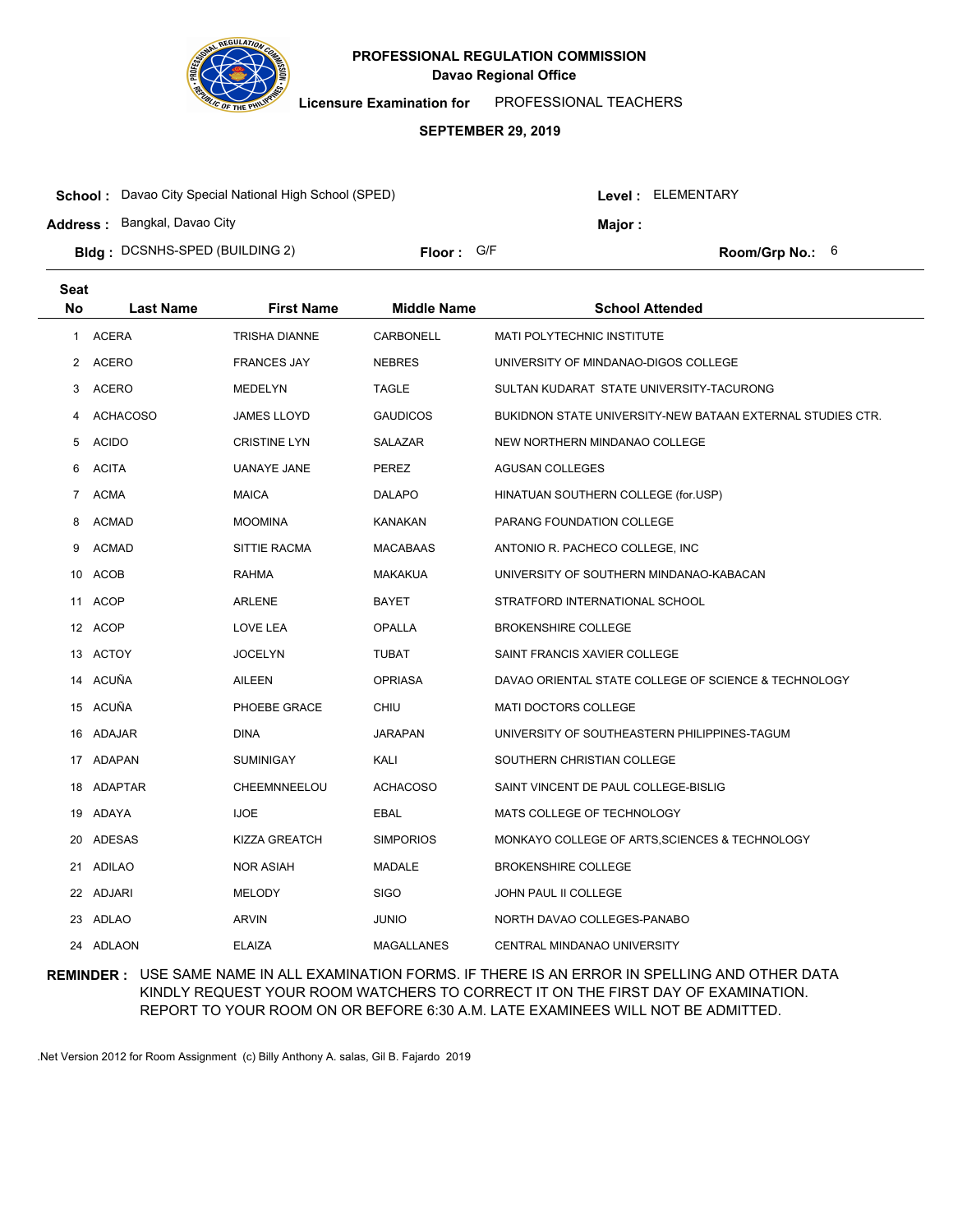

**Licensure Examination for**  PROFESSIONAL TEACHERS

#### **SEPTEMBER 29, 2019**

| <b>School:</b> Davao City Special National High School (SPED) |            |  | Level : ELEMENTARY |                          |  |
|---------------------------------------------------------------|------------|--|--------------------|--------------------------|--|
| <b>Address: Bangkal, Davao City</b>                           |            |  | <b>Maior:</b>      |                          |  |
| <b>Bidg</b> : DCSNHS-SPED (BUILDING 2)                        | Floor: G/F |  |                    | <b>Room/Grp No.:</b> $6$ |  |

| <b>Seat</b>    |                  |                      |                    |                                                            |
|----------------|------------------|----------------------|--------------------|------------------------------------------------------------|
| No             | <b>Last Name</b> | <b>First Name</b>    | <b>Middle Name</b> | <b>School Attended</b>                                     |
| $\mathbf{1}$   | <b>ACERA</b>     | <b>TRISHA DIANNE</b> | <b>CARBONELL</b>   | <b>MATI POLYTECHNIC INSTITUTE</b>                          |
| 2              | ACERO            | <b>FRANCES JAY</b>   | <b>NEBRES</b>      | UNIVERSITY OF MINDANAO-DIGOS COLLEGE                       |
| 3              | <b>ACERO</b>     | <b>MEDELYN</b>       | <b>TAGLE</b>       | SULTAN KUDARAT STATE UNIVERSITY-TACURONG                   |
| 4              | <b>ACHACOSO</b>  | <b>JAMES LLOYD</b>   | <b>GAUDICOS</b>    | BUKIDNON STATE UNIVERSITY-NEW BATAAN EXTERNAL STUDIES CTR. |
| 5              | <b>ACIDO</b>     | <b>CRISTINE LYN</b>  | SALAZAR            | NEW NORTHERN MINDANAO COLLEGE                              |
| 6              | <b>ACITA</b>     | <b>UANAYE JANE</b>   | PEREZ              | AGUSAN COLLEGES                                            |
| $\overline{7}$ | <b>ACMA</b>      | <b>MAICA</b>         | <b>DALAPO</b>      | HINATUAN SOUTHERN COLLEGE (for.USP)                        |
| 8              | <b>ACMAD</b>     | <b>MOOMINA</b>       | KANAKAN            | PARANG FOUNDATION COLLEGE                                  |
| 9              | <b>ACMAD</b>     | SITTIE RACMA         | <b>MACABAAS</b>    | ANTONIO R. PACHECO COLLEGE, INC.                           |
|                | 10 ACOB          | <b>RAHMA</b>         | <b>MAKAKUA</b>     | UNIVERSITY OF SOUTHERN MINDANAO-KABACAN                    |
|                | 11 ACOP          | ARLENE               | <b>BAYET</b>       | STRATFORD INTERNATIONAL SCHOOL                             |
|                | 12 ACOP          | LOVE LEA             | <b>OPALLA</b>      | <b>BROKENSHIRE COLLEGE</b>                                 |
|                | 13 ACTOY         | <b>JOCELYN</b>       | <b>TUBAT</b>       | SAINT FRANCIS XAVIER COLLEGE                               |
|                | 14 ACUÑA         | AILEEN               | <b>OPRIASA</b>     | DAVAO ORIENTAL STATE COLLEGE OF SCIENCE & TECHNOLOGY       |
|                | 15 ACUÑA         | PHOEBE GRACE         | <b>CHIU</b>        | <b>MATI DOCTORS COLLEGE</b>                                |
|                | 16 ADAJAR        | <b>DINA</b>          | <b>JARAPAN</b>     | UNIVERSITY OF SOUTHEASTERN PHILIPPINES-TAGUM               |
|                | 17 ADAPAN        | <b>SUMINIGAY</b>     | KALI               | SOUTHERN CHRISTIAN COLLEGE                                 |
|                | 18 ADAPTAR       | CHEEMNNEELOU         | <b>ACHACOSO</b>    | SAINT VINCENT DE PAUL COLLEGE-BISLIG                       |
|                | 19 ADAYA         | <b>IJOE</b>          | <b>EBAL</b>        | MATS COLLEGE OF TECHNOLOGY                                 |
|                | 20 ADESAS        | KIZZA GREATCH        | <b>SIMPORIOS</b>   | MONKAYO COLLEGE OF ARTS, SCIENCES & TECHNOLOGY             |
|                | 21 ADILAO        | <b>NOR ASIAH</b>     | MADALE             | <b>BROKENSHIRE COLLEGE</b>                                 |
|                | 22 ADJARI        | <b>MELODY</b>        | <b>SIGO</b>        | JOHN PAUL II COLLEGE                                       |
|                | 23 ADLAO         | ARVIN                | <b>JUNIO</b>       | NORTH DAVAO COLLEGES-PANABO                                |
|                | 24 ADLAON        | <b>ELAIZA</b>        | <b>MAGALLANES</b>  | CENTRAL MINDANAO UNIVERSITY                                |

## **REMINDER :** USE SAME NAME IN ALL EXAMINATION FORMS. IF THERE IS AN ERROR IN SPELLING AND OTHER DATA KINDLY REQUEST YOUR ROOM WATCHERS TO CORRECT IT ON THE FIRST DAY OF EXAMINATION. REPORT TO YOUR ROOM ON OR BEFORE 6:30 A.M. LATE EXAMINEES WILL NOT BE ADMITTED.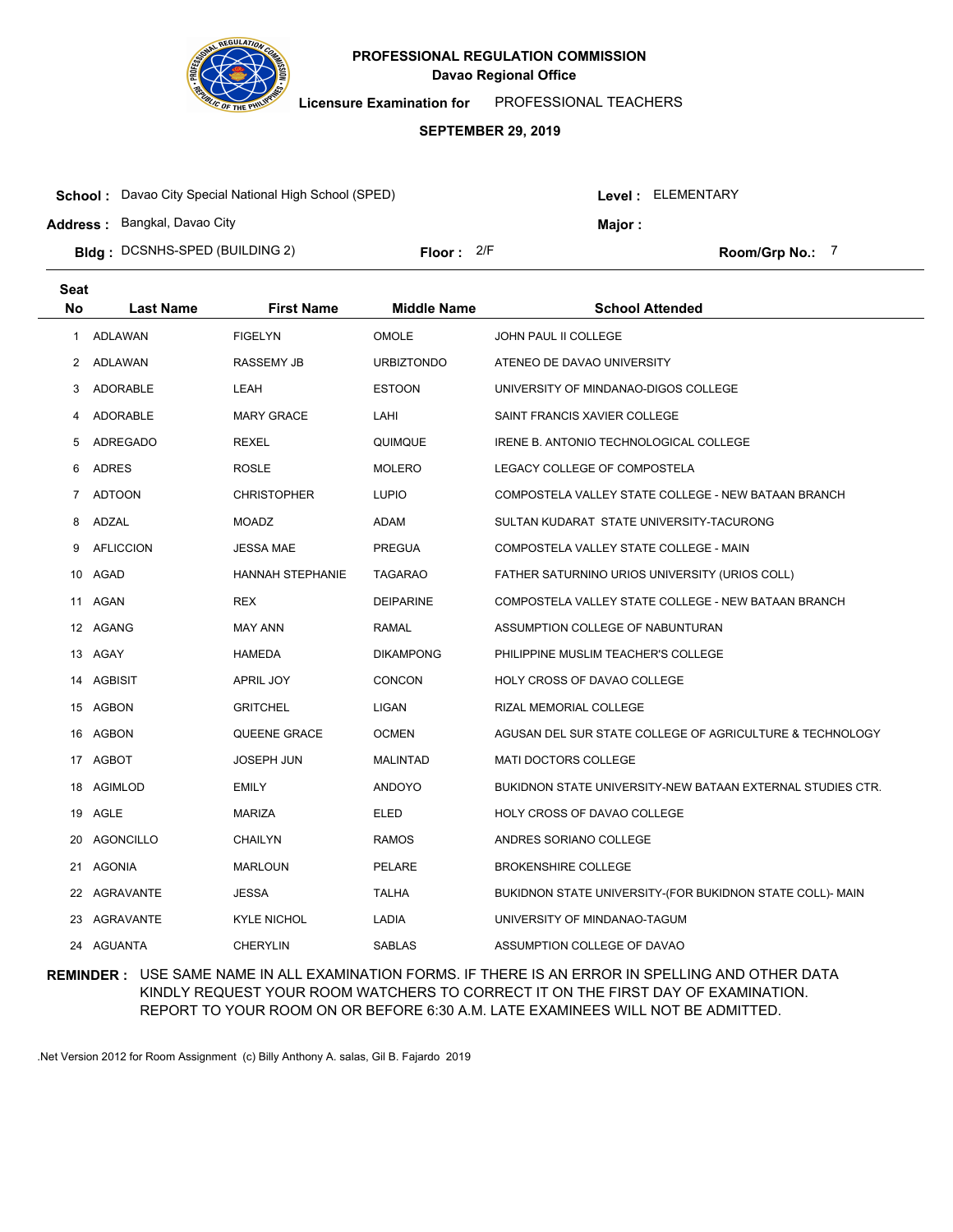

**Licensure Examination for**  PROFESSIONAL TEACHERS

#### **SEPTEMBER 29, 2019**

| <b>School:</b> Davao City Special National High School (SPED) |              |  |         | Level : ELEMENTARY   |  |  |
|---------------------------------------------------------------|--------------|--|---------|----------------------|--|--|
| <b>Address:</b> Bangkal, Davao City                           |              |  | Maior : |                      |  |  |
| <b>Bidg</b> : DCSNHS-SPED (BUILDING 2)                        | Floor: $2/F$ |  |         | <b>Room/Grp No.:</b> |  |  |

| <b>Seat</b>  |                  |                         |                    |                                                            |
|--------------|------------------|-------------------------|--------------------|------------------------------------------------------------|
| No           | <b>Last Name</b> | <b>First Name</b>       | <b>Middle Name</b> | <b>School Attended</b>                                     |
| $\mathbf{1}$ | ADLAWAN          | <b>FIGELYN</b>          | <b>OMOLE</b>       | JOHN PAUL II COLLEGE                                       |
|              | 2 ADLAWAN        | RASSEMY JB              | <b>URBIZTONDO</b>  | ATENEO DE DAVAO UNIVERSITY                                 |
| 3            | ADORABLE         | LEAH                    | <b>ESTOON</b>      | UNIVERSITY OF MINDANAO-DIGOS COLLEGE                       |
| 4            | ADORABLE         | <b>MARY GRACE</b>       | LAHI               | SAINT FRANCIS XAVIER COLLEGE                               |
| 5            | ADREGADO         | <b>REXEL</b>            | QUIMQUE            | IRENE B. ANTONIO TECHNOLOGICAL COLLEGE                     |
| 6            | <b>ADRES</b>     | <b>ROSLE</b>            | <b>MOLERO</b>      | LEGACY COLLEGE OF COMPOSTELA                               |
| 7            | <b>ADTOON</b>    | <b>CHRISTOPHER</b>      | <b>LUPIO</b>       | COMPOSTELA VALLEY STATE COLLEGE - NEW BATAAN BRANCH        |
| 8            | ADZAL            | <b>MOADZ</b>            | ADAM               | SULTAN KUDARAT STATE UNIVERSITY-TACURONG                   |
| 9            | <b>AFLICCION</b> | <b>JESSA MAE</b>        | <b>PREGUA</b>      | COMPOSTELA VALLEY STATE COLLEGE - MAIN                     |
| 10           | AGAD             | <b>HANNAH STEPHANIE</b> | <b>TAGARAO</b>     | FATHER SATURNINO URIOS UNIVERSITY (URIOS COLL)             |
| 11           | AGAN             | <b>REX</b>              | <b>DEIPARINE</b>   | COMPOSTELA VALLEY STATE COLLEGE - NEW BATAAN BRANCH        |
|              | 12 AGANG         | <b>MAY ANN</b>          | <b>RAMAL</b>       | ASSUMPTION COLLEGE OF NABUNTURAN                           |
|              | 13 AGAY          | <b>HAMEDA</b>           | <b>DIKAMPONG</b>   | PHILIPPINE MUSLIM TEACHER'S COLLEGE                        |
|              | 14 AGBISIT       | APRIL JOY               | CONCON             | HOLY CROSS OF DAVAO COLLEGE                                |
|              | 15 AGBON         | <b>GRITCHEL</b>         | <b>LIGAN</b>       | RIZAL MEMORIAL COLLEGE                                     |
|              | 16 AGBON         | QUEENE GRACE            | <b>OCMEN</b>       | AGUSAN DEL SUR STATE COLLEGE OF AGRICULTURE & TECHNOLOGY   |
|              | 17 AGBOT         | <b>JOSEPH JUN</b>       | <b>MALINTAD</b>    | <b>MATI DOCTORS COLLEGE</b>                                |
|              | 18 AGIMLOD       | <b>EMILY</b>            | <b>ANDOYO</b>      | BUKIDNON STATE UNIVERSITY-NEW BATAAN EXTERNAL STUDIES CTR. |
|              | 19 AGLE          | MARIZA                  | ELED               | HOLY CROSS OF DAVAO COLLEGE                                |
|              | 20 AGONCILLO     | <b>CHAILYN</b>          | <b>RAMOS</b>       | ANDRES SORIANO COLLEGE                                     |
| 21           | AGONIA           | <b>MARLOUN</b>          | PELARE             | <b>BROKENSHIRE COLLEGE</b>                                 |
|              | 22 AGRAVANTE     | <b>JESSA</b>            | <b>TALHA</b>       | BUKIDNON STATE UNIVERSITY-(FOR BUKIDNON STATE COLL)- MAIN  |
|              | 23 AGRAVANTE     | <b>KYLE NICHOL</b>      | LADIA              | UNIVERSITY OF MINDANAO-TAGUM                               |
|              | 24 AGUANTA       | <b>CHERYLIN</b>         | <b>SABLAS</b>      | ASSUMPTION COLLEGE OF DAVAO                                |

## **REMINDER :** USE SAME NAME IN ALL EXAMINATION FORMS. IF THERE IS AN ERROR IN SPELLING AND OTHER DATA KINDLY REQUEST YOUR ROOM WATCHERS TO CORRECT IT ON THE FIRST DAY OF EXAMINATION. REPORT TO YOUR ROOM ON OR BEFORE 6:30 A.M. LATE EXAMINEES WILL NOT BE ADMITTED.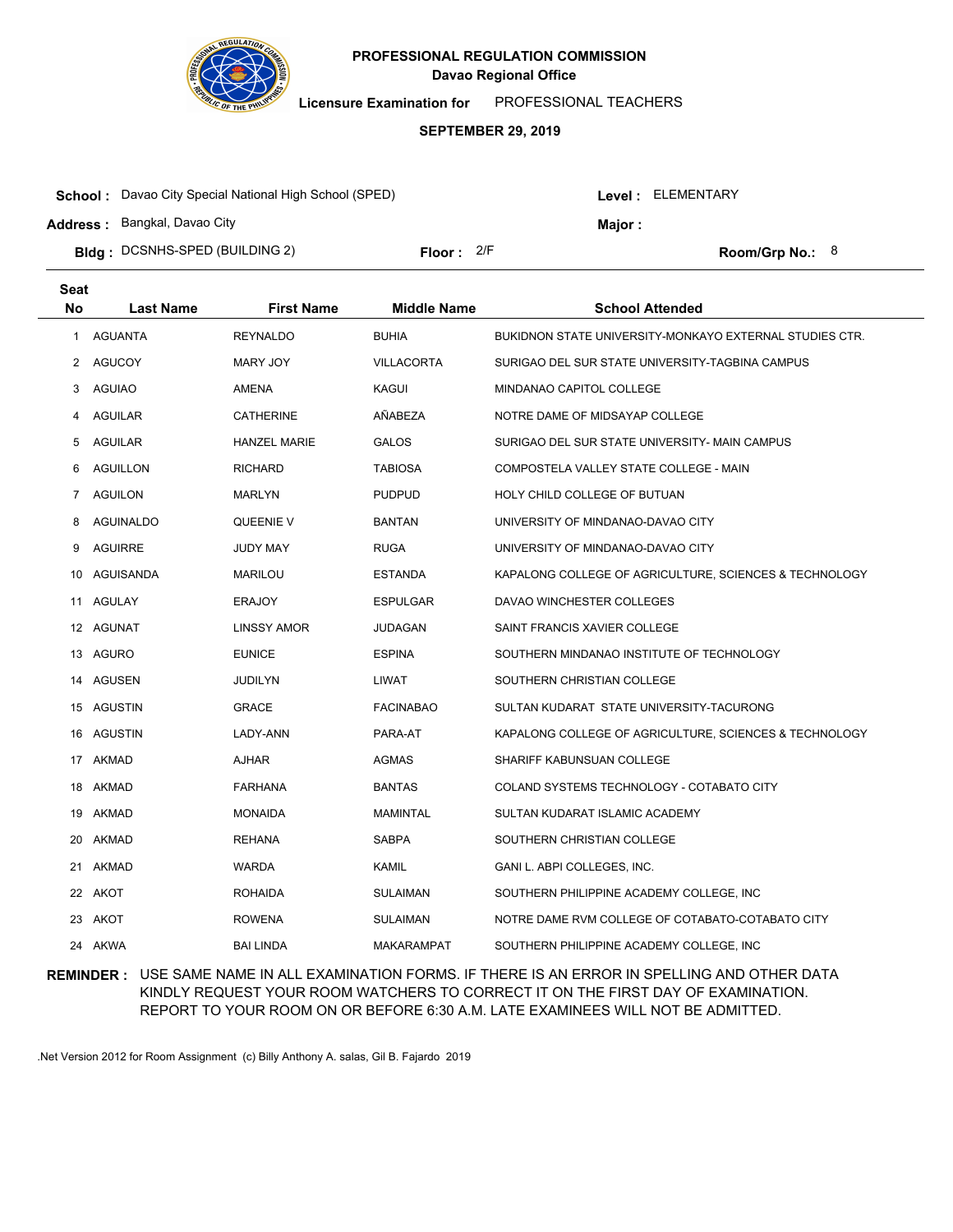

**Licensure Examination for**  PROFESSIONAL TEACHERS

#### **SEPTEMBER 29, 2019**

| <b>School:</b> Davao City Special National High School (SPED) |            |  |        | Level: ELEMENTARY |
|---------------------------------------------------------------|------------|--|--------|-------------------|
| <b>Address: Bangkal, Davao City</b>                           |            |  | Maior: |                   |
| <b>Bidg</b> : DCSNHS-SPED (BUILDING 2)                        | Floor: 2/F |  |        | Room/Grp No.: $8$ |

| <b>Seat</b> |                  |                     |                    |                                                         |
|-------------|------------------|---------------------|--------------------|---------------------------------------------------------|
| No          | <b>Last Name</b> | <b>First Name</b>   | <b>Middle Name</b> | <b>School Attended</b>                                  |
| 1           | <b>AGUANTA</b>   | <b>REYNALDO</b>     | <b>BUHIA</b>       | BUKIDNON STATE UNIVERSITY-MONKAYO EXTERNAL STUDIES CTR. |
| 2           | AGUCOY           | MARY JOY            | <b>VILLACORTA</b>  | SURIGAO DEL SUR STATE UNIVERSITY-TAGBINA CAMPUS         |
| 3           | <b>AGUIAO</b>    | AMENA               | KAGUI              | MINDANAO CAPITOL COLLEGE                                |
| 4           | AGUILAR          | <b>CATHERINE</b>    | AÑABEZA            | NOTRE DAME OF MIDSAYAP COLLEGE                          |
| 5           | <b>AGUILAR</b>   | <b>HANZEL MARIE</b> | <b>GALOS</b>       | SURIGAO DEL SUR STATE UNIVERSITY- MAIN CAMPUS           |
| 6           | <b>AGUILLON</b>  | <b>RICHARD</b>      | <b>TABIOSA</b>     | COMPOSTELA VALLEY STATE COLLEGE - MAIN                  |
| 7           | <b>AGUILON</b>   | <b>MARLYN</b>       | <b>PUDPUD</b>      | HOLY CHILD COLLEGE OF BUTUAN                            |
| 8           | AGUINALDO        | QUEENIE V           | <b>BANTAN</b>      | UNIVERSITY OF MINDANAO-DAVAO CITY                       |
| 9           | <b>AGUIRRE</b>   | <b>JUDY MAY</b>     | <b>RUGA</b>        | UNIVERSITY OF MINDANAO-DAVAO CITY                       |
|             | 10 AGUISANDA     | <b>MARILOU</b>      | <b>ESTANDA</b>     | KAPALONG COLLEGE OF AGRICULTURE, SCIENCES & TECHNOLOGY  |
|             | 11 AGULAY        | <b>ERAJOY</b>       | <b>ESPULGAR</b>    | DAVAO WINCHESTER COLLEGES                               |
|             | 12 AGUNAT        | <b>LINSSY AMOR</b>  | JUDAGAN            | SAINT FRANCIS XAVIER COLLEGE                            |
|             | 13 AGURO         | <b>EUNICE</b>       | <b>ESPINA</b>      | SOUTHERN MINDANAO INSTITUTE OF TECHNOLOGY               |
|             | 14 AGUSEN        | JUDILYN             | LIWAT              | SOUTHERN CHRISTIAN COLLEGE                              |
|             | 15 AGUSTIN       | <b>GRACE</b>        | <b>FACINABAO</b>   | SULTAN KUDARAT STATE UNIVERSITY-TACURONG                |
|             | 16 AGUSTIN       | LADY-ANN            | PARA-AT            | KAPALONG COLLEGE OF AGRICULTURE, SCIENCES & TECHNOLOGY  |
|             | 17 AKMAD         | AJHAR               | AGMAS              | SHARIFF KABUNSUAN COLLEGE                               |
|             | 18 AKMAD         | <b>FARHANA</b>      | <b>BANTAS</b>      | COLAND SYSTEMS TECHNOLOGY - COTABATO CITY               |
|             | 19 AKMAD         | <b>MONAIDA</b>      | MAMINTAL           | SULTAN KUDARAT ISLAMIC ACADEMY                          |
|             | 20 AKMAD         | <b>REHANA</b>       | <b>SABPA</b>       | SOUTHERN CHRISTIAN COLLEGE                              |
|             | 21 AKMAD         | <b>WARDA</b>        | KAMIL              | GANI L. ABPI COLLEGES, INC.                             |
|             | 22 AKOT          | <b>ROHAIDA</b>      | <b>SULAIMAN</b>    | SOUTHERN PHILIPPINE ACADEMY COLLEGE, INC                |
| 23          | AKOT             | <b>ROWENA</b>       | <b>SULAIMAN</b>    | NOTRE DAME RVM COLLEGE OF COTABATO-COTABATO CITY        |
|             | 24 AKWA          | <b>BAI LINDA</b>    | <b>MAKARAMPAT</b>  | SOUTHERN PHILIPPINE ACADEMY COLLEGE, INC                |

## **REMINDER :** USE SAME NAME IN ALL EXAMINATION FORMS. IF THERE IS AN ERROR IN SPELLING AND OTHER DATA KINDLY REQUEST YOUR ROOM WATCHERS TO CORRECT IT ON THE FIRST DAY OF EXAMINATION. REPORT TO YOUR ROOM ON OR BEFORE 6:30 A.M. LATE EXAMINEES WILL NOT BE ADMITTED.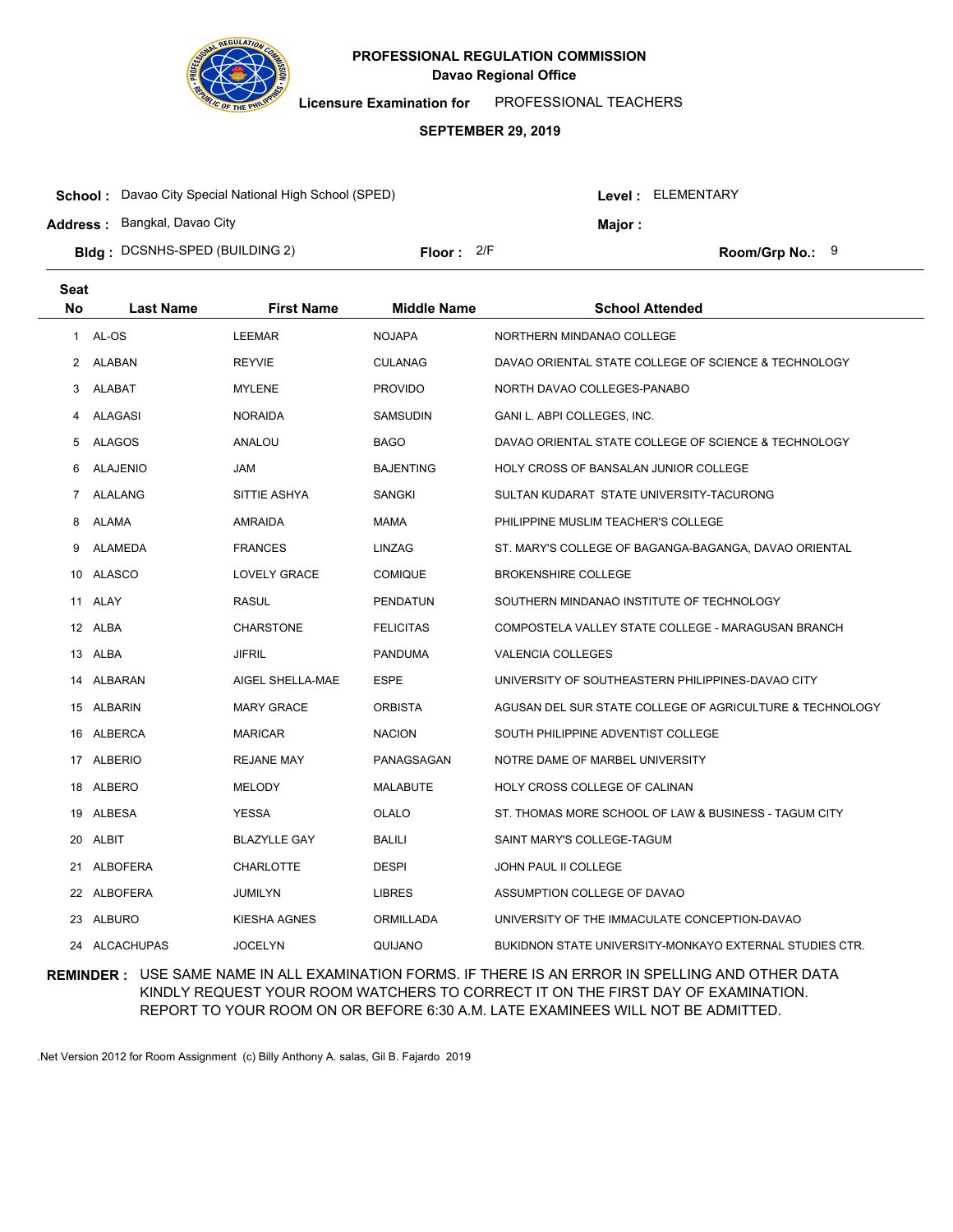

**Licensure Examination for**  PROFESSIONAL TEACHERS

#### **SEPTEMBER 29, 2019**

| <b>School:</b> Davao City Special National High School (SPED) |              |  | Level : ELEMENTARY |                   |  |
|---------------------------------------------------------------|--------------|--|--------------------|-------------------|--|
| <b>Address: Bangkal, Davao City</b>                           |              |  | Maior:             |                   |  |
| <b>Bidg</b> : DCSNHS-SPED (BUILDING 2)                        | Floor: $2/F$ |  |                    | Room/Grp No.: $9$ |  |

| Seat         |                  |                     |                    |                                                          |
|--------------|------------------|---------------------|--------------------|----------------------------------------------------------|
| No           | <b>Last Name</b> | <b>First Name</b>   | <b>Middle Name</b> | <b>School Attended</b>                                   |
| $\mathbf{1}$ | AL-OS            | <b>LEEMAR</b>       | <b>NOJAPA</b>      | NORTHERN MINDANAO COLLEGE                                |
| $\mathbf{2}$ | ALABAN           | <b>REYVIE</b>       | <b>CULANAG</b>     | DAVAO ORIENTAL STATE COLLEGE OF SCIENCE & TECHNOLOGY     |
| 3            | <b>ALABAT</b>    | <b>MYLENE</b>       | <b>PROVIDO</b>     | NORTH DAVAO COLLEGES-PANABO                              |
| 4            | ALAGASI          | <b>NORAIDA</b>      | <b>SAMSUDIN</b>    | GANI L. ABPI COLLEGES, INC.                              |
| 5            | ALAGOS           | ANALOU              | <b>BAGO</b>        | DAVAO ORIENTAL STATE COLLEGE OF SCIENCE & TECHNOLOGY     |
| 6            | <b>ALAJENIO</b>  | <b>JAM</b>          | <b>BAJENTING</b>   | <b>HOLY CROSS OF BANSALAN JUNIOR COLLEGE</b>             |
| 7            | ALALANG          | SITTIE ASHYA        | <b>SANGKI</b>      | SULTAN KUDARAT STATE UNIVERSITY-TACURONG                 |
| 8            | ALAMA            | <b>AMRAIDA</b>      | <b>MAMA</b>        | PHILIPPINE MUSLIM TEACHER'S COLLEGE                      |
| 9            | ALAMEDA          | <b>FRANCES</b>      | <b>LINZAG</b>      | ST. MARY'S COLLEGE OF BAGANGA-BAGANGA, DAVAO ORIENTAL    |
|              | 10 ALASCO        | LOVELY GRACE        | <b>COMIQUE</b>     | <b>BROKENSHIRE COLLEGE</b>                               |
|              | 11 ALAY          | <b>RASUL</b>        | <b>PENDATUN</b>    | SOUTHERN MINDANAO INSTITUTE OF TECHNOLOGY                |
|              | 12 ALBA          | <b>CHARSTONE</b>    | <b>FELICITAS</b>   | COMPOSTELA VALLEY STATE COLLEGE - MARAGUSAN BRANCH       |
|              | 13 ALBA          | <b>JIFRIL</b>       | <b>PANDUMA</b>     | <b>VALENCIA COLLEGES</b>                                 |
|              | 14 ALBARAN       | AIGEL SHELLA-MAE    | <b>ESPE</b>        | UNIVERSITY OF SOUTHEASTERN PHILIPPINES-DAVAO CITY        |
|              | 15 ALBARIN       | <b>MARY GRACE</b>   | <b>ORBISTA</b>     | AGUSAN DEL SUR STATE COLLEGE OF AGRICULTURE & TECHNOLOGY |
|              | 16 ALBERCA       | <b>MARICAR</b>      | <b>NACION</b>      | SOUTH PHILIPPINE ADVENTIST COLLEGE                       |
|              | 17 ALBERIO       | <b>REJANE MAY</b>   | PANAGSAGAN         | NOTRE DAME OF MARBEL UNIVERSITY                          |
|              | 18 ALBERO        | <b>MELODY</b>       | <b>MALABUTE</b>    | HOLY CROSS COLLEGE OF CALINAN                            |
|              | 19 ALBESA        | <b>YESSA</b>        | <b>OLALO</b>       | ST. THOMAS MORE SCHOOL OF LAW & BUSINESS - TAGUM CITY    |
| 20           | ALBIT            | <b>BLAZYLLE GAY</b> | BALILI             | SAINT MARY'S COLLEGE-TAGUM                               |
| 21           | ALBOFERA         | <b>CHARLOTTE</b>    | <b>DESPI</b>       | JOHN PAUL II COLLEGE                                     |
|              | 22 ALBOFERA      | JUMILYN             | <b>LIBRES</b>      | ASSUMPTION COLLEGE OF DAVAO                              |
| 23.          | ALBURO           | KIESHA AGNES        | <b>ORMILLADA</b>   | UNIVERSITY OF THE IMMACULATE CONCEPTION-DAVAO            |
|              | 24 ALCACHUPAS    | <b>JOCELYN</b>      | QUIJANO            | BUKIDNON STATE UNIVERSITY-MONKAYO EXTERNAL STUDIES CTR.  |

## **REMINDER :** USE SAME NAME IN ALL EXAMINATION FORMS. IF THERE IS AN ERROR IN SPELLING AND OTHER DATA KINDLY REQUEST YOUR ROOM WATCHERS TO CORRECT IT ON THE FIRST DAY OF EXAMINATION. REPORT TO YOUR ROOM ON OR BEFORE 6:30 A.M. LATE EXAMINEES WILL NOT BE ADMITTED.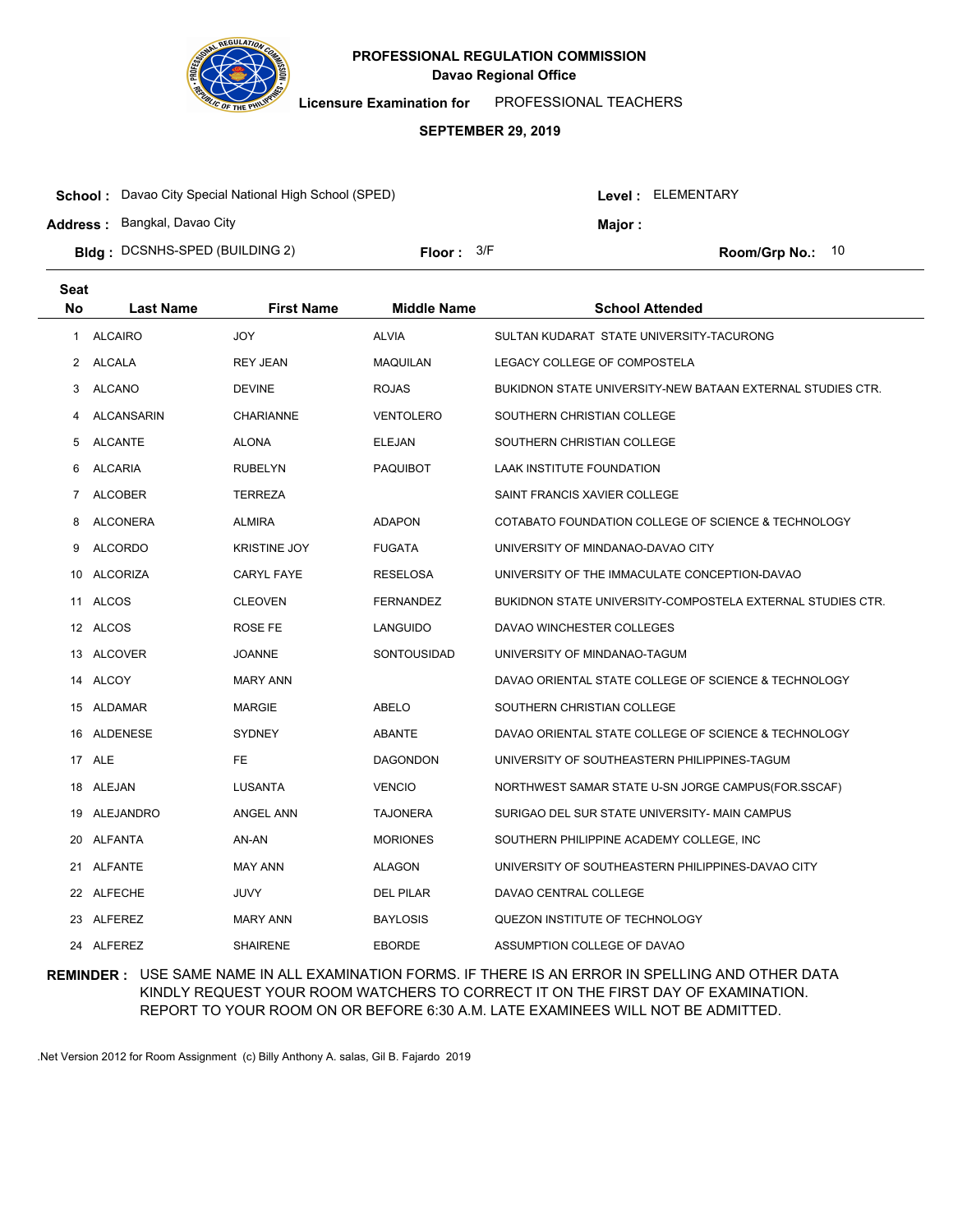

**Licensure Examination for**  PROFESSIONAL TEACHERS

#### **SEPTEMBER 29, 2019**

| <b>School:</b> Davao City Special National High School (SPED) |              |  | Level : ELEMENTARY |                    |  |
|---------------------------------------------------------------|--------------|--|--------------------|--------------------|--|
| <b>Address: Bangkal, Davao City</b>                           |              |  | <b>Major:</b>      |                    |  |
| <b>Bidg: DCSNHS-SPED (BUILDING 2)</b>                         | Floor: $3/F$ |  |                    | Room/Grp No.: $10$ |  |

| <b>Seat</b>  |                |                     |                    |                                                            |
|--------------|----------------|---------------------|--------------------|------------------------------------------------------------|
| <b>No</b>    | Last Name      | <b>First Name</b>   | <b>Middle Name</b> | <b>School Attended</b>                                     |
| 1            | <b>ALCAIRO</b> | <b>JOY</b>          | <b>ALVIA</b>       | SULTAN KUDARAT STATE UNIVERSITY-TACURONG                   |
| $\mathbf{2}$ | ALCALA         | <b>REY JEAN</b>     | <b>MAQUILAN</b>    | LEGACY COLLEGE OF COMPOSTELA                               |
| 3            | <b>ALCANO</b>  | <b>DEVINE</b>       | <b>ROJAS</b>       | BUKIDNON STATE UNIVERSITY-NEW BATAAN EXTERNAL STUDIES CTR. |
| 4            | ALCANSARIN     | <b>CHARIANNE</b>    | <b>VENTOLERO</b>   | SOUTHERN CHRISTIAN COLLEGE                                 |
| 5            | <b>ALCANTE</b> | <b>ALONA</b>        | ELEJAN             | SOUTHERN CHRISTIAN COLLEGE                                 |
| 6            | <b>ALCARIA</b> | <b>RUBELYN</b>      | <b>PAQUIBOT</b>    | LAAK INSTITUTE FOUNDATION                                  |
| 7            | <b>ALCOBER</b> | <b>TERREZA</b>      |                    | SAINT FRANCIS XAVIER COLLEGE                               |
| 8            | ALCONERA       | <b>ALMIRA</b>       | <b>ADAPON</b>      | COTABATO FOUNDATION COLLEGE OF SCIENCE & TECHNOLOGY        |
| 9            | <b>ALCORDO</b> | <b>KRISTINE JOY</b> | <b>FUGATA</b>      | UNIVERSITY OF MINDANAO-DAVAO CITY                          |
| 10           | ALCORIZA       | <b>CARYL FAYE</b>   | RESELOSA           | UNIVERSITY OF THE IMMACULATE CONCEPTION-DAVAO              |
|              | 11 ALCOS       | <b>CLEOVEN</b>      | <b>FERNANDEZ</b>   | BUKIDNON STATE UNIVERSITY-COMPOSTELA EXTERNAL STUDIES CTR. |
|              | 12 ALCOS       | <b>ROSE FE</b>      | LANGUIDO           | DAVAO WINCHESTER COLLEGES                                  |
|              | 13 ALCOVER     | <b>JOANNE</b>       | SONTOUSIDAD        | UNIVERSITY OF MINDANAO-TAGUM                               |
|              | 14 ALCOY       | <b>MARY ANN</b>     |                    | DAVAO ORIENTAL STATE COLLEGE OF SCIENCE & TECHNOLOGY       |
|              | 15 ALDAMAR     | <b>MARGIE</b>       | ABELO              | SOUTHERN CHRISTIAN COLLEGE                                 |
|              | 16 ALDENESE    | <b>SYDNEY</b>       | <b>ABANTE</b>      | DAVAO ORIENTAL STATE COLLEGE OF SCIENCE & TECHNOLOGY       |
|              | 17 ALE         | FE.                 | <b>DAGONDON</b>    | UNIVERSITY OF SOUTHEASTERN PHILIPPINES-TAGUM               |
|              | 18 ALEJAN      | <b>LUSANTA</b>      | <b>VENCIO</b>      | NORTHWEST SAMAR STATE U-SN JORGE CAMPUS(FOR.SSCAF)         |
|              | 19 ALEJANDRO   | <b>ANGEL ANN</b>    | TAJONERA           | SURIGAO DEL SUR STATE UNIVERSITY- MAIN CAMPUS              |
|              | 20 ALFANTA     | AN-AN               | <b>MORIONES</b>    | SOUTHERN PHILIPPINE ACADEMY COLLEGE, INC                   |
|              | 21 ALFANTE     | <b>MAY ANN</b>      | <b>ALAGON</b>      | UNIVERSITY OF SOUTHEASTERN PHILIPPINES-DAVAO CITY          |
|              | 22 ALFECHE     | JUVY                | <b>DEL PILAR</b>   | DAVAO CENTRAL COLLEGE                                      |
|              | 23 ALFEREZ     | <b>MARY ANN</b>     | <b>BAYLOSIS</b>    | QUEZON INSTITUTE OF TECHNOLOGY                             |
|              | 24 ALFEREZ     | <b>SHAIRENE</b>     | <b>EBORDE</b>      | ASSUMPTION COLLEGE OF DAVAO                                |

## **REMINDER :** USE SAME NAME IN ALL EXAMINATION FORMS. IF THERE IS AN ERROR IN SPELLING AND OTHER DATA KINDLY REQUEST YOUR ROOM WATCHERS TO CORRECT IT ON THE FIRST DAY OF EXAMINATION. REPORT TO YOUR ROOM ON OR BEFORE 6:30 A.M. LATE EXAMINEES WILL NOT BE ADMITTED.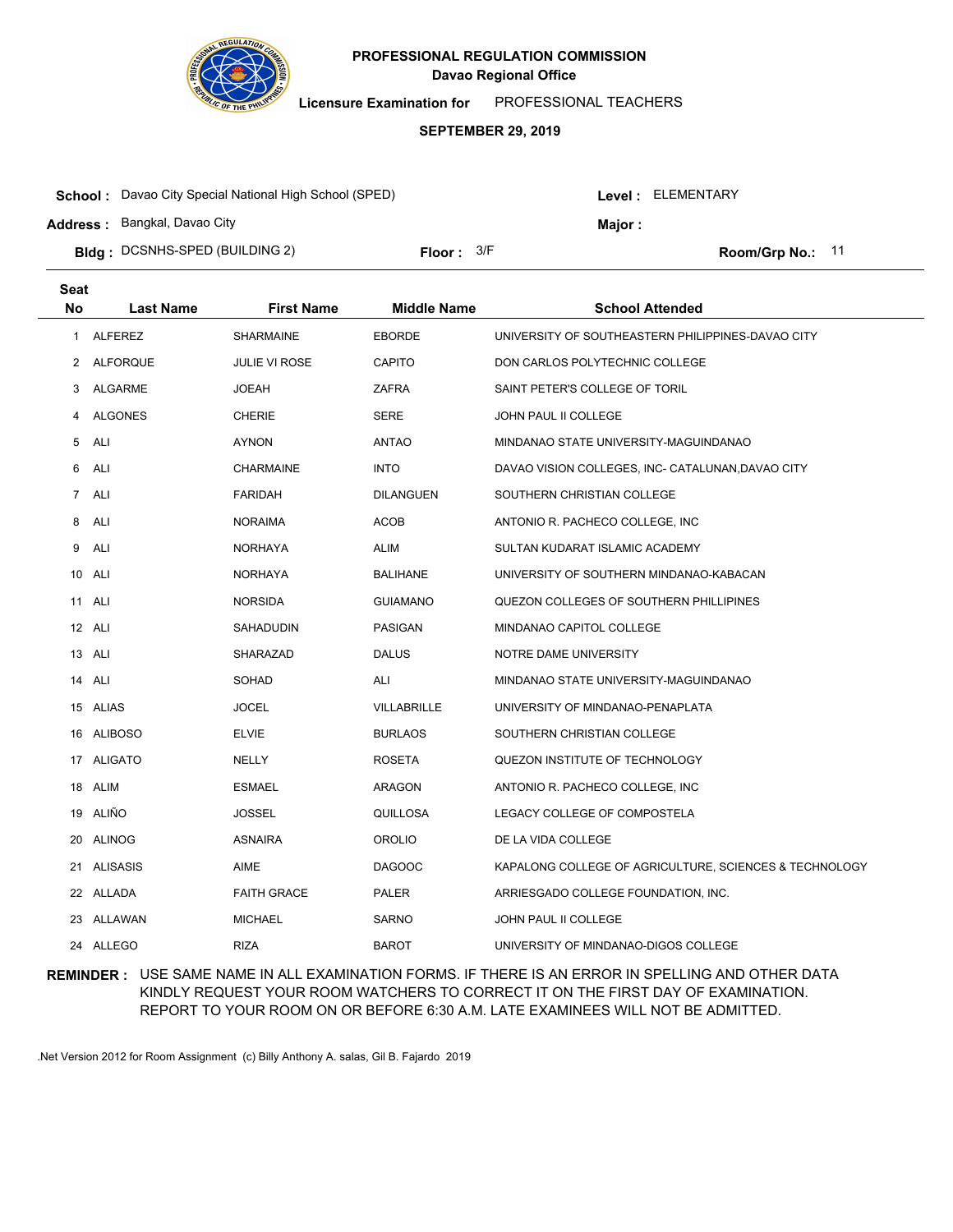

**Licensure Examination for**  PROFESSIONAL TEACHERS

#### **SEPTEMBER 29, 2019**

| <b>School:</b> Davao City Special National High School (SPED) |                     |  | Level: ELEMENTARY |                    |  |
|---------------------------------------------------------------|---------------------|--|-------------------|--------------------|--|
| <b>Address: Bangkal, Davao City</b>                           |                     |  | Maior :           |                    |  |
| <b>Bldg</b> : DCSNHS-SPED (BUILDING 2)                        | <b>Floor:</b> $3/F$ |  |                   | Room/Grp No.: $11$ |  |

| <b>Seat</b> |                  |                      |                    |                                                        |
|-------------|------------------|----------------------|--------------------|--------------------------------------------------------|
| <b>No</b>   | <b>Last Name</b> | <b>First Name</b>    | <b>Middle Name</b> | <b>School Attended</b>                                 |
| 1           | <b>ALFEREZ</b>   | <b>SHARMAINE</b>     | <b>EBORDE</b>      | UNIVERSITY OF SOUTHEASTERN PHILIPPINES-DAVAO CITY      |
| 2           | ALFORQUE         | <b>JULIE VI ROSE</b> | CAPITO             | DON CARLOS POLYTECHNIC COLLEGE                         |
| 3           | ALGARME          | <b>JOEAH</b>         | ZAFRA              | SAINT PETER'S COLLEGE OF TORIL                         |
| 4           | ALGONES          | <b>CHERIE</b>        | <b>SERE</b>        | JOHN PAUL II COLLEGE                                   |
| 5           | ALI              | AYNON                | ANTAO              | MINDANAO STATE UNIVERSITY-MAGUINDANAO                  |
| 6           | ALI              | <b>CHARMAINE</b>     | <b>INTO</b>        | DAVAO VISION COLLEGES, INC- CATALUNAN, DAVAO CITY      |
| 7           | <b>ALI</b>       | <b>FARIDAH</b>       | <b>DILANGUEN</b>   | SOUTHERN CHRISTIAN COLLEGE                             |
| 8           | ALI              | <b>NORAIMA</b>       | <b>ACOB</b>        | ANTONIO R. PACHECO COLLEGE, INC.                       |
| 9           | ALI              | <b>NORHAYA</b>       | <b>ALIM</b>        | SULTAN KUDARAT ISLAMIC ACADEMY                         |
|             | 10 ALI           | NORHAYA              | <b>BALIHANE</b>    | UNIVERSITY OF SOUTHERN MINDANAO-KABACAN                |
|             | 11 ALI           | <b>NORSIDA</b>       | <b>GUIAMANO</b>    | QUEZON COLLEGES OF SOUTHERN PHILLIPINES                |
|             | 12 ALI           | SAHADUDIN            | <b>PASIGAN</b>     | MINDANAO CAPITOL COLLEGE                               |
|             | 13 ALI           | SHARAZAD             | <b>DALUS</b>       | NOTRE DAME UNIVERSITY                                  |
|             | 14 ALI           | <b>SOHAD</b>         | ALI                | MINDANAO STATE UNIVERSITY-MAGUINDANAO                  |
|             | 15 ALIAS         | <b>JOCEL</b>         | VILLABRILLE        | UNIVERSITY OF MINDANAO-PENAPLATA                       |
|             | 16 ALIBOSO       | <b>ELVIE</b>         | <b>BURLAOS</b>     | SOUTHERN CHRISTIAN COLLEGE                             |
|             | 17 ALIGATO       | NELLY                | <b>ROSETA</b>      | QUEZON INSTITUTE OF TECHNOLOGY                         |
|             | 18 ALIM          | <b>ESMAEL</b>        | ARAGON             | ANTONIO R. PACHECO COLLEGE, INC                        |
|             | 19 ALIÑO         | <b>JOSSEL</b>        | <b>QUILLOSA</b>    | LEGACY COLLEGE OF COMPOSTELA                           |
|             | 20 ALINOG        | <b>ASNAIRA</b>       | <b>OROLIO</b>      | DE LA VIDA COLLEGE                                     |
|             | 21 ALISASIS      | AIME                 | <b>DAGOOC</b>      | KAPALONG COLLEGE OF AGRICULTURE, SCIENCES & TECHNOLOGY |
|             | 22 ALLADA        | <b>FAITH GRACE</b>   | PALER              | ARRIESGADO COLLEGE FOUNDATION, INC.                    |
|             | 23 ALLAWAN       | <b>MICHAEL</b>       | <b>SARNO</b>       | JOHN PAUL II COLLEGE                                   |
|             | 24 ALLEGO        | <b>RIZA</b>          | <b>BAROT</b>       | UNIVERSITY OF MINDANAO-DIGOS COLLEGE                   |

### **REMINDER :** USE SAME NAME IN ALL EXAMINATION FORMS. IF THERE IS AN ERROR IN SPELLING AND OTHER DATA KINDLY REQUEST YOUR ROOM WATCHERS TO CORRECT IT ON THE FIRST DAY OF EXAMINATION. REPORT TO YOUR ROOM ON OR BEFORE 6:30 A.M. LATE EXAMINEES WILL NOT BE ADMITTED.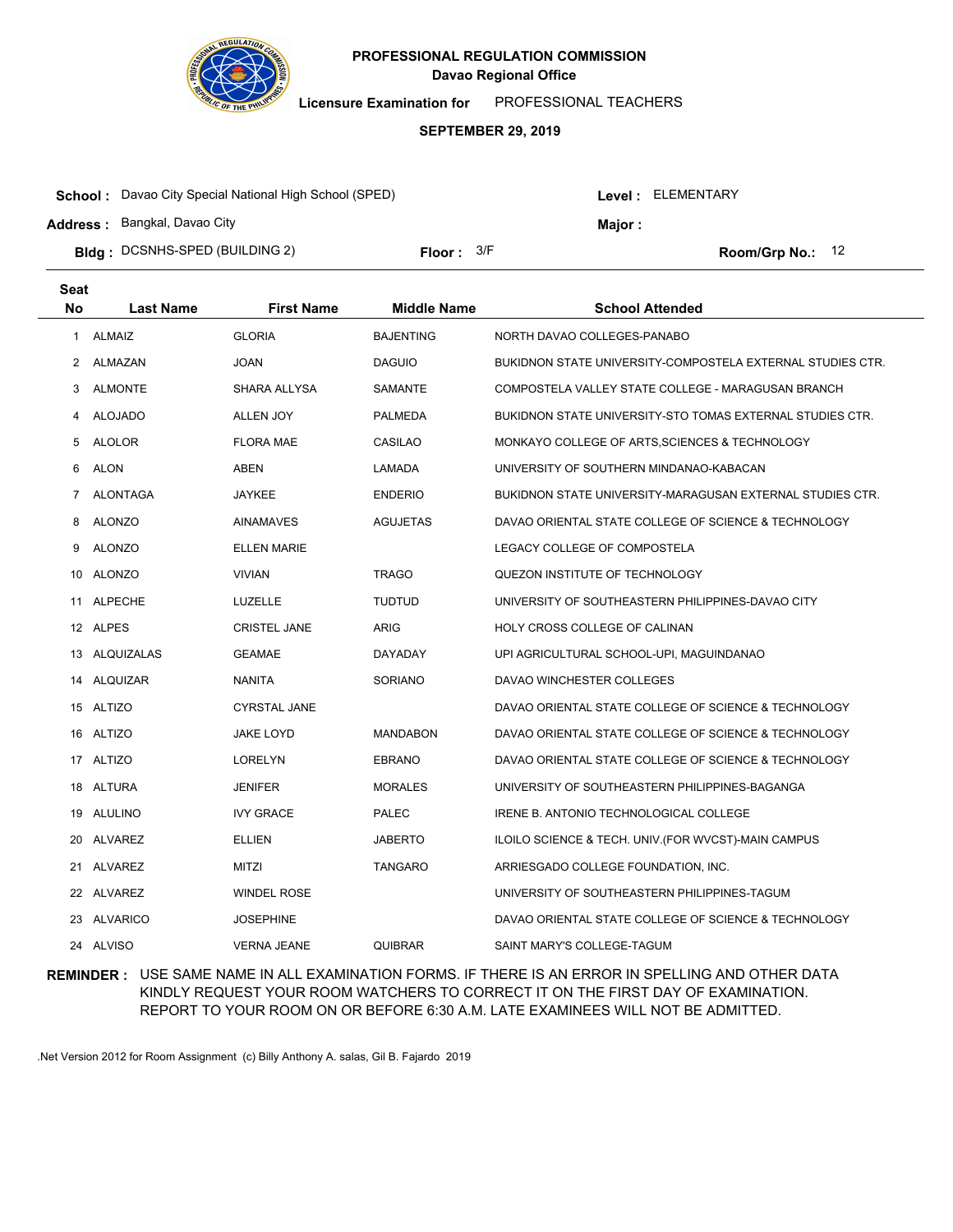

**Licensure Examination for**  PROFESSIONAL TEACHERS

#### **SEPTEMBER 29, 2019**

| <b>School:</b> Davao City Special National High School (SPED) |              |  | <b>Level: ELEMENTARY</b> |                  |  |
|---------------------------------------------------------------|--------------|--|--------------------------|------------------|--|
| <b>Address: Bangkal, Davao City</b>                           |              |  | <b>Major:</b>            |                  |  |
| <b>Bidg</b> : DCSNHS-SPED (BUILDING 2)                        | Floor: $3/F$ |  |                          | Room/Grp No.: 12 |  |

| Seat           |                  |                     |                    |                                                            |
|----------------|------------------|---------------------|--------------------|------------------------------------------------------------|
| <b>No</b>      | <b>Last Name</b> | <b>First Name</b>   | <b>Middle Name</b> | <b>School Attended</b>                                     |
| 1              | <b>ALMAIZ</b>    | <b>GLORIA</b>       | <b>BAJENTING</b>   | NORTH DAVAO COLLEGES-PANABO                                |
| $\overline{2}$ | ALMAZAN          | <b>JOAN</b>         | <b>DAGUIO</b>      | BUKIDNON STATE UNIVERSITY-COMPOSTELA EXTERNAL STUDIES CTR. |
| 3              | <b>ALMONTE</b>   | SHARA ALLYSA        | SAMANTE            | COMPOSTELA VALLEY STATE COLLEGE - MARAGUSAN BRANCH         |
| 4              | <b>ALOJADO</b>   | <b>ALLEN JOY</b>    | <b>PALMEDA</b>     | BUKIDNON STATE UNIVERSITY-STO TOMAS EXTERNAL STUDIES CTR.  |
| 5              | ALOLOR           | <b>FLORA MAE</b>    | CASILAO            | MONKAYO COLLEGE OF ARTS, SCIENCES & TECHNOLOGY             |
| 6              | <b>ALON</b>      | <b>ABEN</b>         | LAMADA             | UNIVERSITY OF SOUTHERN MINDANAO-KABACAN                    |
| 7              | <b>ALONTAGA</b>  | <b>JAYKEE</b>       | <b>ENDERIO</b>     | BUKIDNON STATE UNIVERSITY-MARAGUSAN EXTERNAL STUDIES CTR.  |
| 8              | <b>ALONZO</b>    | <b>AINAMAVES</b>    | <b>AGUJETAS</b>    | DAVAO ORIENTAL STATE COLLEGE OF SCIENCE & TECHNOLOGY       |
| 9              | ALONZO           | <b>ELLEN MARIE</b>  |                    | LEGACY COLLEGE OF COMPOSTELA                               |
|                | 10 ALONZO        | <b>VIVIAN</b>       | <b>TRAGO</b>       | QUEZON INSTITUTE OF TECHNOLOGY                             |
|                | 11 ALPECHE       | LUZELLE             | <b>TUDTUD</b>      | UNIVERSITY OF SOUTHEASTERN PHILIPPINES-DAVAO CITY          |
|                | 12 ALPES         | <b>CRISTEL JANE</b> | <b>ARIG</b>        | HOLY CROSS COLLEGE OF CALINAN                              |
|                | 13 ALQUIZALAS    | <b>GEAMAE</b>       | DAYADAY            | UPI AGRICULTURAL SCHOOL-UPI, MAGUINDANAO                   |
|                | 14 ALQUIZAR      | <b>NANITA</b>       | <b>SORIANO</b>     | DAVAO WINCHESTER COLLEGES                                  |
|                | 15 ALTIZO        | <b>CYRSTAL JANE</b> |                    | DAVAO ORIENTAL STATE COLLEGE OF SCIENCE & TECHNOLOGY       |
|                | 16 ALTIZO        | <b>JAKE LOYD</b>    | <b>MANDABON</b>    | DAVAO ORIENTAL STATE COLLEGE OF SCIENCE & TECHNOLOGY       |
|                | 17 ALTIZO        | LORELYN             | <b>EBRANO</b>      | DAVAO ORIENTAL STATE COLLEGE OF SCIENCE & TECHNOLOGY       |
| 18             | ALTURA           | <b>JENIFER</b>      | <b>MORALES</b>     | UNIVERSITY OF SOUTHEASTERN PHILIPPINES-BAGANGA             |
|                | 19 ALULINO       | <b>IVY GRACE</b>    | <b>PALEC</b>       | IRENE B. ANTONIO TECHNOLOGICAL COLLEGE                     |
| 20             | ALVAREZ          | <b>ELLIEN</b>       | <b>JABERTO</b>     | ILOILO SCIENCE & TECH. UNIV. (FOR WVCST)-MAIN CAMPUS       |
|                | 21 ALVAREZ       | MITZI               | <b>TANGARO</b>     | ARRIESGADO COLLEGE FOUNDATION, INC.                        |
|                | 22 ALVAREZ       | <b>WINDEL ROSE</b>  |                    | UNIVERSITY OF SOUTHEASTERN PHILIPPINES-TAGUM               |
|                | 23 ALVARICO      | <b>JOSEPHINE</b>    |                    | DAVAO ORIENTAL STATE COLLEGE OF SCIENCE & TECHNOLOGY       |
|                | 24 ALVISO        | <b>VERNA JEANE</b>  | <b>QUIBRAR</b>     | SAINT MARY'S COLLEGE-TAGUM                                 |

**REMINDER :** USE SAME NAME IN ALL EXAMINATION FORMS. IF THERE IS AN ERROR IN SPELLING AND OTHER DATA KINDLY REQUEST YOUR ROOM WATCHERS TO CORRECT IT ON THE FIRST DAY OF EXAMINATION. REPORT TO YOUR ROOM ON OR BEFORE 6:30 A.M. LATE EXAMINEES WILL NOT BE ADMITTED.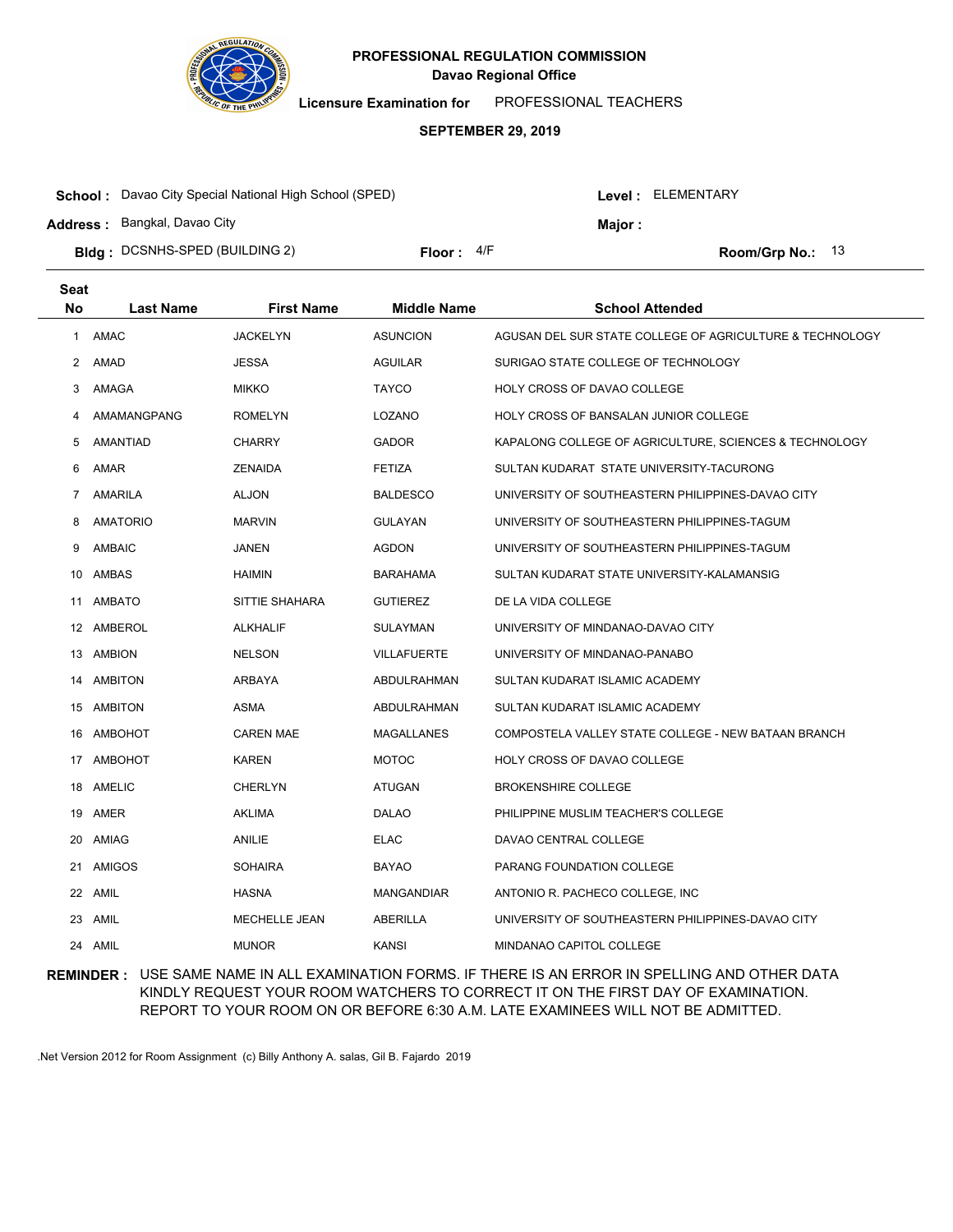

**Licensure Examination for**  PROFESSIONAL TEACHERS

#### **SEPTEMBER 29, 2019**

| <b>School:</b> Davao City Special National High School (SPED) |              |  | Level : ELEMENTARY |                    |  |
|---------------------------------------------------------------|--------------|--|--------------------|--------------------|--|
| <b>Address: Bangkal, Davao City</b>                           |              |  | Maior :            |                    |  |
| <b>Bidg</b> : DCSNHS-SPED (BUILDING 2)                        | Floor: $4/F$ |  |                    | Room/Grp No.: $13$ |  |

| <b>Seat</b>    |                  |                      |                    |                                                          |
|----------------|------------------|----------------------|--------------------|----------------------------------------------------------|
| No             | <b>Last Name</b> | <b>First Name</b>    | <b>Middle Name</b> | <b>School Attended</b>                                   |
| 1              | AMAC             | <b>JACKELYN</b>      | <b>ASUNCION</b>    | AGUSAN DEL SUR STATE COLLEGE OF AGRICULTURE & TECHNOLOGY |
| $\overline{2}$ | AMAD             | <b>JESSA</b>         | <b>AGUILAR</b>     | SURIGAO STATE COLLEGE OF TECHNOLOGY                      |
| 3              | AMAGA            | <b>MIKKO</b>         | <b>TAYCO</b>       | HOLY CROSS OF DAVAO COLLEGE                              |
| 4              | AMAMANGPANG      | <b>ROMELYN</b>       | LOZANO             | HOLY CROSS OF BANSALAN JUNIOR COLLEGE                    |
| 5              | AMANTIAD         | <b>CHARRY</b>        | <b>GADOR</b>       | KAPALONG COLLEGE OF AGRICULTURE, SCIENCES & TECHNOLOGY   |
| 6              | AMAR             | <b>ZENAIDA</b>       | <b>FETIZA</b>      | SULTAN KUDARAT STATE UNIVERSITY-TACURONG                 |
| $\overline{7}$ | <b>AMARILA</b>   | <b>ALJON</b>         | <b>BALDESCO</b>    | UNIVERSITY OF SOUTHEASTERN PHILIPPINES-DAVAO CITY        |
| 8              | <b>AMATORIO</b>  | <b>MARVIN</b>        | <b>GULAYAN</b>     | UNIVERSITY OF SOUTHEASTERN PHILIPPINES-TAGUM             |
| 9              | AMBAIC           | <b>JANEN</b>         | <b>AGDON</b>       | UNIVERSITY OF SOUTHEASTERN PHILIPPINES-TAGUM             |
|                | 10 AMBAS         | <b>HAIMIN</b>        | <b>BARAHAMA</b>    | SULTAN KUDARAT STATE UNIVERSITY-KALAMANSIG               |
| 11             | <b>AMBATO</b>    | SITTIE SHAHARA       | <b>GUTIEREZ</b>    | DE LA VIDA COLLEGE                                       |
|                | 12 AMBEROL       | <b>ALKHALIF</b>      | <b>SULAYMAN</b>    | UNIVERSITY OF MINDANAO-DAVAO CITY                        |
|                | 13 AMBION        | <b>NELSON</b>        | <b>VILLAFUERTE</b> | UNIVERSITY OF MINDANAO-PANABO                            |
|                | 14 AMBITON       | ARBAYA               | ABDULRAHMAN        | SULTAN KUDARAT ISLAMIC ACADEMY                           |
|                | 15 AMBITON       | ASMA                 | ABDULRAHMAN        | SULTAN KUDARAT ISLAMIC ACADEMY                           |
|                | 16 AMBOHOT       | <b>CAREN MAE</b>     | MAGALLANES         | COMPOSTELA VALLEY STATE COLLEGE - NEW BATAAN BRANCH      |
|                | 17 AMBOHOT       | <b>KAREN</b>         | <b>MOTOC</b>       | HOLY CROSS OF DAVAO COLLEGE                              |
|                | 18 AMELIC        | <b>CHERLYN</b>       | ATUGAN             | <b>BROKENSHIRE COLLEGE</b>                               |
|                | 19 AMER          | <b>AKLIMA</b>        | DALAO              | PHILIPPINE MUSLIM TEACHER'S COLLEGE                      |
| 20             | AMIAG            | <b>ANILIE</b>        | <b>ELAC</b>        | DAVAO CENTRAL COLLEGE                                    |
| 21             | <b>AMIGOS</b>    | <b>SOHAIRA</b>       | <b>BAYAO</b>       | PARANG FOUNDATION COLLEGE                                |
|                | 22 AMIL          | <b>HASNA</b>         | MANGANDIAR         | ANTONIO R. PACHECO COLLEGE, INC.                         |
| 23             | AMIL             | <b>MECHELLE JEAN</b> | <b>ABERILLA</b>    | UNIVERSITY OF SOUTHEASTERN PHILIPPINES-DAVAO CITY        |
|                | 24 AMIL          | <b>MUNOR</b>         | <b>KANSI</b>       | <b>MINDANAO CAPITOL COLLEGE</b>                          |

## **REMINDER :** USE SAME NAME IN ALL EXAMINATION FORMS. IF THERE IS AN ERROR IN SPELLING AND OTHER DATA KINDLY REQUEST YOUR ROOM WATCHERS TO CORRECT IT ON THE FIRST DAY OF EXAMINATION. REPORT TO YOUR ROOM ON OR BEFORE 6:30 A.M. LATE EXAMINEES WILL NOT BE ADMITTED.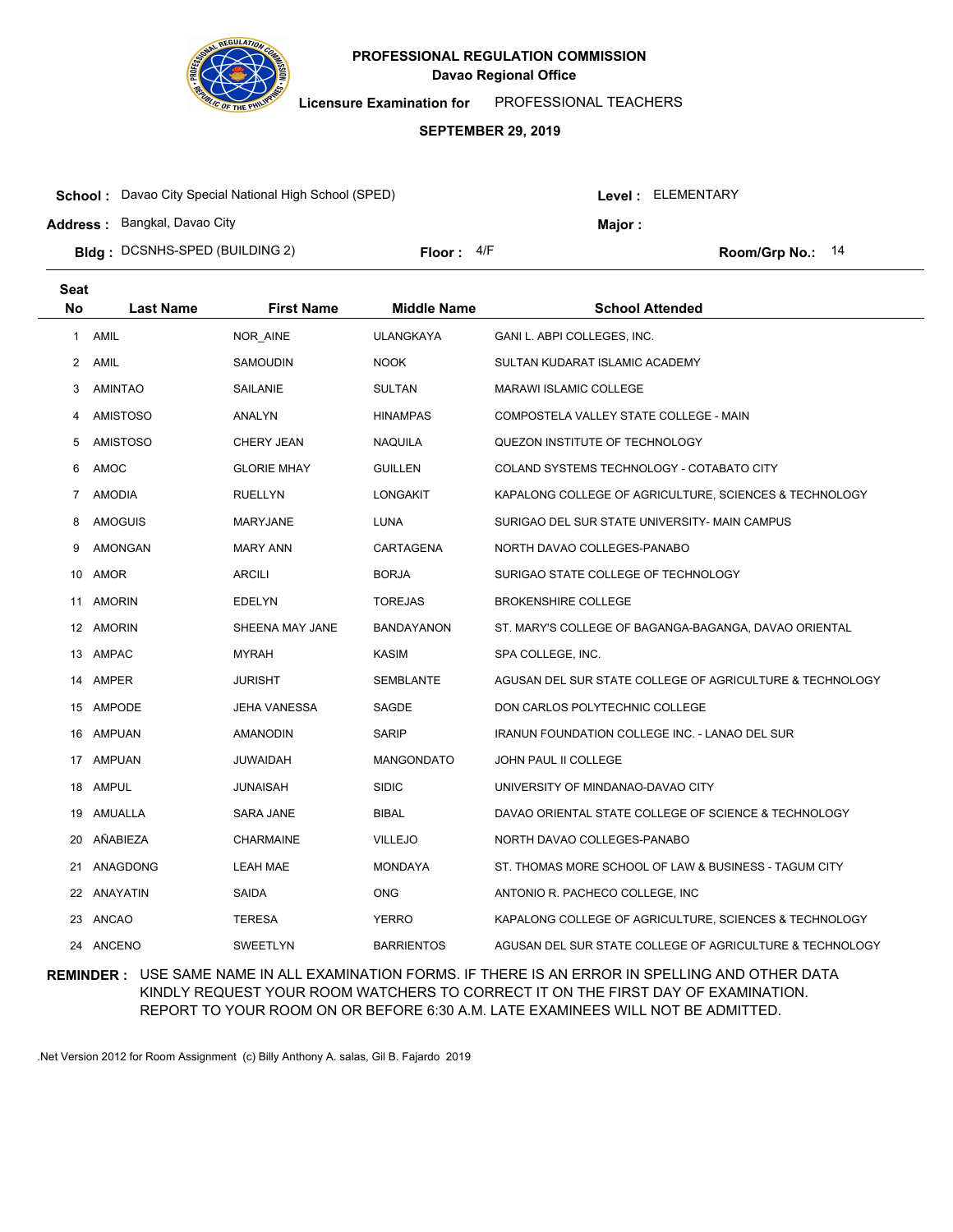

**Licensure Examination for**  PROFESSIONAL TEACHERS

### **SEPTEMBER 29, 2019**

| <b>School:</b> Davao City Special National High School (SPED) |              |  | Level : ELEMENTARY |                    |  |
|---------------------------------------------------------------|--------------|--|--------------------|--------------------|--|
| <b>Address: Bangkal, Davao City</b>                           |              |  | Major :            |                    |  |
| <b>Bidg</b> : DCSNHS-SPED (BUILDING 2)                        | Floor: $4/F$ |  |                    | Room/Grp No.: $14$ |  |

| <b>Seat</b> |                  |                     |                    |                                                          |
|-------------|------------------|---------------------|--------------------|----------------------------------------------------------|
| <b>No</b>   | <b>Last Name</b> | <b>First Name</b>   | <b>Middle Name</b> | <b>School Attended</b>                                   |
| 1           | AMIL             | NOR_AINE            | <b>ULANGKAYA</b>   | GANI L. ABPI COLLEGES, INC.                              |
| 2           | AMIL             | SAMOUDIN            | <b>NOOK</b>        | SULTAN KUDARAT ISLAMIC ACADEMY                           |
| 3           | AMINTAO          | SAILANIE            | <b>SULTAN</b>      | <b>MARAWI ISLAMIC COLLEGE</b>                            |
| 4           | <b>AMISTOSO</b>  | ANALYN              | <b>HINAMPAS</b>    | COMPOSTELA VALLEY STATE COLLEGE - MAIN                   |
| 5           | <b>AMISTOSO</b>  | CHERY JEAN          | <b>NAQUILA</b>     | QUEZON INSTITUTE OF TECHNOLOGY                           |
| 6           | AMOC             | <b>GLORIE MHAY</b>  | <b>GUILLEN</b>     | COLAND SYSTEMS TECHNOLOGY - COTABATO CITY                |
| 7           | <b>AMODIA</b>    | <b>RUELLYN</b>      | <b>LONGAKIT</b>    | KAPALONG COLLEGE OF AGRICULTURE, SCIENCES & TECHNOLOGY   |
| 8           | <b>AMOGUIS</b>   | MARYJANE            | <b>LUNA</b>        | SURIGAO DEL SUR STATE UNIVERSITY- MAIN CAMPUS            |
| 9           | AMONGAN          | <b>MARY ANN</b>     | CARTAGENA          | NORTH DAVAO COLLEGES-PANABO                              |
| 10          | AMOR             | <b>ARCILI</b>       | <b>BORJA</b>       | SURIGAO STATE COLLEGE OF TECHNOLOGY                      |
|             | 11 AMORIN        | EDELYN              | <b>TOREJAS</b>     | <b>BROKENSHIRE COLLEGE</b>                               |
|             | 12 AMORIN        | SHEENA MAY JANE     | <b>BANDAYANON</b>  | ST. MARY'S COLLEGE OF BAGANGA-BAGANGA, DAVAO ORIENTAL    |
|             | 13 AMPAC         | <b>MYRAH</b>        | <b>KASIM</b>       | SPA COLLEGE, INC.                                        |
|             | 14 AMPER         | <b>JURISHT</b>      | <b>SEMBLANTE</b>   | AGUSAN DEL SUR STATE COLLEGE OF AGRICULTURE & TECHNOLOGY |
| 15          | AMPODE           | <b>JEHA VANESSA</b> | SAGDE              | DON CARLOS POLYTECHNIC COLLEGE                           |
| 16          | <b>AMPUAN</b>    | <b>AMANODIN</b>     | <b>SARIP</b>       | IRANUN FOUNDATION COLLEGE INC. - LANAO DEL SUR           |
| 17          | AMPUAN           | JUWAIDAH            | <b>MANGONDATO</b>  | JOHN PAUL II COLLEGE                                     |
| 18          | AMPUL            | <b>JUNAISAH</b>     | <b>SIDIC</b>       | UNIVERSITY OF MINDANAO-DAVAO CITY                        |
| 19          | AMUALLA          | SARA JANE           | BIBAL              | DAVAO ORIENTAL STATE COLLEGE OF SCIENCE & TECHNOLOGY     |
| 20          | AÑABIEZA         | <b>CHARMAINE</b>    | <b>VILLEJO</b>     | NORTH DAVAO COLLEGES-PANABO                              |
| 21          | ANAGDONG         | <b>LEAH MAE</b>     | <b>MONDAYA</b>     | ST. THOMAS MORE SCHOOL OF LAW & BUSINESS - TAGUM CITY    |
|             | 22 ANAYATIN      | SAIDA               | <b>ONG</b>         | ANTONIO R. PACHECO COLLEGE, INC                          |
|             | 23 ANCAO         | <b>TERESA</b>       | <b>YERRO</b>       | KAPALONG COLLEGE OF AGRICULTURE, SCIENCES & TECHNOLOGY   |
|             | 24 ANCENO        | SWEETLYN            | <b>BARRIENTOS</b>  | AGUSAN DEL SUR STATE COLLEGE OF AGRICULTURE & TECHNOLOGY |

## **REMINDER :** USE SAME NAME IN ALL EXAMINATION FORMS. IF THERE IS AN ERROR IN SPELLING AND OTHER DATA KINDLY REQUEST YOUR ROOM WATCHERS TO CORRECT IT ON THE FIRST DAY OF EXAMINATION. REPORT TO YOUR ROOM ON OR BEFORE 6:30 A.M. LATE EXAMINEES WILL NOT BE ADMITTED.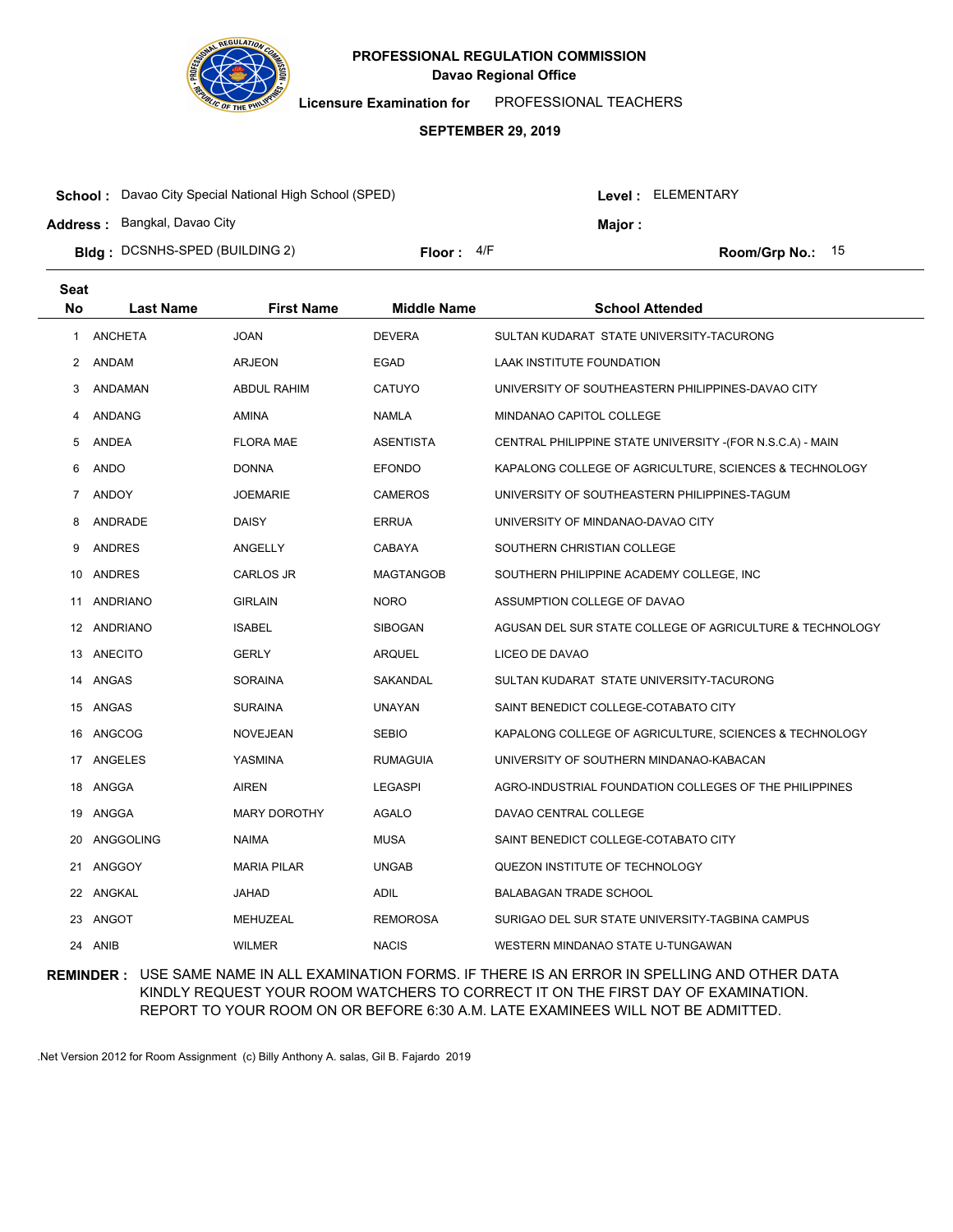

**Licensure Examination for**  PROFESSIONAL TEACHERS

#### **SEPTEMBER 29, 2019**

| <b>School:</b> Davao City Special National High School (SPED) |              |  | Level : ELEMENTARY |                    |  |
|---------------------------------------------------------------|--------------|--|--------------------|--------------------|--|
| <b>Address:</b> Bangkal, Davao City                           |              |  | Maior :            |                    |  |
| <b>Bldg</b> : DCSNHS-SPED (BUILDING 2)                        | Floor: $4/F$ |  |                    | Room/Grp No.: $15$ |  |

| <b>Seat</b>  |                  |                     |                    |                                                            |
|--------------|------------------|---------------------|--------------------|------------------------------------------------------------|
| <b>No</b>    | <b>Last Name</b> | <b>First Name</b>   | <b>Middle Name</b> | <b>School Attended</b>                                     |
| $\mathbf{1}$ | <b>ANCHETA</b>   | <b>JOAN</b>         | <b>DEVERA</b>      | SULTAN KUDARAT STATE UNIVERSITY-TACURONG                   |
| 2            | ANDAM            | <b>ARJEON</b>       | <b>EGAD</b>        | <b>LAAK INSTITUTE FOUNDATION</b>                           |
| 3            | ANDAMAN          | <b>ABDUL RAHIM</b>  | CATUYO             | UNIVERSITY OF SOUTHEASTERN PHILIPPINES-DAVAO CITY          |
| 4            | ANDANG           | AMINA               | <b>NAMLA</b>       | MINDANAO CAPITOL COLLEGE                                   |
| 5            | <b>ANDEA</b>     | <b>FLORA MAE</b>    | <b>ASENTISTA</b>   | CENTRAL PHILIPPINE STATE UNIVERSITY - (FOR N.S.C.A) - MAIN |
| 6            | ANDO             | <b>DONNA</b>        | <b>EFONDO</b>      | KAPALONG COLLEGE OF AGRICULTURE, SCIENCES & TECHNOLOGY     |
| 7            | <b>ANDOY</b>     | JOEMARIE            | <b>CAMEROS</b>     | UNIVERSITY OF SOUTHEASTERN PHILIPPINES-TAGUM               |
| 8            | ANDRADE          | <b>DAISY</b>        | <b>ERRUA</b>       | UNIVERSITY OF MINDANAO-DAVAO CITY                          |
| 9            | <b>ANDRES</b>    | ANGELLY             | CABAYA             | SOUTHERN CHRISTIAN COLLEGE                                 |
| 10           | ANDRES           | CARLOS JR           | <b>MAGTANGOB</b>   | SOUTHERN PHILIPPINE ACADEMY COLLEGE, INC                   |
| 11           | ANDRIANO         | <b>GIRLAIN</b>      | <b>NORO</b>        | ASSUMPTION COLLEGE OF DAVAO                                |
| 12           | ANDRIANO         | <b>ISABEL</b>       | <b>SIBOGAN</b>     | AGUSAN DEL SUR STATE COLLEGE OF AGRICULTURE & TECHNOLOGY   |
|              | 13 ANECITO       | <b>GERLY</b>        | <b>ARQUEL</b>      | LICEO DE DAVAO                                             |
|              | 14 ANGAS         | SORAINA             | SAKANDAL           | SULTAN KUDARAT STATE UNIVERSITY-TACURONG                   |
|              | 15 ANGAS         | <b>SURAINA</b>      | <b>UNAYAN</b>      | SAINT BENEDICT COLLEGE-COTABATO CITY                       |
|              | 16 ANGCOG        | <b>NOVEJEAN</b>     | <b>SEBIO</b>       | KAPALONG COLLEGE OF AGRICULTURE, SCIENCES & TECHNOLOGY     |
|              | 17 ANGELES       | YASMINA             | <b>RUMAGUIA</b>    | UNIVERSITY OF SOUTHERN MINDANAO-KABACAN                    |
|              | 18 ANGGA         | <b>AIREN</b>        | <b>LEGASPI</b>     | AGRO-INDUSTRIAL FOUNDATION COLLEGES OF THE PHILIPPINES     |
|              | 19 ANGGA         | <b>MARY DOROTHY</b> | <b>AGALO</b>       | DAVAO CENTRAL COLLEGE                                      |
| 20           | ANGGOLING        | <b>NAIMA</b>        | <b>MUSA</b>        | SAINT BENEDICT COLLEGE-COTABATO CITY                       |
| 21           | ANGGOY           | <b>MARIA PILAR</b>  | <b>UNGAB</b>       | QUEZON INSTITUTE OF TECHNOLOGY                             |
|              | 22 ANGKAL        | <b>JAHAD</b>        | <b>ADIL</b>        | <b>BALABAGAN TRADE SCHOOL</b>                              |
| 23           | ANGOT            | MEHUZEAL            | <b>REMOROSA</b>    | SURIGAO DEL SUR STATE UNIVERSITY-TAGBINA CAMPUS            |
| 24           | ANIB             | <b>WILMER</b>       | <b>NACIS</b>       | WESTERN MINDANAO STATE U-TUNGAWAN                          |

### **REMINDER :** USE SAME NAME IN ALL EXAMINATION FORMS. IF THERE IS AN ERROR IN SPELLING AND OTHER DATA KINDLY REQUEST YOUR ROOM WATCHERS TO CORRECT IT ON THE FIRST DAY OF EXAMINATION. REPORT TO YOUR ROOM ON OR BEFORE 6:30 A.M. LATE EXAMINEES WILL NOT BE ADMITTED.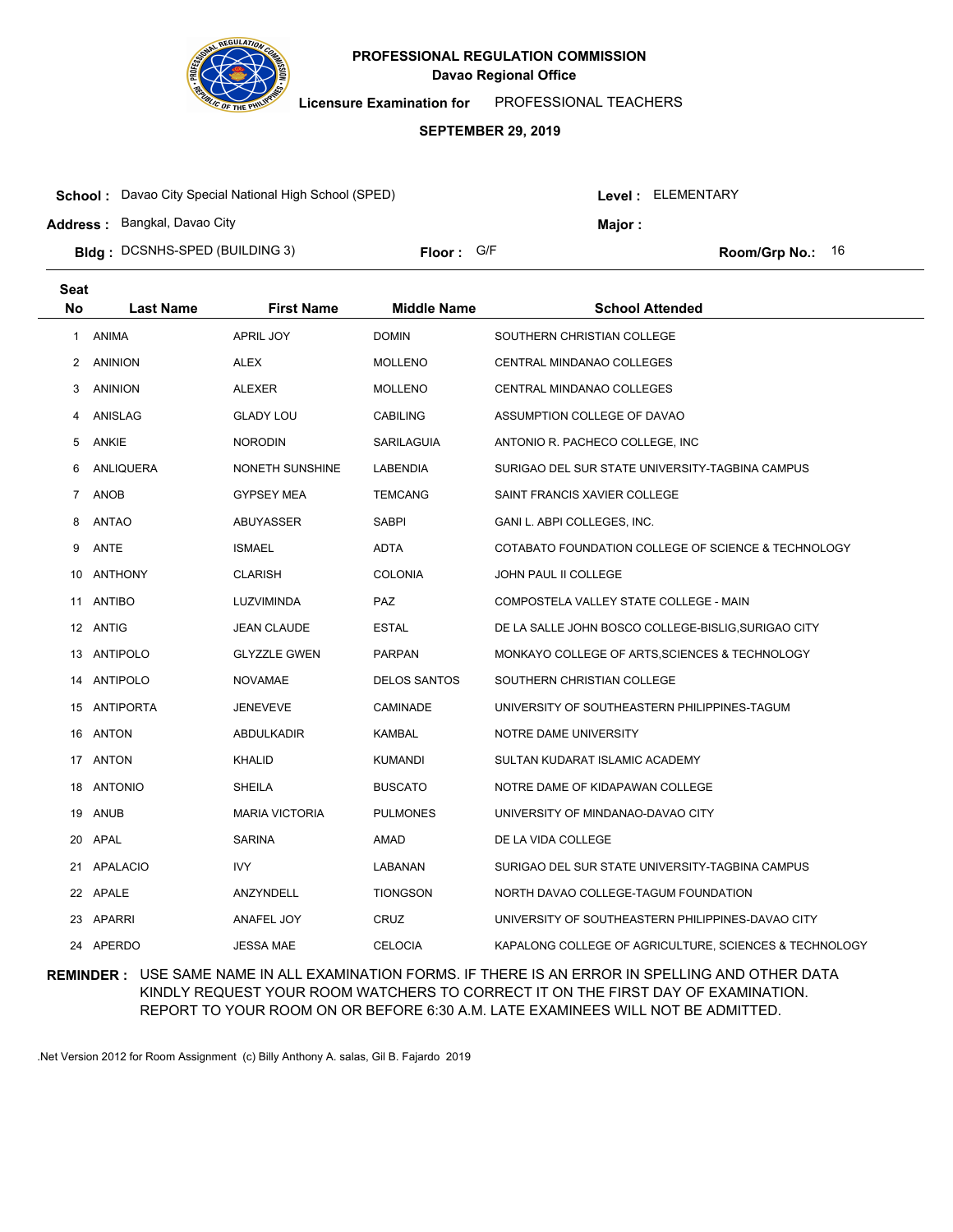

**Licensure Examination for**  PROFESSIONAL TEACHERS

### **SEPTEMBER 29, 2019**

| <b>School:</b> Davao City Special National High School (SPED) |            |  |                | <b>Level: ELEMENTARY</b>  |  |
|---------------------------------------------------------------|------------|--|----------------|---------------------------|--|
| <b>Address: Bangkal, Davao City</b>                           |            |  | <b>Maior :</b> |                           |  |
| <b>Bldg: DCSNHS-SPED (BUILDING 3)</b>                         | Floor: G/F |  |                | <b>Room/Grp No.:</b> $16$ |  |

| <b>Seat</b> |                  |                        |                     |                                                        |
|-------------|------------------|------------------------|---------------------|--------------------------------------------------------|
| <b>No</b>   | <b>Last Name</b> | <b>First Name</b>      | <b>Middle Name</b>  | <b>School Attended</b>                                 |
| 1           | ANIMA            | APRIL JOY              | <b>DOMIN</b>        | SOUTHERN CHRISTIAN COLLEGE                             |
| 2           | ANINION          | <b>ALEX</b>            | <b>MOLLENO</b>      | <b>CENTRAL MINDANAO COLLEGES</b>                       |
| 3           | <b>ANINION</b>   | <b>ALEXER</b>          | <b>MOLLENO</b>      | CENTRAL MINDANAO COLLEGES                              |
| 4           | ANISLAG          | <b>GLADY LOU</b>       | <b>CABILING</b>     | ASSUMPTION COLLEGE OF DAVAO                            |
| 5           | ANKIE            | <b>NORODIN</b>         | SARILAGUIA          | ANTONIO R. PACHECO COLLEGE, INC.                       |
| 6           | ANLIQUERA        | <b>NONETH SUNSHINE</b> | LABENDIA            | SURIGAO DEL SUR STATE UNIVERSITY-TAGBINA CAMPUS        |
| 7           | <b>ANOB</b>      | <b>GYPSEY MEA</b>      | <b>TEMCANG</b>      | SAINT FRANCIS XAVIER COLLEGE                           |
| 8           | ANTAO            | ABUYASSER              | <b>SABPI</b>        | GANI L. ABPI COLLEGES, INC.                            |
| 9           | ANTE             | <b>ISMAEL</b>          | ADTA                | COTABATO FOUNDATION COLLEGE OF SCIENCE & TECHNOLOGY    |
| 10          | ANTHONY          | <b>CLARISH</b>         | <b>COLONIA</b>      | JOHN PAUL II COLLEGE                                   |
|             | 11 ANTIBO        | LUZVIMINDA             | <b>PAZ</b>          | COMPOSTELA VALLEY STATE COLLEGE - MAIN                 |
|             | 12 ANTIG         | <b>JEAN CLAUDE</b>     | <b>ESTAL</b>        | DE LA SALLE JOHN BOSCO COLLEGE-BISLIG, SURIGAO CITY    |
|             | 13 ANTIPOLO      | <b>GLYZZLE GWEN</b>    | <b>PARPAN</b>       | MONKAYO COLLEGE OF ARTS, SCIENCES & TECHNOLOGY         |
|             | 14 ANTIPOLO      | <b>NOVAMAE</b>         | <b>DELOS SANTOS</b> | SOUTHERN CHRISTIAN COLLEGE                             |
|             | 15 ANTIPORTA     | <b>JENEVEVE</b>        | CAMINADE            | UNIVERSITY OF SOUTHEASTERN PHILIPPINES-TAGUM           |
| 16          | ANTON            | ABDULKADIR             | <b>KAMBAL</b>       | NOTRE DAME UNIVERSITY                                  |
|             | 17 ANTON         | <b>KHALID</b>          | <b>KUMANDI</b>      | SULTAN KUDARAT ISLAMIC ACADEMY                         |
| 18          | <b>ANTONIO</b>   | <b>SHEILA</b>          | <b>BUSCATO</b>      | NOTRE DAME OF KIDAPAWAN COLLEGE                        |
| 19          | <b>ANUB</b>      | <b>MARIA VICTORIA</b>  | <b>PULMONES</b>     | UNIVERSITY OF MINDANAO-DAVAO CITY                      |
| 20          | APAL             | <b>SARINA</b>          | AMAD                | DE LA VIDA COLLEGE                                     |
|             | 21 APALACIO      | IVY                    | LABANAN             | SURIGAO DEL SUR STATE UNIVERSITY-TAGBINA CAMPUS        |
|             | 22 APALE         | ANZYNDELL              | <b>TIONGSON</b>     | NORTH DAVAO COLLEGE-TAGUM FOUNDATION                   |
|             | 23 APARRI        | ANAFEL JOY             | <b>CRUZ</b>         | UNIVERSITY OF SOUTHEASTERN PHILIPPINES-DAVAO CITY      |
|             | 24 APERDO        | <b>JESSA MAE</b>       | <b>CELOCIA</b>      | KAPALONG COLLEGE OF AGRICULTURE, SCIENCES & TECHNOLOGY |

## **REMINDER :** USE SAME NAME IN ALL EXAMINATION FORMS. IF THERE IS AN ERROR IN SPELLING AND OTHER DATA KINDLY REQUEST YOUR ROOM WATCHERS TO CORRECT IT ON THE FIRST DAY OF EXAMINATION. REPORT TO YOUR ROOM ON OR BEFORE 6:30 A.M. LATE EXAMINEES WILL NOT BE ADMITTED.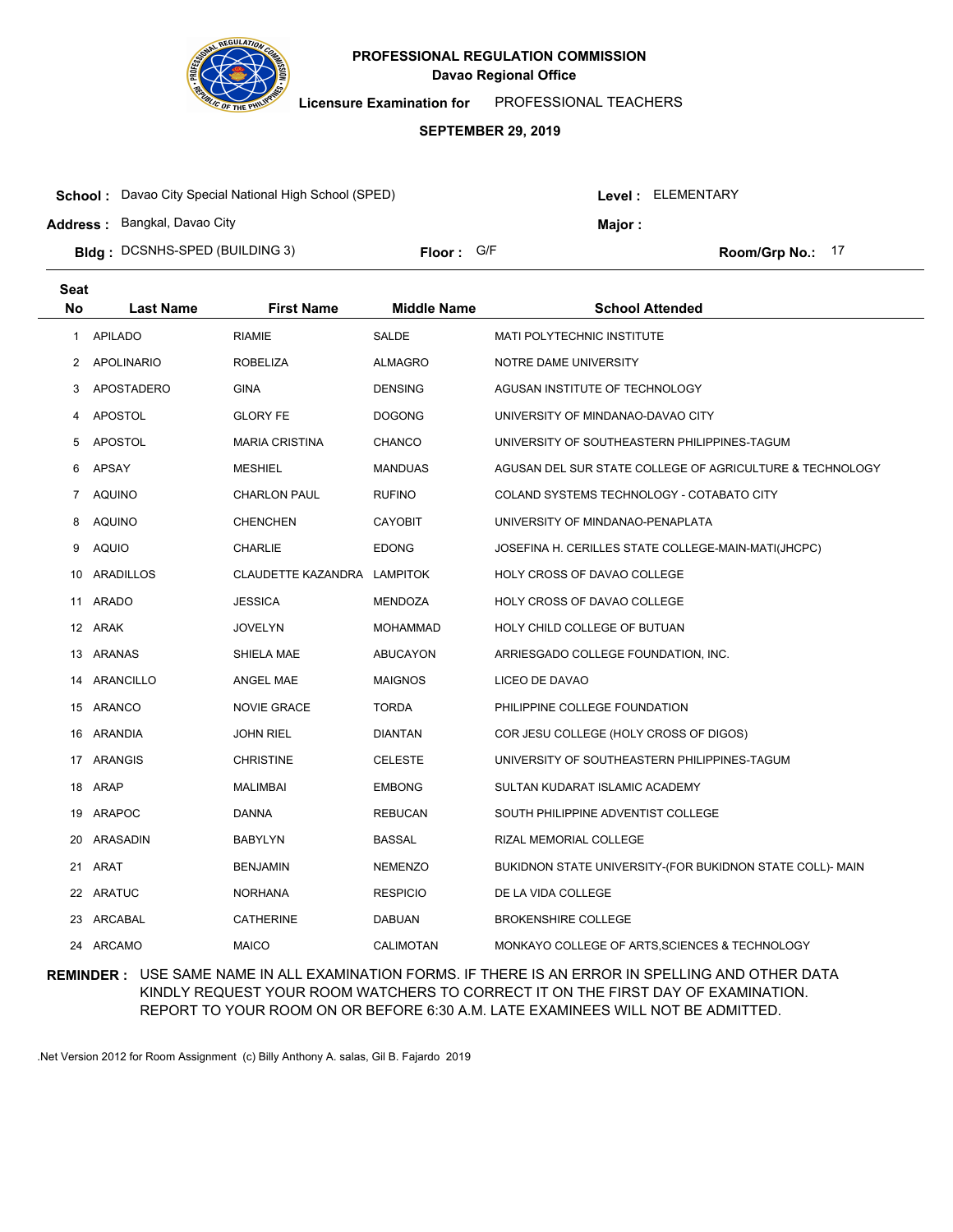

**Licensure Examination for**  PROFESSIONAL TEACHERS

#### **SEPTEMBER 29, 2019**

| <b>School:</b> Davao City Special National High School (SPED) |                   |  |         | Level : ELEMENTARY |
|---------------------------------------------------------------|-------------------|--|---------|--------------------|
| <b>Address:</b> Bangkal, Davao City                           |                   |  | Major : |                    |
| <b>Bldg</b> : DCSNHS-SPED (BUILDING 3)                        | <b>Floor: G/F</b> |  |         | Room/Grp No.: 17   |

| <b>Seat</b>  |                   |                             |                    |                                                           |
|--------------|-------------------|-----------------------------|--------------------|-----------------------------------------------------------|
| <b>No</b>    | <b>Last Name</b>  | <b>First Name</b>           | <b>Middle Name</b> | <b>School Attended</b>                                    |
| $\mathbf{1}$ | <b>APILADO</b>    | <b>RIAMIE</b>               | SALDE              | MATI POLYTECHNIC INSTITUTE                                |
| 2            | APOLINARIO        | <b>ROBELIZA</b>             | <b>ALMAGRO</b>     | NOTRE DAME UNIVERSITY                                     |
| 3            | <b>APOSTADERO</b> | <b>GINA</b>                 | <b>DENSING</b>     | AGUSAN INSTITUTE OF TECHNOLOGY                            |
| 4            | <b>APOSTOL</b>    | <b>GLORY FE</b>             | <b>DOGONG</b>      | UNIVERSITY OF MINDANAO-DAVAO CITY                         |
| 5            | APOSTOL           | <b>MARIA CRISTINA</b>       | <b>CHANCO</b>      | UNIVERSITY OF SOUTHEASTERN PHILIPPINES-TAGUM              |
| 6            | <b>APSAY</b>      | <b>MESHIEL</b>              | <b>MANDUAS</b>     | AGUSAN DEL SUR STATE COLLEGE OF AGRICULTURE & TECHNOLOGY  |
| 7            | <b>AQUINO</b>     | <b>CHARLON PAUL</b>         | <b>RUFINO</b>      | COLAND SYSTEMS TECHNOLOGY - COTABATO CITY                 |
| 8            | AQUINO            | <b>CHENCHEN</b>             | <b>CAYOBIT</b>     | UNIVERSITY OF MINDANAO-PENAPLATA                          |
| 9            | <b>AQUIO</b>      | <b>CHARLIE</b>              | <b>EDONG</b>       | JOSEFINA H. CERILLES STATE COLLEGE-MAIN-MATI(JHCPC)       |
| 10           | ARADILLOS         | CLAUDETTE KAZANDRA LAMPITOK |                    | HOLY CROSS OF DAVAO COLLEGE                               |
|              | 11 ARADO          | <b>JESSICA</b>              | <b>MENDOZA</b>     | HOLY CROSS OF DAVAO COLLEGE                               |
|              | 12 ARAK           | <b>JOVELYN</b>              | <b>MOHAMMAD</b>    | HOLY CHILD COLLEGE OF BUTUAN                              |
|              | 13 ARANAS         | SHIELA MAE                  | <b>ABUCAYON</b>    | ARRIESGADO COLLEGE FOUNDATION, INC.                       |
|              | 14 ARANCILLO      | ANGEL MAE                   | <b>MAIGNOS</b>     | LICEO DE DAVAO                                            |
|              | 15 ARANCO         | <b>NOVIE GRACE</b>          | <b>TORDA</b>       | PHILIPPINE COLLEGE FOUNDATION                             |
|              | 16 ARANDIA        | <b>JOHN RIEL</b>            | <b>DIANTAN</b>     | COR JESU COLLEGE (HOLY CROSS OF DIGOS)                    |
|              | 17 ARANGIS        | <b>CHRISTINE</b>            | <b>CELESTE</b>     | UNIVERSITY OF SOUTHEASTERN PHILIPPINES-TAGUM              |
| 18           | ARAP              | <b>MALIMBAI</b>             | <b>EMBONG</b>      | SULTAN KUDARAT ISLAMIC ACADEMY                            |
| 19           | ARAPOC            | <b>DANNA</b>                | <b>REBUCAN</b>     | SOUTH PHILIPPINE ADVENTIST COLLEGE                        |
| 20           | <b>ARASADIN</b>   | <b>BABYLYN</b>              | <b>BASSAL</b>      | RIZAL MEMORIAL COLLEGE                                    |
|              | 21 ARAT           | <b>BENJAMIN</b>             | <b>NEMENZO</b>     | BUKIDNON STATE UNIVERSITY-(FOR BUKIDNON STATE COLL)- MAIN |
|              | 22 ARATUC         | <b>NORHANA</b>              | <b>RESPICIO</b>    | DE LA VIDA COLLEGE                                        |
| 23           | ARCABAL           | <b>CATHERINE</b>            | <b>DABUAN</b>      | <b>BROKENSHIRE COLLEGE</b>                                |
|              | 24 ARCAMO         | <b>MAICO</b>                | <b>CALIMOTAN</b>   | MONKAYO COLLEGE OF ARTS, SCIENCES & TECHNOLOGY            |

## **REMINDER :** USE SAME NAME IN ALL EXAMINATION FORMS. IF THERE IS AN ERROR IN SPELLING AND OTHER DATA KINDLY REQUEST YOUR ROOM WATCHERS TO CORRECT IT ON THE FIRST DAY OF EXAMINATION. REPORT TO YOUR ROOM ON OR BEFORE 6:30 A.M. LATE EXAMINEES WILL NOT BE ADMITTED.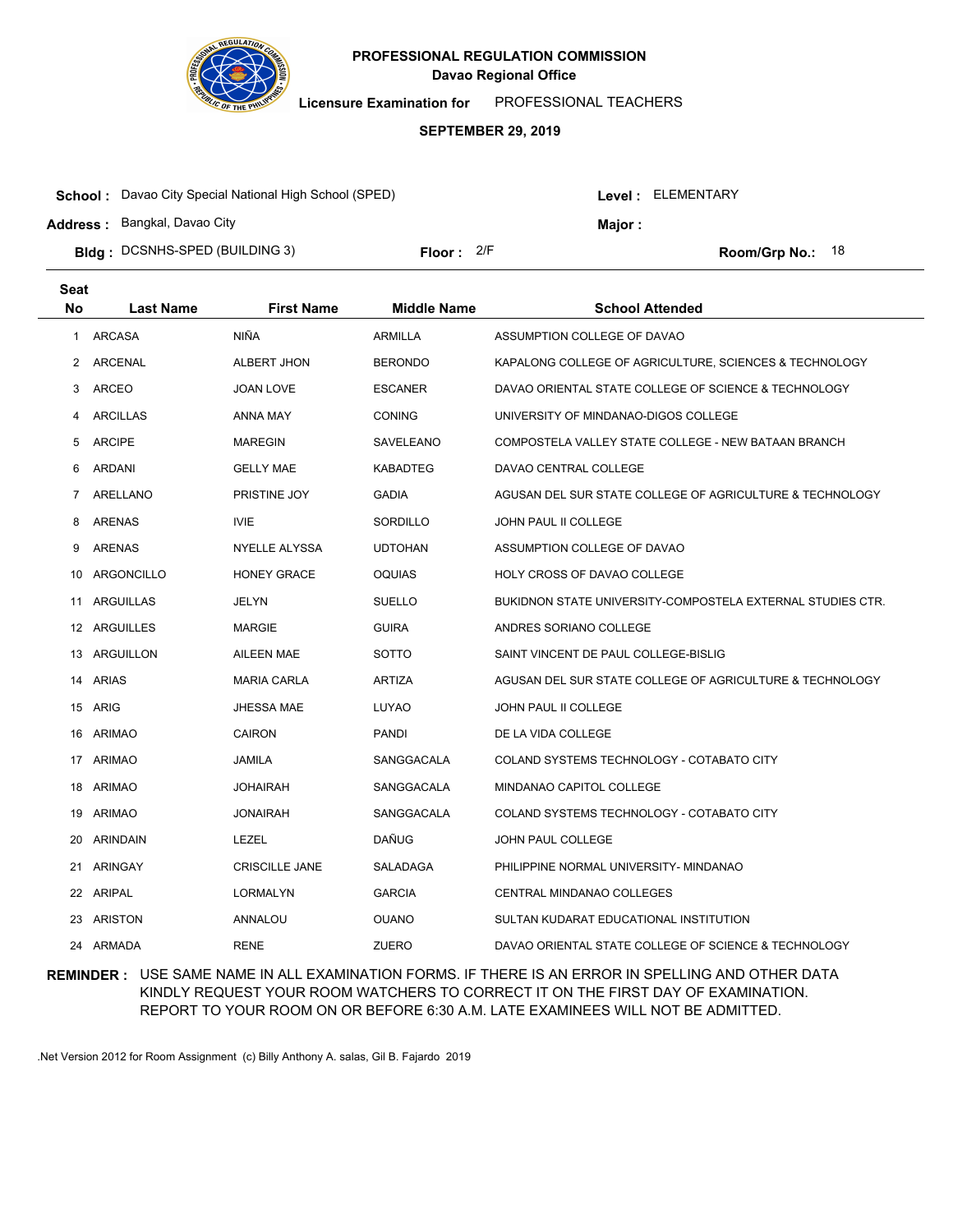

**Licensure Examination for**  PROFESSIONAL TEACHERS

#### **SEPTEMBER 29, 2019**

| <b>School:</b> Davao City Special National High School (SPED) |              |  | Level: ELEMENTARY |                    |  |
|---------------------------------------------------------------|--------------|--|-------------------|--------------------|--|
| <b>Address: Bangkal, Davao City</b>                           |              |  | Major :           |                    |  |
| <b>Bidg</b> : DCSNHS-SPED (BUILDING 3)                        | Floor: $2/F$ |  |                   | Room/Grp No.: $18$ |  |

| <b>Seat</b> |                  |                       |                    |                                                            |
|-------------|------------------|-----------------------|--------------------|------------------------------------------------------------|
| <b>No</b>   | <b>Last Name</b> | <b>First Name</b>     | <b>Middle Name</b> | <b>School Attended</b>                                     |
| 1           | ARCASA           | <b>NIÑA</b>           | <b>ARMILLA</b>     | ASSUMPTION COLLEGE OF DAVAO                                |
| 2           | ARCENAL          | ALBERT JHON           | <b>BERONDO</b>     | KAPALONG COLLEGE OF AGRICULTURE, SCIENCES & TECHNOLOGY     |
| 3           | <b>ARCEO</b>     | <b>JOAN LOVE</b>      | <b>ESCANER</b>     | DAVAO ORIENTAL STATE COLLEGE OF SCIENCE & TECHNOLOGY       |
| 4           | <b>ARCILLAS</b>  | ANNA MAY              | <b>CONING</b>      | UNIVERSITY OF MINDANAO-DIGOS COLLEGE                       |
| 5           | <b>ARCIPE</b>    | <b>MAREGIN</b>        | SAVELEANO          | COMPOSTELA VALLEY STATE COLLEGE - NEW BATAAN BRANCH        |
| 6           | <b>ARDANI</b>    | <b>GELLY MAE</b>      | <b>KABADTEG</b>    | DAVAO CENTRAL COLLEGE                                      |
| 7           | ARELLANO         | PRISTINE JOY          | <b>GADIA</b>       | AGUSAN DEL SUR STATE COLLEGE OF AGRICULTURE & TECHNOLOGY   |
| 8           | <b>ARENAS</b>    | <b>IVIE</b>           | SORDILLO           | JOHN PAUL II COLLEGE                                       |
| 9           | ARENAS           | NYELLE ALYSSA         | <b>UDTOHAN</b>     | ASSUMPTION COLLEGE OF DAVAO                                |
| 10          | ARGONCILLO       | <b>HONEY GRACE</b>    | <b>OQUIAS</b>      | HOLY CROSS OF DAVAO COLLEGE                                |
| 11          | <b>ARGUILLAS</b> | <b>JELYN</b>          | <b>SUELLO</b>      | BUKIDNON STATE UNIVERSITY-COMPOSTELA EXTERNAL STUDIES CTR. |
|             | 12 ARGUILLES     | <b>MARGIE</b>         | <b>GUIRA</b>       | ANDRES SORIANO COLLEGE                                     |
|             | 13 ARGUILLON     | <b>AILEEN MAE</b>     | SOTTO              | SAINT VINCENT DE PAUL COLLEGE-BISLIG                       |
|             | 14 ARIAS         | <b>MARIA CARLA</b>    | <b>ARTIZA</b>      | AGUSAN DEL SUR STATE COLLEGE OF AGRICULTURE & TECHNOLOGY   |
|             | 15 ARIG          | <b>JHESSA MAE</b>     | LUYAO              | JOHN PAUL II COLLEGE                                       |
|             | 16 ARIMAO        | CAIRON                | <b>PANDI</b>       | DE LA VIDA COLLEGE                                         |
|             | 17 ARIMAO        | JAMILA                | SANGGACALA         | COLAND SYSTEMS TECHNOLOGY - COTABATO CITY                  |
| 18          | <b>ARIMAO</b>    | <b>JOHAIRAH</b>       | SANGGACALA         | MINDANAO CAPITOL COLLEGE                                   |
| 19          | ARIMAO           | <b>JONAIRAH</b>       | SANGGACALA         | COLAND SYSTEMS TECHNOLOGY - COTABATO CITY                  |
| 20          | <b>ARINDAIN</b>  | LEZEL                 | DAÑUG              | JOHN PAUL COLLEGE                                          |
| 21          | <b>ARINGAY</b>   | <b>CRISCILLE JANE</b> | SALADAGA           | PHILIPPINE NORMAL UNIVERSITY- MINDANAO                     |
| 22          | ARIPAL           | <b>LORMALYN</b>       | <b>GARCIA</b>      | CENTRAL MINDANAO COLLEGES                                  |
| 23          | ARISTON          | ANNALOU               | <b>OUANO</b>       | SULTAN KUDARAT EDUCATIONAL INSTITUTION                     |
| 24          | ARMADA           | <b>RENE</b>           | ZUERO              | DAVAO ORIENTAL STATE COLLEGE OF SCIENCE & TECHNOLOGY       |

## **REMINDER :** USE SAME NAME IN ALL EXAMINATION FORMS. IF THERE IS AN ERROR IN SPELLING AND OTHER DATA KINDLY REQUEST YOUR ROOM WATCHERS TO CORRECT IT ON THE FIRST DAY OF EXAMINATION. REPORT TO YOUR ROOM ON OR BEFORE 6:30 A.M. LATE EXAMINEES WILL NOT BE ADMITTED.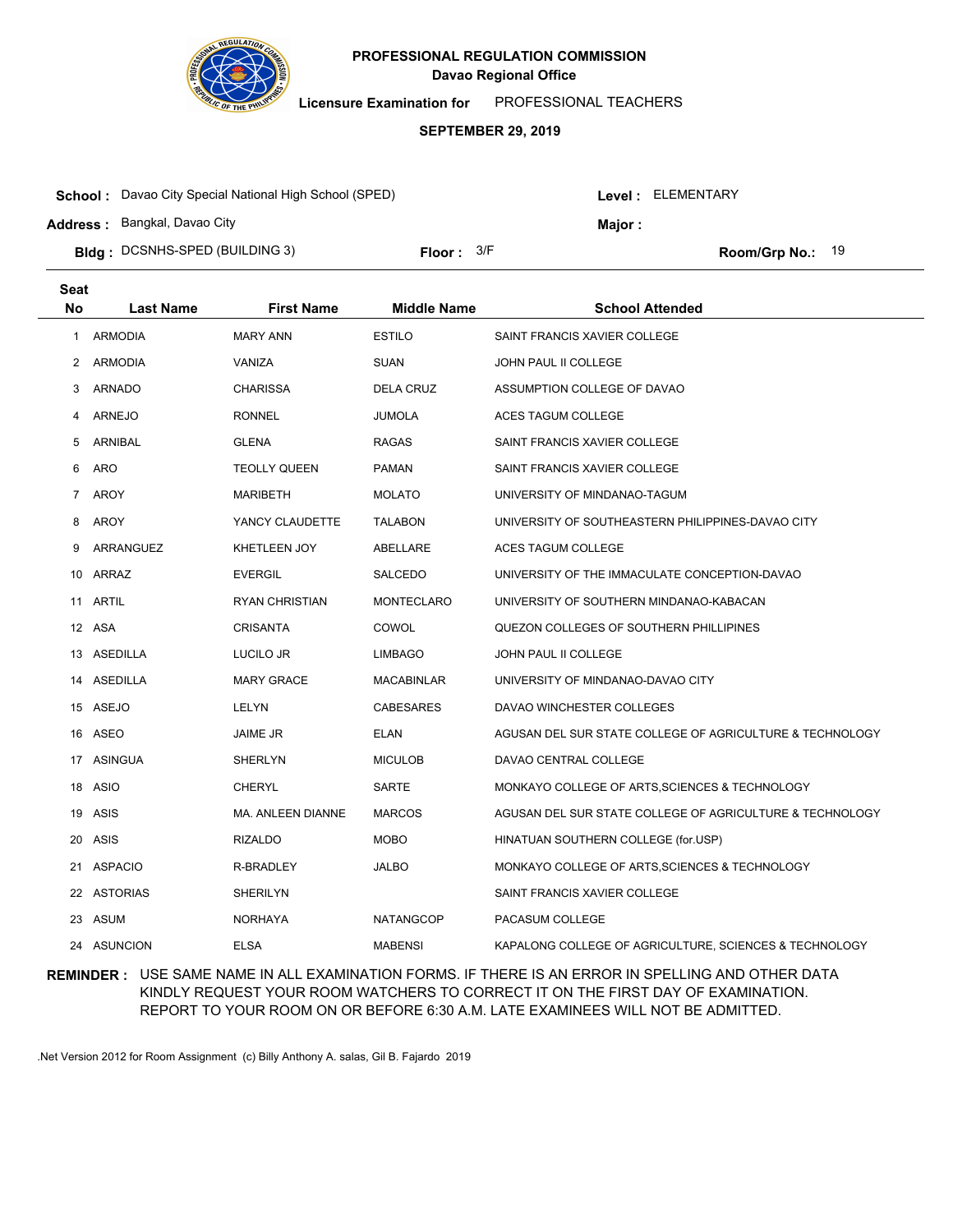

**Licensure Examination for**  PROFESSIONAL TEACHERS

#### **SEPTEMBER 29, 2019**

| <b>School:</b> Davao City Special National High School (SPED) |                     |  |         | Level: ELEMENTARY  |  |  |
|---------------------------------------------------------------|---------------------|--|---------|--------------------|--|--|
| Address: Bangkal, Davao City                                  |                     |  | Maior : |                    |  |  |
| <b>Bldg: DCSNHS-SPED (BUILDING 3)</b>                         | <b>Floor:</b> $3/F$ |  |         | Room/Grp No.: $19$ |  |  |

| <b>Seat</b> |                  |                     |                    |                                                          |
|-------------|------------------|---------------------|--------------------|----------------------------------------------------------|
| <b>No</b>   | <b>Last Name</b> | <b>First Name</b>   | <b>Middle Name</b> | <b>School Attended</b>                                   |
| 1           | <b>ARMODIA</b>   | <b>MARY ANN</b>     | <b>ESTILO</b>      | SAINT FRANCIS XAVIER COLLEGE                             |
| 2           | <b>ARMODIA</b>   | VANIZA              | <b>SUAN</b>        | <b>JOHN PAUL II COLLEGE</b>                              |
| 3           | ARNADO           | <b>CHARISSA</b>     | <b>DELA CRUZ</b>   | ASSUMPTION COLLEGE OF DAVAO                              |
| 4           | <b>ARNEJO</b>    | <b>RONNEL</b>       | <b>JUMOLA</b>      | ACES TAGUM COLLEGE                                       |
| 5           | ARNIBAL          | <b>GLENA</b>        | RAGAS              | SAINT FRANCIS XAVIER COLLEGE                             |
| 6           | <b>ARO</b>       | <b>TEOLLY QUEEN</b> | <b>PAMAN</b>       | SAINT FRANCIS XAVIER COLLEGE                             |
| 7           | <b>AROY</b>      | <b>MARIBETH</b>     | <b>MOLATO</b>      | UNIVERSITY OF MINDANAO-TAGUM                             |
| 8           | AROY             | YANCY CLAUDETTE     | <b>TALABON</b>     | UNIVERSITY OF SOUTHEASTERN PHILIPPINES-DAVAO CITY        |
| 9           | ARRANGUEZ        | KHETLEEN JOY        | ABELLARE           | ACES TAGUM COLLEGE                                       |
|             | 10 ARRAZ         | <b>EVERGIL</b>      | <b>SALCEDO</b>     | UNIVERSITY OF THE IMMACULATE CONCEPTION-DAVAO            |
|             | 11 ARTIL         | RYAN CHRISTIAN      | <b>MONTECLARO</b>  | UNIVERSITY OF SOUTHERN MINDANAO-KABACAN                  |
|             | 12 ASA           | <b>CRISANTA</b>     | COWOL              | QUEZON COLLEGES OF SOUTHERN PHILLIPINES                  |
|             | 13 ASEDILLA      | LUCILO JR           | <b>LIMBAGO</b>     | JOHN PAUL II COLLEGE                                     |
|             | 14 ASEDILLA      | <b>MARY GRACE</b>   | <b>MACABINLAR</b>  | UNIVERSITY OF MINDANAO-DAVAO CITY                        |
|             | 15 ASEJO         | LELYN               | CABESARES          | DAVAO WINCHESTER COLLEGES                                |
|             | 16 ASEO          | JAIME JR            | <b>ELAN</b>        | AGUSAN DEL SUR STATE COLLEGE OF AGRICULTURE & TECHNOLOGY |
|             | 17 ASINGUA       | <b>SHERLYN</b>      | <b>MICULOB</b>     | DAVAO CENTRAL COLLEGE                                    |
| 18          | ASIO             | <b>CHERYL</b>       | SARTE              | MONKAYO COLLEGE OF ARTS, SCIENCES & TECHNOLOGY           |
| 19          | ASIS             | MA. ANLEEN DIANNE   | <b>MARCOS</b>      | AGUSAN DEL SUR STATE COLLEGE OF AGRICULTURE & TECHNOLOGY |
| 20          | <b>ASIS</b>      | <b>RIZALDO</b>      | <b>MOBO</b>        | HINATUAN SOUTHERN COLLEGE (for.USP)                      |
| 21          | <b>ASPACIO</b>   | R-BRADLEY           | <b>JALBO</b>       | MONKAYO COLLEGE OF ARTS, SCIENCES & TECHNOLOGY           |
|             | 22 ASTORIAS      | SHERILYN            |                    | SAINT FRANCIS XAVIER COLLEGE                             |
| 23          | ASUM             | <b>NORHAYA</b>      | <b>NATANGCOP</b>   | PACASUM COLLEGE                                          |
|             | 24 ASUNCION      | <b>ELSA</b>         | <b>MABENSI</b>     | KAPALONG COLLEGE OF AGRICULTURE, SCIENCES & TECHNOLOGY   |

## **REMINDER :** USE SAME NAME IN ALL EXAMINATION FORMS. IF THERE IS AN ERROR IN SPELLING AND OTHER DATA KINDLY REQUEST YOUR ROOM WATCHERS TO CORRECT IT ON THE FIRST DAY OF EXAMINATION. REPORT TO YOUR ROOM ON OR BEFORE 6:30 A.M. LATE EXAMINEES WILL NOT BE ADMITTED.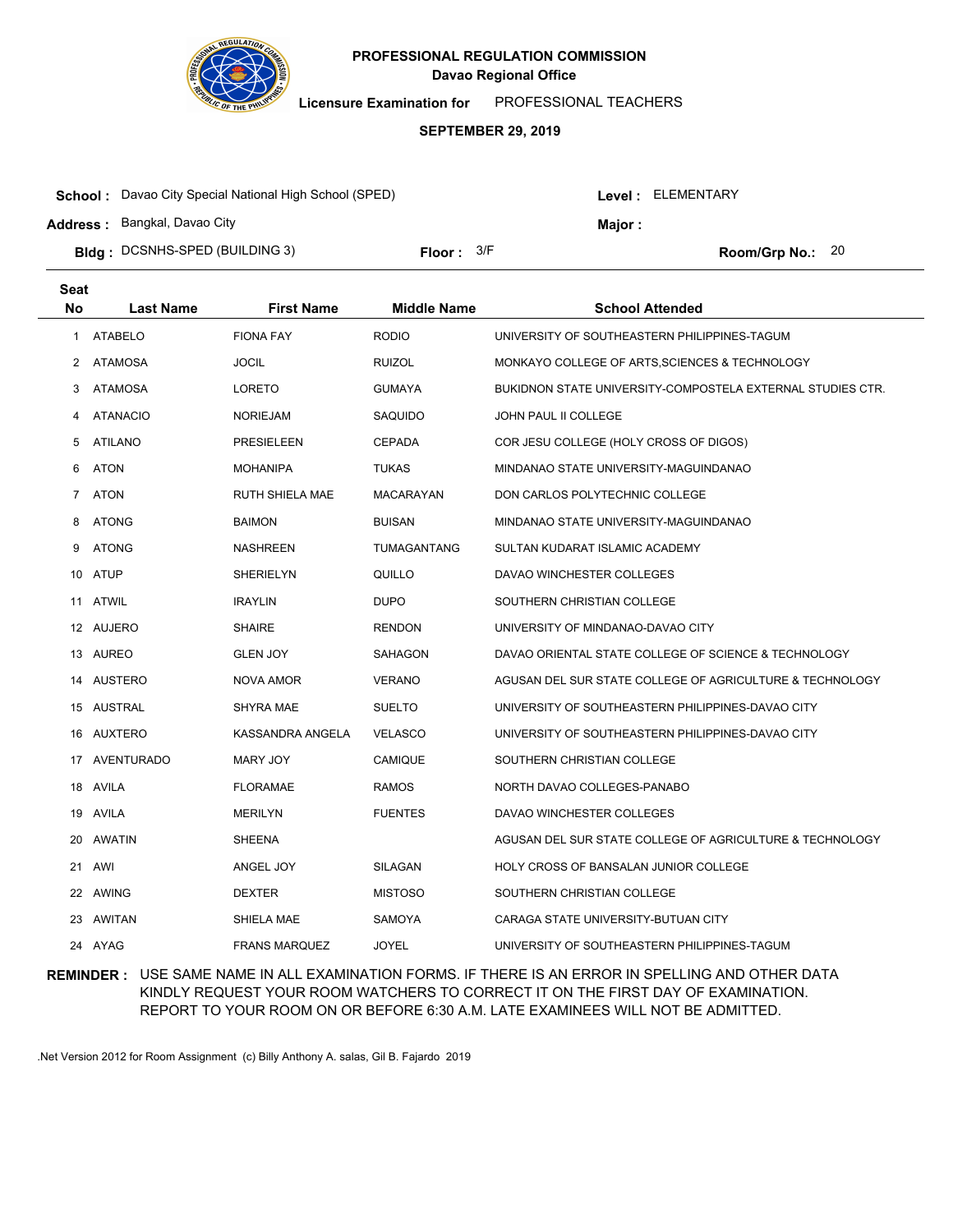

**Licensure Examination for**  PROFESSIONAL TEACHERS

#### **SEPTEMBER 29, 2019**

| <b>School:</b> Davao City Special National High School (SPED) |              |  | Level : ELEMENTARY |                    |  |
|---------------------------------------------------------------|--------------|--|--------------------|--------------------|--|
| Address: Bangkal, Davao City                                  |              |  | Maior :            |                    |  |
| <b>Bidg</b> : DCSNHS-SPED (BUILDING 3)                        | Floor: $3/F$ |  |                    | Room/Grp No.: $20$ |  |

| <b>Seat</b>    |                  |                      |                    |                                                            |
|----------------|------------------|----------------------|--------------------|------------------------------------------------------------|
| <b>No</b>      | <b>Last Name</b> | <b>First Name</b>    | <b>Middle Name</b> | <b>School Attended</b>                                     |
| 1              | <b>ATABELO</b>   | <b>FIONA FAY</b>     | <b>RODIO</b>       | UNIVERSITY OF SOUTHEASTERN PHILIPPINES-TAGUM               |
| $\overline{2}$ | ATAMOSA          | <b>JOCIL</b>         | <b>RUIZOL</b>      | MONKAYO COLLEGE OF ARTS, SCIENCES & TECHNOLOGY             |
| 3              | <b>ATAMOSA</b>   | LORETO               | <b>GUMAYA</b>      | BUKIDNON STATE UNIVERSITY-COMPOSTELA EXTERNAL STUDIES CTR. |
| 4              | <b>ATANACIO</b>  | <b>NORIEJAM</b>      | SAQUIDO            | JOHN PAUL II COLLEGE                                       |
| 5              | <b>ATILANO</b>   | <b>PRESIELEEN</b>    | <b>CEPADA</b>      | COR JESU COLLEGE (HOLY CROSS OF DIGOS)                     |
| 6              | <b>ATON</b>      | <b>MOHANIPA</b>      | <b>TUKAS</b>       | MINDANAO STATE UNIVERSITY-MAGUINDANAO                      |
| 7              | ATON             | RUTH SHIELA MAE      | MACARAYAN          | DON CARLOS POLYTECHNIC COLLEGE                             |
| 8              | <b>ATONG</b>     | <b>BAIMON</b>        | <b>BUISAN</b>      | MINDANAO STATE UNIVERSITY-MAGUINDANAO                      |
| 9              | <b>ATONG</b>     | <b>NASHREEN</b>      | TUMAGANTANG        | SULTAN KUDARAT ISLAMIC ACADEMY                             |
|                | 10 ATUP          | <b>SHERIELYN</b>     | QUILLO             | DAVAO WINCHESTER COLLEGES                                  |
|                | 11 ATWIL         | <b>IRAYLIN</b>       | <b>DUPO</b>        | SOUTHERN CHRISTIAN COLLEGE                                 |
|                | 12 AUJERO        | <b>SHAIRE</b>        | <b>RENDON</b>      | UNIVERSITY OF MINDANAO-DAVAO CITY                          |
|                | 13 AUREO         | <b>GLEN JOY</b>      | SAHAGON            | DAVAO ORIENTAL STATE COLLEGE OF SCIENCE & TECHNOLOGY       |
|                | 14 AUSTERO       | NOVA AMOR            | <b>VERANO</b>      | AGUSAN DEL SUR STATE COLLEGE OF AGRICULTURE & TECHNOLOGY   |
|                | 15 AUSTRAL       | <b>SHYRA MAE</b>     | <b>SUELTO</b>      | UNIVERSITY OF SOUTHEASTERN PHILIPPINES-DAVAO CITY          |
|                | 16 AUXTERO       | KASSANDRA ANGELA     | <b>VELASCO</b>     | UNIVERSITY OF SOUTHEASTERN PHILIPPINES-DAVAO CITY          |
|                | 17 AVENTURADO    | MARY JOY             | <b>CAMIQUE</b>     | SOUTHERN CHRISTIAN COLLEGE                                 |
| 18             | AVILA            | <b>FLORAMAE</b>      | <b>RAMOS</b>       | NORTH DAVAO COLLEGES-PANABO                                |
| 19             | AVILA            | <b>MERILYN</b>       | <b>FUENTES</b>     | DAVAO WINCHESTER COLLEGES                                  |
| 20             | <b>AWATIN</b>    | <b>SHEENA</b>        |                    | AGUSAN DEL SUR STATE COLLEGE OF AGRICULTURE & TECHNOLOGY   |
| 21             | AWI              | ANGEL JOY            | SILAGAN            | HOLY CROSS OF BANSALAN JUNIOR COLLEGE                      |
| 22             | AWING            | <b>DEXTER</b>        | <b>MISTOSO</b>     | SOUTHERN CHRISTIAN COLLEGE                                 |
| 23             | AWITAN           | SHIELA MAE           | <b>SAMOYA</b>      | CARAGA STATE UNIVERSITY-BUTUAN CITY                        |
|                | 24 AYAG          | <b>FRANS MARQUEZ</b> | <b>JOYEL</b>       | UNIVERSITY OF SOUTHEASTERN PHILIPPINES-TAGUM               |

## **REMINDER :** USE SAME NAME IN ALL EXAMINATION FORMS. IF THERE IS AN ERROR IN SPELLING AND OTHER DATA KINDLY REQUEST YOUR ROOM WATCHERS TO CORRECT IT ON THE FIRST DAY OF EXAMINATION. REPORT TO YOUR ROOM ON OR BEFORE 6:30 A.M. LATE EXAMINEES WILL NOT BE ADMITTED.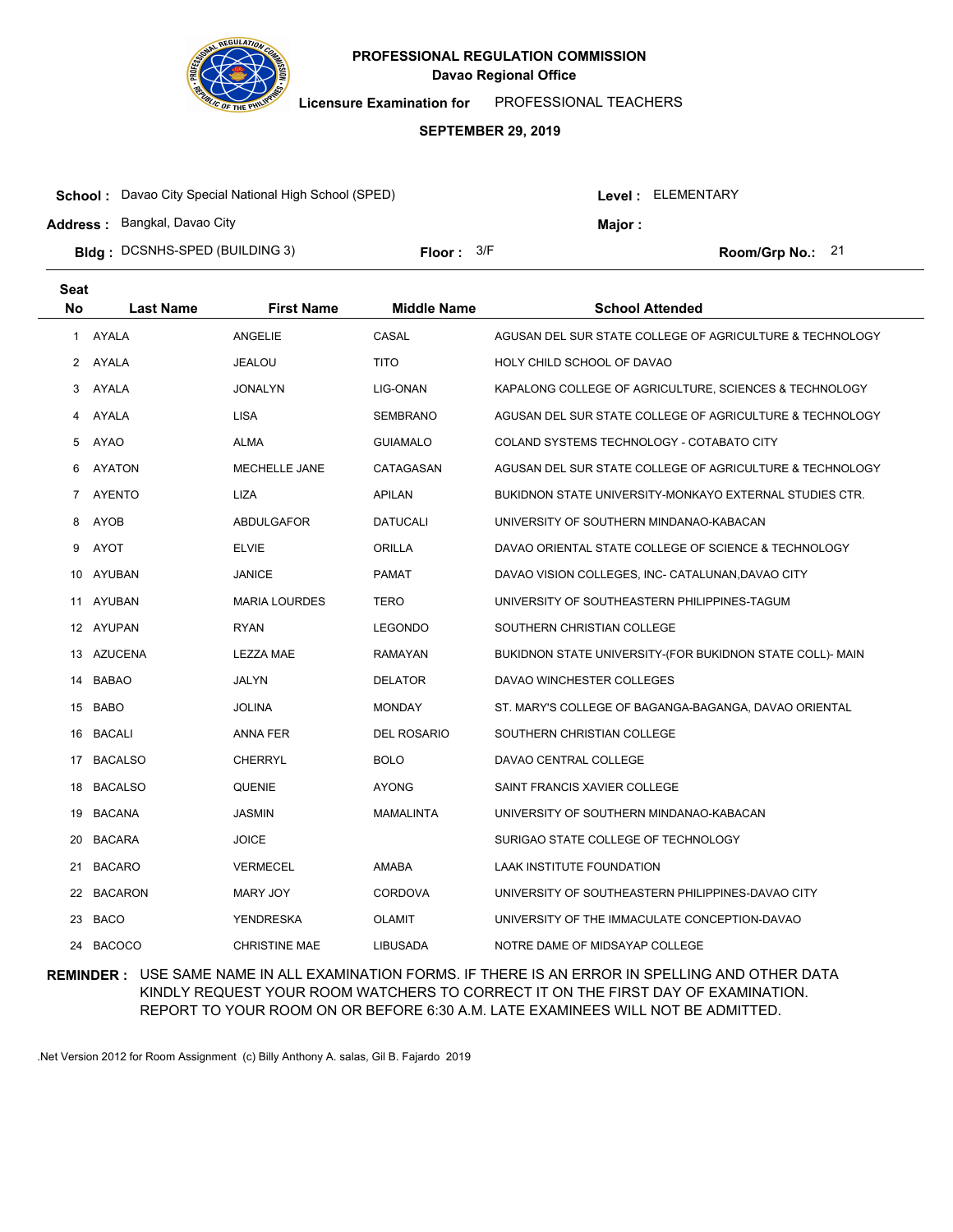

**Licensure Examination for**  PROFESSIONAL TEACHERS

#### **SEPTEMBER 29, 2019**

| <b>School:</b> Davao City Special National High School (SPED) |              |  | Level : ELEMENTARY |                  |  |
|---------------------------------------------------------------|--------------|--|--------------------|------------------|--|
| <b>Address: Bangkal, Davao City</b>                           |              |  | <b>Maior</b> :     |                  |  |
| <b>Bidg</b> : DCSNHS-SPED (BUILDING 3)                        | Floor: $3/F$ |  |                    | Room/Grp No.: 21 |  |

| <b>Seat</b> |                  |                      |                    |                                                           |
|-------------|------------------|----------------------|--------------------|-----------------------------------------------------------|
| <b>No</b>   | <b>Last Name</b> | <b>First Name</b>    | <b>Middle Name</b> | <b>School Attended</b>                                    |
| 1           | AYALA            | ANGELIE              | CASAL              | AGUSAN DEL SUR STATE COLLEGE OF AGRICULTURE & TECHNOLOGY  |
| 2           | AYALA            | JEALOU               | <b>TITO</b>        | HOLY CHILD SCHOOL OF DAVAO                                |
| 3           | AYALA            | <b>JONALYN</b>       | LIG-ONAN           | KAPALONG COLLEGE OF AGRICULTURE, SCIENCES & TECHNOLOGY    |
| 4           | AYALA            | <b>LISA</b>          | <b>SEMBRANO</b>    | AGUSAN DEL SUR STATE COLLEGE OF AGRICULTURE & TECHNOLOGY  |
| 5           | AYAO             | ALMA                 | <b>GUIAMALO</b>    | COLAND SYSTEMS TECHNOLOGY - COTABATO CITY                 |
| 6           | <b>AYATON</b>    | <b>MECHELLE JANE</b> | CATAGASAN          | AGUSAN DEL SUR STATE COLLEGE OF AGRICULTURE & TECHNOLOGY  |
| 7           | <b>AYENTO</b>    | LIZA                 | <b>APILAN</b>      | BUKIDNON STATE UNIVERSITY-MONKAYO EXTERNAL STUDIES CTR.   |
| 8           | AYOB             | ABDULGAFOR           | <b>DATUCALI</b>    | UNIVERSITY OF SOUTHERN MINDANAO-KABACAN                   |
| 9           | AYOT             | <b>ELVIE</b>         | <b>ORILLA</b>      | DAVAO ORIENTAL STATE COLLEGE OF SCIENCE & TECHNOLOGY      |
| 10          | AYUBAN           | <b>JANICE</b>        | <b>PAMAT</b>       | DAVAO VISION COLLEGES, INC- CATALUNAN, DAVAO CITY         |
|             | 11 AYUBAN        | <b>MARIA LOURDES</b> | TERO               | UNIVERSITY OF SOUTHEASTERN PHILIPPINES-TAGUM              |
|             | 12 AYUPAN        | <b>RYAN</b>          | <b>LEGONDO</b>     | SOUTHERN CHRISTIAN COLLEGE                                |
|             | 13 AZUCENA       | LEZZA MAE            | <b>RAMAYAN</b>     | BUKIDNON STATE UNIVERSITY-(FOR BUKIDNON STATE COLL)- MAIN |
|             | 14 BABAO         | JALYN                | <b>DELATOR</b>     | DAVAO WINCHESTER COLLEGES                                 |
|             | 15 BABO          | <b>JOLINA</b>        | <b>MONDAY</b>      | ST. MARY'S COLLEGE OF BAGANGA-BAGANGA, DAVAO ORIENTAL     |
| 16          | BACALI           | ANNA FER             | <b>DEL ROSARIO</b> | SOUTHERN CHRISTIAN COLLEGE                                |
|             | 17 BACALSO       | <b>CHERRYL</b>       | <b>BOLO</b>        | DAVAO CENTRAL COLLEGE                                     |
| 18          | <b>BACALSO</b>   | QUENIE               | <b>AYONG</b>       | SAINT FRANCIS XAVIER COLLEGE                              |
| 19          | BACANA           | <b>JASMIN</b>        | MAMALINTA          | UNIVERSITY OF SOUTHERN MINDANAO-KABACAN                   |
| 20          | <b>BACARA</b>    | <b>JOICE</b>         |                    | SURIGAO STATE COLLEGE OF TECHNOLOGY                       |
|             | 21 BACARO        | <b>VERMECEL</b>      | <b>AMABA</b>       | LAAK INSTITUTE FOUNDATION                                 |
| 22          | BACARON          | MARY JOY             | <b>CORDOVA</b>     | UNIVERSITY OF SOUTHEASTERN PHILIPPINES-DAVAO CITY         |
| 23          | BACO             | YENDRESKA            | <b>OLAMIT</b>      | UNIVERSITY OF THE IMMACULATE CONCEPTION-DAVAO             |
|             | 24 BACOCO        | <b>CHRISTINE MAE</b> | <b>LIBUSADA</b>    | NOTRE DAME OF MIDSAYAP COLLEGE                            |

## **REMINDER :** USE SAME NAME IN ALL EXAMINATION FORMS. IF THERE IS AN ERROR IN SPELLING AND OTHER DATA KINDLY REQUEST YOUR ROOM WATCHERS TO CORRECT IT ON THE FIRST DAY OF EXAMINATION. REPORT TO YOUR ROOM ON OR BEFORE 6:30 A.M. LATE EXAMINEES WILL NOT BE ADMITTED.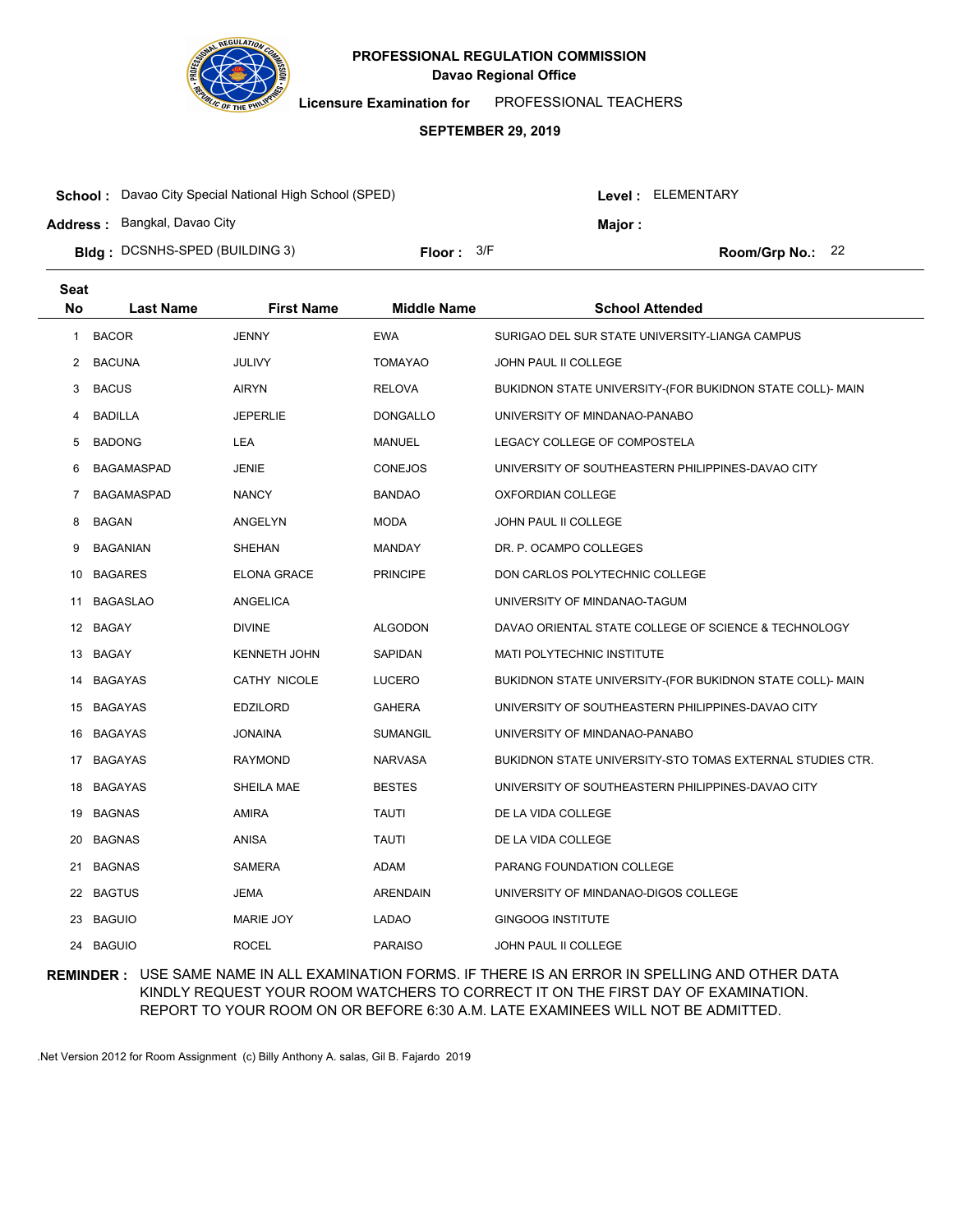

**Licensure Examination for**  PROFESSIONAL TEACHERS

#### **SEPTEMBER 29, 2019**

| <b>School:</b> Davao City Special National High School (SPED) |              |  | Level : ELEMENTARY |                  |  |
|---------------------------------------------------------------|--------------|--|--------------------|------------------|--|
| <b>Address: Bangkal, Davao City</b>                           |              |  | Maior:             |                  |  |
| <b>Bidg</b> : DCSNHS-SPED (BUILDING 3)                        | Floor: $3/F$ |  |                    | Room/Grp No.: 22 |  |

| <b>Seat</b> |                   |                     |                    |                                                           |
|-------------|-------------------|---------------------|--------------------|-----------------------------------------------------------|
| No          | <b>Last Name</b>  | <b>First Name</b>   | <b>Middle Name</b> | <b>School Attended</b>                                    |
| 1           | <b>BACOR</b>      | <b>JENNY</b>        | <b>EWA</b>         | SURIGAO DEL SUR STATE UNIVERSITY-LIANGA CAMPUS            |
| 2           | <b>BACUNA</b>     | <b>JULIVY</b>       | <b>TOMAYAO</b>     | <b>JOHN PAUL II COLLEGE</b>                               |
| 3           | <b>BACUS</b>      | <b>AIRYN</b>        | <b>RELOVA</b>      | BUKIDNON STATE UNIVERSITY-(FOR BUKIDNON STATE COLL)- MAIN |
| 4           | <b>BADILLA</b>    | <b>JEPERLIE</b>     | <b>DONGALLO</b>    | UNIVERSITY OF MINDANAO-PANABO                             |
| 5           | <b>BADONG</b>     | <b>LEA</b>          | MANUEL             | LEGACY COLLEGE OF COMPOSTELA                              |
| 6           | BAGAMASPAD        | <b>JENIE</b>        | <b>CONEJOS</b>     | UNIVERSITY OF SOUTHEASTERN PHILIPPINES-DAVAO CITY         |
| 7           | <b>BAGAMASPAD</b> | <b>NANCY</b>        | <b>BANDAO</b>      | OXFORDIAN COLLEGE                                         |
| 8           | <b>BAGAN</b>      | ANGELYN             | <b>MODA</b>        | JOHN PAUL II COLLEGE                                      |
| 9           | <b>BAGANIAN</b>   | SHEHAN              | MANDAY             | DR. P. OCAMPO COLLEGES                                    |
| 10          | <b>BAGARES</b>    | <b>ELONA GRACE</b>  | <b>PRINCIPE</b>    | DON CARLOS POLYTECHNIC COLLEGE                            |
| 11          | <b>BAGASLAO</b>   | <b>ANGELICA</b>     |                    | UNIVERSITY OF MINDANAO-TAGUM                              |
|             | 12 BAGAY          | <b>DIVINE</b>       | <b>ALGODON</b>     | DAVAO ORIENTAL STATE COLLEGE OF SCIENCE & TECHNOLOGY      |
|             | 13 BAGAY          | <b>KENNETH JOHN</b> | SAPIDAN            | <b>MATI POLYTECHNIC INSTITUTE</b>                         |
|             | 14 BAGAYAS        | CATHY NICOLE        | <b>LUCERO</b>      | BUKIDNON STATE UNIVERSITY-(FOR BUKIDNON STATE COLL)- MAIN |
|             | 15 BAGAYAS        | <b>EDZILORD</b>     | <b>GAHERA</b>      | UNIVERSITY OF SOUTHEASTERN PHILIPPINES-DAVAO CITY         |
|             | 16 BAGAYAS        | <b>JONAINA</b>      | <b>SUMANGIL</b>    | UNIVERSITY OF MINDANAO-PANABO                             |
|             | 17 BAGAYAS        | <b>RAYMOND</b>      | <b>NARVASA</b>     | BUKIDNON STATE UNIVERSITY-STO TOMAS EXTERNAL STUDIES CTR. |
| 18          | <b>BAGAYAS</b>    | SHEILA MAE          | <b>BESTES</b>      | UNIVERSITY OF SOUTHEASTERN PHILIPPINES-DAVAO CITY         |
|             | 19 BAGNAS         | <b>AMIRA</b>        | <b>TAUTI</b>       | DE LA VIDA COLLEGE                                        |
| 20          | <b>BAGNAS</b>     | ANISA               | <b>TAUTI</b>       | DE LA VIDA COLLEGE                                        |
| 21          | <b>BAGNAS</b>     | <b>SAMERA</b>       | ADAM               | PARANG FOUNDATION COLLEGE                                 |
| 22          | <b>BAGTUS</b>     | JEMA                | <b>ARENDAIN</b>    | UNIVERSITY OF MINDANAO-DIGOS COLLEGE                      |
|             | 23 BAGUIO         | <b>MARIE JOY</b>    | LADAO              | <b>GINGOOG INSTITUTE</b>                                  |
|             | 24 BAGUIO         | <b>ROCEL</b>        | <b>PARAISO</b>     | JOHN PAUL II COLLEGE                                      |

## **REMINDER :** USE SAME NAME IN ALL EXAMINATION FORMS. IF THERE IS AN ERROR IN SPELLING AND OTHER DATA KINDLY REQUEST YOUR ROOM WATCHERS TO CORRECT IT ON THE FIRST DAY OF EXAMINATION. REPORT TO YOUR ROOM ON OR BEFORE 6:30 A.M. LATE EXAMINEES WILL NOT BE ADMITTED.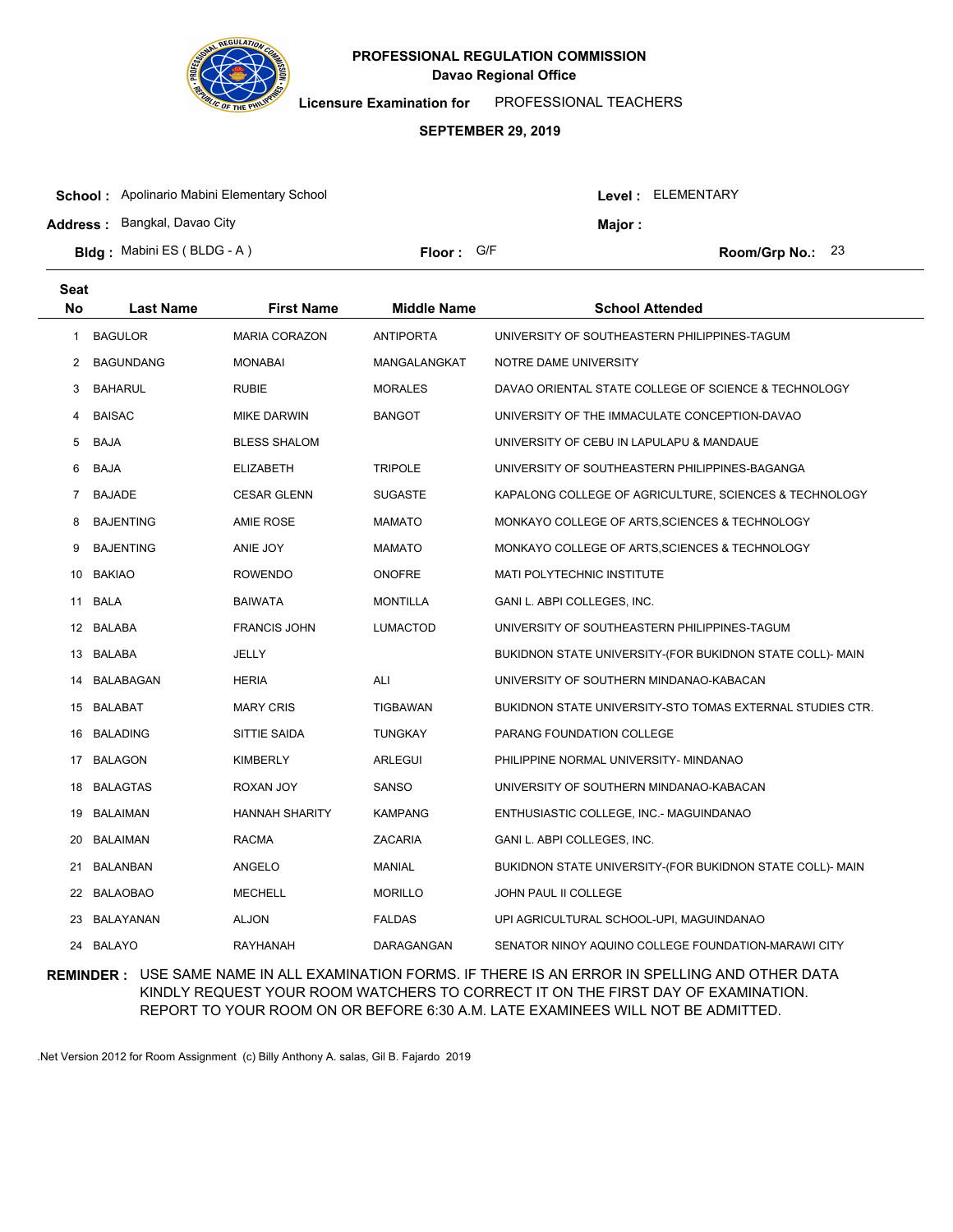

**Licensure Examination for**  PROFESSIONAL TEACHERS

#### **SEPTEMBER 29, 2019**

| <b>School:</b> Apolinario Mabini Elementary School |            |  | Level: ELEMENTARY |                    |  |
|----------------------------------------------------|------------|--|-------------------|--------------------|--|
| <b>Address: Bangkal, Davao City</b>                |            |  | <b>Maior</b> :    |                    |  |
| <b>Bldg:</b> Mabini ES (BLDG - A)                  | Floor: G/F |  |                   | Room/Grp No.: $23$ |  |

| Seat           |                  |                       |                    |                                                           |
|----------------|------------------|-----------------------|--------------------|-----------------------------------------------------------|
| No             | <b>Last Name</b> | <b>First Name</b>     | <b>Middle Name</b> | <b>School Attended</b>                                    |
| 1              | <b>BAGULOR</b>   | <b>MARIA CORAZON</b>  | <b>ANTIPORTA</b>   | UNIVERSITY OF SOUTHEASTERN PHILIPPINES-TAGUM              |
| 2              | <b>BAGUNDANG</b> | <b>MONABAI</b>        | MANGALANGKAT       | NOTRE DAME UNIVERSITY                                     |
| 3              | <b>BAHARUL</b>   | <b>RUBIE</b>          | <b>MORALES</b>     | DAVAO ORIENTAL STATE COLLEGE OF SCIENCE & TECHNOLOGY      |
| 4              | <b>BAISAC</b>    | <b>MIKE DARWIN</b>    | <b>BANGOT</b>      | UNIVERSITY OF THE IMMACULATE CONCEPTION-DAVAO             |
| 5              | <b>BAJA</b>      | <b>BLESS SHALOM</b>   |                    | UNIVERSITY OF CEBU IN LAPULAPU & MANDAUE                  |
| 6              | <b>BAJA</b>      | <b>ELIZABETH</b>      | <b>TRIPOLE</b>     | UNIVERSITY OF SOUTHEASTERN PHILIPPINES-BAGANGA            |
| $\overline{7}$ | <b>BAJADE</b>    | <b>CESAR GLENN</b>    | <b>SUGASTE</b>     | KAPALONG COLLEGE OF AGRICULTURE, SCIENCES & TECHNOLOGY    |
| 8              | <b>BAJENTING</b> | <b>AMIE ROSE</b>      | <b>MAMATO</b>      | MONKAYO COLLEGE OF ARTS, SCIENCES & TECHNOLOGY            |
| 9              | <b>BAJENTING</b> | ANIE JOY              | <b>MAMATO</b>      | MONKAYO COLLEGE OF ARTS, SCIENCES & TECHNOLOGY            |
| 10             | <b>BAKIAO</b>    | <b>ROWENDO</b>        | <b>ONOFRE</b>      | MATI POLYTECHNIC INSTITUTE                                |
| 11             | BALA             | <b>BAIWATA</b>        | <b>MONTILLA</b>    | GANI L. ABPI COLLEGES, INC.                               |
|                | 12 BALABA        | <b>FRANCIS JOHN</b>   | <b>LUMACTOD</b>    | UNIVERSITY OF SOUTHEASTERN PHILIPPINES-TAGUM              |
|                | 13 BALABA        | JELLY                 |                    | BUKIDNON STATE UNIVERSITY-(FOR BUKIDNON STATE COLL)- MAIN |
| 14             | BALABAGAN        | <b>HERIA</b>          | <b>ALI</b>         | UNIVERSITY OF SOUTHERN MINDANAO-KABACAN                   |
|                | 15 BALABAT       | <b>MARY CRIS</b>      | <b>TIGBAWAN</b>    | BUKIDNON STATE UNIVERSITY-STO TOMAS EXTERNAL STUDIES CTR. |
| 16             | <b>BALADING</b>  | SITTIE SAIDA          | <b>TUNGKAY</b>     | PARANG FOUNDATION COLLEGE                                 |
| 17             | <b>BALAGON</b>   | <b>KIMBERLY</b>       | ARLEGUI            | PHILIPPINE NORMAL UNIVERSITY- MINDANAO                    |
| 18             | <b>BALAGTAS</b>  | ROXAN JOY             | <b>SANSO</b>       | UNIVERSITY OF SOUTHERN MINDANAO-KABACAN                   |
| 19             | <b>BALAIMAN</b>  | <b>HANNAH SHARITY</b> | <b>KAMPANG</b>     | ENTHUSIASTIC COLLEGE, INC.- MAGUINDANAO                   |
| 20             | <b>BALAIMAN</b>  | <b>RACMA</b>          | ZACARIA            | GANI L. ABPI COLLEGES, INC.                               |
| 21             | BALANBAN         | ANGELO                | <b>MANIAL</b>      | BUKIDNON STATE UNIVERSITY-(FOR BUKIDNON STATE COLL)- MAIN |
| 22             | <b>BALAOBAO</b>  | <b>MECHELL</b>        | <b>MORILLO</b>     | JOHN PAUL II COLLEGE                                      |
| 23             | BALAYANAN        | <b>ALJON</b>          | <b>FALDAS</b>      | UPI AGRICULTURAL SCHOOL-UPI, MAGUINDANAO                  |
|                | 24 BALAYO        | <b>RAYHANAH</b>       | DARAGANGAN         | SENATOR NINOY AQUINO COLLEGE FOUNDATION-MARAWI CITY       |

## **REMINDER :** USE SAME NAME IN ALL EXAMINATION FORMS. IF THERE IS AN ERROR IN SPELLING AND OTHER DATA KINDLY REQUEST YOUR ROOM WATCHERS TO CORRECT IT ON THE FIRST DAY OF EXAMINATION. REPORT TO YOUR ROOM ON OR BEFORE 6:30 A.M. LATE EXAMINEES WILL NOT BE ADMITTED.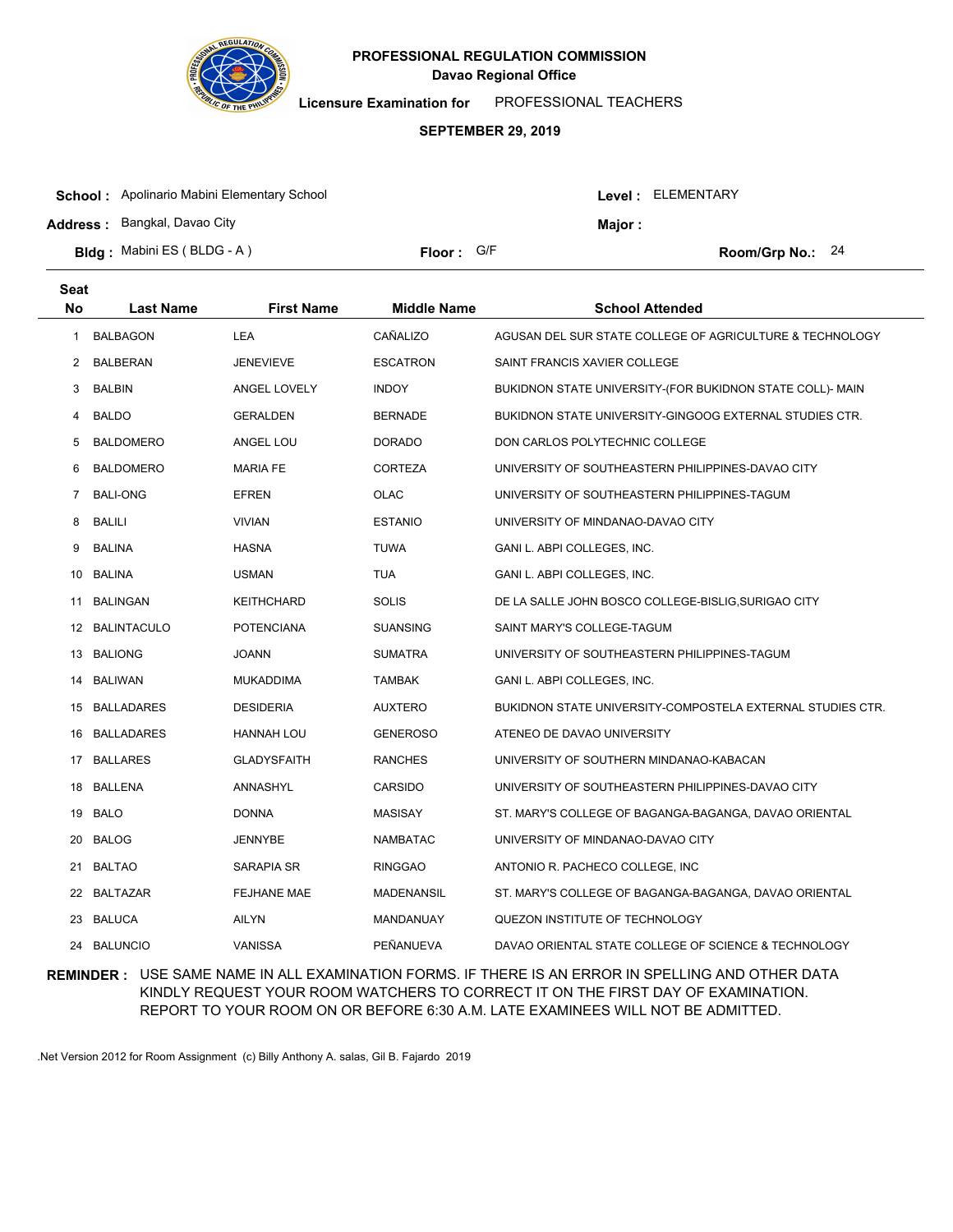

**Licensure Examination for**  PROFESSIONAL TEACHERS

#### **SEPTEMBER 29, 2019**

| <b>School:</b> Apolinario Mabini Elementary School |            |  | Level: ELEMENTARY  |  |  |
|----------------------------------------------------|------------|--|--------------------|--|--|
| <b>Address: Bangkal, Davao City</b>                |            |  | Maior :            |  |  |
| <b>Bldg:</b> Mabini ES (BLDG - A)                  | Floor: G/F |  | Room/Grp No.: $24$ |  |  |

| <b>Seat</b> |                   |                    |                    |                                                            |
|-------------|-------------------|--------------------|--------------------|------------------------------------------------------------|
| <b>No</b>   | <b>Last Name</b>  | <b>First Name</b>  | <b>Middle Name</b> | <b>School Attended</b>                                     |
| 1           | <b>BALBAGON</b>   | LEA                | CAÑALIZO           | AGUSAN DEL SUR STATE COLLEGE OF AGRICULTURE & TECHNOLOGY   |
| 2           | <b>BALBERAN</b>   | <b>JENEVIEVE</b>   | <b>ESCATRON</b>    | SAINT FRANCIS XAVIER COLLEGE                               |
| 3           | <b>BALBIN</b>     | ANGEL LOVELY       | <b>INDOY</b>       | BUKIDNON STATE UNIVERSITY-(FOR BUKIDNON STATE COLL)- MAIN  |
| 4           | <b>BALDO</b>      | GERALDEN           | <b>BERNADE</b>     | BUKIDNON STATE UNIVERSITY-GINGOOG EXTERNAL STUDIES CTR.    |
| 5           | <b>BALDOMERO</b>  | ANGEL LOU          | <b>DORADO</b>      | DON CARLOS POLYTECHNIC COLLEGE                             |
| 6           | <b>BALDOMERO</b>  | <b>MARIA FE</b>    | <b>CORTEZA</b>     | UNIVERSITY OF SOUTHEASTERN PHILIPPINES-DAVAO CITY          |
| 7           | <b>BALI-ONG</b>   | <b>EFREN</b>       | <b>OLAC</b>        | UNIVERSITY OF SOUTHEASTERN PHILIPPINES-TAGUM               |
| 8           | BALILI            | <b>VIVIAN</b>      | <b>ESTANIO</b>     | UNIVERSITY OF MINDANAO-DAVAO CITY                          |
| 9           | <b>BALINA</b>     | <b>HASNA</b>       | <b>TUWA</b>        | GANI L. ABPI COLLEGES, INC.                                |
| 10          | BALINA            | <b>USMAN</b>       | <b>TUA</b>         | GANI L. ABPI COLLEGES, INC.                                |
| 11          | <b>BALINGAN</b>   | KEITHCHARD         | <b>SOLIS</b>       | DE LA SALLE JOHN BOSCO COLLEGE-BISLIG, SURIGAO CITY        |
|             | 12 BALINTACULO    | <b>POTENCIANA</b>  | <b>SUANSING</b>    | SAINT MARY'S COLLEGE-TAGUM                                 |
|             | 13 BALIONG        | <b>JOANN</b>       | <b>SUMATRA</b>     | UNIVERSITY OF SOUTHEASTERN PHILIPPINES-TAGUM               |
|             | 14 BALIWAN        | <b>MUKADDIMA</b>   | <b>TAMBAK</b>      | GANI L. ABPI COLLEGES, INC.                                |
|             | 15 BALLADARES     | <b>DESIDERIA</b>   | <b>AUXTERO</b>     | BUKIDNON STATE UNIVERSITY-COMPOSTELA EXTERNAL STUDIES CTR. |
| 16          | <b>BALLADARES</b> | HANNAH LOU         | <b>GENEROSO</b>    | ATENEO DE DAVAO UNIVERSITY                                 |
|             | 17 BALLARES       | <b>GLADYSFAITH</b> | <b>RANCHES</b>     | UNIVERSITY OF SOUTHERN MINDANAO-KABACAN                    |
|             | 18 BALLENA        | ANNASHYL           | CARSIDO            | UNIVERSITY OF SOUTHEASTERN PHILIPPINES-DAVAO CITY          |
| 19          | BALO              | <b>DONNA</b>       | <b>MASISAY</b>     | ST. MARY'S COLLEGE OF BAGANGA-BAGANGA, DAVAO ORIENTAL      |
| 20          | <b>BALOG</b>      | JENNYBE            | <b>NAMBATAC</b>    | UNIVERSITY OF MINDANAO-DAVAO CITY                          |
| 21          | <b>BALTAO</b>     | SARAPIA SR         | <b>RINGGAO</b>     | ANTONIO R. PACHECO COLLEGE, INC                            |
| 22          | <b>BALTAZAR</b>   | <b>FEJHANE MAE</b> | MADENANSIL         | ST. MARY'S COLLEGE OF BAGANGA-BAGANGA, DAVAO ORIENTAL      |
|             | 23 BALUCA         | <b>AILYN</b>       | MANDANUAY          | QUEZON INSTITUTE OF TECHNOLOGY                             |
|             | 24 BALUNCIO       | <b>VANISSA</b>     | PEÑANUEVA          | DAVAO ORIENTAL STATE COLLEGE OF SCIENCE & TECHNOLOGY       |

## **REMINDER :** USE SAME NAME IN ALL EXAMINATION FORMS. IF THERE IS AN ERROR IN SPELLING AND OTHER DATA KINDLY REQUEST YOUR ROOM WATCHERS TO CORRECT IT ON THE FIRST DAY OF EXAMINATION. REPORT TO YOUR ROOM ON OR BEFORE 6:30 A.M. LATE EXAMINEES WILL NOT BE ADMITTED.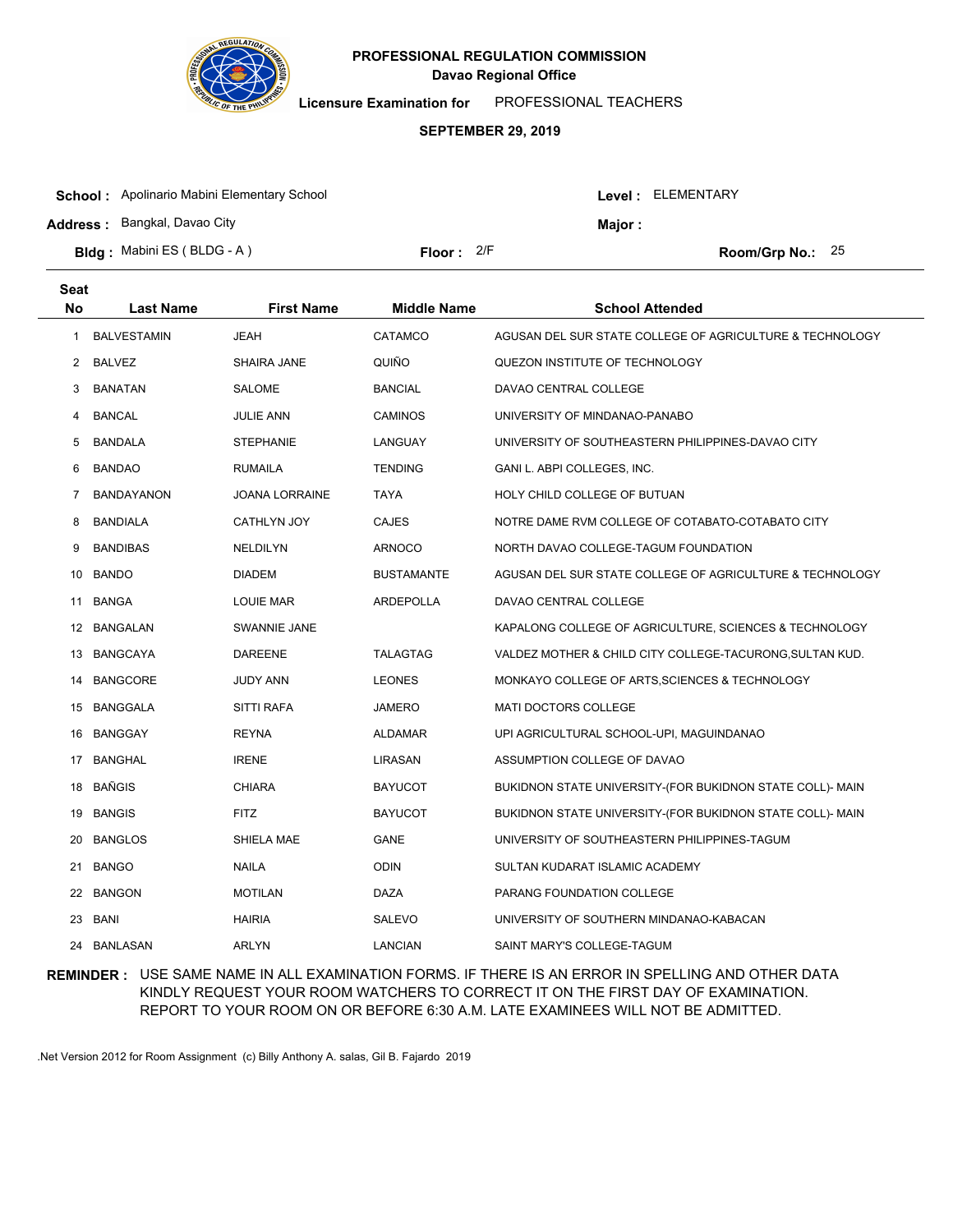

**Licensure Examination for**  PROFESSIONAL TEACHERS

#### **SEPTEMBER 29, 2019**

| <b>School:</b> Apolinario Mabini Elementary School<br><b>Address: Bangkal, Davao City</b> |                     | Maior : | Level : ELEMENTARY |  |
|-------------------------------------------------------------------------------------------|---------------------|---------|--------------------|--|
| <b>Bldg:</b> Mabini ES (BLDG - A)                                                         | <b>Floor:</b> $2/F$ |         | Room/Grp No.: $25$ |  |

| <b>Seat</b> |                    |                       |                    |                                                           |
|-------------|--------------------|-----------------------|--------------------|-----------------------------------------------------------|
| <b>No</b>   | <b>Last Name</b>   | <b>First Name</b>     | <b>Middle Name</b> | <b>School Attended</b>                                    |
| 1           | <b>BALVESTAMIN</b> | <b>JEAH</b>           | CATAMCO            | AGUSAN DEL SUR STATE COLLEGE OF AGRICULTURE & TECHNOLOGY  |
| 2           | <b>BALVEZ</b>      | SHAIRA JANE           | QUIÑO              | QUEZON INSTITUTE OF TECHNOLOGY                            |
| 3           | <b>BANATAN</b>     | <b>SALOME</b>         | <b>BANCIAL</b>     | DAVAO CENTRAL COLLEGE                                     |
| 4           | <b>BANCAL</b>      | <b>JULIE ANN</b>      | <b>CAMINOS</b>     | UNIVERSITY OF MINDANAO-PANABO                             |
| 5           | <b>BANDALA</b>     | <b>STEPHANIE</b>      | LANGUAY            | UNIVERSITY OF SOUTHEASTERN PHILIPPINES-DAVAO CITY         |
| 6           | <b>BANDAO</b>      | <b>RUMAILA</b>        | <b>TENDING</b>     | GANI L. ABPI COLLEGES, INC.                               |
| 7           | <b>BANDAYANON</b>  | <b>JOANA LORRAINE</b> | <b>TAYA</b>        | HOLY CHILD COLLEGE OF BUTUAN                              |
| 8           | <b>BANDIALA</b>    | CATHLYN JOY           | <b>CAJES</b>       | NOTRE DAME RVM COLLEGE OF COTABATO-COTABATO CITY          |
| 9           | <b>BANDIBAS</b>    | <b>NELDILYN</b>       | <b>ARNOCO</b>      | NORTH DAVAO COLLEGE-TAGUM FOUNDATION                      |
| 10          | <b>BANDO</b>       | <b>DIADEM</b>         | <b>BUSTAMANTE</b>  | AGUSAN DEL SUR STATE COLLEGE OF AGRICULTURE & TECHNOLOGY  |
| 11          | <b>BANGA</b>       | <b>LOUIE MAR</b>      | <b>ARDEPOLLA</b>   | DAVAO CENTRAL COLLEGE                                     |
|             | 12 BANGALAN        | SWANNIE JANE          |                    | KAPALONG COLLEGE OF AGRICULTURE, SCIENCES & TECHNOLOGY    |
|             | 13 BANGCAYA        | <b>DAREENE</b>        | <b>TALAGTAG</b>    | VALDEZ MOTHER & CHILD CITY COLLEGE-TACURONG, SULTAN KUD.  |
| 14          | <b>BANGCORE</b>    | <b>JUDY ANN</b>       | <b>LEONES</b>      | MONKAYO COLLEGE OF ARTS, SCIENCES & TECHNOLOGY            |
|             | 15 BANGGALA        | <b>SITTI RAFA</b>     | <b>JAMERO</b>      | <b>MATI DOCTORS COLLEGE</b>                               |
| 16          | <b>BANGGAY</b>     | <b>REYNA</b>          | <b>ALDAMAR</b>     | UPI AGRICULTURAL SCHOOL-UPI, MAGUINDANAO                  |
| 17          | <b>BANGHAL</b>     | <b>IRENE</b>          | LIRASAN            | ASSUMPTION COLLEGE OF DAVAO                               |
| 18          | BAÑGIS             | <b>CHIARA</b>         | <b>BAYUCOT</b>     | BUKIDNON STATE UNIVERSITY-(FOR BUKIDNON STATE COLL)- MAIN |
| 19          | <b>BANGIS</b>      | <b>FITZ</b>           | <b>BAYUCOT</b>     | BUKIDNON STATE UNIVERSITY-(FOR BUKIDNON STATE COLL)- MAIN |
| 20          | <b>BANGLOS</b>     | SHIELA MAE            | <b>GANE</b>        | UNIVERSITY OF SOUTHEASTERN PHILIPPINES-TAGUM              |
| 21          | <b>BANGO</b>       | NAILA                 | <b>ODIN</b>        | SULTAN KUDARAT ISLAMIC ACADEMY                            |
| 22          | <b>BANGON</b>      | <b>MOTILAN</b>        | DAZA               | PARANG FOUNDATION COLLEGE                                 |
| 23          | <b>BANI</b>        | <b>HAIRIA</b>         | SALEVO             | UNIVERSITY OF SOUTHERN MINDANAO-KABACAN                   |
|             | 24 BANLASAN        | <b>ARLYN</b>          | <b>LANCIAN</b>     | SAINT MARY'S COLLEGE-TAGUM                                |

## **REMINDER :** USE SAME NAME IN ALL EXAMINATION FORMS. IF THERE IS AN ERROR IN SPELLING AND OTHER DATA KINDLY REQUEST YOUR ROOM WATCHERS TO CORRECT IT ON THE FIRST DAY OF EXAMINATION. REPORT TO YOUR ROOM ON OR BEFORE 6:30 A.M. LATE EXAMINEES WILL NOT BE ADMITTED.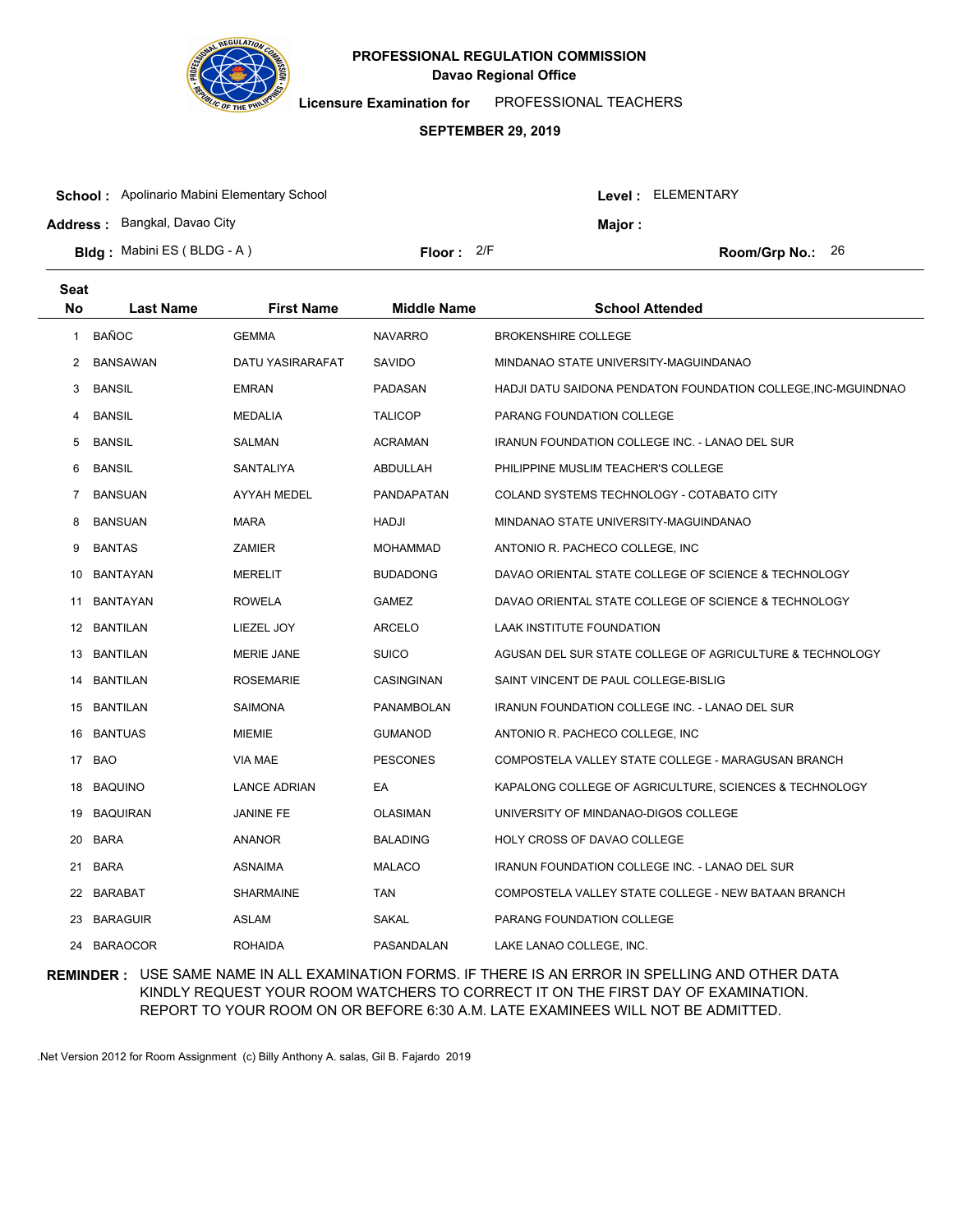

**Seat**

# **Davao Regional Office PROFESSIONAL REGULATION COMMISSION**

**Licensure Examination for**  PROFESSIONAL TEACHERS

#### **SEPTEMBER 29, 2019**

| <b>School:</b> Apolinario Mabini Elementary School |              |  | Level : ELEMENTARY |                           |  |
|----------------------------------------------------|--------------|--|--------------------|---------------------------|--|
| <b>Address: Bangkal, Davao City</b>                |              |  | <b>Major:</b>      |                           |  |
| <b>Bldg:</b> Mabini ES (BLDG - A)                  | Floor: $2/F$ |  |                    | <b>Room/Grp No.:</b> $26$ |  |

| No             | <b>Last Name</b> | <b>First Name</b>   | <b>Middle Name</b> | <b>School Attended</b>                                        |
|----------------|------------------|---------------------|--------------------|---------------------------------------------------------------|
| $\mathbf{1}$   | <b>BAÑOC</b>     | <b>GEMMA</b>        | <b>NAVARRO</b>     | <b>BROKENSHIRE COLLEGE</b>                                    |
| $\overline{2}$ | <b>BANSAWAN</b>  | DATU YASIRARAFAT    | <b>SAVIDO</b>      | MINDANAO STATE UNIVERSITY-MAGUINDANAO                         |
| 3              | <b>BANSIL</b>    | <b>EMRAN</b>        | PADASAN            | HADJI DATU SAIDONA PENDATON FOUNDATION COLLEGE, INC-MGUINDNAO |
| 4              | <b>BANSIL</b>    | <b>MEDALIA</b>      | <b>TALICOP</b>     | PARANG FOUNDATION COLLEGE                                     |
| 5              | <b>BANSIL</b>    | <b>SALMAN</b>       | <b>ACRAMAN</b>     | IRANUN FOUNDATION COLLEGE INC. - LANAO DEL SUR                |
| 6              | <b>BANSIL</b>    | SANTALIYA           | ABDULLAH           | PHILIPPINE MUSLIM TEACHER'S COLLEGE                           |
| $\overline{7}$ | <b>BANSUAN</b>   | AYYAH MEDEL         | <b>PANDAPATAN</b>  | COLAND SYSTEMS TECHNOLOGY - COTABATO CITY                     |
| 8              | <b>BANSUAN</b>   | <b>MARA</b>         | HADJI              | MINDANAO STATE UNIVERSITY-MAGUINDANAO                         |
| 9              | <b>BANTAS</b>    | <b>ZAMIER</b>       | <b>MOHAMMAD</b>    | ANTONIO R. PACHECO COLLEGE, INC                               |
|                | 10 BANTAYAN      | <b>MERELIT</b>      | <b>BUDADONG</b>    | DAVAO ORIENTAL STATE COLLEGE OF SCIENCE & TECHNOLOGY          |
| 11             | <b>BANTAYAN</b>  | <b>ROWELA</b>       | <b>GAMEZ</b>       | DAVAO ORIENTAL STATE COLLEGE OF SCIENCE & TECHNOLOGY          |
|                | 12 BANTILAN      | LIEZEL JOY          | <b>ARCELO</b>      | LAAK INSTITUTE FOUNDATION                                     |
|                | 13 BANTILAN      | <b>MERIE JANE</b>   | <b>SUICO</b>       | AGUSAN DEL SUR STATE COLLEGE OF AGRICULTURE & TECHNOLOGY      |
| 14             | <b>BANTILAN</b>  | <b>ROSEMARIE</b>    | CASINGINAN         | SAINT VINCENT DE PAUL COLLEGE-BISLIG                          |
|                | 15 BANTILAN      | <b>SAIMONA</b>      | <b>PANAMBOLAN</b>  | <b>IRANUN FOUNDATION COLLEGE INC. - LANAO DEL SUR</b>         |
|                | 16 BANTUAS       | MIEMIE              | <b>GUMANOD</b>     | ANTONIO R. PACHECO COLLEGE, INC                               |
| 17             | <b>BAO</b>       | <b>VIA MAE</b>      | <b>PESCONES</b>    | COMPOSTELA VALLEY STATE COLLEGE - MARAGUSAN BRANCH            |
|                | 18 BAQUINO       | <b>LANCE ADRIAN</b> | EA                 | KAPALONG COLLEGE OF AGRICULTURE, SCIENCES & TECHNOLOGY        |
|                | 19 BAQUIRAN      | <b>JANINE FE</b>    | <b>OLASIMAN</b>    | UNIVERSITY OF MINDANAO-DIGOS COLLEGE                          |
|                | 20 BARA          | <b>ANANOR</b>       | <b>BALADING</b>    | HOLY CROSS OF DAVAO COLLEGE                                   |
| 21             | <b>BARA</b>      | ASNAIMA             | <b>MALACO</b>      | IRANUN FOUNDATION COLLEGE INC. - LANAO DEL SUR                |
|                | 22 BARABAT       | <b>SHARMAINE</b>    | TAN                | COMPOSTELA VALLEY STATE COLLEGE - NEW BATAAN BRANCH           |
|                | 23 BARAGUIR      | ASLAM               | SAKAL              | PARANG FOUNDATION COLLEGE                                     |
|                | 24 BARAOCOR      | <b>ROHAIDA</b>      | PASANDALAN         | LAKE LANAO COLLEGE, INC.                                      |

## **REMINDER :** USE SAME NAME IN ALL EXAMINATION FORMS. IF THERE IS AN ERROR IN SPELLING AND OTHER DATA KINDLY REQUEST YOUR ROOM WATCHERS TO CORRECT IT ON THE FIRST DAY OF EXAMINATION. REPORT TO YOUR ROOM ON OR BEFORE 6:30 A.M. LATE EXAMINEES WILL NOT BE ADMITTED.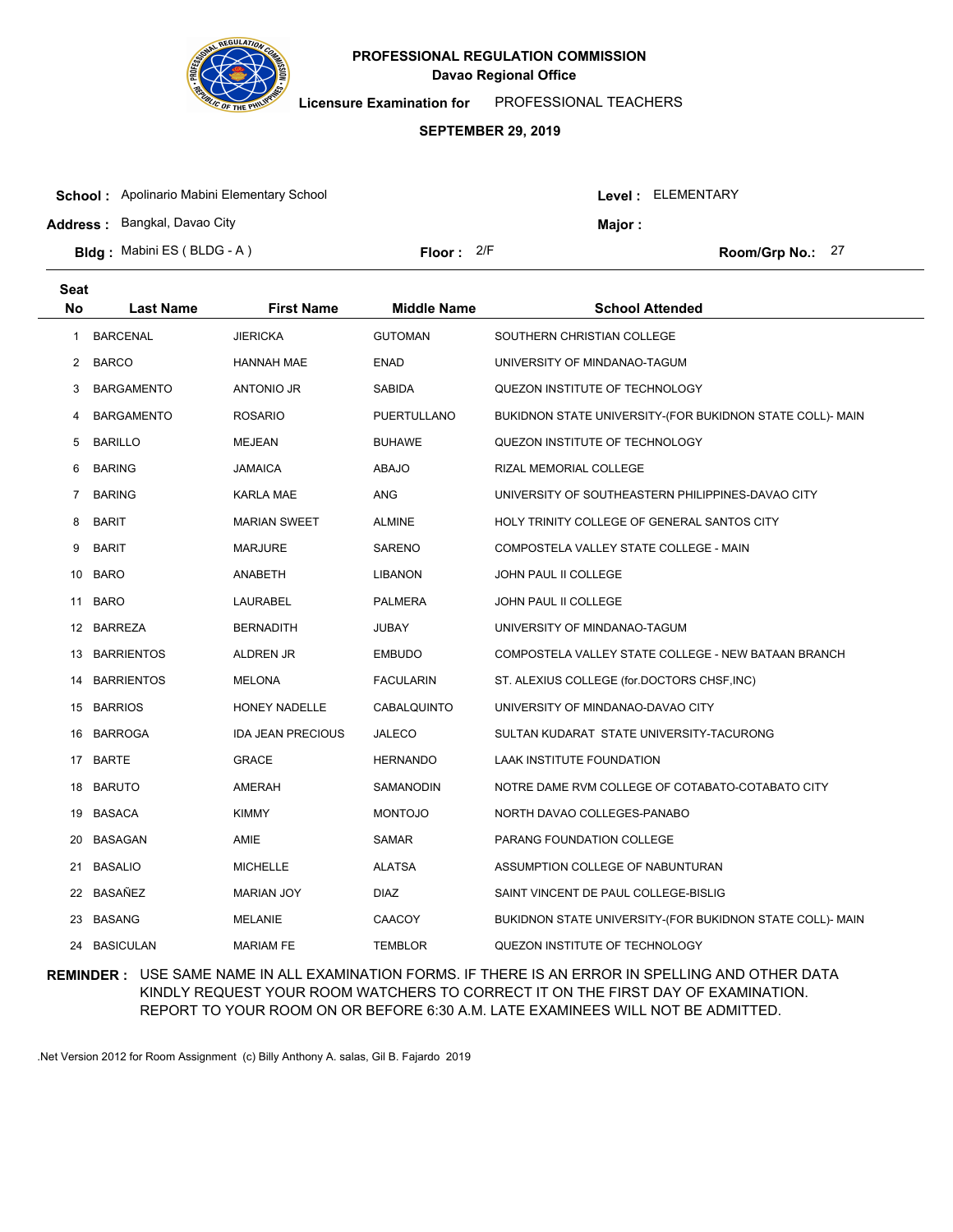

**Licensure Examination for**  PROFESSIONAL TEACHERS

#### **SEPTEMBER 29, 2019**

| <b>School:</b> Apolinario Mabini Elementary School |              |  | Level : ELEMENTARY |                    |  |
|----------------------------------------------------|--------------|--|--------------------|--------------------|--|
| <b>Address: Bangkal, Davao City</b>                |              |  | Maior :            |                    |  |
| <b>Bldg:</b> Mabini ES (BLDG - A)                  | Floor: $2/F$ |  |                    | Room/Grp No.: $27$ |  |

| <b>Seat</b>    |                   |                          |                    |                                                           |
|----------------|-------------------|--------------------------|--------------------|-----------------------------------------------------------|
| <b>No</b>      | <b>Last Name</b>  | <b>First Name</b>        | <b>Middle Name</b> | <b>School Attended</b>                                    |
| 1              | <b>BARCENAL</b>   | <b>JIERICKA</b>          | <b>GUTOMAN</b>     | SOUTHERN CHRISTIAN COLLEGE                                |
| $\overline{2}$ | <b>BARCO</b>      | <b>HANNAH MAE</b>        | <b>ENAD</b>        | UNIVERSITY OF MINDANAO-TAGUM                              |
| 3              | <b>BARGAMENTO</b> | <b>ANTONIO JR</b>        | <b>SABIDA</b>      | QUEZON INSTITUTE OF TECHNOLOGY                            |
| 4              | <b>BARGAMENTO</b> | <b>ROSARIO</b>           | PUERTULLANO        | BUKIDNON STATE UNIVERSITY-(FOR BUKIDNON STATE COLL)- MAIN |
| 5              | <b>BARILLO</b>    | <b>MEJEAN</b>            | <b>BUHAWE</b>      | QUEZON INSTITUTE OF TECHNOLOGY                            |
| 6              | <b>BARING</b>     | <b>JAMAICA</b>           | <b>ABAJO</b>       | RIZAL MEMORIAL COLLEGE                                    |
| $\overline{7}$ | <b>BARING</b>     | KARLA MAE                | <b>ANG</b>         | UNIVERSITY OF SOUTHEASTERN PHILIPPINES-DAVAO CITY         |
| 8              | <b>BARIT</b>      | <b>MARIAN SWEET</b>      | <b>ALMINE</b>      | HOLY TRINITY COLLEGE OF GENERAL SANTOS CITY               |
| 9              | <b>BARIT</b>      | <b>MARJURE</b>           | SARENO             | COMPOSTELA VALLEY STATE COLLEGE - MAIN                    |
|                | 10 BARO           | ANABETH                  | <b>LIBANON</b>     | JOHN PAUL II COLLEGE                                      |
| 11             | <b>BARO</b>       | LAURABEL                 | <b>PALMERA</b>     | JOHN PAUL II COLLEGE                                      |
|                | 12 BARREZA        | <b>BERNADITH</b>         | JUBAY              | UNIVERSITY OF MINDANAO-TAGUM                              |
|                | 13 BARRIENTOS     | ALDREN JR                | <b>EMBUDO</b>      | COMPOSTELA VALLEY STATE COLLEGE - NEW BATAAN BRANCH       |
| 14             | <b>BARRIENTOS</b> | <b>MELONA</b>            | <b>FACULARIN</b>   | ST. ALEXIUS COLLEGE (for.DOCTORS CHSF, INC)               |
|                | 15 BARRIOS        | HONEY NADELLE            | CABALQUINTO        | UNIVERSITY OF MINDANAO-DAVAO CITY                         |
| 16             | <b>BARROGA</b>    | <b>IDA JEAN PRECIOUS</b> | <b>JALECO</b>      | SULTAN KUDARAT STATE UNIVERSITY-TACURONG                  |
|                | 17 BARTE          | <b>GRACE</b>             | <b>HERNANDO</b>    | LAAK INSTITUTE FOUNDATION                                 |
| 18             | <b>BARUTO</b>     | AMERAH                   | SAMANODIN          | NOTRE DAME RVM COLLEGE OF COTABATO-COTABATO CITY          |
| 19             | BASACA            | <b>KIMMY</b>             | <b>MONTOJO</b>     | NORTH DAVAO COLLEGES-PANABO                               |
| 20             | <b>BASAGAN</b>    | AMIE                     | <b>SAMAR</b>       | PARANG FOUNDATION COLLEGE                                 |
| 21             | <b>BASALIO</b>    | <b>MICHELLE</b>          | <b>ALATSA</b>      | ASSUMPTION COLLEGE OF NABUNTURAN                          |
|                | 22 BASAÑEZ        | <b>MARIAN JOY</b>        | <b>DIAZ</b>        | SAINT VINCENT DE PAUL COLLEGE-BISLIG                      |
| 23             | <b>BASANG</b>     | <b>MELANIE</b>           | CAACOY             | BUKIDNON STATE UNIVERSITY-(FOR BUKIDNON STATE COLL)- MAIN |
| 24             | <b>BASICULAN</b>  | <b>MARIAM FE</b>         | <b>TEMBLOR</b>     | QUEZON INSTITUTE OF TECHNOLOGY                            |

## **REMINDER :** USE SAME NAME IN ALL EXAMINATION FORMS. IF THERE IS AN ERROR IN SPELLING AND OTHER DATA KINDLY REQUEST YOUR ROOM WATCHERS TO CORRECT IT ON THE FIRST DAY OF EXAMINATION. REPORT TO YOUR ROOM ON OR BEFORE 6:30 A.M. LATE EXAMINEES WILL NOT BE ADMITTED.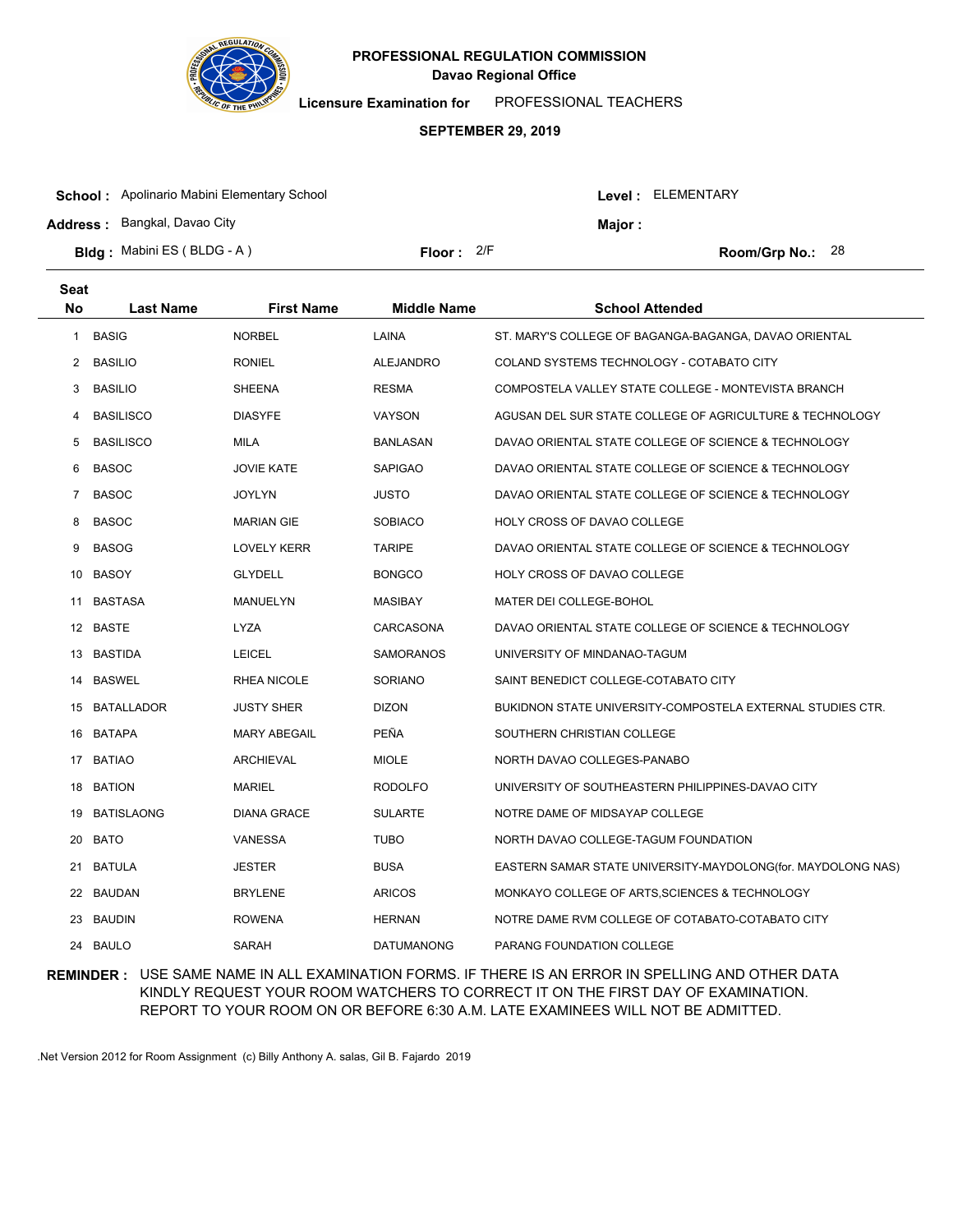

**Licensure Examination for**  PROFESSIONAL TEACHERS

#### **SEPTEMBER 29, 2019**

| <b>School:</b> Apolinario Mabini Elementary School |              |  | Level : ELEMENTARY |                    |  |
|----------------------------------------------------|--------------|--|--------------------|--------------------|--|
| <b>Address: Bangkal, Davao City</b>                |              |  | Major :            |                    |  |
| <b>Bldg:</b> Mabini ES (BLDG - A)                  | Floor: $2/F$ |  |                    | Room/Grp No.: $28$ |  |

| <b>Seat</b>    |                  |                     |                    |                                                              |
|----------------|------------------|---------------------|--------------------|--------------------------------------------------------------|
| No             | <b>Last Name</b> | <b>First Name</b>   | <b>Middle Name</b> | <b>School Attended</b>                                       |
| 1              | <b>BASIG</b>     | <b>NORBEL</b>       | LAINA              | ST. MARY'S COLLEGE OF BAGANGA-BAGANGA, DAVAO ORIENTAL        |
| 2              | <b>BASILIO</b>   | <b>RONIEL</b>       | <b>ALEJANDRO</b>   | COLAND SYSTEMS TECHNOLOGY - COTABATO CITY                    |
| 3              | <b>BASILIO</b>   | <b>SHEENA</b>       | <b>RESMA</b>       | COMPOSTELA VALLEY STATE COLLEGE - MONTEVISTA BRANCH          |
| 4              | <b>BASILISCO</b> | <b>DIASYFE</b>      | VAYSON             | AGUSAN DEL SUR STATE COLLEGE OF AGRICULTURE & TECHNOLOGY     |
| 5              | <b>BASILISCO</b> | MILA                | <b>BANLASAN</b>    | DAVAO ORIENTAL STATE COLLEGE OF SCIENCE & TECHNOLOGY         |
| 6              | <b>BASOC</b>     | <b>JOVIE KATE</b>   | <b>SAPIGAO</b>     | DAVAO ORIENTAL STATE COLLEGE OF SCIENCE & TECHNOLOGY         |
| $\overline{7}$ | <b>BASOC</b>     | <b>JOYLYN</b>       | <b>JUSTO</b>       | DAVAO ORIENTAL STATE COLLEGE OF SCIENCE & TECHNOLOGY         |
| 8              | <b>BASOC</b>     | <b>MARIAN GIE</b>   | <b>SOBIACO</b>     | HOLY CROSS OF DAVAO COLLEGE                                  |
| 9              | <b>BASOG</b>     | <b>LOVELY KERR</b>  | <b>TARIPE</b>      | DAVAO ORIENTAL STATE COLLEGE OF SCIENCE & TECHNOLOGY         |
| 10             | <b>BASOY</b>     | <b>GLYDELL</b>      | <b>BONGCO</b>      | HOLY CROSS OF DAVAO COLLEGE                                  |
| 11             | <b>BASTASA</b>   | MANUELYN            | <b>MASIBAY</b>     | <b>MATER DEI COLLEGE-BOHOL</b>                               |
|                | 12 BASTE         | <b>LYZA</b>         | CARCASONA          | DAVAO ORIENTAL STATE COLLEGE OF SCIENCE & TECHNOLOGY         |
|                | 13 BASTIDA       | <b>LEICEL</b>       | <b>SAMORANOS</b>   | UNIVERSITY OF MINDANAO-TAGUM                                 |
| 14             | <b>BASWEL</b>    | RHEA NICOLE         | <b>SORIANO</b>     | SAINT BENEDICT COLLEGE-COTABATO CITY                         |
|                | 15 BATALLADOR    | <b>JUSTY SHER</b>   | <b>DIZON</b>       | BUKIDNON STATE UNIVERSITY-COMPOSTELA EXTERNAL STUDIES CTR.   |
|                | 16 BATAPA        | <b>MARY ABEGAIL</b> | <b>PEÑA</b>        | SOUTHERN CHRISTIAN COLLEGE                                   |
|                | 17 BATIAO        | <b>ARCHIEVAL</b>    | <b>MIOLE</b>       | NORTH DAVAO COLLEGES-PANABO                                  |
| 18             | <b>BATION</b>    | <b>MARIEL</b>       | <b>RODOLFO</b>     | UNIVERSITY OF SOUTHEASTERN PHILIPPINES-DAVAO CITY            |
| 19             | BATISLAONG       | <b>DIANA GRACE</b>  | <b>SULARTE</b>     | NOTRE DAME OF MIDSAYAP COLLEGE                               |
| 20             | <b>BATO</b>      | <b>VANESSA</b>      | <b>TUBO</b>        | NORTH DAVAO COLLEGE-TAGUM FOUNDATION                         |
| 21             | <b>BATULA</b>    | <b>JESTER</b>       | <b>BUSA</b>        | EASTERN SAMAR STATE UNIVERSITY-MAYDOLONG(for. MAYDOLONG NAS) |
| 22             | BAUDAN           | <b>BRYLENE</b>      | <b>ARICOS</b>      | MONKAYO COLLEGE OF ARTS, SCIENCES & TECHNOLOGY               |
| 23             | <b>BAUDIN</b>    | <b>ROWENA</b>       | <b>HERNAN</b>      | NOTRE DAME RVM COLLEGE OF COTABATO-COTABATO CITY             |
| 24             | <b>BAULO</b>     | <b>SARAH</b>        | <b>DATUMANONG</b>  | PARANG FOUNDATION COLLEGE                                    |

## **REMINDER :** USE SAME NAME IN ALL EXAMINATION FORMS. IF THERE IS AN ERROR IN SPELLING AND OTHER DATA KINDLY REQUEST YOUR ROOM WATCHERS TO CORRECT IT ON THE FIRST DAY OF EXAMINATION. REPORT TO YOUR ROOM ON OR BEFORE 6:30 A.M. LATE EXAMINEES WILL NOT BE ADMITTED.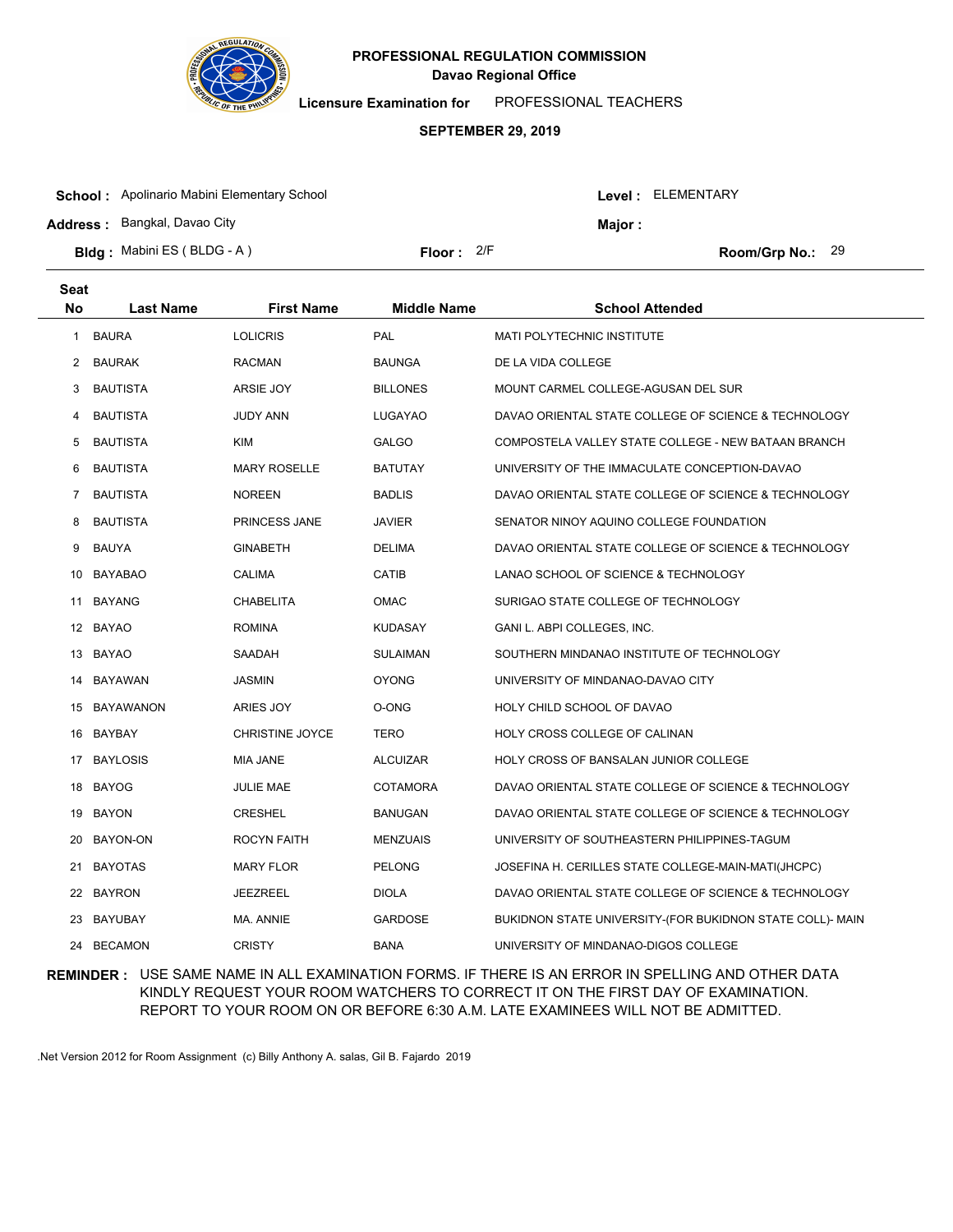

**Licensure Examination for**  PROFESSIONAL TEACHERS

#### **SEPTEMBER 29, 2019**

| <b>School:</b> Apolinario Mabini Elementary School |              |  |         | Level: ELEMENTARY  |
|----------------------------------------------------|--------------|--|---------|--------------------|
| <b>Address: Bangkal, Davao City</b>                |              |  | Maior : |                    |
| <b>Bldg:</b> Mabini ES (BLDG - A)                  | Floor: $2/F$ |  |         | Room/Grp No.: $29$ |

| <b>Seat</b> |                  |                        |                    |                                                           |
|-------------|------------------|------------------------|--------------------|-----------------------------------------------------------|
| No          | <b>Last Name</b> | <b>First Name</b>      | <b>Middle Name</b> | <b>School Attended</b>                                    |
| 1           | <b>BAURA</b>     | <b>LOLICRIS</b>        | PAL                | <b>MATI POLYTECHNIC INSTITUTE</b>                         |
| 2           | <b>BAURAK</b>    | <b>RACMAN</b>          | <b>BAUNGA</b>      | DE LA VIDA COLLEGE                                        |
| 3           | <b>BAUTISTA</b>  | ARSIE JOY              | <b>BILLONES</b>    | MOUNT CARMEL COLLEGE-AGUSAN DEL SUR                       |
| 4           | <b>BAUTISTA</b>  | <b>JUDY ANN</b>        | LUGAYAO            | DAVAO ORIENTAL STATE COLLEGE OF SCIENCE & TECHNOLOGY      |
| 5           | <b>BAUTISTA</b>  | <b>KIM</b>             | <b>GALGO</b>       | COMPOSTELA VALLEY STATE COLLEGE - NEW BATAAN BRANCH       |
| 6           | <b>BAUTISTA</b>  | <b>MARY ROSELLE</b>    | <b>BATUTAY</b>     | UNIVERSITY OF THE IMMACULATE CONCEPTION-DAVAO             |
| 7           | <b>BAUTISTA</b>  | <b>NOREEN</b>          | <b>BADLIS</b>      | DAVAO ORIENTAL STATE COLLEGE OF SCIENCE & TECHNOLOGY      |
| 8           | <b>BAUTISTA</b>  | PRINCESS JANE          | <b>JAVIER</b>      | SENATOR NINOY AQUINO COLLEGE FOUNDATION                   |
| 9           | <b>BAUYA</b>     | <b>GINABETH</b>        | <b>DELIMA</b>      | DAVAO ORIENTAL STATE COLLEGE OF SCIENCE & TECHNOLOGY      |
| 10          | <b>BAYABAO</b>   | <b>CALIMA</b>          | <b>CATIB</b>       | LANAO SCHOOL OF SCIENCE & TECHNOLOGY                      |
|             | 11 BAYANG        | <b>CHABELITA</b>       | <b>OMAC</b>        | SURIGAO STATE COLLEGE OF TECHNOLOGY                       |
|             | 12 BAYAO         | <b>ROMINA</b>          | <b>KUDASAY</b>     | GANI L. ABPI COLLEGES, INC.                               |
|             | 13 BAYAO         | SAADAH                 | <b>SULAIMAN</b>    | SOUTHERN MINDANAO INSTITUTE OF TECHNOLOGY                 |
| 14          | BAYAWAN          | <b>JASMIN</b>          | <b>OYONG</b>       | UNIVERSITY OF MINDANAO-DAVAO CITY                         |
|             | 15 BAYAWANON     | ARIES JOY              | O-ONG              | HOLY CHILD SCHOOL OF DAVAO                                |
|             | 16 BAYBAY        | <b>CHRISTINE JOYCE</b> | TERO               | HOLY CROSS COLLEGE OF CALINAN                             |
|             | 17 BAYLOSIS      | <b>MIA JANE</b>        | <b>ALCUIZAR</b>    | HOLY CROSS OF BANSALAN JUNIOR COLLEGE                     |
| 18          | <b>BAYOG</b>     | <b>JULIE MAE</b>       | <b>COTAMORA</b>    | DAVAO ORIENTAL STATE COLLEGE OF SCIENCE & TECHNOLOGY      |
| 19          | <b>BAYON</b>     | <b>CRESHEL</b>         | <b>BANUGAN</b>     | DAVAO ORIENTAL STATE COLLEGE OF SCIENCE & TECHNOLOGY      |
| 20          | BAYON-ON         | ROCYN FAITH            | <b>MENZUAIS</b>    | UNIVERSITY OF SOUTHEASTERN PHILIPPINES-TAGUM              |
| 21          | <b>BAYOTAS</b>   | <b>MARY FLOR</b>       | <b>PELONG</b>      | JOSEFINA H. CERILLES STATE COLLEGE-MAIN-MATI(JHCPC)       |
| 22          | <b>BAYRON</b>    | <b>JEEZREEL</b>        | <b>DIOLA</b>       | DAVAO ORIENTAL STATE COLLEGE OF SCIENCE & TECHNOLOGY      |
| 23          | BAYUBAY          | MA. ANNIE              | <b>GARDOSE</b>     | BUKIDNON STATE UNIVERSITY-(FOR BUKIDNON STATE COLL)- MAIN |
| 24          | <b>BECAMON</b>   | <b>CRISTY</b>          | <b>BANA</b>        | UNIVERSITY OF MINDANAO-DIGOS COLLEGE                      |

## **REMINDER :** USE SAME NAME IN ALL EXAMINATION FORMS. IF THERE IS AN ERROR IN SPELLING AND OTHER DATA KINDLY REQUEST YOUR ROOM WATCHERS TO CORRECT IT ON THE FIRST DAY OF EXAMINATION. REPORT TO YOUR ROOM ON OR BEFORE 6:30 A.M. LATE EXAMINEES WILL NOT BE ADMITTED.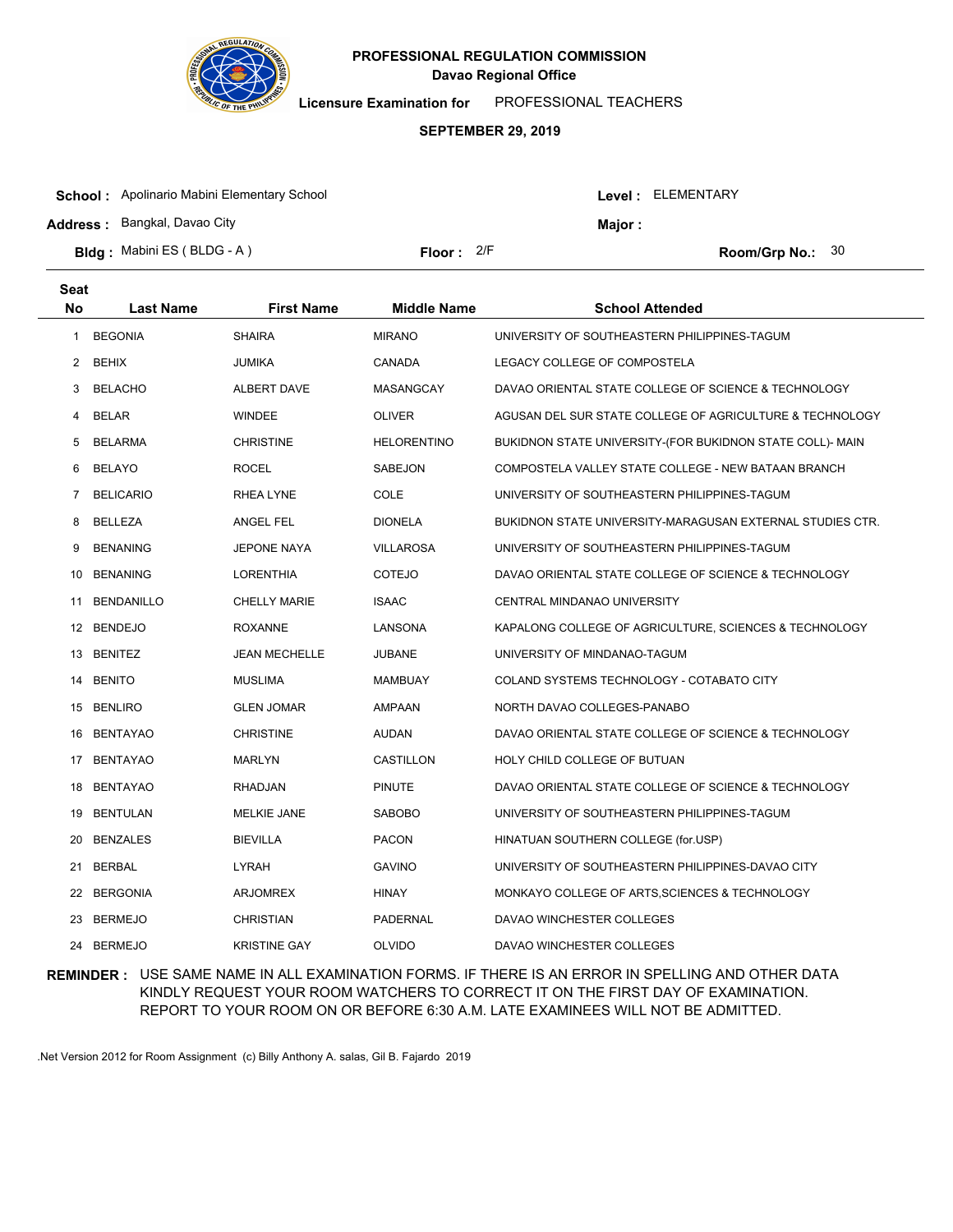

**Licensure Examination for**  PROFESSIONAL TEACHERS

#### **SEPTEMBER 29, 2019**

| <b>School:</b> Apolinario Mabini Elementary School |              |  | Level: ELEMENTARY |                           |  |
|----------------------------------------------------|--------------|--|-------------------|---------------------------|--|
| <b>Address: Bangkal, Davao City</b>                |              |  | Major:            |                           |  |
| <b>Bldg:</b> Mabini ES (BLDG - A)                  | Floor: $2/F$ |  |                   | <b>Room/Grp No.:</b> $30$ |  |

| <b>Seat</b>    |                   |                      |                    |                                                           |
|----------------|-------------------|----------------------|--------------------|-----------------------------------------------------------|
| No             | <b>Last Name</b>  | <b>First Name</b>    | <b>Middle Name</b> | <b>School Attended</b>                                    |
| 1              | <b>BEGONIA</b>    | <b>SHAIRA</b>        | <b>MIRANO</b>      | UNIVERSITY OF SOUTHEASTERN PHILIPPINES-TAGUM              |
| $\overline{2}$ | <b>BEHIX</b>      | JUMIKA               | CANADA             | LEGACY COLLEGE OF COMPOSTELA                              |
| 3              | <b>BELACHO</b>    | ALBERT DAVE          | MASANGCAY          | DAVAO ORIENTAL STATE COLLEGE OF SCIENCE & TECHNOLOGY      |
| 4              | <b>BELAR</b>      | <b>WINDEE</b>        | <b>OLIVER</b>      | AGUSAN DEL SUR STATE COLLEGE OF AGRICULTURE & TECHNOLOGY  |
| 5              | <b>BELARMA</b>    | <b>CHRISTINE</b>     | <b>HELORENTINO</b> | BUKIDNON STATE UNIVERSITY-(FOR BUKIDNON STATE COLL)- MAIN |
| 6              | <b>BELAYO</b>     | <b>ROCEL</b>         | SABEJON            | COMPOSTELA VALLEY STATE COLLEGE - NEW BATAAN BRANCH       |
| 7              | <b>BELICARIO</b>  | RHEA LYNE            | COLE               | UNIVERSITY OF SOUTHEASTERN PHILIPPINES-TAGUM              |
| 8              | <b>BELLEZA</b>    | <b>ANGEL FEL</b>     | <b>DIONELA</b>     | BUKIDNON STATE UNIVERSITY-MARAGUSAN EXTERNAL STUDIES CTR. |
| 9              | <b>BENANING</b>   | <b>JEPONE NAYA</b>   | <b>VILLAROSA</b>   | UNIVERSITY OF SOUTHEASTERN PHILIPPINES-TAGUM              |
| 10             | <b>BENANING</b>   | <b>LORENTHIA</b>     | <b>COTEJO</b>      | DAVAO ORIENTAL STATE COLLEGE OF SCIENCE & TECHNOLOGY      |
| 11             | <b>BENDANILLO</b> | <b>CHELLY MARIE</b>  | <b>ISAAC</b>       | CENTRAL MINDANAO UNIVERSITY                               |
|                | 12 BENDEJO        | <b>ROXANNE</b>       | LANSONA            | KAPALONG COLLEGE OF AGRICULTURE, SCIENCES & TECHNOLOGY    |
|                | 13 BENITEZ        | <b>JEAN MECHELLE</b> | <b>JUBANE</b>      | UNIVERSITY OF MINDANAO-TAGUM                              |
| 14             | <b>BENITO</b>     | <b>MUSLIMA</b>       | <b>MAMBUAY</b>     | COLAND SYSTEMS TECHNOLOGY - COTABATO CITY                 |
|                | 15 BENLIRO        | <b>GLEN JOMAR</b>    | AMPAAN             | NORTH DAVAO COLLEGES-PANABO                               |
| 16             | <b>BENTAYAO</b>   | <b>CHRISTINE</b>     | AUDAN              | DAVAO ORIENTAL STATE COLLEGE OF SCIENCE & TECHNOLOGY      |
| 17             | <b>BENTAYAO</b>   | <b>MARLYN</b>        | CASTILLON          | HOLY CHILD COLLEGE OF BUTUAN                              |
| 18             | <b>BENTAYAO</b>   | <b>RHADJAN</b>       | <b>PINUTE</b>      | DAVAO ORIENTAL STATE COLLEGE OF SCIENCE & TECHNOLOGY      |
| 19             | <b>BENTULAN</b>   | <b>MELKIE JANE</b>   | <b>SABOBO</b>      | UNIVERSITY OF SOUTHEASTERN PHILIPPINES-TAGUM              |
| 20             | <b>BENZALES</b>   | <b>BIEVILLA</b>      | <b>PACON</b>       | HINATUAN SOUTHERN COLLEGE (for.USP)                       |
| 21             | <b>BERBAL</b>     | <b>LYRAH</b>         | <b>GAVINO</b>      | UNIVERSITY OF SOUTHEASTERN PHILIPPINES-DAVAO CITY         |
| 22             | <b>BERGONIA</b>   | <b>ARJOMREX</b>      | <b>HINAY</b>       | MONKAYO COLLEGE OF ARTS, SCIENCES & TECHNOLOGY            |
| 23             | <b>BERMEJO</b>    | <b>CHRISTIAN</b>     | <b>PADERNAL</b>    | DAVAO WINCHESTER COLLEGES                                 |
|                | 24 BERMEJO        | <b>KRISTINE GAY</b>  | <b>OLVIDO</b>      | DAVAO WINCHESTER COLLEGES                                 |

## **REMINDER :** USE SAME NAME IN ALL EXAMINATION FORMS. IF THERE IS AN ERROR IN SPELLING AND OTHER DATA KINDLY REQUEST YOUR ROOM WATCHERS TO CORRECT IT ON THE FIRST DAY OF EXAMINATION. REPORT TO YOUR ROOM ON OR BEFORE 6:30 A.M. LATE EXAMINEES WILL NOT BE ADMITTED.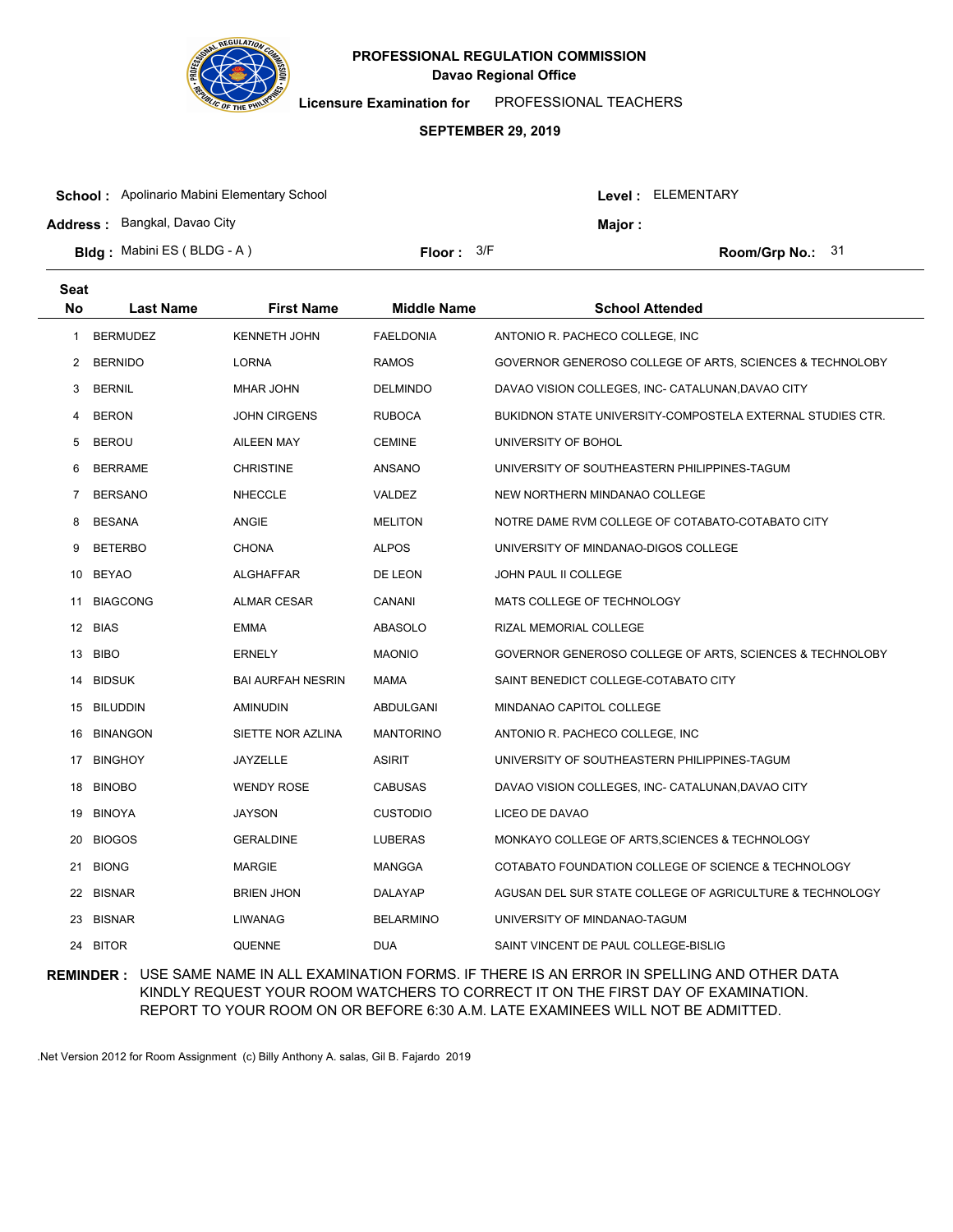

**Licensure Examination for**  PROFESSIONAL TEACHERS

#### **SEPTEMBER 29, 2019**

| <b>School:</b> Apolinario Mabini Elementary School |              |         | Level: ELEMENTARY |                         |  |
|----------------------------------------------------|--------------|---------|-------------------|-------------------------|--|
| <b>Address: Bangkal, Davao City</b>                |              | Major : |                   |                         |  |
| <b>Bldg:</b> Mabini ES (BLDG - A)                  | Floor: $3/F$ |         |                   | <b>Room/Grp No.: 31</b> |  |

| <b>Seat</b> |                  |                          |                    |                                                            |
|-------------|------------------|--------------------------|--------------------|------------------------------------------------------------|
| No          | <b>Last Name</b> | <b>First Name</b>        | <b>Middle Name</b> | <b>School Attended</b>                                     |
| 1           | <b>BERMUDEZ</b>  | <b>KENNETH JOHN</b>      | <b>FAELDONIA</b>   | ANTONIO R. PACHECO COLLEGE, INC                            |
| 2           | <b>BERNIDO</b>   | <b>LORNA</b>             | <b>RAMOS</b>       | GOVERNOR GENEROSO COLLEGE OF ARTS, SCIENCES & TECHNOLOBY   |
| 3           | <b>BERNIL</b>    | <b>MHAR JOHN</b>         | <b>DELMINDO</b>    | DAVAO VISION COLLEGES, INC- CATALUNAN, DAVAO CITY          |
| 4           | <b>BERON</b>     | JOHN CIRGENS             | <b>RUBOCA</b>      | BUKIDNON STATE UNIVERSITY-COMPOSTELA EXTERNAL STUDIES CTR. |
| 5           | <b>BEROU</b>     | <b>AILEEN MAY</b>        | <b>CEMINE</b>      | UNIVERSITY OF BOHOL                                        |
| 6           | <b>BERRAME</b>   | <b>CHRISTINE</b>         | ANSANO             | UNIVERSITY OF SOUTHEASTERN PHILIPPINES-TAGUM               |
| 7           | <b>BERSANO</b>   | <b>NHECCLE</b>           | VALDEZ             | NEW NORTHERN MINDANAO COLLEGE                              |
| 8           | <b>BESANA</b>    | <b>ANGIE</b>             | <b>MELITON</b>     | NOTRE DAME RVM COLLEGE OF COTABATO-COTABATO CITY           |
| 9           | <b>BETERBO</b>   | <b>CHONA</b>             | <b>ALPOS</b>       | UNIVERSITY OF MINDANAO-DIGOS COLLEGE                       |
| 10          | BEYAO            | ALGHAFFAR                | DE LEON            | JOHN PAUL II COLLEGE                                       |
| 11          | <b>BIAGCONG</b>  | <b>ALMAR CESAR</b>       | CANANI             | MATS COLLEGE OF TECHNOLOGY                                 |
|             | 12 BIAS          | <b>EMMA</b>              | <b>ABASOLO</b>     | RIZAL MEMORIAL COLLEGE                                     |
|             | 13 BIBO          | <b>ERNELY</b>            | <b>MAONIO</b>      | GOVERNOR GENEROSO COLLEGE OF ARTS, SCIENCES & TECHNOLOBY   |
|             | 14 BIDSUK        | <b>BAI AURFAH NESRIN</b> | MAMA               | SAINT BENEDICT COLLEGE-COTABATO CITY                       |
|             | 15 BILUDDIN      | <b>AMINUDIN</b>          | ABDULGANI          | MINDANAO CAPITOL COLLEGE                                   |
|             | 16 BINANGON      | SIETTE NOR AZLINA        | <b>MANTORINO</b>   | ANTONIO R. PACHECO COLLEGE, INC.                           |
|             | 17 BINGHOY       | JAYZELLE                 | <b>ASIRIT</b>      | UNIVERSITY OF SOUTHEASTERN PHILIPPINES-TAGUM               |
| 18          | <b>BINOBO</b>    | <b>WENDY ROSE</b>        | <b>CABUSAS</b>     | DAVAO VISION COLLEGES, INC- CATALUNAN, DAVAO CITY          |
|             | 19 BINOYA        | JAYSON                   | <b>CUSTODIO</b>    | LICEO DE DAVAO                                             |
| 20          | <b>BIOGOS</b>    | <b>GERALDINE</b>         | LUBERAS            | MONKAYO COLLEGE OF ARTS, SCIENCES & TECHNOLOGY             |
| 21          | <b>BIONG</b>     | <b>MARGIE</b>            | <b>MANGGA</b>      | COTABATO FOUNDATION COLLEGE OF SCIENCE & TECHNOLOGY        |
| 22          | <b>BISNAR</b>    | <b>BRIEN JHON</b>        | DALAYAP            | AGUSAN DEL SUR STATE COLLEGE OF AGRICULTURE & TECHNOLOGY   |
| 23          | <b>BISNAR</b>    | <b>LIWANAG</b>           | <b>BELARMINO</b>   | UNIVERSITY OF MINDANAO-TAGUM                               |
|             | 24 BITOR         | <b>QUENNE</b>            | <b>DUA</b>         | SAINT VINCENT DE PAUL COLLEGE-BISLIG                       |

## **REMINDER :** USE SAME NAME IN ALL EXAMINATION FORMS. IF THERE IS AN ERROR IN SPELLING AND OTHER DATA KINDLY REQUEST YOUR ROOM WATCHERS TO CORRECT IT ON THE FIRST DAY OF EXAMINATION. REPORT TO YOUR ROOM ON OR BEFORE 6:30 A.M. LATE EXAMINEES WILL NOT BE ADMITTED.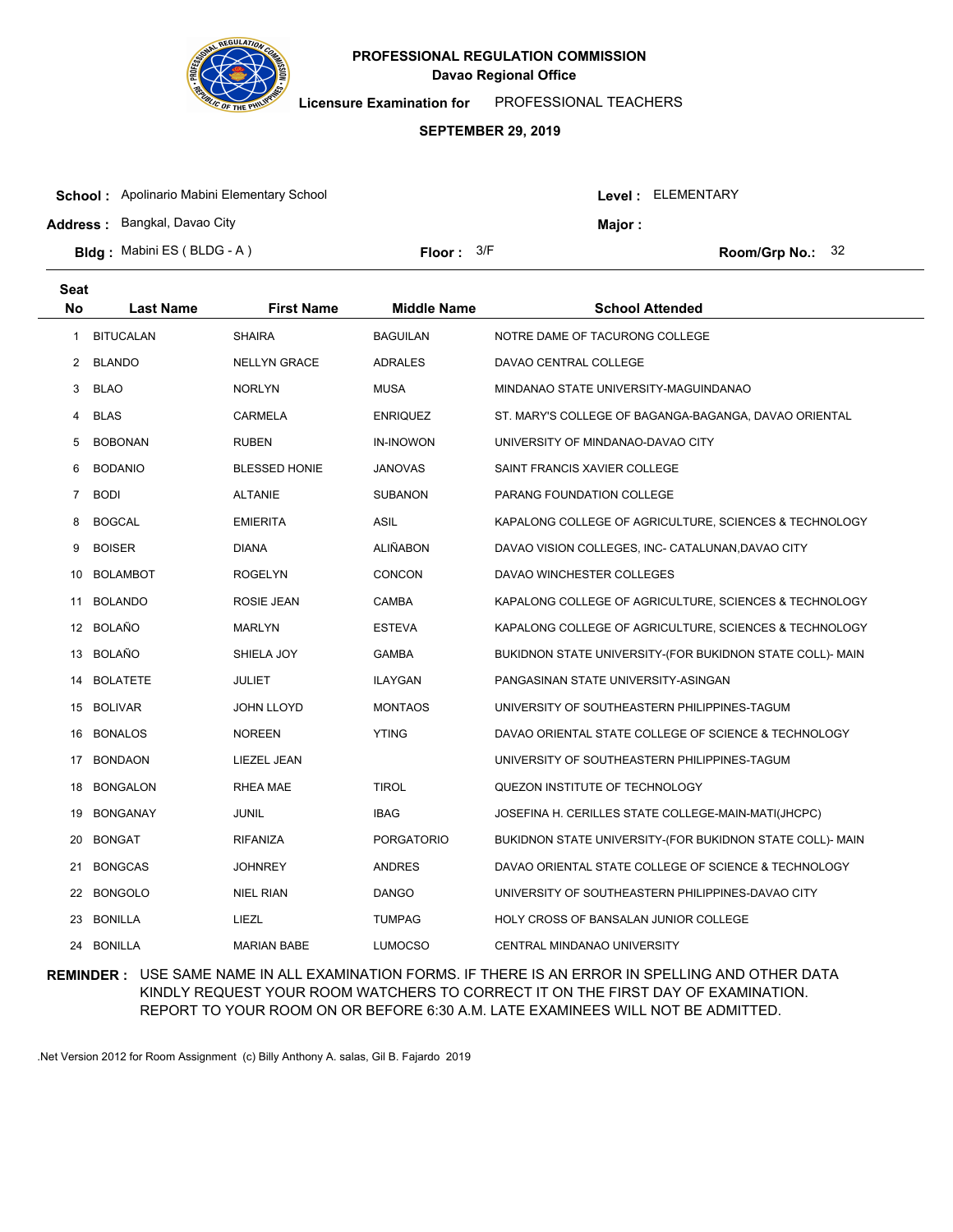

**Licensure Examination for**  PROFESSIONAL TEACHERS

#### **SEPTEMBER 29, 2019**

| <b>School:</b> Apolinario Mabini Elementary School |              |         | Level : ELEMENTARY |                    |  |
|----------------------------------------------------|--------------|---------|--------------------|--------------------|--|
| <b>Address: Bangkal, Davao City</b>                |              | Major : |                    |                    |  |
| <b>Bldg:</b> Mabini ES (BLDG - A)                  | Floor: $3/F$ |         |                    | Room/Grp No.: $32$ |  |

| <b>Seat</b>    |                  |                      |                    |                                                           |
|----------------|------------------|----------------------|--------------------|-----------------------------------------------------------|
| <b>No</b>      | <b>Last Name</b> | <b>First Name</b>    | <b>Middle Name</b> | <b>School Attended</b>                                    |
| 1              | <b>BITUCALAN</b> | <b>SHAIRA</b>        | <b>BAGUILAN</b>    | NOTRE DAME OF TACURONG COLLEGE                            |
| $\overline{2}$ | <b>BLANDO</b>    | <b>NELLYN GRACE</b>  | <b>ADRALES</b>     | DAVAO CENTRAL COLLEGE                                     |
| 3              | <b>BLAO</b>      | <b>NORLYN</b>        | <b>MUSA</b>        | MINDANAO STATE UNIVERSITY-MAGUINDANAO                     |
| 4              | <b>BLAS</b>      | CARMELA              | <b>ENRIQUEZ</b>    | ST. MARY'S COLLEGE OF BAGANGA-BAGANGA, DAVAO ORIENTAL     |
| 5              | <b>BOBONAN</b>   | <b>RUBEN</b>         | <b>IN-INOWON</b>   | UNIVERSITY OF MINDANAO-DAVAO CITY                         |
| 6              | <b>BODANIO</b>   | <b>BLESSED HONIE</b> | <b>JANOVAS</b>     | SAINT FRANCIS XAVIER COLLEGE                              |
| 7              | <b>BODI</b>      | <b>ALTANIE</b>       | <b>SUBANON</b>     | PARANG FOUNDATION COLLEGE                                 |
| 8              | <b>BOGCAL</b>    | <b>EMIERITA</b>      | <b>ASIL</b>        | KAPALONG COLLEGE OF AGRICULTURE, SCIENCES & TECHNOLOGY    |
| 9              | <b>BOISER</b>    | <b>DIANA</b>         | <b>ALIÑABON</b>    | DAVAO VISION COLLEGES, INC- CATALUNAN, DAVAO CITY         |
| 10             | <b>BOLAMBOT</b>  | <b>ROGELYN</b>       | <b>CONCON</b>      | DAVAO WINCHESTER COLLEGES                                 |
| 11             | <b>BOLANDO</b>   | ROSIE JEAN           | CAMBA              | KAPALONG COLLEGE OF AGRICULTURE, SCIENCES & TECHNOLOGY    |
|                | 12 BOLAÑO        | <b>MARLYN</b>        | <b>ESTEVA</b>      | KAPALONG COLLEGE OF AGRICULTURE, SCIENCES & TECHNOLOGY    |
|                | 13 BOLAÑO        | SHIELA JOY           | <b>GAMBA</b>       | BUKIDNON STATE UNIVERSITY-(FOR BUKIDNON STATE COLL)- MAIN |
| 14             | <b>BOLATETE</b>  | <b>JULIET</b>        | <b>ILAYGAN</b>     | PANGASINAN STATE UNIVERSITY-ASINGAN                       |
|                | 15 BOLIVAR       | <b>JOHN LLOYD</b>    | <b>MONTAOS</b>     | UNIVERSITY OF SOUTHEASTERN PHILIPPINES-TAGUM              |
| 16             | <b>BONALOS</b>   | <b>NOREEN</b>        | <b>YTING</b>       | DAVAO ORIENTAL STATE COLLEGE OF SCIENCE & TECHNOLOGY      |
| 17             | <b>BONDAON</b>   | LIEZEL JEAN          |                    | UNIVERSITY OF SOUTHEASTERN PHILIPPINES-TAGUM              |
| 18             | <b>BONGALON</b>  | <b>RHEA MAE</b>      | <b>TIROL</b>       | QUEZON INSTITUTE OF TECHNOLOGY                            |
| 19             | <b>BONGANAY</b>  | JUNIL                | <b>IBAG</b>        | JOSEFINA H. CERILLES STATE COLLEGE-MAIN-MATI(JHCPC)       |
| 20             | <b>BONGAT</b>    | RIFANIZA             | <b>PORGATORIO</b>  | BUKIDNON STATE UNIVERSITY-(FOR BUKIDNON STATE COLL)- MAIN |
| 21             | <b>BONGCAS</b>   | <b>JOHNREY</b>       | <b>ANDRES</b>      | DAVAO ORIENTAL STATE COLLEGE OF SCIENCE & TECHNOLOGY      |
| 22             | <b>BONGOLO</b>   | <b>NIEL RIAN</b>     | <b>DANGO</b>       | UNIVERSITY OF SOUTHEASTERN PHILIPPINES-DAVAO CITY         |
| 23             | <b>BONILLA</b>   | LIEZL                | <b>TUMPAG</b>      | HOLY CROSS OF BANSALAN JUNIOR COLLEGE                     |
|                | 24 BONILLA       | <b>MARIAN BABE</b>   | <b>LUMOCSO</b>     | CENTRAL MINDANAO UNIVERSITY                               |

## **REMINDER :** USE SAME NAME IN ALL EXAMINATION FORMS. IF THERE IS AN ERROR IN SPELLING AND OTHER DATA KINDLY REQUEST YOUR ROOM WATCHERS TO CORRECT IT ON THE FIRST DAY OF EXAMINATION. REPORT TO YOUR ROOM ON OR BEFORE 6:30 A.M. LATE EXAMINEES WILL NOT BE ADMITTED.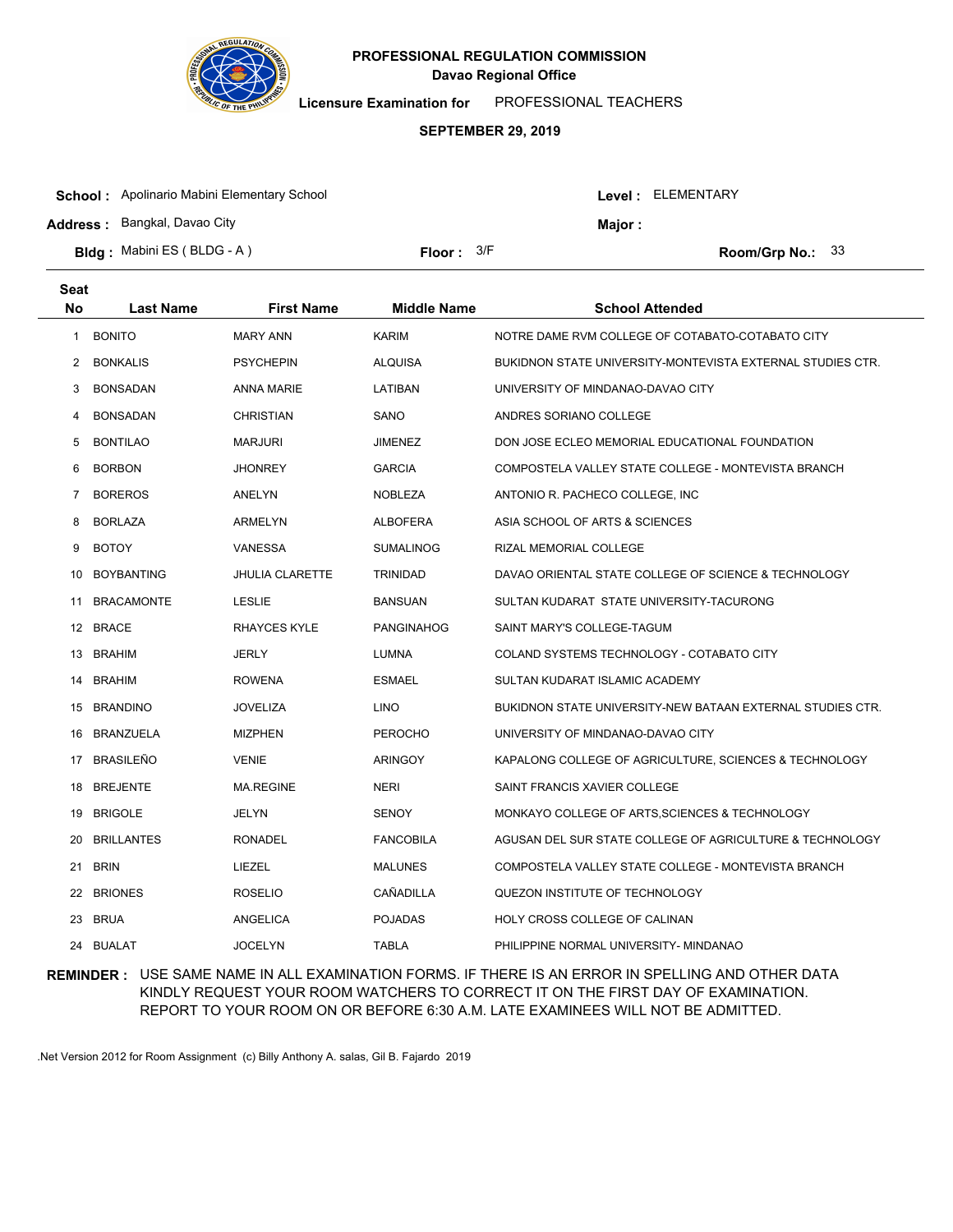

**Licensure Examination for**  PROFESSIONAL TEACHERS

#### **SEPTEMBER 29, 2019**

| <b>School:</b> Apolinario Mabini Elementary School |                     |         | Level: ELEMENTARY |                         |  |
|----------------------------------------------------|---------------------|---------|-------------------|-------------------------|--|
| <b>Address: Bangkal, Davao City</b>                |                     | Major : |                   |                         |  |
| <b>Bldg:</b> Mabini ES (BLDG - A)                  | <b>Floor:</b> $3/F$ |         |                   | <b>Room/Grp No.: 33</b> |  |

| Seat           |                   |                        |                    |                                                            |
|----------------|-------------------|------------------------|--------------------|------------------------------------------------------------|
| No             | <b>Last Name</b>  | <b>First Name</b>      | <b>Middle Name</b> | <b>School Attended</b>                                     |
| 1              | <b>BONITO</b>     | <b>MARY ANN</b>        | <b>KARIM</b>       | NOTRE DAME RVM COLLEGE OF COTABATO-COTABATO CITY           |
| $\overline{2}$ | <b>BONKALIS</b>   | <b>PSYCHEPIN</b>       | <b>ALQUISA</b>     | BUKIDNON STATE UNIVERSITY-MONTEVISTA EXTERNAL STUDIES CTR. |
| 3              | <b>BONSADAN</b>   | <b>ANNA MARIE</b>      | LATIBAN            | UNIVERSITY OF MINDANAO-DAVAO CITY                          |
| 4              | <b>BONSADAN</b>   | <b>CHRISTIAN</b>       | SANO               | ANDRES SORIANO COLLEGE                                     |
| 5              | <b>BONTILAO</b>   | <b>MARJURI</b>         | <b>JIMENEZ</b>     | DON JOSE ECLEO MEMORIAL EDUCATIONAL FOUNDATION             |
| 6              | <b>BORBON</b>     | <b>JHONREY</b>         | <b>GARCIA</b>      | COMPOSTELA VALLEY STATE COLLEGE - MONTEVISTA BRANCH        |
| 7              | <b>BOREROS</b>    | ANELYN                 | <b>NOBLEZA</b>     | ANTONIO R. PACHECO COLLEGE, INC.                           |
| 8              | <b>BORLAZA</b>    | ARMELYN                | <b>ALBOFERA</b>    | ASIA SCHOOL OF ARTS & SCIENCES                             |
| 9              | <b>BOTOY</b>      | <b>VANESSA</b>         | <b>SUMALINOG</b>   | RIZAL MEMORIAL COLLEGE                                     |
| 10             | <b>BOYBANTING</b> | <b>JHULIA CLARETTE</b> | <b>TRINIDAD</b>    | DAVAO ORIENTAL STATE COLLEGE OF SCIENCE & TECHNOLOGY       |
| 11             | <b>BRACAMONTE</b> | <b>LESLIE</b>          | <b>BANSUAN</b>     | SULTAN KUDARAT STATE UNIVERSITY-TACURONG                   |
|                | 12 BRACE          | RHAYCES KYLE           | <b>PANGINAHOG</b>  | SAINT MARY'S COLLEGE-TAGUM                                 |
|                | 13 BRAHIM         | <b>JERLY</b>           | <b>LUMNA</b>       | COLAND SYSTEMS TECHNOLOGY - COTABATO CITY                  |
| 14             | <b>BRAHIM</b>     | <b>ROWENA</b>          | <b>ESMAEL</b>      | SULTAN KUDARAT ISLAMIC ACADEMY                             |
|                | 15 BRANDINO       | <b>JOVELIZA</b>        | <b>LINO</b>        | BUKIDNON STATE UNIVERSITY-NEW BATAAN EXTERNAL STUDIES CTR. |
| 16             | <b>BRANZUELA</b>  | <b>MIZPHEN</b>         | <b>PEROCHO</b>     | UNIVERSITY OF MINDANAO-DAVAO CITY                          |
| 17             | <b>BRASILEÑO</b>  | <b>VENIE</b>           | <b>ARINGOY</b>     | KAPALONG COLLEGE OF AGRICULTURE, SCIENCES & TECHNOLOGY     |
| 18             | <b>BREJENTE</b>   | <b>MA.REGINE</b>       | <b>NERI</b>        | SAINT FRANCIS XAVIER COLLEGE                               |
| 19             | <b>BRIGOLE</b>    | <b>JELYN</b>           | <b>SENOY</b>       | MONKAYO COLLEGE OF ARTS, SCIENCES & TECHNOLOGY             |
| 20             | <b>BRILLANTES</b> | <b>RONADEL</b>         | <b>FANCOBILA</b>   | AGUSAN DEL SUR STATE COLLEGE OF AGRICULTURE & TECHNOLOGY   |
| 21             | <b>BRIN</b>       | LIEZEL                 | <b>MALUNES</b>     | COMPOSTELA VALLEY STATE COLLEGE - MONTEVISTA BRANCH        |
| 22             | <b>BRIONES</b>    | <b>ROSELIO</b>         | CAÑADILLA          | QUEZON INSTITUTE OF TECHNOLOGY                             |
| 23             | <b>BRUA</b>       | ANGELICA               | <b>POJADAS</b>     | HOLY CROSS COLLEGE OF CALINAN                              |
|                | 24 BUALAT         | <b>JOCELYN</b>         | <b>TABLA</b>       | PHILIPPINE NORMAL UNIVERSITY- MINDANAO                     |

## **REMINDER :** USE SAME NAME IN ALL EXAMINATION FORMS. IF THERE IS AN ERROR IN SPELLING AND OTHER DATA KINDLY REQUEST YOUR ROOM WATCHERS TO CORRECT IT ON THE FIRST DAY OF EXAMINATION. REPORT TO YOUR ROOM ON OR BEFORE 6:30 A.M. LATE EXAMINEES WILL NOT BE ADMITTED.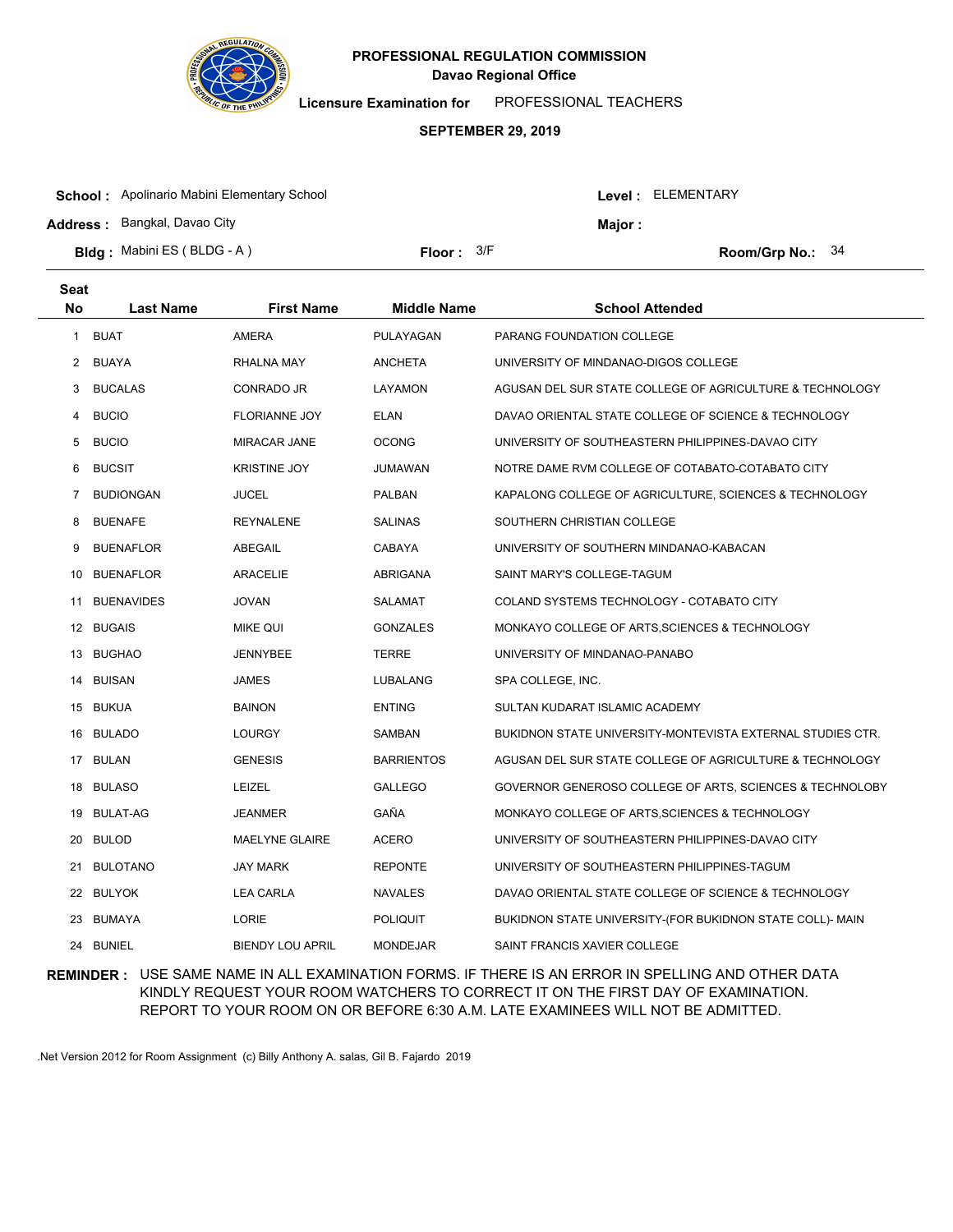

**Licensure Examination for**  PROFESSIONAL TEACHERS

#### **SEPTEMBER 29, 2019**

| <b>School:</b> Apolinario Mabini Elementary School |              |  | Level : ELEMENTARY |                    |  |
|----------------------------------------------------|--------------|--|--------------------|--------------------|--|
| <b>Address: Bangkal, Davao City</b>                |              |  | Maior:             |                    |  |
| <b>Bldg:</b> Mabini ES (BLDG - A)                  | Floor: $3/F$ |  |                    | Room/Grp No.: $34$ |  |

| <b>Seat</b> |                   |                         |                    |                                                            |
|-------------|-------------------|-------------------------|--------------------|------------------------------------------------------------|
| No          | <b>Last Name</b>  | <b>First Name</b>       | <b>Middle Name</b> | <b>School Attended</b>                                     |
| 1           | <b>BUAT</b>       | <b>AMERA</b>            | PULAYAGAN          | <b>PARANG FOUNDATION COLLEGE</b>                           |
| 2           | BUAYA             | RHALNA MAY              | <b>ANCHETA</b>     | UNIVERSITY OF MINDANAO-DIGOS COLLEGE                       |
| 3           | <b>BUCALAS</b>    | CONRADO JR              | LAYAMON            | AGUSAN DEL SUR STATE COLLEGE OF AGRICULTURE & TECHNOLOGY   |
| 4           | <b>BUCIO</b>      | <b>FLORIANNE JOY</b>    | ELAN               | DAVAO ORIENTAL STATE COLLEGE OF SCIENCE & TECHNOLOGY       |
| 5           | <b>BUCIO</b>      | <b>MIRACAR JANE</b>     | <b>OCONG</b>       | UNIVERSITY OF SOUTHEASTERN PHILIPPINES-DAVAO CITY          |
| 6           | <b>BUCSIT</b>     | <b>KRISTINE JOY</b>     | JUMAWAN            | NOTRE DAME RVM COLLEGE OF COTABATO-COTABATO CITY           |
| 7           | <b>BUDIONGAN</b>  | JUCEL                   | PALBAN             | KAPALONG COLLEGE OF AGRICULTURE, SCIENCES & TECHNOLOGY     |
| 8           | <b>BUENAFE</b>    | <b>REYNALENE</b>        | <b>SALINAS</b>     | SOUTHERN CHRISTIAN COLLEGE                                 |
| 9           | <b>BUENAFLOR</b>  | ABEGAIL                 | <b>CABAYA</b>      | UNIVERSITY OF SOUTHERN MINDANAO-KABACAN                    |
| 10          | <b>BUENAFLOR</b>  | <b>ARACELIE</b>         | ABRIGANA           | SAINT MARY'S COLLEGE-TAGUM                                 |
| 11          | <b>BUENAVIDES</b> | <b>JOVAN</b>            | SALAMAT            | COLAND SYSTEMS TECHNOLOGY - COTABATO CITY                  |
|             | 12 BUGAIS         | <b>MIKE QUI</b>         | <b>GONZALES</b>    | MONKAYO COLLEGE OF ARTS, SCIENCES & TECHNOLOGY             |
|             | 13 BUGHAO         | <b>JENNYBEE</b>         | <b>TERRE</b>       | UNIVERSITY OF MINDANAO-PANABO                              |
|             | 14 BUISAN         | <b>JAMES</b>            | LUBALANG           | SPA COLLEGE, INC.                                          |
|             | 15 BUKUA          | <b>BAINON</b>           | <b>ENTING</b>      | SULTAN KUDARAT ISLAMIC ACADEMY                             |
| 16          | <b>BULADO</b>     | LOURGY                  | SAMBAN             | BUKIDNON STATE UNIVERSITY-MONTEVISTA EXTERNAL STUDIES CTR. |
|             | 17 BULAN          | <b>GENESIS</b>          | <b>BARRIENTOS</b>  | AGUSAN DEL SUR STATE COLLEGE OF AGRICULTURE & TECHNOLOGY   |
| 18          | <b>BULASO</b>     | <b>LEIZEL</b>           | <b>GALLEGO</b>     | GOVERNOR GENEROSO COLLEGE OF ARTS, SCIENCES & TECHNOLOBY   |
| 19          | BULAT-AG          | JEANMER                 | GAÑA               | MONKAYO COLLEGE OF ARTS, SCIENCES & TECHNOLOGY             |
| 20          | <b>BULOD</b>      | <b>MAELYNE GLAIRE</b>   | <b>ACERO</b>       | UNIVERSITY OF SOUTHEASTERN PHILIPPINES-DAVAO CITY          |
| 21          | <b>BULOTANO</b>   | JAY MARK                | <b>REPONTE</b>     | UNIVERSITY OF SOUTHEASTERN PHILIPPINES-TAGUM               |
|             | 22 BULYOK         | <b>LEA CARLA</b>        | <b>NAVALES</b>     | DAVAO ORIENTAL STATE COLLEGE OF SCIENCE & TECHNOLOGY       |
|             | 23 BUMAYA         | <b>LORIE</b>            | <b>POLIQUIT</b>    | BUKIDNON STATE UNIVERSITY-(FOR BUKIDNON STATE COLL)- MAIN  |
|             | 24 BUNIEL         | <b>BIENDY LOU APRIL</b> | <b>MONDEJAR</b>    | SAINT FRANCIS XAVIER COLLEGE                               |

## **REMINDER :** USE SAME NAME IN ALL EXAMINATION FORMS. IF THERE IS AN ERROR IN SPELLING AND OTHER DATA KINDLY REQUEST YOUR ROOM WATCHERS TO CORRECT IT ON THE FIRST DAY OF EXAMINATION. REPORT TO YOUR ROOM ON OR BEFORE 6:30 A.M. LATE EXAMINEES WILL NOT BE ADMITTED.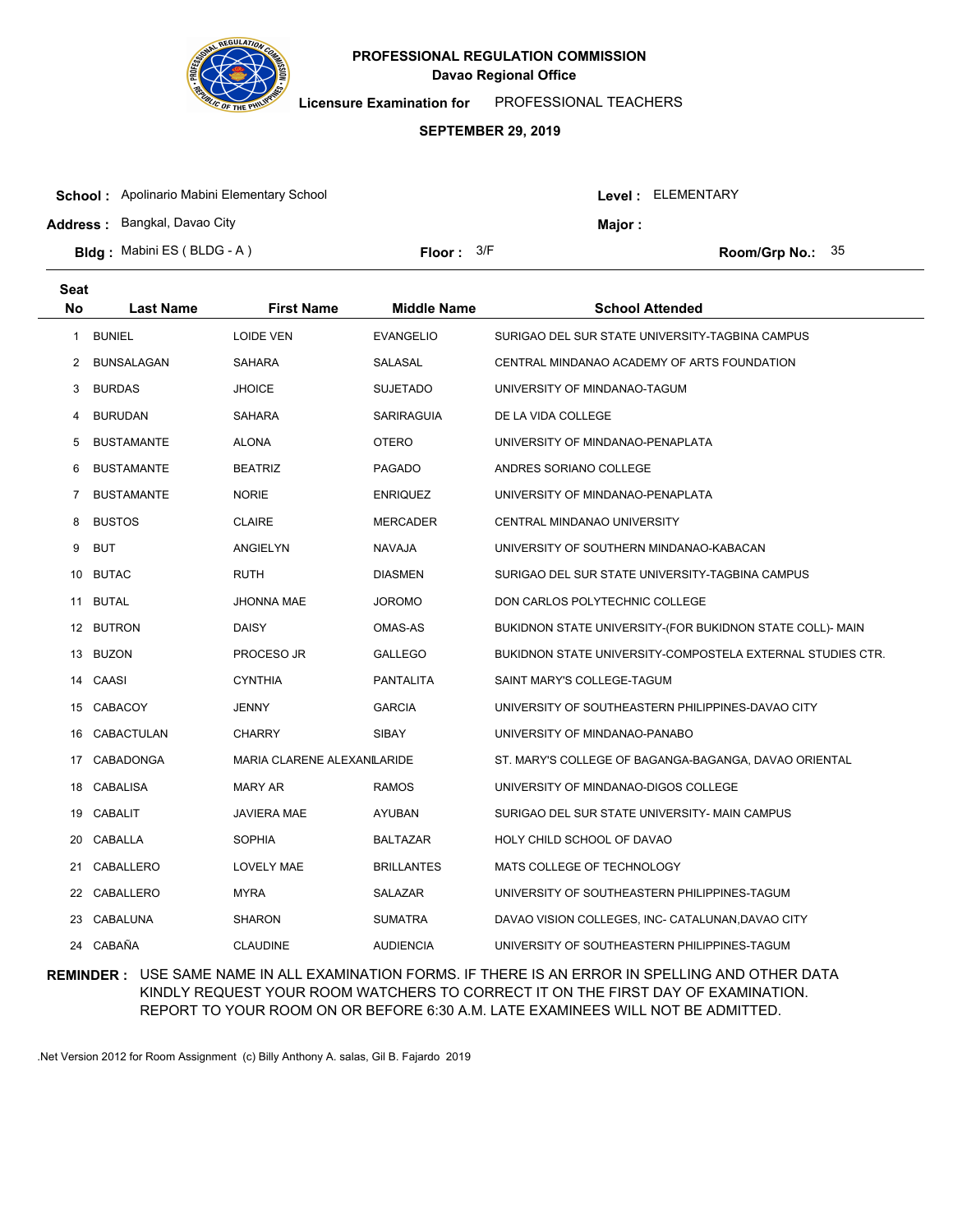

**Licensure Examination for**  PROFESSIONAL TEACHERS

#### **SEPTEMBER 29, 2019**

| <b>School:</b> Apolinario Mabini Elementary School                       |              |  | Level : ELEMENTARY |                    |  |
|--------------------------------------------------------------------------|--------------|--|--------------------|--------------------|--|
| <b>Address: Bangkal, Davao City</b><br><b>Bldg:</b> Mabini ES (BLDG - A) | Floor: $3/F$ |  | Major:             | Room/Grp No.: $35$ |  |
|                                                                          |              |  |                    |                    |  |

| <b>Seat</b> |                   |                             |                    |                                                            |
|-------------|-------------------|-----------------------------|--------------------|------------------------------------------------------------|
| <b>No</b>   | <b>Last Name</b>  | <b>First Name</b>           | <b>Middle Name</b> | <b>School Attended</b>                                     |
| 1           | <b>BUNIEL</b>     | <b>LOIDE VEN</b>            | <b>EVANGELIO</b>   | SURIGAO DEL SUR STATE UNIVERSITY-TAGBINA CAMPUS            |
| 2           | <b>BUNSALAGAN</b> | <b>SAHARA</b>               | <b>SALASAL</b>     | CENTRAL MINDANAO ACADEMY OF ARTS FOUNDATION                |
| 3           | <b>BURDAS</b>     | <b>JHOICE</b>               | <b>SUJETADO</b>    | UNIVERSITY OF MINDANAO-TAGUM                               |
| 4           | <b>BURUDAN</b>    | <b>SAHARA</b>               | SARIRAGUIA         | DE LA VIDA COLLEGE                                         |
| 5           | <b>BUSTAMANTE</b> | <b>ALONA</b>                | <b>OTERO</b>       | UNIVERSITY OF MINDANAO-PENAPLATA                           |
| 6           | <b>BUSTAMANTE</b> | <b>BEATRIZ</b>              | <b>PAGADO</b>      | ANDRES SORIANO COLLEGE                                     |
| 7           | <b>BUSTAMANTE</b> | <b>NORIE</b>                | <b>ENRIQUEZ</b>    | UNIVERSITY OF MINDANAO-PENAPLATA                           |
| 8           | <b>BUSTOS</b>     | <b>CLAIRE</b>               | <b>MERCADER</b>    | CENTRAL MINDANAO UNIVERSITY                                |
| 9           | <b>BUT</b>        | ANGIELYN                    | NAVAJA             | UNIVERSITY OF SOUTHERN MINDANAO-KABACAN                    |
|             | 10 BUTAC          | <b>RUTH</b>                 | <b>DIASMEN</b>     | SURIGAO DEL SUR STATE UNIVERSITY-TAGBINA CAMPUS            |
|             | 11 BUTAL          | <b>JHONNA MAE</b>           | <b>JOROMO</b>      | DON CARLOS POLYTECHNIC COLLEGE                             |
|             | 12 BUTRON         | <b>DAISY</b>                | OMAS-AS            | BUKIDNON STATE UNIVERSITY-(FOR BUKIDNON STATE COLL)- MAIN  |
|             | 13 BUZON          | PROCESO JR                  | <b>GALLEGO</b>     | BUKIDNON STATE UNIVERSITY-COMPOSTELA EXTERNAL STUDIES CTR. |
|             | 14 CAASI          | <b>CYNTHIA</b>              | <b>PANTALITA</b>   | SAINT MARY'S COLLEGE-TAGUM                                 |
| 15          | CABACOY           | <b>JENNY</b>                | <b>GARCIA</b>      | UNIVERSITY OF SOUTHEASTERN PHILIPPINES-DAVAO CITY          |
| 16          | CABACTULAN        | <b>CHARRY</b>               | <b>SIBAY</b>       | UNIVERSITY OF MINDANAO-PANABO                              |
| 17          | CABADONGA         | MARIA CLARENE ALEXANILARIDE |                    | ST. MARY'S COLLEGE OF BAGANGA-BAGANGA, DAVAO ORIENTAL      |
| 18          | CABALISA          | MARY AR                     | <b>RAMOS</b>       | UNIVERSITY OF MINDANAO-DIGOS COLLEGE                       |
| 19          | <b>CABALIT</b>    | <b>JAVIERA MAE</b>          | <b>AYUBAN</b>      | SURIGAO DEL SUR STATE UNIVERSITY- MAIN CAMPUS              |
| 20          | CABALLA           | <b>SOPHIA</b>               | <b>BALTAZAR</b>    | HOLY CHILD SCHOOL OF DAVAO                                 |
| 21          | CABALLERO         | LOVELY MAE                  | <b>BRILLANTES</b>  | MATS COLLEGE OF TECHNOLOGY                                 |
|             | 22 CABALLERO      | <b>MYRA</b>                 | SALAZAR            | UNIVERSITY OF SOUTHEASTERN PHILIPPINES-TAGUM               |
|             | 23 CABALUNA       | <b>SHARON</b>               | <b>SUMATRA</b>     | DAVAO VISION COLLEGES, INC- CATALUNAN, DAVAO CITY          |
|             | 24 CABAÑA         | <b>CLAUDINE</b>             | <b>AUDIENCIA</b>   | UNIVERSITY OF SOUTHEASTERN PHILIPPINES-TAGUM               |
|             |                   |                             |                    |                                                            |

## **REMINDER :** USE SAME NAME IN ALL EXAMINATION FORMS. IF THERE IS AN ERROR IN SPELLING AND OTHER DATA KINDLY REQUEST YOUR ROOM WATCHERS TO CORRECT IT ON THE FIRST DAY OF EXAMINATION. REPORT TO YOUR ROOM ON OR BEFORE 6:30 A.M. LATE EXAMINEES WILL NOT BE ADMITTED.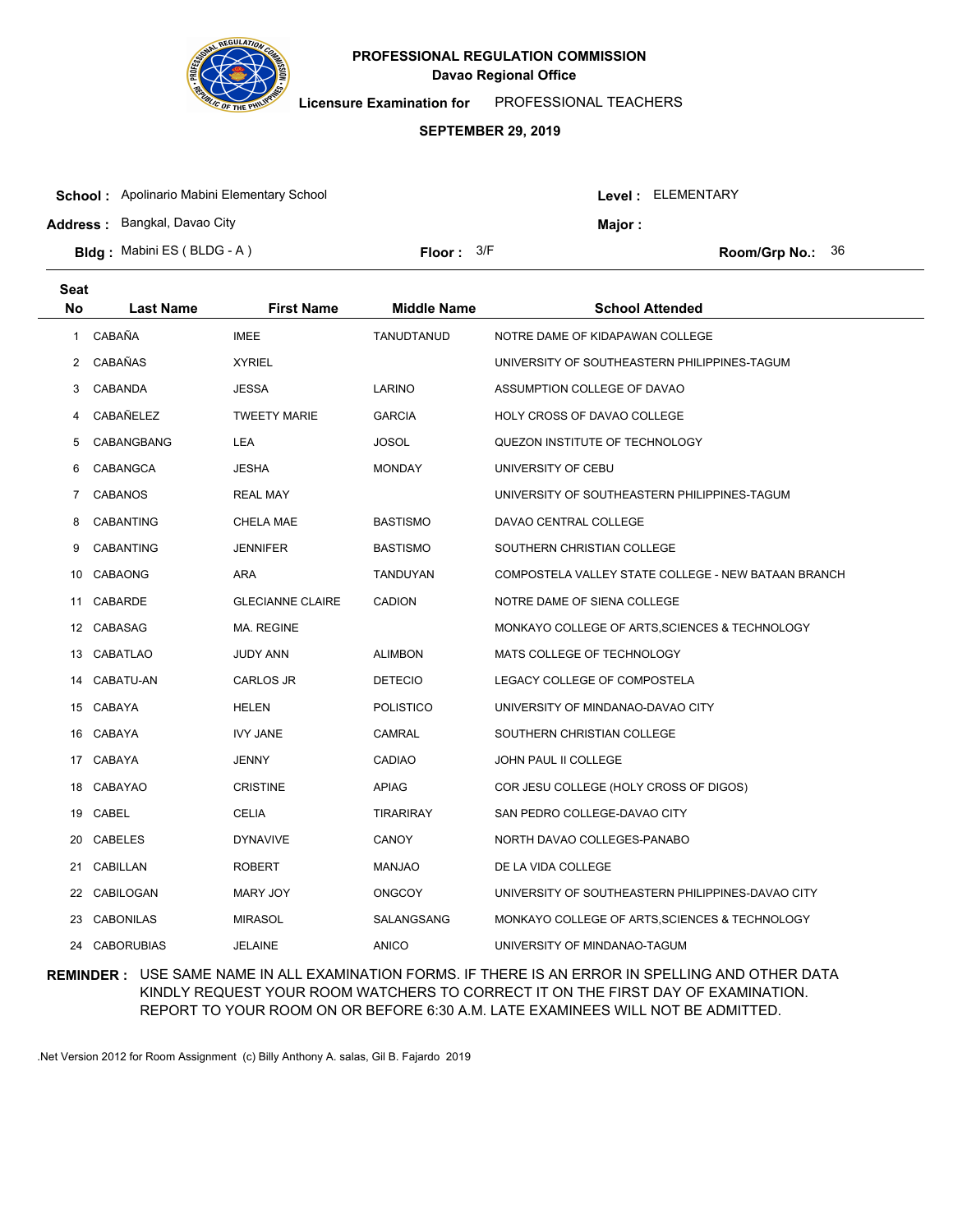

**Licensure Examination for**  PROFESSIONAL TEACHERS

#### **SEPTEMBER 29, 2019**

| <b>School:</b> Apolinario Mabini Elementary School |                     |         | Level : ELEMENTARY                   |  |
|----------------------------------------------------|---------------------|---------|--------------------------------------|--|
| <b>Address: Bangkal, Davao City</b>                |                     | Major : |                                      |  |
| <b>Bldg:</b> Mabini ES (BLDG - A)                  | <b>Floor:</b> $3/F$ |         | <b>Room/Grp No.: <math>36</math></b> |  |

| Seat         |                   |                         |                    |                                                     |
|--------------|-------------------|-------------------------|--------------------|-----------------------------------------------------|
| No           | <b>Last Name</b>  | <b>First Name</b>       | <b>Middle Name</b> | <b>School Attended</b>                              |
| $\mathbf{1}$ | CABAÑA            | <b>IMEE</b>             | TANUDTANUD         | NOTRE DAME OF KIDAPAWAN COLLEGE                     |
| $\mathbf{2}$ | CABAÑAS           | <b>XYRIEL</b>           |                    | UNIVERSITY OF SOUTHEASTERN PHILIPPINES-TAGUM        |
| 3            | CABANDA           | <b>JESSA</b>            | LARINO             | ASSUMPTION COLLEGE OF DAVAO                         |
| 4            | CABAÑELEZ         | <b>TWEETY MARIE</b>     | <b>GARCIA</b>      | HOLY CROSS OF DAVAO COLLEGE                         |
| 5            | CABANGBANG        | LEA                     | <b>JOSOL</b>       | QUEZON INSTITUTE OF TECHNOLOGY                      |
| 6            | CABANGCA          | <b>JESHA</b>            | <b>MONDAY</b>      | UNIVERSITY OF CEBU                                  |
| 7            | <b>CABANOS</b>    | <b>REAL MAY</b>         |                    | UNIVERSITY OF SOUTHEASTERN PHILIPPINES-TAGUM        |
| 8            | <b>CABANTING</b>  | CHELA MAE               | <b>BASTISMO</b>    | DAVAO CENTRAL COLLEGE                               |
| 9            | <b>CABANTING</b>  | <b>JENNIFER</b>         | <b>BASTISMO</b>    | SOUTHERN CHRISTIAN COLLEGE                          |
| 10           | CABAONG           | ARA                     | TANDUYAN           | COMPOSTELA VALLEY STATE COLLEGE - NEW BATAAN BRANCH |
| 11           | CABARDE           | <b>GLECIANNE CLAIRE</b> | <b>CADION</b>      | NOTRE DAME OF SIENA COLLEGE                         |
|              | 12 CABASAG        | MA. REGINE              |                    | MONKAYO COLLEGE OF ARTS, SCIENCES & TECHNOLOGY      |
|              | 13 CABATLAO       | <b>JUDY ANN</b>         | <b>ALIMBON</b>     | MATS COLLEGE OF TECHNOLOGY                          |
| 14           | CABATU-AN         | CARLOS JR               | <b>DETECIO</b>     | LEGACY COLLEGE OF COMPOSTELA                        |
|              | 15 CABAYA         | HELEN                   | <b>POLISTICO</b>   | UNIVERSITY OF MINDANAO-DAVAO CITY                   |
|              | 16 CABAYA         | <b>IVY JANE</b>         | CAMRAL             | SOUTHERN CHRISTIAN COLLEGE                          |
|              | 17 CABAYA         | JENNY                   | <b>CADIAO</b>      | JOHN PAUL II COLLEGE                                |
|              | 18 CABAYAO        | <b>CRISTINE</b>         | <b>APIAG</b>       | COR JESU COLLEGE (HOLY CROSS OF DIGOS)              |
|              | 19 CABEL          | CELIA                   | <b>TIRARIRAY</b>   | SAN PEDRO COLLEGE-DAVAO CITY                        |
| 20           | CABELES           | <b>DYNAVIVE</b>         | CANOY              | NORTH DAVAO COLLEGES-PANABO                         |
| 21           | CABILLAN          | <b>ROBERT</b>           | MANJAO             | DE LA VIDA COLLEGE                                  |
| 22           | CABILOGAN         | MARY JOY                | <b>ONGCOY</b>      | UNIVERSITY OF SOUTHEASTERN PHILIPPINES-DAVAO CITY   |
| 23           | <b>CABONILAS</b>  | <b>MIRASOL</b>          | SALANGSANG         | MONKAYO COLLEGE OF ARTS, SCIENCES & TECHNOLOGY      |
| 24           | <b>CABORUBIAS</b> | <b>JELAINE</b>          | <b>ANICO</b>       | UNIVERSITY OF MINDANAO-TAGUM                        |

### **REMINDER :** USE SAME NAME IN ALL EXAMINATION FORMS. IF THERE IS AN ERROR IN SPELLING AND OTHER DATA KINDLY REQUEST YOUR ROOM WATCHERS TO CORRECT IT ON THE FIRST DAY OF EXAMINATION. REPORT TO YOUR ROOM ON OR BEFORE 6:30 A.M. LATE EXAMINEES WILL NOT BE ADMITTED.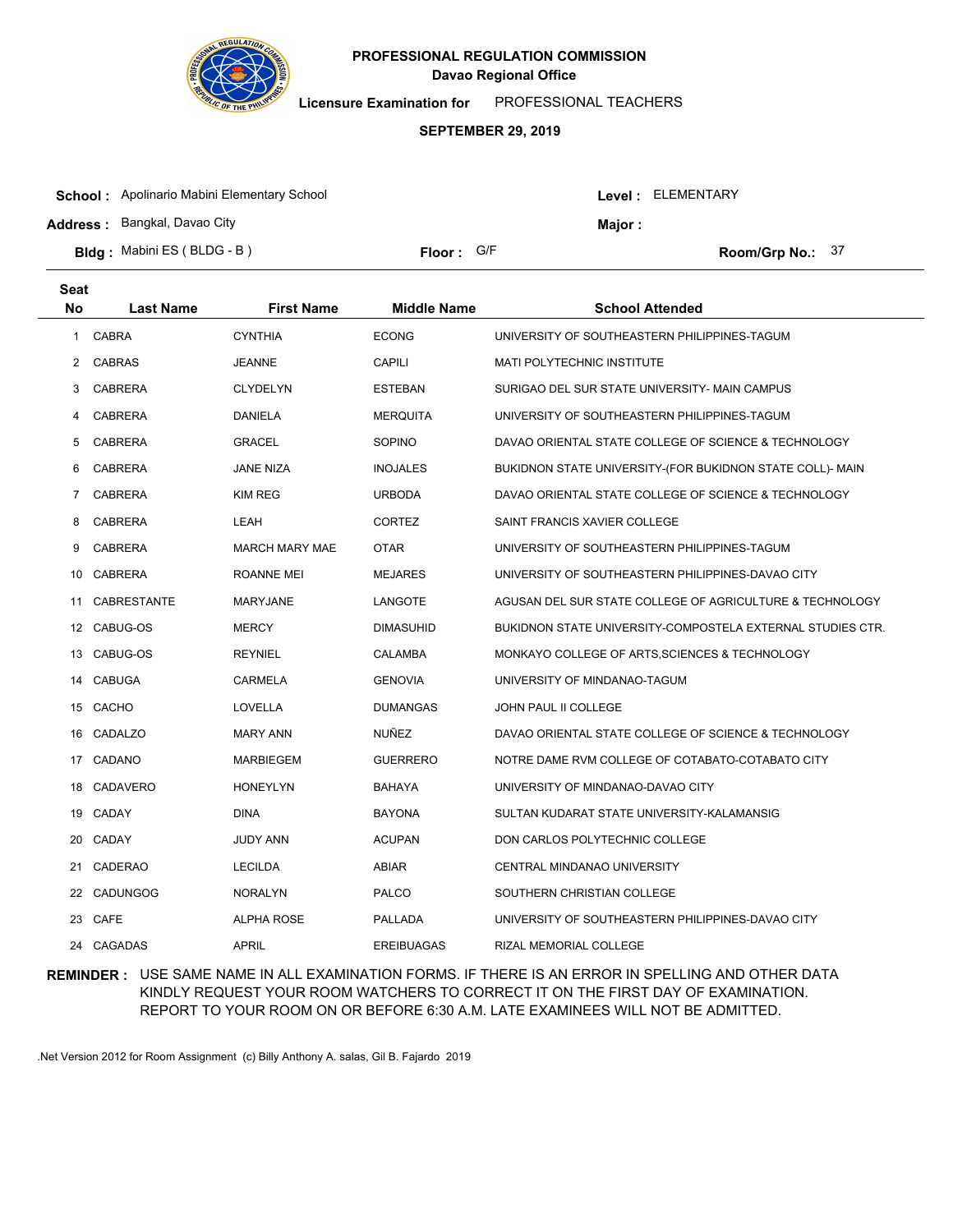

**Seat**

# **Davao Regional Office PROFESSIONAL REGULATION COMMISSION**

**Licensure Examination for**  PROFESSIONAL TEACHERS

### **SEPTEMBER 29, 2019**

| <b>School:</b> Apolinario Mabini Elementary School |            |         | Level : ELEMENTARY |                    |  |
|----------------------------------------------------|------------|---------|--------------------|--------------------|--|
| <b>Address: Bangkal, Davao City</b>                |            | Major : |                    |                    |  |
| <b>Bldg:</b> Mabini ES (BLDG - B)                  | Floor: G/F |         |                    | Room/Grp No.: $37$ |  |

| No             | <b>Last Name</b>   | <b>First Name</b>     | <b>Middle Name</b> | <b>School Attended</b>                                     |
|----------------|--------------------|-----------------------|--------------------|------------------------------------------------------------|
| $\mathbf{1}$   | <b>CABRA</b>       | <b>CYNTHIA</b>        | <b>ECONG</b>       | UNIVERSITY OF SOUTHEASTERN PHILIPPINES-TAGUM               |
| $\mathbf{2}$   | <b>CABRAS</b>      | <b>JEANNE</b>         | <b>CAPILI</b>      | MATI POLYTECHNIC INSTITUTE                                 |
| 3              | <b>CABRERA</b>     | <b>CLYDELYN</b>       | <b>ESTEBAN</b>     | SURIGAO DEL SUR STATE UNIVERSITY- MAIN CAMPUS              |
| 4              | <b>CABRERA</b>     | <b>DANIELA</b>        | <b>MERQUITA</b>    | UNIVERSITY OF SOUTHEASTERN PHILIPPINES-TAGUM               |
| 5              | CABRERA            | <b>GRACEL</b>         | <b>SOPINO</b>      | DAVAO ORIENTAL STATE COLLEGE OF SCIENCE & TECHNOLOGY       |
| 6              | <b>CABRERA</b>     | <b>JANE NIZA</b>      | <b>INOJALES</b>    | BUKIDNON STATE UNIVERSITY-(FOR BUKIDNON STATE COLL)- MAIN  |
| $\overline{7}$ | <b>CABRERA</b>     | <b>KIM REG</b>        | <b>URBODA</b>      | DAVAO ORIENTAL STATE COLLEGE OF SCIENCE & TECHNOLOGY       |
| 8              | <b>CABRERA</b>     | LEAH                  | <b>CORTEZ</b>      | SAINT FRANCIS XAVIER COLLEGE                               |
| 9              | <b>CABRERA</b>     | <b>MARCH MARY MAE</b> | <b>OTAR</b>        | UNIVERSITY OF SOUTHEASTERN PHILIPPINES-TAGUM               |
| 10             | <b>CABRERA</b>     | <b>ROANNE MEI</b>     | <b>MEJARES</b>     | UNIVERSITY OF SOUTHEASTERN PHILIPPINES-DAVAO CITY          |
| 11             | <b>CABRESTANTE</b> | <b>MARYJANE</b>       | LANGOTE            | AGUSAN DEL SUR STATE COLLEGE OF AGRICULTURE & TECHNOLOGY   |
|                | 12 CABUG-OS        | <b>MERCY</b>          | <b>DIMASUHID</b>   | BUKIDNON STATE UNIVERSITY-COMPOSTELA EXTERNAL STUDIES CTR. |
| 13             | CABUG-OS           | <b>REYNIEL</b>        | <b>CALAMBA</b>     | MONKAYO COLLEGE OF ARTS, SCIENCES & TECHNOLOGY             |
| 14             | <b>CABUGA</b>      | <b>CARMELA</b>        | <b>GENOVIA</b>     | UNIVERSITY OF MINDANAO-TAGUM                               |
|                | 15 CACHO           | LOVELLA               | <b>DUMANGAS</b>    | JOHN PAUL II COLLEGE                                       |
|                | 16 CADALZO         | <b>MARY ANN</b>       | <b>NUÑEZ</b>       | DAVAO ORIENTAL STATE COLLEGE OF SCIENCE & TECHNOLOGY       |
| 17             | CADANO             | MARBIEGEM             | <b>GUERRERO</b>    | NOTRE DAME RVM COLLEGE OF COTABATO-COTABATO CITY           |
|                | 18 CADAVERO        | <b>HONEYLYN</b>       | <b>BAHAYA</b>      | UNIVERSITY OF MINDANAO-DAVAO CITY                          |
|                | 19 CADAY           | <b>DINA</b>           | <b>BAYONA</b>      | SULTAN KUDARAT STATE UNIVERSITY-KALAMANSIG                 |
| 20             | CADAY              | JUDY ANN              | <b>ACUPAN</b>      | DON CARLOS POLYTECHNIC COLLEGE                             |
| 21             | <b>CADERAO</b>     | <b>LECILDA</b>        | ABIAR              | CENTRAL MINDANAO UNIVERSITY                                |
|                | 22 CADUNGOG        | <b>NORALYN</b>        | PALCO              | SOUTHERN CHRISTIAN COLLEGE                                 |
|                | 23 CAFE            | <b>ALPHA ROSE</b>     | PALLADA            | UNIVERSITY OF SOUTHEASTERN PHILIPPINES-DAVAO CITY          |
|                | 24 CAGADAS         | <b>APRIL</b>          | <b>EREIBUAGAS</b>  | <b>RIZAL MEMORIAL COLLEGE</b>                              |

## **REMINDER :** USE SAME NAME IN ALL EXAMINATION FORMS. IF THERE IS AN ERROR IN SPELLING AND OTHER DATA KINDLY REQUEST YOUR ROOM WATCHERS TO CORRECT IT ON THE FIRST DAY OF EXAMINATION. REPORT TO YOUR ROOM ON OR BEFORE 6:30 A.M. LATE EXAMINEES WILL NOT BE ADMITTED.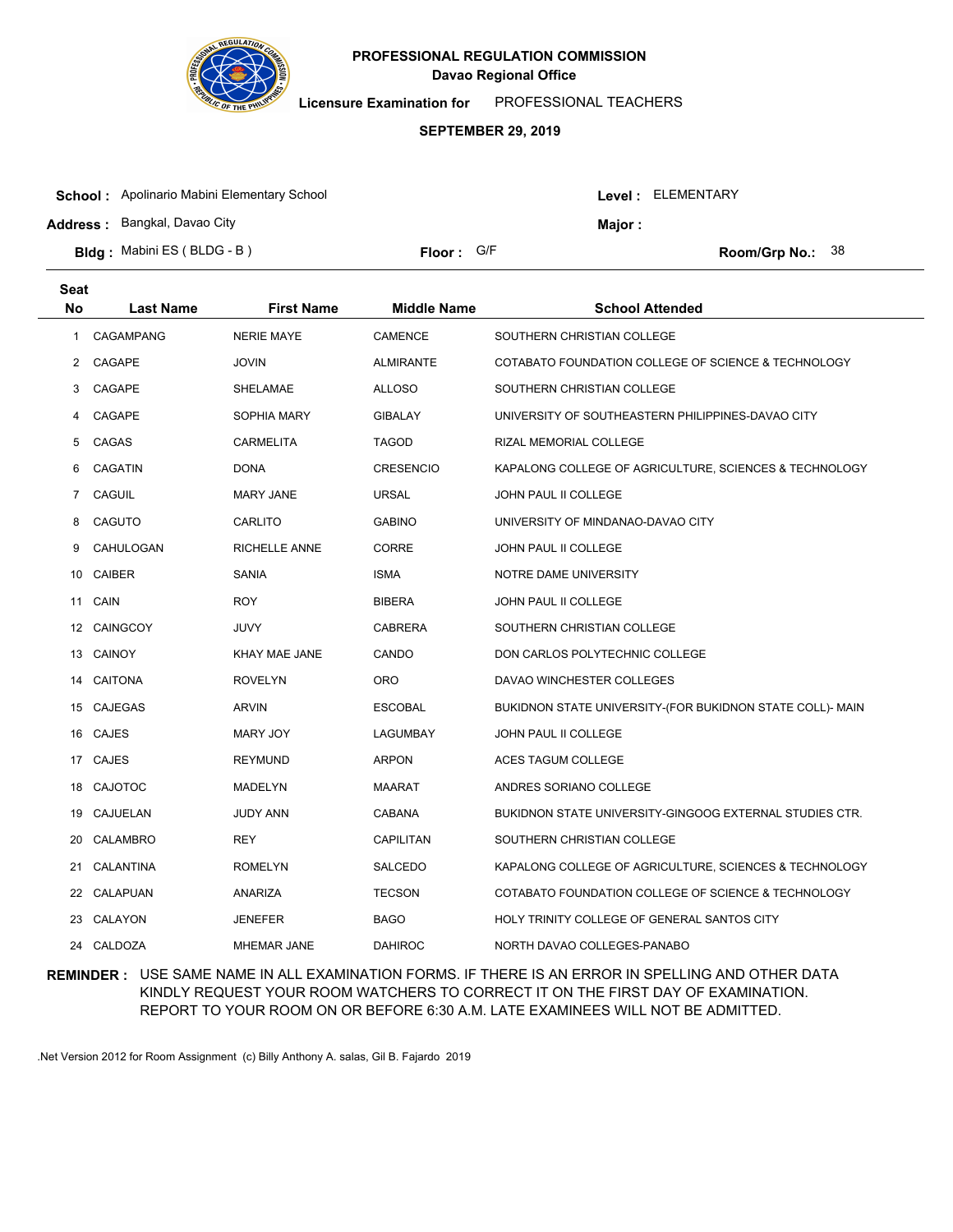

**Licensure Examination for**  PROFESSIONAL TEACHERS

### **SEPTEMBER 29, 2019**

| <b>School:</b> Apolinario Mabini Elementary School |            |                | Level : ELEMENTARY |                           |  |
|----------------------------------------------------|------------|----------------|--------------------|---------------------------|--|
| <b>Address:</b> Bangkal, Davao City                |            | <b>Maior</b> : |                    |                           |  |
| <b>Bldg:</b> Mabini ES (BLDG - B)                  | Floor: G/F |                |                    | <b>Room/Grp No.:</b> $38$ |  |

| <b>Seat</b> |                  |                      |                    |                                                           |
|-------------|------------------|----------------------|--------------------|-----------------------------------------------------------|
| No          | <b>Last Name</b> | <b>First Name</b>    | <b>Middle Name</b> | <b>School Attended</b>                                    |
| 1           | <b>CAGAMPANG</b> | <b>NERIE MAYE</b>    | <b>CAMENCE</b>     | SOUTHERN CHRISTIAN COLLEGE                                |
| 2           | CAGAPE           | <b>JOVIN</b>         | <b>ALMIRANTE</b>   | COTABATO FOUNDATION COLLEGE OF SCIENCE & TECHNOLOGY       |
| 3           | CAGAPE           | SHELAMAE             | <b>ALLOSO</b>      | SOUTHERN CHRISTIAN COLLEGE                                |
| 4           | CAGAPE           | SOPHIA MARY          | <b>GIBALAY</b>     | UNIVERSITY OF SOUTHEASTERN PHILIPPINES-DAVAO CITY         |
| 5           | CAGAS            | <b>CARMELITA</b>     | TAGOD              | RIZAL MEMORIAL COLLEGE                                    |
| 6           | <b>CAGATIN</b>   | <b>DONA</b>          | <b>CRESENCIO</b>   | KAPALONG COLLEGE OF AGRICULTURE, SCIENCES & TECHNOLOGY    |
| 7           | CAGUIL           | <b>MARY JANE</b>     | <b>URSAL</b>       | JOHN PAUL II COLLEGE                                      |
| 8           | CAGUTO           | CARLITO              | <b>GABINO</b>      | UNIVERSITY OF MINDANAO-DAVAO CITY                         |
| 9           | CAHULOGAN        | <b>RICHELLE ANNE</b> | <b>CORRE</b>       | JOHN PAUL II COLLEGE                                      |
| 10          | <b>CAIBER</b>    | <b>SANIA</b>         | <b>ISMA</b>        | NOTRE DAME UNIVERSITY                                     |
| 11          | CAIN             | <b>ROY</b>           | <b>BIBERA</b>      | JOHN PAUL II COLLEGE                                      |
|             | 12 CAINGCOY      | JUVY                 | <b>CABRERA</b>     | SOUTHERN CHRISTIAN COLLEGE                                |
|             | 13 CAINOY        | KHAY MAE JANE        | CANDO              | DON CARLOS POLYTECHNIC COLLEGE                            |
| 14          | <b>CAITONA</b>   | <b>ROVELYN</b>       | <b>ORO</b>         | DAVAO WINCHESTER COLLEGES                                 |
|             | 15 CAJEGAS       | <b>ARVIN</b>         | <b>ESCOBAL</b>     | BUKIDNON STATE UNIVERSITY-(FOR BUKIDNON STATE COLL)- MAIN |
|             | 16 CAJES         | MARY JOY             | LAGUMBAY           | JOHN PAUL II COLLEGE                                      |
|             | 17 CAJES         | <b>REYMUND</b>       | ARPON              | ACES TAGUM COLLEGE                                        |
| 18          | <b>CAJOTOC</b>   | MADELYN              | <b>MAARAT</b>      | ANDRES SORIANO COLLEGE                                    |
| 19          | CAJUELAN         | <b>JUDY ANN</b>      | CABANA             | BUKIDNON STATE UNIVERSITY-GINGOOG EXTERNAL STUDIES CTR.   |
| 20          | <b>CALAMBRO</b>  | <b>REY</b>           | CAPILITAN          | SOUTHERN CHRISTIAN COLLEGE                                |
| 21          | CALANTINA        | <b>ROMELYN</b>       | <b>SALCEDO</b>     | KAPALONG COLLEGE OF AGRICULTURE, SCIENCES & TECHNOLOGY    |
| 22          | CALAPUAN         | ANARIZA              | <b>TECSON</b>      | COTABATO FOUNDATION COLLEGE OF SCIENCE & TECHNOLOGY       |
| 23          | CALAYON          | <b>JENEFER</b>       | <b>BAGO</b>        | HOLY TRINITY COLLEGE OF GENERAL SANTOS CITY               |
|             | 24 CALDOZA       | <b>MHEMAR JANE</b>   | <b>DAHIROC</b>     | NORTH DAVAO COLLEGES-PANABO                               |

## **REMINDER :** USE SAME NAME IN ALL EXAMINATION FORMS. IF THERE IS AN ERROR IN SPELLING AND OTHER DATA KINDLY REQUEST YOUR ROOM WATCHERS TO CORRECT IT ON THE FIRST DAY OF EXAMINATION. REPORT TO YOUR ROOM ON OR BEFORE 6:30 A.M. LATE EXAMINEES WILL NOT BE ADMITTED.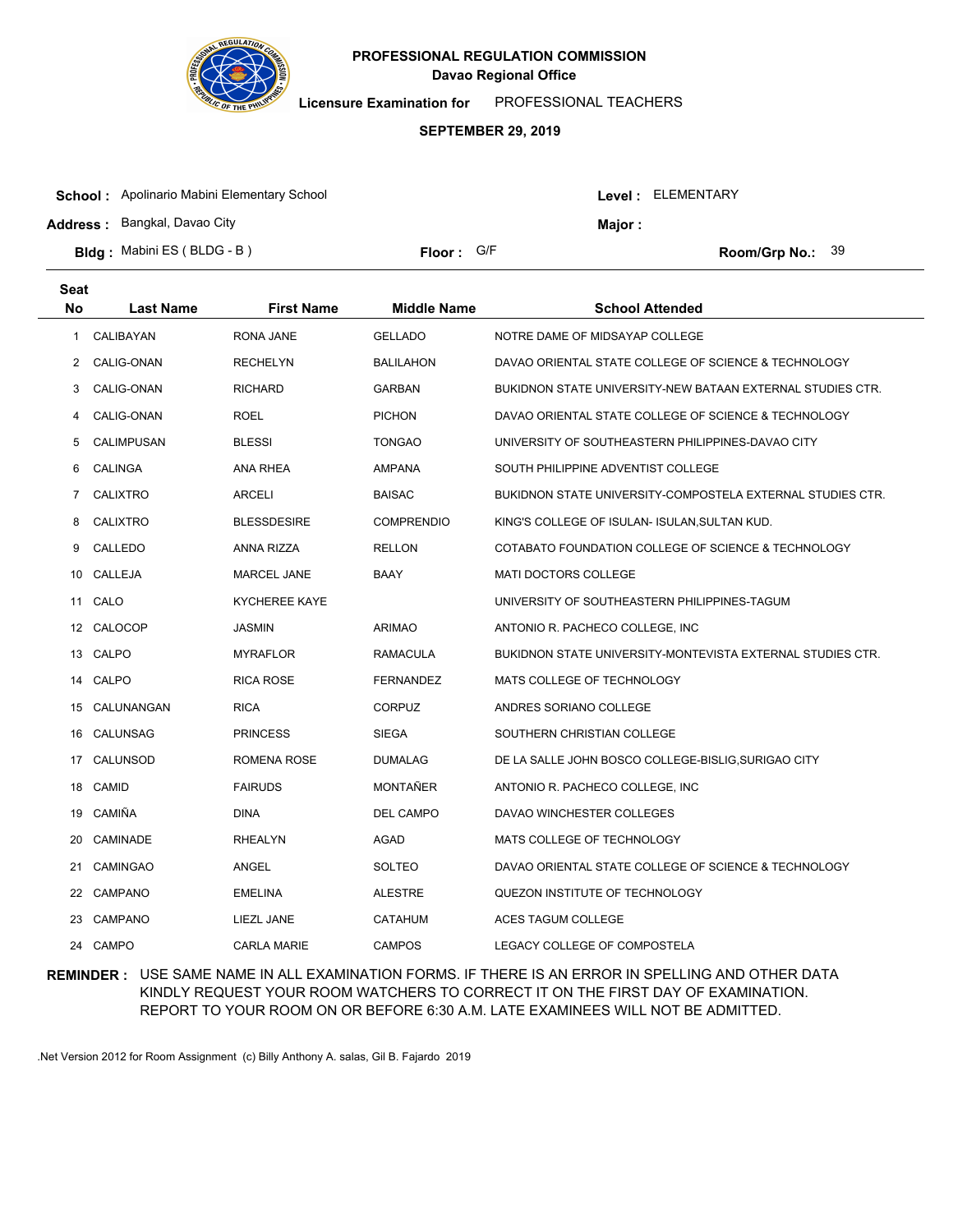

**Licensure Examination for**  PROFESSIONAL TEACHERS

### **SEPTEMBER 29, 2019**

| <b>School:</b> Apolinario Mabini Elementary School |                     |               | Level: ELEMENTARY |                                      |  |
|----------------------------------------------------|---------------------|---------------|-------------------|--------------------------------------|--|
| <b>Address: Bangkal, Davao City</b>                |                     | <b>Major:</b> |                   |                                      |  |
| <b>Bldg:</b> Mabini ES (BLDG - B)                  | <b>Floor:</b> $G/F$ |               |                   | <b>Room/Grp No.: <math>39</math></b> |  |

| <b>Seat</b> |                   |                      |                    |                                                            |
|-------------|-------------------|----------------------|--------------------|------------------------------------------------------------|
| No          | <b>Last Name</b>  | <b>First Name</b>    | <b>Middle Name</b> | <b>School Attended</b>                                     |
| 1           | CALIBAYAN         | <b>RONA JANE</b>     | <b>GELLADO</b>     | NOTRE DAME OF MIDSAYAP COLLEGE                             |
| 2           | CALIG-ONAN        | <b>RECHELYN</b>      | <b>BALILAHON</b>   | DAVAO ORIENTAL STATE COLLEGE OF SCIENCE & TECHNOLOGY       |
| 3           | CALIG-ONAN        | <b>RICHARD</b>       | <b>GARBAN</b>      | BUKIDNON STATE UNIVERSITY-NEW BATAAN EXTERNAL STUDIES CTR. |
| 4           | CALIG-ONAN        | <b>ROEL</b>          | <b>PICHON</b>      | DAVAO ORIENTAL STATE COLLEGE OF SCIENCE & TECHNOLOGY       |
| 5           | <b>CALIMPUSAN</b> | <b>BLESSI</b>        | TONGAO             | UNIVERSITY OF SOUTHEASTERN PHILIPPINES-DAVAO CITY          |
| 6           | <b>CALINGA</b>    | <b>ANA RHEA</b>      | AMPANA             | SOUTH PHILIPPINE ADVENTIST COLLEGE                         |
| 7           | <b>CALIXTRO</b>   | <b>ARCELI</b>        | <b>BAISAC</b>      | BUKIDNON STATE UNIVERSITY-COMPOSTELA EXTERNAL STUDIES CTR. |
| 8           | <b>CALIXTRO</b>   | <b>BLESSDESIRE</b>   | <b>COMPRENDIO</b>  | KING'S COLLEGE OF ISULAN- ISULAN, SULTAN KUD.              |
| 9           | CALLEDO           | ANNA RIZZA           | <b>RELLON</b>      | COTABATO FOUNDATION COLLEGE OF SCIENCE & TECHNOLOGY        |
| 10          | CALLEJA           | <b>MARCEL JANE</b>   | BAAY               | <b>MATI DOCTORS COLLEGE</b>                                |
| 11          | CALO              | <b>KYCHEREE KAYE</b> |                    | UNIVERSITY OF SOUTHEASTERN PHILIPPINES-TAGUM               |
|             | 12 CALOCOP        | <b>JASMIN</b>        | <b>ARIMAO</b>      | ANTONIO R. PACHECO COLLEGE, INC.                           |
|             | 13 CALPO          | <b>MYRAFLOR</b>      | <b>RAMACULA</b>    | BUKIDNON STATE UNIVERSITY-MONTEVISTA EXTERNAL STUDIES CTR. |
|             | 14 CALPO          | <b>RICA ROSE</b>     | <b>FERNANDEZ</b>   | MATS COLLEGE OF TECHNOLOGY                                 |
| 15          | CALUNANGAN        | <b>RICA</b>          | <b>CORPUZ</b>      | ANDRES SORIANO COLLEGE                                     |
| 16          | CALUNSAG          | <b>PRINCESS</b>      | <b>SIEGA</b>       | SOUTHERN CHRISTIAN COLLEGE                                 |
| 17          | CALUNSOD          | ROMENA ROSE          | <b>DUMALAG</b>     | DE LA SALLE JOHN BOSCO COLLEGE-BISLIG, SURIGAO CITY        |
| 18          | CAMID             | <b>FAIRUDS</b>       | MONTAÑER           | ANTONIO R. PACHECO COLLEGE, INC.                           |
| 19          | CAMIÑA            | DINA                 | <b>DEL CAMPO</b>   | DAVAO WINCHESTER COLLEGES                                  |
| 20          | <b>CAMINADE</b>   | <b>RHEALYN</b>       | AGAD               | MATS COLLEGE OF TECHNOLOGY                                 |
| 21          | <b>CAMINGAO</b>   | <b>ANGEL</b>         | SOLTEO             | DAVAO ORIENTAL STATE COLLEGE OF SCIENCE & TECHNOLOGY       |
| 22          | <b>CAMPANO</b>    | <b>EMELINA</b>       | <b>ALESTRE</b>     | QUEZON INSTITUTE OF TECHNOLOGY                             |
| 23          | <b>CAMPANO</b>    | LIEZL JANE           | CATAHUM            | ACES TAGUM COLLEGE                                         |
|             | 24 CAMPO          | <b>CARLA MARIE</b>   | <b>CAMPOS</b>      | LEGACY COLLEGE OF COMPOSTELA                               |

## **REMINDER :** USE SAME NAME IN ALL EXAMINATION FORMS. IF THERE IS AN ERROR IN SPELLING AND OTHER DATA KINDLY REQUEST YOUR ROOM WATCHERS TO CORRECT IT ON THE FIRST DAY OF EXAMINATION. REPORT TO YOUR ROOM ON OR BEFORE 6:30 A.M. LATE EXAMINEES WILL NOT BE ADMITTED.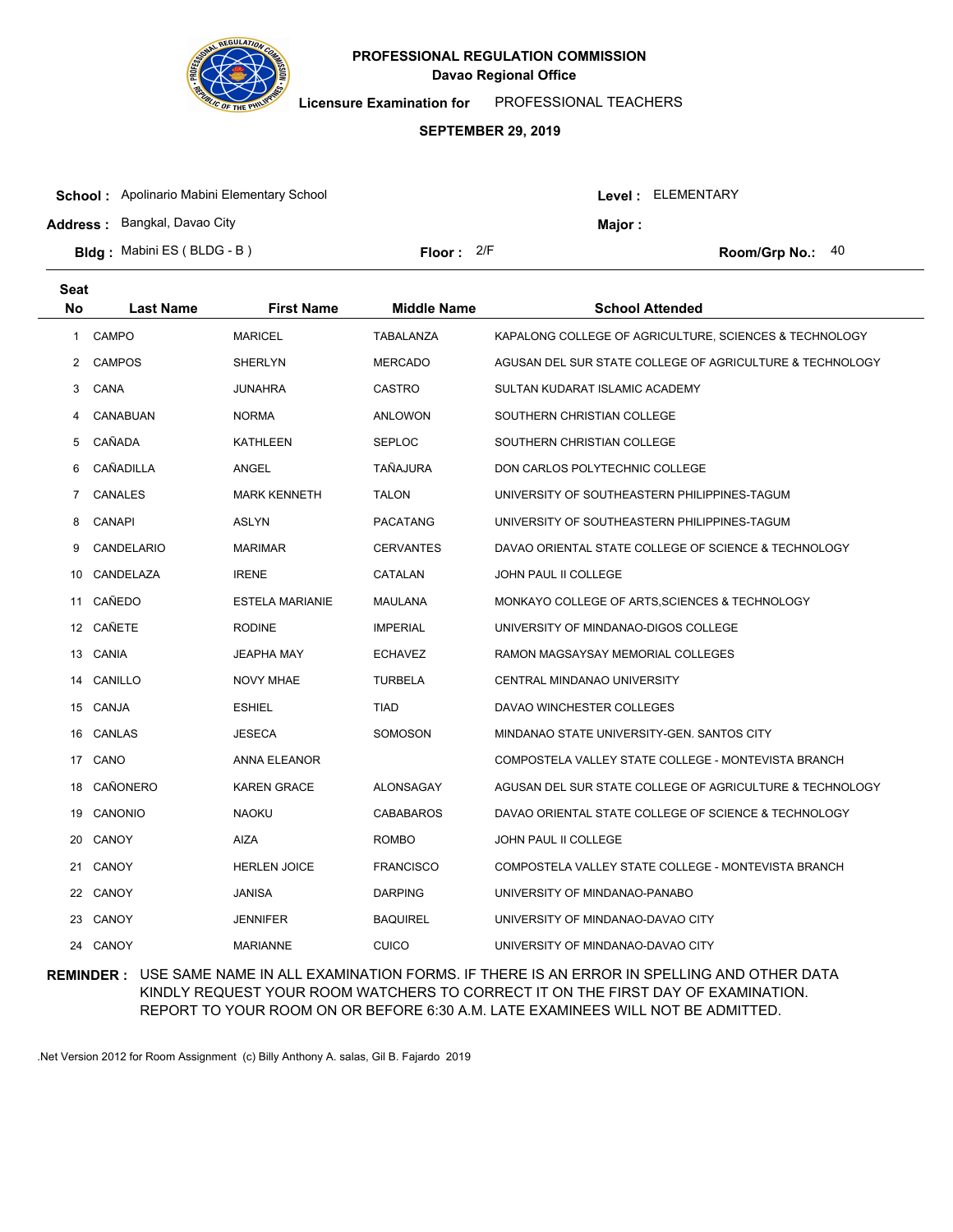

**Licensure Examination for**  PROFESSIONAL TEACHERS

### **SEPTEMBER 29, 2019**

| <b>School:</b> Apolinario Mabini Elementary School |                     |         | Level : ELEMENTARY |                    |  |
|----------------------------------------------------|---------------------|---------|--------------------|--------------------|--|
| <b>Address: Bangkal, Davao City</b>                |                     | Major : |                    |                    |  |
| <b>Bldg:</b> Mabini ES (BLDG - B)                  | <b>Floor:</b> $2/F$ |         |                    | Room/Grp No.: $40$ |  |

| <b>Seat</b> |                  |                        |                    |                                                          |
|-------------|------------------|------------------------|--------------------|----------------------------------------------------------|
| <b>No</b>   | <b>Last Name</b> | <b>First Name</b>      | <b>Middle Name</b> | <b>School Attended</b>                                   |
| 1           | CAMPO            | <b>MARICEL</b>         | TABALANZA          | KAPALONG COLLEGE OF AGRICULTURE, SCIENCES & TECHNOLOGY   |
| 2           | <b>CAMPOS</b>    | <b>SHERLYN</b>         | <b>MERCADO</b>     | AGUSAN DEL SUR STATE COLLEGE OF AGRICULTURE & TECHNOLOGY |
| 3           | CANA             | <b>JUNAHRA</b>         | <b>CASTRO</b>      | SULTAN KUDARAT ISLAMIC ACADEMY                           |
| 4           | CANABUAN         | <b>NORMA</b>           | ANLOWON            | SOUTHERN CHRISTIAN COLLEGE                               |
| 5           | CAÑADA           | KATHLEEN               | SEPLOC             | SOUTHERN CHRISTIAN COLLEGE                               |
| 6           | CAÑADILLA        | ANGEL                  | TAÑAJURA           | DON CARLOS POLYTECHNIC COLLEGE                           |
| 7           | <b>CANALES</b>   | <b>MARK KENNETH</b>    | <b>TALON</b>       | UNIVERSITY OF SOUTHEASTERN PHILIPPINES-TAGUM             |
| 8           | <b>CANAPI</b>    | <b>ASLYN</b>           | <b>PACATANG</b>    | UNIVERSITY OF SOUTHEASTERN PHILIPPINES-TAGUM             |
| 9           | CANDELARIO       | <b>MARIMAR</b>         | <b>CERVANTES</b>   | DAVAO ORIENTAL STATE COLLEGE OF SCIENCE & TECHNOLOGY     |
|             | 10 CANDELAZA     | <b>IRENE</b>           | CATALAN            | JOHN PAUL II COLLEGE                                     |
|             | 11 CAÑEDO        | <b>ESTELA MARIANIE</b> | MAULANA            | MONKAYO COLLEGE OF ARTS, SCIENCES & TECHNOLOGY           |
|             | 12 CAÑETE        | <b>RODINE</b>          | <b>IMPERIAL</b>    | UNIVERSITY OF MINDANAO-DIGOS COLLEGE                     |
|             | 13 CANIA         | JEAPHA MAY             | <b>ECHAVEZ</b>     | RAMON MAGSAYSAY MEMORIAL COLLEGES                        |
|             | 14 CANILLO       | <b>NOVY MHAE</b>       | <b>TURBELA</b>     | CENTRAL MINDANAO UNIVERSITY                              |
|             | 15 CANJA         | <b>ESHIEL</b>          | <b>TIAD</b>        | DAVAO WINCHESTER COLLEGES                                |
|             | 16 CANLAS        | <b>JESECA</b>          | SOMOSON            | MINDANAO STATE UNIVERSITY-GEN. SANTOS CITY               |
|             | 17 CANO          | ANNA ELEANOR           |                    | COMPOSTELA VALLEY STATE COLLEGE - MONTEVISTA BRANCH      |
| 18          | CAÑONERO         | <b>KAREN GRACE</b>     | ALONSAGAY          | AGUSAN DEL SUR STATE COLLEGE OF AGRICULTURE & TECHNOLOGY |
|             | 19 CANONIO       | <b>NAOKU</b>           | <b>CABABAROS</b>   | DAVAO ORIENTAL STATE COLLEGE OF SCIENCE & TECHNOLOGY     |
| 20          | CANOY            | AIZA                   | <b>ROMBO</b>       | <b>JOHN PAUL II COLLEGE</b>                              |
|             | 21 CANOY         | <b>HERLEN JOICE</b>    | <b>FRANCISCO</b>   | COMPOSTELA VALLEY STATE COLLEGE - MONTEVISTA BRANCH      |
|             | 22 CANOY         | <b>JANISA</b>          | <b>DARPING</b>     | UNIVERSITY OF MINDANAO-PANABO                            |
|             | 23 CANOY         | <b>JENNIFER</b>        | <b>BAQUIREL</b>    | UNIVERSITY OF MINDANAO-DAVAO CITY                        |
|             | 24 CANOY         | <b>MARIANNE</b>        | <b>CUICO</b>       | UNIVERSITY OF MINDANAO-DAVAO CITY                        |

## **REMINDER :** USE SAME NAME IN ALL EXAMINATION FORMS. IF THERE IS AN ERROR IN SPELLING AND OTHER DATA KINDLY REQUEST YOUR ROOM WATCHERS TO CORRECT IT ON THE FIRST DAY OF EXAMINATION. REPORT TO YOUR ROOM ON OR BEFORE 6:30 A.M. LATE EXAMINEES WILL NOT BE ADMITTED.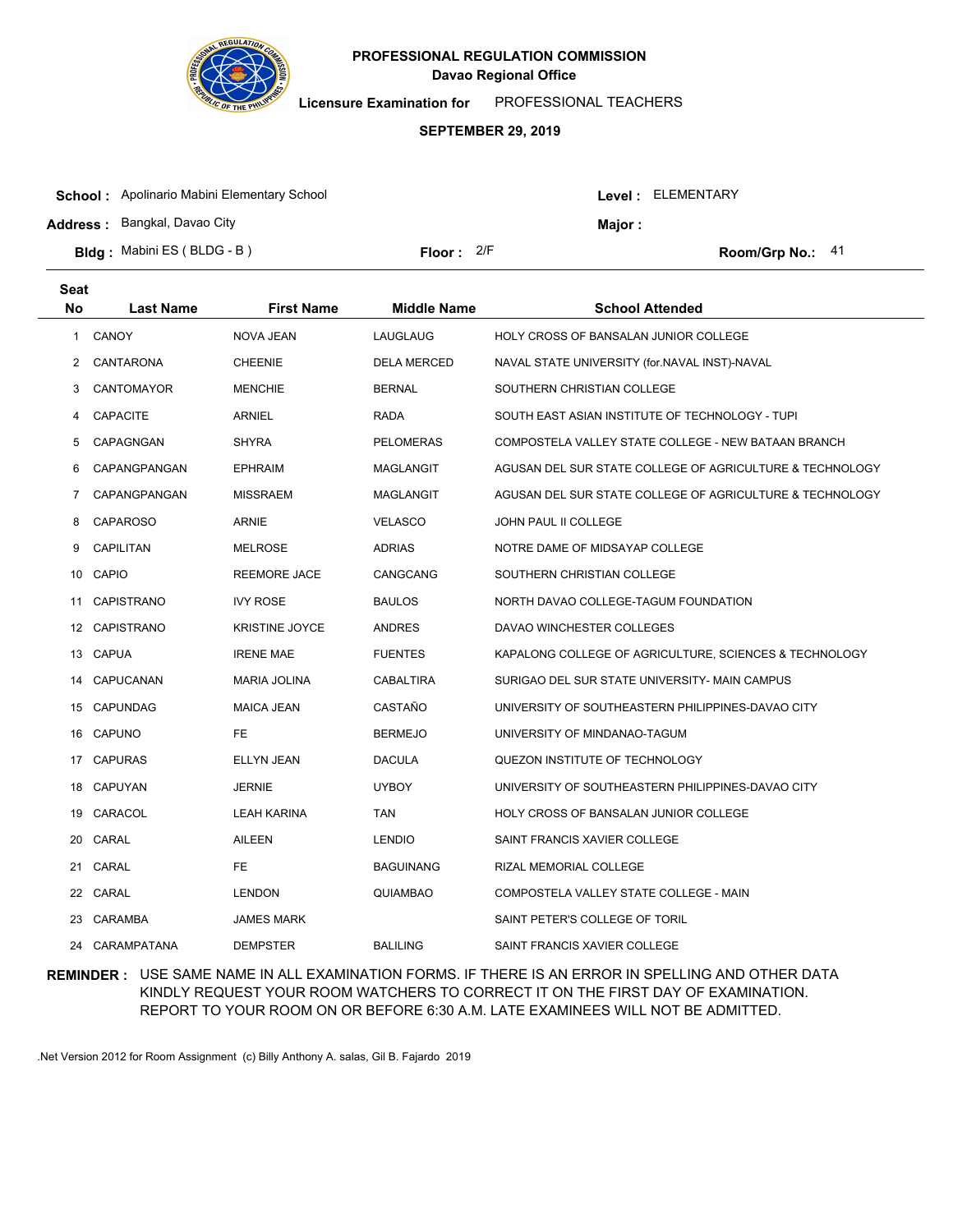

**Licensure Examination for**  PROFESSIONAL TEACHERS

#### **SEPTEMBER 29, 2019**

| <b>School:</b> Apolinario Mabini Elementary School |              |  | Level : ELEMENTARY |                    |  |
|----------------------------------------------------|--------------|--|--------------------|--------------------|--|
| <b>Address: Bangkal, Davao City</b>                |              |  | Maior :            |                    |  |
| <b>Bldg:</b> Mabini ES (BLDG - B)                  | Floor: $2/F$ |  |                    | Room/Grp No.: $41$ |  |

| Seat |                  |                       |                    |                                                          |
|------|------------------|-----------------------|--------------------|----------------------------------------------------------|
| No   | <b>Last Name</b> | <b>First Name</b>     | <b>Middle Name</b> | <b>School Attended</b>                                   |
| 1    | <b>CANOY</b>     | <b>NOVA JEAN</b>      | LAUGLAUG           | <b>HOLY CROSS OF BANSALAN JUNIOR COLLEGE</b>             |
| 2    | CANTARONA        | <b>CHEENIE</b>        | <b>DELA MERCED</b> | NAVAL STATE UNIVERSITY (for.NAVAL INST)-NAVAL            |
| 3    | CANTOMAYOR       | <b>MENCHIE</b>        | <b>BERNAL</b>      | SOUTHERN CHRISTIAN COLLEGE                               |
| 4    | <b>CAPACITE</b>  | <b>ARNIEL</b>         | <b>RADA</b>        | SOUTH EAST ASIAN INSTITUTE OF TECHNOLOGY - TUPI          |
| 5    | CAPAGNGAN        | <b>SHYRA</b>          | <b>PELOMERAS</b>   | COMPOSTELA VALLEY STATE COLLEGE - NEW BATAAN BRANCH      |
| 6    | CAPANGPANGAN     | <b>EPHRAIM</b>        | <b>MAGLANGIT</b>   | AGUSAN DEL SUR STATE COLLEGE OF AGRICULTURE & TECHNOLOGY |
| 7    | CAPANGPANGAN     | <b>MISSRAEM</b>       | <b>MAGLANGIT</b>   | AGUSAN DEL SUR STATE COLLEGE OF AGRICULTURE & TECHNOLOGY |
| 8    | <b>CAPAROSO</b>  | ARNIE                 | <b>VELASCO</b>     | <b>JOHN PAUL II COLLEGE</b>                              |
| 9    | <b>CAPILITAN</b> | <b>MELROSE</b>        | <b>ADRIAS</b>      | NOTRE DAME OF MIDSAYAP COLLEGE                           |
| 10   | CAPIO            | <b>REEMORE JACE</b>   | CANGCANG           | SOUTHERN CHRISTIAN COLLEGE                               |
| 11   | CAPISTRANO       | <b>IVY ROSE</b>       | <b>BAULOS</b>      | NORTH DAVAO COLLEGE-TAGUM FOUNDATION                     |
|      | 12 CAPISTRANO    | <b>KRISTINE JOYCE</b> | ANDRES             | DAVAO WINCHESTER COLLEGES                                |
|      | 13 CAPUA         | <b>IRENE MAE</b>      | <b>FUENTES</b>     | KAPALONG COLLEGE OF AGRICULTURE, SCIENCES & TECHNOLOGY   |
| 14   | CAPUCANAN        | <b>MARIA JOLINA</b>   | <b>CABALTIRA</b>   | SURIGAO DEL SUR STATE UNIVERSITY- MAIN CAMPUS            |
| 15   | <b>CAPUNDAG</b>  | <b>MAICA JEAN</b>     | CASTAÑO            | UNIVERSITY OF SOUTHEASTERN PHILIPPINES-DAVAO CITY        |
| 16   | CAPUNO           | FE.                   | <b>BERMEJO</b>     | UNIVERSITY OF MINDANAO-TAGUM                             |
| 17   | <b>CAPURAS</b>   | ELLYN JEAN            | <b>DACULA</b>      | QUEZON INSTITUTE OF TECHNOLOGY                           |
| 18   | CAPUYAN          | <b>JERNIE</b>         | <b>UYBOY</b>       | UNIVERSITY OF SOUTHEASTERN PHILIPPINES-DAVAO CITY        |
| 19   | CARACOL          | <b>LEAH KARINA</b>    | <b>TAN</b>         | <b>HOLY CROSS OF BANSALAN JUNIOR COLLEGE</b>             |
| 20   | CARAL            | <b>AILEEN</b>         | <b>LENDIO</b>      | SAINT FRANCIS XAVIER COLLEGE                             |
| 21   | CARAL            | FE.                   | <b>BAGUINANG</b>   | RIZAL MEMORIAL COLLEGE                                   |
| 22   | CARAL            | <b>LENDON</b>         | QUIAMBAO           | COMPOSTELA VALLEY STATE COLLEGE - MAIN                   |
| 23   | CARAMBA          | <b>JAMES MARK</b>     |                    | SAINT PETER'S COLLEGE OF TORIL                           |
| 24   | CARAMPATANA      | <b>DEMPSTER</b>       | <b>BALILING</b>    | SAINT FRANCIS XAVIER COLLEGE                             |

### **REMINDER :** USE SAME NAME IN ALL EXAMINATION FORMS. IF THERE IS AN ERROR IN SPELLING AND OTHER DATA KINDLY REQUEST YOUR ROOM WATCHERS TO CORRECT IT ON THE FIRST DAY OF EXAMINATION. REPORT TO YOUR ROOM ON OR BEFORE 6:30 A.M. LATE EXAMINEES WILL NOT BE ADMITTED.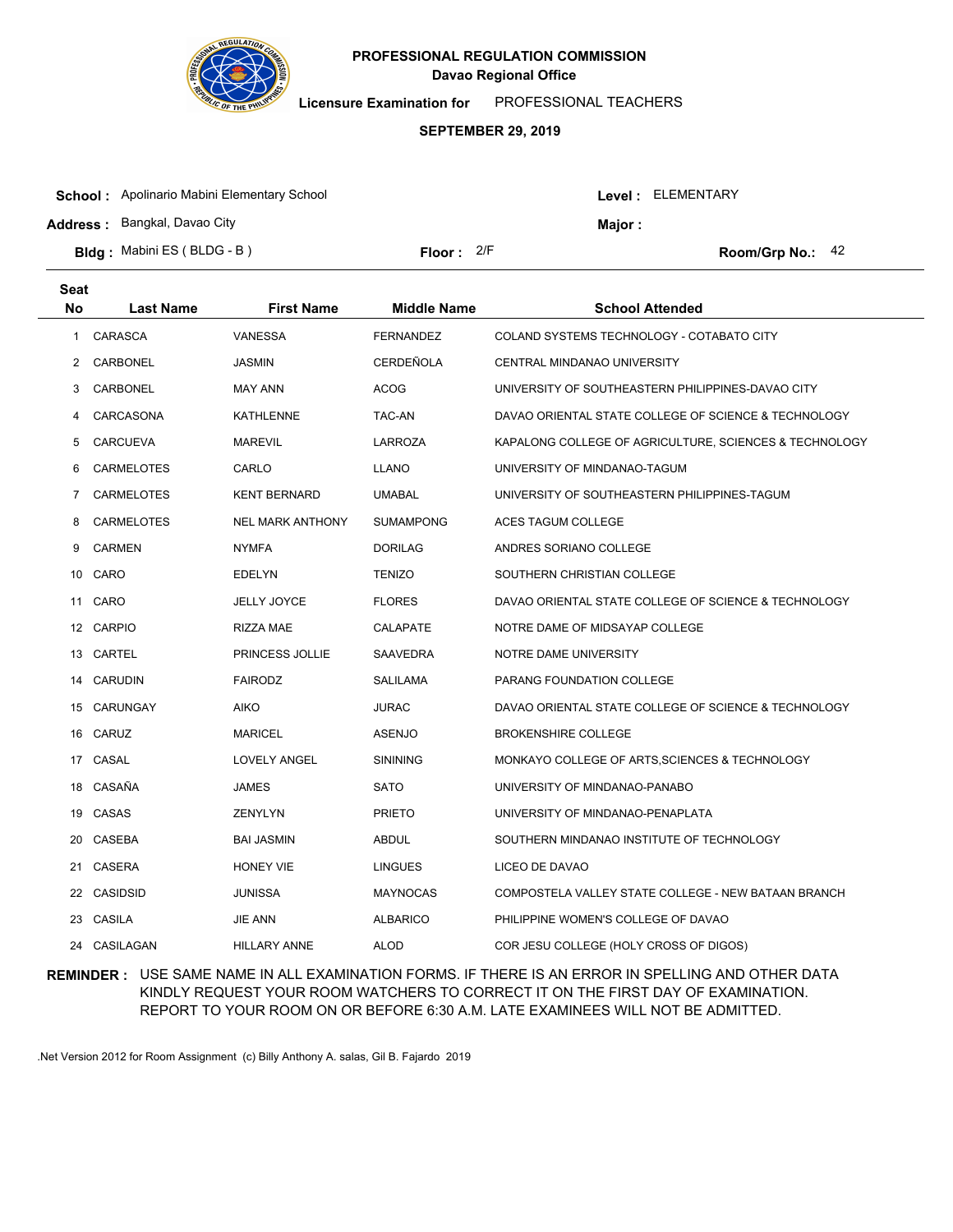

**Licensure Examination for**  PROFESSIONAL TEACHERS

### **SEPTEMBER 29, 2019**

| <b>School:</b> Apolinario Mabini Elementary School |              |  | Level : ELEMENTARY |                    |  |
|----------------------------------------------------|--------------|--|--------------------|--------------------|--|
| <b>Address: Bangkal, Davao City</b>                |              |  | Major:             |                    |  |
| <b>Bldg:</b> Mabini ES (BLDG - B)                  | Floor: $2/F$ |  |                    | Room/Grp No.: $42$ |  |

| <b>Seat</b> |                   |                         |                    |                                                        |
|-------------|-------------------|-------------------------|--------------------|--------------------------------------------------------|
| No          | <b>Last Name</b>  | <b>First Name</b>       | <b>Middle Name</b> | <b>School Attended</b>                                 |
| 1           | <b>CARASCA</b>    | <b>VANESSA</b>          | <b>FERNANDEZ</b>   | COLAND SYSTEMS TECHNOLOGY - COTABATO CITY              |
| 2           | CARBONEL          | <b>JASMIN</b>           | CERDEÑOLA          | CENTRAL MINDANAO UNIVERSITY                            |
| 3           | CARBONEL          | <b>MAY ANN</b>          | <b>ACOG</b>        | UNIVERSITY OF SOUTHEASTERN PHILIPPINES-DAVAO CITY      |
| 4           | CARCASONA         | <b>KATHLENNE</b>        | TAC-AN             | DAVAO ORIENTAL STATE COLLEGE OF SCIENCE & TECHNOLOGY   |
| 5           | <b>CARCUEVA</b>   | <b>MAREVIL</b>          | <b>LARROZA</b>     | KAPALONG COLLEGE OF AGRICULTURE, SCIENCES & TECHNOLOGY |
| 6           | <b>CARMELOTES</b> | CARLO                   | <b>LLANO</b>       | UNIVERSITY OF MINDANAO-TAGUM                           |
| 7           | <b>CARMELOTES</b> | <b>KENT BERNARD</b>     | <b>UMABAL</b>      | UNIVERSITY OF SOUTHEASTERN PHILIPPINES-TAGUM           |
| 8           | <b>CARMELOTES</b> | <b>NEL MARK ANTHONY</b> | <b>SUMAMPONG</b>   | ACES TAGUM COLLEGE                                     |
| 9           | <b>CARMEN</b>     | <b>NYMFA</b>            | <b>DORILAG</b>     | ANDRES SORIANO COLLEGE                                 |
|             | 10 CARO           | <b>EDELYN</b>           | <b>TENIZO</b>      | SOUTHERN CHRISTIAN COLLEGE                             |
| 11          | CARO              | <b>JELLY JOYCE</b>      | <b>FLORES</b>      | DAVAO ORIENTAL STATE COLLEGE OF SCIENCE & TECHNOLOGY   |
|             | 12 CARPIO         | <b>RIZZA MAE</b>        | <b>CALAPATE</b>    | NOTRE DAME OF MIDSAYAP COLLEGE                         |
|             | 13 CARTEL         | PRINCESS JOLLIE         | SAAVEDRA           | NOTRE DAME UNIVERSITY                                  |
| 14          | CARUDIN           | <b>FAIRODZ</b>          | SALILAMA           | PARANG FOUNDATION COLLEGE                              |
|             | 15 CARUNGAY       | <b>AIKO</b>             | <b>JURAC</b>       | DAVAO ORIENTAL STATE COLLEGE OF SCIENCE & TECHNOLOGY   |
| 16          | CARUZ             | <b>MARICEL</b>          | <b>ASENJO</b>      | <b>BROKENSHIRE COLLEGE</b>                             |
| 17          | CASAL             | LOVELY ANGEL            | <b>SININING</b>    | MONKAYO COLLEGE OF ARTS, SCIENCES & TECHNOLOGY         |
| 18          | CASAÑA            | JAMES                   | <b>SATO</b>        | UNIVERSITY OF MINDANAO-PANABO                          |
| 19          | CASAS             | ZENYLYN                 | <b>PRIETO</b>      | UNIVERSITY OF MINDANAO-PENAPLATA                       |
| 20          | CASEBA            | <b>BAI JASMIN</b>       | <b>ABDUL</b>       | SOUTHERN MINDANAO INSTITUTE OF TECHNOLOGY              |
| 21          | CASERA            | <b>HONEY VIE</b>        | <b>LINGUES</b>     | LICEO DE DAVAO                                         |
| 22          | <b>CASIDSID</b>   | <b>JUNISSA</b>          | <b>MAYNOCAS</b>    | COMPOSTELA VALLEY STATE COLLEGE - NEW BATAAN BRANCH    |
|             | 23 CASILA         | <b>JIE ANN</b>          | <b>ALBARICO</b>    | PHILIPPINE WOMEN'S COLLEGE OF DAVAO                    |
|             | 24 CASILAGAN      | <b>HILLARY ANNE</b>     | <b>ALOD</b>        | COR JESU COLLEGE (HOLY CROSS OF DIGOS)                 |

## **REMINDER :** USE SAME NAME IN ALL EXAMINATION FORMS. IF THERE IS AN ERROR IN SPELLING AND OTHER DATA KINDLY REQUEST YOUR ROOM WATCHERS TO CORRECT IT ON THE FIRST DAY OF EXAMINATION. REPORT TO YOUR ROOM ON OR BEFORE 6:30 A.M. LATE EXAMINEES WILL NOT BE ADMITTED.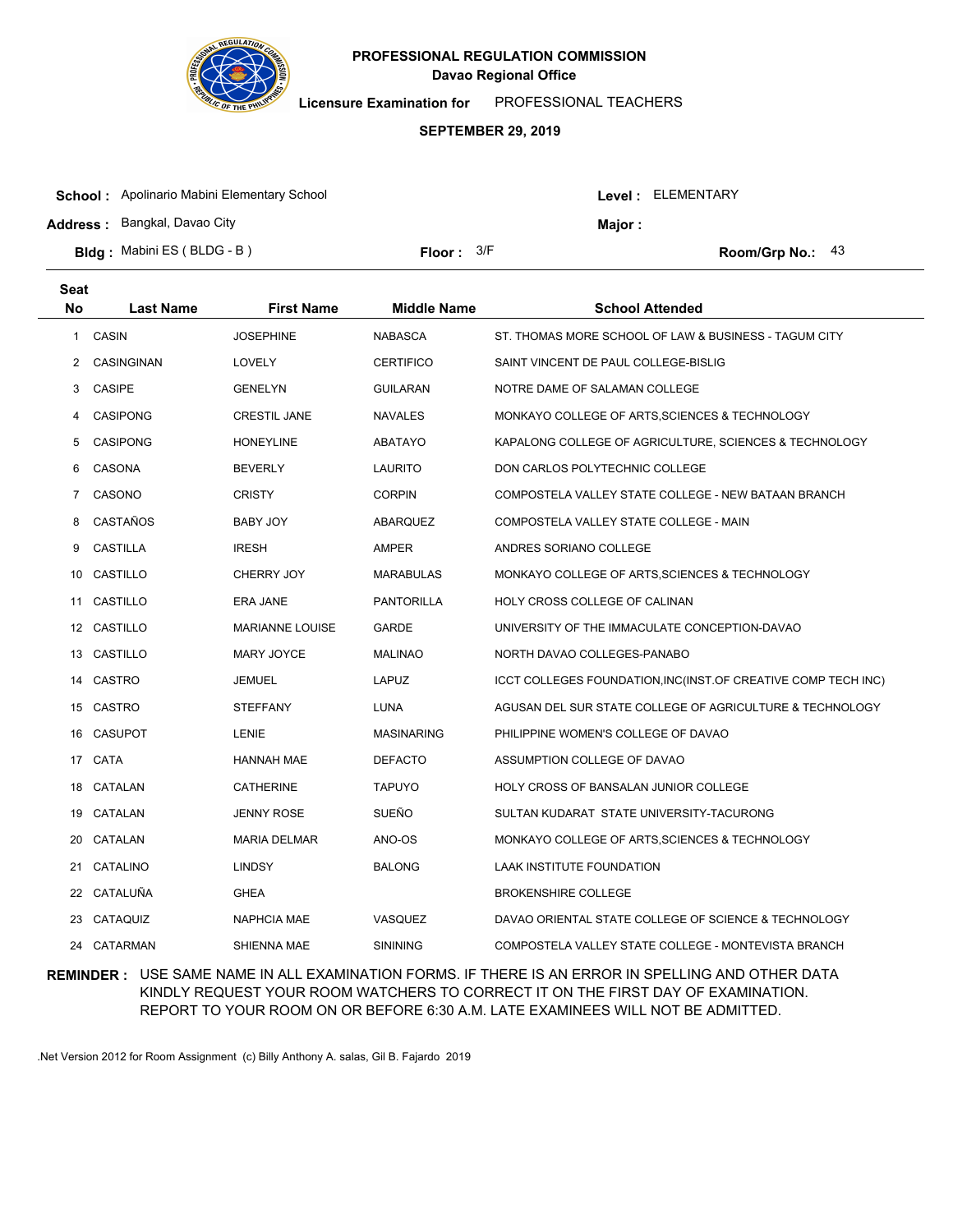

**Licensure Examination for**  PROFESSIONAL TEACHERS

#### **SEPTEMBER 29, 2019**

| <b>School:</b> Apolinario Mabini Elementary School |                     |  | Level : ELEMENTARY |                    |  |
|----------------------------------------------------|---------------------|--|--------------------|--------------------|--|
| <b>Address: Bangkal, Davao City</b>                |                     |  | Major:             |                    |  |
| <b>Bldg:</b> Mabini ES (BLDG - B)                  | <b>Floor:</b> $3/F$ |  |                    | Room/Grp No.: $43$ |  |

| Seat           |                  |                        |                    |                                                               |
|----------------|------------------|------------------------|--------------------|---------------------------------------------------------------|
| <b>No</b>      | <b>Last Name</b> | <b>First Name</b>      | <b>Middle Name</b> | <b>School Attended</b>                                        |
| 1              | <b>CASIN</b>     | <b>JOSEPHINE</b>       | <b>NABASCA</b>     | ST. THOMAS MORE SCHOOL OF LAW & BUSINESS - TAGUM CITY         |
| $\overline{2}$ | CASINGINAN       | LOVELY                 | <b>CERTIFICO</b>   | SAINT VINCENT DE PAUL COLLEGE-BISLIG                          |
| 3              | <b>CASIPE</b>    | <b>GENELYN</b>         | <b>GUILARAN</b>    | NOTRE DAME OF SALAMAN COLLEGE                                 |
| 4              | <b>CASIPONG</b>  | <b>CRESTIL JANE</b>    | <b>NAVALES</b>     | MONKAYO COLLEGE OF ARTS, SCIENCES & TECHNOLOGY                |
| 5              | <b>CASIPONG</b>  | <b>HONEYLINE</b>       | ABATAYO            | KAPALONG COLLEGE OF AGRICULTURE, SCIENCES & TECHNOLOGY        |
| 6              | CASONA           | <b>BEVERLY</b>         | <b>LAURITO</b>     | DON CARLOS POLYTECHNIC COLLEGE                                |
| $7^{\circ}$    | CASONO           | <b>CRISTY</b>          | <b>CORPIN</b>      | COMPOSTELA VALLEY STATE COLLEGE - NEW BATAAN BRANCH           |
| 8              | CASTAÑOS         | BABY JOY               | ABARQUEZ           | COMPOSTELA VALLEY STATE COLLEGE - MAIN                        |
| 9              | <b>CASTILLA</b>  | <b>IRESH</b>           | <b>AMPER</b>       | ANDRES SORIANO COLLEGE                                        |
|                | 10 CASTILLO      | CHERRY JOY             | <b>MARABULAS</b>   | MONKAYO COLLEGE OF ARTS, SCIENCES & TECHNOLOGY                |
|                | 11 CASTILLO      | ERA JANE               | <b>PANTORILLA</b>  | HOLY CROSS COLLEGE OF CALINAN                                 |
|                | 12 CASTILLO      | <b>MARIANNE LOUISE</b> | <b>GARDE</b>       | UNIVERSITY OF THE IMMACULATE CONCEPTION-DAVAO                 |
|                | 13 CASTILLO      | <b>MARY JOYCE</b>      | <b>MALINAO</b>     | NORTH DAVAO COLLEGES-PANABO                                   |
|                | 14 CASTRO        | <b>JEMUEL</b>          | <b>LAPUZ</b>       | ICCT COLLEGES FOUNDATION, INC(INST.OF CREATIVE COMP TECH INC) |
|                | 15 CASTRO        | <b>STEFFANY</b>        | LUNA               | AGUSAN DEL SUR STATE COLLEGE OF AGRICULTURE & TECHNOLOGY      |
|                | 16 CASUPOT       | <b>LENIE</b>           | <b>MASINARING</b>  | PHILIPPINE WOMEN'S COLLEGE OF DAVAO                           |
|                | 17 CATA          | <b>HANNAH MAE</b>      | <b>DEFACTO</b>     | ASSUMPTION COLLEGE OF DAVAO                                   |
| 18             | CATALAN          | <b>CATHERINE</b>       | <b>TAPUYO</b>      | HOLY CROSS OF BANSALAN JUNIOR COLLEGE                         |
|                | 19 CATALAN       | <b>JENNY ROSE</b>      | SUEÑO              | SULTAN KUDARAT STATE UNIVERSITY-TACURONG                      |
|                | 20 CATALAN       | <b>MARIA DELMAR</b>    | ANO-OS             | MONKAYO COLLEGE OF ARTS, SCIENCES & TECHNOLOGY                |
| 21             | CATALINO         | <b>LINDSY</b>          | <b>BALONG</b>      | LAAK INSTITUTE FOUNDATION                                     |
|                | 22 CATALUÑA      | <b>GHEA</b>            |                    | <b>BROKENSHIRE COLLEGE</b>                                    |
|                | 23 CATAQUIZ      | <b>NAPHCIA MAE</b>     | <b>VASQUEZ</b>     | DAVAO ORIENTAL STATE COLLEGE OF SCIENCE & TECHNOLOGY          |
|                | 24 CATARMAN      | SHIENNA MAE            | <b>SININING</b>    | COMPOSTELA VALLEY STATE COLLEGE - MONTEVISTA BRANCH           |

## **REMINDER :** USE SAME NAME IN ALL EXAMINATION FORMS. IF THERE IS AN ERROR IN SPELLING AND OTHER DATA KINDLY REQUEST YOUR ROOM WATCHERS TO CORRECT IT ON THE FIRST DAY OF EXAMINATION. REPORT TO YOUR ROOM ON OR BEFORE 6:30 A.M. LATE EXAMINEES WILL NOT BE ADMITTED.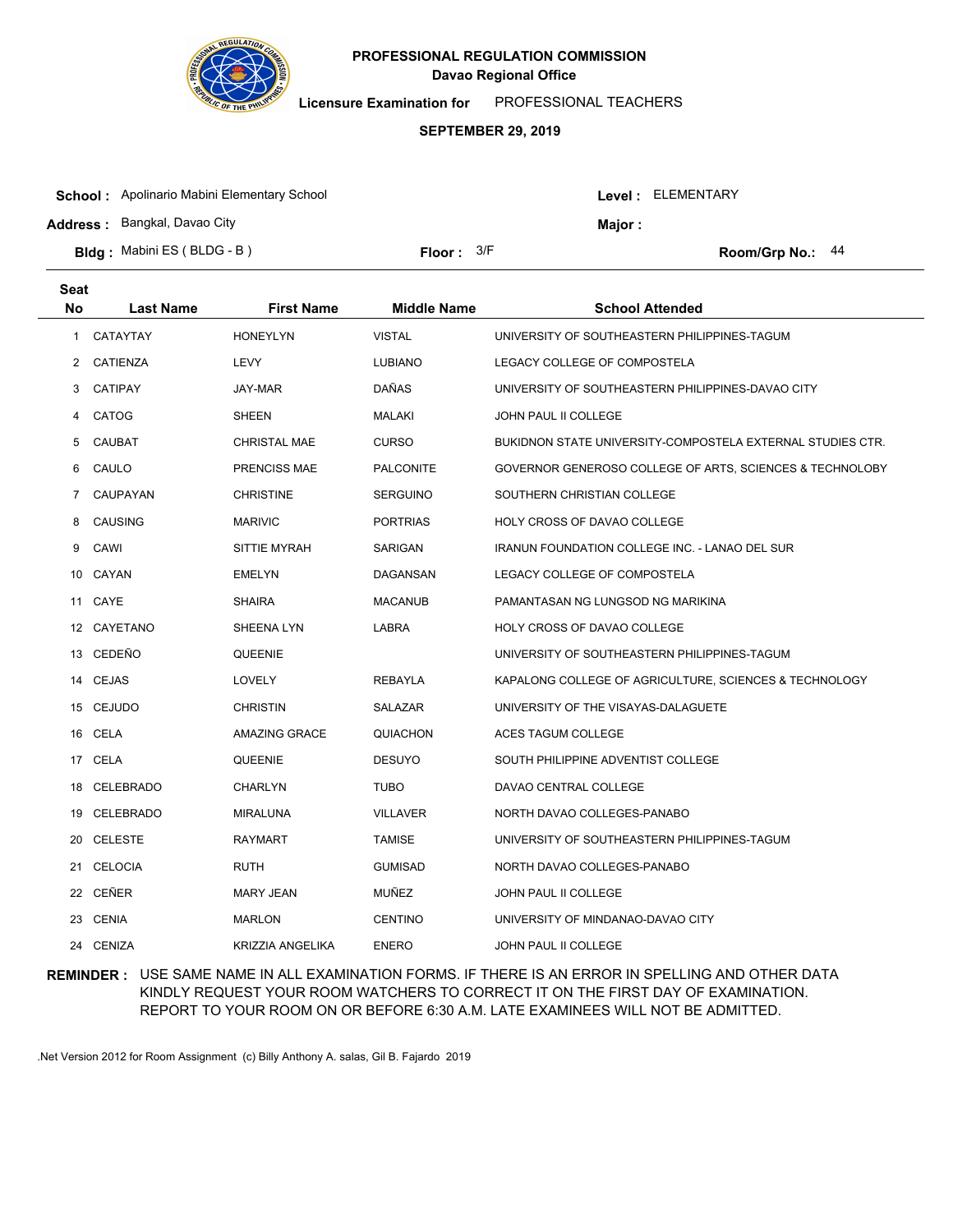

**Licensure Examination for**  PROFESSIONAL TEACHERS

### **SEPTEMBER 29, 2019**

| <b>School:</b> Apolinario Mabini Elementary School |                     |  | Level: ELEMENTARY |                  |
|----------------------------------------------------|---------------------|--|-------------------|------------------|
| <b>Address: Bangkal, Davao City</b>                |                     |  | Maior :           |                  |
| <b>Bldg:</b> Mabini ES (BLDG - B)                  | <b>Floor:</b> $3/F$ |  |                   | Room/Grp No.: 44 |

| <b>Seat</b> |                  |                         |                    |                                                            |
|-------------|------------------|-------------------------|--------------------|------------------------------------------------------------|
| <b>No</b>   | <b>Last Name</b> | <b>First Name</b>       | <b>Middle Name</b> | <b>School Attended</b>                                     |
| 1           | CATAYTAY         | <b>HONEYLYN</b>         | <b>VISTAL</b>      | UNIVERSITY OF SOUTHEASTERN PHILIPPINES-TAGUM               |
| 2           | CATIENZA         | <b>LEVY</b>             | <b>LUBIANO</b>     | LEGACY COLLEGE OF COMPOSTELA                               |
| 3           | <b>CATIPAY</b>   | JAY-MAR                 | DAÑAS              | UNIVERSITY OF SOUTHEASTERN PHILIPPINES-DAVAO CITY          |
| 4           | CATOG            | <b>SHEEN</b>            | <b>MALAKI</b>      | <b>JOHN PAUL II COLLEGE</b>                                |
| 5           | CAUBAT           | <b>CHRISTAL MAE</b>     | <b>CURSO</b>       | BUKIDNON STATE UNIVERSITY-COMPOSTELA EXTERNAL STUDIES CTR. |
| 6           | CAULO            | PRENCISS MAE            | <b>PALCONITE</b>   | GOVERNOR GENEROSO COLLEGE OF ARTS, SCIENCES & TECHNOLOBY   |
| 7           | CAUPAYAN         | <b>CHRISTINE</b>        | <b>SERGUINO</b>    | SOUTHERN CHRISTIAN COLLEGE                                 |
| 8           | CAUSING          | <b>MARIVIC</b>          | <b>PORTRIAS</b>    | HOLY CROSS OF DAVAO COLLEGE                                |
| 9           | CAWI             | SITTIE MYRAH            | SARIGAN            | IRANUN FOUNDATION COLLEGE INC. - LANAO DEL SUR             |
| 10          | CAYAN            | <b>EMELYN</b>           | DAGANSAN           | LEGACY COLLEGE OF COMPOSTELA                               |
|             | 11 CAYE          | <b>SHAIRA</b>           | <b>MACANUB</b>     | PAMANTASAN NG LUNGSOD NG MARIKINA                          |
|             | 12 CAYETANO      | SHEENA LYN              | LABRA              | HOLY CROSS OF DAVAO COLLEGE                                |
|             | 13 CEDEÑO        | QUEENIE                 |                    | UNIVERSITY OF SOUTHEASTERN PHILIPPINES-TAGUM               |
|             | 14 CEJAS         | LOVELY                  | REBAYLA            | KAPALONG COLLEGE OF AGRICULTURE, SCIENCES & TECHNOLOGY     |
|             | 15 CEJUDO        | <b>CHRISTIN</b>         | SALAZAR            | UNIVERSITY OF THE VISAYAS-DALAGUETE                        |
|             | 16 CELA          | <b>AMAZING GRACE</b>    | QUIACHON           | ACES TAGUM COLLEGE                                         |
|             | 17 CELA          | QUEENIE                 | <b>DESUYO</b>      | SOUTH PHILIPPINE ADVENTIST COLLEGE                         |
| 18          | <b>CELEBRADO</b> | <b>CHARLYN</b>          | TUBO               | DAVAO CENTRAL COLLEGE                                      |
| 19          | CELEBRADO        | <b>MIRALUNA</b>         | <b>VILLAVER</b>    | NORTH DAVAO COLLEGES-PANABO                                |
| 20          | <b>CELESTE</b>   | <b>RAYMART</b>          | <b>TAMISE</b>      | UNIVERSITY OF SOUTHEASTERN PHILIPPINES-TAGUM               |
|             | 21 CELOCIA       | <b>RUTH</b>             | <b>GUMISAD</b>     | NORTH DAVAO COLLEGES-PANABO                                |
| 22          | CEÑER            | <b>MARY JEAN</b>        | MUÑEZ              | JOHN PAUL II COLLEGE                                       |
| 23          | <b>CENIA</b>     | <b>MARLON</b>           | <b>CENTINO</b>     | UNIVERSITY OF MINDANAO-DAVAO CITY                          |
|             | 24 CENIZA        | <b>KRIZZIA ANGELIKA</b> | <b>ENERO</b>       | JOHN PAUL II COLLEGE                                       |

## **REMINDER :** USE SAME NAME IN ALL EXAMINATION FORMS. IF THERE IS AN ERROR IN SPELLING AND OTHER DATA KINDLY REQUEST YOUR ROOM WATCHERS TO CORRECT IT ON THE FIRST DAY OF EXAMINATION. REPORT TO YOUR ROOM ON OR BEFORE 6:30 A.M. LATE EXAMINEES WILL NOT BE ADMITTED.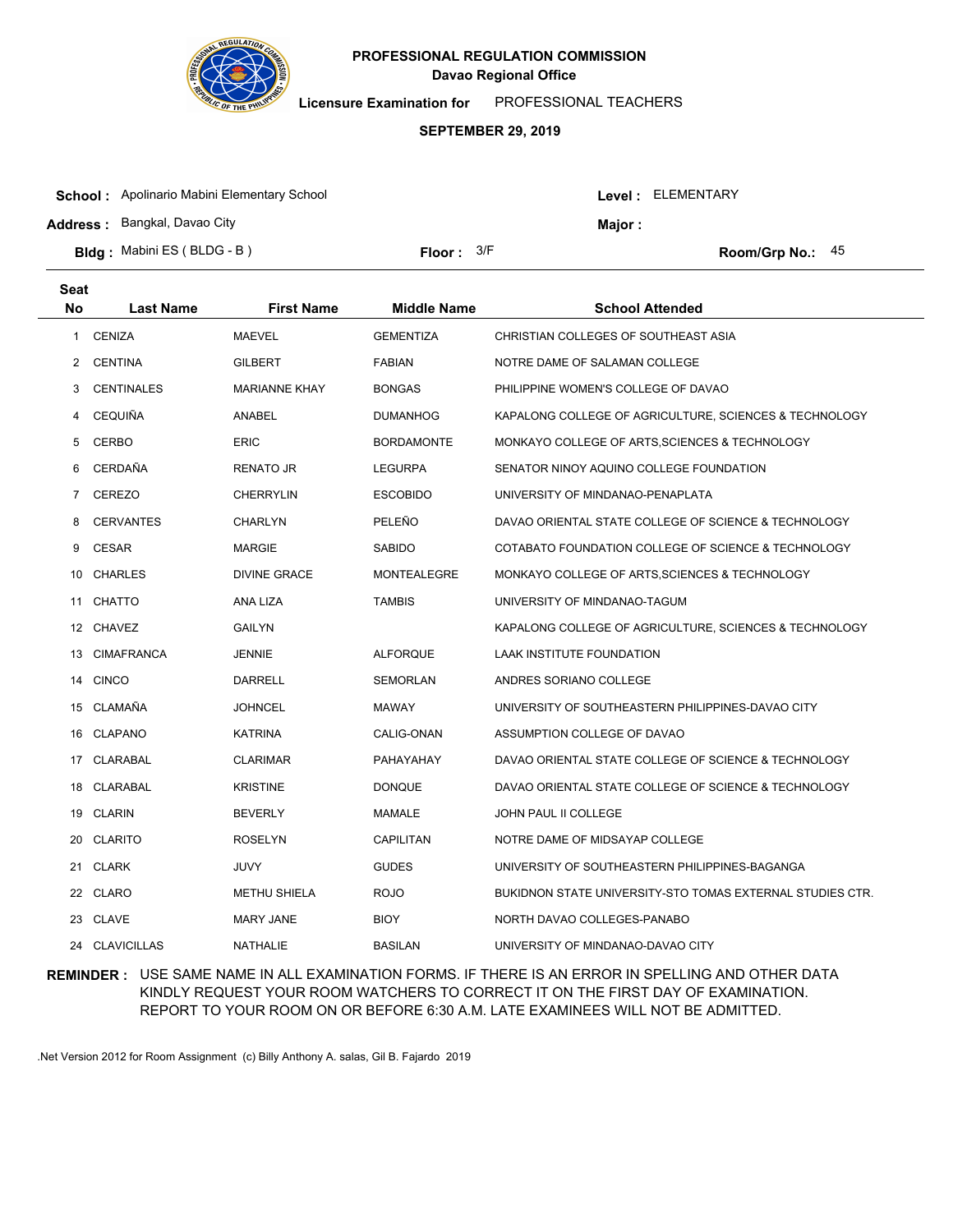

**Licensure Examination for**  PROFESSIONAL TEACHERS

### **SEPTEMBER 29, 2019**

| <b>School:</b> Apolinario Mabini Elementary School |              |  | Level : ELEMENTARY |                    |  |
|----------------------------------------------------|--------------|--|--------------------|--------------------|--|
| <b>Address: Bangkal, Davao City</b>                |              |  | Major :            |                    |  |
| <b>Bldg:</b> Mabini ES (BLDG - B)                  | Floor: $3/F$ |  |                    | Room/Grp No.: $45$ |  |

| Seat           |                   |                      |                    |                                                           |
|----------------|-------------------|----------------------|--------------------|-----------------------------------------------------------|
| No             | <b>Last Name</b>  | <b>First Name</b>    | <b>Middle Name</b> | <b>School Attended</b>                                    |
| 1              | <b>CENIZA</b>     | <b>MAEVEL</b>        | <b>GEMENTIZA</b>   | CHRISTIAN COLLEGES OF SOUTHEAST ASIA                      |
| 2              | <b>CENTINA</b>    | <b>GILBERT</b>       | <b>FABIAN</b>      | NOTRE DAME OF SALAMAN COLLEGE                             |
| 3              | <b>CENTINALES</b> | <b>MARIANNE KHAY</b> | <b>BONGAS</b>      | PHILIPPINE WOMEN'S COLLEGE OF DAVAO                       |
| 4              | <b>CEQUIÑA</b>    | ANABEL               | <b>DUMANHOG</b>    | KAPALONG COLLEGE OF AGRICULTURE, SCIENCES & TECHNOLOGY    |
| 5              | <b>CERBO</b>      | <b>ERIC</b>          | <b>BORDAMONTE</b>  | MONKAYO COLLEGE OF ARTS, SCIENCES & TECHNOLOGY            |
| 6              | CERDAÑA           | <b>RENATO JR</b>     | <b>LEGURPA</b>     | SENATOR NINOY AQUINO COLLEGE FOUNDATION                   |
| $\overline{7}$ | CEREZO            | <b>CHERRYLIN</b>     | <b>ESCOBIDO</b>    | UNIVERSITY OF MINDANAO-PENAPLATA                          |
| 8              | <b>CERVANTES</b>  | <b>CHARLYN</b>       | PELEÑO             | DAVAO ORIENTAL STATE COLLEGE OF SCIENCE & TECHNOLOGY      |
| 9              | <b>CESAR</b>      | <b>MARGIE</b>        | <b>SABIDO</b>      | COTABATO FOUNDATION COLLEGE OF SCIENCE & TECHNOLOGY       |
|                | 10 CHARLES        | <b>DIVINE GRACE</b>  | <b>MONTEALEGRE</b> | MONKAYO COLLEGE OF ARTS, SCIENCES & TECHNOLOGY            |
| 11             | <b>CHATTO</b>     | ANA LIZA             | <b>TAMBIS</b>      | UNIVERSITY OF MINDANAO-TAGUM                              |
|                | 12 CHAVEZ         | <b>GAILYN</b>        |                    | KAPALONG COLLEGE OF AGRICULTURE, SCIENCES & TECHNOLOGY    |
|                | 13 CIMAFRANCA     | <b>JENNIE</b>        | <b>ALFORQUE</b>    | LAAK INSTITUTE FOUNDATION                                 |
| 14             | <b>CINCO</b>      | <b>DARRELL</b>       | <b>SEMORLAN</b>    | ANDRES SORIANO COLLEGE                                    |
| 15             | CLAMAÑA           | <b>JOHNCEL</b>       | <b>MAWAY</b>       | UNIVERSITY OF SOUTHEASTERN PHILIPPINES-DAVAO CITY         |
| 16             | <b>CLAPANO</b>    | <b>KATRINA</b>       | CALIG-ONAN         | ASSUMPTION COLLEGE OF DAVAO                               |
| 17             | CLARABAL          | <b>CLARIMAR</b>      | PAHAYAHAY          | DAVAO ORIENTAL STATE COLLEGE OF SCIENCE & TECHNOLOGY      |
| 18             | CLARABAL          | <b>KRISTINE</b>      | <b>DONQUE</b>      | DAVAO ORIENTAL STATE COLLEGE OF SCIENCE & TECHNOLOGY      |
| 19             | <b>CLARIN</b>     | <b>BEVERLY</b>       | <b>MAMALE</b>      | <b>JOHN PAUL II COLLEGE</b>                               |
| 20             | <b>CLARITO</b>    | <b>ROSELYN</b>       | CAPILITAN          | NOTRE DAME OF MIDSAYAP COLLEGE                            |
| 21             | <b>CLARK</b>      | <b>JUVY</b>          | <b>GUDES</b>       | UNIVERSITY OF SOUTHEASTERN PHILIPPINES-BAGANGA            |
|                | 22 CLARO          | <b>METHU SHIELA</b>  | <b>ROJO</b>        | BUKIDNON STATE UNIVERSITY-STO TOMAS EXTERNAL STUDIES CTR. |
| 23             | CLAVE             | <b>MARY JANE</b>     | <b>BIOY</b>        | NORTH DAVAO COLLEGES-PANABO                               |
|                | 24 CLAVICILLAS    | <b>NATHALIE</b>      | <b>BASILAN</b>     | UNIVERSITY OF MINDANAO-DAVAO CITY                         |

## **REMINDER :** USE SAME NAME IN ALL EXAMINATION FORMS. IF THERE IS AN ERROR IN SPELLING AND OTHER DATA KINDLY REQUEST YOUR ROOM WATCHERS TO CORRECT IT ON THE FIRST DAY OF EXAMINATION. REPORT TO YOUR ROOM ON OR BEFORE 6:30 A.M. LATE EXAMINEES WILL NOT BE ADMITTED.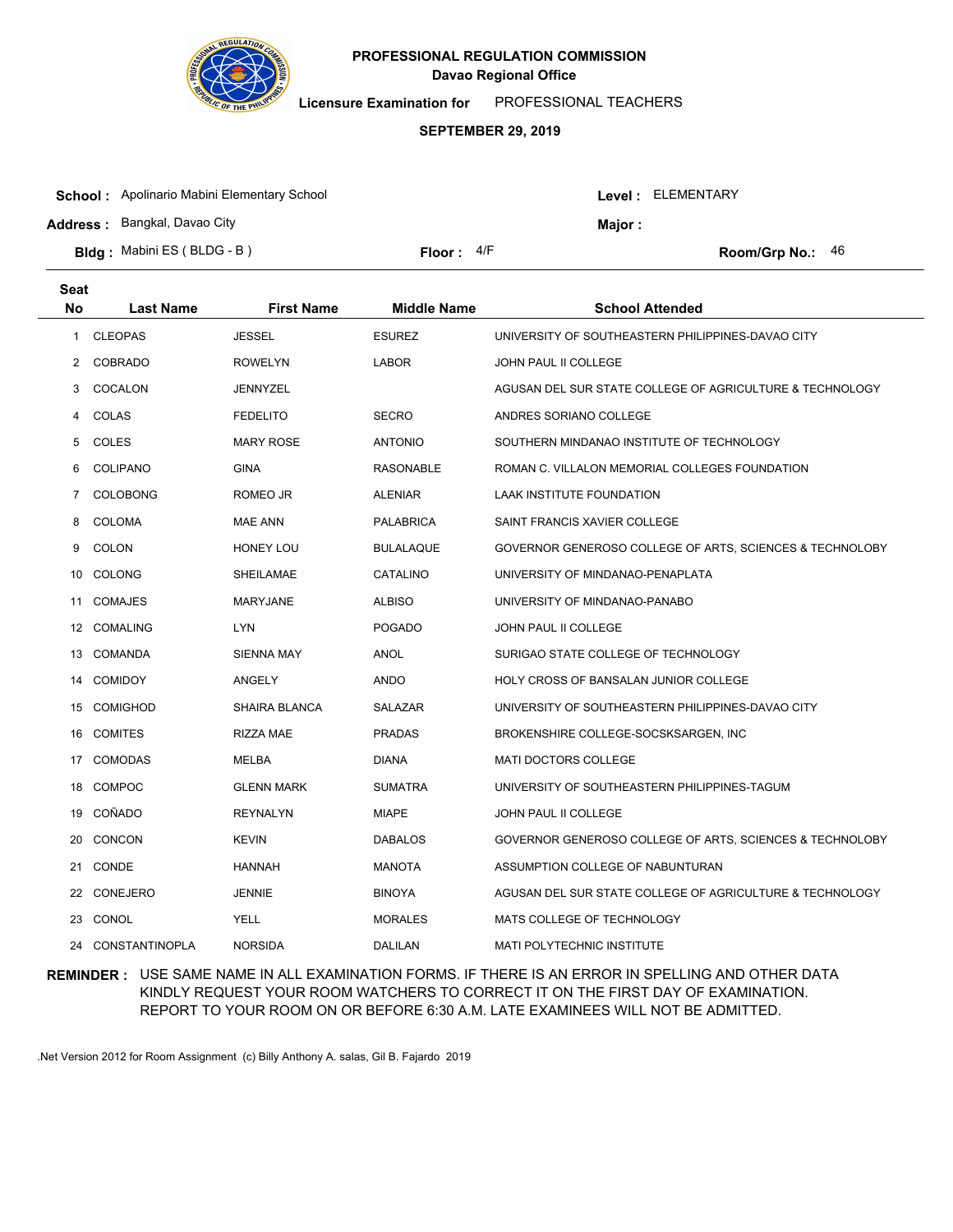

**Licensure Examination for**  PROFESSIONAL TEACHERS

#### **SEPTEMBER 29, 2019**

| <b>Address: Bangkal, Davao City</b><br><b>Maior:</b>                           |  |
|--------------------------------------------------------------------------------|--|
| <b>Bldg:</b> Mabini ES (BLDG - B)<br>Floor: $4/F$<br><b>Room/Grp No.:</b> $46$ |  |

| <b>Seat</b> |                  |                      |                    |                                                          |
|-------------|------------------|----------------------|--------------------|----------------------------------------------------------|
| No          | <b>Last Name</b> | <b>First Name</b>    | <b>Middle Name</b> | <b>School Attended</b>                                   |
| 1           | <b>CLEOPAS</b>   | <b>JESSEL</b>        | <b>ESUREZ</b>      | UNIVERSITY OF SOUTHEASTERN PHILIPPINES-DAVAO CITY        |
| 2           | <b>COBRADO</b>   | <b>ROWELYN</b>       | <b>LABOR</b>       | <b>JOHN PAUL II COLLEGE</b>                              |
| 3           | COCALON          | <b>JENNYZEL</b>      |                    | AGUSAN DEL SUR STATE COLLEGE OF AGRICULTURE & TECHNOLOGY |
| 4           | COLAS            | <b>FEDELITO</b>      | <b>SECRO</b>       | ANDRES SORIANO COLLEGE                                   |
| 5           | COLES            | <b>MARY ROSE</b>     | <b>ANTONIO</b>     | SOUTHERN MINDANAO INSTITUTE OF TECHNOLOGY                |
| 6           | <b>COLIPANO</b>  | <b>GINA</b>          | <b>RASONABLE</b>   | ROMAN C. VILLALON MEMORIAL COLLEGES FOUNDATION           |
| 7           | <b>COLOBONG</b>  | ROMEO JR             | <b>ALENIAR</b>     | LAAK INSTITUTE FOUNDATION                                |
| 8           | <b>COLOMA</b>    | <b>MAE ANN</b>       | <b>PALABRICA</b>   | SAINT FRANCIS XAVIER COLLEGE                             |
| 9           | <b>COLON</b>     | <b>HONEY LOU</b>     | <b>BULALAQUE</b>   | GOVERNOR GENEROSO COLLEGE OF ARTS, SCIENCES & TECHNOLOBY |
| 10          | <b>COLONG</b>    | SHEILAMAE            | CATALINO           | UNIVERSITY OF MINDANAO-PENAPLATA                         |
| 11          | <b>COMAJES</b>   | <b>MARYJANE</b>      | <b>ALBISO</b>      | UNIVERSITY OF MINDANAO-PANABO                            |
|             | 12 COMALING      | LYN                  | <b>POGADO</b>      | JOHN PAUL II COLLEGE                                     |
|             | 13 COMANDA       | SIENNA MAY           | ANOL               | SURIGAO STATE COLLEGE OF TECHNOLOGY                      |
| 14          | <b>COMIDOY</b>   | ANGELY               | ANDO               | HOLY CROSS OF BANSALAN JUNIOR COLLEGE                    |
| 15          | <b>COMIGHOD</b>  | <b>SHAIRA BLANCA</b> | <b>SALAZAR</b>     | UNIVERSITY OF SOUTHEASTERN PHILIPPINES-DAVAO CITY        |
| 16          | <b>COMITES</b>   | RIZZA MAE            | <b>PRADAS</b>      | BROKENSHIRE COLLEGE-SOCSKSARGEN, INC                     |
| 17          | <b>COMODAS</b>   | MELBA                | <b>DIANA</b>       | <b>MATI DOCTORS COLLEGE</b>                              |
| 18          | <b>COMPOC</b>    | <b>GLENN MARK</b>    | <b>SUMATRA</b>     | UNIVERSITY OF SOUTHEASTERN PHILIPPINES-TAGUM             |
| 19          | COÑADO           | <b>REYNALYN</b>      | <b>MIAPE</b>       | JOHN PAUL II COLLEGE                                     |
| 20          | <b>CONCON</b>    | <b>KEVIN</b>         | <b>DABALOS</b>     | GOVERNOR GENEROSO COLLEGE OF ARTS, SCIENCES & TECHNOLOBY |
| 21          | <b>CONDE</b>     | <b>HANNAH</b>        | <b>MANOTA</b>      | ASSUMPTION COLLEGE OF NABUNTURAN                         |
| 22          | <b>CONEJERO</b>  | JENNIE               | <b>BINOYA</b>      | AGUSAN DEL SUR STATE COLLEGE OF AGRICULTURE & TECHNOLOGY |
| 23          | CONOL            | YELL                 | <b>MORALES</b>     | MATS COLLEGE OF TECHNOLOGY                               |
| 24          | CONSTANTINOPLA   | <b>NORSIDA</b>       | <b>DALILAN</b>     | MATI POLYTECHNIC INSTITUTE                               |

### **REMINDER :** USE SAME NAME IN ALL EXAMINATION FORMS. IF THERE IS AN ERROR IN SPELLING AND OTHER DATA KINDLY REQUEST YOUR ROOM WATCHERS TO CORRECT IT ON THE FIRST DAY OF EXAMINATION. REPORT TO YOUR ROOM ON OR BEFORE 6:30 A.M. LATE EXAMINEES WILL NOT BE ADMITTED.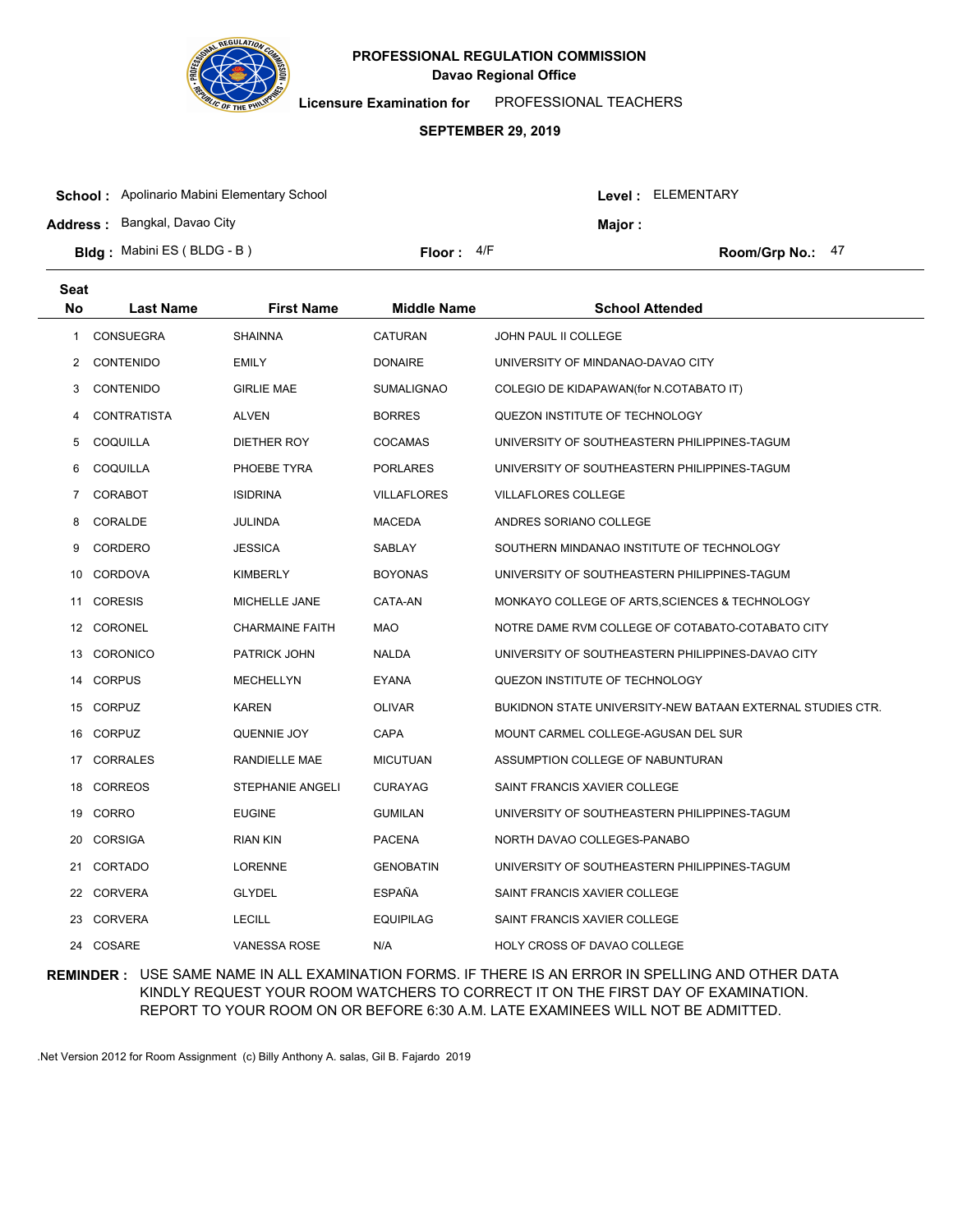

**Seat**

# **Davao Regional Office PROFESSIONAL REGULATION COMMISSION**

**Licensure Examination for**  PROFESSIONAL TEACHERS

#### **SEPTEMBER 29, 2019**

| <b>School:</b> Apolinario Mabini Elementary School |              |               | Level: ELEMENTARY |  |
|----------------------------------------------------|--------------|---------------|-------------------|--|
| <b>Address: Bangkal, Davao City</b>                |              | <b>Maior:</b> |                   |  |
| <b>Bldg:</b> Mabini ES (BLDG - B)                  | Floor: $4/F$ |               | Room/Grp No.: 47  |  |

| No             | <b>Last Name</b>   | <b>First Name</b>      | <b>Middle Name</b> | <b>School Attended</b>                                     |
|----------------|--------------------|------------------------|--------------------|------------------------------------------------------------|
| 1              | CONSUEGRA          | <b>SHAINNA</b>         | <b>CATURAN</b>     | JOHN PAUL II COLLEGE                                       |
| $\mathbf{2}$   | <b>CONTENIDO</b>   | EMILY                  | <b>DONAIRE</b>     | UNIVERSITY OF MINDANAO-DAVAO CITY                          |
| 3              | <b>CONTENIDO</b>   | <b>GIRLIE MAE</b>      | <b>SUMALIGNAO</b>  | COLEGIO DE KIDAPAWAN(for N.COTABATO IT)                    |
| 4              | <b>CONTRATISTA</b> | <b>ALVEN</b>           | <b>BORRES</b>      | QUEZON INSTITUTE OF TECHNOLOGY                             |
| 5              | COQUILLA           | <b>DIETHER ROY</b>     | <b>COCAMAS</b>     | UNIVERSITY OF SOUTHEASTERN PHILIPPINES-TAGUM               |
| 6              | COQUILLA           | PHOEBE TYRA            | <b>PORLARES</b>    | UNIVERSITY OF SOUTHEASTERN PHILIPPINES-TAGUM               |
| $\overline{7}$ | <b>CORABOT</b>     | <b>ISIDRINA</b>        | <b>VILLAFLORES</b> | <b>VILLAFLORES COLLEGE</b>                                 |
| 8              | CORALDE            | JULINDA                | <b>MACEDA</b>      | ANDRES SORIANO COLLEGE                                     |
| 9              | CORDERO            | <b>JESSICA</b>         | SABLAY             | SOUTHERN MINDANAO INSTITUTE OF TECHNOLOGY                  |
| 10             | CORDOVA            | <b>KIMBERLY</b>        | <b>BOYONAS</b>     | UNIVERSITY OF SOUTHEASTERN PHILIPPINES-TAGUM               |
| 11             | <b>CORESIS</b>     | MICHELLE JANE          | CATA-AN            | MONKAYO COLLEGE OF ARTS, SCIENCES & TECHNOLOGY             |
|                | 12 CORONEL         | <b>CHARMAINE FAITH</b> | MAO                | NOTRE DAME RVM COLLEGE OF COTABATO-COTABATO CITY           |
| 13             | <b>CORONICO</b>    | PATRICK JOHN           | <b>NALDA</b>       | UNIVERSITY OF SOUTHEASTERN PHILIPPINES-DAVAO CITY          |
|                | 14 CORPUS          | MECHELLYN              | <b>EYANA</b>       | QUEZON INSTITUTE OF TECHNOLOGY                             |
|                | 15 CORPUZ          | <b>KAREN</b>           | <b>OLIVAR</b>      | BUKIDNON STATE UNIVERSITY-NEW BATAAN EXTERNAL STUDIES CTR. |
|                | 16 CORPUZ          | QUENNIE JOY            | CAPA               | MOUNT CARMEL COLLEGE-AGUSAN DEL SUR                        |
| 17             | <b>CORRALES</b>    | RANDIELLE MAE          | <b>MICUTUAN</b>    | ASSUMPTION COLLEGE OF NABUNTURAN                           |
|                | 18 CORREOS         | STEPHANIE ANGELI       | <b>CURAYAG</b>     | SAINT FRANCIS XAVIER COLLEGE                               |
|                | 19 CORRO           | <b>EUGINE</b>          | <b>GUMILAN</b>     | UNIVERSITY OF SOUTHEASTERN PHILIPPINES-TAGUM               |
| 20             | <b>CORSIGA</b>     | RIAN KIN               | <b>PACENA</b>      | NORTH DAVAO COLLEGES-PANABO                                |
| 21             | <b>CORTADO</b>     | <b>LORENNE</b>         | <b>GENOBATIN</b>   | UNIVERSITY OF SOUTHEASTERN PHILIPPINES-TAGUM               |
|                | 22 CORVERA         | <b>GLYDEL</b>          | <b>ESPAÑA</b>      | SAINT FRANCIS XAVIER COLLEGE                               |
|                | 23 CORVERA         | <b>LECILL</b>          | <b>EQUIPILAG</b>   | SAINT FRANCIS XAVIER COLLEGE                               |
|                | 24 COSARE          | <b>VANESSA ROSE</b>    | N/A                | HOLY CROSS OF DAVAO COLLEGE                                |

## **REMINDER :** USE SAME NAME IN ALL EXAMINATION FORMS. IF THERE IS AN ERROR IN SPELLING AND OTHER DATA KINDLY REQUEST YOUR ROOM WATCHERS TO CORRECT IT ON THE FIRST DAY OF EXAMINATION. REPORT TO YOUR ROOM ON OR BEFORE 6:30 A.M. LATE EXAMINEES WILL NOT BE ADMITTED.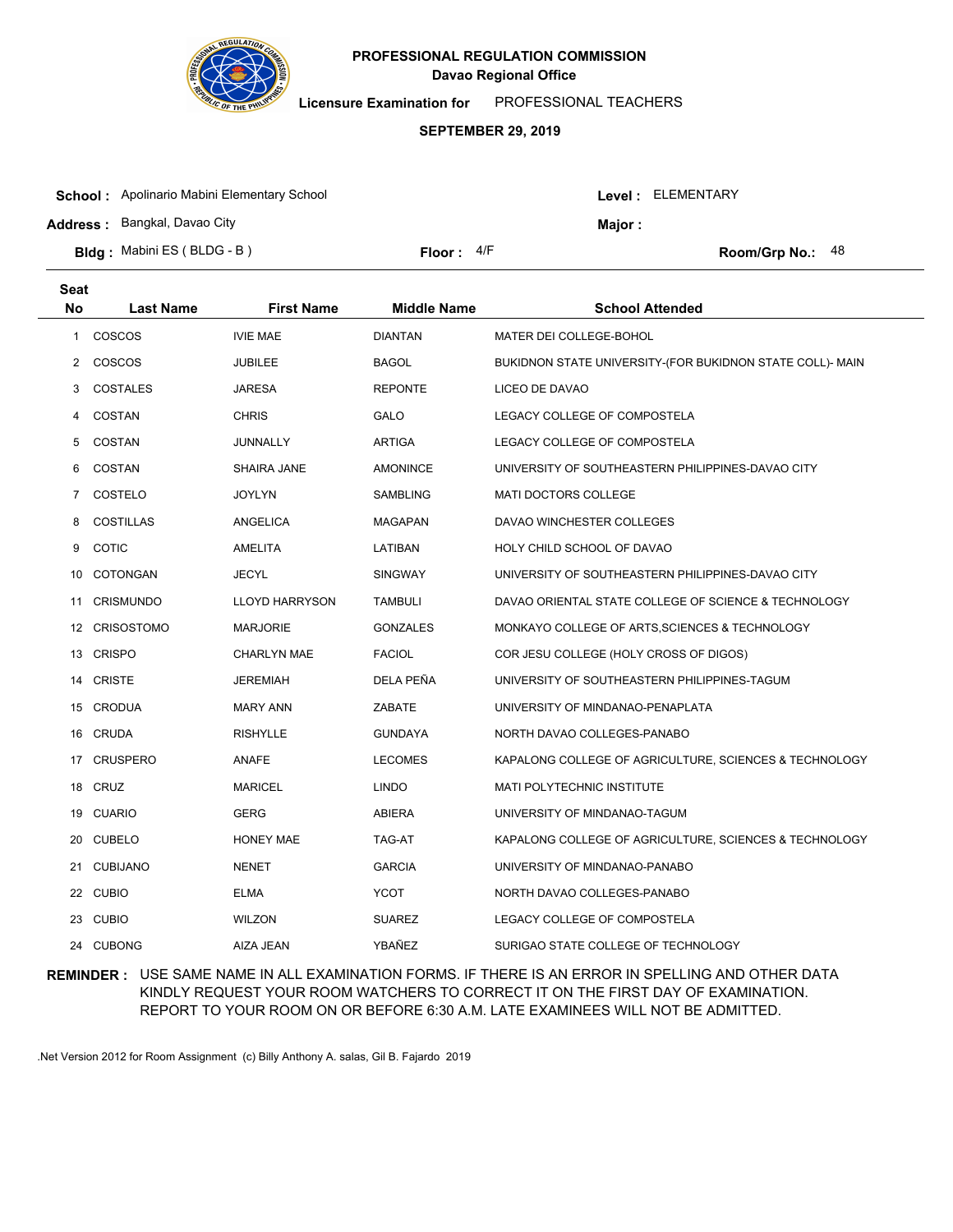

**Licensure Examination for**  PROFESSIONAL TEACHERS

### **SEPTEMBER 29, 2019**

| <b>School:</b> Apolinario Mabini Elementary School | Level: ELEMENTARY |  |                    |
|----------------------------------------------------|-------------------|--|--------------------|
| <b>Address: Bangkal, Davao City</b>                | Major :           |  |                    |
| <b>Bldg:</b> Mabini ES (BLDG - B)                  | Floor: $4/F$      |  | Room/Grp No.: $48$ |

| <b>Seat</b> |                   |                       |                    |                                                           |
|-------------|-------------------|-----------------------|--------------------|-----------------------------------------------------------|
| No          | <b>Last Name</b>  | <b>First Name</b>     | <b>Middle Name</b> | <b>School Attended</b>                                    |
| 1           | COSCOS            | <b>IVIE MAE</b>       | <b>DIANTAN</b>     | MATER DEI COLLEGE-BOHOL                                   |
| 2           | COSCOS            | <b>JUBILEE</b>        | <b>BAGOL</b>       | BUKIDNON STATE UNIVERSITY-(FOR BUKIDNON STATE COLL)- MAIN |
| 3           | <b>COSTALES</b>   | <b>JARESA</b>         | <b>REPONTE</b>     | LICEO DE DAVAO                                            |
| 4           | COSTAN            | <b>CHRIS</b>          | <b>GALO</b>        | LEGACY COLLEGE OF COMPOSTELA                              |
| 5           | COSTAN            | JUNNALLY              | <b>ARTIGA</b>      | LEGACY COLLEGE OF COMPOSTELA                              |
| 6           | <b>COSTAN</b>     | SHAIRA JANE           | <b>AMONINCE</b>    | UNIVERSITY OF SOUTHEASTERN PHILIPPINES-DAVAO CITY         |
| 7           | COSTELO           | <b>JOYLYN</b>         | <b>SAMBLING</b>    | <b>MATI DOCTORS COLLEGE</b>                               |
| 8           | <b>COSTILLAS</b>  | <b>ANGELICA</b>       | <b>MAGAPAN</b>     | DAVAO WINCHESTER COLLEGES                                 |
| 9           | <b>COTIC</b>      | AMELITA               | LATIBAN            | HOLY CHILD SCHOOL OF DAVAO                                |
| 10          | COTONGAN          | <b>JECYL</b>          | <b>SINGWAY</b>     | UNIVERSITY OF SOUTHEASTERN PHILIPPINES-DAVAO CITY         |
| 11          | <b>CRISMUNDO</b>  | <b>LLOYD HARRYSON</b> | <b>TAMBULI</b>     | DAVAO ORIENTAL STATE COLLEGE OF SCIENCE & TECHNOLOGY      |
| 12          | <b>CRISOSTOMO</b> | <b>MARJORIE</b>       | <b>GONZALES</b>    | MONKAYO COLLEGE OF ARTS, SCIENCES & TECHNOLOGY            |
| 13          | <b>CRISPO</b>     | <b>CHARLYN MAE</b>    | <b>FACIOL</b>      | COR JESU COLLEGE (HOLY CROSS OF DIGOS)                    |
| 14          | <b>CRISTE</b>     | <b>JEREMIAH</b>       | DELA PEÑA          | UNIVERSITY OF SOUTHEASTERN PHILIPPINES-TAGUM              |
|             | 15 CRODUA         | <b>MARY ANN</b>       | ZABATE             | UNIVERSITY OF MINDANAO-PENAPLATA                          |
|             | 16 CRUDA          | <b>RISHYLLE</b>       | GUNDAYA            | NORTH DAVAO COLLEGES-PANABO                               |
|             | 17 CRUSPERO       | ANAFE                 | <b>LECOMES</b>     | KAPALONG COLLEGE OF AGRICULTURE, SCIENCES & TECHNOLOGY    |
|             | 18 CRUZ           | <b>MARICEL</b>        | <b>LINDO</b>       | MATI POLYTECHNIC INSTITUTE                                |
|             | 19 CUARIO         | <b>GERG</b>           | <b>ABIERA</b>      | UNIVERSITY OF MINDANAO-TAGUM                              |
|             | 20 CUBELO         | <b>HONEY MAE</b>      | TAG-AT             | KAPALONG COLLEGE OF AGRICULTURE, SCIENCES & TECHNOLOGY    |
| 21          | <b>CUBIJANO</b>   | <b>NENET</b>          | <b>GARCIA</b>      | UNIVERSITY OF MINDANAO-PANABO                             |
| 22          | <b>CUBIO</b>      | <b>ELMA</b>           | YCOT               | NORTH DAVAO COLLEGES-PANABO                               |
| 23          | <b>CUBIO</b>      | <b>WILZON</b>         | <b>SUAREZ</b>      | LEGACY COLLEGE OF COMPOSTELA                              |
| 24          | <b>CUBONG</b>     | AIZA JEAN             | YBAÑEZ             | SURIGAO STATE COLLEGE OF TECHNOLOGY                       |

## **REMINDER :** USE SAME NAME IN ALL EXAMINATION FORMS. IF THERE IS AN ERROR IN SPELLING AND OTHER DATA KINDLY REQUEST YOUR ROOM WATCHERS TO CORRECT IT ON THE FIRST DAY OF EXAMINATION. REPORT TO YOUR ROOM ON OR BEFORE 6:30 A.M. LATE EXAMINEES WILL NOT BE ADMITTED.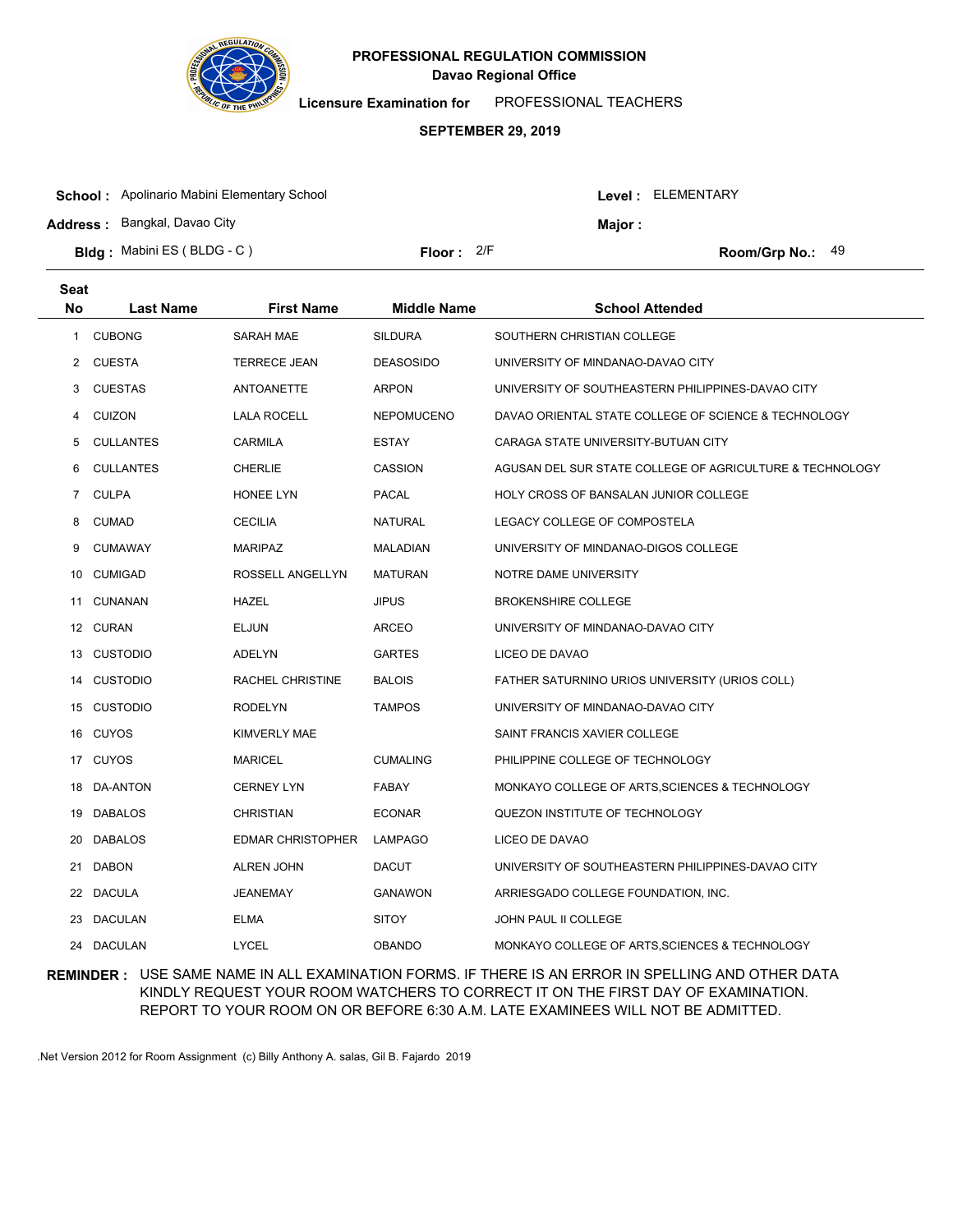

**Licensure Examination for**  PROFESSIONAL TEACHERS

### **SEPTEMBER 29, 2019**

| <b>School:</b> Apolinario Mabini Elementary School |              |                | Level : ELEMENTARY |
|----------------------------------------------------|--------------|----------------|--------------------|
| <b>Address: Bangkal, Davao City</b>                |              | <b>Maior :</b> |                    |
| <b>Bldg:</b> Mabini ES (BLDG - C)                  | Floor: $2/F$ |                | Room/Grp No.: $49$ |

| <b>Seat</b>    |                  |                          |                    |                                                          |
|----------------|------------------|--------------------------|--------------------|----------------------------------------------------------|
| No             | <b>Last Name</b> | <b>First Name</b>        | <b>Middle Name</b> | <b>School Attended</b>                                   |
| 1              | <b>CUBONG</b>    | <b>SARAH MAE</b>         | <b>SILDURA</b>     | SOUTHERN CHRISTIAN COLLEGE                               |
| 2              | <b>CUESTA</b>    | <b>TERRECE JEAN</b>      | <b>DEASOSIDO</b>   | UNIVERSITY OF MINDANAO-DAVAO CITY                        |
| 3              | <b>CUESTAS</b>   | ANTOANETTE               | <b>ARPON</b>       | UNIVERSITY OF SOUTHEASTERN PHILIPPINES-DAVAO CITY        |
| 4              | <b>CUIZON</b>    | <b>LALA ROCELL</b>       | <b>NEPOMUCENO</b>  | DAVAO ORIENTAL STATE COLLEGE OF SCIENCE & TECHNOLOGY     |
| 5              | <b>CULLANTES</b> | CARMILA                  | <b>ESTAY</b>       | CARAGA STATE UNIVERSITY-BUTUAN CITY                      |
| 6              | <b>CULLANTES</b> | <b>CHERLIE</b>           | <b>CASSION</b>     | AGUSAN DEL SUR STATE COLLEGE OF AGRICULTURE & TECHNOLOGY |
| $\overline{7}$ | <b>CULPA</b>     | HONEE LYN                | <b>PACAL</b>       | HOLY CROSS OF BANSALAN JUNIOR COLLEGE                    |
| 8              | <b>CUMAD</b>     | <b>CECILIA</b>           | <b>NATURAL</b>     | LEGACY COLLEGE OF COMPOSTELA                             |
| 9              | <b>CUMAWAY</b>   | <b>MARIPAZ</b>           | MALADIAN           | UNIVERSITY OF MINDANAO-DIGOS COLLEGE                     |
| 10             | <b>CUMIGAD</b>   | ROSSELL ANGELLYN         | <b>MATURAN</b>     | NOTRE DAME UNIVERSITY                                    |
| 11             | <b>CUNANAN</b>   | <b>HAZEL</b>             | <b>JIPUS</b>       | <b>BROKENSHIRE COLLEGE</b>                               |
|                | 12 CURAN         | <b>ELJUN</b>             | ARCEO              | UNIVERSITY OF MINDANAO-DAVAO CITY                        |
|                | 13 CUSTODIO      | ADELYN                   | <b>GARTES</b>      | LICEO DE DAVAO                                           |
|                | 14 CUSTODIO      | RACHEL CHRISTINE         | <b>BALOIS</b>      | FATHER SATURNINO URIOS UNIVERSITY (URIOS COLL)           |
|                | 15 CUSTODIO      | <b>RODELYN</b>           | <b>TAMPOS</b>      | UNIVERSITY OF MINDANAO-DAVAO CITY                        |
|                | 16 CUYOS         | <b>KIMVERLY MAE</b>      |                    | SAINT FRANCIS XAVIER COLLEGE                             |
|                | 17 CUYOS         | <b>MARICEL</b>           | <b>CUMALING</b>    | PHILIPPINE COLLEGE OF TECHNOLOGY                         |
| 18             | DA-ANTON         | <b>CERNEY LYN</b>        | <b>FABAY</b>       | MONKAYO COLLEGE OF ARTS, SCIENCES & TECHNOLOGY           |
|                | 19 DABALOS       | <b>CHRISTIAN</b>         | <b>ECONAR</b>      | QUEZON INSTITUTE OF TECHNOLOGY                           |
| 20             | <b>DABALOS</b>   | <b>EDMAR CHRISTOPHER</b> | <b>LAMPAGO</b>     | LICEO DE DAVAO                                           |
| 21             | <b>DABON</b>     | <b>ALREN JOHN</b>        | <b>DACUT</b>       | UNIVERSITY OF SOUTHEASTERN PHILIPPINES-DAVAO CITY        |
| 22             | <b>DACULA</b>    | <b>JEANEMAY</b>          | <b>GANAWON</b>     | ARRIESGADO COLLEGE FOUNDATION, INC.                      |
| 23             | <b>DACULAN</b>   | <b>ELMA</b>              | <b>SITOY</b>       | JOHN PAUL II COLLEGE                                     |
| 24             | <b>DACULAN</b>   | <b>LYCEL</b>             | <b>OBANDO</b>      | MONKAYO COLLEGE OF ARTS, SCIENCES & TECHNOLOGY           |

## **REMINDER :** USE SAME NAME IN ALL EXAMINATION FORMS. IF THERE IS AN ERROR IN SPELLING AND OTHER DATA KINDLY REQUEST YOUR ROOM WATCHERS TO CORRECT IT ON THE FIRST DAY OF EXAMINATION. REPORT TO YOUR ROOM ON OR BEFORE 6:30 A.M. LATE EXAMINEES WILL NOT BE ADMITTED.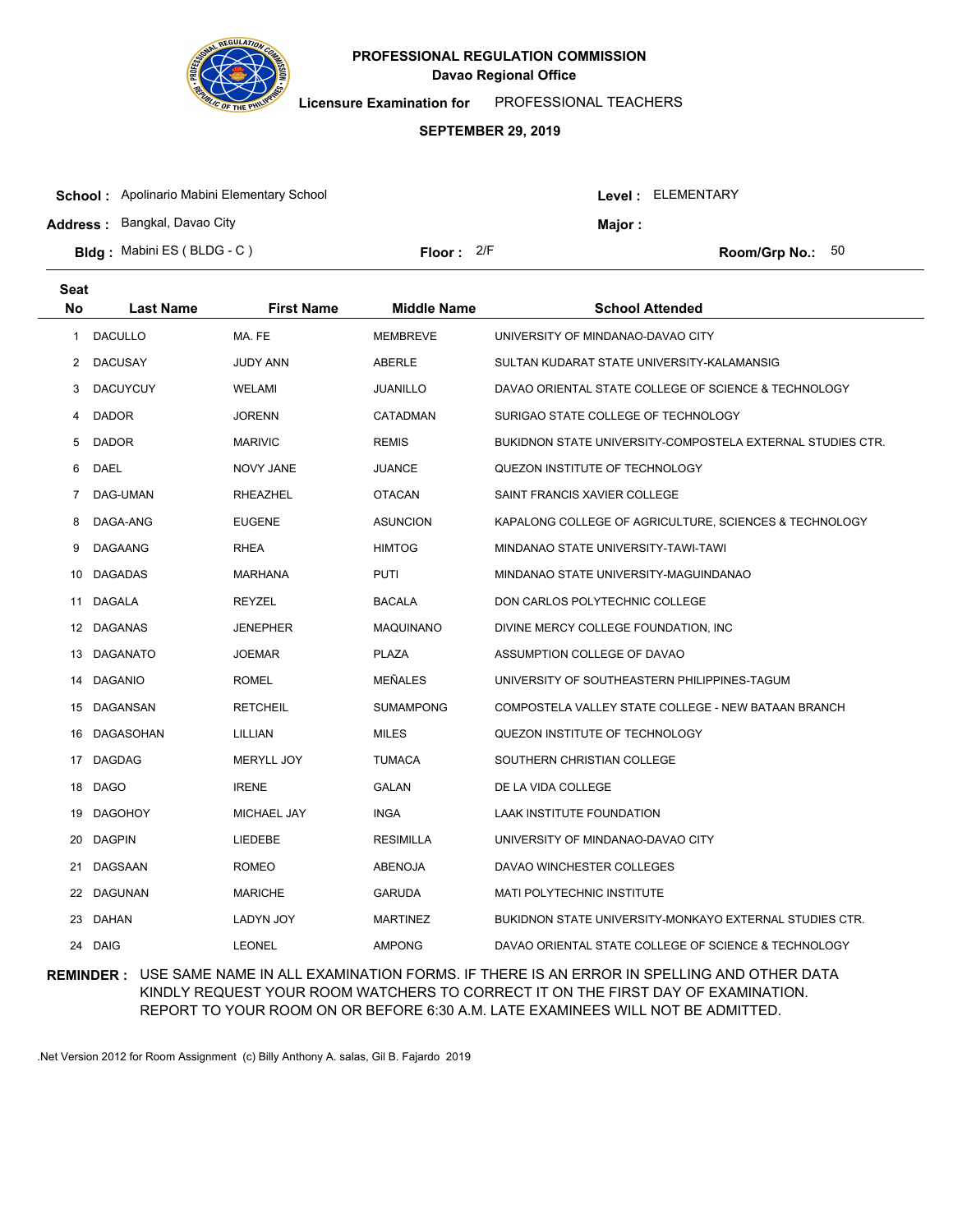

**Licensure Examination for**  PROFESSIONAL TEACHERS

#### **SEPTEMBER 29, 2019**

| <b>School:</b> Apolinario Mabini Elementary School |              |         | Level : ELEMENTARY        |  |
|----------------------------------------------------|--------------|---------|---------------------------|--|
| <b>Address: Bangkal, Davao City</b>                |              | Maior : |                           |  |
| <b>Bldg:</b> Mabini ES (BLDG - C)                  | Floor: $2/F$ |         | <b>Room/Grp No.:</b> $50$ |  |

| <b>Seat</b> |                  |                   |                    |                                                            |
|-------------|------------------|-------------------|--------------------|------------------------------------------------------------|
| <b>No</b>   | <b>Last Name</b> | <b>First Name</b> | <b>Middle Name</b> | <b>School Attended</b>                                     |
| 1           | <b>DACULLO</b>   | MA. FE            | <b>MEMBREVE</b>    | UNIVERSITY OF MINDANAO-DAVAO CITY                          |
| 2           | <b>DACUSAY</b>   | <b>JUDY ANN</b>   | <b>ABERLE</b>      | SULTAN KUDARAT STATE UNIVERSITY-KALAMANSIG                 |
| 3           | <b>DACUYCUY</b>  | WELAMI            | <b>JUANILLO</b>    | DAVAO ORIENTAL STATE COLLEGE OF SCIENCE & TECHNOLOGY       |
| 4           | <b>DADOR</b>     | <b>JORENN</b>     | CATADMAN           | SURIGAO STATE COLLEGE OF TECHNOLOGY                        |
| 5           | <b>DADOR</b>     | <b>MARIVIC</b>    | <b>REMIS</b>       | BUKIDNON STATE UNIVERSITY-COMPOSTELA EXTERNAL STUDIES CTR. |
| 6           | <b>DAEL</b>      | <b>NOVY JANE</b>  | <b>JUANCE</b>      | QUEZON INSTITUTE OF TECHNOLOGY                             |
| 7           | DAG-UMAN         | RHEAZHEL          | <b>OTACAN</b>      | SAINT FRANCIS XAVIER COLLEGE                               |
| 8           | DAGA-ANG         | <b>EUGENE</b>     | <b>ASUNCION</b>    | KAPALONG COLLEGE OF AGRICULTURE, SCIENCES & TECHNOLOGY     |
| 9           | <b>DAGAANG</b>   | <b>RHEA</b>       | <b>HIMTOG</b>      | MINDANAO STATE UNIVERSITY-TAWI-TAWI                        |
| 10          | <b>DAGADAS</b>   | MARHANA           | <b>PUTI</b>        | MINDANAO STATE UNIVERSITY-MAGUINDANAO                      |
| 11          | DAGALA           | REYZEL            | <b>BACALA</b>      | DON CARLOS POLYTECHNIC COLLEGE                             |
|             | 12 DAGANAS       | <b>JENEPHER</b>   | <b>MAQUINANO</b>   | DIVINE MERCY COLLEGE FOUNDATION, INC.                      |
|             | 13 DAGANATO      | <b>JOEMAR</b>     | <b>PLAZA</b>       | ASSUMPTION COLLEGE OF DAVAO                                |
|             | 14 DAGANIO       | <b>ROMEL</b>      | <b>MEÑALES</b>     | UNIVERSITY OF SOUTHEASTERN PHILIPPINES-TAGUM               |
|             | 15 DAGANSAN      | <b>RETCHEIL</b>   | <b>SUMAMPONG</b>   | COMPOSTELA VALLEY STATE COLLEGE - NEW BATAAN BRANCH        |
|             | 16 DAGASOHAN     | LILLIAN           | <b>MILES</b>       | QUEZON INSTITUTE OF TECHNOLOGY                             |
|             | 17 DAGDAG        | MERYLL JOY        | <b>TUMACA</b>      | SOUTHERN CHRISTIAN COLLEGE                                 |
|             | 18 DAGO          | <b>IRENE</b>      | GALAN              | DE LA VIDA COLLEGE                                         |
|             | 19 DAGOHOY       | MICHAEL JAY       | <b>INGA</b>        | <b>LAAK INSTITUTE FOUNDATION</b>                           |
| 20          | <b>DAGPIN</b>    | LIEDEBE           | <b>RESIMILLA</b>   | UNIVERSITY OF MINDANAO-DAVAO CITY                          |
| 21          | DAGSAAN          | <b>ROMEO</b>      | <b>ABENOJA</b>     | DAVAO WINCHESTER COLLEGES                                  |
|             | 22 DAGUNAN       | <b>MARICHE</b>    | <b>GARUDA</b>      | <b>MATI POLYTECHNIC INSTITUTE</b>                          |
|             | 23 DAHAN         | <b>LADYN JOY</b>  | <b>MARTINEZ</b>    | BUKIDNON STATE UNIVERSITY-MONKAYO EXTERNAL STUDIES CTR.    |
|             | 24 DAIG          | <b>LEONEL</b>     | <b>AMPONG</b>      | DAVAO ORIENTAL STATE COLLEGE OF SCIENCE & TECHNOLOGY       |

## **REMINDER :** USE SAME NAME IN ALL EXAMINATION FORMS. IF THERE IS AN ERROR IN SPELLING AND OTHER DATA KINDLY REQUEST YOUR ROOM WATCHERS TO CORRECT IT ON THE FIRST DAY OF EXAMINATION. REPORT TO YOUR ROOM ON OR BEFORE 6:30 A.M. LATE EXAMINEES WILL NOT BE ADMITTED.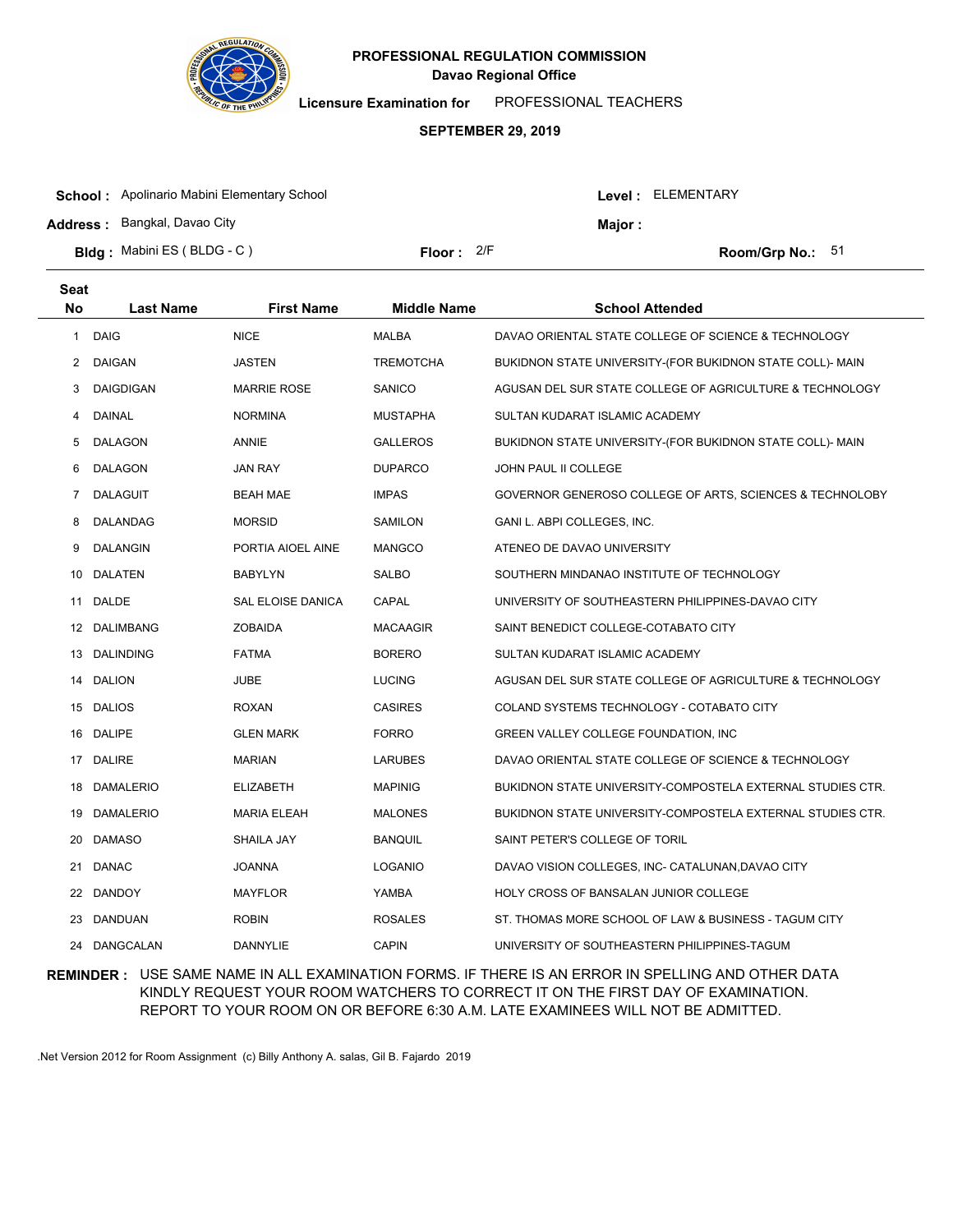

**Licensure Examination for**  PROFESSIONAL TEACHERS

### **SEPTEMBER 29, 2019**

| <b>School:</b> Apolinario Mabini Elementary School |              |               | Level : ELEMENTARY |
|----------------------------------------------------|--------------|---------------|--------------------|
| <b>Address: Bangkal, Davao City</b>                |              | <b>Maior:</b> |                    |
| <b>Bldg:</b> Mabini ES (BLDG - C)                  | Floor: $2/F$ |               | Room/Grp No.: $51$ |

| <b>Seat</b> |                  |                          |                    |                                                            |
|-------------|------------------|--------------------------|--------------------|------------------------------------------------------------|
| No          | <b>Last Name</b> | <b>First Name</b>        | <b>Middle Name</b> | <b>School Attended</b>                                     |
| 1           | <b>DAIG</b>      | <b>NICE</b>              | <b>MALBA</b>       | DAVAO ORIENTAL STATE COLLEGE OF SCIENCE & TECHNOLOGY       |
| 2           | DAIGAN           | JASTEN                   | <b>TREMOTCHA</b>   | BUKIDNON STATE UNIVERSITY-(FOR BUKIDNON STATE COLL)- MAIN  |
| 3           | <b>DAIGDIGAN</b> | <b>MARRIE ROSE</b>       | <b>SANICO</b>      | AGUSAN DEL SUR STATE COLLEGE OF AGRICULTURE & TECHNOLOGY   |
| 4           | <b>DAINAL</b>    | <b>NORMINA</b>           | <b>MUSTAPHA</b>    | SULTAN KUDARAT ISLAMIC ACADEMY                             |
| 5           | <b>DALAGON</b>   | ANNIE                    | <b>GALLEROS</b>    | BUKIDNON STATE UNIVERSITY-(FOR BUKIDNON STATE COLL)- MAIN  |
| 6           | DALAGON          | <b>JAN RAY</b>           | <b>DUPARCO</b>     | <b>JOHN PAUL II COLLEGE</b>                                |
| 7           | <b>DALAGUIT</b>  | <b>BEAH MAE</b>          | <b>IMPAS</b>       | GOVERNOR GENEROSO COLLEGE OF ARTS, SCIENCES & TECHNOLOBY   |
| 8           | DALANDAG         | <b>MORSID</b>            | SAMILON            | GANI L. ABPI COLLEGES, INC.                                |
| 9           | <b>DALANGIN</b>  | PORTIA AIOEL AINE        | <b>MANGCO</b>      | ATENEO DE DAVAO UNIVERSITY                                 |
| 10          | <b>DALATEN</b>   | <b>BABYLYN</b>           | <b>SALBO</b>       | SOUTHERN MINDANAO INSTITUTE OF TECHNOLOGY                  |
| 11          | DALDE            | <b>SAL ELOISE DANICA</b> | CAPAL              | UNIVERSITY OF SOUTHEASTERN PHILIPPINES-DAVAO CITY          |
| 12          | <b>DALIMBANG</b> | <b>ZOBAIDA</b>           | <b>MACAAGIR</b>    | SAINT BENEDICT COLLEGE-COTABATO CITY                       |
|             | 13 DALINDING     | <b>FATMA</b>             | <b>BORERO</b>      | SULTAN KUDARAT ISLAMIC ACADEMY                             |
| 14          | <b>DALION</b>    | JUBE                     | <b>LUCING</b>      | AGUSAN DEL SUR STATE COLLEGE OF AGRICULTURE & TECHNOLOGY   |
|             | 15 DALIOS        | <b>ROXAN</b>             | <b>CASIRES</b>     | COLAND SYSTEMS TECHNOLOGY - COTABATO CITY                  |
| 16          | <b>DALIPE</b>    | <b>GLEN MARK</b>         | <b>FORRO</b>       | GREEN VALLEY COLLEGE FOUNDATION, INC.                      |
|             | 17 DALIRE        | <b>MARIAN</b>            | <b>LARUBES</b>     | DAVAO ORIENTAL STATE COLLEGE OF SCIENCE & TECHNOLOGY       |
| 18          | <b>DAMALERIO</b> | <b>ELIZABETH</b>         | <b>MAPINIG</b>     | BUKIDNON STATE UNIVERSITY-COMPOSTELA EXTERNAL STUDIES CTR. |
| 19          | <b>DAMALERIO</b> | MARIA ELEAH              | <b>MALONES</b>     | BUKIDNON STATE UNIVERSITY-COMPOSTELA EXTERNAL STUDIES CTR. |
| 20          | <b>DAMASO</b>    | SHAILA JAY               | <b>BANQUIL</b>     | SAINT PETER'S COLLEGE OF TORIL                             |
| 21          | <b>DANAC</b>     | <b>JOANNA</b>            | <b>LOGANIO</b>     | DAVAO VISION COLLEGES, INC- CATALUNAN, DAVAO CITY          |
| 22          | <b>DANDOY</b>    | <b>MAYFLOR</b>           | YAMBA              | HOLY CROSS OF BANSALAN JUNIOR COLLEGE                      |
| 23          | DANDUAN          | <b>ROBIN</b>             | <b>ROSALES</b>     | ST. THOMAS MORE SCHOOL OF LAW & BUSINESS - TAGUM CITY      |
| 24          | <b>DANGCALAN</b> | <b>DANNYLIE</b>          | <b>CAPIN</b>       | UNIVERSITY OF SOUTHEASTERN PHILIPPINES-TAGUM               |

## **REMINDER :** USE SAME NAME IN ALL EXAMINATION FORMS. IF THERE IS AN ERROR IN SPELLING AND OTHER DATA KINDLY REQUEST YOUR ROOM WATCHERS TO CORRECT IT ON THE FIRST DAY OF EXAMINATION. REPORT TO YOUR ROOM ON OR BEFORE 6:30 A.M. LATE EXAMINEES WILL NOT BE ADMITTED.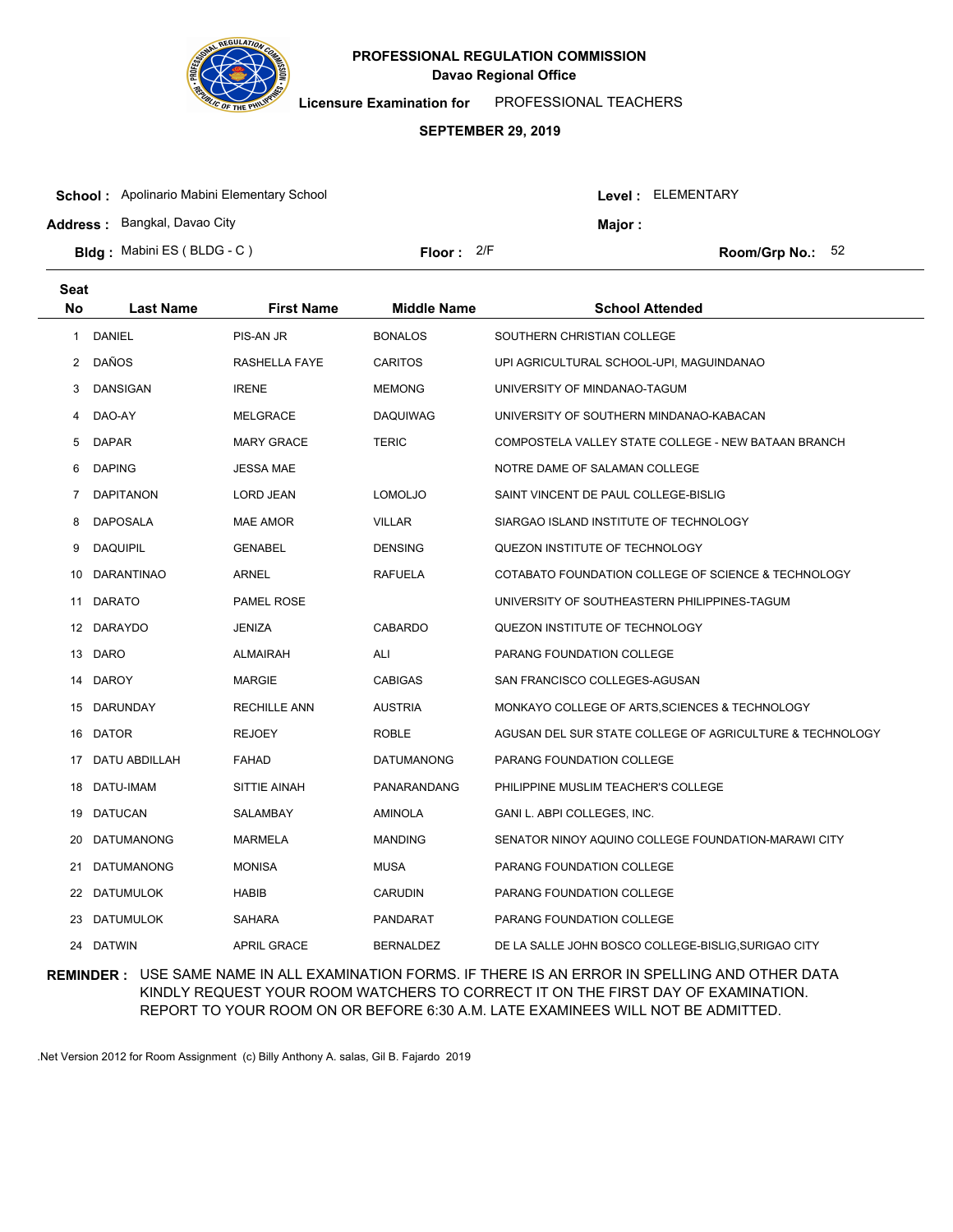

**Licensure Examination for**  PROFESSIONAL TEACHERS

### **SEPTEMBER 29, 2019**

| <b>School:</b> Apolinario Mabini Elementary School |              |               | Level: ELEMENTARY  |
|----------------------------------------------------|--------------|---------------|--------------------|
| <b>Address: Bangkal, Davao City</b>                |              | <b>Maior:</b> |                    |
| <b>Bldg:</b> Mabini ES (BLDG - C)                  | Floor: $2/F$ |               | Room/Grp No.: $52$ |

| <b>Seat</b>    |                   |                     |                    |                                                          |
|----------------|-------------------|---------------------|--------------------|----------------------------------------------------------|
| No             | <b>Last Name</b>  | <b>First Name</b>   | <b>Middle Name</b> | <b>School Attended</b>                                   |
| 1.             | DANIEL            | PIS-AN JR           | <b>BONALOS</b>     | SOUTHERN CHRISTIAN COLLEGE                               |
| $\overline{2}$ | DAÑOS             | RASHELLA FAYE       | <b>CARITOS</b>     | UPI AGRICULTURAL SCHOOL-UPI, MAGUINDANAO                 |
| 3              | DANSIGAN          | <b>IRENE</b>        | <b>MEMONG</b>      | UNIVERSITY OF MINDANAO-TAGUM                             |
| 4              | DAO-AY            | <b>MELGRACE</b>     | <b>DAQUIWAG</b>    | UNIVERSITY OF SOUTHERN MINDANAO-KABACAN                  |
| 5              | <b>DAPAR</b>      | <b>MARY GRACE</b>   | <b>TERIC</b>       | COMPOSTELA VALLEY STATE COLLEGE - NEW BATAAN BRANCH      |
| 6              | <b>DAPING</b>     | <b>JESSA MAE</b>    |                    | NOTRE DAME OF SALAMAN COLLEGE                            |
| 7              | <b>DAPITANON</b>  | LORD JEAN           | <b>LOMOLJO</b>     | SAINT VINCENT DE PAUL COLLEGE-BISLIG                     |
| 8              | <b>DAPOSALA</b>   | <b>MAE AMOR</b>     | <b>VILLAR</b>      | SIARGAO ISLAND INSTITUTE OF TECHNOLOGY                   |
| 9              | <b>DAQUIPIL</b>   | <b>GENABEL</b>      | <b>DENSING</b>     | QUEZON INSTITUTE OF TECHNOLOGY                           |
| 10             | DARANTINAO        | ARNEL               | <b>RAFUELA</b>     | COTABATO FOUNDATION COLLEGE OF SCIENCE & TECHNOLOGY      |
| 11             | <b>DARATO</b>     | <b>PAMEL ROSE</b>   |                    | UNIVERSITY OF SOUTHEASTERN PHILIPPINES-TAGUM             |
|                | 12 DARAYDO        | <b>JENIZA</b>       | <b>CABARDO</b>     | QUEZON INSTITUTE OF TECHNOLOGY                           |
|                | 13 DARO           | <b>ALMAIRAH</b>     | ALI                | PARANG FOUNDATION COLLEGE                                |
|                | 14 DAROY          | <b>MARGIE</b>       | <b>CABIGAS</b>     | SAN FRANCISCO COLLEGES-AGUSAN                            |
|                | 15 DARUNDAY       | <b>RECHILLE ANN</b> | <b>AUSTRIA</b>     | MONKAYO COLLEGE OF ARTS, SCIENCES & TECHNOLOGY           |
|                | 16 DATOR          | <b>REJOEY</b>       | <b>ROBLE</b>       | AGUSAN DEL SUR STATE COLLEGE OF AGRICULTURE & TECHNOLOGY |
|                | 17 DATU ABDILLAH  | <b>FAHAD</b>        | <b>DATUMANONG</b>  | PARANG FOUNDATION COLLEGE                                |
|                | 18 DATU-IMAM      | SITTIE AINAH        | PANARANDANG        | PHILIPPINE MUSLIM TEACHER'S COLLEGE                      |
| 19             | DATUCAN           | SALAMBAY            | <b>AMINOLA</b>     | GANI L. ABPI COLLEGES, INC.                              |
| 20             | <b>DATUMANONG</b> | <b>MARMELA</b>      | <b>MANDING</b>     | SENATOR NINOY AQUINO COLLEGE FOUNDATION-MARAWI CITY      |
| 21             | <b>DATUMANONG</b> | <b>MONISA</b>       | <b>MUSA</b>        | PARANG FOUNDATION COLLEGE                                |
| 22             | DATUMULOK         | HABIB               | <b>CARUDIN</b>     | PARANG FOUNDATION COLLEGE                                |
| 23             | DATUMULOK         | <b>SAHARA</b>       | <b>PANDARAT</b>    | PARANG FOUNDATION COLLEGE                                |
|                | 24 DATWIN         | <b>APRIL GRACE</b>  | <b>BERNALDEZ</b>   | DE LA SALLE JOHN BOSCO COLLEGE-BISLIG, SURIGAO CITY      |

## **REMINDER :** USE SAME NAME IN ALL EXAMINATION FORMS. IF THERE IS AN ERROR IN SPELLING AND OTHER DATA KINDLY REQUEST YOUR ROOM WATCHERS TO CORRECT IT ON THE FIRST DAY OF EXAMINATION. REPORT TO YOUR ROOM ON OR BEFORE 6:30 A.M. LATE EXAMINEES WILL NOT BE ADMITTED.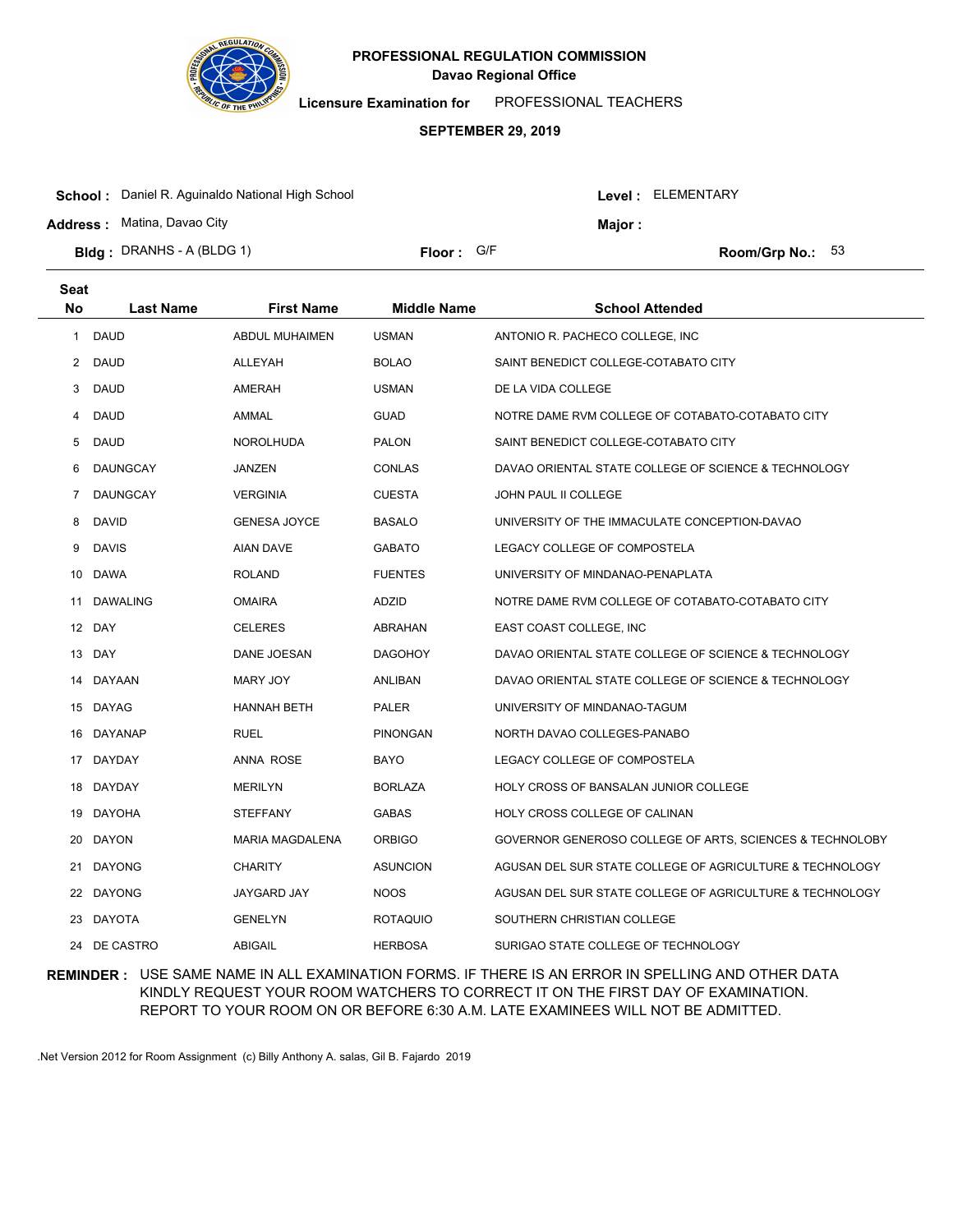

**Licensure Examination for**  PROFESSIONAL TEACHERS

### **SEPTEMBER 29, 2019**

| <b>School:</b> Daniel R. Aguinaldo National High School |            |  | Level: ELEMENTARY |                           |  |
|---------------------------------------------------------|------------|--|-------------------|---------------------------|--|
| <b>Address: Matina, Davao City</b>                      |            |  | Maior :           |                           |  |
| <b>Bidg</b> : DRANHS - A (BLDG 1)                       | Floor: G/F |  |                   | <b>Room/Grp No.:</b> $53$ |  |

| Seat           |                  |                     |                    |                                                          |
|----------------|------------------|---------------------|--------------------|----------------------------------------------------------|
| No             | <b>Last Name</b> | <b>First Name</b>   | <b>Middle Name</b> | <b>School Attended</b>                                   |
| 1              | <b>DAUD</b>      | ABDUL MUHAIMEN      | <b>USMAN</b>       | ANTONIO R. PACHECO COLLEGE, INC                          |
| $\overline{2}$ | <b>DAUD</b>      | ALLEYAH             | <b>BOLAO</b>       | SAINT BENEDICT COLLEGE-COTABATO CITY                     |
| 3              | <b>DAUD</b>      | AMERAH              | <b>USMAN</b>       | DE LA VIDA COLLEGE                                       |
| 4              | DAUD             | AMMAL               | <b>GUAD</b>        | NOTRE DAME RVM COLLEGE OF COTABATO-COTABATO CITY         |
| 5              | DAUD             | <b>NOROLHUDA</b>    | <b>PALON</b>       | SAINT BENEDICT COLLEGE-COTABATO CITY                     |
| 6              | DAUNGCAY         | JANZEN              | <b>CONLAS</b>      | DAVAO ORIENTAL STATE COLLEGE OF SCIENCE & TECHNOLOGY     |
| $\overline{7}$ | DAUNGCAY         | <b>VERGINIA</b>     | <b>CUESTA</b>      | <b>JOHN PAUL II COLLEGE</b>                              |
| 8              | <b>DAVID</b>     | <b>GENESA JOYCE</b> | <b>BASALO</b>      | UNIVERSITY OF THE IMMACULATE CONCEPTION-DAVAO            |
| 9              | <b>DAVIS</b>     | <b>AIAN DAVE</b>    | <b>GABATO</b>      | LEGACY COLLEGE OF COMPOSTELA                             |
| 10             | <b>DAWA</b>      | <b>ROLAND</b>       | <b>FUENTES</b>     | UNIVERSITY OF MINDANAO-PENAPLATA                         |
| 11             | DAWALING         | <b>OMAIRA</b>       | ADZID              | NOTRE DAME RVM COLLEGE OF COTABATO-COTABATO CITY         |
|                | 12 DAY           | <b>CELERES</b>      | ABRAHAN            | EAST COAST COLLEGE, INC                                  |
|                | 13 DAY           | DANE JOESAN         | <b>DAGOHOY</b>     | DAVAO ORIENTAL STATE COLLEGE OF SCIENCE & TECHNOLOGY     |
|                | 14 DAYAAN        | <b>MARY JOY</b>     | ANLIBAN            | DAVAO ORIENTAL STATE COLLEGE OF SCIENCE & TECHNOLOGY     |
|                | 15 DAYAG         | <b>HANNAH BETH</b>  | <b>PALER</b>       | UNIVERSITY OF MINDANAO-TAGUM                             |
| 16             | DAYANAP          | <b>RUEL</b>         | <b>PINONGAN</b>    | NORTH DAVAO COLLEGES-PANABO                              |
|                | 17 DAYDAY        | <b>ANNA ROSE</b>    | <b>BAYO</b>        | LEGACY COLLEGE OF COMPOSTELA                             |
| 18             | DAYDAY           | <b>MERILYN</b>      | <b>BORLAZA</b>     | <b>HOLY CROSS OF BANSALAN JUNIOR COLLEGE</b>             |
| 19             | <b>DAYOHA</b>    | <b>STEFFANY</b>     | <b>GABAS</b>       | HOLY CROSS COLLEGE OF CALINAN                            |
| 20             | <b>DAYON</b>     | MARIA MAGDALENA     | <b>ORBIGO</b>      | GOVERNOR GENEROSO COLLEGE OF ARTS, SCIENCES & TECHNOLOBY |
| 21             | <b>DAYONG</b>    | <b>CHARITY</b>      | <b>ASUNCION</b>    | AGUSAN DEL SUR STATE COLLEGE OF AGRICULTURE & TECHNOLOGY |
| 22             | DAYONG           | JAYGARD JAY         | <b>NOOS</b>        | AGUSAN DEL SUR STATE COLLEGE OF AGRICULTURE & TECHNOLOGY |
| 23             | DAYOTA           | <b>GENELYN</b>      | <b>ROTAQUIO</b>    | SOUTHERN CHRISTIAN COLLEGE                               |
|                | 24 DE CASTRO     | <b>ABIGAIL</b>      | <b>HERBOSA</b>     | SURIGAO STATE COLLEGE OF TECHNOLOGY                      |

## **REMINDER :** USE SAME NAME IN ALL EXAMINATION FORMS. IF THERE IS AN ERROR IN SPELLING AND OTHER DATA KINDLY REQUEST YOUR ROOM WATCHERS TO CORRECT IT ON THE FIRST DAY OF EXAMINATION. REPORT TO YOUR ROOM ON OR BEFORE 6:30 A.M. LATE EXAMINEES WILL NOT BE ADMITTED.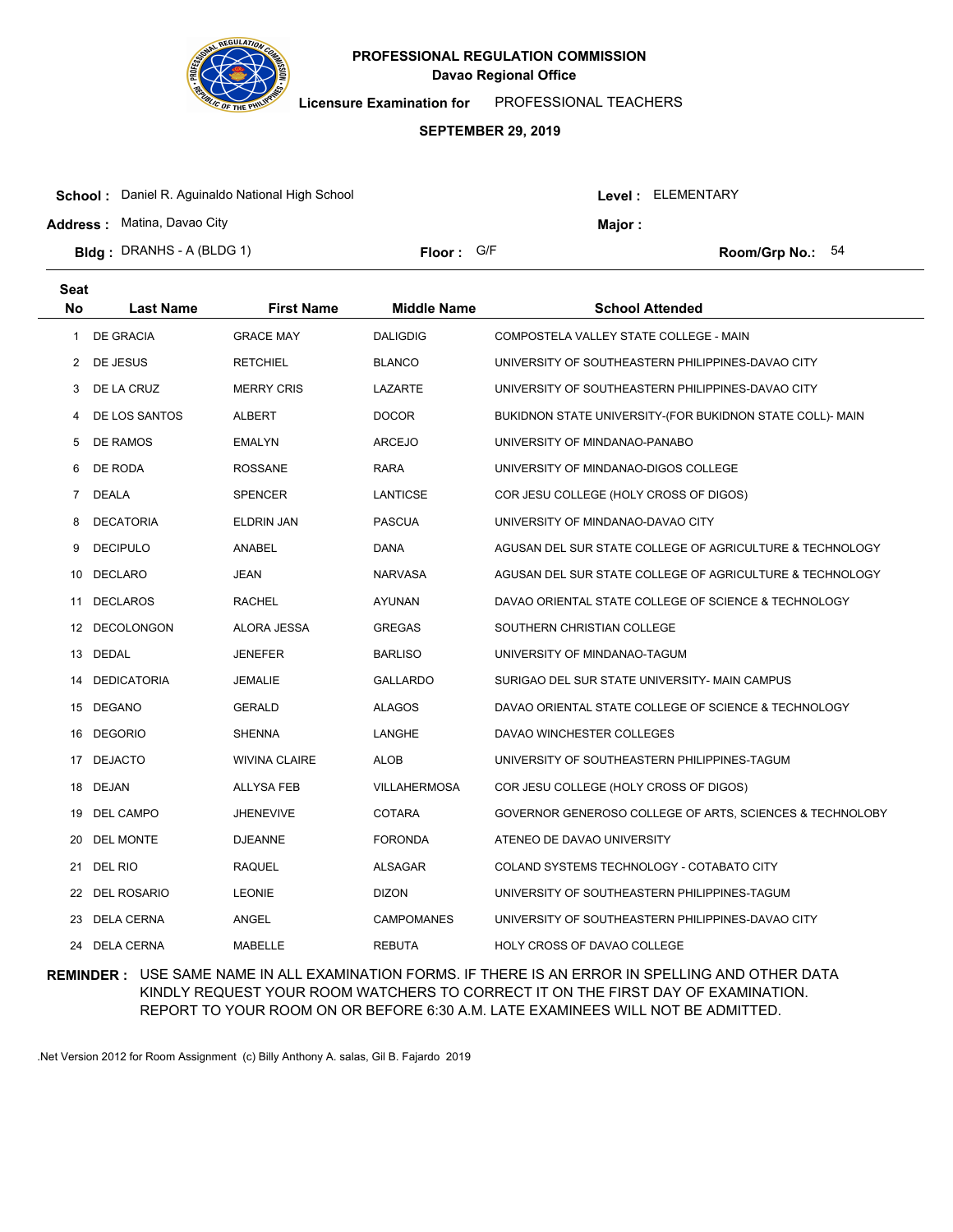

**Licensure Examination for**  PROFESSIONAL TEACHERS

### **SEPTEMBER 29, 2019**

|                                                                       | <b>Address: Matina, Davao City</b><br><b>Major:</b> |  |
|-----------------------------------------------------------------------|-----------------------------------------------------|--|
| <b>Bidg</b> : DRANHS - A (BLDG 1)<br>Floor: G/F<br>Room/Grp No.: $54$ |                                                     |  |

| <b>Seat</b>    |                    |                      |                     |                                                           |
|----------------|--------------------|----------------------|---------------------|-----------------------------------------------------------|
| No             | <b>Last Name</b>   | <b>First Name</b>    | <b>Middle Name</b>  | <b>School Attended</b>                                    |
| 1              | <b>DE GRACIA</b>   | <b>GRACE MAY</b>     | <b>DALIGDIG</b>     | COMPOSTELA VALLEY STATE COLLEGE - MAIN                    |
| $\mathbf{2}$   | DE JESUS           | <b>RETCHIEL</b>      | <b>BLANCO</b>       | UNIVERSITY OF SOUTHEASTERN PHILIPPINES-DAVAO CITY         |
| 3              | DE LA CRUZ         | <b>MERRY CRIS</b>    | LAZARTE             | UNIVERSITY OF SOUTHEASTERN PHILIPPINES-DAVAO CITY         |
| 4              | DE LOS SANTOS      | ALBERT               | <b>DOCOR</b>        | BUKIDNON STATE UNIVERSITY-(FOR BUKIDNON STATE COLL)- MAIN |
| 5              | DE RAMOS           | <b>EMALYN</b>        | <b>ARCEJO</b>       | UNIVERSITY OF MINDANAO-PANABO                             |
| 6              | DE RODA            | <b>ROSSANE</b>       | <b>RARA</b>         | UNIVERSITY OF MINDANAO-DIGOS COLLEGE                      |
| $\overline{7}$ | <b>DEALA</b>       | <b>SPENCER</b>       | LANTICSE            | COR JESU COLLEGE (HOLY CROSS OF DIGOS)                    |
| 8              | <b>DECATORIA</b>   | <b>ELDRIN JAN</b>    | <b>PASCUA</b>       | UNIVERSITY OF MINDANAO-DAVAO CITY                         |
| 9              | <b>DECIPULO</b>    | ANABEL               | <b>DANA</b>         | AGUSAN DEL SUR STATE COLLEGE OF AGRICULTURE & TECHNOLOGY  |
| 10             | <b>DECLARO</b>     | <b>JEAN</b>          | <b>NARVASA</b>      | AGUSAN DEL SUR STATE COLLEGE OF AGRICULTURE & TECHNOLOGY  |
| 11             | <b>DECLAROS</b>    | RACHEL               | AYUNAN              | DAVAO ORIENTAL STATE COLLEGE OF SCIENCE & TECHNOLOGY      |
| 12             | <b>DECOLONGON</b>  | ALORA JESSA          | GREGAS              | SOUTHERN CHRISTIAN COLLEGE                                |
|                | 13 DEDAL           | JENEFER              | <b>BARLISO</b>      | UNIVERSITY OF MINDANAO-TAGUM                              |
| 14             | <b>DEDICATORIA</b> | <b>JEMALIE</b>       | <b>GALLARDO</b>     | SURIGAO DEL SUR STATE UNIVERSITY- MAIN CAMPUS             |
| 15             | DEGANO             | <b>GERALD</b>        | <b>ALAGOS</b>       | DAVAO ORIENTAL STATE COLLEGE OF SCIENCE & TECHNOLOGY      |
| 16             | <b>DEGORIO</b>     | <b>SHENNA</b>        | LANGHE              | DAVAO WINCHESTER COLLEGES                                 |
| 17             | <b>DEJACTO</b>     | <b>WIVINA CLAIRE</b> | <b>ALOB</b>         | UNIVERSITY OF SOUTHEASTERN PHILIPPINES-TAGUM              |
| 18             | <b>DEJAN</b>       | <b>ALLYSA FEB</b>    | <b>VILLAHERMOSA</b> | COR JESU COLLEGE (HOLY CROSS OF DIGOS)                    |
| 19             | DEL CAMPO          | <b>JHENEVIVE</b>     | <b>COTARA</b>       | GOVERNOR GENEROSO COLLEGE OF ARTS, SCIENCES & TECHNOLOBY  |
| 20             | <b>DEL MONTE</b>   | <b>DJEANNE</b>       | <b>FORONDA</b>      | ATENEO DE DAVAO UNIVERSITY                                |
| 21             | DEL RIO            | <b>RAQUEL</b>        | <b>ALSAGAR</b>      | COLAND SYSTEMS TECHNOLOGY - COTABATO CITY                 |
| 22             | <b>DEL ROSARIO</b> | <b>LEONIE</b>        | <b>DIZON</b>        | UNIVERSITY OF SOUTHEASTERN PHILIPPINES-TAGUM              |
| 23             | <b>DELA CERNA</b>  | ANGEL                | <b>CAMPOMANES</b>   | UNIVERSITY OF SOUTHEASTERN PHILIPPINES-DAVAO CITY         |
| 24             | <b>DELA CERNA</b>  | <b>MABELLE</b>       | <b>REBUTA</b>       | <b>HOLY CROSS OF DAVAO COLLEGE</b>                        |

## **REMINDER :** USE SAME NAME IN ALL EXAMINATION FORMS. IF THERE IS AN ERROR IN SPELLING AND OTHER DATA KINDLY REQUEST YOUR ROOM WATCHERS TO CORRECT IT ON THE FIRST DAY OF EXAMINATION. REPORT TO YOUR ROOM ON OR BEFORE 6:30 A.M. LATE EXAMINEES WILL NOT BE ADMITTED.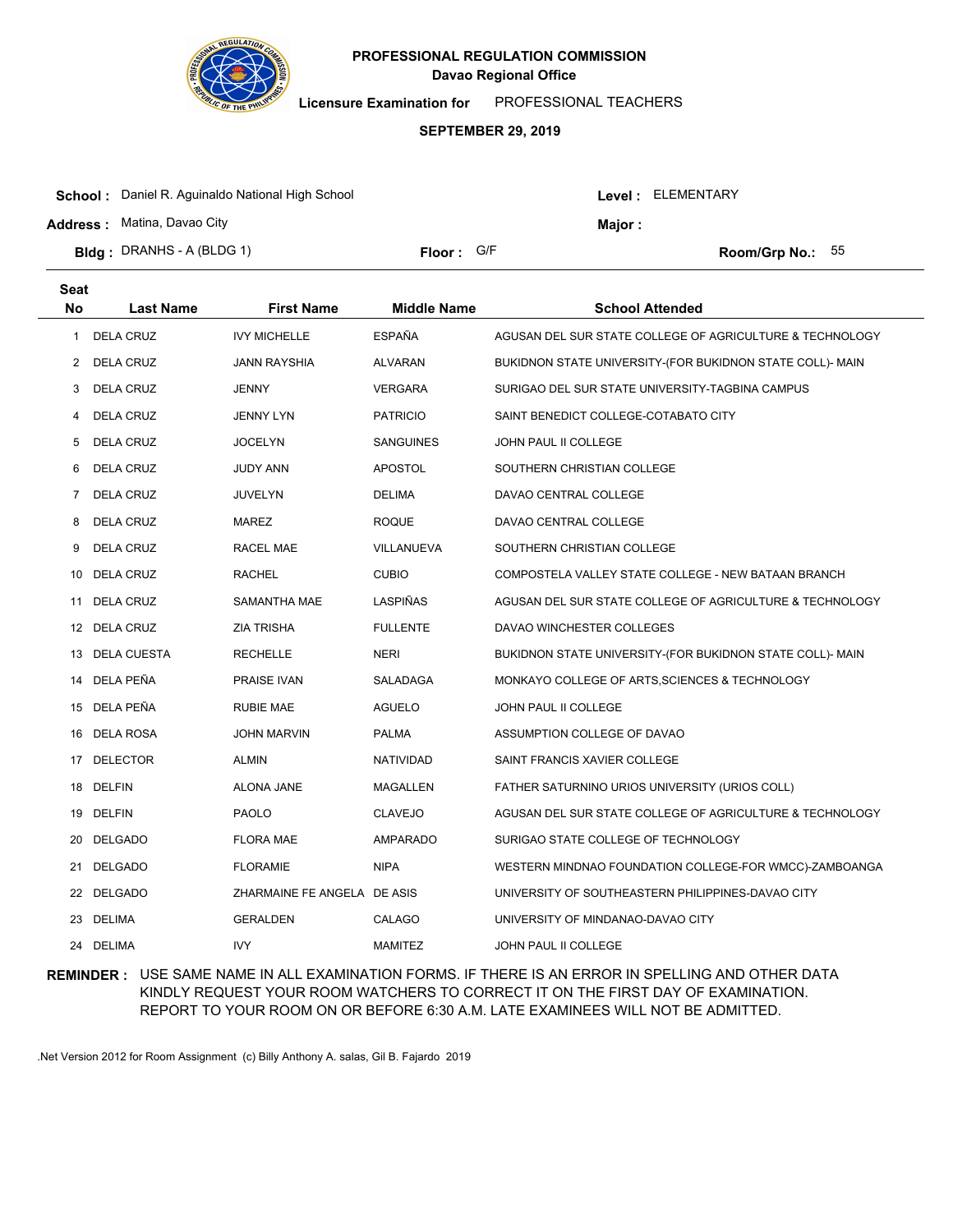

**Licensure Examination for**  PROFESSIONAL TEACHERS

### **SEPTEMBER 29, 2019**

|                                                                                       | <b>Address: Matina, Davao City</b><br>Major : |
|---------------------------------------------------------------------------------------|-----------------------------------------------|
| <b>Bldg</b> : DRANHS - A (BLDG 1)<br><b>Floor:</b> $G/F$<br><b>Room/Grp No.:</b> $55$ |                                               |

| <b>Seat</b> |                  |                             |                    |                                                           |
|-------------|------------------|-----------------------------|--------------------|-----------------------------------------------------------|
| <b>No</b>   | <b>Last Name</b> | <b>First Name</b>           | <b>Middle Name</b> | <b>School Attended</b>                                    |
| 1           | <b>DELA CRUZ</b> | <b>IVY MICHELLE</b>         | <b>ESPAÑA</b>      | AGUSAN DEL SUR STATE COLLEGE OF AGRICULTURE & TECHNOLOGY  |
| 2           | <b>DELA CRUZ</b> | <b>JANN RAYSHIA</b>         | <b>ALVARAN</b>     | BUKIDNON STATE UNIVERSITY-(FOR BUKIDNON STATE COLL)- MAIN |
| 3           | DELA CRUZ        | <b>JENNY</b>                | <b>VERGARA</b>     | SURIGAO DEL SUR STATE UNIVERSITY-TAGBINA CAMPUS           |
| 4           | DELA CRUZ        | <b>JENNY LYN</b>            | <b>PATRICIO</b>    | SAINT BENEDICT COLLEGE-COTABATO CITY                      |
| 5           | <b>DELA CRUZ</b> | <b>JOCELYN</b>              | <b>SANGUINES</b>   | JOHN PAUL II COLLEGE                                      |
| 6           | <b>DELA CRUZ</b> | <b>JUDY ANN</b>             | <b>APOSTOL</b>     | SOUTHERN CHRISTIAN COLLEGE                                |
| 7           | DELA CRUZ        | <b>JUVELYN</b>              | <b>DELIMA</b>      | DAVAO CENTRAL COLLEGE                                     |
| 8           | <b>DELA CRUZ</b> | <b>MAREZ</b>                | <b>ROQUE</b>       | DAVAO CENTRAL COLLEGE                                     |
| 9           | DELA CRUZ        | <b>RACEL MAE</b>            | VILLANUEVA         | SOUTHERN CHRISTIAN COLLEGE                                |
|             | 10 DELA CRUZ     | <b>RACHEL</b>               | <b>CUBIO</b>       | COMPOSTELA VALLEY STATE COLLEGE - NEW BATAAN BRANCH       |
|             | 11 DELA CRUZ     | SAMANTHA MAE                | LASPIÑAS           | AGUSAN DEL SUR STATE COLLEGE OF AGRICULTURE & TECHNOLOGY  |
|             | 12 DELA CRUZ     | <b>ZIA TRISHA</b>           | <b>FULLENTE</b>    | DAVAO WINCHESTER COLLEGES                                 |
|             | 13 DELA CUESTA   | <b>RECHELLE</b>             | NERI               | BUKIDNON STATE UNIVERSITY-(FOR BUKIDNON STATE COLL)- MAIN |
|             | 14 DELA PEÑA     | <b>PRAISE IVAN</b>          | <b>SALADAGA</b>    | MONKAYO COLLEGE OF ARTS, SCIENCES & TECHNOLOGY            |
|             | 15 DELA PEÑA     | <b>RUBIE MAE</b>            | <b>AGUELO</b>      | JOHN PAUL II COLLEGE                                      |
| 16          | DELA ROSA        | <b>JOHN MARVIN</b>          | <b>PALMA</b>       | ASSUMPTION COLLEGE OF DAVAO                               |
|             | 17 DELECTOR      | <b>ALMIN</b>                | NATIVIDAD          | SAINT FRANCIS XAVIER COLLEGE                              |
| 18          | <b>DELFIN</b>    | <b>ALONA JANE</b>           | <b>MAGALLEN</b>    | FATHER SATURNINO URIOS UNIVERSITY (URIOS COLL)            |
| 19          | <b>DELFIN</b>    | <b>PAOLO</b>                | <b>CLAVEJO</b>     | AGUSAN DEL SUR STATE COLLEGE OF AGRICULTURE & TECHNOLOGY  |
| 20          | <b>DELGADO</b>   | <b>FLORA MAE</b>            | AMPARADO           | SURIGAO STATE COLLEGE OF TECHNOLOGY                       |
| 21          | <b>DELGADO</b>   | <b>FLORAMIE</b>             | <b>NIPA</b>        | WESTERN MINDNAO FOUNDATION COLLEGE-FOR WMCC)-ZAMBOANGA    |
|             | 22 DELGADO       | ZHARMAINE FE ANGELA DE ASIS |                    | UNIVERSITY OF SOUTHEASTERN PHILIPPINES-DAVAO CITY         |
| 23          | DELIMA           | <b>GERALDEN</b>             | CALAGO             | UNIVERSITY OF MINDANAO-DAVAO CITY                         |
|             | 24 DELIMA        | <b>IVY</b>                  | <b>MAMITEZ</b>     | JOHN PAUL II COLLEGE                                      |

## **REMINDER :** USE SAME NAME IN ALL EXAMINATION FORMS. IF THERE IS AN ERROR IN SPELLING AND OTHER DATA KINDLY REQUEST YOUR ROOM WATCHERS TO CORRECT IT ON THE FIRST DAY OF EXAMINATION. REPORT TO YOUR ROOM ON OR BEFORE 6:30 A.M. LATE EXAMINEES WILL NOT BE ADMITTED.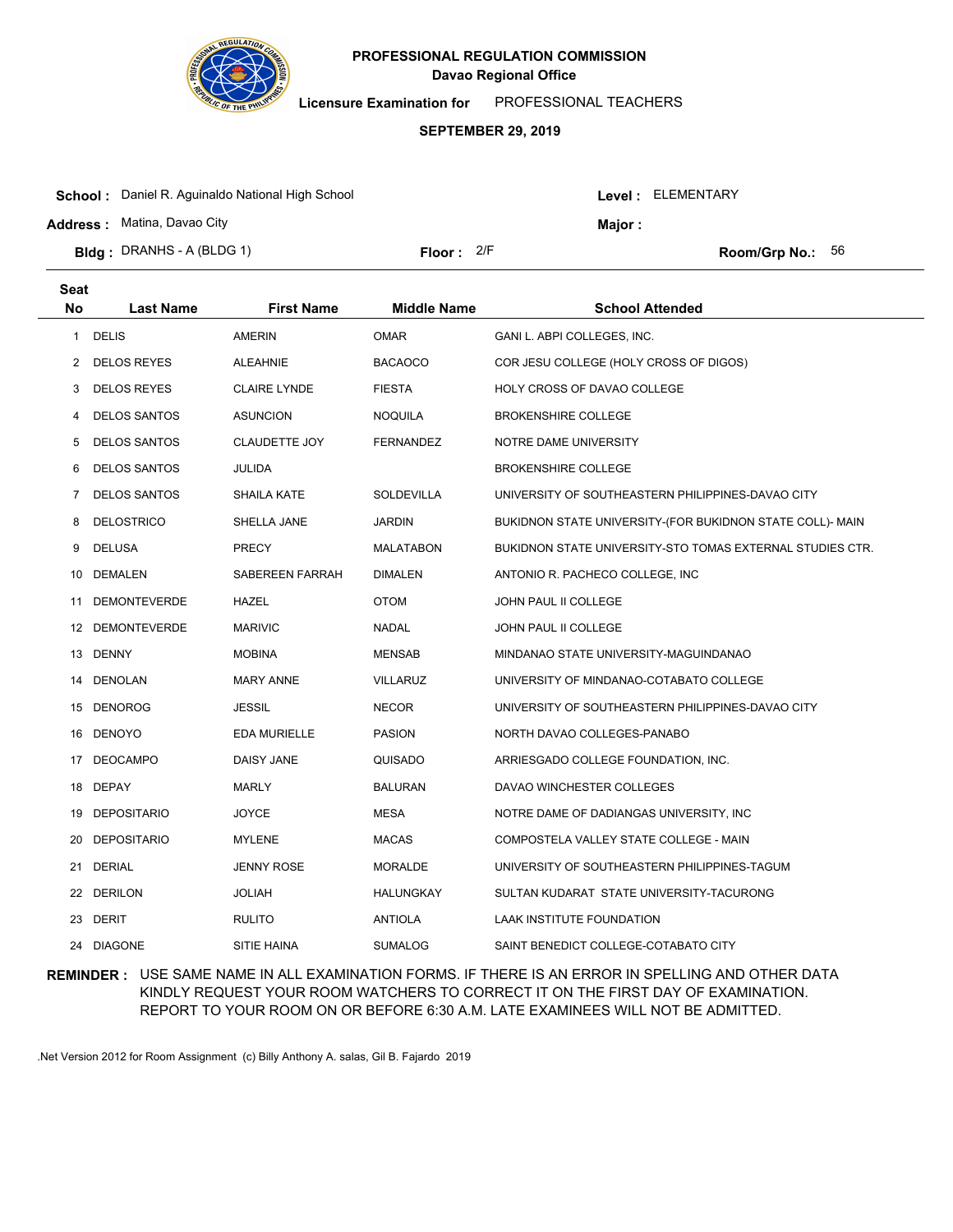

**Licensure Examination for**  PROFESSIONAL TEACHERS

### **SEPTEMBER 29, 2019**

| <b>Bidg</b> : DRANHS - A (BLDG 1)                       | Floor: $2/F$ |                | <b>Room/Grp No.:</b> $56$ |
|---------------------------------------------------------|--------------|----------------|---------------------------|
|                                                         |              |                |                           |
| <b>Address:</b> Matina, Davao City                      |              | <b>Maior :</b> |                           |
| <b>School:</b> Daniel R. Aguinaldo National High School |              |                | Level : ELEMENTARY        |

| <b>Seat</b> |                     |                      |                    |                                                           |
|-------------|---------------------|----------------------|--------------------|-----------------------------------------------------------|
| <b>No</b>   | <b>Last Name</b>    | <b>First Name</b>    | <b>Middle Name</b> | <b>School Attended</b>                                    |
| 1           | <b>DELIS</b>        | <b>AMERIN</b>        | <b>OMAR</b>        | GANI L. ABPI COLLEGES, INC.                               |
| 2           | <b>DELOS REYES</b>  | <b>ALEAHNIE</b>      | <b>BACAOCO</b>     | COR JESU COLLEGE (HOLY CROSS OF DIGOS)                    |
| 3           | <b>DELOS REYES</b>  | <b>CLAIRE LYNDE</b>  | <b>FIESTA</b>      | <b>HOLY CROSS OF DAVAO COLLEGE</b>                        |
| 4           | <b>DELOS SANTOS</b> | <b>ASUNCION</b>      | <b>NOQUILA</b>     | <b>BROKENSHIRE COLLEGE</b>                                |
| 5           | <b>DELOS SANTOS</b> | <b>CLAUDETTE JOY</b> | <b>FERNANDEZ</b>   | NOTRE DAME UNIVERSITY                                     |
| 6           | <b>DELOS SANTOS</b> | <b>JULIDA</b>        |                    | <b>BROKENSHIRE COLLEGE</b>                                |
| 7           | <b>DELOS SANTOS</b> | <b>SHAILA KATE</b>   | <b>SOLDEVILLA</b>  | UNIVERSITY OF SOUTHEASTERN PHILIPPINES-DAVAO CITY         |
| 8           | <b>DELOSTRICO</b>   | SHELLA JANE          | <b>JARDIN</b>      | BUKIDNON STATE UNIVERSITY-(FOR BUKIDNON STATE COLL)- MAIN |
| 9           | <b>DELUSA</b>       | <b>PRECY</b>         | <b>MALATABON</b>   | BUKIDNON STATE UNIVERSITY-STO TOMAS EXTERNAL STUDIES CTR. |
|             | 10 DEMALEN          | SABEREEN FARRAH      | <b>DIMALEN</b>     | ANTONIO R. PACHECO COLLEGE, INC.                          |
| 11          | <b>DEMONTEVERDE</b> | HAZEL                | <b>OTOM</b>        | JOHN PAUL II COLLEGE                                      |
| 12          | <b>DEMONTEVERDE</b> | <b>MARIVIC</b>       | <b>NADAL</b>       | JOHN PAUL II COLLEGE                                      |
|             | 13 DENNY            | <b>MOBINA</b>        | <b>MENSAB</b>      | MINDANAO STATE UNIVERSITY-MAGUINDANAO                     |
| 14          | DENOLAN             | <b>MARY ANNE</b>     | <b>VILLARUZ</b>    | UNIVERSITY OF MINDANAO-COTABATO COLLEGE                   |
| 15          | DENOROG             | JESSIL               | <b>NECOR</b>       | UNIVERSITY OF SOUTHEASTERN PHILIPPINES-DAVAO CITY         |
| 16          | <b>DENOYO</b>       | <b>EDA MURIELLE</b>  | <b>PASION</b>      | NORTH DAVAO COLLEGES-PANABO                               |
|             | 17 DEOCAMPO         | <b>DAISY JANE</b>    | QUISADO            | ARRIESGADO COLLEGE FOUNDATION, INC.                       |
| 18          | DEPAY               | <b>MARLY</b>         | <b>BALURAN</b>     | DAVAO WINCHESTER COLLEGES                                 |
| 19          | <b>DEPOSITARIO</b>  | <b>JOYCE</b>         | <b>MESA</b>        | NOTRE DAME OF DADIANGAS UNIVERSITY, INC.                  |
| 20          | <b>DEPOSITARIO</b>  | <b>MYLENE</b>        | <b>MACAS</b>       | COMPOSTELA VALLEY STATE COLLEGE - MAIN                    |
| 21          | <b>DERIAL</b>       | <b>JENNY ROSE</b>    | <b>MORALDE</b>     | UNIVERSITY OF SOUTHEASTERN PHILIPPINES-TAGUM              |
|             | 22 DERILON          | <b>JOLIAH</b>        | HALUNGKAY          | SULTAN KUDARAT STATE UNIVERSITY-TACURONG                  |
|             | 23 DERIT            | <b>RULITO</b>        | <b>ANTIOLA</b>     | LAAK INSTITUTE FOUNDATION                                 |
|             | 24 DIAGONE          | SITIE HAINA          | <b>SUMALOG</b>     | SAINT BENEDICT COLLEGE-COTABATO CITY                      |

## **REMINDER :** USE SAME NAME IN ALL EXAMINATION FORMS. IF THERE IS AN ERROR IN SPELLING AND OTHER DATA KINDLY REQUEST YOUR ROOM WATCHERS TO CORRECT IT ON THE FIRST DAY OF EXAMINATION. REPORT TO YOUR ROOM ON OR BEFORE 6:30 A.M. LATE EXAMINEES WILL NOT BE ADMITTED.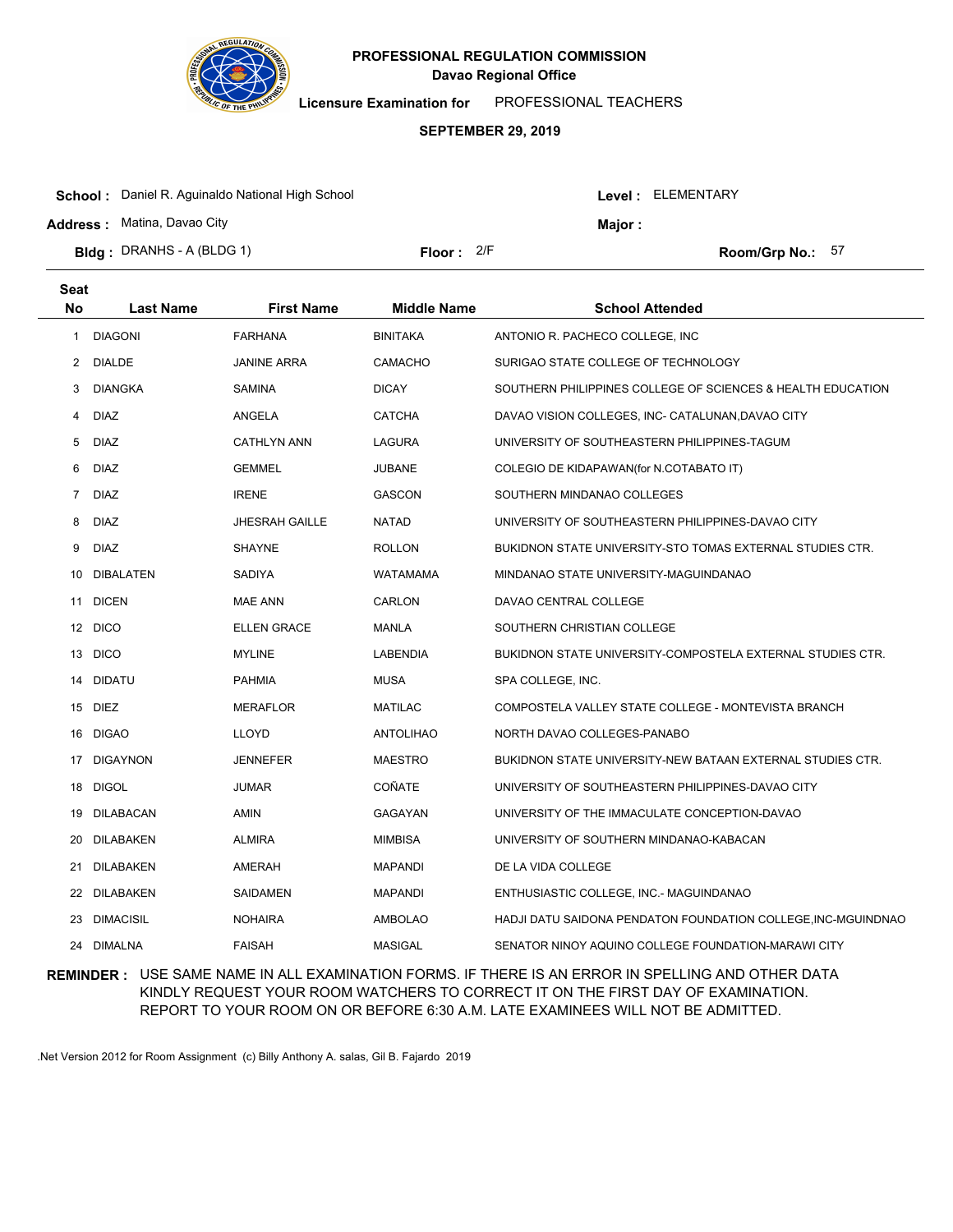

**Licensure Examination for**  PROFESSIONAL TEACHERS

### **SEPTEMBER 29, 2019**

| <b>Bidg: DRANHS - A (BLDG 1)</b>                        | Floor: $2/F$ |         | Room/Grp No.: 57         |  |
|---------------------------------------------------------|--------------|---------|--------------------------|--|
| <b>Address: Matina, Davao City</b>                      |              | Maior : |                          |  |
| <b>School:</b> Daniel R. Aguinaldo National High School |              |         | <b>Level: ELEMENTARY</b> |  |

| <b>Seat</b>    |                  |                       |                    |                                                               |
|----------------|------------------|-----------------------|--------------------|---------------------------------------------------------------|
| <b>No</b>      | <b>Last Name</b> | <b>First Name</b>     | <b>Middle Name</b> | <b>School Attended</b>                                        |
| 1              | <b>DIAGONI</b>   | <b>FARHANA</b>        | <b>BINITAKA</b>    | ANTONIO R. PACHECO COLLEGE, INC                               |
| 2              | <b>DIALDE</b>    | <b>JANINE ARRA</b>    | <b>CAMACHO</b>     | SURIGAO STATE COLLEGE OF TECHNOLOGY                           |
| 3              | <b>DIANGKA</b>   | SAMINA                | <b>DICAY</b>       | SOUTHERN PHILIPPINES COLLEGE OF SCIENCES & HEALTH EDUCATION   |
| 4              | <b>DIAZ</b>      | ANGELA                | <b>CATCHA</b>      | DAVAO VISION COLLEGES, INC- CATALUNAN, DAVAO CITY             |
| 5              | <b>DIAZ</b>      | <b>CATHLYN ANN</b>    | LAGURA             | UNIVERSITY OF SOUTHEASTERN PHILIPPINES-TAGUM                  |
| 6              | <b>DIAZ</b>      | <b>GEMMEL</b>         | <b>JUBANE</b>      | COLEGIO DE KIDAPAWAN (for N.COTABATO IT)                      |
| $\overline{7}$ | <b>DIAZ</b>      | <b>IRENE</b>          | <b>GASCON</b>      | SOUTHERN MINDANAO COLLEGES                                    |
| 8              | <b>DIAZ</b>      | <b>JHESRAH GAILLE</b> | NATAD              | UNIVERSITY OF SOUTHEASTERN PHILIPPINES-DAVAO CITY             |
| 9              | <b>DIAZ</b>      | <b>SHAYNE</b>         | ROLLON             | BUKIDNON STATE UNIVERSITY-STO TOMAS EXTERNAL STUDIES CTR.     |
| 10             | <b>DIBALATEN</b> | <b>SADIYA</b>         | <b>WATAMAMA</b>    | MINDANAO STATE UNIVERSITY-MAGUINDANAO                         |
| 11             | <b>DICEN</b>     | <b>MAE ANN</b>        | CARLON             | DAVAO CENTRAL COLLEGE                                         |
|                | 12 DICO          | <b>ELLEN GRACE</b>    | <b>MANLA</b>       | SOUTHERN CHRISTIAN COLLEGE                                    |
|                | 13 DICO          | <b>MYLINE</b>         | <b>LABENDIA</b>    | BUKIDNON STATE UNIVERSITY-COMPOSTELA EXTERNAL STUDIES CTR.    |
| 14             | DIDATU           | <b>PAHMIA</b>         | <b>MUSA</b>        | SPA COLLEGE, INC.                                             |
|                | 15 DIEZ          | <b>MERAFLOR</b>       | <b>MATILAC</b>     | COMPOSTELA VALLEY STATE COLLEGE - MONTEVISTA BRANCH           |
| 16             | <b>DIGAO</b>     | <b>LLOYD</b>          | <b>ANTOLIHAO</b>   | NORTH DAVAO COLLEGES-PANABO                                   |
| 17             | <b>DIGAYNON</b>  | <b>JENNEFER</b>       | <b>MAESTRO</b>     | BUKIDNON STATE UNIVERSITY-NEW BATAAN EXTERNAL STUDIES CTR.    |
| 18             | <b>DIGOL</b>     | <b>JUMAR</b>          | COÑATE             | UNIVERSITY OF SOUTHEASTERN PHILIPPINES-DAVAO CITY             |
| 19             | DILABACAN        | AMIN                  | GAGAYAN            | UNIVERSITY OF THE IMMACULATE CONCEPTION-DAVAO                 |
| 20             | DILABAKEN        | <b>ALMIRA</b>         | <b>MIMBISA</b>     | UNIVERSITY OF SOUTHERN MINDANAO-KABACAN                       |
| 21             | DILABAKEN        | AMERAH                | <b>MAPANDI</b>     | DE LA VIDA COLLEGE                                            |
| 22             | DILABAKEN        | SAIDAMEN              | <b>MAPANDI</b>     | ENTHUSIASTIC COLLEGE, INC.- MAGUINDANAO                       |
| 23             | <b>DIMACISIL</b> | <b>NOHAIRA</b>        | <b>AMBOLAO</b>     | HADJI DATU SAIDONA PENDATON FOUNDATION COLLEGE, INC-MGUINDNAO |
| 24             | <b>DIMALNA</b>   | <b>FAISAH</b>         | <b>MASIGAL</b>     | SENATOR NINOY AQUINO COLLEGE FOUNDATION-MARAWI CITY           |

## **REMINDER :** USE SAME NAME IN ALL EXAMINATION FORMS. IF THERE IS AN ERROR IN SPELLING AND OTHER DATA KINDLY REQUEST YOUR ROOM WATCHERS TO CORRECT IT ON THE FIRST DAY OF EXAMINATION. REPORT TO YOUR ROOM ON OR BEFORE 6:30 A.M. LATE EXAMINEES WILL NOT BE ADMITTED.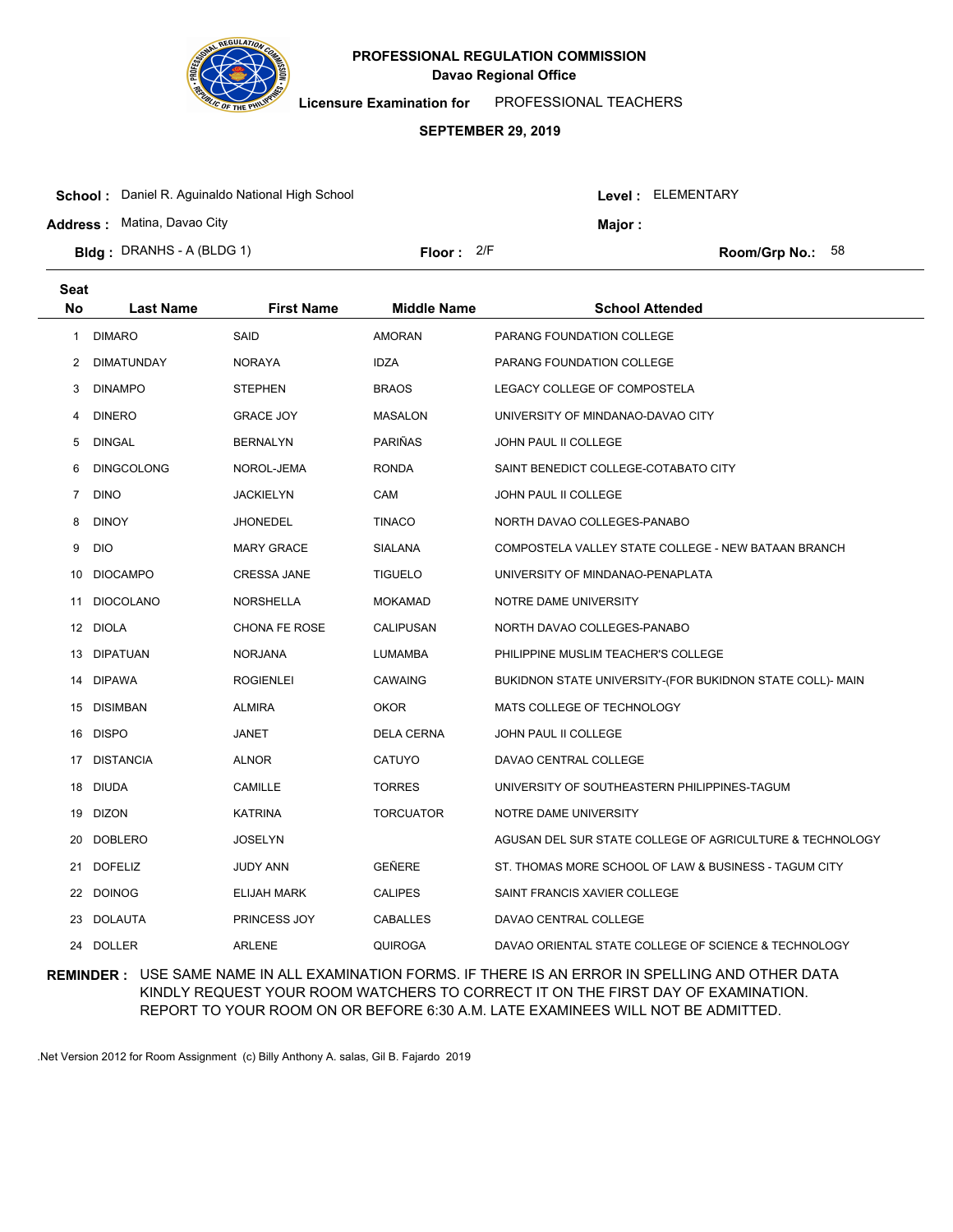

**Licensure Examination for**  PROFESSIONAL TEACHERS

### **SEPTEMBER 29, 2019**

| <b>School:</b> Daniel R. Aguinaldo National High School |                     |  |               | Level : ELEMENTARY |  |  |
|---------------------------------------------------------|---------------------|--|---------------|--------------------|--|--|
| <b>Address: Matina, Davao City</b>                      |                     |  | <b>Maior:</b> |                    |  |  |
| <b>Bidg</b> : DRANHS - A (BLDG 1)                       | <b>Floor:</b> $2/F$ |  |               | Room/Grp No.: $58$ |  |  |

| <b>Seat</b>    |                   |                      |                    |                                                           |
|----------------|-------------------|----------------------|--------------------|-----------------------------------------------------------|
| No             | Last Name         | <b>First Name</b>    | <b>Middle Name</b> | <b>School Attended</b>                                    |
| 1              | <b>DIMARO</b>     | <b>SAID</b>          | <b>AMORAN</b>      | PARANG FOUNDATION COLLEGE                                 |
| $\overline{2}$ | <b>DIMATUNDAY</b> | <b>NORAYA</b>        | <b>IDZA</b>        | PARANG FOUNDATION COLLEGE                                 |
| 3              | <b>DINAMPO</b>    | <b>STEPHEN</b>       | <b>BRAOS</b>       | LEGACY COLLEGE OF COMPOSTELA                              |
| 4              | <b>DINERO</b>     | <b>GRACE JOY</b>     | <b>MASALON</b>     | UNIVERSITY OF MINDANAO-DAVAO CITY                         |
| 5              | <b>DINGAL</b>     | <b>BERNALYN</b>      | PARIÑAS            | <b>JOHN PAUL II COLLEGE</b>                               |
| 6              | <b>DINGCOLONG</b> | NOROL-JEMA           | <b>RONDA</b>       | SAINT BENEDICT COLLEGE-COTABATO CITY                      |
| 7              | <b>DINO</b>       | <b>JACKIELYN</b>     | CAM                | <b>JOHN PAUL II COLLEGE</b>                               |
| 8              | <b>DINOY</b>      | <b>JHONEDEL</b>      | <b>TINACO</b>      | NORTH DAVAO COLLEGES-PANABO                               |
| 9              | <b>DIO</b>        | <b>MARY GRACE</b>    | <b>SIALANA</b>     | COMPOSTELA VALLEY STATE COLLEGE - NEW BATAAN BRANCH       |
| 10             | <b>DIOCAMPO</b>   | <b>CRESSA JANE</b>   | <b>TIGUELO</b>     | UNIVERSITY OF MINDANAO-PENAPLATA                          |
| 11             | <b>DIOCOLANO</b>  | <b>NORSHELLA</b>     | <b>MOKAMAD</b>     | NOTRE DAME UNIVERSITY                                     |
| 12             | <b>DIOLA</b>      | <b>CHONA FE ROSE</b> | CALIPUSAN          | NORTH DAVAO COLLEGES-PANABO                               |
| 13             | <b>DIPATUAN</b>   | <b>NORJANA</b>       | <b>LUMAMBA</b>     | PHILIPPINE MUSLIM TEACHER'S COLLEGE                       |
|                | 14 DIPAWA         | <b>ROGIENLEI</b>     | <b>CAWAING</b>     | BUKIDNON STATE UNIVERSITY-(FOR BUKIDNON STATE COLL)- MAIN |
|                | 15 DISIMBAN       | <b>ALMIRA</b>        | OKOR               | MATS COLLEGE OF TECHNOLOGY                                |
|                | 16 DISPO          | JANET                | <b>DELA CERNA</b>  | JOHN PAUL II COLLEGE                                      |
|                | 17 DISTANCIA      | <b>ALNOR</b>         | CATUYO             | DAVAO CENTRAL COLLEGE                                     |
|                | 18 DIUDA          | CAMILLE              | <b>TORRES</b>      | UNIVERSITY OF SOUTHEASTERN PHILIPPINES-TAGUM              |
|                | 19 DIZON          | <b>KATRINA</b>       | <b>TORCUATOR</b>   | NOTRE DAME UNIVERSITY                                     |
| 20             | <b>DOBLERO</b>    | <b>JOSELYN</b>       |                    | AGUSAN DEL SUR STATE COLLEGE OF AGRICULTURE & TECHNOLOGY  |
| 21             | <b>DOFELIZ</b>    | <b>JUDY ANN</b>      | GEÑERE             | ST. THOMAS MORE SCHOOL OF LAW & BUSINESS - TAGUM CITY     |
| 22             | <b>DOINOG</b>     | <b>ELIJAH MARK</b>   | <b>CALIPES</b>     | SAINT FRANCIS XAVIER COLLEGE                              |
| 23             | <b>DOLAUTA</b>    | PRINCESS JOY         | CABALLES           | DAVAO CENTRAL COLLEGE                                     |
|                | 24 DOLLER         | <b>ARLENE</b>        | <b>QUIROGA</b>     | DAVAO ORIENTAL STATE COLLEGE OF SCIENCE & TECHNOLOGY      |

## **REMINDER :** USE SAME NAME IN ALL EXAMINATION FORMS. IF THERE IS AN ERROR IN SPELLING AND OTHER DATA KINDLY REQUEST YOUR ROOM WATCHERS TO CORRECT IT ON THE FIRST DAY OF EXAMINATION. REPORT TO YOUR ROOM ON OR BEFORE 6:30 A.M. LATE EXAMINEES WILL NOT BE ADMITTED.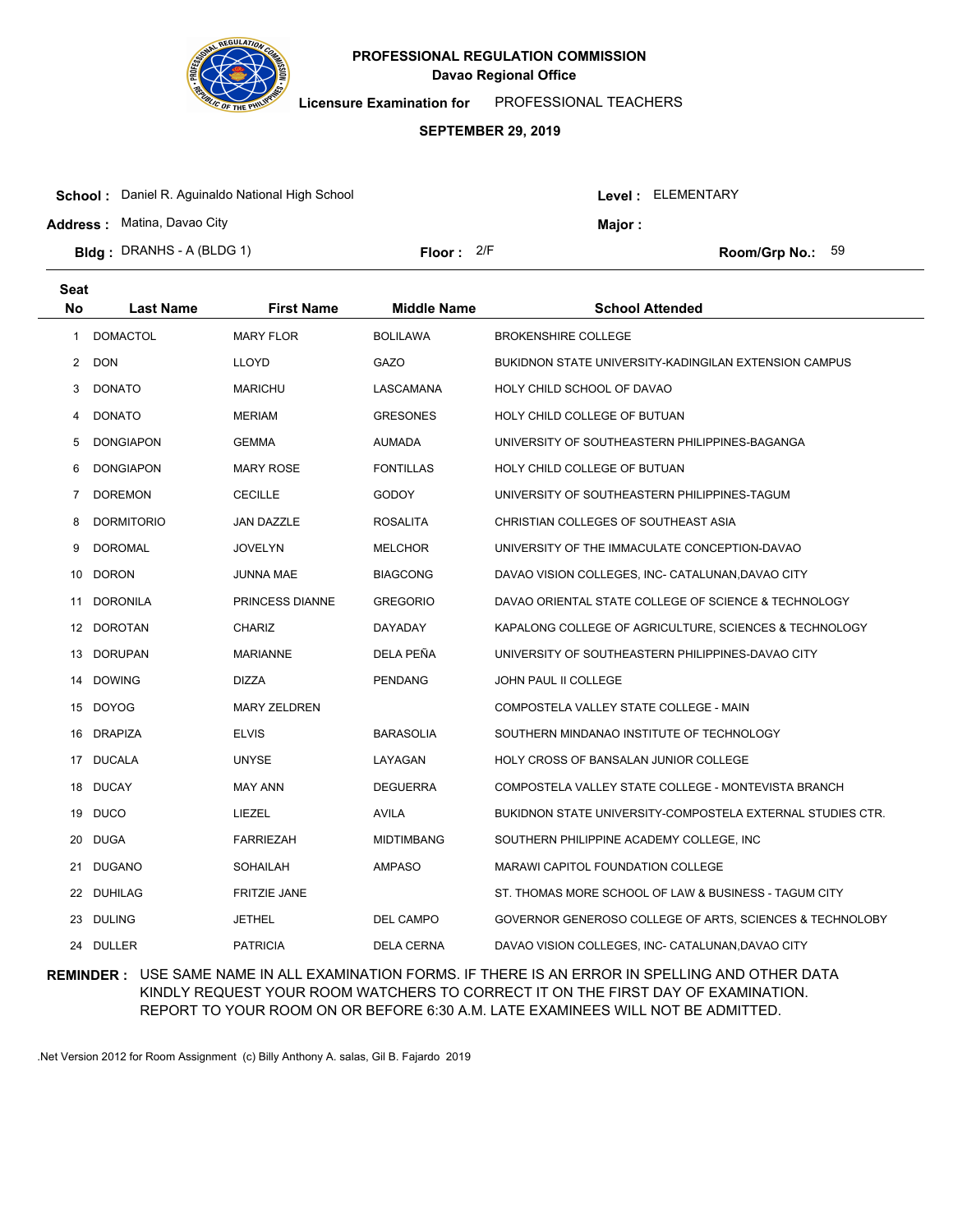

**Licensure Examination for**  PROFESSIONAL TEACHERS

#### **SEPTEMBER 29, 2019**

| <b>Bidg</b> : DRANHS - A (BLDG 1)<br>Floor: $2/F$<br><b>Room/Grp No.:</b> $59$ | <b>School:</b> Daniel R. Aguinaldo National High School<br><b>Address:</b> Matina, Davao City | Maior : | Level: ELEMENTARY |  |
|--------------------------------------------------------------------------------|-----------------------------------------------------------------------------------------------|---------|-------------------|--|
|                                                                                |                                                                                               |         |                   |  |

| <b>Seat</b>    |                   |                     |                    |                                                            |
|----------------|-------------------|---------------------|--------------------|------------------------------------------------------------|
| <b>No</b>      | <b>Last Name</b>  | <b>First Name</b>   | <b>Middle Name</b> | <b>School Attended</b>                                     |
| 1              | <b>DOMACTOL</b>   | <b>MARY FLOR</b>    | <b>BOLILAWA</b>    | <b>BROKENSHIRE COLLEGE</b>                                 |
| $\overline{2}$ | <b>DON</b>        | <b>LLOYD</b>        | GAZO               | BUKIDNON STATE UNIVERSITY-KADINGILAN EXTENSION CAMPUS      |
| 3              | <b>DONATO</b>     | <b>MARICHU</b>      | LASCAMANA          | HOLY CHILD SCHOOL OF DAVAO                                 |
| 4              | <b>DONATO</b>     | <b>MERIAM</b>       | <b>GRESONES</b>    | HOLY CHILD COLLEGE OF BUTUAN                               |
| 5              | <b>DONGIAPON</b>  | <b>GEMMA</b>        | <b>AUMADA</b>      | UNIVERSITY OF SOUTHEASTERN PHILIPPINES-BAGANGA             |
| 6              | <b>DONGIAPON</b>  | <b>MARY ROSE</b>    | <b>FONTILLAS</b>   | HOLY CHILD COLLEGE OF BUTUAN                               |
| $7\phantom{.}$ | <b>DOREMON</b>    | <b>CECILLE</b>      | <b>GODOY</b>       | UNIVERSITY OF SOUTHEASTERN PHILIPPINES-TAGUM               |
| 8              | <b>DORMITORIO</b> | JAN DAZZLE          | <b>ROSALITA</b>    | CHRISTIAN COLLEGES OF SOUTHEAST ASIA                       |
| 9              | <b>DOROMAL</b>    | <b>JOVELYN</b>      | <b>MELCHOR</b>     | UNIVERSITY OF THE IMMACULATE CONCEPTION-DAVAO              |
|                | 10 DORON          | JUNNA MAE           | <b>BIAGCONG</b>    | DAVAO VISION COLLEGES, INC- CATALUNAN, DAVAO CITY          |
| 11             | DORONILA          | PRINCESS DIANNE     | <b>GREGORIO</b>    | DAVAO ORIENTAL STATE COLLEGE OF SCIENCE & TECHNOLOGY       |
|                | 12 DOROTAN        | <b>CHARIZ</b>       | DAYADAY            | KAPALONG COLLEGE OF AGRICULTURE, SCIENCES & TECHNOLOGY     |
|                | 13 DORUPAN        | <b>MARIANNE</b>     | DELA PEÑA          | UNIVERSITY OF SOUTHEASTERN PHILIPPINES-DAVAO CITY          |
|                | 14 DOWING         | <b>DIZZA</b>        | <b>PENDANG</b>     | JOHN PAUL II COLLEGE                                       |
|                | 15 DOYOG          | <b>MARY ZELDREN</b> |                    | COMPOSTELA VALLEY STATE COLLEGE - MAIN                     |
| 16             | DRAPIZA           | <b>ELVIS</b>        | <b>BARASOLIA</b>   | SOUTHERN MINDANAO INSTITUTE OF TECHNOLOGY                  |
|                | 17 DUCALA         | <b>UNYSE</b>        | LAYAGAN            | HOLY CROSS OF BANSALAN JUNIOR COLLEGE                      |
|                | 18 DUCAY          | <b>MAY ANN</b>      | <b>DEGUERRA</b>    | COMPOSTELA VALLEY STATE COLLEGE - MONTEVISTA BRANCH        |
|                | 19 DUCO           | LIEZEL              | <b>AVILA</b>       | BUKIDNON STATE UNIVERSITY-COMPOSTELA EXTERNAL STUDIES CTR. |
| 20             | <b>DUGA</b>       | <b>FARRIEZAH</b>    | <b>MIDTIMBANG</b>  | SOUTHERN PHILIPPINE ACADEMY COLLEGE, INC                   |
| 21             | <b>DUGANO</b>     | <b>SOHAILAH</b>     | <b>AMPASO</b>      | <b>MARAWI CAPITOL FOUNDATION COLLEGE</b>                   |
|                | 22 DUHILAG        | <b>FRITZIE JANE</b> |                    | ST. THOMAS MORE SCHOOL OF LAW & BUSINESS - TAGUM CITY      |
|                | 23 DULING         | JETHEL              | DEL CAMPO          | GOVERNOR GENEROSO COLLEGE OF ARTS, SCIENCES & TECHNOLOBY   |
|                | 24 DULLER         | <b>PATRICIA</b>     | <b>DELA CERNA</b>  | DAVAO VISION COLLEGES, INC- CATALUNAN, DAVAO CITY          |

## **REMINDER :** USE SAME NAME IN ALL EXAMINATION FORMS. IF THERE IS AN ERROR IN SPELLING AND OTHER DATA KINDLY REQUEST YOUR ROOM WATCHERS TO CORRECT IT ON THE FIRST DAY OF EXAMINATION. REPORT TO YOUR ROOM ON OR BEFORE 6:30 A.M. LATE EXAMINEES WILL NOT BE ADMITTED.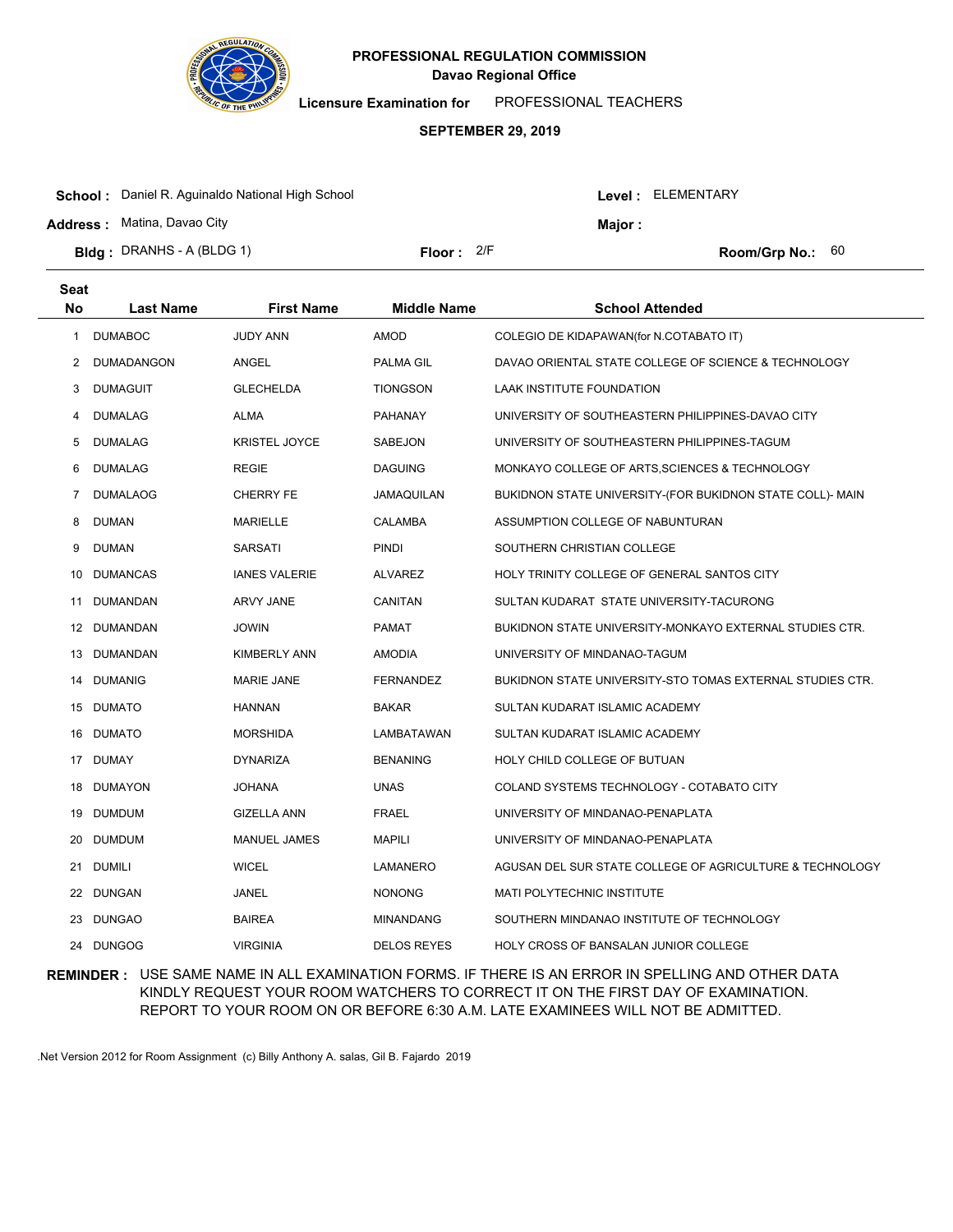

**Licensure Examination for**  PROFESSIONAL TEACHERS

### **SEPTEMBER 29, 2019**

| <b>School:</b> Daniel R. Aguinaldo National High School |              |  | Level : ELEMENTARY |                           |  |
|---------------------------------------------------------|--------------|--|--------------------|---------------------------|--|
| <b>Address:</b> Matina, Davao City                      |              |  | <b>Maior :</b>     |                           |  |
| <b>Bldg</b> : DRANHS - A (BLDG 1)                       | Floor: $2/F$ |  |                    | <b>Room/Grp No.:</b> $60$ |  |

| <b>Seat</b> |                   |                      |                    |                                                                  |
|-------------|-------------------|----------------------|--------------------|------------------------------------------------------------------|
| No          | <b>Last Name</b>  | <b>First Name</b>    | <b>Middle Name</b> | <b>School Attended</b>                                           |
| 1           | <b>DUMABOC</b>    | <b>JUDY ANN</b>      | <b>AMOD</b>        | COLEGIO DE KIDAPAWAN(for N.COTABATO IT)                          |
| 2           | <b>DUMADANGON</b> | <b>ANGEL</b>         | PALMA GIL          | DAVAO ORIENTAL STATE COLLEGE OF SCIENCE & TECHNOLOGY             |
| 3           | <b>DUMAGUIT</b>   | <b>GLECHELDA</b>     | <b>TIONGSON</b>    | LAAK INSTITUTE FOUNDATION                                        |
| 4           | <b>DUMALAG</b>    | <b>ALMA</b>          | <b>PAHANAY</b>     | UNIVERSITY OF SOUTHEASTERN PHILIPPINES-DAVAO CITY                |
| 5           | <b>DUMALAG</b>    | <b>KRISTEL JOYCE</b> | SABEJON            | UNIVERSITY OF SOUTHEASTERN PHILIPPINES-TAGUM                     |
| 6           | <b>DUMALAG</b>    | <b>REGIE</b>         | <b>DAGUING</b>     | MONKAYO COLLEGE OF ARTS, SCIENCES & TECHNOLOGY                   |
| 7           | <b>DUMALAOG</b>   | <b>CHERRY FE</b>     | JAMAQUILAN         | BUKIDNON STATE UNIVERSITY-(FOR BUKIDNON STATE COLL)- MAIN        |
| 8           | <b>DUMAN</b>      | <b>MARIELLE</b>      | <b>CALAMBA</b>     | ASSUMPTION COLLEGE OF NABUNTURAN                                 |
| 9           | <b>DUMAN</b>      | <b>SARSATI</b>       | <b>PINDI</b>       | SOUTHERN CHRISTIAN COLLEGE                                       |
| 10          | <b>DUMANCAS</b>   | <b>IANES VALERIE</b> | <b>ALVAREZ</b>     | HOLY TRINITY COLLEGE OF GENERAL SANTOS CITY                      |
| 11          | DUMANDAN          | ARVY JANE            | CANITAN            | SULTAN KUDARAT STATE UNIVERSITY-TACURONG                         |
|             | 12 DUMANDAN       | <b>JOWIN</b>         | <b>PAMAT</b>       | BUKIDNON STATE UNIVERSITY-MONKAYO EXTERNAL STUDIES CTR.          |
|             | 13 DUMANDAN       | <b>KIMBERLY ANN</b>  | <b>AMODIA</b>      | UNIVERSITY OF MINDANAO-TAGUM                                     |
| 14          | <b>DUMANIG</b>    | <b>MARIE JANE</b>    | <b>FERNANDEZ</b>   | <b>BUKIDNON STATE UNIVERSITY-STO TOMAS EXTERNAL STUDIES CTR.</b> |
|             | 15 DUMATO         | <b>HANNAN</b>        | <b>BAKAR</b>       | SULTAN KUDARAT ISLAMIC ACADEMY                                   |
| 16          | <b>DUMATO</b>     | <b>MORSHIDA</b>      | LAMBATAWAN         | SULTAN KUDARAT ISLAMIC ACADEMY                                   |
|             | 17 DUMAY          | <b>DYNARIZA</b>      | <b>BENANING</b>    | HOLY CHILD COLLEGE OF BUTUAN                                     |
| 18          | <b>DUMAYON</b>    | <b>JOHANA</b>        | <b>UNAS</b>        | COLAND SYSTEMS TECHNOLOGY - COTABATO CITY                        |
| 19          | <b>DUMDUM</b>     | <b>GIZELLA ANN</b>   | <b>FRAEL</b>       | UNIVERSITY OF MINDANAO-PENAPLATA                                 |
| 20          | <b>DUMDUM</b>     | <b>MANUEL JAMES</b>  | <b>MAPILI</b>      | UNIVERSITY OF MINDANAO-PENAPLATA                                 |
| 21          | <b>DUMILI</b>     | <b>WICEL</b>         | LAMANERO           | AGUSAN DEL SUR STATE COLLEGE OF AGRICULTURE & TECHNOLOGY         |
| 22          | <b>DUNGAN</b>     | JANEL                | <b>NONONG</b>      | MATI POLYTECHNIC INSTITUTE                                       |
| 23          | <b>DUNGAO</b>     | <b>BAIREA</b>        | <b>MINANDANG</b>   | SOUTHERN MINDANAO INSTITUTE OF TECHNOLOGY                        |
| 24          | <b>DUNGOG</b>     | <b>VIRGINIA</b>      | <b>DELOS REYES</b> | HOLY CROSS OF BANSALAN JUNIOR COLLEGE                            |

## **REMINDER :** USE SAME NAME IN ALL EXAMINATION FORMS. IF THERE IS AN ERROR IN SPELLING AND OTHER DATA KINDLY REQUEST YOUR ROOM WATCHERS TO CORRECT IT ON THE FIRST DAY OF EXAMINATION. REPORT TO YOUR ROOM ON OR BEFORE 6:30 A.M. LATE EXAMINEES WILL NOT BE ADMITTED.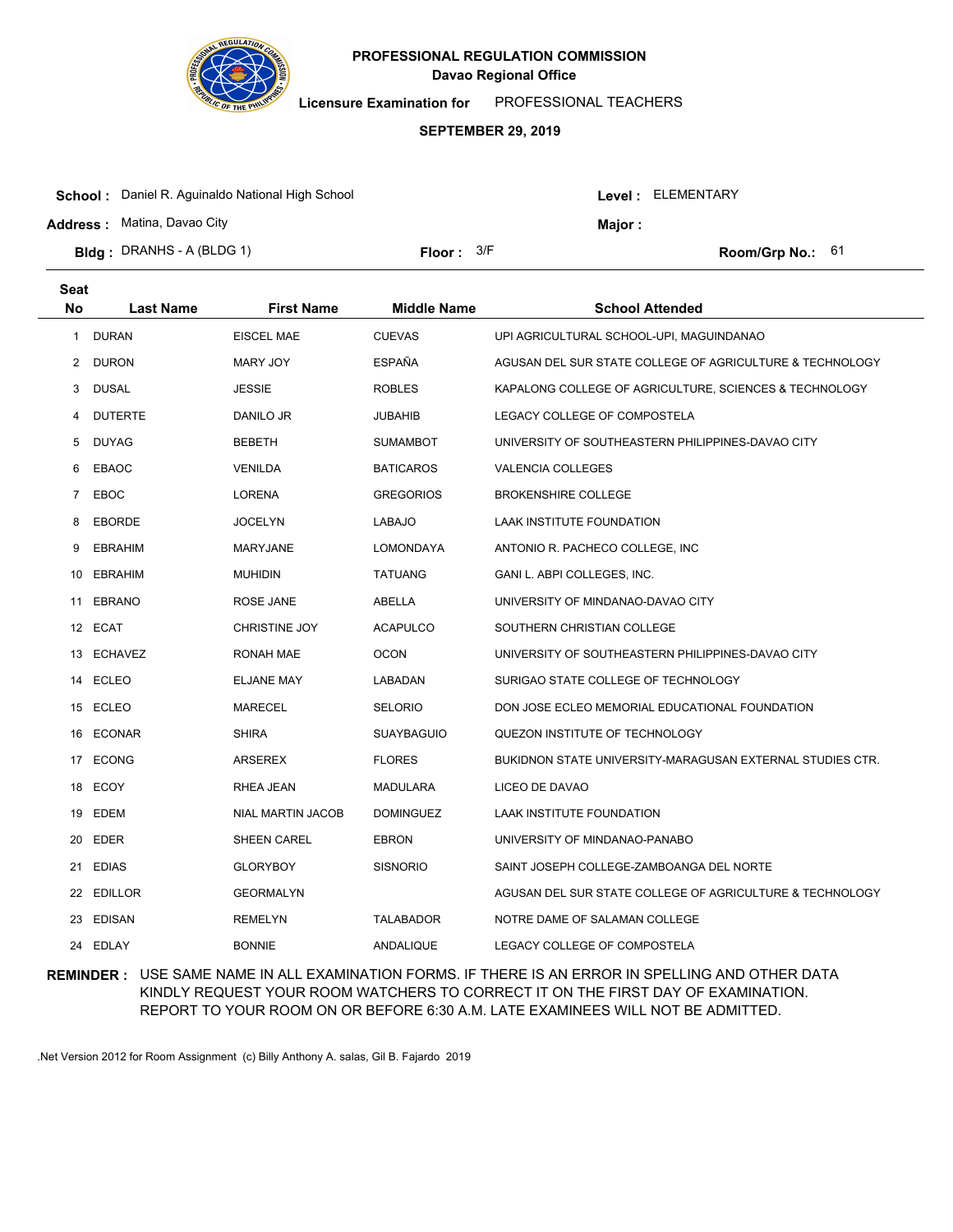

**Licensure Examination for**  PROFESSIONAL TEACHERS

#### **SEPTEMBER 29, 2019**

| <b>School:</b> Daniel R. Aguinaldo National High School |                     |         |  | Level : ELEMENTARY        |  |
|---------------------------------------------------------|---------------------|---------|--|---------------------------|--|
| <b>Address:</b> Matina, Davao City                      |                     | Major : |  |                           |  |
| <b>Bidg</b> : DRANHS - A (BLDG 1)                       | <b>Floor:</b> $3/F$ |         |  | <b>Room/Grp No.:</b> $61$ |  |

| <b>Seat</b> |                  |                      |                    |                                                           |
|-------------|------------------|----------------------|--------------------|-----------------------------------------------------------|
| No          | <b>Last Name</b> | <b>First Name</b>    | <b>Middle Name</b> | <b>School Attended</b>                                    |
| 1           | <b>DURAN</b>     | <b>EISCEL MAE</b>    | <b>CUEVAS</b>      | UPI AGRICULTURAL SCHOOL-UPI, MAGUINDANAO                  |
| 2           | <b>DURON</b>     | <b>MARY JOY</b>      | <b>ESPAÑA</b>      | AGUSAN DEL SUR STATE COLLEGE OF AGRICULTURE & TECHNOLOGY  |
| 3           | <b>DUSAL</b>     | <b>JESSIE</b>        | <b>ROBLES</b>      | KAPALONG COLLEGE OF AGRICULTURE, SCIENCES & TECHNOLOGY    |
| 4           | <b>DUTERTE</b>   | DANILO JR            | <b>JUBAHIB</b>     | LEGACY COLLEGE OF COMPOSTELA                              |
| 5           | <b>DUYAG</b>     | <b>BEBETH</b>        | <b>SUMAMBOT</b>    | UNIVERSITY OF SOUTHEASTERN PHILIPPINES-DAVAO CITY         |
| 6           | EBAOC            | <b>VENILDA</b>       | <b>BATICAROS</b>   | VALENCIA COLLEGES                                         |
| 7           | EBOC             | <b>LORENA</b>        | <b>GREGORIOS</b>   | <b>BROKENSHIRE COLLEGE</b>                                |
| 8           | <b>EBORDE</b>    | <b>JOCELYN</b>       | LABAJO             | LAAK INSTITUTE FOUNDATION                                 |
| 9           | <b>EBRAHIM</b>   | <b>MARYJANE</b>      | <b>LOMONDAYA</b>   | ANTONIO R. PACHECO COLLEGE, INC.                          |
|             | 10 EBRAHIM       | <b>MUHIDIN</b>       | <b>TATUANG</b>     | GANI L. ABPI COLLEGES, INC.                               |
|             | 11 EBRANO        | ROSE JANE            | ABELLA             | UNIVERSITY OF MINDANAO-DAVAO CITY                         |
|             | 12 ECAT          | <b>CHRISTINE JOY</b> | <b>ACAPULCO</b>    | SOUTHERN CHRISTIAN COLLEGE                                |
|             | 13 ECHAVEZ       | RONAH MAE            | <b>OCON</b>        | UNIVERSITY OF SOUTHEASTERN PHILIPPINES-DAVAO CITY         |
|             | 14 ECLEO         | ELJANE MAY           | LABADAN            | SURIGAO STATE COLLEGE OF TECHNOLOGY                       |
|             | 15 ECLEO         | <b>MARECEL</b>       | <b>SELORIO</b>     | DON JOSE ECLEO MEMORIAL EDUCATIONAL FOUNDATION            |
|             | 16 ECONAR        | <b>SHIRA</b>         | <b>SUAYBAGUIO</b>  | QUEZON INSTITUTE OF TECHNOLOGY                            |
|             | 17 ECONG         | ARSEREX              | <b>FLORES</b>      | BUKIDNON STATE UNIVERSITY-MARAGUSAN EXTERNAL STUDIES CTR. |
|             | 18 ECOY          | RHEA JEAN            | <b>MADULARA</b>    | LICEO DE DAVAO                                            |
|             | 19 EDEM          | NIAL MARTIN JACOB    | <b>DOMINGUEZ</b>   | LAAK INSTITUTE FOUNDATION                                 |
| 20          | EDER             | <b>SHEEN CAREL</b>   | <b>EBRON</b>       | UNIVERSITY OF MINDANAO-PANABO                             |
| 21          | <b>EDIAS</b>     | <b>GLORYBOY</b>      | <b>SISNORIO</b>    | SAINT JOSEPH COLLEGE-ZAMBOANGA DEL NORTE                  |
| 22          | <b>EDILLOR</b>   | <b>GEORMALYN</b>     |                    | AGUSAN DEL SUR STATE COLLEGE OF AGRICULTURE & TECHNOLOGY  |
|             | 23 EDISAN        | <b>REMELYN</b>       | <b>TALABADOR</b>   | NOTRE DAME OF SALAMAN COLLEGE                             |
|             | 24 EDLAY         | <b>BONNIE</b>        | ANDALIQUE          | LEGACY COLLEGE OF COMPOSTELA                              |

## **REMINDER :** USE SAME NAME IN ALL EXAMINATION FORMS. IF THERE IS AN ERROR IN SPELLING AND OTHER DATA KINDLY REQUEST YOUR ROOM WATCHERS TO CORRECT IT ON THE FIRST DAY OF EXAMINATION. REPORT TO YOUR ROOM ON OR BEFORE 6:30 A.M. LATE EXAMINEES WILL NOT BE ADMITTED.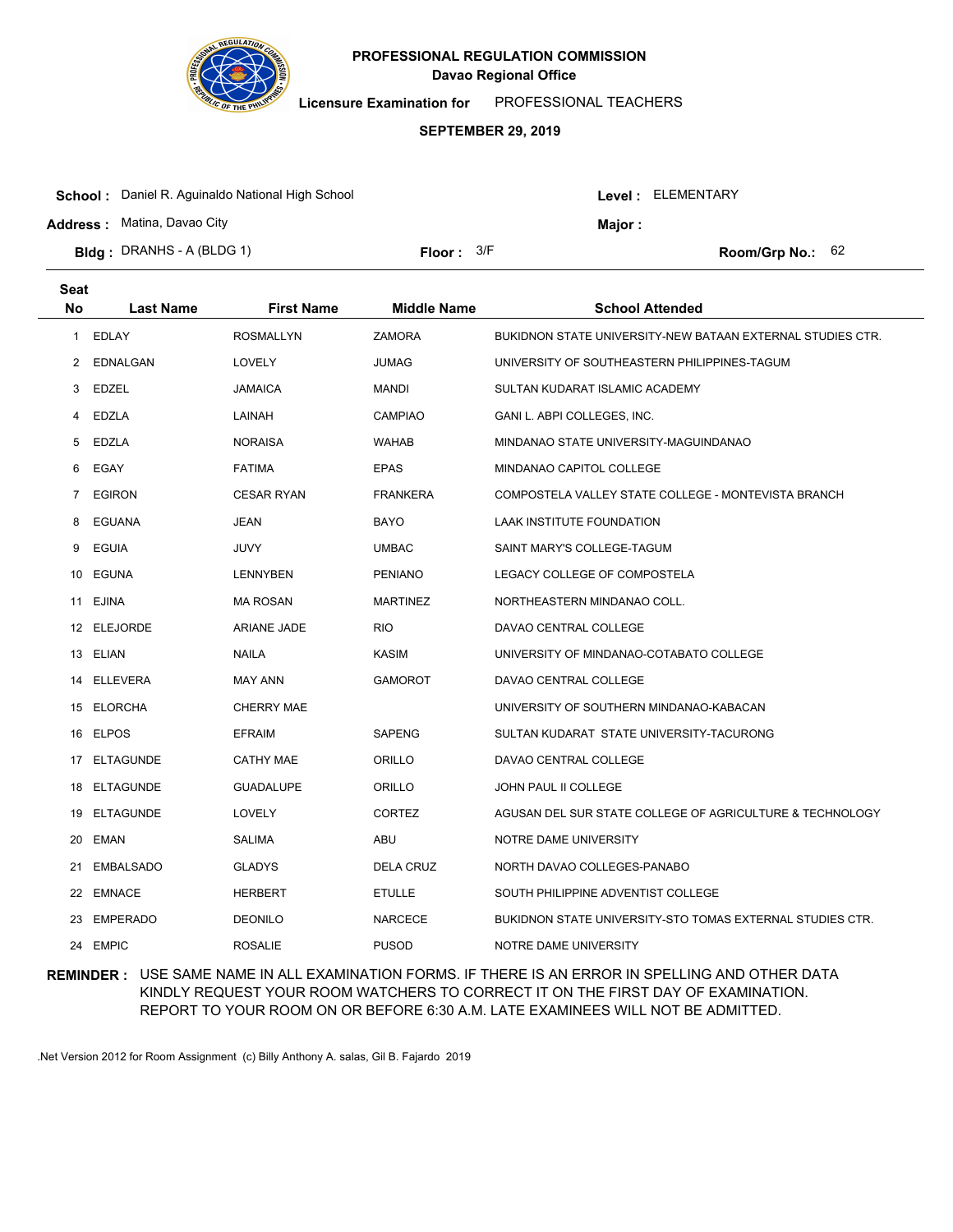

**Licensure Examination for**  PROFESSIONAL TEACHERS

### **SEPTEMBER 29, 2019**

| <b>School:</b> Daniel R. Aguinaldo National High School |                     |         | Level: ELEMENTARY |                           |  |
|---------------------------------------------------------|---------------------|---------|-------------------|---------------------------|--|
| <b>Address: Matina, Davao City</b>                      |                     | Major : |                   |                           |  |
| <b>Bidg</b> : DRANHS - A (BLDG 1)                       | <b>Floor:</b> $3/F$ |         |                   | <b>Room/Grp No.:</b> $62$ |  |

| <b>Seat</b> |                  |                    |                    |                                                            |
|-------------|------------------|--------------------|--------------------|------------------------------------------------------------|
| <b>No</b>   | <b>Last Name</b> | <b>First Name</b>  | <b>Middle Name</b> | <b>School Attended</b>                                     |
| 1           | EDLAY            | <b>ROSMALLYN</b>   | <b>ZAMORA</b>      | BUKIDNON STATE UNIVERSITY-NEW BATAAN EXTERNAL STUDIES CTR. |
| 2           | EDNALGAN         | LOVELY             | <b>JUMAG</b>       | UNIVERSITY OF SOUTHEASTERN PHILIPPINES-TAGUM               |
| 3           | EDZEL            | <b>JAMAICA</b>     | <b>MANDI</b>       | SULTAN KUDARAT ISLAMIC ACADEMY                             |
| 4           | EDZLA            | LAINAH             | <b>CAMPIAO</b>     | GANI L. ABPI COLLEGES, INC.                                |
| 5           | EDZLA            | <b>NORAISA</b>     | <b>WAHAB</b>       | MINDANAO STATE UNIVERSITY-MAGUINDANAO                      |
| 6           | EGAY             | <b>FATIMA</b>      | <b>EPAS</b>        | MINDANAO CAPITOL COLLEGE                                   |
| 7           | <b>EGIRON</b>    | <b>CESAR RYAN</b>  | <b>FRANKERA</b>    | COMPOSTELA VALLEY STATE COLLEGE - MONTEVISTA BRANCH        |
| 8           | <b>EGUANA</b>    | <b>JEAN</b>        | BAYO               | LAAK INSTITUTE FOUNDATION                                  |
| 9           | EGUIA            | JUVY               | <b>UMBAC</b>       | SAINT MARY'S COLLEGE-TAGUM                                 |
|             | 10 EGUNA         | LENNYBEN           | <b>PENIANO</b>     | LEGACY COLLEGE OF COMPOSTELA                               |
|             | 11 EJINA         | <b>MA ROSAN</b>    | <b>MARTINEZ</b>    | NORTHEASTERN MINDANAO COLL.                                |
|             | 12 ELEJORDE      | <b>ARIANE JADE</b> | <b>RIO</b>         | DAVAO CENTRAL COLLEGE                                      |
|             | 13 ELIAN         | <b>NAILA</b>       | <b>KASIM</b>       | UNIVERSITY OF MINDANAO-COTABATO COLLEGE                    |
| 14          | <b>ELLEVERA</b>  | <b>MAY ANN</b>     | <b>GAMOROT</b>     | DAVAO CENTRAL COLLEGE                                      |
|             | 15 ELORCHA       | <b>CHERRY MAE</b>  |                    | UNIVERSITY OF SOUTHERN MINDANAO-KABACAN                    |
| 16          | <b>ELPOS</b>     | <b>EFRAIM</b>      | <b>SAPENG</b>      | SULTAN KUDARAT STATE UNIVERSITY-TACURONG                   |
| 17          | <b>ELTAGUNDE</b> | <b>CATHY MAE</b>   | ORILLO             | DAVAO CENTRAL COLLEGE                                      |
| 18          | <b>ELTAGUNDE</b> | <b>GUADALUPE</b>   | ORILLO             | JOHN PAUL II COLLEGE                                       |
| 19          | ELTAGUNDE        | <b>LOVELY</b>      | <b>CORTEZ</b>      | AGUSAN DEL SUR STATE COLLEGE OF AGRICULTURE & TECHNOLOGY   |
| 20          | <b>EMAN</b>      | <b>SALIMA</b>      | ABU                | NOTRE DAME UNIVERSITY                                      |
| 21          | <b>EMBALSADO</b> | <b>GLADYS</b>      | <b>DELA CRUZ</b>   | NORTH DAVAO COLLEGES-PANABO                                |
|             | 22 EMNACE        | <b>HERBERT</b>     | <b>ETULLE</b>      | SOUTH PHILIPPINE ADVENTIST COLLEGE                         |
| 23          | <b>EMPERADO</b>  | <b>DEONILO</b>     | <b>NARCECE</b>     | BUKIDNON STATE UNIVERSITY-STO TOMAS EXTERNAL STUDIES CTR.  |
|             | 24 EMPIC         | <b>ROSALIE</b>     | <b>PUSOD</b>       | NOTRE DAME UNIVERSITY                                      |

## **REMINDER :** USE SAME NAME IN ALL EXAMINATION FORMS. IF THERE IS AN ERROR IN SPELLING AND OTHER DATA KINDLY REQUEST YOUR ROOM WATCHERS TO CORRECT IT ON THE FIRST DAY OF EXAMINATION. REPORT TO YOUR ROOM ON OR BEFORE 6:30 A.M. LATE EXAMINEES WILL NOT BE ADMITTED.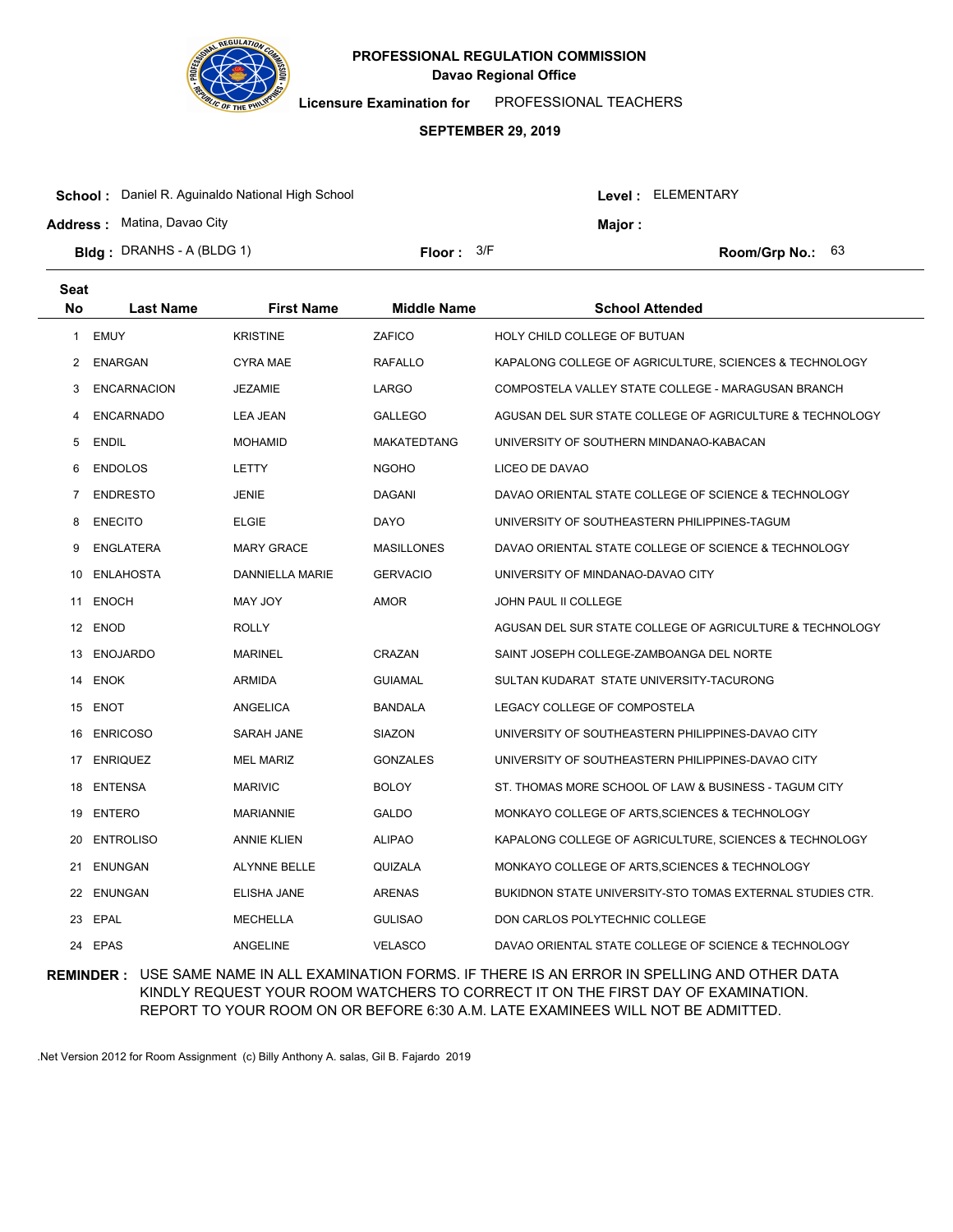

**Licensure Examination for**  PROFESSIONAL TEACHERS

### **SEPTEMBER 29, 2019**

| <b>School:</b> Daniel R. Aguinaldo National High School |              |  | Level: ELEMENTARY |                           |  |
|---------------------------------------------------------|--------------|--|-------------------|---------------------------|--|
| <b>Address: Matina, Davao City</b>                      |              |  | Major :           |                           |  |
| <b>Bidg: DRANHS - A (BLDG 1)</b>                        | Floor: $3/F$ |  |                   | <b>Room/Grp No.:</b> $63$ |  |
|                                                         |              |  |                   |                           |  |

| Seat      |                    |                     |                    |                                                           |
|-----------|--------------------|---------------------|--------------------|-----------------------------------------------------------|
| <b>No</b> | <b>Last Name</b>   | <b>First Name</b>   | <b>Middle Name</b> | <b>School Attended</b>                                    |
| 1         | <b>EMUY</b>        | <b>KRISTINE</b>     | ZAFICO             | HOLY CHILD COLLEGE OF BUTUAN                              |
| 2         | <b>ENARGAN</b>     | <b>CYRA MAE</b>     | <b>RAFALLO</b>     | KAPALONG COLLEGE OF AGRICULTURE, SCIENCES & TECHNOLOGY    |
| 3         | <b>ENCARNACION</b> | <b>JEZAMIE</b>      | LARGO              | COMPOSTELA VALLEY STATE COLLEGE - MARAGUSAN BRANCH        |
| 4         | <b>ENCARNADO</b>   | <b>LEA JEAN</b>     | <b>GALLEGO</b>     | AGUSAN DEL SUR STATE COLLEGE OF AGRICULTURE & TECHNOLOGY  |
| 5         | <b>ENDIL</b>       | <b>MOHAMID</b>      | <b>MAKATEDTANG</b> | UNIVERSITY OF SOUTHERN MINDANAO-KABACAN                   |
| 6         | <b>ENDOLOS</b>     | LETTY               | <b>NGOHO</b>       | LICEO DE DAVAO                                            |
| 7         | <b>ENDRESTO</b>    | <b>JENIE</b>        | <b>DAGANI</b>      | DAVAO ORIENTAL STATE COLLEGE OF SCIENCE & TECHNOLOGY      |
| 8         | <b>ENECITO</b>     | <b>ELGIE</b>        | DAYO               | UNIVERSITY OF SOUTHEASTERN PHILIPPINES-TAGUM              |
| 9         | <b>ENGLATERA</b>   | <b>MARY GRACE</b>   | <b>MASILLONES</b>  | DAVAO ORIENTAL STATE COLLEGE OF SCIENCE & TECHNOLOGY      |
| 10.       | <b>ENLAHOSTA</b>   | DANNIELLA MARIE     | <b>GERVACIO</b>    | UNIVERSITY OF MINDANAO-DAVAO CITY                         |
| 11        | <b>ENOCH</b>       | MAY JOY             | <b>AMOR</b>        | JOHN PAUL II COLLEGE                                      |
|           | 12 ENOD            | <b>ROLLY</b>        |                    | AGUSAN DEL SUR STATE COLLEGE OF AGRICULTURE & TECHNOLOGY  |
|           | 13 ENOJARDO        | <b>MARINEL</b>      | CRAZAN             | SAINT JOSEPH COLLEGE-ZAMBOANGA DEL NORTE                  |
|           | 14 ENOK            | <b>ARMIDA</b>       | <b>GUIAMAL</b>     | SULTAN KUDARAT STATE UNIVERSITY-TACURONG                  |
|           | 15 ENOT            | ANGELICA            | <b>BANDALA</b>     | LEGACY COLLEGE OF COMPOSTELA                              |
| 16        | <b>ENRICOSO</b>    | SARAH JANE          | SIAZON             | UNIVERSITY OF SOUTHEASTERN PHILIPPINES-DAVAO CITY         |
|           | 17 ENRIQUEZ        | <b>MEL MARIZ</b>    | <b>GONZALES</b>    | UNIVERSITY OF SOUTHEASTERN PHILIPPINES-DAVAO CITY         |
| 18        | <b>ENTENSA</b>     | <b>MARIVIC</b>      | <b>BOLOY</b>       | ST. THOMAS MORE SCHOOL OF LAW & BUSINESS - TAGUM CITY     |
| 19        | <b>ENTERO</b>      | <b>MARIANNIE</b>    | <b>GALDO</b>       | MONKAYO COLLEGE OF ARTS, SCIENCES & TECHNOLOGY            |
| 20        | <b>ENTROLISO</b>   | <b>ANNIE KLIEN</b>  | <b>ALIPAO</b>      | KAPALONG COLLEGE OF AGRICULTURE, SCIENCES & TECHNOLOGY    |
| 21        | <b>ENUNGAN</b>     | <b>ALYNNE BELLE</b> | QUIZALA            | MONKAYO COLLEGE OF ARTS, SCIENCES & TECHNOLOGY            |
|           | 22 ENUNGAN         | <b>ELISHA JANE</b>  | <b>ARENAS</b>      | BUKIDNON STATE UNIVERSITY-STO TOMAS EXTERNAL STUDIES CTR. |
| 23        | EPAL               | <b>MECHELLA</b>     | <b>GULISAO</b>     | DON CARLOS POLYTECHNIC COLLEGE                            |
|           | 24 EPAS            | <b>ANGELINE</b>     | <b>VELASCO</b>     | DAVAO ORIENTAL STATE COLLEGE OF SCIENCE & TECHNOLOGY      |

**REMINDER :** USE SAME NAME IN ALL EXAMINATION FORMS. IF THERE IS AN ERROR IN SPELLING AND OTHER DATA KINDLY REQUEST YOUR ROOM WATCHERS TO CORRECT IT ON THE FIRST DAY OF EXAMINATION. REPORT TO YOUR ROOM ON OR BEFORE 6:30 A.M. LATE EXAMINEES WILL NOT BE ADMITTED.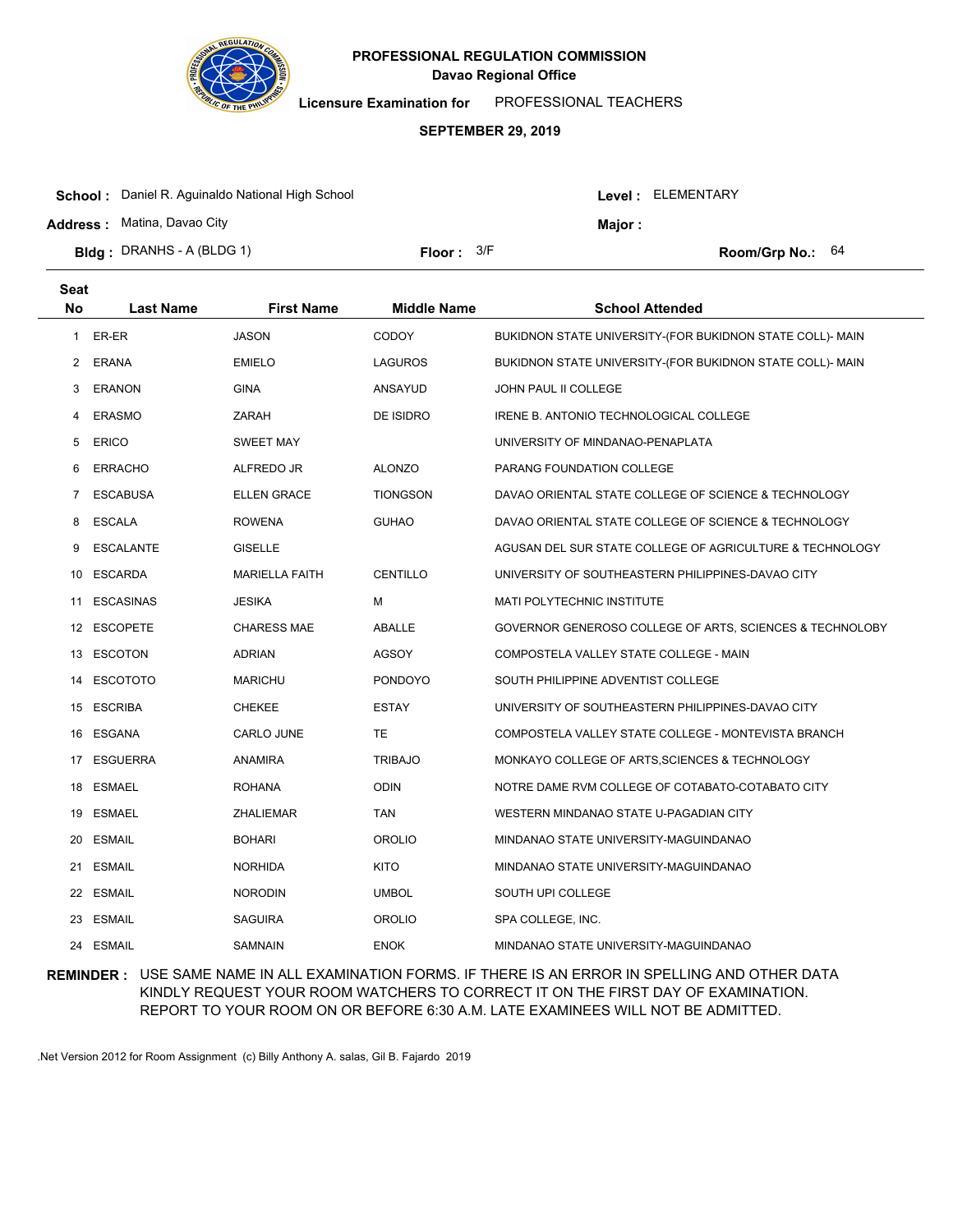

**Licensure Examination for**  PROFESSIONAL TEACHERS

### **SEPTEMBER 29, 2019**

| <b>School:</b> Daniel R. Aguinaldo National High School<br><b>Address: Matina, Davao City</b> |              | Level: ELEMENTARY<br>Major : |  |                           |
|-----------------------------------------------------------------------------------------------|--------------|------------------------------|--|---------------------------|
| <b>Bidg: DRANHS - A (BLDG 1)</b>                                                              | Floor: $3/F$ |                              |  | <b>Room/Grp No.:</b> $64$ |

| <b>Seat</b>    |                  |                       |                    |                                                           |
|----------------|------------------|-----------------------|--------------------|-----------------------------------------------------------|
| <b>No</b>      | <b>Last Name</b> | <b>First Name</b>     | <b>Middle Name</b> | <b>School Attended</b>                                    |
| 1              | ER-ER            | <b>JASON</b>          | <b>CODOY</b>       | BUKIDNON STATE UNIVERSITY-(FOR BUKIDNON STATE COLL)- MAIN |
| 2              | ERANA            | <b>EMIELO</b>         | LAGUROS            | BUKIDNON STATE UNIVERSITY-(FOR BUKIDNON STATE COLL)- MAIN |
| 3              | <b>ERANON</b>    | <b>GINA</b>           | ANSAYUD            | <b>JOHN PAUL II COLLEGE</b>                               |
| 4              | <b>ERASMO</b>    | ZARAH                 | DE ISIDRO          | IRENE B. ANTONIO TECHNOLOGICAL COLLEGE                    |
| 5              | <b>ERICO</b>     | <b>SWEET MAY</b>      |                    | UNIVERSITY OF MINDANAO-PENAPLATA                          |
| 6              | <b>ERRACHO</b>   | ALFREDO JR            | <b>ALONZO</b>      | PARANG FOUNDATION COLLEGE                                 |
| $\overline{7}$ | <b>ESCABUSA</b>  | <b>ELLEN GRACE</b>    | <b>TIONGSON</b>    | DAVAO ORIENTAL STATE COLLEGE OF SCIENCE & TECHNOLOGY      |
| 8              | <b>ESCALA</b>    | <b>ROWENA</b>         | <b>GUHAO</b>       | DAVAO ORIENTAL STATE COLLEGE OF SCIENCE & TECHNOLOGY      |
| 9              | ESCALANTE        | <b>GISELLE</b>        |                    | AGUSAN DEL SUR STATE COLLEGE OF AGRICULTURE & TECHNOLOGY  |
| 10             | <b>ESCARDA</b>   | <b>MARIELLA FAITH</b> | CENTILLO           | UNIVERSITY OF SOUTHEASTERN PHILIPPINES-DAVAO CITY         |
| 11             | <b>ESCASINAS</b> | <b>JESIKA</b>         | м                  | <b>MATI POLYTECHNIC INSTITUTE</b>                         |
|                | 12 ESCOPETE      | <b>CHARESS MAE</b>    | ABALLE             | GOVERNOR GENEROSO COLLEGE OF ARTS, SCIENCES & TECHNOLOBY  |
|                | 13 ESCOTON       | <b>ADRIAN</b>         | <b>AGSOY</b>       | COMPOSTELA VALLEY STATE COLLEGE - MAIN                    |
|                | 14 ESCOTOTO      | <b>MARICHU</b>        | <b>PONDOYO</b>     | SOUTH PHILIPPINE ADVENTIST COLLEGE                        |
|                | 15 ESCRIBA       | <b>CHEKEE</b>         | <b>ESTAY</b>       | UNIVERSITY OF SOUTHEASTERN PHILIPPINES-DAVAO CITY         |
|                | 16 ESGANA        | CARLO JUNE            | TE.                | COMPOSTELA VALLEY STATE COLLEGE - MONTEVISTA BRANCH       |
|                | 17 ESGUERRA      | ANAMIRA               | <b>TRIBAJO</b>     | MONKAYO COLLEGE OF ARTS, SCIENCES & TECHNOLOGY            |
| 18             | <b>ESMAEL</b>    | <b>ROHANA</b>         | <b>ODIN</b>        | NOTRE DAME RVM COLLEGE OF COTABATO-COTABATO CITY          |
| 19             | ESMAEL           | <b>ZHALIEMAR</b>      | <b>TAN</b>         | WESTERN MINDANAO STATE U-PAGADIAN CITY                    |
| 20             | <b>ESMAIL</b>    | <b>BOHARI</b>         | <b>OROLIO</b>      | MINDANAO STATE UNIVERSITY-MAGUINDANAO                     |
| 21             | <b>ESMAIL</b>    | <b>NORHIDA</b>        | <b>KITO</b>        | MINDANAO STATE UNIVERSITY-MAGUINDANAO                     |
|                | 22 ESMAIL        | <b>NORODIN</b>        | <b>UMBOL</b>       | SOUTH UPI COLLEGE                                         |
| 23             | ESMAIL           | <b>SAGUIRA</b>        | <b>OROLIO</b>      | SPA COLLEGE, INC.                                         |
|                | 24 ESMAIL        | <b>SAMNAIN</b>        | <b>ENOK</b>        | MINDANAO STATE UNIVERSITY-MAGUINDANAO                     |

## **REMINDER :** USE SAME NAME IN ALL EXAMINATION FORMS. IF THERE IS AN ERROR IN SPELLING AND OTHER DATA KINDLY REQUEST YOUR ROOM WATCHERS TO CORRECT IT ON THE FIRST DAY OF EXAMINATION. REPORT TO YOUR ROOM ON OR BEFORE 6:30 A.M. LATE EXAMINEES WILL NOT BE ADMITTED.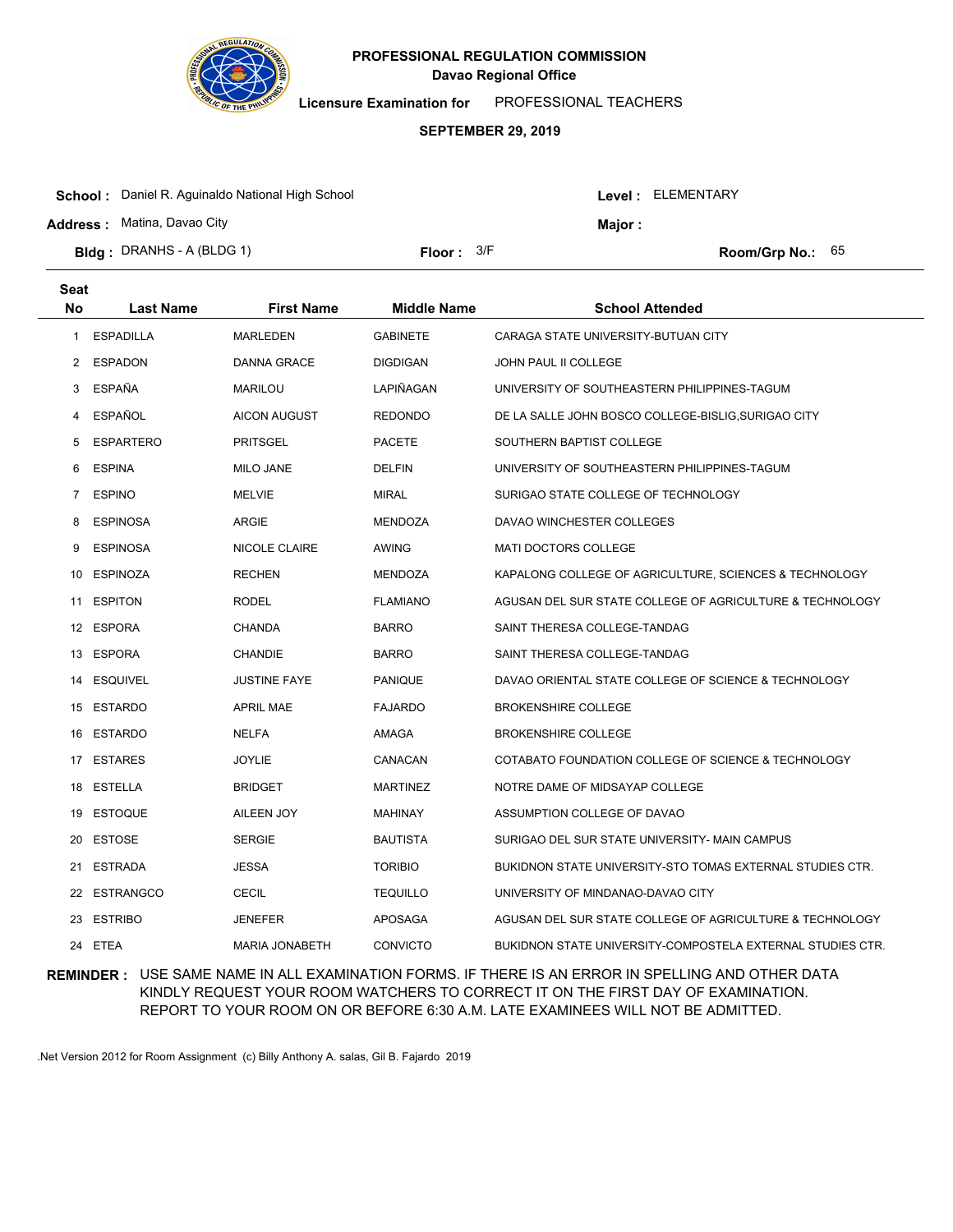

**Seat**

# **Davao Regional Office PROFESSIONAL REGULATION COMMISSION**

**Licensure Examination for**  PROFESSIONAL TEACHERS

### **SEPTEMBER 29, 2019**

| <b>School:</b> Daniel R. Aguinaldo National High School |                     |         | <b>Level: ELEMENTARY</b> |                           |  |
|---------------------------------------------------------|---------------------|---------|--------------------------|---------------------------|--|
| <b>Address: Matina, Davao City</b>                      |                     | Major : |                          |                           |  |
| <b>Bidg: DRANHS - A (BLDG 1)</b>                        | <b>Floor:</b> $3/F$ |         |                          | <b>Room/Grp No.:</b> $65$ |  |

| No             | <b>Last Name</b> | <b>First Name</b>     | <b>Middle Name</b> | <b>School Attended</b>                                     |
|----------------|------------------|-----------------------|--------------------|------------------------------------------------------------|
| 1              | <b>ESPADILLA</b> | <b>MARLEDEN</b>       | <b>GABINETE</b>    | CARAGA STATE UNIVERSITY-BUTUAN CITY                        |
| $\overline{2}$ | <b>ESPADON</b>   | <b>DANNA GRACE</b>    | <b>DIGDIGAN</b>    | <b>JOHN PAUL II COLLEGE</b>                                |
| 3              | <b>ESPAÑA</b>    | <b>MARILOU</b>        | LAPIÑAGAN          | UNIVERSITY OF SOUTHEASTERN PHILIPPINES-TAGUM               |
| 4              | <b>ESPAÑOL</b>   | <b>AICON AUGUST</b>   | <b>REDONDO</b>     | DE LA SALLE JOHN BOSCO COLLEGE-BISLIG, SURIGAO CITY        |
| 5              | <b>ESPARTERO</b> | <b>PRITSGEL</b>       | <b>PACETE</b>      | SOUTHERN BAPTIST COLLEGE                                   |
| 6              | <b>ESPINA</b>    | <b>MILO JANE</b>      | <b>DELFIN</b>      | UNIVERSITY OF SOUTHEASTERN PHILIPPINES-TAGUM               |
| $\overline{7}$ | <b>ESPINO</b>    | <b>MELVIE</b>         | <b>MIRAL</b>       | SURIGAO STATE COLLEGE OF TECHNOLOGY                        |
| 8              | <b>ESPINOSA</b>  | ARGIE                 | <b>MENDOZA</b>     | DAVAO WINCHESTER COLLEGES                                  |
| 9              | <b>ESPINOSA</b>  | NICOLE CLAIRE         | <b>AWING</b>       | <b>MATI DOCTORS COLLEGE</b>                                |
| 10             | <b>ESPINOZA</b>  | <b>RECHEN</b>         | <b>MENDOZA</b>     | KAPALONG COLLEGE OF AGRICULTURE, SCIENCES & TECHNOLOGY     |
| 11             | <b>ESPITON</b>   | <b>RODEL</b>          | <b>FLAMIANO</b>    | AGUSAN DEL SUR STATE COLLEGE OF AGRICULTURE & TECHNOLOGY   |
|                | 12 ESPORA        | <b>CHANDA</b>         | <b>BARRO</b>       | SAINT THERESA COLLEGE-TANDAG                               |
| 13             | ESPORA           | CHANDIE               | <b>BARRO</b>       | SAINT THERESA COLLEGE-TANDAG                               |
| 14             | <b>ESQUIVEL</b>  | <b>JUSTINE FAYE</b>   | <b>PANIQUE</b>     | DAVAO ORIENTAL STATE COLLEGE OF SCIENCE & TECHNOLOGY       |
|                | 15 ESTARDO       | <b>APRIL MAE</b>      | <b>FAJARDO</b>     | <b>BROKENSHIRE COLLEGE</b>                                 |
| 16             | ESTARDO          | NELFA                 | AMAGA              | <b>BROKENSHIRE COLLEGE</b>                                 |
| 17             | <b>ESTARES</b>   | <b>JOYLIE</b>         | CANACAN            | COTABATO FOUNDATION COLLEGE OF SCIENCE & TECHNOLOGY        |
|                | 18 ESTELLA       | <b>BRIDGET</b>        | <b>MARTINEZ</b>    | NOTRE DAME OF MIDSAYAP COLLEGE                             |
| 19             | <b>ESTOQUE</b>   | AILEEN JOY            | MAHINAY            | ASSUMPTION COLLEGE OF DAVAO                                |
| 20             | <b>ESTOSE</b>    | <b>SERGIE</b>         | <b>BAUTISTA</b>    | SURIGAO DEL SUR STATE UNIVERSITY- MAIN CAMPUS              |
| 21             | <b>ESTRADA</b>   | <b>JESSA</b>          | <b>TORIBIO</b>     | BUKIDNON STATE UNIVERSITY-STO TOMAS EXTERNAL STUDIES CTR.  |
| 22             | <b>ESTRANGCO</b> | <b>CECIL</b>          | <b>TEQUILLO</b>    | UNIVERSITY OF MINDANAO-DAVAO CITY                          |
| 23             | <b>ESTRIBO</b>   | <b>JENEFER</b>        | <b>APOSAGA</b>     | AGUSAN DEL SUR STATE COLLEGE OF AGRICULTURE & TECHNOLOGY   |
|                | 24 ETEA          | <b>MARIA JONABETH</b> | <b>CONVICTO</b>    | BUKIDNON STATE UNIVERSITY-COMPOSTELA EXTERNAL STUDIES CTR. |

## **REMINDER :** USE SAME NAME IN ALL EXAMINATION FORMS. IF THERE IS AN ERROR IN SPELLING AND OTHER DATA KINDLY REQUEST YOUR ROOM WATCHERS TO CORRECT IT ON THE FIRST DAY OF EXAMINATION. REPORT TO YOUR ROOM ON OR BEFORE 6:30 A.M. LATE EXAMINEES WILL NOT BE ADMITTED.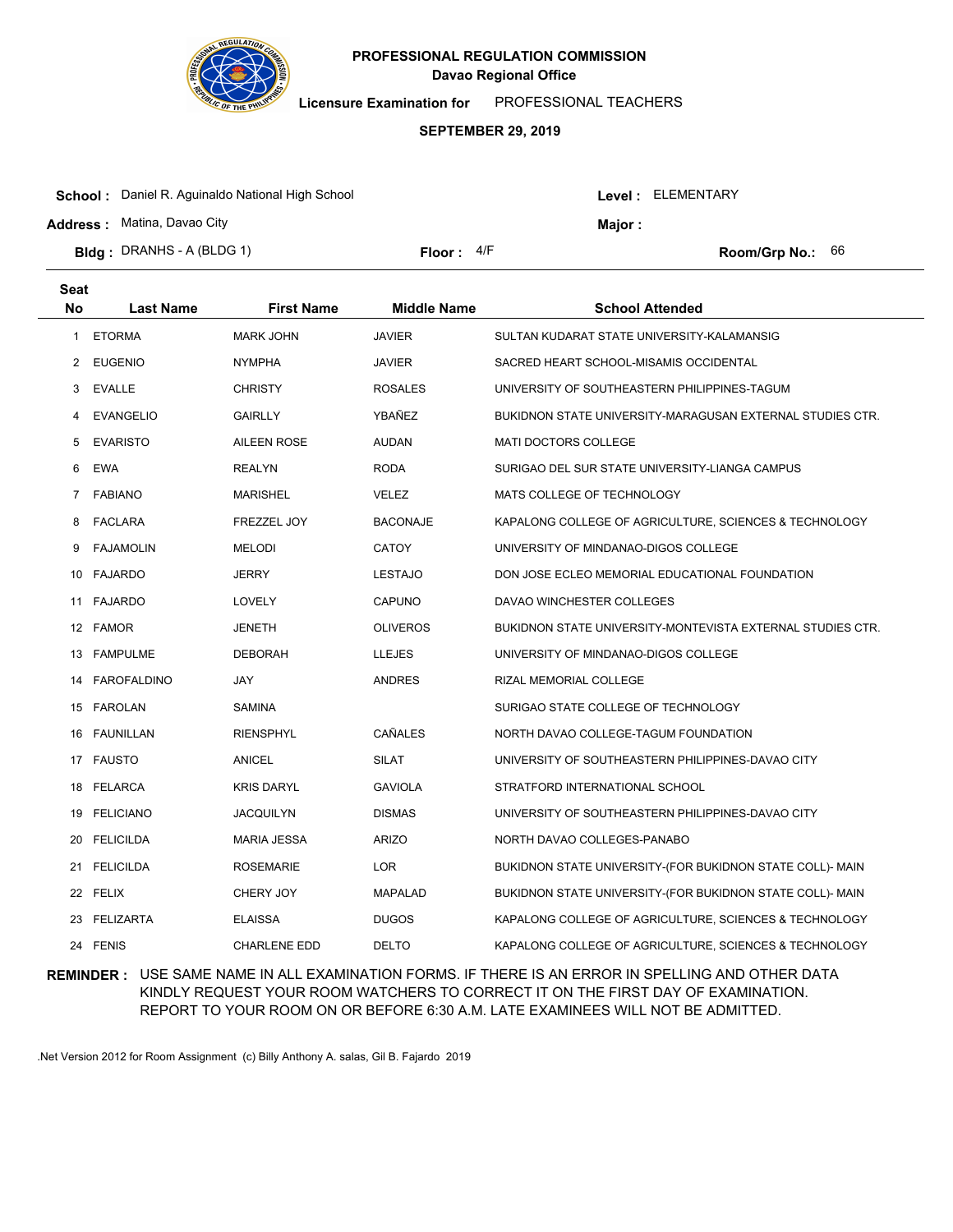

**Licensure Examination for**  PROFESSIONAL TEACHERS

### **SEPTEMBER 29, 2019**

| <b>School:</b> Daniel R. Aguinaldo National High School |            |        | Level : ELEMENTARY |                           |  |
|---------------------------------------------------------|------------|--------|--------------------|---------------------------|--|
| <b>Address:</b> Matina, Davao City                      |            | Major: |                    |                           |  |
| <b>Bidg</b> : DRANHS - A (BLDG 1)                       | Floor: 4/F |        |                    | <b>Room/Grp No.:</b> $66$ |  |

| Seat<br>No | <b>Last Name</b> | <b>First Name</b>   | <b>Middle Name</b> | <b>School Attended</b>                                     |
|------------|------------------|---------------------|--------------------|------------------------------------------------------------|
| 1          | <b>ETORMA</b>    | <b>MARK JOHN</b>    | <b>JAVIER</b>      | SULTAN KUDARAT STATE UNIVERSITY-KALAMANSIG                 |
| 2          | EUGENIO          | <b>NYMPHA</b>       | <b>JAVIER</b>      | SACRED HEART SCHOOL-MISAMIS OCCIDENTAL                     |
| 3          | <b>EVALLE</b>    | <b>CHRISTY</b>      | <b>ROSALES</b>     | UNIVERSITY OF SOUTHEASTERN PHILIPPINES-TAGUM               |
| 4          | <b>EVANGELIO</b> | <b>GAIRLLY</b>      | YBAÑEZ             | BUKIDNON STATE UNIVERSITY-MARAGUSAN EXTERNAL STUDIES CTR.  |
| 5          | <b>EVARISTO</b>  | <b>AILEEN ROSE</b>  | <b>AUDAN</b>       | <b>MATI DOCTORS COLLEGE</b>                                |
| 6          | <b>EWA</b>       | <b>REALYN</b>       | <b>RODA</b>        | SURIGAO DEL SUR STATE UNIVERSITY-LIANGA CAMPUS             |
| 7          | <b>FABIANO</b>   | <b>MARISHEL</b>     | <b>VELEZ</b>       | MATS COLLEGE OF TECHNOLOGY                                 |
| 8          | FACLARA          | <b>FREZZEL JOY</b>  | <b>BACONAJE</b>    | KAPALONG COLLEGE OF AGRICULTURE, SCIENCES & TECHNOLOGY     |
| 9          | <b>FAJAMOLIN</b> | <b>MELODI</b>       | <b>CATOY</b>       | UNIVERSITY OF MINDANAO-DIGOS COLLEGE                       |
|            | 10 FAJARDO       | <b>JERRY</b>        | <b>LESTAJO</b>     | DON JOSE ECLEO MEMORIAL EDUCATIONAL FOUNDATION             |
|            | 11 FAJARDO       | LOVELY              | <b>CAPUNO</b>      | DAVAO WINCHESTER COLLEGES                                  |
|            | 12 FAMOR         | <b>JENETH</b>       | <b>OLIVEROS</b>    | BUKIDNON STATE UNIVERSITY-MONTEVISTA EXTERNAL STUDIES CTR. |
|            | 13 FAMPULME      | <b>DEBORAH</b>      | <b>LLEJES</b>      | UNIVERSITY OF MINDANAO-DIGOS COLLEGE                       |
|            | 14 FAROFALDINO   | <b>JAY</b>          | <b>ANDRES</b>      | RIZAL MEMORIAL COLLEGE                                     |
|            | 15 FAROLAN       | SAMINA              |                    | SURIGAO STATE COLLEGE OF TECHNOLOGY                        |
|            | 16 FAUNILLAN     | <b>RIENSPHYL</b>    | CAÑALES            | NORTH DAVAO COLLEGE-TAGUM FOUNDATION                       |
|            | 17 FAUSTO        | ANICEL              | <b>SILAT</b>       | UNIVERSITY OF SOUTHEASTERN PHILIPPINES-DAVAO CITY          |
| 18         | <b>FELARCA</b>   | <b>KRIS DARYL</b>   | <b>GAVIOLA</b>     | STRATFORD INTERNATIONAL SCHOOL                             |
|            | 19 FELICIANO     | JACQUILYN           | <b>DISMAS</b>      | UNIVERSITY OF SOUTHEASTERN PHILIPPINES-DAVAO CITY          |
| 20         | <b>FELICILDA</b> | <b>MARIA JESSA</b>  | <b>ARIZO</b>       | NORTH DAVAO COLLEGES-PANABO                                |
|            | 21 FELICILDA     | <b>ROSEMARIE</b>    | <b>LOR</b>         | BUKIDNON STATE UNIVERSITY-(FOR BUKIDNON STATE COLL)- MAIN  |
|            | 22 FELIX         | CHERY JOY           | <b>MAPALAD</b>     | BUKIDNON STATE UNIVERSITY-(FOR BUKIDNON STATE COLL)- MAIN  |
|            | 23 FELIZARTA     | <b>ELAISSA</b>      | <b>DUGOS</b>       | KAPALONG COLLEGE OF AGRICULTURE, SCIENCES & TECHNOLOGY     |
|            | 24 FENIS         | <b>CHARLENE EDD</b> | <b>DELTO</b>       | KAPALONG COLLEGE OF AGRICULTURE, SCIENCES & TECHNOLOGY     |

## **REMINDER :** USE SAME NAME IN ALL EXAMINATION FORMS. IF THERE IS AN ERROR IN SPELLING AND OTHER DATA KINDLY REQUEST YOUR ROOM WATCHERS TO CORRECT IT ON THE FIRST DAY OF EXAMINATION. REPORT TO YOUR ROOM ON OR BEFORE 6:30 A.M. LATE EXAMINEES WILL NOT BE ADMITTED.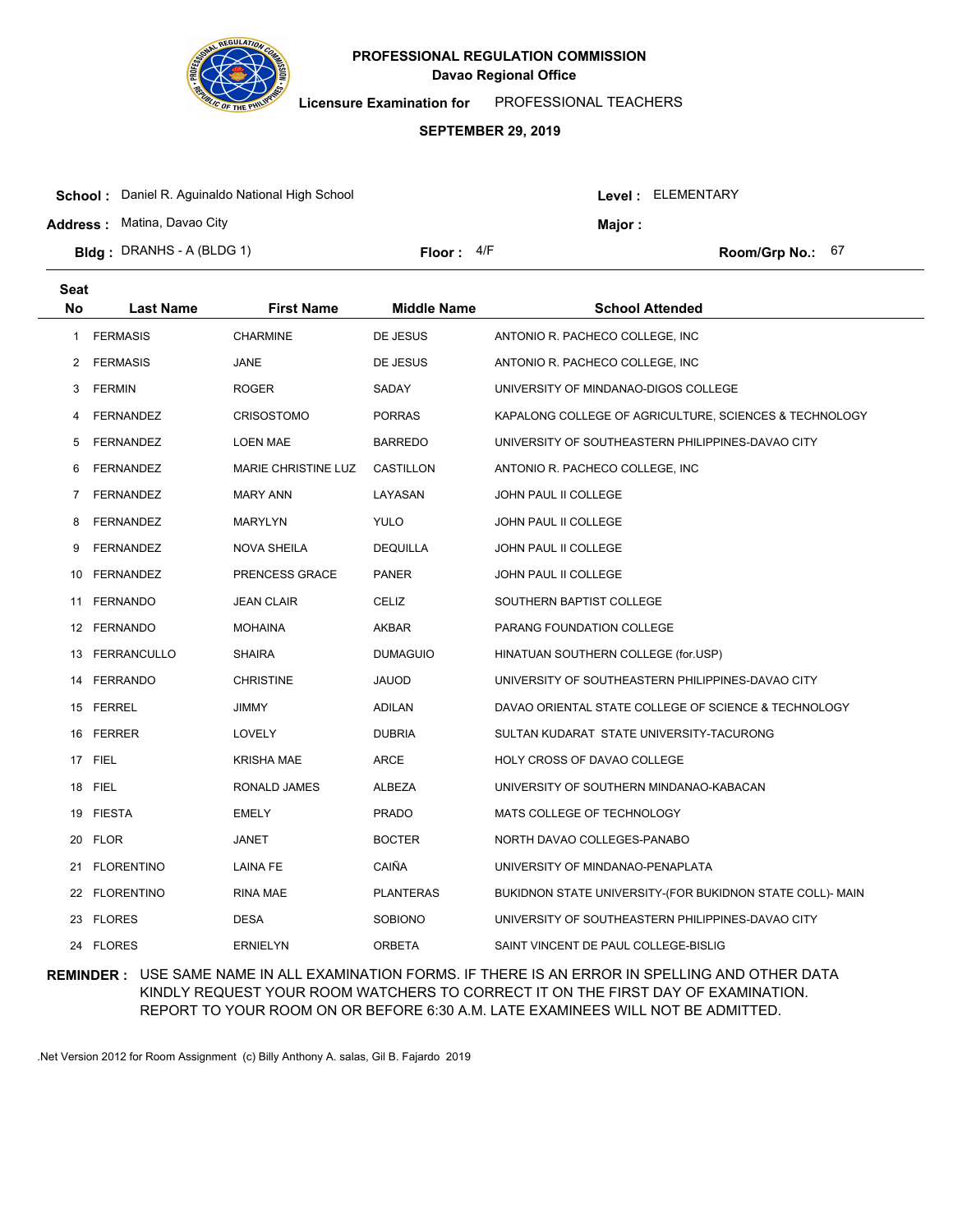

**Licensure Examination for**  PROFESSIONAL TEACHERS

### **SEPTEMBER 29, 2019**

| <b>Bidg: DRANHS - A (BLDG 1)</b>                        | Floor: $4/F$ |  |                    | Room/Grp No.: $67$ |  |
|---------------------------------------------------------|--------------|--|--------------------|--------------------|--|
| <b>Address: Matina, Davao City</b>                      |              |  | Maior :            |                    |  |
| <b>School:</b> Daniel R. Aguinaldo National High School |              |  | Level : ELEMENTARY |                    |  |

| <b>Seat</b> |                   |                     |                    |                                                           |
|-------------|-------------------|---------------------|--------------------|-----------------------------------------------------------|
| No          | <b>Last Name</b>  | <b>First Name</b>   | <b>Middle Name</b> | <b>School Attended</b>                                    |
| 1           | <b>FERMASIS</b>   | <b>CHARMINE</b>     | DE JESUS           | ANTONIO R. PACHECO COLLEGE, INC.                          |
| 2           | <b>FERMASIS</b>   | <b>JANE</b>         | DE JESUS           | ANTONIO R. PACHECO COLLEGE, INC.                          |
| 3           | <b>FERMIN</b>     | <b>ROGER</b>        | SADAY              | UNIVERSITY OF MINDANAO-DIGOS COLLEGE                      |
| 4           | FERNANDEZ         | <b>CRISOSTOMO</b>   | <b>PORRAS</b>      | KAPALONG COLLEGE OF AGRICULTURE, SCIENCES & TECHNOLOGY    |
| 5           | <b>FERNANDEZ</b>  | LOEN MAE            | <b>BARREDO</b>     | UNIVERSITY OF SOUTHEASTERN PHILIPPINES-DAVAO CITY         |
| 6           | <b>FERNANDEZ</b>  | MARIE CHRISTINE LUZ | CASTILLON          | ANTONIO R. PACHECO COLLEGE, INC.                          |
| 7           | FERNANDEZ         | <b>MARY ANN</b>     | LAYASAN            | JOHN PAUL II COLLEGE                                      |
| 8           | FERNANDEZ         | MARYLYN             | <b>YULO</b>        | JOHN PAUL II COLLEGE                                      |
| 9           | <b>FERNANDEZ</b>  | <b>NOVA SHEILA</b>  | <b>DEQUILLA</b>    | JOHN PAUL II COLLEGE                                      |
|             | 10 FERNANDEZ      | PRENCESS GRACE      | <b>PANER</b>       | JOHN PAUL II COLLEGE                                      |
|             | 11 FERNANDO       | <b>JEAN CLAIR</b>   | CELIZ              | SOUTHERN BAPTIST COLLEGE                                  |
|             | 12 FERNANDO       | <b>MOHAINA</b>      | <b>AKBAR</b>       | PARANG FOUNDATION COLLEGE                                 |
|             | 13 FERRANCULLO    | <b>SHAIRA</b>       | <b>DUMAGUIO</b>    | HINATUAN SOUTHERN COLLEGE (for.USP)                       |
|             | 14 FERRANDO       | <b>CHRISTINE</b>    | <b>JAUOD</b>       | UNIVERSITY OF SOUTHEASTERN PHILIPPINES-DAVAO CITY         |
|             | 15 FERREL         | <b>JIMMY</b>        | ADILAN             | DAVAO ORIENTAL STATE COLLEGE OF SCIENCE & TECHNOLOGY      |
| 16          | <b>FERRER</b>     | LOVELY              | <b>DUBRIA</b>      | SULTAN KUDARAT STATE UNIVERSITY-TACURONG                  |
|             | 17 FIEL           | <b>KRISHA MAE</b>   | <b>ARCE</b>        | HOLY CROSS OF DAVAO COLLEGE                               |
| 18          | <b>FIEL</b>       | RONALD JAMES        | <b>ALBEZA</b>      | UNIVERSITY OF SOUTHERN MINDANAO-KABACAN                   |
|             | 19 FIESTA         | <b>EMELY</b>        | <b>PRADO</b>       | MATS COLLEGE OF TECHNOLOGY                                |
| 20          | <b>FLOR</b>       | <b>JANET</b>        | <b>BOCTER</b>      | NORTH DAVAO COLLEGES-PANABO                               |
| 21          | <b>FLORENTINO</b> | <b>LAINA FE</b>     | CAIÑA              | UNIVERSITY OF MINDANAO-PENAPLATA                          |
|             | 22 FLORENTINO     | RINA MAE            | <b>PLANTERAS</b>   | BUKIDNON STATE UNIVERSITY-(FOR BUKIDNON STATE COLL)- MAIN |
|             | 23 FLORES         | <b>DESA</b>         | <b>SOBIONO</b>     | UNIVERSITY OF SOUTHEASTERN PHILIPPINES-DAVAO CITY         |
|             | 24 FLORES         | <b>ERNIELYN</b>     | <b>ORBETA</b>      | SAINT VINCENT DE PAUL COLLEGE-BISLIG                      |

## **REMINDER :** USE SAME NAME IN ALL EXAMINATION FORMS. IF THERE IS AN ERROR IN SPELLING AND OTHER DATA KINDLY REQUEST YOUR ROOM WATCHERS TO CORRECT IT ON THE FIRST DAY OF EXAMINATION. REPORT TO YOUR ROOM ON OR BEFORE 6:30 A.M. LATE EXAMINEES WILL NOT BE ADMITTED.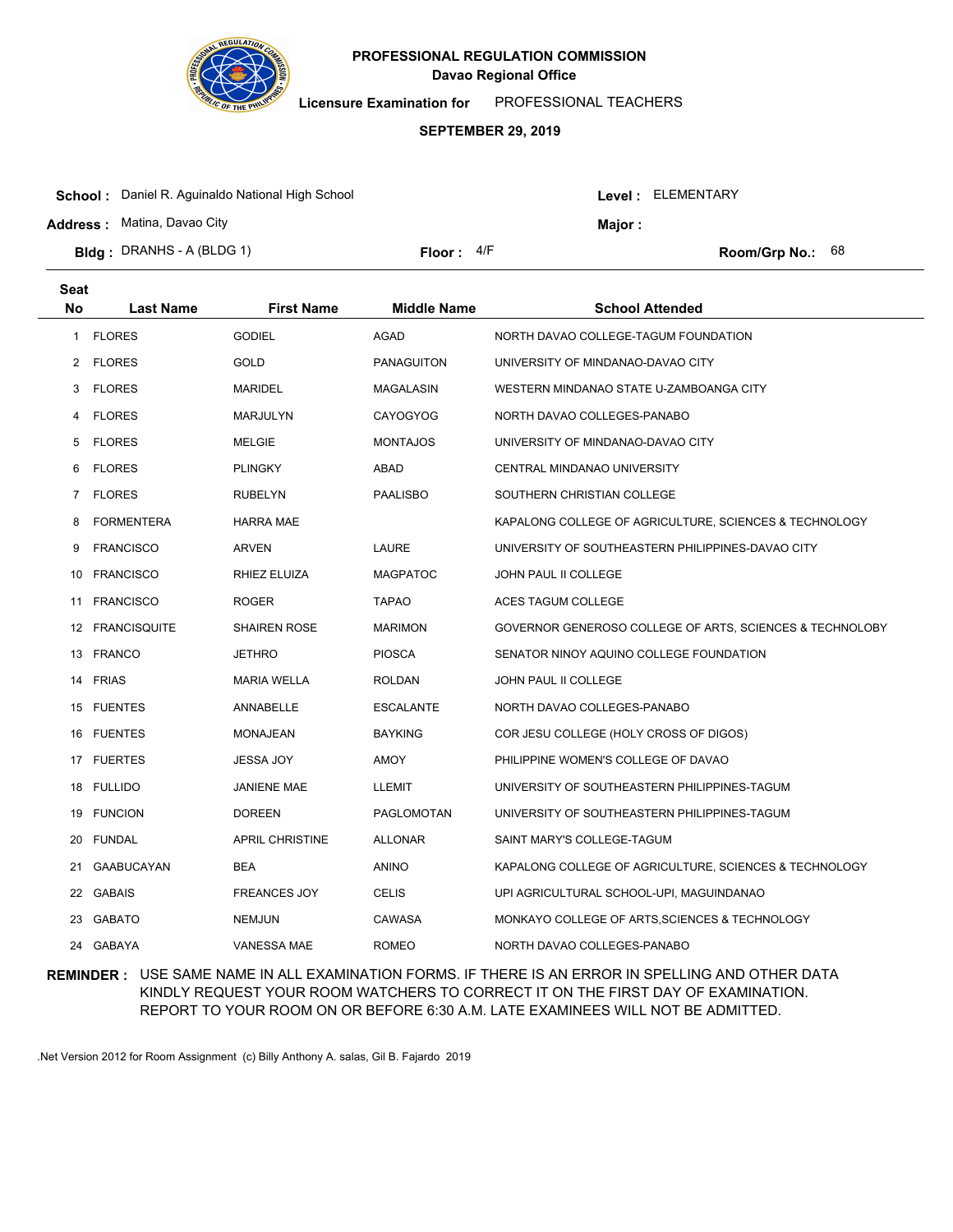

**Licensure Examination for**  PROFESSIONAL TEACHERS

### **SEPTEMBER 29, 2019**

| <b>School:</b> Daniel R. Aguinaldo National High School<br><b>Address: Matina, Davao City</b> |              |  | Level: ELEMENTARY<br>Major: |                           |  |
|-----------------------------------------------------------------------------------------------|--------------|--|-----------------------------|---------------------------|--|
| <b>Bidg</b> : DRANHS - A (BLDG 1)                                                             | Floor: $4/F$ |  |                             | <b>Room/Grp No.:</b> $68$ |  |

| <b>Seat</b>    |                   |                        |                    |                                                          |
|----------------|-------------------|------------------------|--------------------|----------------------------------------------------------|
| No             | <b>Last Name</b>  | <b>First Name</b>      | <b>Middle Name</b> | <b>School Attended</b>                                   |
| 1              | <b>FLORES</b>     | <b>GODIEL</b>          | <b>AGAD</b>        | NORTH DAVAO COLLEGE-TAGUM FOUNDATION                     |
| 2              | <b>FLORES</b>     | <b>GOLD</b>            | <b>PANAGUITON</b>  | UNIVERSITY OF MINDANAO-DAVAO CITY                        |
| 3              | <b>FLORES</b>     | <b>MARIDEL</b>         | MAGALASIN          | WESTERN MINDANAO STATE U-ZAMBOANGA CITY                  |
| 4              | <b>FLORES</b>     | <b>MARJULYN</b>        | <b>CAYOGYOG</b>    | NORTH DAVAO COLLEGES-PANABO                              |
| 5              | <b>FLORES</b>     | <b>MELGIE</b>          | <b>MONTAJOS</b>    | UNIVERSITY OF MINDANAO-DAVAO CITY                        |
| 6              | <b>FLORES</b>     | <b>PLINGKY</b>         | ABAD               | CENTRAL MINDANAO UNIVERSITY                              |
| $\overline{7}$ | <b>FLORES</b>     | <b>RUBELYN</b>         | <b>PAALISBO</b>    | SOUTHERN CHRISTIAN COLLEGE                               |
| 8              | <b>FORMENTERA</b> | <b>HARRA MAE</b>       |                    | KAPALONG COLLEGE OF AGRICULTURE, SCIENCES & TECHNOLOGY   |
| 9              | <b>FRANCISCO</b>  | <b>ARVEN</b>           | <b>LAURE</b>       | UNIVERSITY OF SOUTHEASTERN PHILIPPINES-DAVAO CITY        |
|                | 10 FRANCISCO      | RHIEZ ELUIZA           | <b>MAGPATOC</b>    | JOHN PAUL II COLLEGE                                     |
|                | 11 FRANCISCO      | ROGER                  | <b>TAPAO</b>       | ACES TAGUM COLLEGE                                       |
|                | 12 FRANCISQUITE   | <b>SHAIREN ROSE</b>    | <b>MARIMON</b>     | GOVERNOR GENEROSO COLLEGE OF ARTS, SCIENCES & TECHNOLOBY |
|                | 13 FRANCO         | <b>JETHRO</b>          | <b>PIOSCA</b>      | SENATOR NINOY AQUINO COLLEGE FOUNDATION                  |
|                | 14 FRIAS          | <b>MARIA WELLA</b>     | <b>ROLDAN</b>      | JOHN PAUL II COLLEGE                                     |
|                | 15 FUENTES        | ANNABELLE              | <b>ESCALANTE</b>   | NORTH DAVAO COLLEGES-PANABO                              |
|                | 16 FUENTES        | <b>MONAJEAN</b>        | <b>BAYKING</b>     | COR JESU COLLEGE (HOLY CROSS OF DIGOS)                   |
|                | 17 FUERTES        | <b>JESSA JOY</b>       | <b>AMOY</b>        | PHILIPPINE WOMEN'S COLLEGE OF DAVAO                      |
|                | 18 FULLIDO        | <b>JANIENE MAE</b>     | <b>LLEMIT</b>      | UNIVERSITY OF SOUTHEASTERN PHILIPPINES-TAGUM             |
|                | 19 FUNCION        | <b>DOREEN</b>          | PAGLOMOTAN         | UNIVERSITY OF SOUTHEASTERN PHILIPPINES-TAGUM             |
| 20             | <b>FUNDAL</b>     | <b>APRIL CHRISTINE</b> | <b>ALLONAR</b>     | SAINT MARY'S COLLEGE-TAGUM                               |
| 21             | <b>GAABUCAYAN</b> | <b>BEA</b>             | <b>ANINO</b>       | KAPALONG COLLEGE OF AGRICULTURE, SCIENCES & TECHNOLOGY   |
|                | 22 GABAIS         | <b>FREANCES JOY</b>    | <b>CELIS</b>       | UPI AGRICULTURAL SCHOOL-UPI, MAGUINDANAO                 |
|                | 23 GABATO         | <b>NEMJUN</b>          | CAWASA             | MONKAYO COLLEGE OF ARTS, SCIENCES & TECHNOLOGY           |
|                | 24 GABAYA         | <b>VANESSA MAE</b>     | <b>ROMEO</b>       | NORTH DAVAO COLLEGES-PANABO                              |

## **REMINDER :** USE SAME NAME IN ALL EXAMINATION FORMS. IF THERE IS AN ERROR IN SPELLING AND OTHER DATA KINDLY REQUEST YOUR ROOM WATCHERS TO CORRECT IT ON THE FIRST DAY OF EXAMINATION. REPORT TO YOUR ROOM ON OR BEFORE 6:30 A.M. LATE EXAMINEES WILL NOT BE ADMITTED.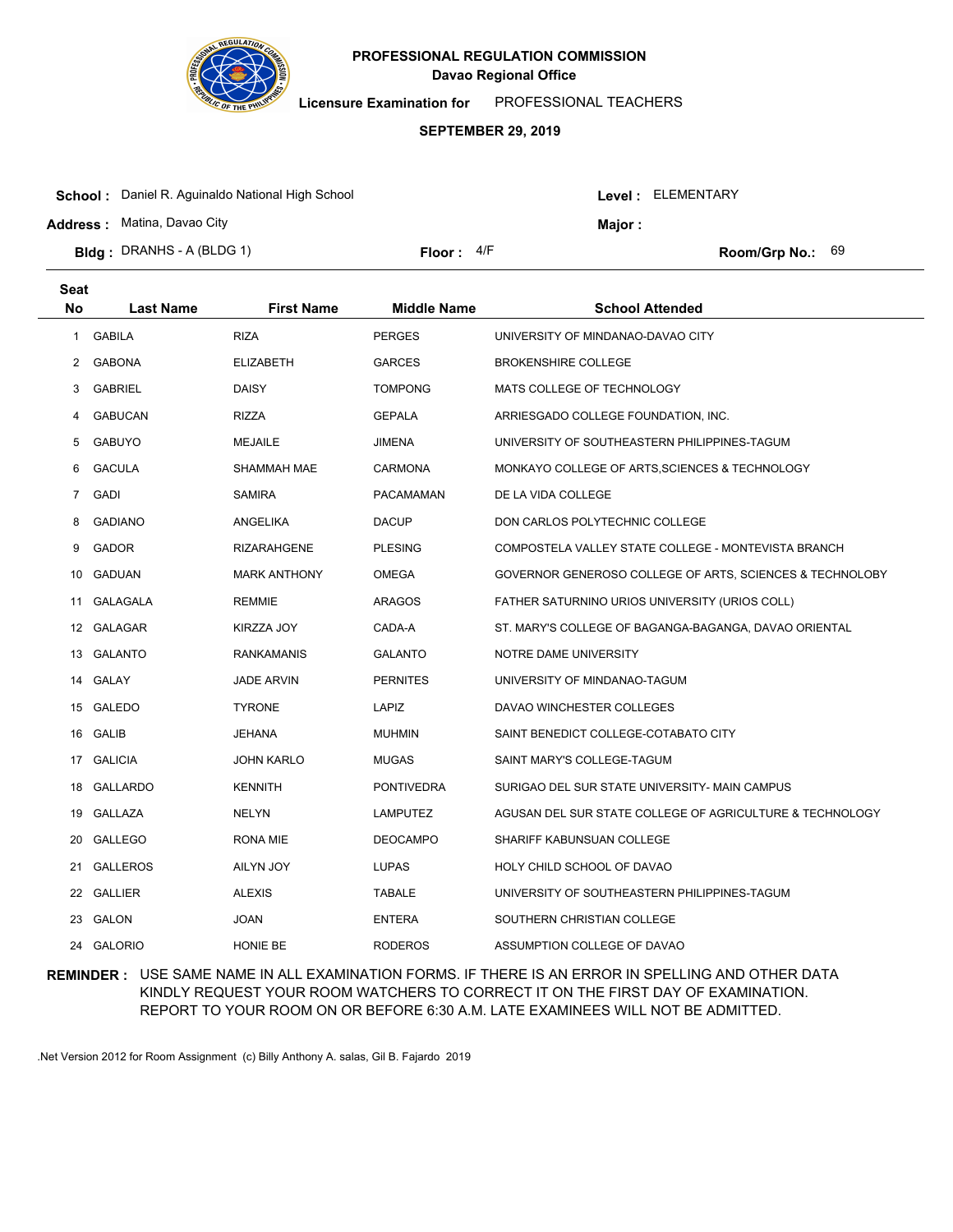

**Licensure Examination for**  PROFESSIONAL TEACHERS

### **SEPTEMBER 29, 2019**

| <b>School:</b> Daniel R. Aguinaldo National High School |              |  | Level: ELEMENTARY |                           |  |
|---------------------------------------------------------|--------------|--|-------------------|---------------------------|--|
| <b>Address: Matina, Davao City</b>                      |              |  | <b>Maior</b> :    |                           |  |
| <b>Bldg</b> : DRANHS - A (BLDG 1)                       | Floor: $4/F$ |  |                   | <b>Room/Grp No.:</b> $69$ |  |

| <b>Seat</b> |                  |                     |                    |                                                          |
|-------------|------------------|---------------------|--------------------|----------------------------------------------------------|
| <b>No</b>   | <b>Last Name</b> | <b>First Name</b>   | <b>Middle Name</b> | <b>School Attended</b>                                   |
| 1           | <b>GABILA</b>    | <b>RIZA</b>         | <b>PERGES</b>      | UNIVERSITY OF MINDANAO-DAVAO CITY                        |
| 2           | <b>GABONA</b>    | <b>ELIZABETH</b>    | <b>GARCES</b>      | <b>BROKENSHIRE COLLEGE</b>                               |
| 3           | <b>GABRIEL</b>   | <b>DAISY</b>        | <b>TOMPONG</b>     | MATS COLLEGE OF TECHNOLOGY                               |
| 4           | <b>GABUCAN</b>   | <b>RIZZA</b>        | <b>GEPALA</b>      | ARRIESGADO COLLEGE FOUNDATION, INC.                      |
| 5           | <b>GABUYO</b>    | <b>MEJAILE</b>      | <b>JIMENA</b>      | UNIVERSITY OF SOUTHEASTERN PHILIPPINES-TAGUM             |
| 6           | <b>GACULA</b>    | <b>SHAMMAH MAE</b>  | <b>CARMONA</b>     | MONKAYO COLLEGE OF ARTS, SCIENCES & TECHNOLOGY           |
| 7           | <b>GADI</b>      | <b>SAMIRA</b>       | <b>PACAMAMAN</b>   | DE LA VIDA COLLEGE                                       |
| 8           | <b>GADIANO</b>   | ANGELIKA            | <b>DACUP</b>       | DON CARLOS POLYTECHNIC COLLEGE                           |
| 9           | GADOR            | <b>RIZARAHGENE</b>  | <b>PLESING</b>     | COMPOSTELA VALLEY STATE COLLEGE - MONTEVISTA BRANCH      |
| 10          | GADUAN           | <b>MARK ANTHONY</b> | <b>OMEGA</b>       | GOVERNOR GENEROSO COLLEGE OF ARTS, SCIENCES & TECHNOLOBY |
| 11          | GALAGALA         | <b>REMMIE</b>       | <b>ARAGOS</b>      | FATHER SATURNINO URIOS UNIVERSITY (URIOS COLL)           |
|             | 12 GALAGAR       | KIRZZA JOY          | CADA-A             | ST. MARY'S COLLEGE OF BAGANGA-BAGANGA, DAVAO ORIENTAL    |
|             | 13 GALANTO       | <b>RANKAMANIS</b>   | <b>GALANTO</b>     | NOTRE DAME UNIVERSITY                                    |
|             | 14 GALAY         | <b>JADE ARVIN</b>   | <b>PERNITES</b>    | UNIVERSITY OF MINDANAO-TAGUM                             |
|             | 15 GALEDO        | <b>TYRONE</b>       | LAPIZ              | DAVAO WINCHESTER COLLEGES                                |
|             | 16 GALIB         | JEHANA              | <b>MUHMIN</b>      | SAINT BENEDICT COLLEGE-COTABATO CITY                     |
|             | 17 GALICIA       | <b>JOHN KARLO</b>   | <b>MUGAS</b>       | SAINT MARY'S COLLEGE-TAGUM                               |
| 18          | GALLARDO         | <b>KENNITH</b>      | <b>PONTIVEDRA</b>  | SURIGAO DEL SUR STATE UNIVERSITY- MAIN CAMPUS            |
| 19          | GALLAZA          | <b>NELYN</b>        | <b>LAMPUTEZ</b>    | AGUSAN DEL SUR STATE COLLEGE OF AGRICULTURE & TECHNOLOGY |
| 20          | <b>GALLEGO</b>   | <b>RONA MIE</b>     | <b>DEOCAMPO</b>    | SHARIFF KABUNSUAN COLLEGE                                |
| 21          | <b>GALLEROS</b>  | AILYN JOY           | <b>LUPAS</b>       | HOLY CHILD SCHOOL OF DAVAO                               |
| 22          | <b>GALLIER</b>   | <b>ALEXIS</b>       | <b>TABALE</b>      | UNIVERSITY OF SOUTHEASTERN PHILIPPINES-TAGUM             |
| 23          | GALON            | <b>JOAN</b>         | <b>ENTERA</b>      | SOUTHERN CHRISTIAN COLLEGE                               |
| 24          | <b>GALORIO</b>   | HONIE BE            | <b>RODEROS</b>     | ASSUMPTION COLLEGE OF DAVAO                              |

## **REMINDER :** USE SAME NAME IN ALL EXAMINATION FORMS. IF THERE IS AN ERROR IN SPELLING AND OTHER DATA KINDLY REQUEST YOUR ROOM WATCHERS TO CORRECT IT ON THE FIRST DAY OF EXAMINATION. REPORT TO YOUR ROOM ON OR BEFORE 6:30 A.M. LATE EXAMINEES WILL NOT BE ADMITTED.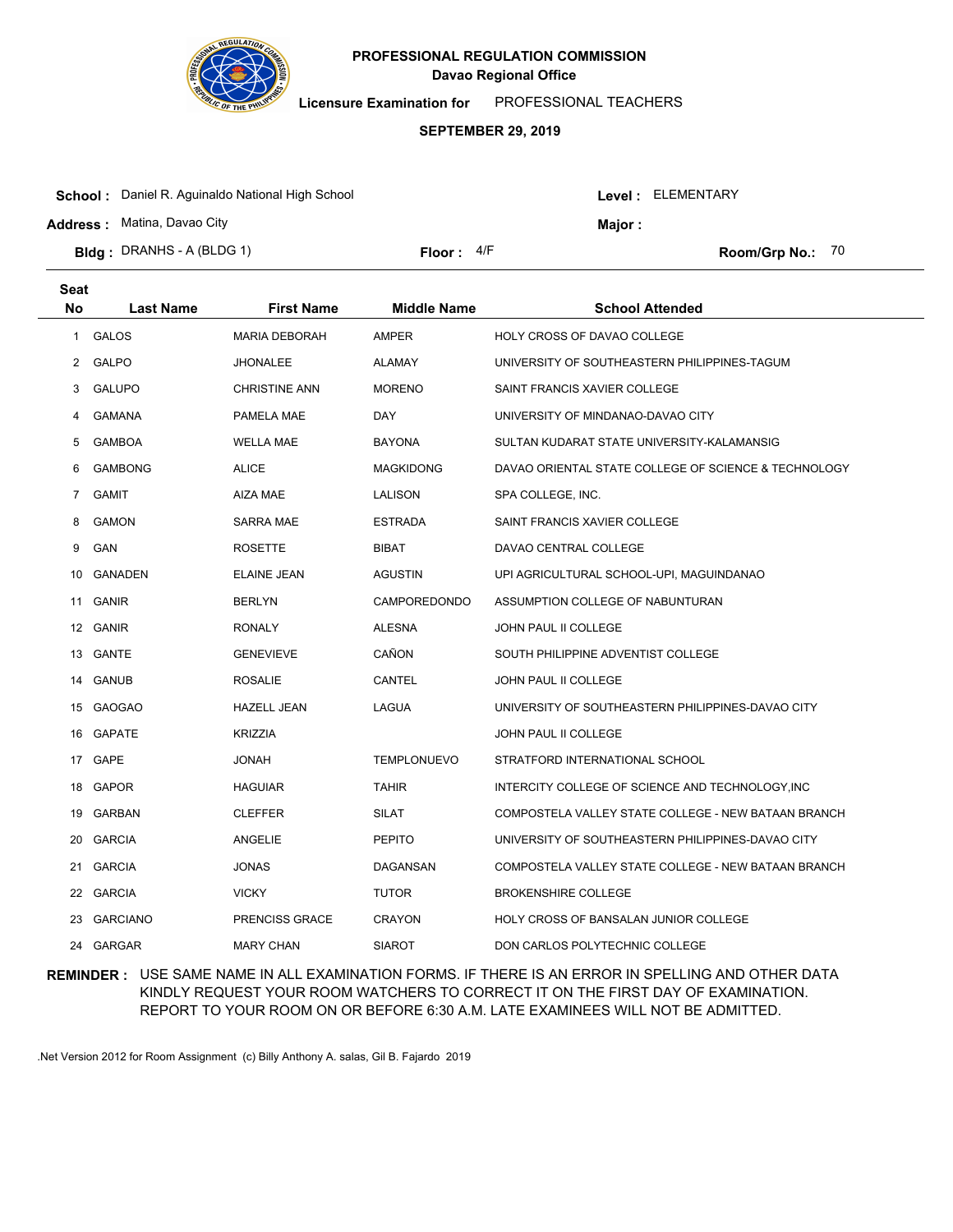

**Licensure Examination for**  PROFESSIONAL TEACHERS

### **SEPTEMBER 29, 2019**

| <b>Address: Matina, Davao City</b> |              | Maior : |                    |  |
|------------------------------------|--------------|---------|--------------------|--|
| <b>Bidg</b> : DRANHS - A (BLDG 1)  | Floor: $4/F$ |         | Room/Grp No.: $70$ |  |

| <b>Seat</b> |                  |                       |                     |                                                      |
|-------------|------------------|-----------------------|---------------------|------------------------------------------------------|
| <b>No</b>   | <b>Last Name</b> | <b>First Name</b>     | <b>Middle Name</b>  | <b>School Attended</b>                               |
| 1           | <b>GALOS</b>     | <b>MARIA DEBORAH</b>  | <b>AMPER</b>        | HOLY CROSS OF DAVAO COLLEGE                          |
| 2           | <b>GALPO</b>     | JHONALEE              | <b>ALAMAY</b>       | UNIVERSITY OF SOUTHEASTERN PHILIPPINES-TAGUM         |
| 3           | <b>GALUPO</b>    | <b>CHRISTINE ANN</b>  | <b>MORENO</b>       | SAINT FRANCIS XAVIER COLLEGE                         |
| 4           | <b>GAMANA</b>    | PAMELA MAE            | DAY                 | UNIVERSITY OF MINDANAO-DAVAO CITY                    |
| 5           | <b>GAMBOA</b>    | WELLA MAE             | <b>BAYONA</b>       | SULTAN KUDARAT STATE UNIVERSITY-KALAMANSIG           |
| 6           | <b>GAMBONG</b>   | <b>ALICE</b>          | <b>MAGKIDONG</b>    | DAVAO ORIENTAL STATE COLLEGE OF SCIENCE & TECHNOLOGY |
| 7           | <b>GAMIT</b>     | <b>AIZA MAE</b>       | LALISON             | SPA COLLEGE, INC.                                    |
| 8           | <b>GAMON</b>     | SARRA MAE             | ESTRADA             | SAINT FRANCIS XAVIER COLLEGE                         |
| 9           | GAN              | <b>ROSETTE</b>        | <b>BIBAT</b>        | DAVAO CENTRAL COLLEGE                                |
| 10          | <b>GANADEN</b>   | <b>ELAINE JEAN</b>    | <b>AGUSTIN</b>      | UPI AGRICULTURAL SCHOOL-UPI, MAGUINDANAO             |
| 11          | <b>GANIR</b>     | <b>BERLYN</b>         | <b>CAMPOREDONDO</b> | ASSUMPTION COLLEGE OF NABUNTURAN                     |
|             | 12 GANIR         | <b>RONALY</b>         | <b>ALESNA</b>       | JOHN PAUL II COLLEGE                                 |
|             | 13 GANTE         | <b>GENEVIEVE</b>      | CAÑON               | SOUTH PHILIPPINE ADVENTIST COLLEGE                   |
|             | 14 GANUB         | <b>ROSALIE</b>        | CANTEL              | JOHN PAUL II COLLEGE                                 |
|             | 15 GAOGAO        | <b>HAZELL JEAN</b>    | <b>LAGUA</b>        | UNIVERSITY OF SOUTHEASTERN PHILIPPINES-DAVAO CITY    |
|             | 16 GAPATE        | <b>KRIZZIA</b>        |                     | JOHN PAUL II COLLEGE                                 |
|             | 17 GAPE          | HAVOL                 | <b>TEMPLONUEVO</b>  | STRATFORD INTERNATIONAL SCHOOL                       |
| 18          | <b>GAPOR</b>     | HAGUIAR               | <b>TAHIR</b>        | INTERCITY COLLEGE OF SCIENCE AND TECHNOLOGY, INC     |
| 19          | <b>GARBAN</b>    | <b>CLEFFER</b>        | <b>SILAT</b>        | COMPOSTELA VALLEY STATE COLLEGE - NEW BATAAN BRANCH  |
| 20          | <b>GARCIA</b>    | ANGELIE               | <b>PEPITO</b>       | UNIVERSITY OF SOUTHEASTERN PHILIPPINES-DAVAO CITY    |
| 21          | <b>GARCIA</b>    | JONAS                 | DAGANSAN            | COMPOSTELA VALLEY STATE COLLEGE - NEW BATAAN BRANCH  |
| 22          | <b>GARCIA</b>    | <b>VICKY</b>          | <b>TUTOR</b>        | <b>BROKENSHIRE COLLEGE</b>                           |
| 23          | <b>GARCIANO</b>  | <b>PRENCISS GRACE</b> | <b>CRAYON</b>       | <b>HOLY CROSS OF BANSALAN JUNIOR COLLEGE</b>         |
| 24          | GARGAR           | <b>MARY CHAN</b>      | <b>SIAROT</b>       | DON CARLOS POLYTECHNIC COLLEGE                       |

## **REMINDER :** USE SAME NAME IN ALL EXAMINATION FORMS. IF THERE IS AN ERROR IN SPELLING AND OTHER DATA KINDLY REQUEST YOUR ROOM WATCHERS TO CORRECT IT ON THE FIRST DAY OF EXAMINATION. REPORT TO YOUR ROOM ON OR BEFORE 6:30 A.M. LATE EXAMINEES WILL NOT BE ADMITTED.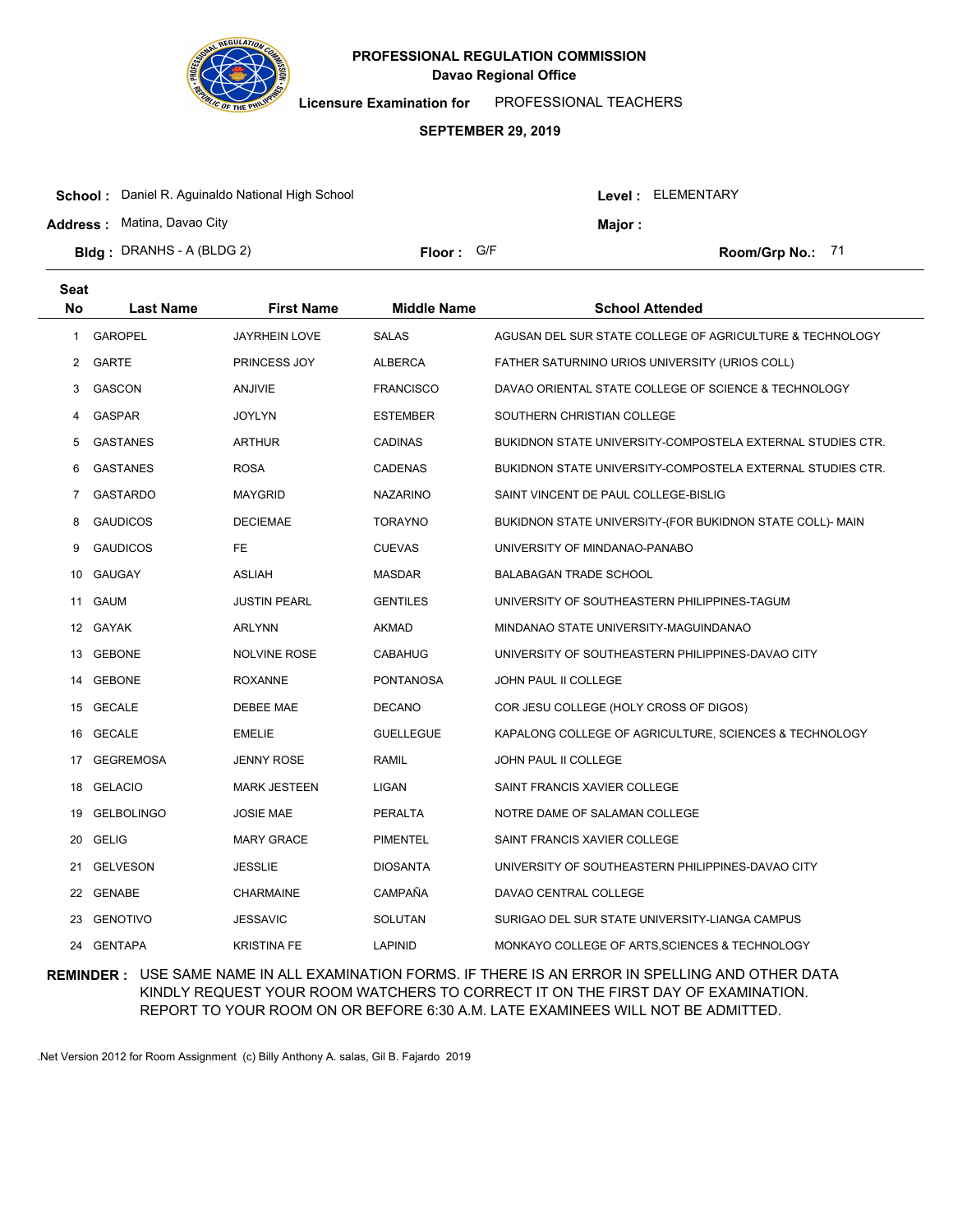

**Licensure Examination for**  PROFESSIONAL TEACHERS

### **SEPTEMBER 29, 2019**

| <b>School:</b> Daniel R. Aguinaldo National High School |                     |  | Level: ELEMENTARY |  |
|---------------------------------------------------------|---------------------|--|-------------------|--|
| <b>Address: Matina, Davao City</b>                      |                     |  | <b>Major:</b>     |  |
| <b>Bidg</b> : DRANHS - A (BLDG 2)                       | <b>Floor:</b> $G/F$ |  | Room/Grp No.: 71  |  |

| <b>Seat</b>    |                   |                     |                    |                                                            |
|----------------|-------------------|---------------------|--------------------|------------------------------------------------------------|
| No             | <b>Last Name</b>  | <b>First Name</b>   | <b>Middle Name</b> | <b>School Attended</b>                                     |
| 1              | <b>GAROPEL</b>    | JAYRHEIN LOVE       | <b>SALAS</b>       | AGUSAN DEL SUR STATE COLLEGE OF AGRICULTURE & TECHNOLOGY   |
| $\overline{2}$ | <b>GARTE</b>      | PRINCESS JOY        | <b>ALBERCA</b>     | FATHER SATURNINO URIOS UNIVERSITY (URIOS COLL)             |
| 3              | GASCON            | <b>ANJIVIE</b>      | <b>FRANCISCO</b>   | DAVAO ORIENTAL STATE COLLEGE OF SCIENCE & TECHNOLOGY       |
| 4              | <b>GASPAR</b>     | JOYLYN              | <b>ESTEMBER</b>    | SOUTHERN CHRISTIAN COLLEGE                                 |
| 5              | <b>GASTANES</b>   | ARTHUR              | <b>CADINAS</b>     | BUKIDNON STATE UNIVERSITY-COMPOSTELA EXTERNAL STUDIES CTR. |
| 6              | <b>GASTANES</b>   | <b>ROSA</b>         | <b>CADENAS</b>     | BUKIDNON STATE UNIVERSITY-COMPOSTELA EXTERNAL STUDIES CTR. |
| 7              | <b>GASTARDO</b>   | <b>MAYGRID</b>      | <b>NAZARINO</b>    | SAINT VINCENT DE PAUL COLLEGE-BISLIG                       |
| 8              | <b>GAUDICOS</b>   | <b>DECIEMAE</b>     | <b>TORAYNO</b>     | BUKIDNON STATE UNIVERSITY-(FOR BUKIDNON STATE COLL)- MAIN  |
| 9              | <b>GAUDICOS</b>   | FE.                 | <b>CUEVAS</b>      | UNIVERSITY OF MINDANAO-PANABO                              |
| 10             | <b>GAUGAY</b>     | <b>ASLIAH</b>       | <b>MASDAR</b>      | <b>BALABAGAN TRADE SCHOOL</b>                              |
| 11             | GAUM              | <b>JUSTIN PEARL</b> | <b>GENTILES</b>    | UNIVERSITY OF SOUTHEASTERN PHILIPPINES-TAGUM               |
|                | 12 GAYAK          | ARLYNN              | AKMAD              | MINDANAO STATE UNIVERSITY-MAGUINDANAO                      |
|                | 13 GEBONE         | <b>NOLVINE ROSE</b> | CABAHUG            | UNIVERSITY OF SOUTHEASTERN PHILIPPINES-DAVAO CITY          |
|                | 14 GEBONE         | <b>ROXANNE</b>      | <b>PONTANOSA</b>   | <b>JOHN PAUL II COLLEGE</b>                                |
|                | 15 GECALE         | DEBEE MAE           | <b>DECANO</b>      | COR JESU COLLEGE (HOLY CROSS OF DIGOS)                     |
|                | 16 GECALE         | <b>EMELIE</b>       | <b>GUELLEGUE</b>   | KAPALONG COLLEGE OF AGRICULTURE, SCIENCES & TECHNOLOGY     |
| 17             | <b>GEGREMOSA</b>  | JENNY ROSE          | <b>RAMIL</b>       | JOHN PAUL II COLLEGE                                       |
| 18             | <b>GELACIO</b>    | <b>MARK JESTEEN</b> | LIGAN              | SAINT FRANCIS XAVIER COLLEGE                               |
| 19             | <b>GELBOLINGO</b> | <b>JOSIE MAE</b>    | PERALTA            | NOTRE DAME OF SALAMAN COLLEGE                              |
| 20             | <b>GELIG</b>      | <b>MARY GRACE</b>   | <b>PIMENTEL</b>    | SAINT FRANCIS XAVIER COLLEGE                               |
| 21             | <b>GELVESON</b>   | JESSLIE             | <b>DIOSANTA</b>    | UNIVERSITY OF SOUTHEASTERN PHILIPPINES-DAVAO CITY          |
| 22             | <b>GENABE</b>     | CHARMAINE           | CAMPAÑA            | DAVAO CENTRAL COLLEGE                                      |
|                | 23 GENOTIVO       | JESSAVIC            | <b>SOLUTAN</b>     | SURIGAO DEL SUR STATE UNIVERSITY-LIANGA CAMPUS             |
|                | 24 GENTAPA        | <b>KRISTINA FE</b>  | <b>LAPINID</b>     | MONKAYO COLLEGE OF ARTS, SCIENCES & TECHNOLOGY             |

## **REMINDER :** USE SAME NAME IN ALL EXAMINATION FORMS. IF THERE IS AN ERROR IN SPELLING AND OTHER DATA KINDLY REQUEST YOUR ROOM WATCHERS TO CORRECT IT ON THE FIRST DAY OF EXAMINATION. REPORT TO YOUR ROOM ON OR BEFORE 6:30 A.M. LATE EXAMINEES WILL NOT BE ADMITTED.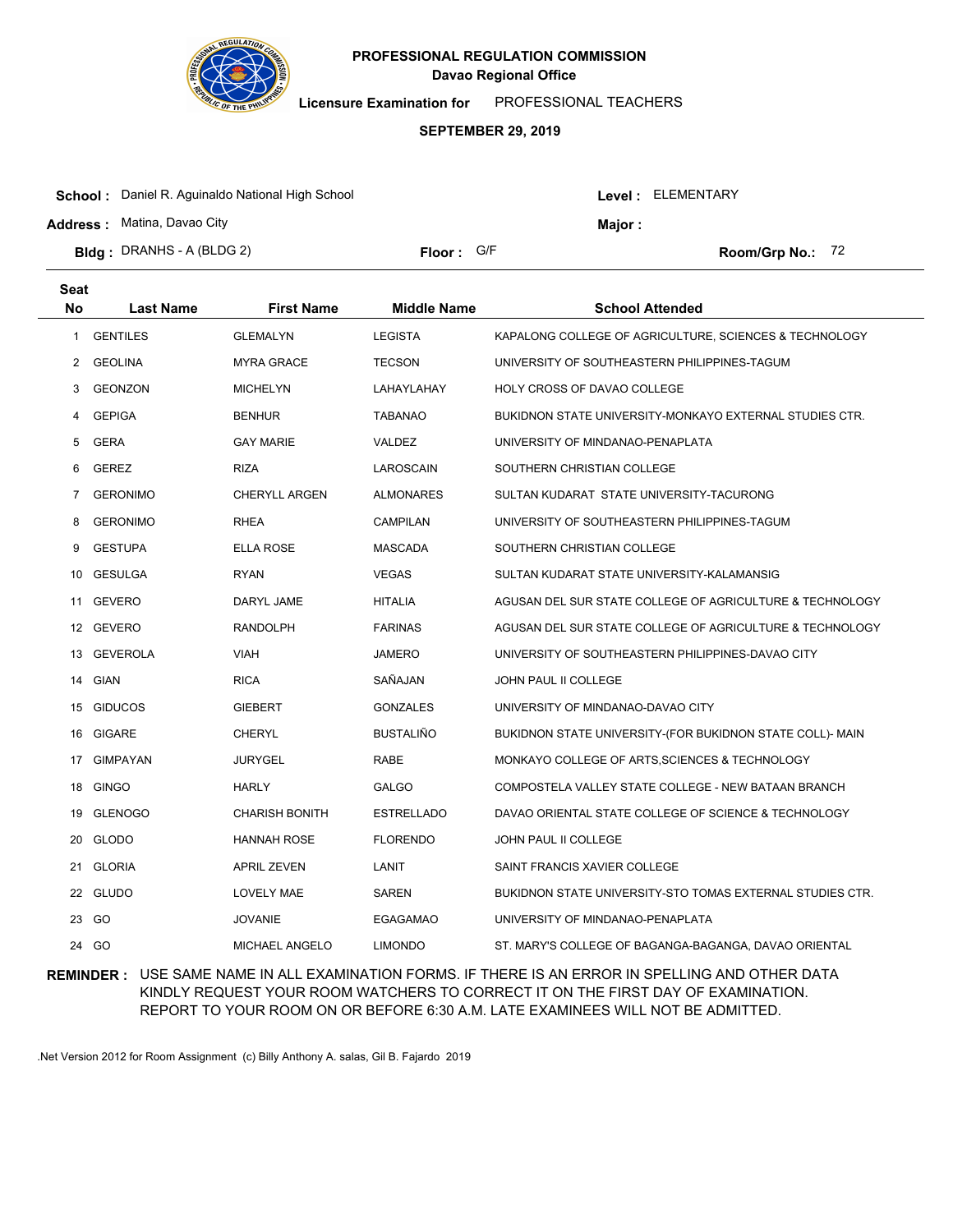

**Licensure Examination for**  PROFESSIONAL TEACHERS

### **SEPTEMBER 29, 2019**

| <b>School:</b> Daniel R. Aguinaldo National High School |            |  | Level: ELEMENTARY |                    |  |
|---------------------------------------------------------|------------|--|-------------------|--------------------|--|
| <b>Address: Matina, Davao City</b>                      |            |  | Maior :           |                    |  |
| <b>Bidg</b> : DRANHS - A (BLDG 2)                       | Floor: G/F |  |                   | Room/Grp No.: $72$ |  |

| Seat      |                  |                       |                    |                                                           |
|-----------|------------------|-----------------------|--------------------|-----------------------------------------------------------|
| <b>No</b> | <b>Last Name</b> | <b>First Name</b>     | <b>Middle Name</b> | <b>School Attended</b>                                    |
| 1         | <b>GENTILES</b>  | <b>GLEMALYN</b>       | <b>LEGISTA</b>     | KAPALONG COLLEGE OF AGRICULTURE, SCIENCES & TECHNOLOGY    |
| 2         | <b>GEOLINA</b>   | <b>MYRA GRACE</b>     | <b>TECSON</b>      | UNIVERSITY OF SOUTHEASTERN PHILIPPINES-TAGUM              |
| 3         | <b>GEONZON</b>   | <b>MICHELYN</b>       | LAHAYLAHAY         | HOLY CROSS OF DAVAO COLLEGE                               |
| 4         | <b>GEPIGA</b>    | <b>BENHUR</b>         | <b>TABANAO</b>     | BUKIDNON STATE UNIVERSITY-MONKAYO EXTERNAL STUDIES CTR.   |
| 5         | <b>GERA</b>      | <b>GAY MARIE</b>      | VALDEZ             | UNIVERSITY OF MINDANAO-PENAPLATA                          |
| 6         | <b>GEREZ</b>     | <b>RIZA</b>           | LAROSCAIN          | SOUTHERN CHRISTIAN COLLEGE                                |
| 7         | <b>GERONIMO</b>  | <b>CHERYLL ARGEN</b>  | <b>ALMONARES</b>   | SULTAN KUDARAT STATE UNIVERSITY-TACURONG                  |
| 8         | <b>GERONIMO</b>  | <b>RHEA</b>           | CAMPILAN           | UNIVERSITY OF SOUTHEASTERN PHILIPPINES-TAGUM              |
| 9         | <b>GESTUPA</b>   | <b>ELLA ROSE</b>      | <b>MASCADA</b>     | SOUTHERN CHRISTIAN COLLEGE                                |
| 10        | <b>GESULGA</b>   | <b>RYAN</b>           | <b>VEGAS</b>       | SULTAN KUDARAT STATE UNIVERSITY-KALAMANSIG                |
| 11        | GEVERO           | <b>DARYL JAME</b>     | <b>HITALIA</b>     | AGUSAN DEL SUR STATE COLLEGE OF AGRICULTURE & TECHNOLOGY  |
|           | 12 GEVERO        | <b>RANDOLPH</b>       | <b>FARINAS</b>     | AGUSAN DEL SUR STATE COLLEGE OF AGRICULTURE & TECHNOLOGY  |
|           | 13 GEVEROLA      | <b>VIAH</b>           | JAMERO             | UNIVERSITY OF SOUTHEASTERN PHILIPPINES-DAVAO CITY         |
| 14        | <b>GIAN</b>      | <b>RICA</b>           | SAÑAJAN            | JOHN PAUL II COLLEGE                                      |
|           | 15 GIDUCOS       | <b>GIEBERT</b>        | <b>GONZALES</b>    | UNIVERSITY OF MINDANAO-DAVAO CITY                         |
| 16        | <b>GIGARE</b>    | <b>CHERYL</b>         | <b>BUSTALIÑO</b>   | BUKIDNON STATE UNIVERSITY-(FOR BUKIDNON STATE COLL)- MAIN |
| 17        | <b>GIMPAYAN</b>  | <b>JURYGEL</b>        | RABE               | MONKAYO COLLEGE OF ARTS, SCIENCES & TECHNOLOGY            |
| 18        | <b>GINGO</b>     | <b>HARLY</b>          | <b>GALGO</b>       | COMPOSTELA VALLEY STATE COLLEGE - NEW BATAAN BRANCH       |
| 19        | <b>GLENOGO</b>   | <b>CHARISH BONITH</b> | <b>ESTRELLADO</b>  | DAVAO ORIENTAL STATE COLLEGE OF SCIENCE & TECHNOLOGY      |
| 20        | <b>GLODO</b>     | <b>HANNAH ROSE</b>    | <b>FLORENDO</b>    | JOHN PAUL II COLLEGE                                      |
| 21        | <b>GLORIA</b>    | <b>APRIL ZEVEN</b>    | LANIT              | SAINT FRANCIS XAVIER COLLEGE                              |
| 22        | <b>GLUDO</b>     | <b>LOVELY MAE</b>     | SAREN              | BUKIDNON STATE UNIVERSITY-STO TOMAS EXTERNAL STUDIES CTR. |
| 23        | GO               | <b>JOVANIE</b>        | <b>EGAGAMAO</b>    | UNIVERSITY OF MINDANAO-PENAPLATA                          |
| 24        | GO               | MICHAEL ANGELO        | <b>LIMONDO</b>     | ST. MARY'S COLLEGE OF BAGANGA-BAGANGA, DAVAO ORIENTAL     |

## **REMINDER :** USE SAME NAME IN ALL EXAMINATION FORMS. IF THERE IS AN ERROR IN SPELLING AND OTHER DATA KINDLY REQUEST YOUR ROOM WATCHERS TO CORRECT IT ON THE FIRST DAY OF EXAMINATION. REPORT TO YOUR ROOM ON OR BEFORE 6:30 A.M. LATE EXAMINEES WILL NOT BE ADMITTED.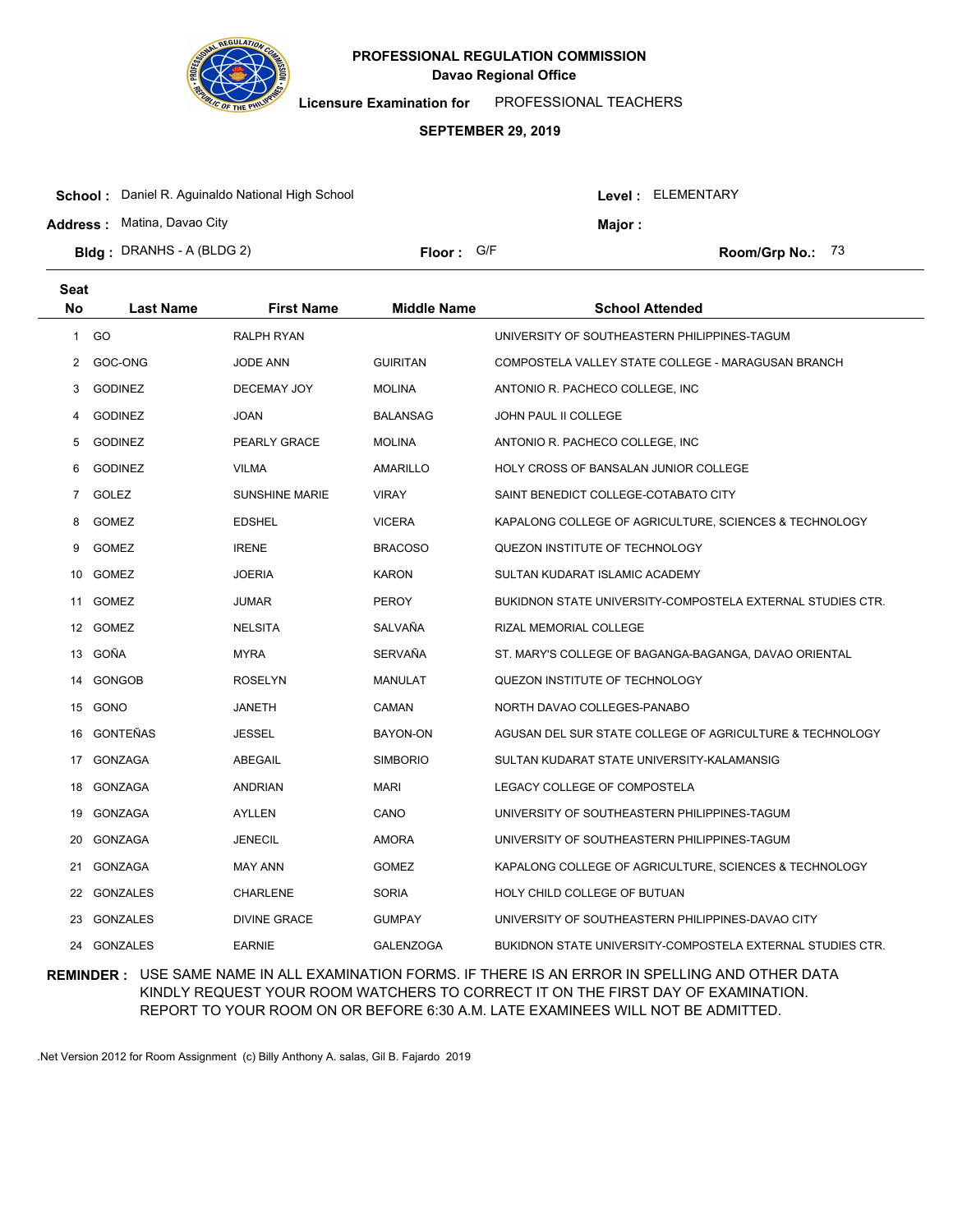

**Licensure Examination for**  PROFESSIONAL TEACHERS

#### **SEPTEMBER 29, 2019**

| <b>School:</b> Daniel R. Aguinaldo National High School |            |  | Level : ELEMENTARY |                         |  |
|---------------------------------------------------------|------------|--|--------------------|-------------------------|--|
| <b>Address:</b> Matina, Davao City                      |            |  | Major :            |                         |  |
| <b>Bldg</b> : DRANHS - A (BLDG 2)                       | Floor: G/F |  |                    | <b>Room/Grp No.: 73</b> |  |

| Seat |                  |                     |                    |                                                            |
|------|------------------|---------------------|--------------------|------------------------------------------------------------|
| No   | <b>Last Name</b> | <b>First Name</b>   | <b>Middle Name</b> | School Attended                                            |
| 1    | GO               | RALPH RYAN          |                    | UNIVERSITY OF SOUTHEASTERN PHILIPPINES-TAGUM               |
| 2    | GOC-ONG          | <b>JODE ANN</b>     | <b>GUIRITAN</b>    | COMPOSTELA VALLEY STATE COLLEGE - MARAGUSAN BRANCH         |
| 3    | <b>GODINEZ</b>   | DECEMAY JOY         | <b>MOLINA</b>      | ANTONIO R. PACHECO COLLEGE, INC.                           |
| 4    | <b>GODINEZ</b>   | JOAN                | <b>BALANSAG</b>    | JOHN PAUL II COLLEGE                                       |
| 5    | <b>GODINEZ</b>   | PEARLY GRACE        | <b>MOLINA</b>      | ANTONIO R. PACHECO COLLEGE, INC.                           |
| 6    | <b>GODINEZ</b>   | <b>VILMA</b>        | <b>AMARILLO</b>    | HOLY CROSS OF BANSALAN JUNIOR COLLEGE                      |
| 7    | GOLEZ            | SUNSHINE MARIE      | <b>VIRAY</b>       | SAINT BENEDICT COLLEGE-COTABATO CITY                       |
| 8    | <b>GOMEZ</b>     | <b>EDSHEL</b>       | <b>VICERA</b>      | KAPALONG COLLEGE OF AGRICULTURE, SCIENCES & TECHNOLOGY     |
| 9    | <b>GOMEZ</b>     | <b>IRENE</b>        | <b>BRACOSO</b>     | QUEZON INSTITUTE OF TECHNOLOGY                             |
| 10   | <b>GOMEZ</b>     | JOERIA              | <b>KARON</b>       | SULTAN KUDARAT ISLAMIC ACADEMY                             |
| 11   | <b>GOMEZ</b>     | JUMAR               | <b>PEROY</b>       | BUKIDNON STATE UNIVERSITY-COMPOSTELA EXTERNAL STUDIES CTR. |
|      | 12 GOMEZ         | <b>NELSITA</b>      | SALVAÑA            | RIZAL MEMORIAL COLLEGE                                     |
|      | 13 GOÑA          | <b>MYRA</b>         | <b>SERVAÑA</b>     | ST. MARY'S COLLEGE OF BAGANGA-BAGANGA, DAVAO ORIENTAL      |
| 14   | GONGOB           | ROSELYN             | <b>MANULAT</b>     | QUEZON INSTITUTE OF TECHNOLOGY                             |
| 15   | GONO             | JANETH              | CAMAN              | NORTH DAVAO COLLEGES-PANABO                                |
| 16   | <b>GONTEÑAS</b>  | <b>JESSEL</b>       | BAYON-ON           | AGUSAN DEL SUR STATE COLLEGE OF AGRICULTURE & TECHNOLOGY   |
| 17   | <b>GONZAGA</b>   | <b>ABEGAIL</b>      | <b>SIMBORIO</b>    | SULTAN KUDARAT STATE UNIVERSITY-KALAMANSIG                 |
| 18   | <b>GONZAGA</b>   | <b>ANDRIAN</b>      | <b>MARI</b>        | LEGACY COLLEGE OF COMPOSTELA                               |
| 19   | <b>GONZAGA</b>   | AYLLEN              | CANO               | UNIVERSITY OF SOUTHEASTERN PHILIPPINES-TAGUM               |
| 20   | GONZAGA          | <b>JENECIL</b>      | <b>AMORA</b>       | UNIVERSITY OF SOUTHEASTERN PHILIPPINES-TAGUM               |
| 21   | <b>GONZAGA</b>   | <b>MAY ANN</b>      | <b>GOMEZ</b>       | KAPALONG COLLEGE OF AGRICULTURE, SCIENCES & TECHNOLOGY     |
| 22   | GONZALES         | CHARLENE            | <b>SORIA</b>       | HOLY CHILD COLLEGE OF BUTUAN                               |
| 23   | <b>GONZALES</b>  | <b>DIVINE GRACE</b> | <b>GUMPAY</b>      | UNIVERSITY OF SOUTHEASTERN PHILIPPINES-DAVAO CITY          |
| 24   | <b>GONZALES</b>  | <b>EARNIE</b>       | <b>GALENZOGA</b>   | BUKIDNON STATE UNIVERSITY-COMPOSTELA EXTERNAL STUDIES CTR. |

### **REMINDER :** USE SAME NAME IN ALL EXAMINATION FORMS. IF THERE IS AN ERROR IN SPELLING AND OTHER DATA KINDLY REQUEST YOUR ROOM WATCHERS TO CORRECT IT ON THE FIRST DAY OF EXAMINATION. REPORT TO YOUR ROOM ON OR BEFORE 6:30 A.M. LATE EXAMINEES WILL NOT BE ADMITTED.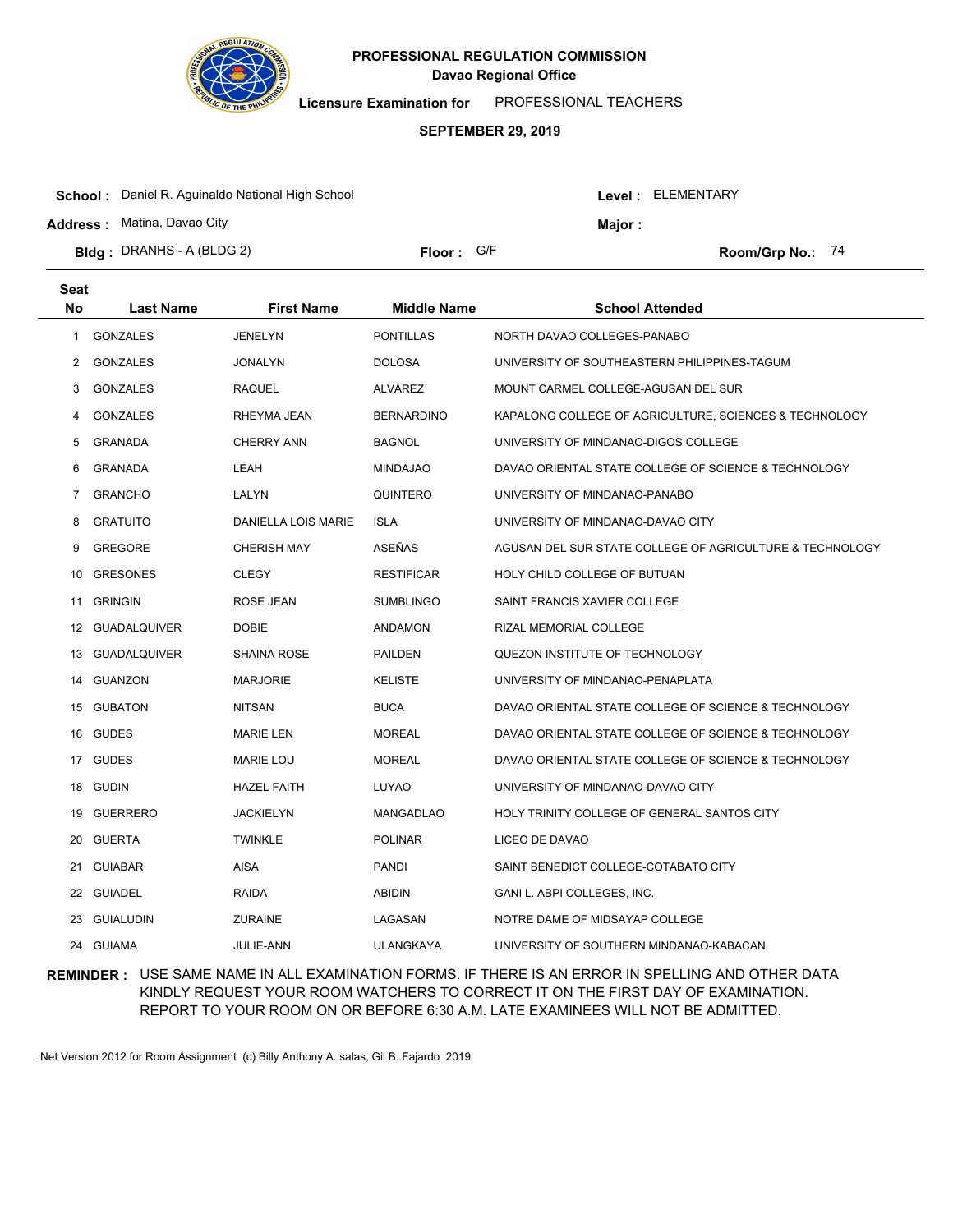

**Licensure Examination for**  PROFESSIONAL TEACHERS

#### **SEPTEMBER 29, 2019**

| <b>Bidg</b> : DRANHS - A (BLDG 2)                       | Floor: G/F |                |                    | Room/Grp No.: $74$ |  |
|---------------------------------------------------------|------------|----------------|--------------------|--------------------|--|
| <b>Address: Matina, Davao City</b>                      |            | <b>Maior :</b> |                    |                    |  |
| <b>School:</b> Daniel R. Aguinaldo National High School |            |                | Level : ELEMENTARY |                    |  |

| Seat |                  |                     |                    |                                                          |
|------|------------------|---------------------|--------------------|----------------------------------------------------------|
| No   | <b>Last Name</b> | <b>First Name</b>   | <b>Middle Name</b> | <b>School Attended</b>                                   |
| 1    | <b>GONZALES</b>  | <b>JENELYN</b>      | <b>PONTILLAS</b>   | NORTH DAVAO COLLEGES-PANABO                              |
| 2    | <b>GONZALES</b>  | <b>JONALYN</b>      | <b>DOLOSA</b>      | UNIVERSITY OF SOUTHEASTERN PHILIPPINES-TAGUM             |
| 3    | <b>GONZALES</b>  | <b>RAQUEL</b>       | <b>ALVAREZ</b>     | MOUNT CARMEL COLLEGE-AGUSAN DEL SUR                      |
| 4    | <b>GONZALES</b>  | RHEYMA JEAN         | <b>BERNARDINO</b>  | KAPALONG COLLEGE OF AGRICULTURE, SCIENCES & TECHNOLOGY   |
| 5    | GRANADA          | <b>CHERRY ANN</b>   | <b>BAGNOL</b>      | UNIVERSITY OF MINDANAO-DIGOS COLLEGE                     |
| 6    | GRANADA          | LEAH                | <b>MINDAJAO</b>    | DAVAO ORIENTAL STATE COLLEGE OF SCIENCE & TECHNOLOGY     |
| 7    | <b>GRANCHO</b>   | LALYN               | QUINTERO           | UNIVERSITY OF MINDANAO-PANABO                            |
| 8    | <b>GRATUITO</b>  | DANIELLA LOIS MARIE | <b>ISLA</b>        | UNIVERSITY OF MINDANAO-DAVAO CITY                        |
| 9    | <b>GREGORE</b>   | <b>CHERISH MAY</b>  | ASEÑAS             | AGUSAN DEL SUR STATE COLLEGE OF AGRICULTURE & TECHNOLOGY |
| 10   | <b>GRESONES</b>  | <b>CLEGY</b>        | <b>RESTIFICAR</b>  | HOLY CHILD COLLEGE OF BUTUAN                             |
| 11   | <b>GRINGIN</b>   | ROSE JEAN           | <b>SUMBLINGO</b>   | SAINT FRANCIS XAVIER COLLEGE                             |
|      | 12 GUADALQUIVER  | <b>DOBIE</b>        | <b>ANDAMON</b>     | RIZAL MEMORIAL COLLEGE                                   |
|      | 13 GUADALQUIVER  | <b>SHAINA ROSE</b>  | <b>PAILDEN</b>     | QUEZON INSTITUTE OF TECHNOLOGY                           |
| 14   | GUANZON          | <b>MARJORIE</b>     | <b>KELISTE</b>     | UNIVERSITY OF MINDANAO-PENAPLATA                         |
|      | 15 GUBATON       | <b>NITSAN</b>       | <b>BUCA</b>        | DAVAO ORIENTAL STATE COLLEGE OF SCIENCE & TECHNOLOGY     |
| 16   | <b>GUDES</b>     | <b>MARIE LEN</b>    | <b>MOREAL</b>      | DAVAO ORIENTAL STATE COLLEGE OF SCIENCE & TECHNOLOGY     |
|      | 17 GUDES         | <b>MARIE LOU</b>    | <b>MOREAL</b>      | DAVAO ORIENTAL STATE COLLEGE OF SCIENCE & TECHNOLOGY     |
| 18   | <b>GUDIN</b>     | <b>HAZEL FAITH</b>  | LUYAO              | UNIVERSITY OF MINDANAO-DAVAO CITY                        |
| 19   | <b>GUERRERO</b>  | JACKIELYN           | <b>MANGADLAO</b>   | HOLY TRINITY COLLEGE OF GENERAL SANTOS CITY              |
| 20   | <b>GUERTA</b>    | <b>TWINKLE</b>      | <b>POLINAR</b>     | LICEO DE DAVAO                                           |
| 21   | <b>GUIABAR</b>   | AISA                | <b>PANDI</b>       | SAINT BENEDICT COLLEGE-COTABATO CITY                     |
| 22   | GUIADEL          | RAIDA               | <b>ABIDIN</b>      | GANI L. ABPI COLLEGES, INC.                              |
| 23   | GUIALUDIN        | <b>ZURAINE</b>      | LAGASAN            | NOTRE DAME OF MIDSAYAP COLLEGE                           |
|      | 24 GUIAMA        | JULIE-ANN           | <b>ULANGKAYA</b>   | UNIVERSITY OF SOUTHERN MINDANAO-KABACAN                  |

### **REMINDER :** USE SAME NAME IN ALL EXAMINATION FORMS. IF THERE IS AN ERROR IN SPELLING AND OTHER DATA KINDLY REQUEST YOUR ROOM WATCHERS TO CORRECT IT ON THE FIRST DAY OF EXAMINATION. REPORT TO YOUR ROOM ON OR BEFORE 6:30 A.M. LATE EXAMINEES WILL NOT BE ADMITTED.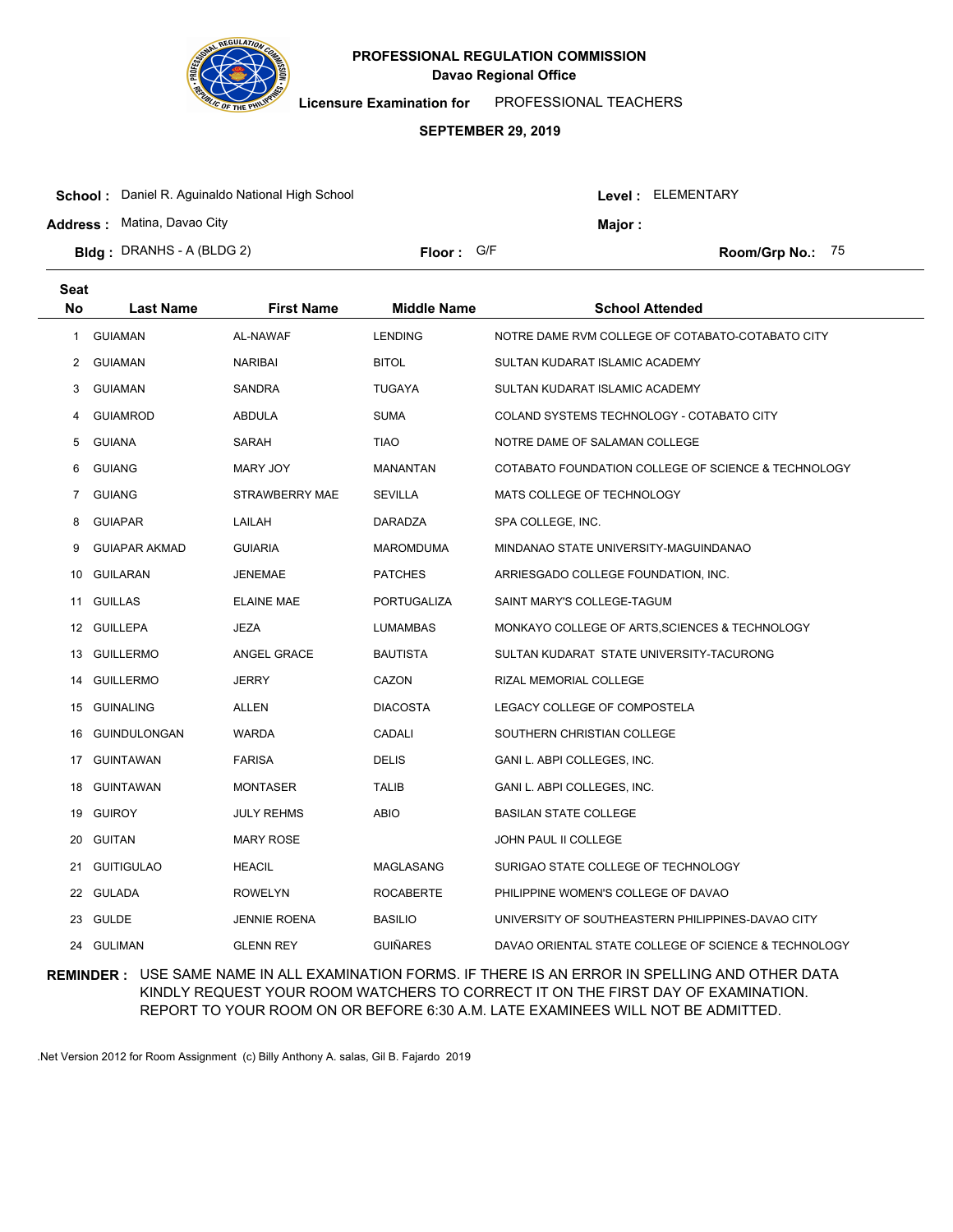

**Licensure Examination for**  PROFESSIONAL TEACHERS

#### **SEPTEMBER 29, 2019**

| <b>School:</b> Daniel R. Aguinaldo National High School |            |        | Level: ELEMENTARY |                    |  |
|---------------------------------------------------------|------------|--------|-------------------|--------------------|--|
| <b>Address: Matina, Davao City</b>                      |            | Maior: |                   |                    |  |
| <b>Bidg</b> : DRANHS - A (BLDG 2)                       | Floor: G/F |        |                   | Room/Grp No.: $75$ |  |

| <b>Seat</b>    |                      |                     |                    |                                                      |
|----------------|----------------------|---------------------|--------------------|------------------------------------------------------|
| No             | <b>Last Name</b>     | <b>First Name</b>   | <b>Middle Name</b> | <b>School Attended</b>                               |
| 1              | <b>GUIAMAN</b>       | AL-NAWAF            | <b>LENDING</b>     | NOTRE DAME RVM COLLEGE OF COTABATO-COTABATO CITY     |
| 2              | <b>GUIAMAN</b>       | <b>NARIBAI</b>      | <b>BITOL</b>       | SULTAN KUDARAT ISLAMIC ACADEMY                       |
| 3              | <b>GUIAMAN</b>       | <b>SANDRA</b>       | <b>TUGAYA</b>      | SULTAN KUDARAT ISLAMIC ACADEMY                       |
| 4              | <b>GUIAMROD</b>      | ABDULA              | <b>SUMA</b>        | COLAND SYSTEMS TECHNOLOGY - COTABATO CITY            |
| 5              | <b>GUIANA</b>        | SARAH               | <b>TIAO</b>        | NOTRE DAME OF SALAMAN COLLEGE                        |
| 6              | <b>GUIANG</b>        | MARY JOY            | <b>MANANTAN</b>    | COTABATO FOUNDATION COLLEGE OF SCIENCE & TECHNOLOGY  |
| $\overline{7}$ | <b>GUIANG</b>        | STRAWBERRY MAE      | <b>SEVILLA</b>     | MATS COLLEGE OF TECHNOLOGY                           |
| 8              | <b>GUIAPAR</b>       | LAILAH              | DARADZA            | SPA COLLEGE, INC.                                    |
| 9              | <b>GUIAPAR AKMAD</b> | <b>GUIARIA</b>      | <b>MAROMDUMA</b>   | MINDANAO STATE UNIVERSITY-MAGUINDANAO                |
| 10             | GUILARAN             | <b>JENEMAE</b>      | <b>PATCHES</b>     | ARRIESGADO COLLEGE FOUNDATION, INC.                  |
|                | 11 GUILLAS           | <b>ELAINE MAE</b>   | PORTUGALIZA        | SAINT MARY'S COLLEGE-TAGUM                           |
|                | 12 GUILLEPA          | JEZA                | <b>LUMAMBAS</b>    | MONKAYO COLLEGE OF ARTS, SCIENCES & TECHNOLOGY       |
|                | 13 GUILLERMO         | ANGEL GRACE         | <b>BAUTISTA</b>    | SULTAN KUDARAT STATE UNIVERSITY-TACURONG             |
| 14             | <b>GUILLERMO</b>     | <b>JERRY</b>        | CAZON              | RIZAL MEMORIAL COLLEGE                               |
|                | 15 GUINALING         | ALLEN               | <b>DIACOSTA</b>    | LEGACY COLLEGE OF COMPOSTELA                         |
| 16             | <b>GUINDULONGAN</b>  | <b>WARDA</b>        | <b>CADALI</b>      | SOUTHERN CHRISTIAN COLLEGE                           |
| 17             | GUINTAWAN            | <b>FARISA</b>       | <b>DELIS</b>       | GANI L. ABPI COLLEGES, INC.                          |
| 18             | <b>GUINTAWAN</b>     | <b>MONTASER</b>     | <b>TALIB</b>       | GANI L. ABPI COLLEGES, INC.                          |
| 19             | <b>GUIROY</b>        | <b>JULY REHMS</b>   | ABIO               | <b>BASILAN STATE COLLEGE</b>                         |
| 20             | <b>GUITAN</b>        | <b>MARY ROSE</b>    |                    | <b>JOHN PAUL II COLLEGE</b>                          |
| 21             | <b>GUITIGULAO</b>    | <b>HEACIL</b>       | MAGLASANG          | SURIGAO STATE COLLEGE OF TECHNOLOGY                  |
|                | 22 GULADA            | <b>ROWELYN</b>      | <b>ROCABERTE</b>   | PHILIPPINE WOMEN'S COLLEGE OF DAVAO                  |
| 23             | <b>GULDE</b>         | <b>JENNIE ROENA</b> | <b>BASILIO</b>     | UNIVERSITY OF SOUTHEASTERN PHILIPPINES-DAVAO CITY    |
|                | 24 GULIMAN           | <b>GLENN REY</b>    | <b>GUIÑARES</b>    | DAVAO ORIENTAL STATE COLLEGE OF SCIENCE & TECHNOLOGY |

### **REMINDER :** USE SAME NAME IN ALL EXAMINATION FORMS. IF THERE IS AN ERROR IN SPELLING AND OTHER DATA KINDLY REQUEST YOUR ROOM WATCHERS TO CORRECT IT ON THE FIRST DAY OF EXAMINATION. REPORT TO YOUR ROOM ON OR BEFORE 6:30 A.M. LATE EXAMINEES WILL NOT BE ADMITTED.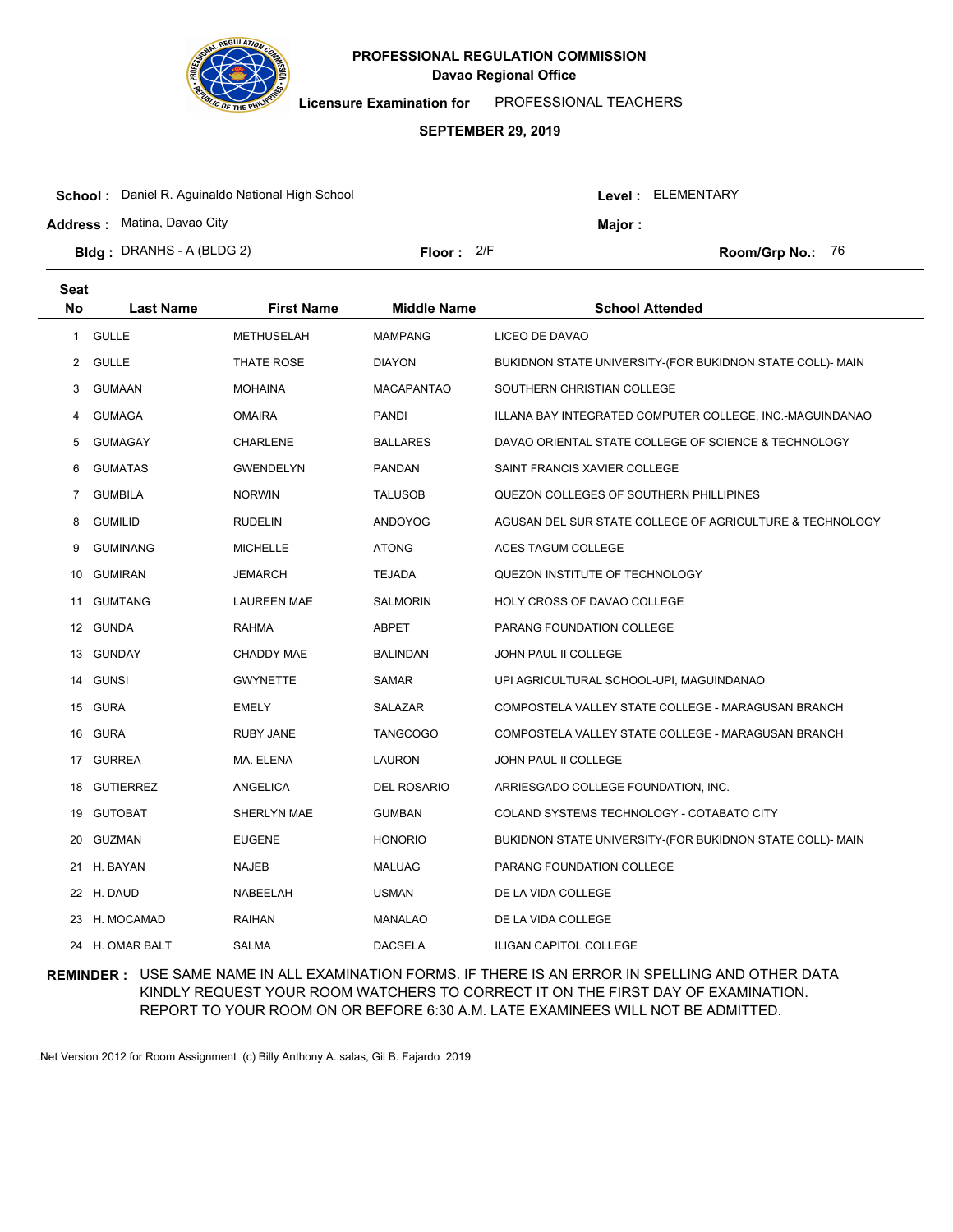

**Seat**

# **Davao Regional Office PROFESSIONAL REGULATION COMMISSION**

**Licensure Examination for**  PROFESSIONAL TEACHERS

#### **SEPTEMBER 29, 2019**

| <b>School:</b> Daniel R. Aguinaldo National High School |              |  | Level: ELEMENTARY         |  |  |
|---------------------------------------------------------|--------------|--|---------------------------|--|--|
| <b>Address: Matina, Davao City</b>                      |              |  | Maior :                   |  |  |
| <b>Bidg</b> : DRANHS - A (BLDG 2)                       | Floor: $2/F$ |  | <b>Room/Grp No.:</b> $76$ |  |  |
|                                                         |              |  |                           |  |  |

| No             | <b>Last Name</b> | <b>First Name</b>  | <b>Middle Name</b> | <b>School Attended</b>                                    |
|----------------|------------------|--------------------|--------------------|-----------------------------------------------------------|
| 1              | <b>GULLE</b>     | <b>METHUSELAH</b>  | <b>MAMPANG</b>     | LICEO DE DAVAO                                            |
| 2              | <b>GULLE</b>     | THATE ROSE         | <b>DIAYON</b>      | BUKIDNON STATE UNIVERSITY-(FOR BUKIDNON STATE COLL)- MAIN |
| 3              | <b>GUMAAN</b>    | <b>MOHAINA</b>     | <b>MACAPANTAO</b>  | SOUTHERN CHRISTIAN COLLEGE                                |
| 4              | <b>GUMAGA</b>    | <b>OMAIRA</b>      | <b>PANDI</b>       | ILLANA BAY INTEGRATED COMPUTER COLLEGE, INC.-MAGUINDANAO  |
| 5              | <b>GUMAGAY</b>   | CHARLENE           | <b>BALLARES</b>    | DAVAO ORIENTAL STATE COLLEGE OF SCIENCE & TECHNOLOGY      |
| 6              | <b>GUMATAS</b>   | <b>GWENDELYN</b>   | <b>PANDAN</b>      | SAINT FRANCIS XAVIER COLLEGE                              |
| $\overline{7}$ | <b>GUMBILA</b>   | <b>NORWIN</b>      | <b>TALUSOB</b>     | QUEZON COLLEGES OF SOUTHERN PHILLIPINES                   |
| 8              | <b>GUMILID</b>   | <b>RUDELIN</b>     | <b>ANDOYOG</b>     | AGUSAN DEL SUR STATE COLLEGE OF AGRICULTURE & TECHNOLOGY  |
| 9              | <b>GUMINANG</b>  | <b>MICHELLE</b>    | <b>ATONG</b>       | ACES TAGUM COLLEGE                                        |
| 10             | <b>GUMIRAN</b>   | JEMARCH            | <b>TEJADA</b>      | QUEZON INSTITUTE OF TECHNOLOGY                            |
| 11             | <b>GUMTANG</b>   | <b>LAUREEN MAE</b> | <b>SALMORIN</b>    | HOLY CROSS OF DAVAO COLLEGE                               |
| 12             | <b>GUNDA</b>     | <b>RAHMA</b>       | <b>ABPET</b>       | PARANG FOUNDATION COLLEGE                                 |
| 13             | <b>GUNDAY</b>    | CHADDY MAE         | <b>BALINDAN</b>    | JOHN PAUL II COLLEGE                                      |
| 14             | <b>GUNSI</b>     | <b>GWYNETTE</b>    | <b>SAMAR</b>       | UPI AGRICULTURAL SCHOOL-UPI, MAGUINDANAO                  |
| 15             | <b>GURA</b>      | <b>EMELY</b>       | SALAZAR            | COMPOSTELA VALLEY STATE COLLEGE - MARAGUSAN BRANCH        |
| 16             | <b>GURA</b>      | <b>RUBY JANE</b>   | <b>TANGCOGO</b>    | COMPOSTELA VALLEY STATE COLLEGE - MARAGUSAN BRANCH        |
| 17             | <b>GURREA</b>    | MA. ELENA          | <b>LAURON</b>      | JOHN PAUL II COLLEGE                                      |
| 18             | <b>GUTIERREZ</b> | <b>ANGELICA</b>    | <b>DEL ROSARIO</b> | ARRIESGADO COLLEGE FOUNDATION, INC.                       |
| 19             | <b>GUTOBAT</b>   | SHERLYN MAE        | <b>GUMBAN</b>      | COLAND SYSTEMS TECHNOLOGY - COTABATO CITY                 |
| 20             | <b>GUZMAN</b>    | <b>EUGENE</b>      | <b>HONORIO</b>     | BUKIDNON STATE UNIVERSITY-(FOR BUKIDNON STATE COLL)- MAIN |
|                | 21 H. BAYAN      | <b>NAJEB</b>       | <b>MALUAG</b>      | PARANG FOUNDATION COLLEGE                                 |
|                | 22 H. DAUD       | NABEELAH           | <b>USMAN</b>       | DE LA VIDA COLLEGE                                        |
| 23             | H. MOCAMAD       | <b>RAIHAN</b>      | <b>MANALAO</b>     | DE LA VIDA COLLEGE                                        |
| 24             | H. OMAR BALT     | <b>SALMA</b>       | <b>DACSELA</b>     | <b>ILIGAN CAPITOL COLLEGE</b>                             |

### **REMINDER :** USE SAME NAME IN ALL EXAMINATION FORMS. IF THERE IS AN ERROR IN SPELLING AND OTHER DATA KINDLY REQUEST YOUR ROOM WATCHERS TO CORRECT IT ON THE FIRST DAY OF EXAMINATION. REPORT TO YOUR ROOM ON OR BEFORE 6:30 A.M. LATE EXAMINEES WILL NOT BE ADMITTED.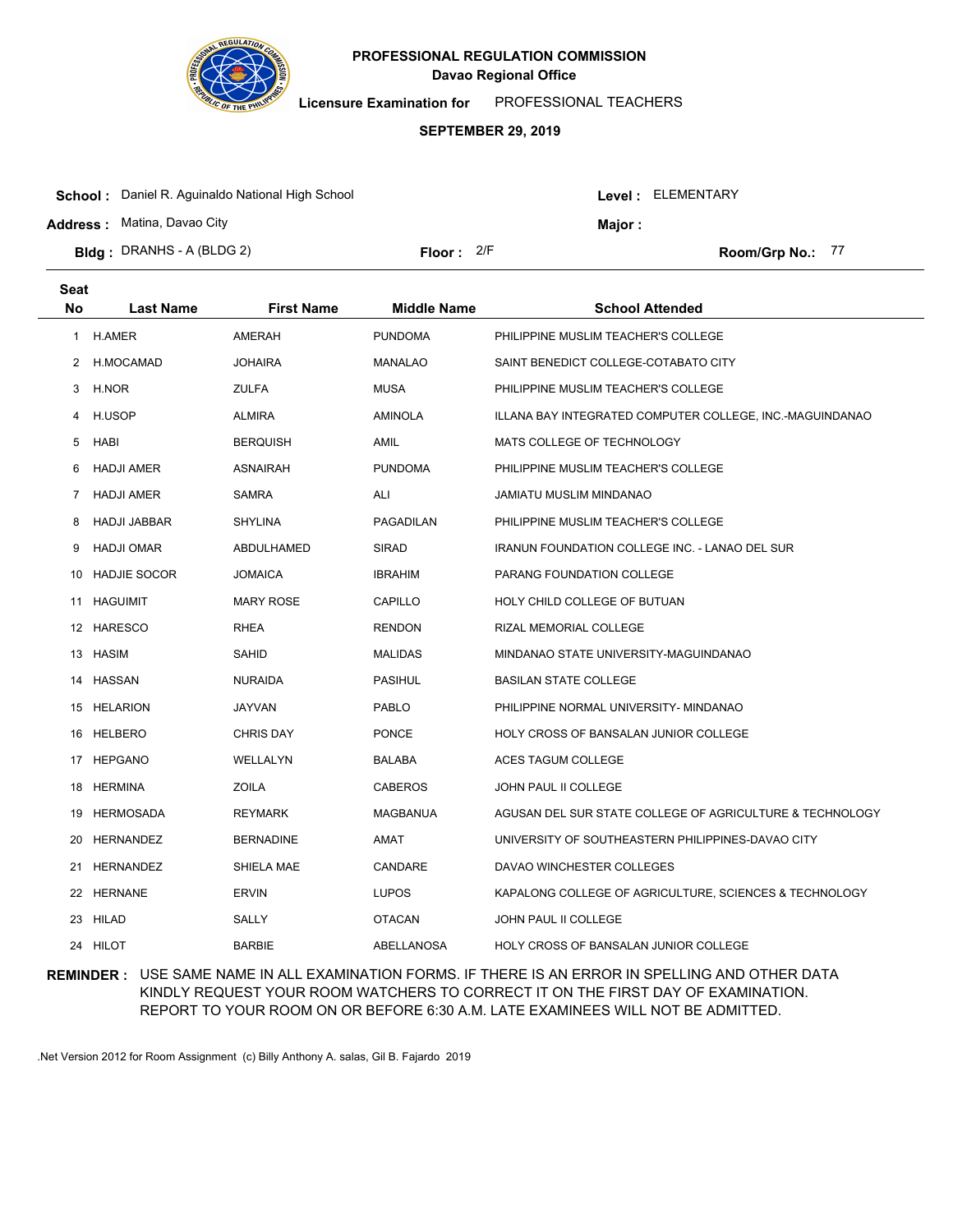

**Licensure Examination for**  PROFESSIONAL TEACHERS

#### **SEPTEMBER 29, 2019**

| <b>School:</b> Daniel R. Aguinaldo National High School |              |  | Level : ELEMENTARY |                  |  |
|---------------------------------------------------------|--------------|--|--------------------|------------------|--|
| <b>Address: Matina, Davao City</b>                      |              |  | Maior :            |                  |  |
| <b>Bidg</b> : DRANHS - A (BLDG 2)                       | Floor: $2/F$ |  |                    | Room/Grp No.: 77 |  |

| <b>Seat</b> |                     |                   |                    |                                                          |
|-------------|---------------------|-------------------|--------------------|----------------------------------------------------------|
| <b>No</b>   | <b>Last Name</b>    | <b>First Name</b> | <b>Middle Name</b> | <b>School Attended</b>                                   |
| 1           | <b>H.AMER</b>       | AMERAH            | <b>PUNDOMA</b>     | PHILIPPINE MUSLIM TEACHER'S COLLEGE                      |
| 2           | H.MOCAMAD           | <b>JOHAIRA</b>    | <b>MANALAO</b>     | SAINT BENEDICT COLLEGE-COTABATO CITY                     |
| 3           | H.NOR               | <b>ZULFA</b>      | <b>MUSA</b>        | PHILIPPINE MUSLIM TEACHER'S COLLEGE                      |
| 4           | H.USOP              | <b>ALMIRA</b>     | AMINOLA            | ILLANA BAY INTEGRATED COMPUTER COLLEGE, INC.-MAGUINDANAO |
| 5           | HABI                | <b>BERQUISH</b>   | AMIL               | MATS COLLEGE OF TECHNOLOGY                               |
| 6           | <b>HADJI AMER</b>   | <b>ASNAIRAH</b>   | <b>PUNDOMA</b>     | PHILIPPINE MUSLIM TEACHER'S COLLEGE                      |
| 7           | <b>HADJI AMER</b>   | <b>SAMRA</b>      | ALI                | JAMIATU MUSLIM MINDANAO                                  |
| 8           | <b>HADJI JABBAR</b> | <b>SHYLINA</b>    | PAGADILAN          | PHILIPPINE MUSLIM TEACHER'S COLLEGE                      |
| 9           | <b>HADJI OMAR</b>   | ABDULHAMED        | <b>SIRAD</b>       | <b>IRANUN FOUNDATION COLLEGE INC. - LANAO DEL SUR</b>    |
| 10          | <b>HADJIE SOCOR</b> | <b>JOMAICA</b>    | <b>IBRAHIM</b>     | PARANG FOUNDATION COLLEGE                                |
|             | 11 HAGUIMIT         | <b>MARY ROSE</b>  | CAPILLO            | HOLY CHILD COLLEGE OF BUTUAN                             |
|             | 12 HARESCO          | RHEA              | <b>RENDON</b>      | RIZAL MEMORIAL COLLEGE                                   |
|             | 13 HASIM            | SAHID             | <b>MALIDAS</b>     | MINDANAO STATE UNIVERSITY-MAGUINDANAO                    |
|             | 14 HASSAN           | <b>NURAIDA</b>    | <b>PASIHUL</b>     | <b>BASILAN STATE COLLEGE</b>                             |
|             | 15 HELARION         | <b>JAYVAN</b>     | <b>PABLO</b>       | PHILIPPINE NORMAL UNIVERSITY- MINDANAO                   |
|             | 16 HELBERO          | <b>CHRIS DAY</b>  | <b>PONCE</b>       | HOLY CROSS OF BANSALAN JUNIOR COLLEGE                    |
|             | 17 HEPGANO          | WELLALYN          | BALABA             | ACES TAGUM COLLEGE                                       |
| 18          | HERMINA             | ZOILA             | <b>CABEROS</b>     | <b>JOHN PAUL II COLLEGE</b>                              |
| 19          | HERMOSADA           | <b>REYMARK</b>    | <b>MAGBANUA</b>    | AGUSAN DEL SUR STATE COLLEGE OF AGRICULTURE & TECHNOLOGY |
| 20          | <b>HERNANDEZ</b>    | <b>BERNADINE</b>  | AMAT               | UNIVERSITY OF SOUTHEASTERN PHILIPPINES-DAVAO CITY        |
| 21          | <b>HERNANDEZ</b>    | SHIELA MAE        | CANDARE            | DAVAO WINCHESTER COLLEGES                                |
|             | 22 HERNANE          | <b>ERVIN</b>      | <b>LUPOS</b>       | KAPALONG COLLEGE OF AGRICULTURE, SCIENCES & TECHNOLOGY   |
| 23          | HILAD               | <b>SALLY</b>      | <b>OTACAN</b>      | <b>JOHN PAUL II COLLEGE</b>                              |
|             | 24 HILOT            | <b>BARBIE</b>     | ABELLANOSA         | HOLY CROSS OF BANSALAN JUNIOR COLLEGE                    |

### **REMINDER :** USE SAME NAME IN ALL EXAMINATION FORMS. IF THERE IS AN ERROR IN SPELLING AND OTHER DATA KINDLY REQUEST YOUR ROOM WATCHERS TO CORRECT IT ON THE FIRST DAY OF EXAMINATION. REPORT TO YOUR ROOM ON OR BEFORE 6:30 A.M. LATE EXAMINEES WILL NOT BE ADMITTED.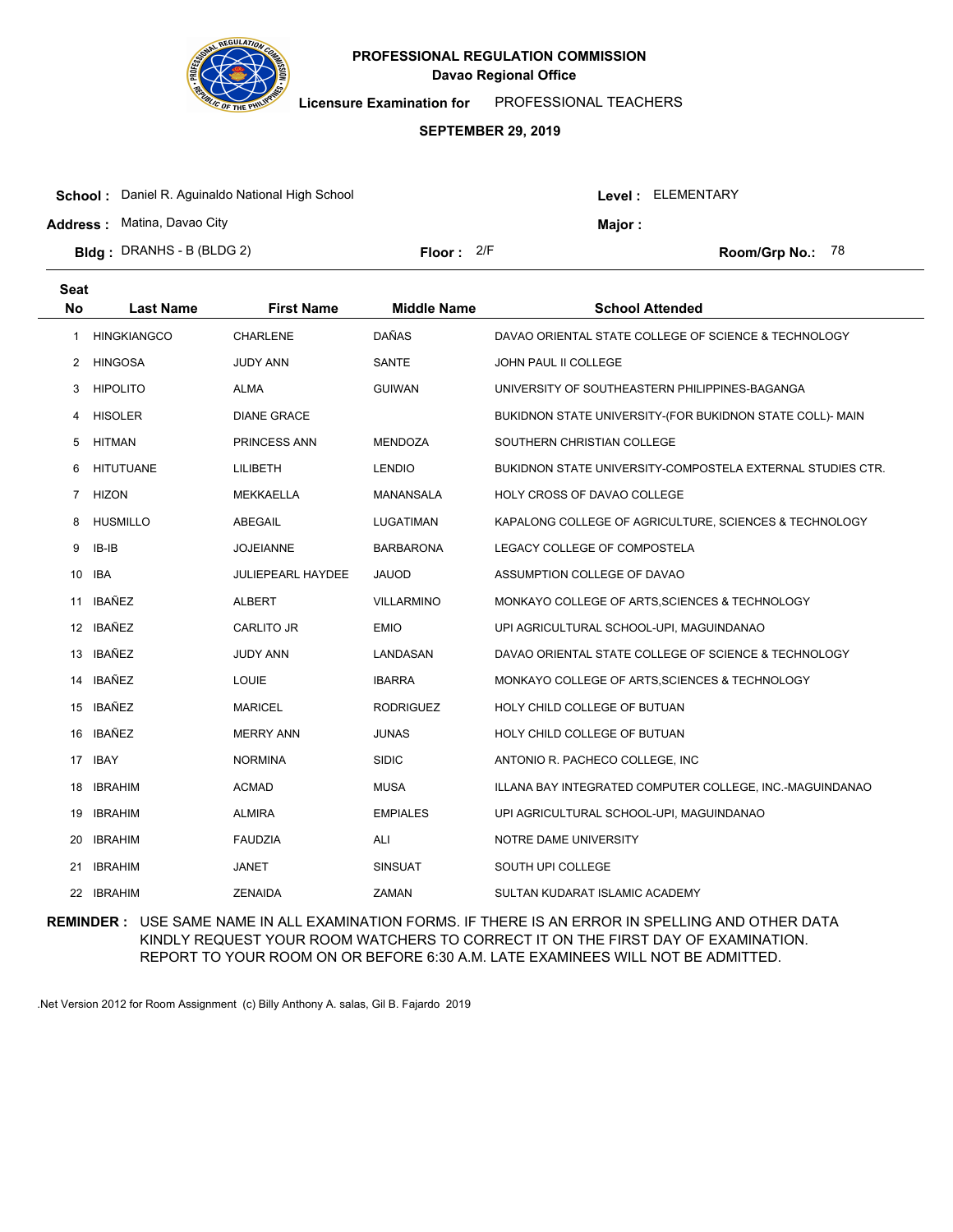

**Licensure Examination for**  PROFESSIONAL TEACHERS

### **SEPTEMBER 29, 2019**

| <b>School:</b> Daniel R. Aguinaldo National High School |                     |  | Level: ELEMENTARY |                    |  |
|---------------------------------------------------------|---------------------|--|-------------------|--------------------|--|
| <b>Address: Matina, Davao City</b>                      |                     |  | Major :           |                    |  |
| <b>Bidg</b> : DRANHS - B (BLDG 2)                       | <b>Floor:</b> $2/F$ |  |                   | Room/Grp No.: $78$ |  |

| <b>Seat</b>    |                    |                          |                    |                                                            |
|----------------|--------------------|--------------------------|--------------------|------------------------------------------------------------|
| <b>No</b>      | <b>Last Name</b>   | <b>First Name</b>        | <b>Middle Name</b> | <b>School Attended</b>                                     |
| 1              | <b>HINGKIANGCO</b> | <b>CHARLENE</b>          | DAÑAS              | DAVAO ORIENTAL STATE COLLEGE OF SCIENCE & TECHNOLOGY       |
| 2              | <b>HINGOSA</b>     | <b>JUDY ANN</b>          | <b>SANTE</b>       | <b>JOHN PAUL II COLLEGE</b>                                |
| 3              | <b>HIPOLITO</b>    | <b>ALMA</b>              | <b>GUIWAN</b>      | UNIVERSITY OF SOUTHEASTERN PHILIPPINES-BAGANGA             |
| 4              | <b>HISOLER</b>     | <b>DIANE GRACE</b>       |                    | BUKIDNON STATE UNIVERSITY-(FOR BUKIDNON STATE COLL)- MAIN  |
| 5              | HITMAN             | PRINCESS ANN             | MENDOZA            | SOUTHERN CHRISTIAN COLLEGE                                 |
| 6              | <b>HITUTUANE</b>   | LILIBETH                 | <b>LENDIO</b>      | BUKIDNON STATE UNIVERSITY-COMPOSTELA EXTERNAL STUDIES CTR. |
| $\overline{7}$ | <b>HIZON</b>       | <b>MEKKAELLA</b>         | <b>MANANSALA</b>   | HOLY CROSS OF DAVAO COLLEGE                                |
| 8              | <b>HUSMILLO</b>    | <b>ABEGAIL</b>           | <b>LUGATIMAN</b>   | KAPALONG COLLEGE OF AGRICULTURE, SCIENCES & TECHNOLOGY     |
| 9              | IB-IB              | <b>JOJEIANNE</b>         | <b>BARBARONA</b>   | LEGACY COLLEGE OF COMPOSTELA                               |
| 10             | <b>IBA</b>         | <b>JULIEPEARL HAYDEE</b> | <b>JAUOD</b>       | ASSUMPTION COLLEGE OF DAVAO                                |
| 11             | IBAÑEZ             | <b>ALBERT</b>            | <b>VILLARMINO</b>  | MONKAYO COLLEGE OF ARTS, SCIENCES & TECHNOLOGY             |
|                | 12 IBAÑEZ          | CARLITO JR               | <b>EMIO</b>        | UPI AGRICULTURAL SCHOOL-UPI, MAGUINDANAO                   |
| 13             | <b>IBAÑEZ</b>      | <b>JUDY ANN</b>          | LANDASAN           | DAVAO ORIENTAL STATE COLLEGE OF SCIENCE & TECHNOLOGY       |
| 14             | <b>IBAÑEZ</b>      | <b>LOUIE</b>             | <b>IBARRA</b>      | MONKAYO COLLEGE OF ARTS, SCIENCES & TECHNOLOGY             |
| 15             | <b>IBAÑEZ</b>      | <b>MARICEL</b>           | <b>RODRIGUEZ</b>   | HOLY CHILD COLLEGE OF BUTUAN                               |
| 16             | <b>IBAÑEZ</b>      | <b>MERRY ANN</b>         | <b>JUNAS</b>       | HOLY CHILD COLLEGE OF BUTUAN                               |
|                | 17 IBAY            | <b>NORMINA</b>           | <b>SIDIC</b>       | ANTONIO R. PACHECO COLLEGE, INC.                           |
| 18             | <b>IBRAHIM</b>     | <b>ACMAD</b>             | <b>MUSA</b>        | ILLANA BAY INTEGRATED COMPUTER COLLEGE, INC.-MAGUINDANAO   |
| 19             | <b>IBRAHIM</b>     | <b>ALMIRA</b>            | <b>EMPIALES</b>    | UPI AGRICULTURAL SCHOOL-UPI, MAGUINDANAO                   |
| 20             | <b>IBRAHIM</b>     | <b>FAUDZIA</b>           | ALI                | NOTRE DAME UNIVERSITY                                      |
| 21             | <b>IBRAHIM</b>     | JANET                    | <b>SINSUAT</b>     | SOUTH UPI COLLEGE                                          |
| 22             | <b>IBRAHIM</b>     | <b>ZENAIDA</b>           | ZAMAN              | SULTAN KUDARAT ISLAMIC ACADEMY                             |
|                |                    |                          |                    |                                                            |

**REMINDER :** USE SAME NAME IN ALL EXAMINATION FORMS. IF THERE IS AN ERROR IN SPELLING AND OTHER DATA KINDLY REQUEST YOUR ROOM WATCHERS TO CORRECT IT ON THE FIRST DAY OF EXAMINATION. REPORT TO YOUR ROOM ON OR BEFORE 6:30 A.M. LATE EXAMINEES WILL NOT BE ADMITTED.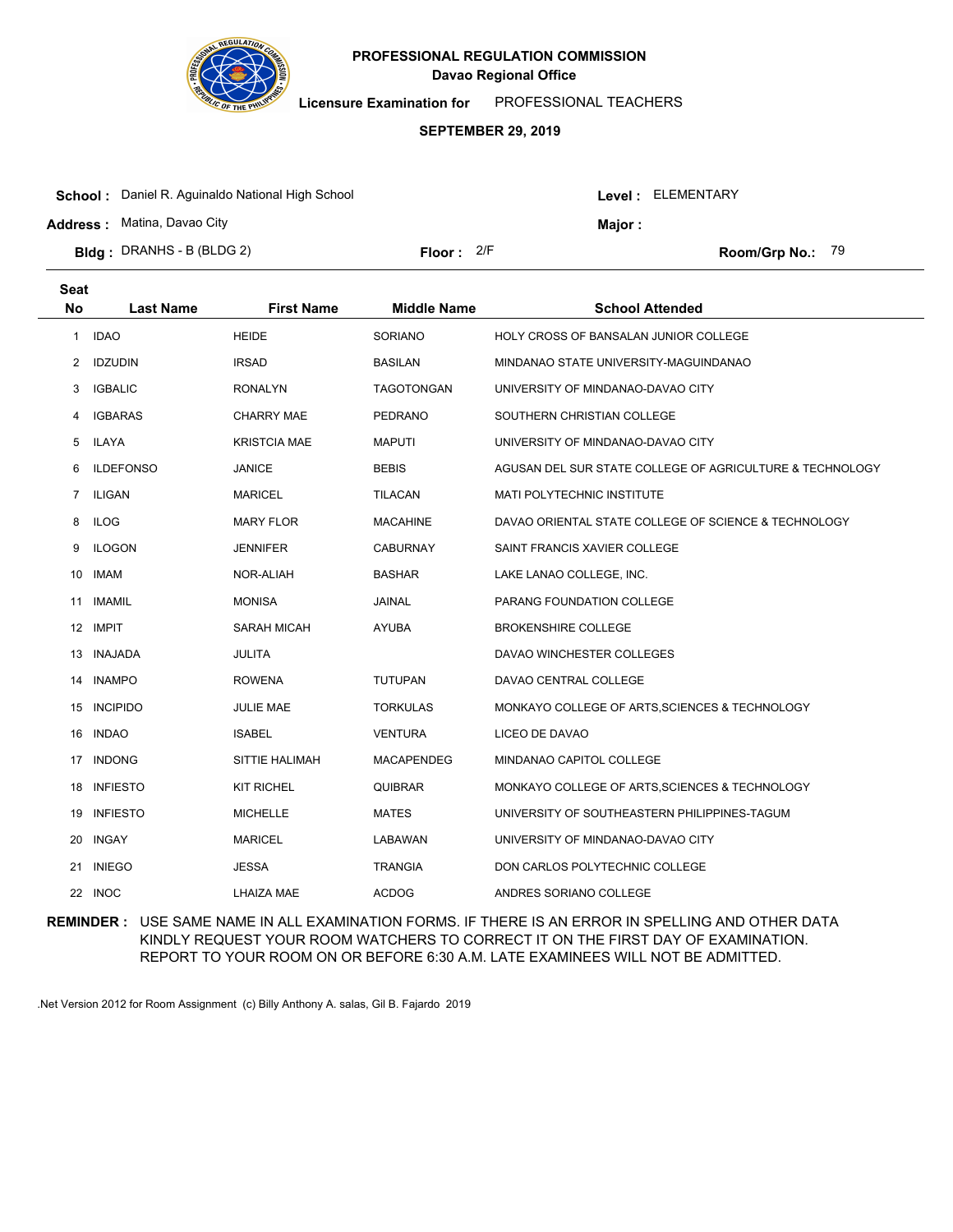

**Licensure Examination for**  PROFESSIONAL TEACHERS

# **SEPTEMBER 29, 2019**

| <b>School:</b> Daniel R. Aguinaldo National High School |              |         | Level : ELEMENTARY |                         |  |
|---------------------------------------------------------|--------------|---------|--------------------|-------------------------|--|
| <b>Address: Matina, Davao City</b>                      |              | Major : |                    |                         |  |
| <b>Bidg</b> : DRANHS - B (BLDG 2)                       | Floor: $2/F$ |         |                    | <b>Room/Grp No.: 79</b> |  |

| Seat           |                  |                   |                    |                                                          |
|----------------|------------------|-------------------|--------------------|----------------------------------------------------------|
| <b>No</b>      | <b>Last Name</b> | <b>First Name</b> | <b>Middle Name</b> | <b>School Attended</b>                                   |
| 1              | <b>IDAO</b>      | <b>HEIDE</b>      | <b>SORIANO</b>     | <b>HOLY CROSS OF BANSALAN JUNIOR COLLEGE</b>             |
| 2              | <b>IDZUDIN</b>   | <b>IRSAD</b>      | <b>BASILAN</b>     | MINDANAO STATE UNIVERSITY-MAGUINDANAO                    |
| 3              | <b>IGBALIC</b>   | <b>RONALYN</b>    | TAGOTONGAN         | UNIVERSITY OF MINDANAO-DAVAO CITY                        |
| 4              | <b>IGBARAS</b>   | <b>CHARRY MAE</b> | PEDRANO            | SOUTHERN CHRISTIAN COLLEGE                               |
| 5              | ILAYA            | KRISTCIA MAE      | <b>MAPUTI</b>      | UNIVERSITY OF MINDANAO-DAVAO CITY                        |
| 6              | <b>ILDEFONSO</b> | <b>JANICE</b>     | <b>BEBIS</b>       | AGUSAN DEL SUR STATE COLLEGE OF AGRICULTURE & TECHNOLOGY |
| $\overline{7}$ | <b>ILIGAN</b>    | <b>MARICEL</b>    | <b>TILACAN</b>     | MATI POLYTECHNIC INSTITUTE                               |
| 8              | <b>ILOG</b>      | <b>MARY FLOR</b>  | <b>MACAHINE</b>    | DAVAO ORIENTAL STATE COLLEGE OF SCIENCE & TECHNOLOGY     |
| 9              | <b>ILOGON</b>    | <b>JENNIFER</b>   | <b>CABURNAY</b>    | SAINT FRANCIS XAVIER COLLEGE                             |
| 10             | <b>IMAM</b>      | NOR-ALIAH         | <b>BASHAR</b>      | LAKE LANAO COLLEGE, INC.                                 |
| 11             | <b>IMAMIL</b>    | <b>MONISA</b>     | JAINAL             | PARANG FOUNDATION COLLEGE                                |
|                | 12 IMPIT         | SARAH MICAH       | <b>AYUBA</b>       | <b>BROKENSHIRE COLLEGE</b>                               |
| 13             | INAJADA          | <b>JULITA</b>     |                    | DAVAO WINCHESTER COLLEGES                                |
| 14             | <b>INAMPO</b>    | <b>ROWENA</b>     | <b>TUTUPAN</b>     | DAVAO CENTRAL COLLEGE                                    |
| 15             | <b>INCIPIDO</b>  | JULIE MAE         | <b>TORKULAS</b>    | MONKAYO COLLEGE OF ARTS, SCIENCES & TECHNOLOGY           |
| 16             | <b>INDAO</b>     | <b>ISABEL</b>     | <b>VENTURA</b>     | LICEO DE DAVAO                                           |
|                | 17 INDONG        | SITTIE HALIMAH    | MACAPENDEG         | MINDANAO CAPITOL COLLEGE                                 |
| 18             | <b>INFIESTO</b>  | KIT RICHEL        | <b>QUIBRAR</b>     | MONKAYO COLLEGE OF ARTS, SCIENCES & TECHNOLOGY           |
| 19             | <b>INFIESTO</b>  | <b>MICHELLE</b>   | <b>MATES</b>       | UNIVERSITY OF SOUTHEASTERN PHILIPPINES-TAGUM             |
| 20             | INGAY            | <b>MARICEL</b>    | LABAWAN            | UNIVERSITY OF MINDANAO-DAVAO CITY                        |
| 21             | <b>INIEGO</b>    | <b>JESSA</b>      | <b>TRANGIA</b>     | DON CARLOS POLYTECHNIC COLLEGE                           |
|                | 22 INOC          | LHAIZA MAE        | <b>ACDOG</b>       | ANDRES SORIANO COLLEGE                                   |

**REMINDER :** USE SAME NAME IN ALL EXAMINATION FORMS. IF THERE IS AN ERROR IN SPELLING AND OTHER DATA KINDLY REQUEST YOUR ROOM WATCHERS TO CORRECT IT ON THE FIRST DAY OF EXAMINATION. REPORT TO YOUR ROOM ON OR BEFORE 6:30 A.M. LATE EXAMINEES WILL NOT BE ADMITTED.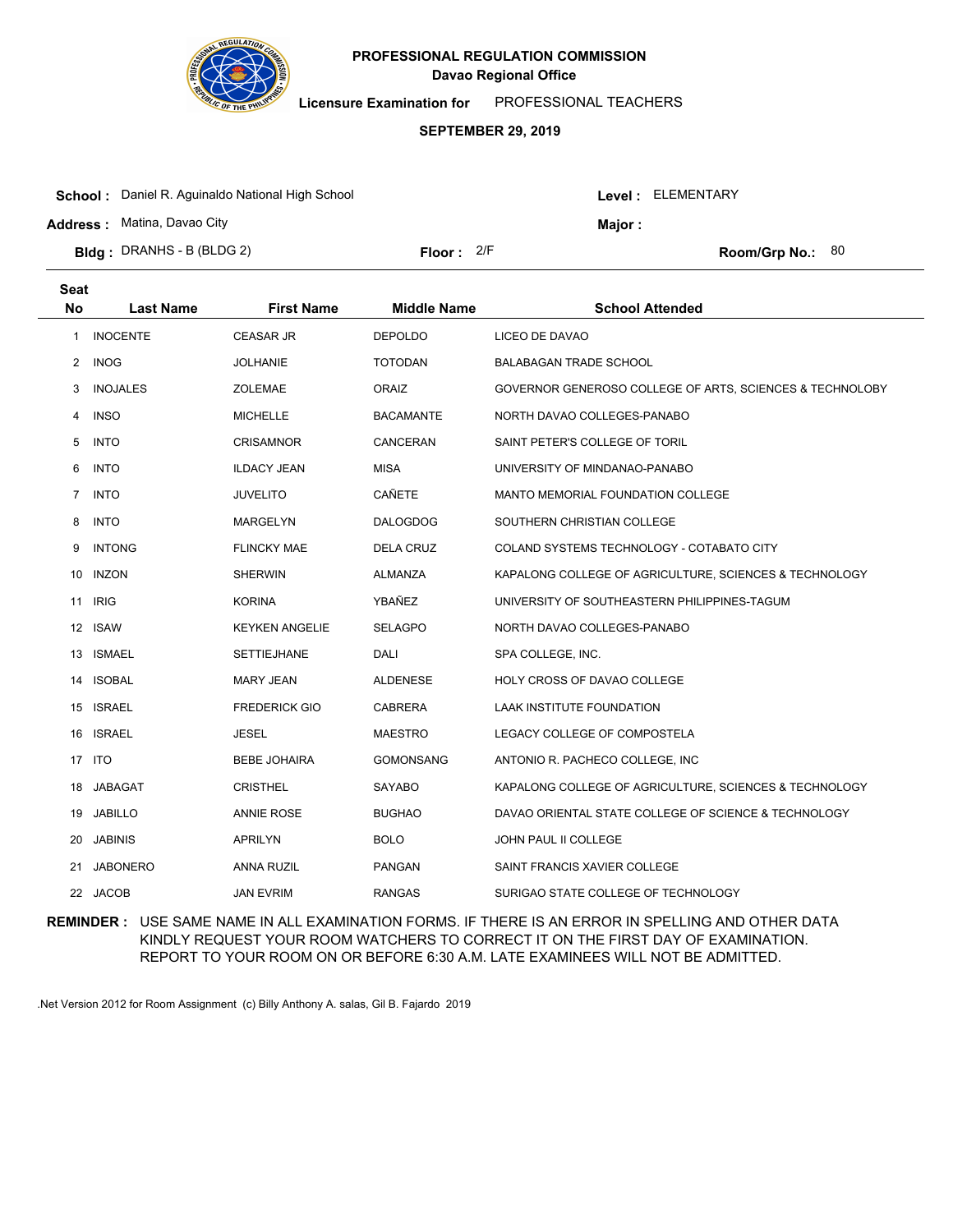

**Licensure Examination for**  PROFESSIONAL TEACHERS

### **SEPTEMBER 29, 2019**

| <b>School:</b> Daniel R. Aguinaldo National High School | Level: ELEMENTARY |         |                           |  |
|---------------------------------------------------------|-------------------|---------|---------------------------|--|
| <b>Address: Matina, Davao City</b>                      |                   | Maior : |                           |  |
| <b>Bldg</b> : DRANHS - B (BLDG 2)                       | Floor: $2/F$      |         | <b>Room/Grp No.:</b> $80$ |  |

| Seat           |                  |                       |                    |                                                          |
|----------------|------------------|-----------------------|--------------------|----------------------------------------------------------|
| <b>No</b>      | <b>Last Name</b> | <b>First Name</b>     | <b>Middle Name</b> | <b>School Attended</b>                                   |
| 1              | <b>INOCENTE</b>  | <b>CEASAR JR</b>      | <b>DEPOLDO</b>     | LICEO DE DAVAO                                           |
| 2              | <b>INOG</b>      | JOLHANIE              | <b>TOTODAN</b>     | <b>BALABAGAN TRADE SCHOOL</b>                            |
| 3              | <b>INOJALES</b>  | <b>ZOLEMAE</b>        | <b>ORAIZ</b>       | GOVERNOR GENEROSO COLLEGE OF ARTS, SCIENCES & TECHNOLOBY |
| 4              | <b>INSO</b>      | <b>MICHELLE</b>       | <b>BACAMANTE</b>   | NORTH DAVAO COLLEGES-PANABO                              |
| 5              | <b>INTO</b>      | <b>CRISAMNOR</b>      | CANCERAN           | SAINT PETER'S COLLEGE OF TORIL                           |
| 6              | <b>INTO</b>      | <b>ILDACY JEAN</b>    | <b>MISA</b>        | UNIVERSITY OF MINDANAO-PANABO                            |
| $\overline{7}$ | <b>INTO</b>      | <b>JUVELITO</b>       | CAÑETE             | <b>MANTO MEMORIAL FOUNDATION COLLEGE</b>                 |
| 8              | <b>INTO</b>      | <b>MARGELYN</b>       | <b>DALOGDOG</b>    | SOUTHERN CHRISTIAN COLLEGE                               |
| 9              | <b>INTONG</b>    | <b>FLINCKY MAE</b>    | <b>DELA CRUZ</b>   | COLAND SYSTEMS TECHNOLOGY - COTABATO CITY                |
| 10             | <b>INZON</b>     | <b>SHERWIN</b>        | <b>ALMANZA</b>     | KAPALONG COLLEGE OF AGRICULTURE, SCIENCES & TECHNOLOGY   |
| 11             | <b>IRIG</b>      | <b>KORINA</b>         | YBAÑEZ             | UNIVERSITY OF SOUTHEASTERN PHILIPPINES-TAGUM             |
| 12             | <b>ISAW</b>      | <b>KEYKEN ANGELIE</b> | <b>SELAGPO</b>     | NORTH DAVAO COLLEGES-PANABO                              |
| 13             | <b>ISMAEL</b>    | <b>SETTIEJHANE</b>    | DALI               | SPA COLLEGE, INC.                                        |
| 14             | <b>ISOBAL</b>    | <b>MARY JEAN</b>      | <b>ALDENESE</b>    | HOLY CROSS OF DAVAO COLLEGE                              |
|                | 15 ISRAEL        | <b>FREDERICK GIO</b>  | <b>CABRERA</b>     | <b>LAAK INSTITUTE FOUNDATION</b>                         |
|                | 16 ISRAEL        | JESEL                 | <b>MAESTRO</b>     | LEGACY COLLEGE OF COMPOSTELA                             |
|                | 17 ITO           | <b>BEBE JOHAIRA</b>   | <b>GOMONSANG</b>   | ANTONIO R. PACHECO COLLEGE, INC                          |
| 18             | <b>JABAGAT</b>   | <b>CRISTHEL</b>       | <b>SAYABO</b>      | KAPALONG COLLEGE OF AGRICULTURE, SCIENCES & TECHNOLOGY   |
| 19             | <b>JABILLO</b>   | <b>ANNIE ROSE</b>     | <b>BUGHAO</b>      | DAVAO ORIENTAL STATE COLLEGE OF SCIENCE & TECHNOLOGY     |
| 20             | <b>JABINIS</b>   | APRILYN               | <b>BOLO</b>        | JOHN PAUL II COLLEGE                                     |
| 21             | <b>JABONERO</b>  | <b>ANNA RUZIL</b>     | <b>PANGAN</b>      | SAINT FRANCIS XAVIER COLLEGE                             |
|                | 22 JACOB         | <b>JAN EVRIM</b>      | <b>RANGAS</b>      | SURIGAO STATE COLLEGE OF TECHNOLOGY                      |

**REMINDER :** USE SAME NAME IN ALL EXAMINATION FORMS. IF THERE IS AN ERROR IN SPELLING AND OTHER DATA KINDLY REQUEST YOUR ROOM WATCHERS TO CORRECT IT ON THE FIRST DAY OF EXAMINATION. REPORT TO YOUR ROOM ON OR BEFORE 6:30 A.M. LATE EXAMINEES WILL NOT BE ADMITTED.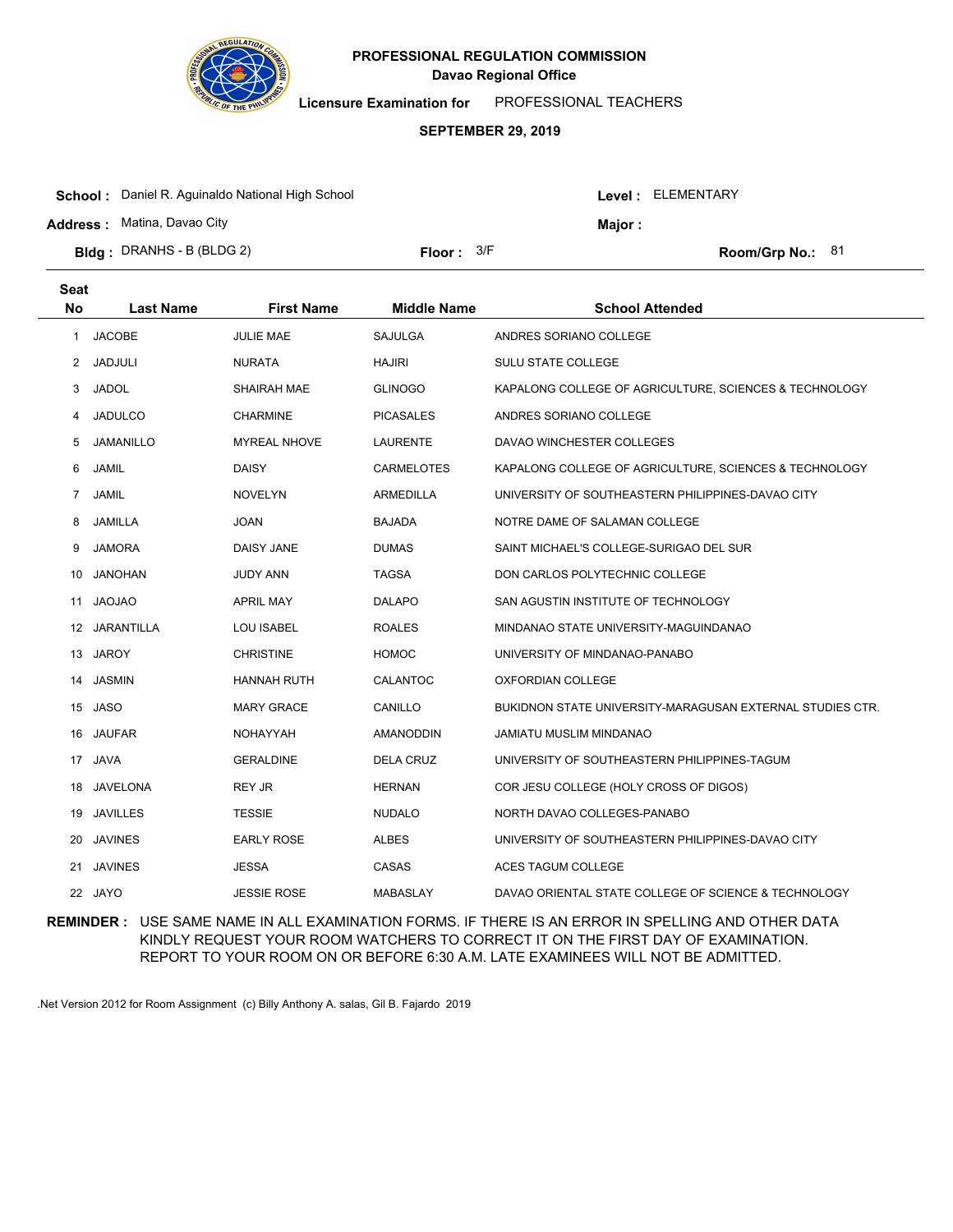

**Licensure Examination for**  PROFESSIONAL TEACHERS

### **SEPTEMBER 29, 2019**

| <b>School:</b> Daniel R. Aguinaldo National High School |              |  | Level : ELEMENTARY |                    |  |
|---------------------------------------------------------|--------------|--|--------------------|--------------------|--|
| <b>Address:</b> Matina, Davao City                      |              |  | Major :            |                    |  |
| <b>Bidg</b> : DRANHS - B (BLDG 2)                       | Floor: $3/F$ |  |                    | Room/Grp No.: $81$ |  |

| Seat              |                   |                     |                    |                                                           |
|-------------------|-------------------|---------------------|--------------------|-----------------------------------------------------------|
| <b>No</b>         | <b>Last Name</b>  | <b>First Name</b>   | <b>Middle Name</b> | <b>School Attended</b>                                    |
| 1                 | <b>JACOBE</b>     | <b>JULIE MAE</b>    | <b>SAJULGA</b>     | ANDRES SORIANO COLLEGE                                    |
| 2                 | <b>JADJULI</b>    | <b>NURATA</b>       | <b>HAJIRI</b>      | <b>SULU STATE COLLEGE</b>                                 |
| 3                 | <b>JADOL</b>      | <b>SHAIRAH MAE</b>  | <b>GLINOGO</b>     | KAPALONG COLLEGE OF AGRICULTURE, SCIENCES & TECHNOLOGY    |
| 4                 | <b>JADULCO</b>    | <b>CHARMINE</b>     | <b>PICASALES</b>   | ANDRES SORIANO COLLEGE                                    |
| 5                 | <b>JAMANILLO</b>  | <b>MYREAL NHOVE</b> | <b>LAURENTE</b>    | DAVAO WINCHESTER COLLEGES                                 |
| 6                 | <b>JAMIL</b>      | <b>DAISY</b>        | <b>CARMELOTES</b>  | KAPALONG COLLEGE OF AGRICULTURE, SCIENCES & TECHNOLOGY    |
| 7                 | <b>JAMIL</b>      | <b>NOVELYN</b>      | <b>ARMEDILLA</b>   | UNIVERSITY OF SOUTHEASTERN PHILIPPINES-DAVAO CITY         |
| 8                 | JAMILLA           | <b>JOAN</b>         | <b>BAJADA</b>      | NOTRE DAME OF SALAMAN COLLEGE                             |
| 9                 | <b>JAMORA</b>     | <b>DAISY JANE</b>   | <b>DUMAS</b>       | SAINT MICHAEL'S COLLEGE-SURIGAO DEL SUR                   |
| 10                | <b>JANOHAN</b>    | <b>JUDY ANN</b>     | <b>TAGSA</b>       | DON CARLOS POLYTECHNIC COLLEGE                            |
| 11                | <b>JAOJAO</b>     | <b>APRIL MAY</b>    | <b>DALAPO</b>      | SAN AGUSTIN INSTITUTE OF TECHNOLOGY                       |
| $12 \overline{ }$ | <b>JARANTILLA</b> | <b>LOU ISABEL</b>   | <b>ROALES</b>      | MINDANAO STATE UNIVERSITY-MAGUINDANAO                     |
| 13                | <b>JAROY</b>      | <b>CHRISTINE</b>    | <b>HOMOC</b>       | UNIVERSITY OF MINDANAO-PANABO                             |
| 14                | <b>JASMIN</b>     | <b>HANNAH RUTH</b>  | CALANTOC           | <b>OXFORDIAN COLLEGE</b>                                  |
|                   | 15 JASO           | <b>MARY GRACE</b>   | CANILLO            | BUKIDNON STATE UNIVERSITY-MARAGUSAN EXTERNAL STUDIES CTR. |
|                   | 16 JAUFAR         | <b>NOHAYYAH</b>     | <b>AMANODDIN</b>   | JAMIATU MUSLIM MINDANAO                                   |
| 17                | <b>JAVA</b>       | <b>GERALDINE</b>    | <b>DELA CRUZ</b>   | UNIVERSITY OF SOUTHEASTERN PHILIPPINES-TAGUM              |
| 18                | <b>JAVELONA</b>   | <b>REY JR</b>       | <b>HERNAN</b>      | COR JESU COLLEGE (HOLY CROSS OF DIGOS)                    |
| 19                | <b>JAVILLES</b>   | <b>TESSIE</b>       | <b>NUDALO</b>      | NORTH DAVAO COLLEGES-PANABO                               |
| 20                | <b>JAVINES</b>    | <b>EARLY ROSE</b>   | ALBES              | UNIVERSITY OF SOUTHEASTERN PHILIPPINES-DAVAO CITY         |
| 21                | <b>JAVINES</b>    | <b>JESSA</b>        | CASAS              | <b>ACES TAGUM COLLEGE</b>                                 |
|                   | 22 JAYO           | <b>JESSIE ROSE</b>  | <b>MABASLAY</b>    | DAVAO ORIENTAL STATE COLLEGE OF SCIENCE & TECHNOLOGY      |

**REMINDER :** USE SAME NAME IN ALL EXAMINATION FORMS. IF THERE IS AN ERROR IN SPELLING AND OTHER DATA KINDLY REQUEST YOUR ROOM WATCHERS TO CORRECT IT ON THE FIRST DAY OF EXAMINATION. REPORT TO YOUR ROOM ON OR BEFORE 6:30 A.M. LATE EXAMINEES WILL NOT BE ADMITTED.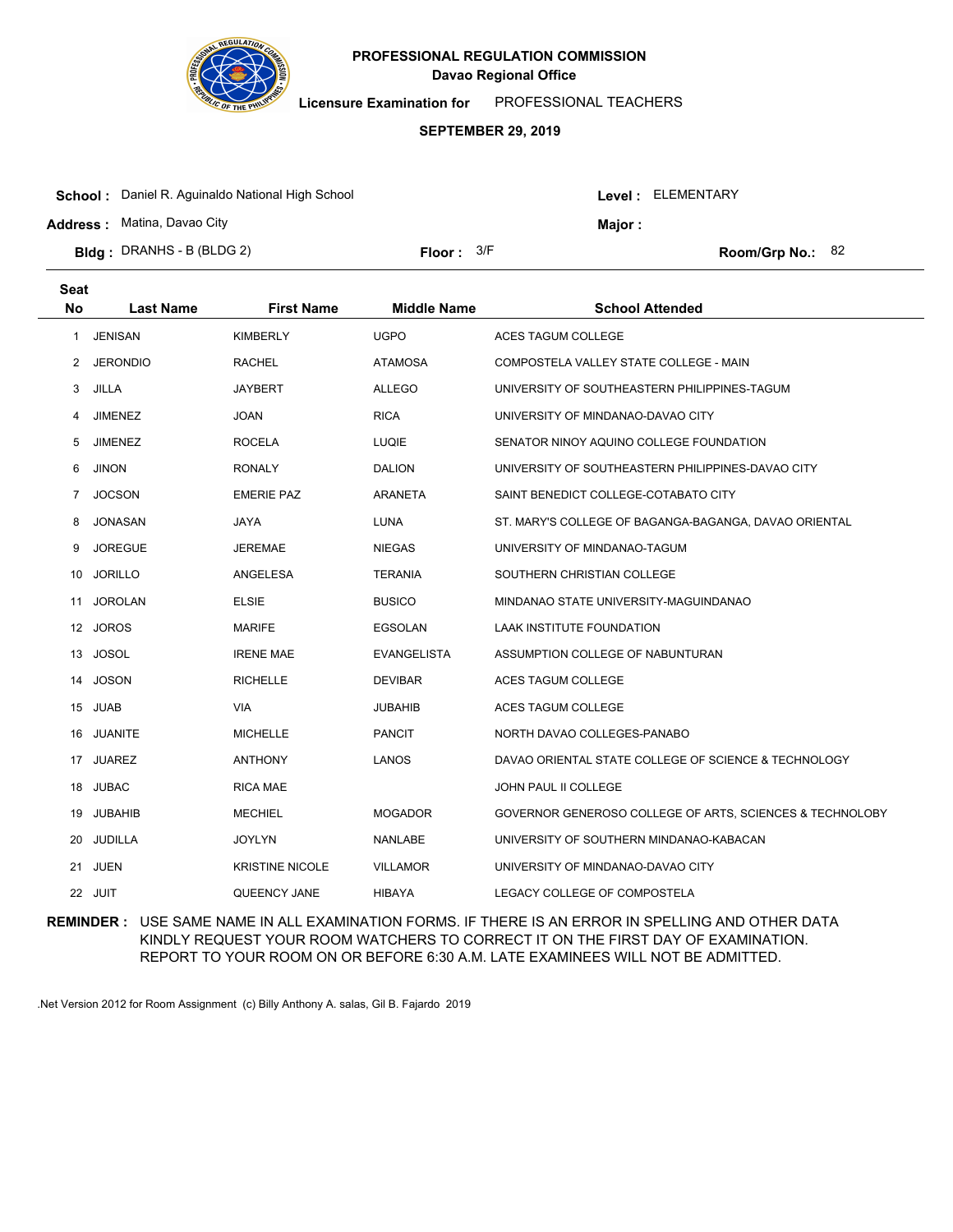

**Licensure Examination for**  PROFESSIONAL TEACHERS

### **SEPTEMBER 29, 2019**

| <b>School:</b> Daniel R. Aguinaldo National High School |              |  | Level: ELEMENTARY |                    |  |
|---------------------------------------------------------|--------------|--|-------------------|--------------------|--|
| <b>Address: Matina, Davao City</b>                      |              |  | <b>Maior:</b>     |                    |  |
| <b>Bidg</b> : DRANHS - B (BLDG 2)                       | Floor: $3/F$ |  |                   | Room/Grp No.: $82$ |  |
|                                                         |              |  |                   |                    |  |

| <b>Seat</b>    |                  |                        |                    |                                                          |
|----------------|------------------|------------------------|--------------------|----------------------------------------------------------|
| <b>No</b>      | <b>Last Name</b> | <b>First Name</b>      | <b>Middle Name</b> | <b>School Attended</b>                                   |
| 1              | <b>JENISAN</b>   | <b>KIMBERLY</b>        | <b>UGPO</b>        | <b>ACES TAGUM COLLEGE</b>                                |
| 2              | <b>JERONDIO</b>  | RACHEL                 | <b>ATAMOSA</b>     | COMPOSTELA VALLEY STATE COLLEGE - MAIN                   |
| 3              | JILLA            | <b>JAYBERT</b>         | <b>ALLEGO</b>      | UNIVERSITY OF SOUTHEASTERN PHILIPPINES-TAGUM             |
| 4              | <b>JIMENEZ</b>   | <b>JOAN</b>            | <b>RICA</b>        | UNIVERSITY OF MINDANAO-DAVAO CITY                        |
| 5              | <b>JIMENEZ</b>   | <b>ROCELA</b>          | <b>LUQIE</b>       | SENATOR NINOY AQUINO COLLEGE FOUNDATION                  |
| 6              | <b>JINON</b>     | <b>RONALY</b>          | <b>DALION</b>      | UNIVERSITY OF SOUTHEASTERN PHILIPPINES-DAVAO CITY        |
| $\overline{7}$ | <b>JOCSON</b>    | <b>EMERIE PAZ</b>      | ARANETA            | SAINT BENEDICT COLLEGE-COTABATO CITY                     |
| 8              | <b>JONASAN</b>   | <b>JAYA</b>            | <b>LUNA</b>        | ST. MARY'S COLLEGE OF BAGANGA-BAGANGA, DAVAO ORIENTAL    |
| 9              | <b>JOREGUE</b>   | JEREMAE                | <b>NIEGAS</b>      | UNIVERSITY OF MINDANAO-TAGUM                             |
| 10             | <b>JORILLO</b>   | ANGELESA               | <b>TERANIA</b>     | SOUTHERN CHRISTIAN COLLEGE                               |
| 11             | <b>JOROLAN</b>   | <b>ELSIE</b>           | <b>BUSICO</b>      | MINDANAO STATE UNIVERSITY-MAGUINDANAO                    |
|                | 12 JOROS         | <b>MARIFE</b>          | EGSOLAN            | LAAK INSTITUTE FOUNDATION                                |
| 13             | <b>JOSOL</b>     | <b>IRENE MAE</b>       | <b>EVANGELISTA</b> | ASSUMPTION COLLEGE OF NABUNTURAN                         |
| 14             | <b>JOSON</b>     | <b>RICHELLE</b>        | <b>DEVIBAR</b>     | ACES TAGUM COLLEGE                                       |
|                | 15 JUAB          | <b>VIA</b>             | <b>JUBAHIB</b>     | ACES TAGUM COLLEGE                                       |
|                | 16 JUANITE       | <b>MICHELLE</b>        | <b>PANCIT</b>      | NORTH DAVAO COLLEGES-PANABO                              |
|                | 17 JUAREZ        | <b>ANTHONY</b>         | <b>LANOS</b>       | DAVAO ORIENTAL STATE COLLEGE OF SCIENCE & TECHNOLOGY     |
| 18             | <b>JUBAC</b>     | <b>RICA MAE</b>        |                    | JOHN PAUL II COLLEGE                                     |
| 19             | <b>JUBAHIB</b>   | <b>MECHIEL</b>         | <b>MOGADOR</b>     | GOVERNOR GENEROSO COLLEGE OF ARTS, SCIENCES & TECHNOLOBY |
| 20             | JUDILLA          | <b>JOYLYN</b>          | <b>NANLABE</b>     | UNIVERSITY OF SOUTHERN MINDANAO-KABACAN                  |
|                | 21 JUEN          | <b>KRISTINE NICOLE</b> | <b>VILLAMOR</b>    | UNIVERSITY OF MINDANAO-DAVAO CITY                        |
|                | 22 JUIT          | QUEENCY JANE           | <b>HIBAYA</b>      | LEGACY COLLEGE OF COMPOSTELA                             |

**REMINDER :** USE SAME NAME IN ALL EXAMINATION FORMS. IF THERE IS AN ERROR IN SPELLING AND OTHER DATA KINDLY REQUEST YOUR ROOM WATCHERS TO CORRECT IT ON THE FIRST DAY OF EXAMINATION. REPORT TO YOUR ROOM ON OR BEFORE 6:30 A.M. LATE EXAMINEES WILL NOT BE ADMITTED.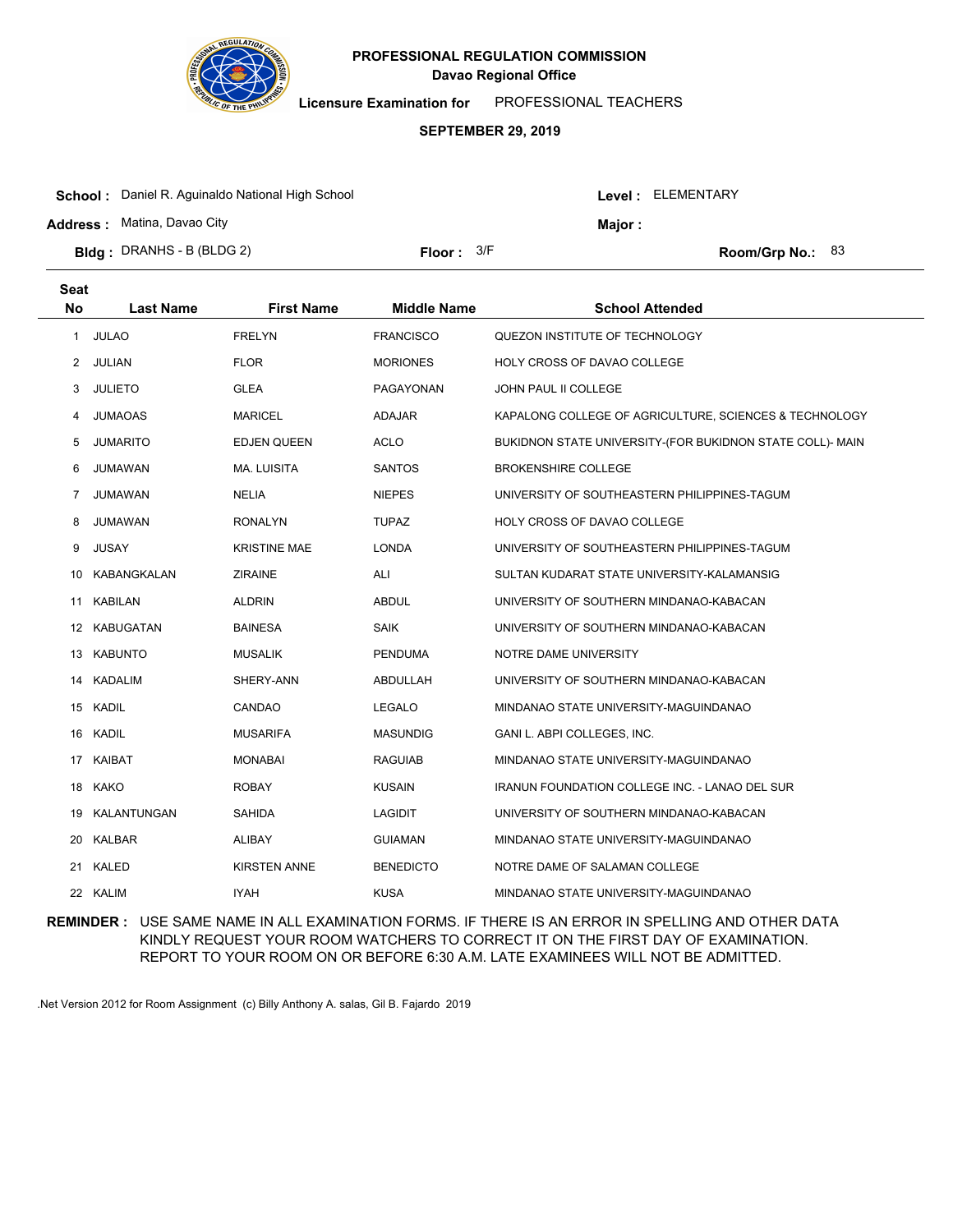

**Licensure Examination for**  PROFESSIONAL TEACHERS

# **SEPTEMBER 29, 2019**

| <b>School:</b> Daniel R. Aguinaldo National High School |                     |  | Level : ELEMENTARY |                    |  |
|---------------------------------------------------------|---------------------|--|--------------------|--------------------|--|
| <b>Address: Matina, Davao City</b>                      |                     |  | Major :            |                    |  |
| <b>Bidg</b> : DRANHS - B (BLDG 2)                       | <b>Floor:</b> $3/F$ |  |                    | Room/Grp No.: $83$ |  |

| <b>Seat</b><br><b>No</b> | <b>Last Name</b> | <b>First Name</b>   | <b>Middle Name</b> | <b>School Attended</b>                                    |
|--------------------------|------------------|---------------------|--------------------|-----------------------------------------------------------|
|                          |                  |                     |                    |                                                           |
| $\mathbf{1}$             | <b>JULAO</b>     | <b>FRELYN</b>       | <b>FRANCISCO</b>   | QUEZON INSTITUTE OF TECHNOLOGY                            |
| $^{2}$                   | JULIAN           | <b>FLOR</b>         | <b>MORIONES</b>    | HOLY CROSS OF DAVAO COLLEGE                               |
| 3                        | <b>JULIETO</b>   | <b>GLEA</b>         | PAGAYONAN          | <b>JOHN PAUL II COLLEGE</b>                               |
| 4                        | <b>JUMAOAS</b>   | <b>MARICEL</b>      | <b>ADAJAR</b>      | KAPALONG COLLEGE OF AGRICULTURE, SCIENCES & TECHNOLOGY    |
| 5                        | <b>JUMARITO</b>  | <b>EDJEN QUEEN</b>  | ACLO               | BUKIDNON STATE UNIVERSITY-(FOR BUKIDNON STATE COLL)- MAIN |
| 6                        | JUMAWAN          | <b>MA. LUISITA</b>  | <b>SANTOS</b>      | <b>BROKENSHIRE COLLEGE</b>                                |
| $\overline{7}$           | JUMAWAN          | NELIA               | <b>NIEPES</b>      | UNIVERSITY OF SOUTHEASTERN PHILIPPINES-TAGUM              |
| 8                        | JUMAWAN          | <b>RONALYN</b>      | <b>TUPAZ</b>       | HOLY CROSS OF DAVAO COLLEGE                               |
| 9                        | <b>JUSAY</b>     | <b>KRISTINE MAE</b> | <b>LONDA</b>       | UNIVERSITY OF SOUTHEASTERN PHILIPPINES-TAGUM              |
| 10                       | KABANGKALAN      | <b>ZIRAINE</b>      | ALI                | SULTAN KUDARAT STATE UNIVERSITY-KALAMANSIG                |
| 11                       | <b>KABILAN</b>   | <b>ALDRIN</b>       | <b>ABDUL</b>       | UNIVERSITY OF SOUTHERN MINDANAO-KABACAN                   |
|                          | 12 KABUGATAN     | <b>BAINESA</b>      | <b>SAIK</b>        | UNIVERSITY OF SOUTHERN MINDANAO-KABACAN                   |
|                          | 13 KABUNTO       | <b>MUSALIK</b>      | <b>PENDUMA</b>     | NOTRE DAME UNIVERSITY                                     |
|                          | 14 KADALIM       | SHERY-ANN           | ABDULLAH           | UNIVERSITY OF SOUTHERN MINDANAO-KABACAN                   |
| 15                       | <b>KADIL</b>     | CANDAO              | <b>LEGALO</b>      | MINDANAO STATE UNIVERSITY-MAGUINDANAO                     |
| 16                       | <b>KADIL</b>     | <b>MUSARIFA</b>     | <b>MASUNDIG</b>    | GANI L. ABPI COLLEGES, INC.                               |
| 17                       | <b>KAIBAT</b>    | <b>MONABAI</b>      | <b>RAGUIAB</b>     | MINDANAO STATE UNIVERSITY-MAGUINDANAO                     |
|                          | 18 KAKO          | <b>ROBAY</b>        | <b>KUSAIN</b>      | IRANUN FOUNDATION COLLEGE INC. - LANAO DEL SUR            |
|                          | 19 KALANTUNGAN   | <b>SAHIDA</b>       | <b>LAGIDIT</b>     | UNIVERSITY OF SOUTHERN MINDANAO-KABACAN                   |
|                          | 20 KALBAR        | ALIBAY              | <b>GUIAMAN</b>     | MINDANAO STATE UNIVERSITY-MAGUINDANAO                     |
| 21                       | KALED            | <b>KIRSTEN ANNE</b> | <b>BENEDICTO</b>   | NOTRE DAME OF SALAMAN COLLEGE                             |
|                          | 22 KALIM         | <b>IYAH</b>         | KUSA               | MINDANAO STATE UNIVERSITY-MAGUINDANAO                     |
|                          |                  |                     |                    |                                                           |

**REMINDER :** USE SAME NAME IN ALL EXAMINATION FORMS. IF THERE IS AN ERROR IN SPELLING AND OTHER DATA KINDLY REQUEST YOUR ROOM WATCHERS TO CORRECT IT ON THE FIRST DAY OF EXAMINATION. REPORT TO YOUR ROOM ON OR BEFORE 6:30 A.M. LATE EXAMINEES WILL NOT BE ADMITTED.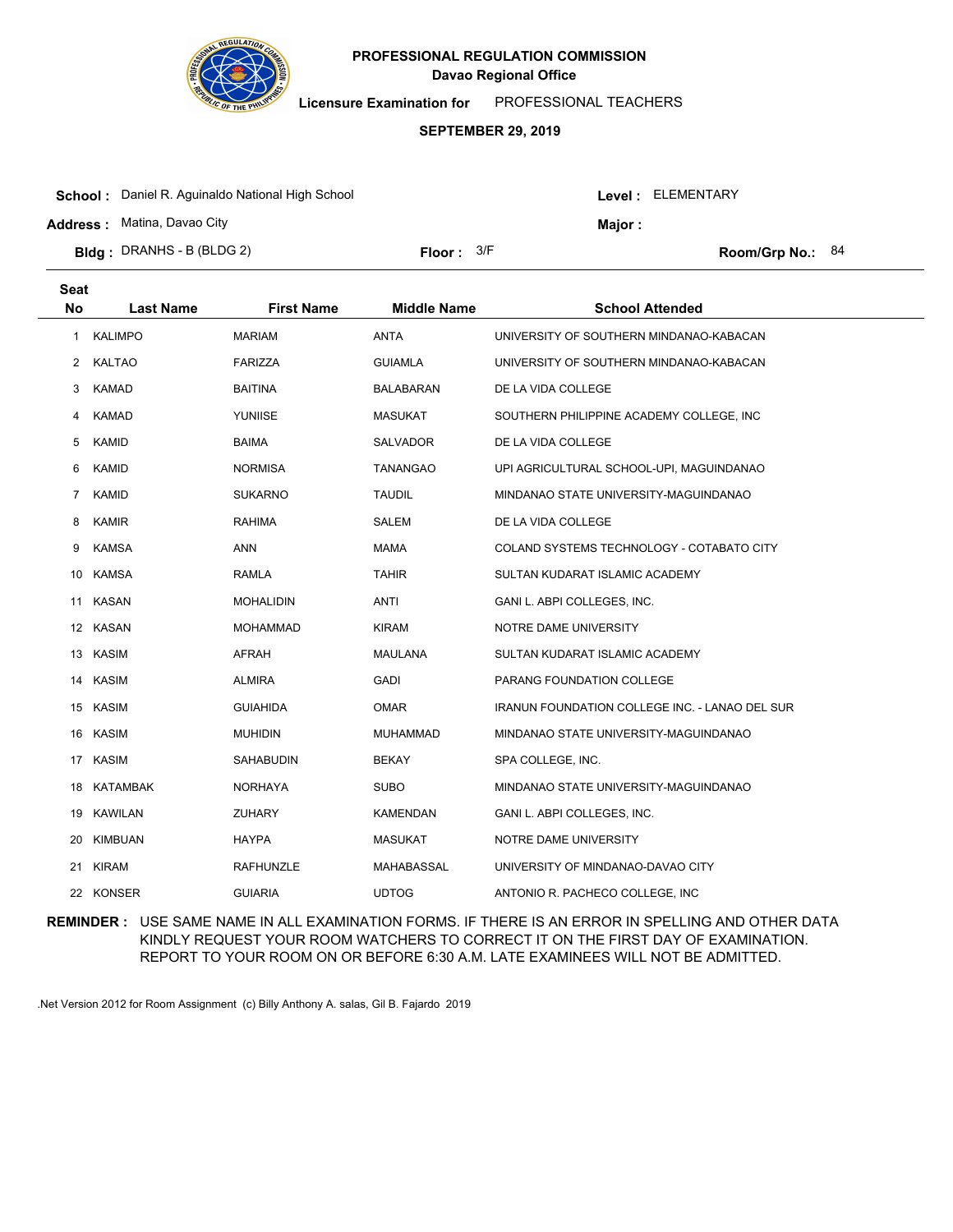

**Licensure Examination for**  PROFESSIONAL TEACHERS

### **SEPTEMBER 29, 2019**

| <b>School:</b> Daniel R. Aguinaldo National High School |              |         | Level : ELEMENTARY |                    |  |
|---------------------------------------------------------|--------------|---------|--------------------|--------------------|--|
| <b>Address: Matina, Davao City</b>                      |              | Major : |                    |                    |  |
| <b>Bldg</b> : DRANHS - B (BLDG 2)                       | Floor: $3/F$ |         |                    | Room/Grp No.: $84$ |  |

| <b>Seat</b>    |                  |                   |                    |                                                |
|----------------|------------------|-------------------|--------------------|------------------------------------------------|
| <b>No</b>      | <b>Last Name</b> | <b>First Name</b> | <b>Middle Name</b> | <b>School Attended</b>                         |
| 1              | <b>KALIMPO</b>   | <b>MARIAM</b>     | <b>ANTA</b>        | UNIVERSITY OF SOUTHERN MINDANAO-KABACAN        |
| 2              | <b>KALTAO</b>    | <b>FARIZZA</b>    | <b>GUIAMLA</b>     | UNIVERSITY OF SOUTHERN MINDANAO-KABACAN        |
| 3              | <b>KAMAD</b>     | BAITINA           | BALABARAN          | DE LA VIDA COLLEGE                             |
| 4              | <b>KAMAD</b>     | YUNIISE           | <b>MASUKAT</b>     | SOUTHERN PHILIPPINE ACADEMY COLLEGE, INC       |
| 5              | KAMID            | BAIMA             | SALVADOR           | DE LA VIDA COLLEGE                             |
| 6              | KAMID            | <b>NORMISA</b>    | <b>TANANGAO</b>    | UPI AGRICULTURAL SCHOOL-UPI, MAGUINDANAO       |
| $\overline{7}$ | KAMID            | <b>SUKARNO</b>    | <b>TAUDIL</b>      | MINDANAO STATE UNIVERSITY-MAGUINDANAO          |
| 8              | <b>KAMIR</b>     | <b>RAHIMA</b>     | SALEM              | DE LA VIDA COLLEGE                             |
| 9              | <b>KAMSA</b>     | <b>ANN</b>        | <b>MAMA</b>        | COLAND SYSTEMS TECHNOLOGY - COTABATO CITY      |
| 10             | <b>KAMSA</b>     | RAMLA             | <b>TAHIR</b>       | SULTAN KUDARAT ISLAMIC ACADEMY                 |
|                | 11 KASAN         | <b>MOHALIDIN</b>  | <b>ANTI</b>        | GANI L. ABPI COLLEGES, INC.                    |
|                | 12 KASAN         | MOHAMMAD          | <b>KIRAM</b>       | NOTRE DAME UNIVERSITY                          |
|                | 13 KASIM         | <b>AFRAH</b>      | <b>MAULANA</b>     | SULTAN KUDARAT ISLAMIC ACADEMY                 |
| 14             | <b>KASIM</b>     | <b>ALMIRA</b>     | <b>GADI</b>        | PARANG FOUNDATION COLLEGE                      |
|                | 15 KASIM         | <b>GUIAHIDA</b>   | <b>OMAR</b>        | IRANUN FOUNDATION COLLEGE INC. - LANAO DEL SUR |
| 16             | <b>KASIM</b>     | <b>MUHIDIN</b>    | <b>MUHAMMAD</b>    | MINDANAO STATE UNIVERSITY-MAGUINDANAO          |
|                | 17 KASIM         | SAHABUDIN         | <b>BEKAY</b>       | SPA COLLEGE, INC.                              |
|                | 18 KATAMBAK      | NORHAYA           | <b>SUBO</b>        | MINDANAO STATE UNIVERSITY-MAGUINDANAO          |
| 19             | <b>KAWILAN</b>   | <b>ZUHARY</b>     | <b>KAMENDAN</b>    | GANI L. ABPI COLLEGES, INC.                    |
| 20             | KIMBUAN          | HAYPA             | <b>MASUKAT</b>     | NOTRE DAME UNIVERSITY                          |
| 21             | <b>KIRAM</b>     | <b>RAFHUNZLE</b>  | MAHABASSAL         | UNIVERSITY OF MINDANAO-DAVAO CITY              |
|                | 22 KONSER        | <b>GUIARIA</b>    | <b>UDTOG</b>       | ANTONIO R. PACHECO COLLEGE, INC.               |
|                |                  |                   |                    |                                                |

**REMINDER :** USE SAME NAME IN ALL EXAMINATION FORMS. IF THERE IS AN ERROR IN SPELLING AND OTHER DATA KINDLY REQUEST YOUR ROOM WATCHERS TO CORRECT IT ON THE FIRST DAY OF EXAMINATION. REPORT TO YOUR ROOM ON OR BEFORE 6:30 A.M. LATE EXAMINEES WILL NOT BE ADMITTED.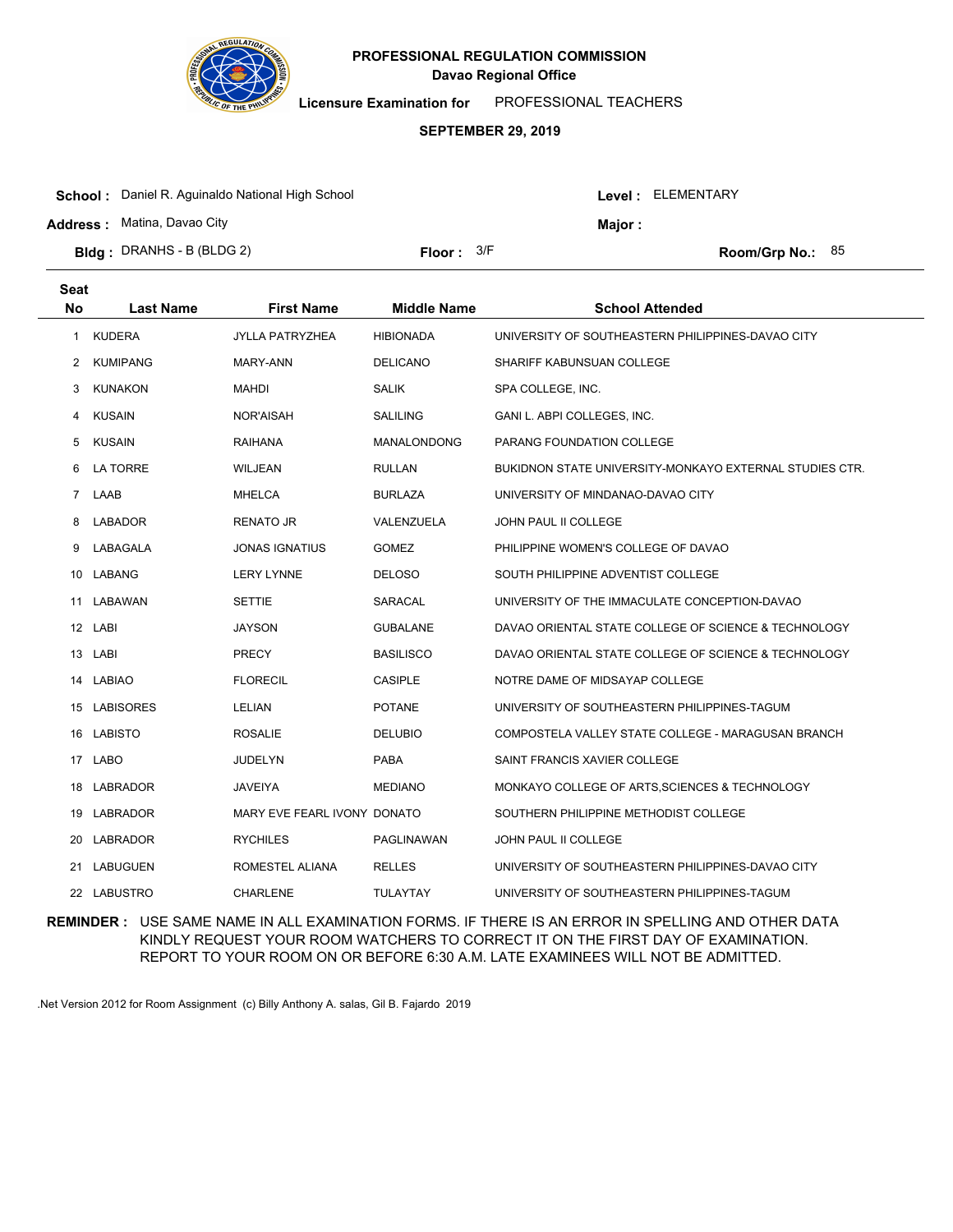

**Licensure Examination for**  PROFESSIONAL TEACHERS

# **SEPTEMBER 29, 2019**

| <b>School:</b> Daniel R. Aguinaldo National High School |              |  |         | Level: ELEMENTARY         |  |
|---------------------------------------------------------|--------------|--|---------|---------------------------|--|
| <b>Address: Matina, Davao City</b>                      |              |  | Major : |                           |  |
| <b>Bidg</b> : DRANHS - B (BLDG 2)                       | Floor: $3/F$ |  |         | <b>Room/Grp No.:</b> $85$ |  |

| <b>Seat</b>      |                  |                             |                    |                                                         |
|------------------|------------------|-----------------------------|--------------------|---------------------------------------------------------|
| <b>No</b>        | <b>Last Name</b> | <b>First Name</b>           | <b>Middle Name</b> | <b>School Attended</b>                                  |
| 1                | <b>KUDERA</b>    | <b>JYLLA PATRYZHEA</b>      | <b>HIBIONADA</b>   | UNIVERSITY OF SOUTHEASTERN PHILIPPINES-DAVAO CITY       |
| 2                | <b>KUMIPANG</b>  | MARY-ANN                    | <b>DELICANO</b>    | SHARIFF KABUNSUAN COLLEGE                               |
| 3                | <b>KUNAKON</b>   | <b>MAHDI</b>                | <b>SALIK</b>       | SPA COLLEGE, INC.                                       |
| 4                | <b>KUSAIN</b>    | NOR'AISAH                   | <b>SALILING</b>    | GANI L. ABPI COLLEGES, INC.                             |
| 5                | KUSAIN           | RAIHANA                     | <b>MANALONDONG</b> | PARANG FOUNDATION COLLEGE                               |
| 6                | <b>LA TORRE</b>  | <b>WILJEAN</b>              | <b>RULLAN</b>      | BUKIDNON STATE UNIVERSITY-MONKAYO EXTERNAL STUDIES CTR. |
| $\overline{7}$   | LAAB             | MHELCA                      | <b>BURLAZA</b>     | UNIVERSITY OF MINDANAO-DAVAO CITY                       |
| 8                | LABADOR          | <b>RENATO JR</b>            | VALENZUELA         | <b>JOHN PAUL II COLLEGE</b>                             |
| 9                | LABAGALA         | <b>JONAS IGNATIUS</b>       | <b>GOMEZ</b>       | PHILIPPINE WOMEN'S COLLEGE OF DAVAO                     |
|                  | 10 LABANG        | <b>LERY LYNNE</b>           | <b>DELOSO</b>      | SOUTH PHILIPPINE ADVENTIST COLLEGE                      |
| 11               | LABAWAN          | <b>SETTIE</b>               | <b>SARACAL</b>     | UNIVERSITY OF THE IMMACULATE CONCEPTION-DAVAO           |
| 12 <sup>12</sup> | LABI             | <b>JAYSON</b>               | <b>GUBALANE</b>    | DAVAO ORIENTAL STATE COLLEGE OF SCIENCE & TECHNOLOGY    |
| 13               | LABI             | <b>PRECY</b>                | <b>BASILISCO</b>   | DAVAO ORIENTAL STATE COLLEGE OF SCIENCE & TECHNOLOGY    |
| 14               | <b>LABIAO</b>    | <b>FLORECIL</b>             | <b>CASIPLE</b>     | NOTRE DAME OF MIDSAYAP COLLEGE                          |
|                  | 15 LABISORES     | <b>LELIAN</b>               | <b>POTANE</b>      | UNIVERSITY OF SOUTHEASTERN PHILIPPINES-TAGUM            |
|                  | 16 LABISTO       | <b>ROSALIE</b>              | <b>DELUBIO</b>     | COMPOSTELA VALLEY STATE COLLEGE - MARAGUSAN BRANCH      |
| 17               | <b>LABO</b>      | <b>JUDELYN</b>              | <b>PABA</b>        | SAINT FRANCIS XAVIER COLLEGE                            |
| 18               | LABRADOR         | <b>JAVEIYA</b>              | <b>MEDIANO</b>     | MONKAYO COLLEGE OF ARTS, SCIENCES & TECHNOLOGY          |
| 19               | <b>LABRADOR</b>  | MARY EVE FEARL IVONY DONATO |                    | SOUTHERN PHILIPPINE METHODIST COLLEGE                   |
| 20               | LABRADOR         | <b>RYCHILES</b>             | PAGLINAWAN         | JOHN PAUL II COLLEGE                                    |
| 21               | <b>LABUGUEN</b>  | ROMESTEL ALIANA             | <b>RELLES</b>      | UNIVERSITY OF SOUTHEASTERN PHILIPPINES-DAVAO CITY       |
|                  | 22 LABUSTRO      | <b>CHARLENE</b>             | <b>TULAYTAY</b>    | UNIVERSITY OF SOUTHEASTERN PHILIPPINES-TAGUM            |

**REMINDER :** USE SAME NAME IN ALL EXAMINATION FORMS. IF THERE IS AN ERROR IN SPELLING AND OTHER DATA KINDLY REQUEST YOUR ROOM WATCHERS TO CORRECT IT ON THE FIRST DAY OF EXAMINATION. REPORT TO YOUR ROOM ON OR BEFORE 6:30 A.M. LATE EXAMINEES WILL NOT BE ADMITTED.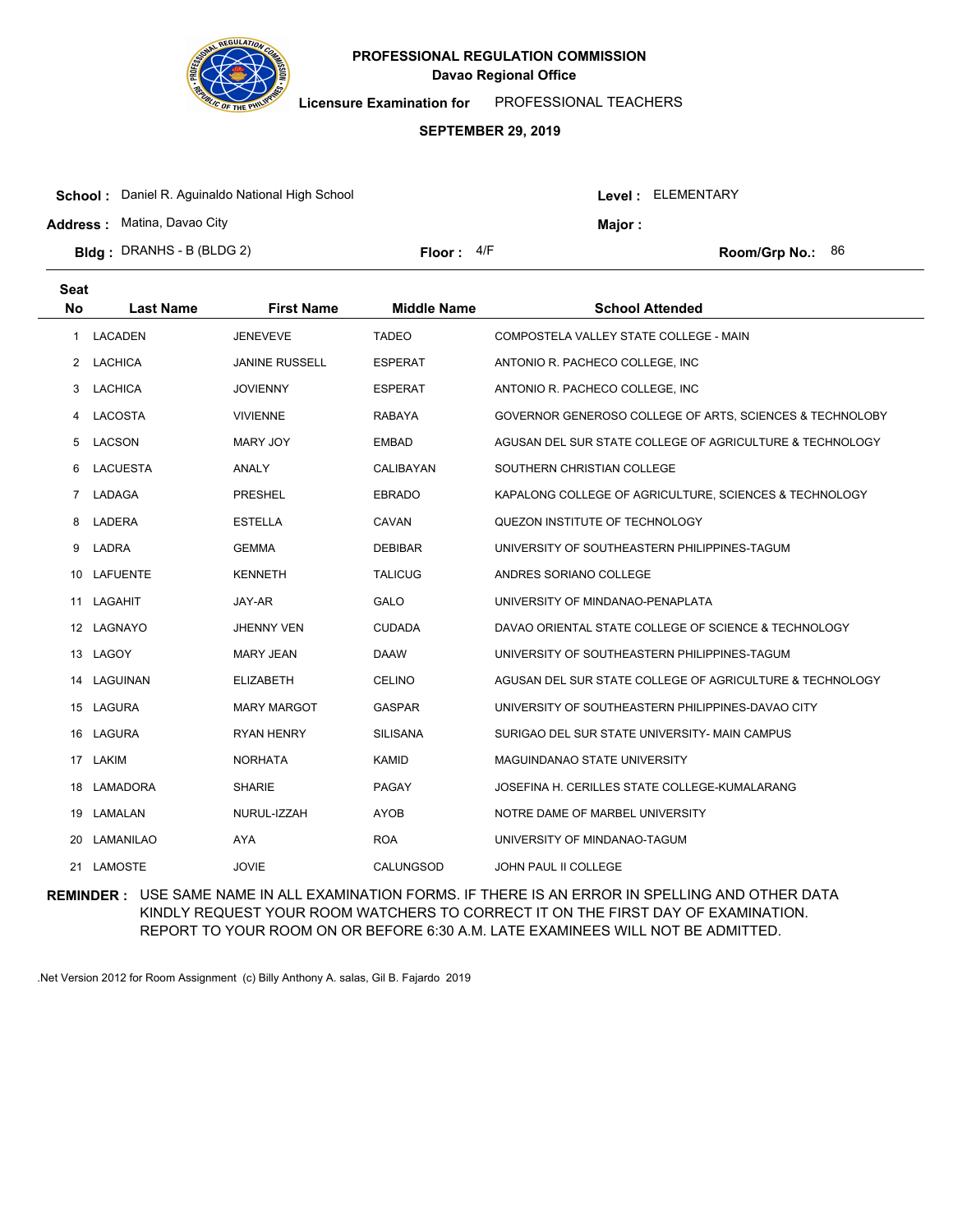

**Licensure Examination for**  PROFESSIONAL TEACHERS

#### **SEPTEMBER 29, 2019**

| <b>Bidg</b> : DRANHS - B (BLDG 2)                       | Floor: $4/F$ |                   |               | <b>Room/Grp No.:</b> $86$ |  |
|---------------------------------------------------------|--------------|-------------------|---------------|---------------------------|--|
| <b>Address: Matina, Davao City</b>                      |              |                   | <b>Maior:</b> |                           |  |
| <b>School:</b> Daniel R. Aguinaldo National High School |              | Level: ELEMENTARY |               |                           |  |

| <b>Seat</b><br><b>No</b> | <b>Last Name</b> | <b>First Name</b>     | <b>Middle Name</b> | <b>School Attended</b>                                   |
|--------------------------|------------------|-----------------------|--------------------|----------------------------------------------------------|
| 1                        | <b>LACADEN</b>   | <b>JENEVEVE</b>       | <b>TADEO</b>       | COMPOSTELA VALLEY STATE COLLEGE - MAIN                   |
| $\mathbf{2}$             | LACHICA          | <b>JANINE RUSSELL</b> | <b>ESPERAT</b>     | ANTONIO R. PACHECO COLLEGE, INC.                         |
| 3                        | LACHICA          | <b>JOVIENNY</b>       | <b>ESPERAT</b>     | ANTONIO R. PACHECO COLLEGE, INC.                         |
| 4                        | LACOSTA          | <b>VIVIENNE</b>       | <b>RABAYA</b>      | GOVERNOR GENEROSO COLLEGE OF ARTS, SCIENCES & TECHNOLOBY |
| 5                        | <b>LACSON</b>    | <b>MARY JOY</b>       | <b>EMBAD</b>       | AGUSAN DEL SUR STATE COLLEGE OF AGRICULTURE & TECHNOLOGY |
| 6                        | LACUESTA         | ANALY                 | CALIBAYAN          | SOUTHERN CHRISTIAN COLLEGE                               |
| $\overline{7}$           | LADAGA           | <b>PRESHEL</b>        | <b>EBRADO</b>      | KAPALONG COLLEGE OF AGRICULTURE, SCIENCES & TECHNOLOGY   |
| 8                        | LADERA           | <b>ESTELLA</b>        | CAVAN              | QUEZON INSTITUTE OF TECHNOLOGY                           |
| 9                        | LADRA            | <b>GEMMA</b>          | <b>DEBIBAR</b>     | UNIVERSITY OF SOUTHEASTERN PHILIPPINES-TAGUM             |
| 10                       | <b>LAFUENTE</b>  | <b>KENNETH</b>        | <b>TALICUG</b>     | ANDRES SORIANO COLLEGE                                   |
| 11                       | LAGAHIT          | JAY-AR                | <b>GALO</b>        | UNIVERSITY OF MINDANAO-PENAPLATA                         |
|                          | 12 LAGNAYO       | <b>JHENNY VEN</b>     | <b>CUDADA</b>      | DAVAO ORIENTAL STATE COLLEGE OF SCIENCE & TECHNOLOGY     |
|                          | 13 LAGOY         | <b>MARY JEAN</b>      | <b>DAAW</b>        | UNIVERSITY OF SOUTHEASTERN PHILIPPINES-TAGUM             |
| 14                       | LAGUINAN         | <b>ELIZABETH</b>      | <b>CELINO</b>      | AGUSAN DEL SUR STATE COLLEGE OF AGRICULTURE & TECHNOLOGY |
|                          | 15 LAGURA        | <b>MARY MARGOT</b>    | <b>GASPAR</b>      | UNIVERSITY OF SOUTHEASTERN PHILIPPINES-DAVAO CITY        |
|                          | 16 LAGURA        | <b>RYAN HENRY</b>     | <b>SILISANA</b>    | SURIGAO DEL SUR STATE UNIVERSITY- MAIN CAMPUS            |
| 17                       | LAKIM            | <b>NORHATA</b>        | KAMID              | MAGUINDANAO STATE UNIVERSITY                             |
| 18                       | LAMADORA         | <b>SHARIE</b>         | PAGAY              | JOSEFINA H. CERILLES STATE COLLEGE-KUMALARANG            |
| 19                       | LAMALAN          | NURUL-IZZAH           | <b>AYOB</b>        | NOTRE DAME OF MARBEL UNIVERSITY                          |
| 20                       | LAMANILAO        | <b>AYA</b>            | <b>ROA</b>         | UNIVERSITY OF MINDANAO-TAGUM                             |
| 21                       | LAMOSTE          | <b>JOVIE</b>          | CALUNGSOD          | <b>JOHN PAUL II COLLEGE</b>                              |

**REMINDER :** USE SAME NAME IN ALL EXAMINATION FORMS. IF THERE IS AN ERROR IN SPELLING AND OTHER DATA KINDLY REQUEST YOUR ROOM WATCHERS TO CORRECT IT ON THE FIRST DAY OF EXAMINATION. REPORT TO YOUR ROOM ON OR BEFORE 6:30 A.M. LATE EXAMINEES WILL NOT BE ADMITTED.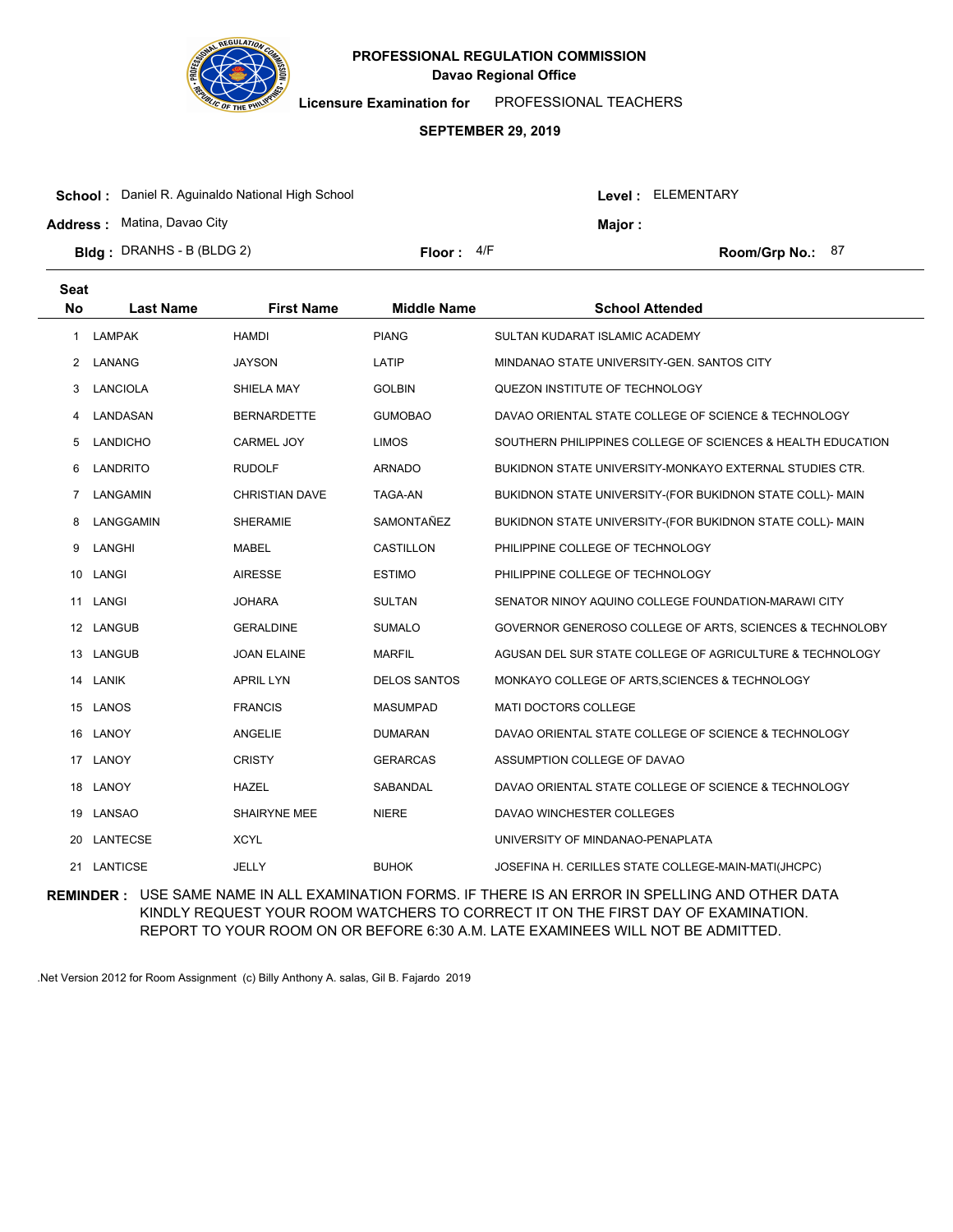

**Licensure Examination for**  PROFESSIONAL TEACHERS

#### **SEPTEMBER 29, 2019**

| <b>Bidg</b> : DRANHS - B (BLDG 2)                       | Floor: $4/F$ |               |  | Room/Grp No.: $87$ |  |
|---------------------------------------------------------|--------------|---------------|--|--------------------|--|
| <b>Address: Matina, Davao City</b>                      |              | <b>Major:</b> |  |                    |  |
| <b>School:</b> Daniel R. Aguinaldo National High School |              |               |  | Level: ELEMENTARY  |  |

| <b>Seat</b><br><b>No</b> | <b>Last Name</b> | <b>First Name</b>     | <b>Middle Name</b>  | <b>School Attended</b>                                      |
|--------------------------|------------------|-----------------------|---------------------|-------------------------------------------------------------|
| 1                        | <b>LAMPAK</b>    | <b>HAMDI</b>          | <b>PIANG</b>        | SULTAN KUDARAT ISLAMIC ACADEMY                              |
| 2                        | LANANG           | <b>JAYSON</b>         | LATIP               | MINDANAO STATE UNIVERSITY-GEN, SANTOS CITY                  |
| 3                        | <b>LANCIOLA</b>  | SHIELA MAY            | <b>GOLBIN</b>       | QUEZON INSTITUTE OF TECHNOLOGY                              |
| 4                        | LANDASAN         | <b>BERNARDETTE</b>    | <b>GUMOBAO</b>      | DAVAO ORIENTAL STATE COLLEGE OF SCIENCE & TECHNOLOGY        |
| 5                        | <b>LANDICHO</b>  | CARMEL JOY            | <b>LIMOS</b>        | SOUTHERN PHILIPPINES COLLEGE OF SCIENCES & HEALTH EDUCATION |
| 6                        | LANDRITO         | <b>RUDOLF</b>         | <b>ARNADO</b>       | BUKIDNON STATE UNIVERSITY-MONKAYO EXTERNAL STUDIES CTR.     |
| 7                        | LANGAMIN         | <b>CHRISTIAN DAVE</b> | <b>TAGA-AN</b>      | BUKIDNON STATE UNIVERSITY-(FOR BUKIDNON STATE COLL)- MAIN   |
| 8                        | LANGGAMIN        | <b>SHERAMIE</b>       | SAMONTAÑEZ          | BUKIDNON STATE UNIVERSITY-(FOR BUKIDNON STATE COLL)- MAIN   |
| 9                        | LANGHI           | <b>MABEL</b>          | <b>CASTILLON</b>    | PHILIPPINE COLLEGE OF TECHNOLOGY                            |
| 10                       | LANGI            | <b>AIRESSE</b>        | <b>ESTIMO</b>       | PHILIPPINE COLLEGE OF TECHNOLOGY                            |
| 11                       | LANGI            | <b>JOHARA</b>         | <b>SULTAN</b>       | SENATOR NINOY AQUINO COLLEGE FOUNDATION-MARAWI CITY         |
|                          | 12 LANGUB        | <b>GERALDINE</b>      | <b>SUMALO</b>       | GOVERNOR GENEROSO COLLEGE OF ARTS, SCIENCES & TECHNOLOBY    |
| 13                       | LANGUB           | <b>JOAN ELAINE</b>    | <b>MARFIL</b>       | AGUSAN DEL SUR STATE COLLEGE OF AGRICULTURE & TECHNOLOGY    |
|                          | 14 LANIK         | <b>APRIL LYN</b>      | <b>DELOS SANTOS</b> | MONKAYO COLLEGE OF ARTS, SCIENCES & TECHNOLOGY              |
|                          | 15 LANOS         | <b>FRANCIS</b>        | <b>MASUMPAD</b>     | <b>MATI DOCTORS COLLEGE</b>                                 |
| 16                       | LANOY            | <b>ANGELIE</b>        | <b>DUMARAN</b>      | DAVAO ORIENTAL STATE COLLEGE OF SCIENCE & TECHNOLOGY        |
| 17                       | LANOY            | <b>CRISTY</b>         | <b>GERARCAS</b>     | ASSUMPTION COLLEGE OF DAVAO                                 |
|                          | 18 LANOY         | <b>HAZEL</b>          | <b>SABANDAL</b>     | DAVAO ORIENTAL STATE COLLEGE OF SCIENCE & TECHNOLOGY        |
| 19                       | <b>LANSAO</b>    | <b>SHAIRYNE MEE</b>   | <b>NIERE</b>        | DAVAO WINCHESTER COLLEGES                                   |
| 20                       | <b>LANTECSE</b>  | <b>XCYL</b>           |                     | UNIVERSITY OF MINDANAO-PENAPLATA                            |
|                          | 21 LANTICSE      | JELLY                 | <b>BUHOK</b>        | JOSEFINA H. CERILLES STATE COLLEGE-MAIN-MATI(JHCPC)         |

**REMINDER :** USE SAME NAME IN ALL EXAMINATION FORMS. IF THERE IS AN ERROR IN SPELLING AND OTHER DATA KINDLY REQUEST YOUR ROOM WATCHERS TO CORRECT IT ON THE FIRST DAY OF EXAMINATION. REPORT TO YOUR ROOM ON OR BEFORE 6:30 A.M. LATE EXAMINEES WILL NOT BE ADMITTED.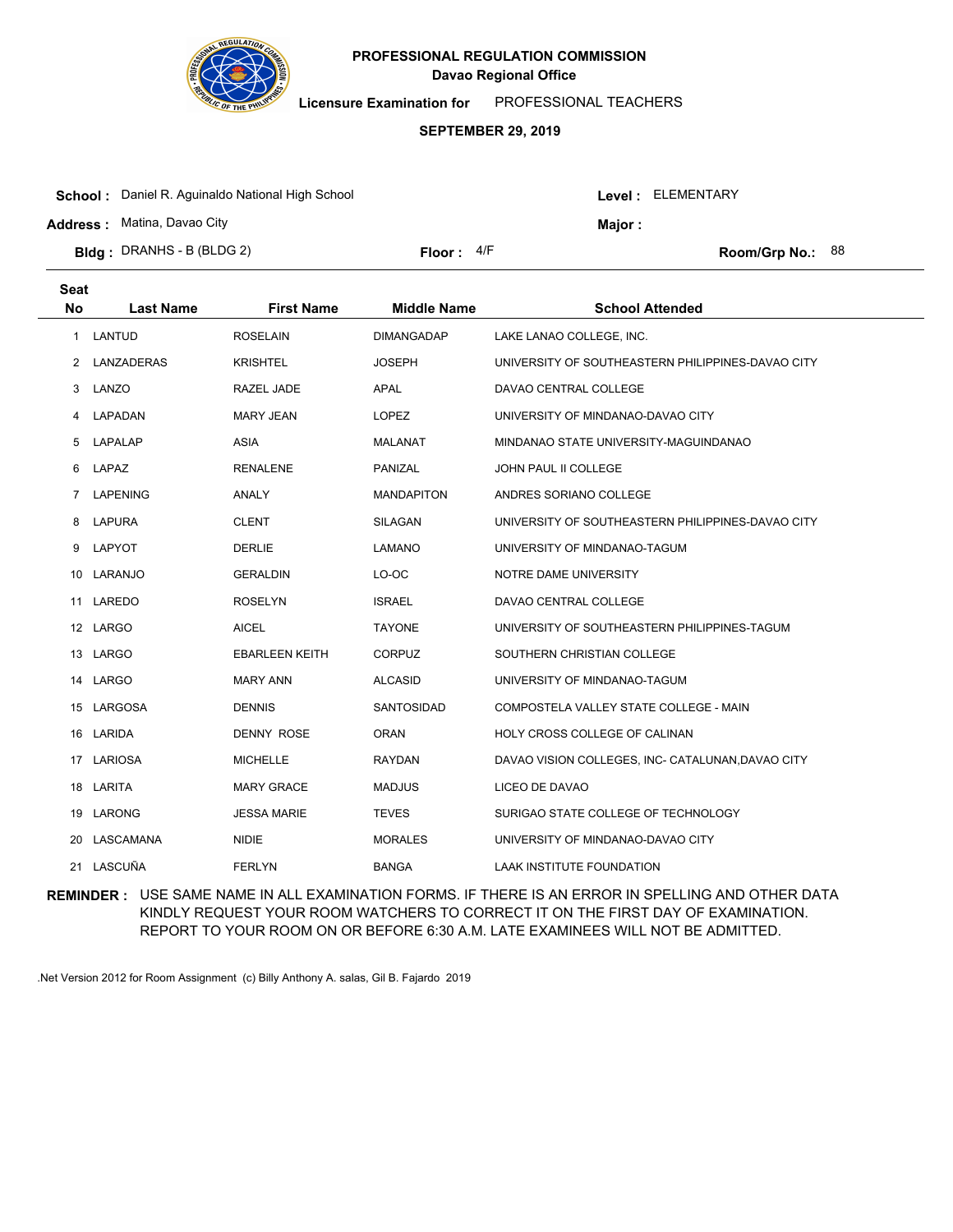

**Licensure Examination for**  PROFESSIONAL TEACHERS

### **SEPTEMBER 29, 2019**

| <b>Address: Matina, Davao City</b> |              |  | Major : |                         |  |
|------------------------------------|--------------|--|---------|-------------------------|--|
| <b>Bidg</b> : DRANHS - B (BLDG 2)  | Floor: $4/F$ |  |         | <b>Room/Grp No.: 88</b> |  |

| <b>Seat</b><br><b>No</b> | <b>Last Name</b> | <b>First Name</b>     | <b>Middle Name</b> | <b>School Attended</b>                            |
|--------------------------|------------------|-----------------------|--------------------|---------------------------------------------------|
| 1                        | <b>LANTUD</b>    | <b>ROSELAIN</b>       | <b>DIMANGADAP</b>  | LAKE LANAO COLLEGE, INC.                          |
| $\overline{2}$           | LANZADERAS       | <b>KRISHTEL</b>       | <b>JOSEPH</b>      | UNIVERSITY OF SOUTHEASTERN PHILIPPINES-DAVAO CITY |
| 3                        | LANZO            | RAZEL JADE            | <b>APAL</b>        | DAVAO CENTRAL COLLEGE                             |
| 4                        | LAPADAN          | <b>MARY JEAN</b>      | <b>LOPEZ</b>       | UNIVERSITY OF MINDANAO-DAVAO CITY                 |
| 5                        | LAPALAP          | <b>ASIA</b>           | <b>MALANAT</b>     | MINDANAO STATE UNIVERSITY-MAGUINDANAO             |
| 6                        | LAPAZ            | <b>RENALENE</b>       | PANIZAL            | <b>JOHN PAUL II COLLEGE</b>                       |
| $\overline{7}$           | <b>LAPENING</b>  | <b>ANALY</b>          | <b>MANDAPITON</b>  | ANDRES SORIANO COLLEGE                            |
| 8                        | <b>LAPURA</b>    | <b>CLENT</b>          | SILAGAN            | UNIVERSITY OF SOUTHEASTERN PHILIPPINES-DAVAO CITY |
| 9                        | LAPYOT           | <b>DERLIE</b>         | LAMANO             | UNIVERSITY OF MINDANAO-TAGUM                      |
| 10                       | LARANJO          | <b>GERALDIN</b>       | LO-OC              | NOTRE DAME UNIVERSITY                             |
| 11                       | LAREDO           | <b>ROSELYN</b>        | <b>ISRAEL</b>      | DAVAO CENTRAL COLLEGE                             |
|                          | 12 LARGO         | <b>AICEL</b>          | <b>TAYONE</b>      | UNIVERSITY OF SOUTHEASTERN PHILIPPINES-TAGUM      |
|                          | 13 LARGO         | <b>EBARLEEN KEITH</b> | <b>CORPUZ</b>      | SOUTHERN CHRISTIAN COLLEGE                        |
| 14                       | <b>LARGO</b>     | <b>MARY ANN</b>       | <b>ALCASID</b>     | UNIVERSITY OF MINDANAO-TAGUM                      |
|                          | 15 LARGOSA       | <b>DENNIS</b>         | SANTOSIDAD         | COMPOSTELA VALLEY STATE COLLEGE - MAIN            |
|                          | 16 LARIDA        | <b>DENNY ROSE</b>     | <b>ORAN</b>        | HOLY CROSS COLLEGE OF CALINAN                     |
| 17                       | LARIOSA          | <b>MICHELLE</b>       | <b>RAYDAN</b>      | DAVAO VISION COLLEGES, INC- CATALUNAN, DAVAO CITY |
|                          | 18 LARITA        | <b>MARY GRACE</b>     | <b>MADJUS</b>      | LICEO DE DAVAO                                    |
|                          | 19 LARONG        | <b>JESSA MARIE</b>    | <b>TEVES</b>       | SURIGAO STATE COLLEGE OF TECHNOLOGY               |
| 20                       | LASCAMANA        | <b>NIDIE</b>          | <b>MORALES</b>     | UNIVERSITY OF MINDANAO-DAVAO CITY                 |
|                          | 21 LASCUÑA       | <b>FERLYN</b>         | <b>BANGA</b>       | LAAK INSTITUTE FOUNDATION                         |
|                          |                  |                       |                    |                                                   |

**REMINDER :** USE SAME NAME IN ALL EXAMINATION FORMS. IF THERE IS AN ERROR IN SPELLING AND OTHER DATA KINDLY REQUEST YOUR ROOM WATCHERS TO CORRECT IT ON THE FIRST DAY OF EXAMINATION. REPORT TO YOUR ROOM ON OR BEFORE 6:30 A.M. LATE EXAMINEES WILL NOT BE ADMITTED.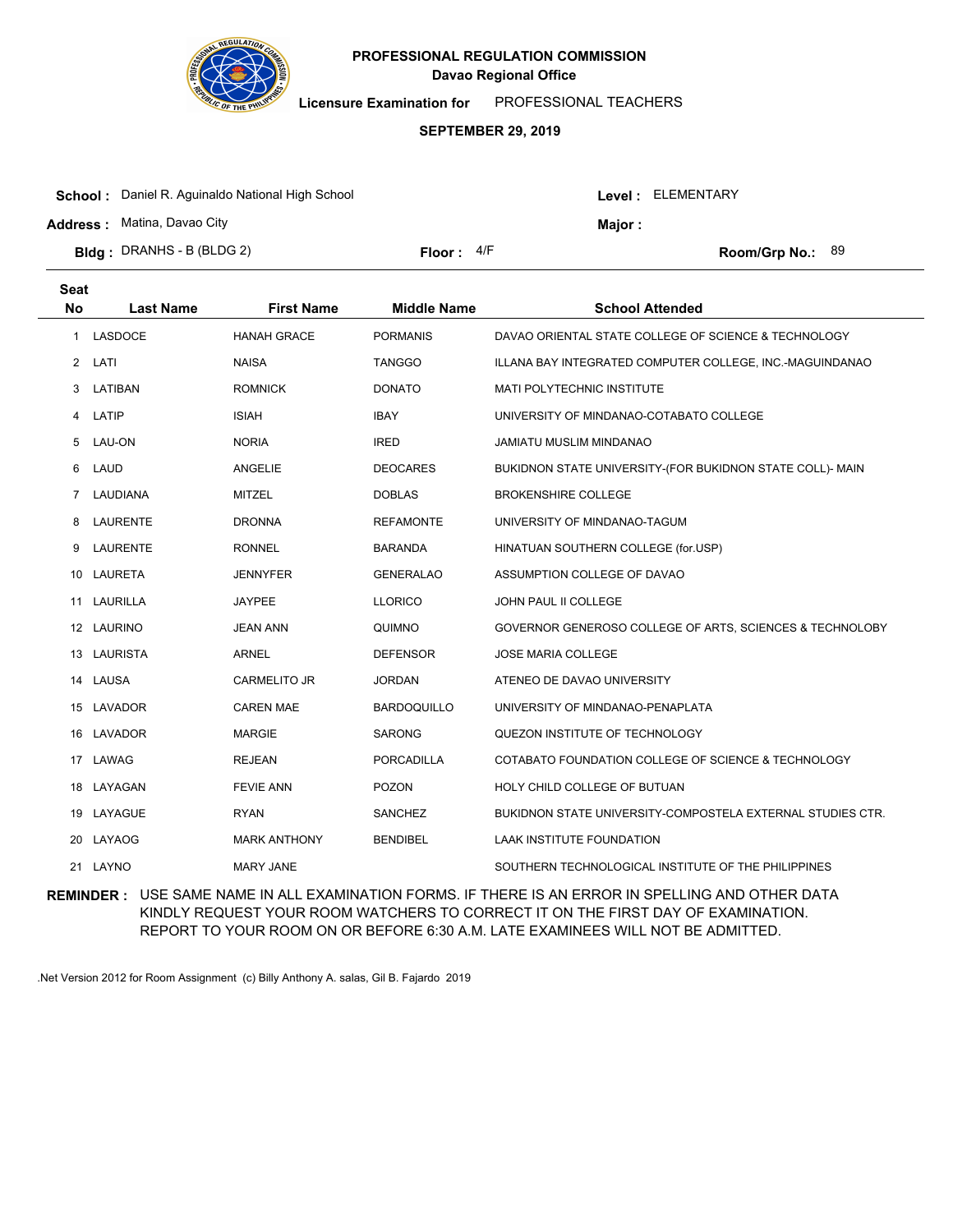

**Licensure Examination for**  PROFESSIONAL TEACHERS

### **SEPTEMBER 29, 2019**

|                                                         |              |  |                   | Room/Grp No.: $89$ |  |
|---------------------------------------------------------|--------------|--|-------------------|--------------------|--|
| <b>Bidg</b> : DRANHS - B (BLDG 2)                       | Floor: $4/F$ |  |                   |                    |  |
| <b>Address: Matina, Davao City</b>                      |              |  | Maior :           |                    |  |
| <b>School:</b> Daniel R. Aguinaldo National High School |              |  | Level: ELEMENTARY |                    |  |

| <b>Seat</b><br><b>No</b> | <b>Last Name</b> | <b>First Name</b>   | <b>Middle Name</b> | <b>School Attended</b>                                     |
|--------------------------|------------------|---------------------|--------------------|------------------------------------------------------------|
| 1                        | LASDOCE          | <b>HANAH GRACE</b>  | <b>PORMANIS</b>    | DAVAO ORIENTAL STATE COLLEGE OF SCIENCE & TECHNOLOGY       |
|                          | 2 LATI           | <b>NAISA</b>        | <b>TANGGO</b>      | ILLANA BAY INTEGRATED COMPUTER COLLEGE, INC.-MAGUINDANAO   |
| 3                        | LATIBAN          | <b>ROMNICK</b>      | <b>DONATO</b>      | MATI POLYTECHNIC INSTITUTE                                 |
| 4                        | LATIP            | <b>ISIAH</b>        | <b>IBAY</b>        | UNIVERSITY OF MINDANAO-COTABATO COLLEGE                    |
| 5                        | LAU-ON           | <b>NORIA</b>        | <b>IRED</b>        | JAMIATU MUSLIM MINDANAO                                    |
| 6                        | LAUD             | <b>ANGELIE</b>      | <b>DEOCARES</b>    | BUKIDNON STATE UNIVERSITY-(FOR BUKIDNON STATE COLL)- MAIN  |
| $\overline{7}$           | LAUDIANA         | <b>MITZEL</b>       | <b>DOBLAS</b>      | <b>BROKENSHIRE COLLEGE</b>                                 |
| 8                        | <b>LAURENTE</b>  | <b>DRONNA</b>       | <b>REFAMONTE</b>   | UNIVERSITY OF MINDANAO-TAGUM                               |
| 9                        | LAURENTE         | <b>RONNEL</b>       | <b>BARANDA</b>     | HINATUAN SOUTHERN COLLEGE (for.USP)                        |
| 10                       | <b>LAURETA</b>   | <b>JENNYFER</b>     | <b>GENERALAO</b>   | ASSUMPTION COLLEGE OF DAVAO                                |
| 11                       | <b>LAURILLA</b>  | <b>JAYPEE</b>       | <b>LLORICO</b>     | JOHN PAUL II COLLEGE                                       |
|                          | 12 LAURINO       | <b>JEAN ANN</b>     | QUIMNO             | GOVERNOR GENEROSO COLLEGE OF ARTS, SCIENCES & TECHNOLOBY   |
|                          | 13 LAURISTA      | <b>ARNEL</b>        | <b>DEFENSOR</b>    | JOSE MARIA COLLEGE                                         |
| 14                       | <b>LAUSA</b>     | <b>CARMELITO JR</b> | <b>JORDAN</b>      | ATENEO DE DAVAO UNIVERSITY                                 |
|                          | 15 LAVADOR       | <b>CAREN MAE</b>    | <b>BARDOQUILLO</b> | UNIVERSITY OF MINDANAO-PENAPLATA                           |
|                          | 16 LAVADOR       | <b>MARGIE</b>       | <b>SARONG</b>      | QUEZON INSTITUTE OF TECHNOLOGY                             |
| 17                       | LAWAG            | <b>REJEAN</b>       | PORCADILLA         | COTABATO FOUNDATION COLLEGE OF SCIENCE & TECHNOLOGY        |
| 18                       | LAYAGAN          | <b>FEVIE ANN</b>    | <b>POZON</b>       | HOLY CHILD COLLEGE OF BUTUAN                               |
|                          | 19 LAYAGUE       | <b>RYAN</b>         | <b>SANCHEZ</b>     | BUKIDNON STATE UNIVERSITY-COMPOSTELA EXTERNAL STUDIES CTR. |
| 20                       | LAYAOG           | <b>MARK ANTHONY</b> | <b>BENDIBEL</b>    | LAAK INSTITUTE FOUNDATION                                  |
| 21                       | LAYNO            | <b>MARY JANE</b>    |                    | SOUTHERN TECHNOLOGICAL INSTITUTE OF THE PHILIPPINES        |
|                          |                  |                     |                    |                                                            |

**REMINDER :** USE SAME NAME IN ALL EXAMINATION FORMS. IF THERE IS AN ERROR IN SPELLING AND OTHER DATA KINDLY REQUEST YOUR ROOM WATCHERS TO CORRECT IT ON THE FIRST DAY OF EXAMINATION. REPORT TO YOUR ROOM ON OR BEFORE 6:30 A.M. LATE EXAMINEES WILL NOT BE ADMITTED.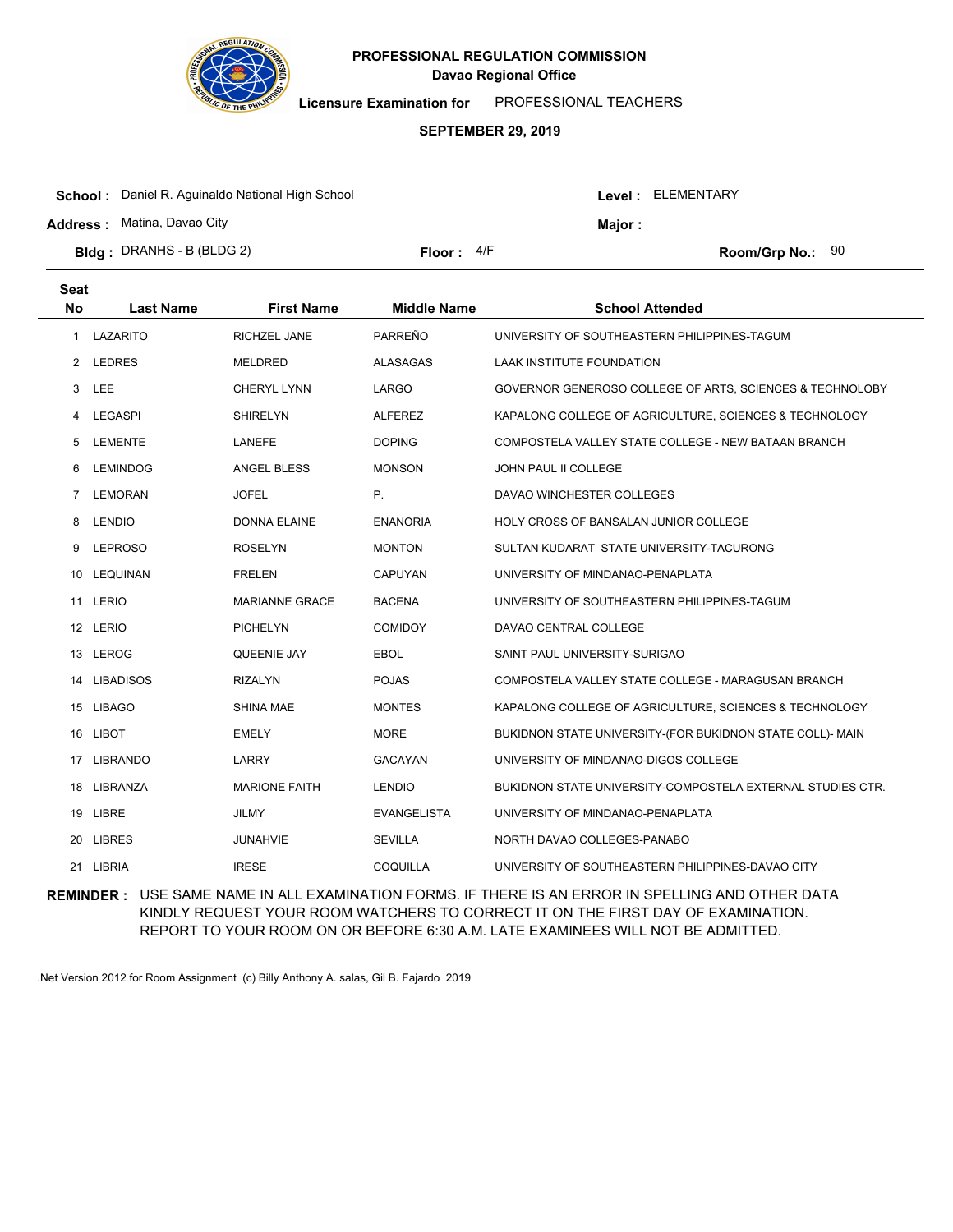

**Licensure Examination for**  PROFESSIONAL TEACHERS

#### **SEPTEMBER 29, 2019**

| <b>School:</b> Daniel R. Aguinaldo National High School                 |              |         | Level : ELEMENTARY |  |
|-------------------------------------------------------------------------|--------------|---------|--------------------|--|
| <b>Address:</b> Matina, Davao City<br><b>Bldg</b> : DRANHS - B (BLDG 2) | Floor: $4/F$ | Major : | Room/Grp No.: $90$ |  |

| <b>Seat</b><br><b>No</b> | <b>Last Name</b> | <b>First Name</b>     | <b>Middle Name</b> | <b>School Attended</b>                                     |
|--------------------------|------------------|-----------------------|--------------------|------------------------------------------------------------|
| 1                        | LAZARITO         | <b>RICHZEL JANE</b>   | PARREÑO            | UNIVERSITY OF SOUTHEASTERN PHILIPPINES-TAGUM               |
| 2                        | <b>LEDRES</b>    | <b>MELDRED</b>        | <b>ALASAGAS</b>    | <b>LAAK INSTITUTE FOUNDATION</b>                           |
| 3                        | LEE              | <b>CHERYL LYNN</b>    | LARGO              | GOVERNOR GENEROSO COLLEGE OF ARTS, SCIENCES & TECHNOLOBY   |
| 4                        | <b>LEGASPI</b>   | <b>SHIRELYN</b>       | <b>ALFEREZ</b>     | KAPALONG COLLEGE OF AGRICULTURE, SCIENCES & TECHNOLOGY     |
| 5                        | <b>LEMENTE</b>   | LANEFE                | <b>DOPING</b>      | COMPOSTELA VALLEY STATE COLLEGE - NEW BATAAN BRANCH        |
| 6                        | <b>LEMINDOG</b>  | <b>ANGEL BLESS</b>    | <b>MONSON</b>      | JOHN PAUL II COLLEGE                                       |
| 7                        | <b>LEMORAN</b>   | <b>JOFEL</b>          | Ρ.                 | DAVAO WINCHESTER COLLEGES                                  |
| 8                        | <b>LENDIO</b>    | <b>DONNA ELAINE</b>   | <b>ENANORIA</b>    | HOLY CROSS OF BANSALAN JUNIOR COLLEGE                      |
| 9                        | <b>LEPROSO</b>   | <b>ROSELYN</b>        | <b>MONTON</b>      | SULTAN KUDARAT STATE UNIVERSITY-TACURONG                   |
| 10                       | <b>LEQUINAN</b>  | <b>FRELEN</b>         | <b>CAPUYAN</b>     | UNIVERSITY OF MINDANAO-PENAPLATA                           |
| 11                       | LERIO            | <b>MARIANNE GRACE</b> | <b>BACENA</b>      | UNIVERSITY OF SOUTHEASTERN PHILIPPINES-TAGUM               |
|                          | 12 LERIO         | <b>PICHELYN</b>       | <b>COMIDOY</b>     | DAVAO CENTRAL COLLEGE                                      |
|                          | 13 LEROG         | QUEENIE JAY           | <b>EBOL</b>        | SAINT PAUL UNIVERSITY-SURIGAO                              |
| 14                       | <b>LIBADISOS</b> | <b>RIZALYN</b>        | <b>POJAS</b>       | COMPOSTELA VALLEY STATE COLLEGE - MARAGUSAN BRANCH         |
|                          | 15 LIBAGO        | SHINA MAE             | <b>MONTES</b>      | KAPALONG COLLEGE OF AGRICULTURE, SCIENCES & TECHNOLOGY     |
|                          | 16 LIBOT         | <b>EMELY</b>          | <b>MORE</b>        | BUKIDNON STATE UNIVERSITY-(FOR BUKIDNON STATE COLL)- MAIN  |
| 17                       | <b>LIBRANDO</b>  | LARRY                 | <b>GACAYAN</b>     | UNIVERSITY OF MINDANAO-DIGOS COLLEGE                       |
|                          | 18 LIBRANZA      | <b>MARIONE FAITH</b>  | <b>LENDIO</b>      | BUKIDNON STATE UNIVERSITY-COMPOSTELA EXTERNAL STUDIES CTR. |
|                          | 19 LIBRE         | <b>JILMY</b>          | <b>EVANGELISTA</b> | UNIVERSITY OF MINDANAO-PENAPLATA                           |
| 20                       | <b>LIBRES</b>    | <b>JUNAHVIE</b>       | <b>SEVILLA</b>     | NORTH DAVAO COLLEGES-PANABO                                |
|                          | 21 LIBRIA        | <b>IRESE</b>          | COQUILLA           | UNIVERSITY OF SOUTHEASTERN PHILIPPINES-DAVAO CITY          |

**REMINDER :** USE SAME NAME IN ALL EXAMINATION FORMS. IF THERE IS AN ERROR IN SPELLING AND OTHER DATA KINDLY REQUEST YOUR ROOM WATCHERS TO CORRECT IT ON THE FIRST DAY OF EXAMINATION. REPORT TO YOUR ROOM ON OR BEFORE 6:30 A.M. LATE EXAMINEES WILL NOT BE ADMITTED.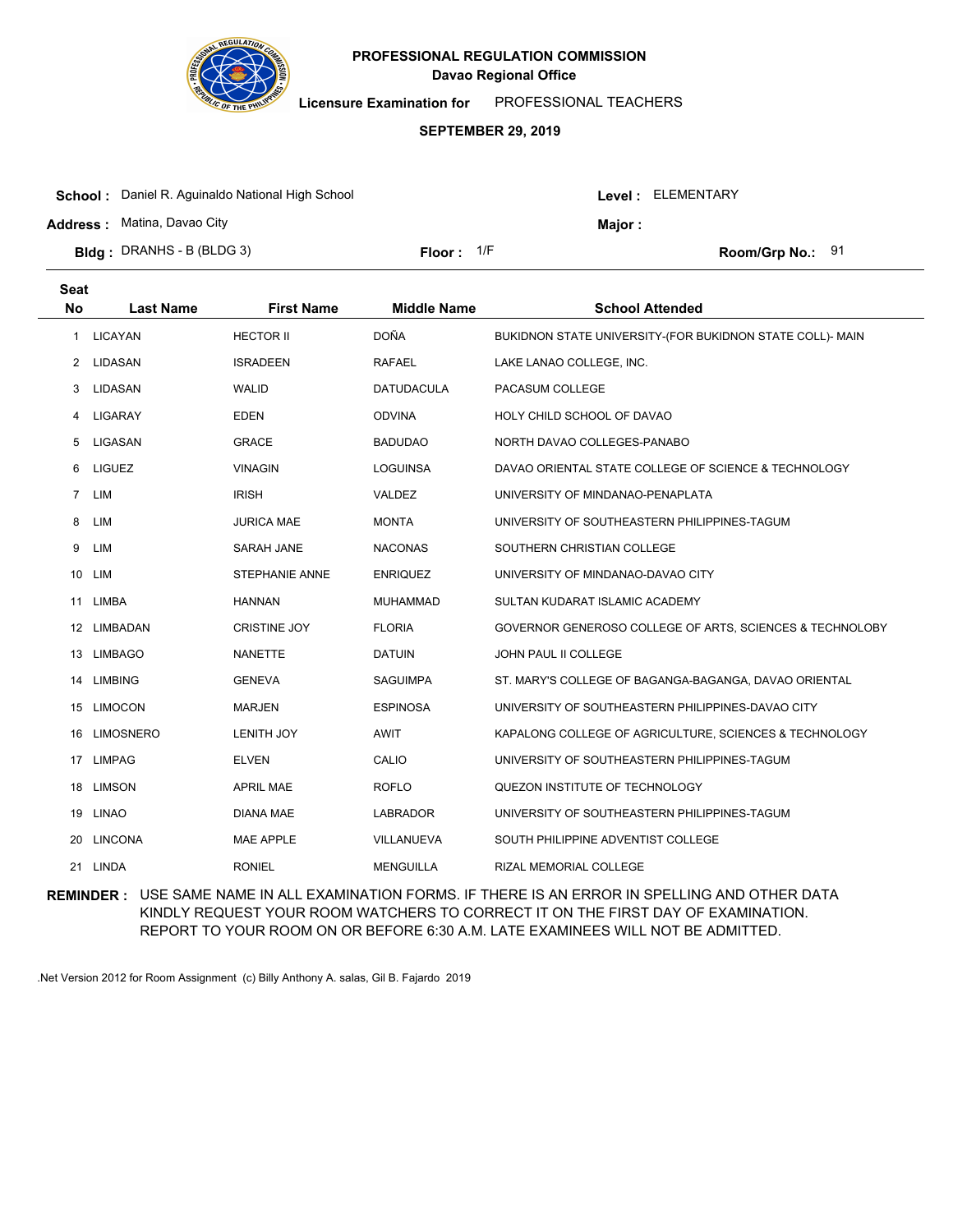

**Licensure Examination for**  PROFESSIONAL TEACHERS

#### **SEPTEMBER 29, 2019**

| <b>School:</b> Daniel R. Aguinaldo National High School |                     |  | Level : ELEMENTARY |                    |  |
|---------------------------------------------------------|---------------------|--|--------------------|--------------------|--|
| <b>Address: Matina, Davao City</b>                      |                     |  | <b>Major:</b>      |                    |  |
| <b>Bldg</b> : DRANHS - B (BLDG 3)                       | <b>Floor:</b> $1/F$ |  |                    | Room/Grp No.: $91$ |  |

| <b>Seat</b><br><b>Last Name</b> | <b>First Name</b>   | <b>Middle Name</b> | <b>School Attended</b>                                    |
|---------------------------------|---------------------|--------------------|-----------------------------------------------------------|
| <b>LICAYAN</b>                  | <b>HECTOR II</b>    | <b>DOÑA</b>        | BUKIDNON STATE UNIVERSITY-(FOR BUKIDNON STATE COLL)- MAIN |
| LIDASAN                         | <b>ISRADEEN</b>     | <b>RAFAEL</b>      | LAKE LANAO COLLEGE, INC.                                  |
| LIDASAN                         | <b>WALID</b>        | <b>DATUDACULA</b>  | PACASUM COLLEGE                                           |
| <b>LIGARAY</b>                  | <b>EDEN</b>         | <b>ODVINA</b>      | HOLY CHILD SCHOOL OF DAVAO                                |
| LIGASAN                         | <b>GRACE</b>        | <b>BADUDAO</b>     | NORTH DAVAO COLLEGES-PANABO                               |
| <b>LIGUEZ</b>                   | <b>VINAGIN</b>      | <b>LOGUINSA</b>    | DAVAO ORIENTAL STATE COLLEGE OF SCIENCE & TECHNOLOGY      |
| LIM                             | <b>IRISH</b>        | VALDEZ             | UNIVERSITY OF MINDANAO-PENAPLATA                          |
| LIM                             | <b>JURICA MAE</b>   | <b>MONTA</b>       | UNIVERSITY OF SOUTHEASTERN PHILIPPINES-TAGUM              |
| LIM                             | SARAH JANE          | <b>NACONAS</b>     | SOUTHERN CHRISTIAN COLLEGE                                |
| LIM                             | STEPHANIE ANNE      | <b>ENRIQUEZ</b>    | UNIVERSITY OF MINDANAO-DAVAO CITY                         |
| LIMBA                           | <b>HANNAN</b>       | <b>MUHAMMAD</b>    | SULTAN KUDARAT ISLAMIC ACADEMY                            |
| LIMBADAN                        | <b>CRISTINE JOY</b> | <b>FLORIA</b>      | GOVERNOR GENEROSO COLLEGE OF ARTS, SCIENCES & TECHNOLOBY  |
| 13 LIMBAGO                      | <b>NANETTE</b>      | <b>DATUIN</b>      | JOHN PAUL II COLLEGE                                      |
| <b>LIMBING</b>                  | <b>GENEVA</b>       | <b>SAGUIMPA</b>    | ST. MARY'S COLLEGE OF BAGANGA-BAGANGA, DAVAO ORIENTAL     |
| <b>LIMOCON</b>                  | <b>MARJEN</b>       | <b>ESPINOSA</b>    | UNIVERSITY OF SOUTHEASTERN PHILIPPINES-DAVAO CITY         |
| <b>LIMOSNERO</b>                | <b>LENITH JOY</b>   | AWIT               | KAPALONG COLLEGE OF AGRICULTURE, SCIENCES & TECHNOLOGY    |
| <b>LIMPAG</b>                   | <b>ELVEN</b>        | CALIO              | UNIVERSITY OF SOUTHEASTERN PHILIPPINES-TAGUM              |
| <b>LIMSON</b>                   | <b>APRIL MAE</b>    | <b>ROFLO</b>       | QUEZON INSTITUTE OF TECHNOLOGY                            |
| 19 LINAO                        | DIANA MAE           | <b>LABRADOR</b>    | UNIVERSITY OF SOUTHEASTERN PHILIPPINES-TAGUM              |
| <b>LINCONA</b>                  | <b>MAE APPLE</b>    | VILLANUEVA         | SOUTH PHILIPPINE ADVENTIST COLLEGE                        |
| LINDA                           | <b>RONIEL</b>       | <b>MENGUILLA</b>   | <b>RIZAL MEMORIAL COLLEGE</b>                             |
|                                 |                     |                    |                                                           |

**REMINDER :** USE SAME NAME IN ALL EXAMINATION FORMS. IF THERE IS AN ERROR IN SPELLING AND OTHER DATA KINDLY REQUEST YOUR ROOM WATCHERS TO CORRECT IT ON THE FIRST DAY OF EXAMINATION. REPORT TO YOUR ROOM ON OR BEFORE 6:30 A.M. LATE EXAMINEES WILL NOT BE ADMITTED.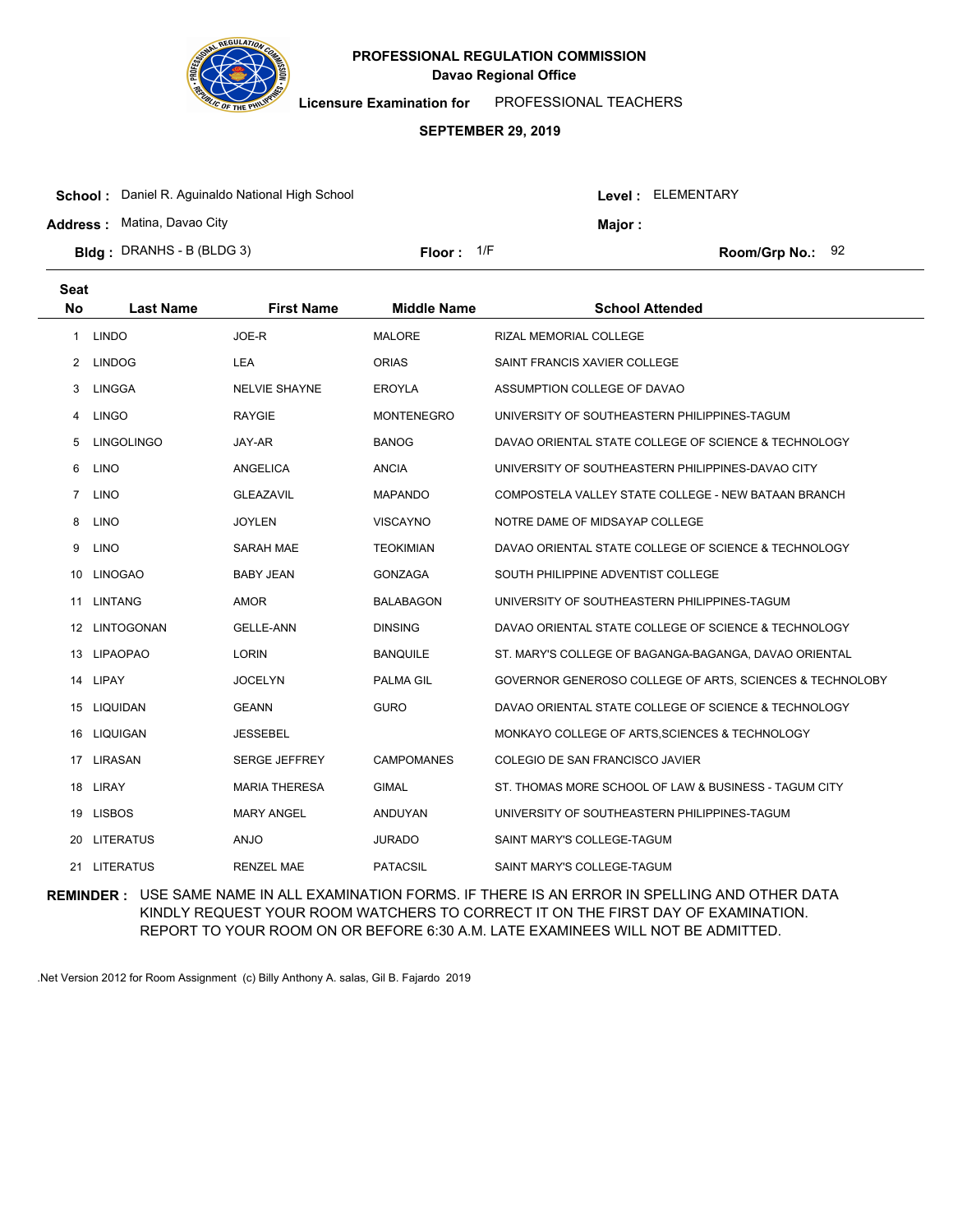

**Licensure Examination for**  PROFESSIONAL TEACHERS

### **SEPTEMBER 29, 2019**

| <b>School:</b> Daniel R. Aguinaldo National High School |              |  |         | Level: ELEMENTARY  |  |  |
|---------------------------------------------------------|--------------|--|---------|--------------------|--|--|
| <b>Address: Matina, Davao City</b>                      |              |  | Maior : |                    |  |  |
| <b>Bldg</b> : DRANHS - B (BLDG 3)                       | Floor: $1/F$ |  |         | Room/Grp No.: $92$ |  |  |

| <b>Seat</b><br><b>No</b> | <b>Last Name</b>  | <b>First Name</b>    | <b>Middle Name</b> | <b>School Attended</b>                                   |
|--------------------------|-------------------|----------------------|--------------------|----------------------------------------------------------|
| 1                        | <b>LINDO</b>      | JOE-R                | <b>MALORE</b>      | RIZAL MEMORIAL COLLEGE                                   |
| 2                        | <b>LINDOG</b>     | <b>LEA</b>           | <b>ORIAS</b>       | SAINT FRANCIS XAVIER COLLEGE                             |
| 3                        | LINGGA            | <b>NELVIE SHAYNE</b> | <b>EROYLA</b>      | ASSUMPTION COLLEGE OF DAVAO                              |
| 4                        | <b>LINGO</b>      | <b>RAYGIE</b>        | <b>MONTENEGRO</b>  | UNIVERSITY OF SOUTHEASTERN PHILIPPINES-TAGUM             |
| 5                        | <b>LINGOLINGO</b> | JAY-AR               | <b>BANOG</b>       | DAVAO ORIENTAL STATE COLLEGE OF SCIENCE & TECHNOLOGY     |
| 6                        | <b>LINO</b>       | <b>ANGELICA</b>      | <b>ANCIA</b>       | UNIVERSITY OF SOUTHEASTERN PHILIPPINES-DAVAO CITY        |
| $\overline{7}$           | <b>LINO</b>       | <b>GLEAZAVIL</b>     | <b>MAPANDO</b>     | COMPOSTELA VALLEY STATE COLLEGE - NEW BATAAN BRANCH      |
| 8                        | <b>LINO</b>       | <b>JOYLEN</b>        | <b>VISCAYNO</b>    | NOTRE DAME OF MIDSAYAP COLLEGE                           |
| 9                        | <b>LINO</b>       | SARAH MAE            | <b>TEOKIMIAN</b>   | DAVAO ORIENTAL STATE COLLEGE OF SCIENCE & TECHNOLOGY     |
| 10                       | <b>LINOGAO</b>    | <b>BABY JEAN</b>     | <b>GONZAGA</b>     | SOUTH PHILIPPINE ADVENTIST COLLEGE                       |
| 11                       | <b>LINTANG</b>    | <b>AMOR</b>          | <b>BALABAGON</b>   | UNIVERSITY OF SOUTHEASTERN PHILIPPINES-TAGUM             |
|                          | 12 LINTOGONAN     | <b>GELLE-ANN</b>     | <b>DINSING</b>     | DAVAO ORIENTAL STATE COLLEGE OF SCIENCE & TECHNOLOGY     |
| 13                       | <b>LIPAOPAO</b>   | <b>LORIN</b>         | <b>BANQUILE</b>    | ST. MARY'S COLLEGE OF BAGANGA-BAGANGA, DAVAO ORIENTAL    |
| 14                       | LIPAY             | <b>JOCELYN</b>       | PALMA GIL          | GOVERNOR GENEROSO COLLEGE OF ARTS, SCIENCES & TECHNOLOBY |
|                          | 15 LIQUIDAN       | <b>GEANN</b>         | <b>GURO</b>        | DAVAO ORIENTAL STATE COLLEGE OF SCIENCE & TECHNOLOGY     |
| 16                       | <b>LIQUIGAN</b>   | <b>JESSEBEL</b>      |                    | MONKAYO COLLEGE OF ARTS, SCIENCES & TECHNOLOGY           |
| 17                       | LIRASAN           | <b>SERGE JEFFREY</b> | <b>CAMPOMANES</b>  | COLEGIO DE SAN FRANCISCO JAVIER                          |
|                          | 18 LIRAY          | <b>MARIA THERESA</b> | <b>GIMAL</b>       | ST. THOMAS MORE SCHOOL OF LAW & BUSINESS - TAGUM CITY    |
|                          | 19 LISBOS         | <b>MARY ANGEL</b>    | ANDUYAN            | UNIVERSITY OF SOUTHEASTERN PHILIPPINES-TAGUM             |
| 20                       | <b>LITERATUS</b>  | ANJO                 | <b>JURADO</b>      | SAINT MARY'S COLLEGE-TAGUM                               |
| 21                       | <b>LITERATUS</b>  | <b>RENZEL MAE</b>    | <b>PATACSIL</b>    | SAINT MARY'S COLLEGE-TAGUM                               |

**REMINDER :** USE SAME NAME IN ALL EXAMINATION FORMS. IF THERE IS AN ERROR IN SPELLING AND OTHER DATA KINDLY REQUEST YOUR ROOM WATCHERS TO CORRECT IT ON THE FIRST DAY OF EXAMINATION. REPORT TO YOUR ROOM ON OR BEFORE 6:30 A.M. LATE EXAMINEES WILL NOT BE ADMITTED.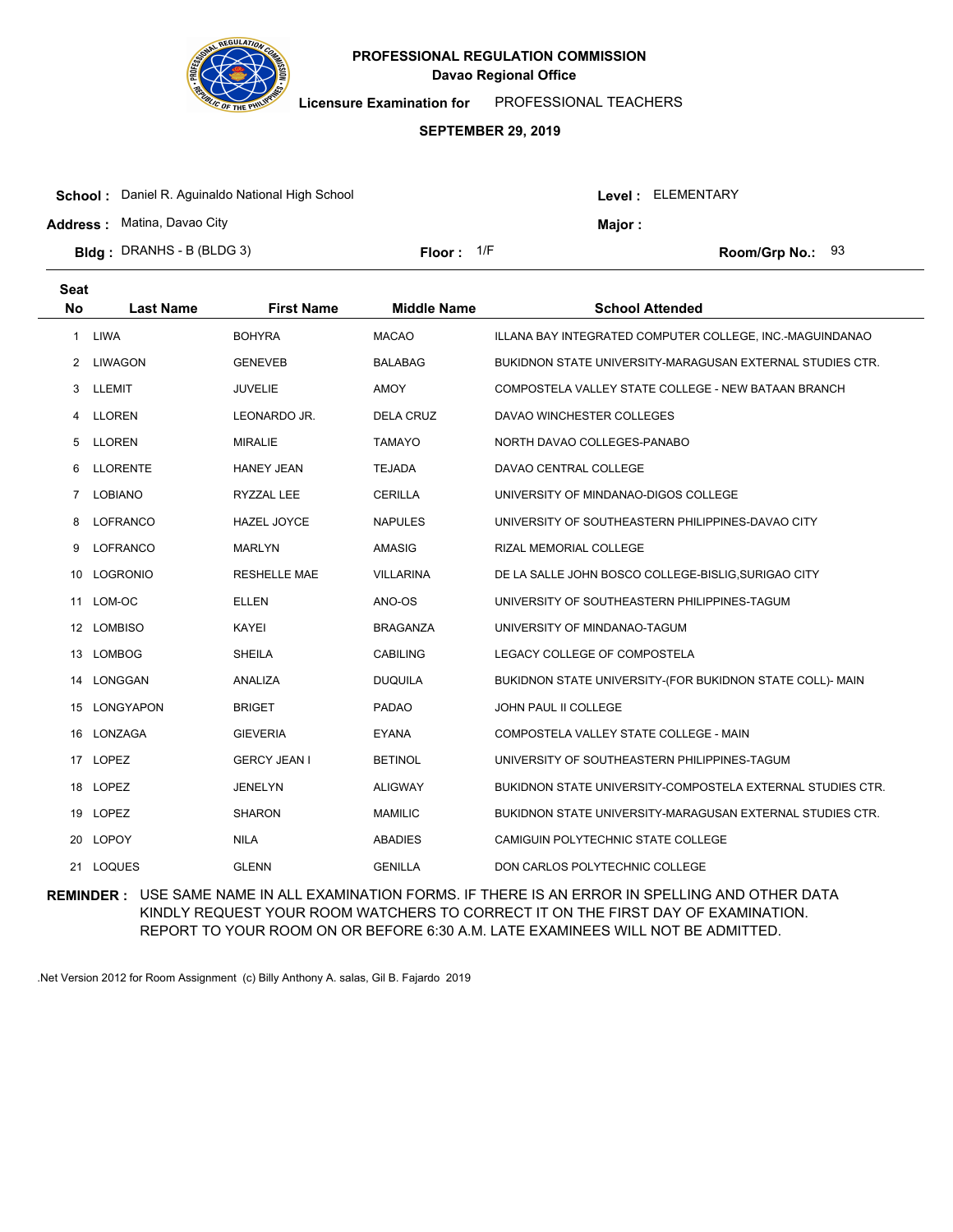

**Licensure Examination for**  PROFESSIONAL TEACHERS

#### **SEPTEMBER 29, 2019**

| <b>School:</b> Daniel R. Aguinaldo National High School                 |                     |         | Level : ELEMENTARY      |  |
|-------------------------------------------------------------------------|---------------------|---------|-------------------------|--|
| <b>Address:</b> Matina, Davao City<br><b>Bldg</b> : DRANHS - B (BLDG 3) | <b>Floor:</b> $1/F$ | Maior : | <b>Room/Grp No.: 93</b> |  |
|                                                                         |                     |         |                         |  |

| <b>Seat</b><br><b>No</b> | <b>Last Name</b> | <b>First Name</b>   | <b>Middle Name</b> | <b>School Attended</b>                                     |
|--------------------------|------------------|---------------------|--------------------|------------------------------------------------------------|
| 1                        | <b>LIWA</b>      | <b>BOHYRA</b>       | <b>MACAO</b>       | ILLANA BAY INTEGRATED COMPUTER COLLEGE, INC.-MAGUINDANAO   |
| 2                        | <b>LIWAGON</b>   | <b>GENEVEB</b>      | <b>BALABAG</b>     | BUKIDNON STATE UNIVERSITY-MARAGUSAN EXTERNAL STUDIES CTR.  |
| 3                        | LLEMIT           | <b>JUVELIE</b>      | <b>AMOY</b>        | COMPOSTELA VALLEY STATE COLLEGE - NEW BATAAN BRANCH        |
| 4                        | <b>LLOREN</b>    | LEONARDO JR.        | <b>DELA CRUZ</b>   | DAVAO WINCHESTER COLLEGES                                  |
| 5                        | <b>LLOREN</b>    | <b>MIRALIE</b>      | <b>TAMAYO</b>      | NORTH DAVAO COLLEGES-PANABO                                |
| 6                        | <b>LLORENTE</b>  | <b>HANEY JEAN</b>   | <b>TEJADA</b>      | DAVAO CENTRAL COLLEGE                                      |
| $\overline{7}$           | <b>LOBIANO</b>   | RYZZAL LEE          | <b>CERILLA</b>     | UNIVERSITY OF MINDANAO-DIGOS COLLEGE                       |
| 8                        | <b>LOFRANCO</b>  | HAZEL JOYCE         | <b>NAPULES</b>     | UNIVERSITY OF SOUTHEASTERN PHILIPPINES-DAVAO CITY          |
| 9                        | LOFRANCO         | <b>MARLYN</b>       | <b>AMASIG</b>      | <b>RIZAL MEMORIAL COLLEGE</b>                              |
| 10                       | LOGRONIO         | <b>RESHELLE MAE</b> | <b>VILLARINA</b>   | DE LA SALLE JOHN BOSCO COLLEGE-BISLIG, SURIGAO CITY        |
| 11                       | LOM-OC           | <b>ELLEN</b>        | ANO-OS             | UNIVERSITY OF SOUTHEASTERN PHILIPPINES-TAGUM               |
|                          | 12 LOMBISO       | KAYEI               | <b>BRAGANZA</b>    | UNIVERSITY OF MINDANAO-TAGUM                               |
| 13                       | <b>LOMBOG</b>    | <b>SHEILA</b>       | <b>CABILING</b>    | LEGACY COLLEGE OF COMPOSTELA                               |
| 14                       | LONGGAN          | ANALIZA             | <b>DUQUILA</b>     | BUKIDNON STATE UNIVERSITY-(FOR BUKIDNON STATE COLL)- MAIN  |
| 15                       | <b>LONGYAPON</b> | <b>BRIGET</b>       | <b>PADAO</b>       | JOHN PAUL II COLLEGE                                       |
|                          | 16 LONZAGA       | <b>GIEVERIA</b>     | <b>EYANA</b>       | COMPOSTELA VALLEY STATE COLLEGE - MAIN                     |
| 17                       | <b>LOPEZ</b>     | <b>GERCY JEAN I</b> | <b>BETINOL</b>     | UNIVERSITY OF SOUTHEASTERN PHILIPPINES-TAGUM               |
|                          | 18 LOPEZ         | <b>JENELYN</b>      | <b>ALIGWAY</b>     | BUKIDNON STATE UNIVERSITY-COMPOSTELA EXTERNAL STUDIES CTR. |
|                          | 19 LOPEZ         | <b>SHARON</b>       | <b>MAMILIC</b>     | BUKIDNON STATE UNIVERSITY-MARAGUSAN EXTERNAL STUDIES CTR.  |
| 20                       | LOPOY            | <b>NILA</b>         | <b>ABADIES</b>     | CAMIGUIN POLYTECHNIC STATE COLLEGE                         |
| 21.                      | <b>LOQUES</b>    | <b>GLENN</b>        | <b>GENILLA</b>     | DON CARLOS POLYTECHNIC COLLEGE                             |
|                          |                  |                     |                    |                                                            |

**REMINDER :** USE SAME NAME IN ALL EXAMINATION FORMS. IF THERE IS AN ERROR IN SPELLING AND OTHER DATA KINDLY REQUEST YOUR ROOM WATCHERS TO CORRECT IT ON THE FIRST DAY OF EXAMINATION. REPORT TO YOUR ROOM ON OR BEFORE 6:30 A.M. LATE EXAMINEES WILL NOT BE ADMITTED.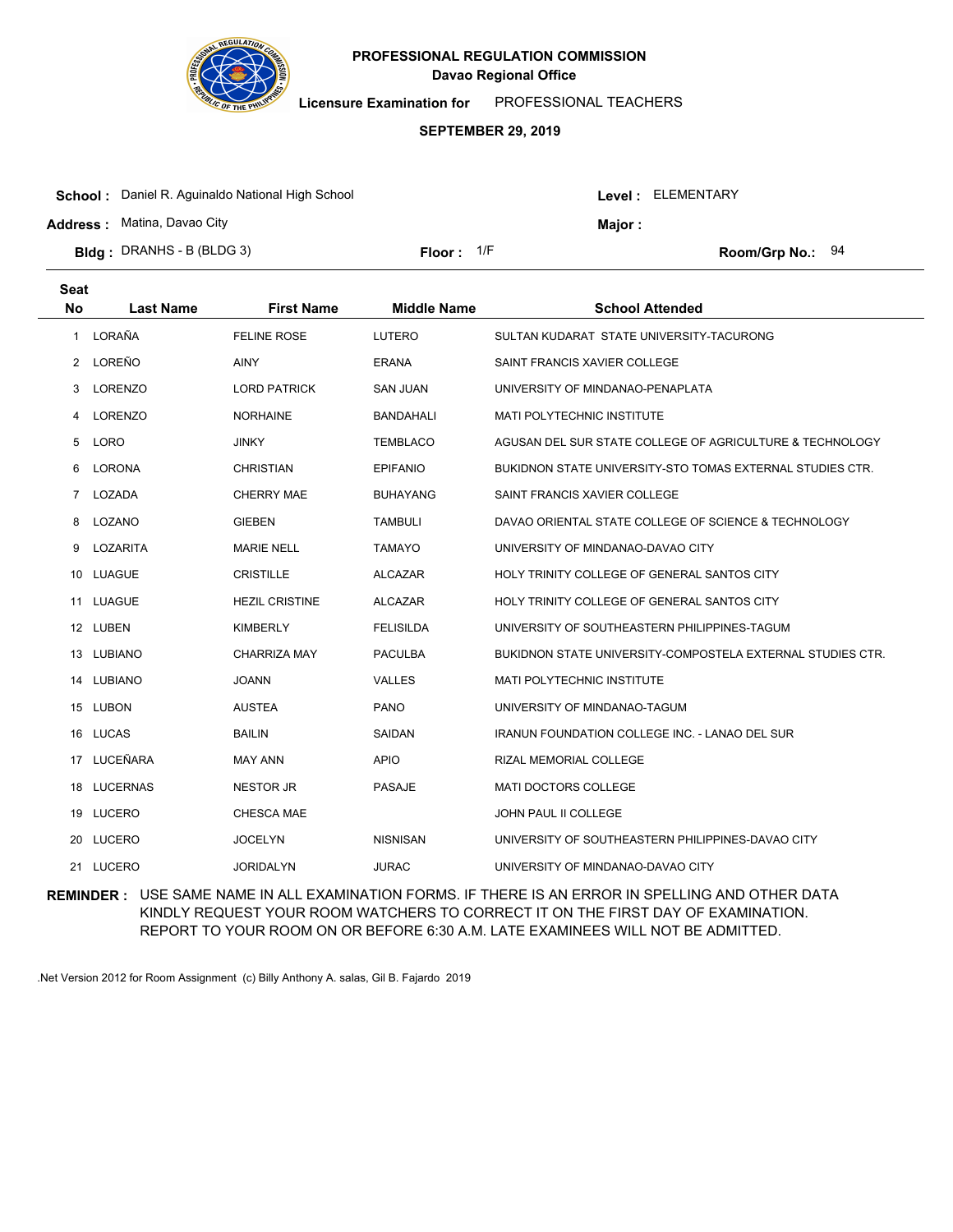

**Licensure Examination for**  PROFESSIONAL TEACHERS

### **SEPTEMBER 29, 2019**

| <b>School:</b> Daniel R. Aguinaldo National High School |              |  | Level: ELEMENTARY |                    |  |
|---------------------------------------------------------|--------------|--|-------------------|--------------------|--|
| <b>Address:</b> Matina, Davao City                      |              |  | Major :           |                    |  |
| <b>Bldg</b> : DRANHS - B (BLDG 3)                       | Floor: $1/F$ |  |                   | Room/Grp No.: $94$ |  |

| <b>Seat</b><br><b>No</b> | <b>Last Name</b> | <b>First Name</b>     | <b>Middle Name</b> | <b>School Attended</b>                                     |
|--------------------------|------------------|-----------------------|--------------------|------------------------------------------------------------|
| 1                        | LORAÑA           | <b>FELINE ROSE</b>    | LUTERO             | SULTAN KUDARAT STATE UNIVERSITY-TACURONG                   |
| 2                        | LOREÑO           | <b>AINY</b>           | <b>ERANA</b>       | SAINT FRANCIS XAVIER COLLEGE                               |
| 3                        | LORENZO          | <b>LORD PATRICK</b>   | <b>SAN JUAN</b>    | UNIVERSITY OF MINDANAO-PENAPLATA                           |
| 4                        | <b>LORENZO</b>   | <b>NORHAINE</b>       | <b>BANDAHALI</b>   | MATI POLYTECHNIC INSTITUTE                                 |
| 5                        | <b>LORO</b>      | <b>JINKY</b>          | <b>TEMBLACO</b>    | AGUSAN DEL SUR STATE COLLEGE OF AGRICULTURE & TECHNOLOGY   |
| 6                        | <b>LORONA</b>    | <b>CHRISTIAN</b>      | <b>EPIFANIO</b>    | BUKIDNON STATE UNIVERSITY-STO TOMAS EXTERNAL STUDIES CTR.  |
| $\overline{7}$           | LOZADA           | <b>CHERRY MAE</b>     | <b>BUHAYANG</b>    | SAINT FRANCIS XAVIER COLLEGE                               |
| 8                        | LOZANO           | <b>GIEBEN</b>         | <b>TAMBULI</b>     | DAVAO ORIENTAL STATE COLLEGE OF SCIENCE & TECHNOLOGY       |
| 9                        | LOZARITA         | <b>MARIE NELL</b>     | <b>TAMAYO</b>      | UNIVERSITY OF MINDANAO-DAVAO CITY                          |
| 10                       | LUAGUE           | <b>CRISTILLE</b>      | <b>ALCAZAR</b>     | HOLY TRINITY COLLEGE OF GENERAL SANTOS CITY                |
| 11                       | <b>LUAGUE</b>    | <b>HEZIL CRISTINE</b> | <b>ALCAZAR</b>     | HOLY TRINITY COLLEGE OF GENERAL SANTOS CITY                |
|                          | 12 LUBEN         | KIMBERLY              | <b>FELISILDA</b>   | UNIVERSITY OF SOUTHEASTERN PHILIPPINES-TAGUM               |
| 13                       | LUBIANO          | <b>CHARRIZA MAY</b>   | <b>PACULBA</b>     | BUKIDNON STATE UNIVERSITY-COMPOSTELA EXTERNAL STUDIES CTR. |
| 14                       | LUBIANO          | <b>JOANN</b>          | <b>VALLES</b>      | <b>MATI POLYTECHNIC INSTITUTE</b>                          |
|                          | 15 LUBON         | <b>AUSTEA</b>         | <b>PANO</b>        | UNIVERSITY OF MINDANAO-TAGUM                               |
|                          | 16 LUCAS         | <b>BAILIN</b>         | <b>SAIDAN</b>      | <b>IRANUN FOUNDATION COLLEGE INC. - LANAO DEL SUR</b>      |
| 17                       | LUCEÑARA         | <b>MAY ANN</b>        | <b>APIO</b>        | RIZAL MEMORIAL COLLEGE                                     |
|                          | 18 LUCERNAS      | <b>NESTOR JR</b>      | <b>PASAJE</b>      | <b>MATI DOCTORS COLLEGE</b>                                |
|                          | 19 LUCERO        | CHESCA MAE            |                    | JOHN PAUL II COLLEGE                                       |
| 20                       | <b>LUCERO</b>    | <b>JOCELYN</b>        | <b>NISNISAN</b>    | UNIVERSITY OF SOUTHEASTERN PHILIPPINES-DAVAO CITY          |
|                          | 21 LUCERO        | <b>JORIDALYN</b>      | <b>JURAC</b>       | UNIVERSITY OF MINDANAO-DAVAO CITY                          |

**REMINDER :** USE SAME NAME IN ALL EXAMINATION FORMS. IF THERE IS AN ERROR IN SPELLING AND OTHER DATA KINDLY REQUEST YOUR ROOM WATCHERS TO CORRECT IT ON THE FIRST DAY OF EXAMINATION. REPORT TO YOUR ROOM ON OR BEFORE 6:30 A.M. LATE EXAMINEES WILL NOT BE ADMITTED.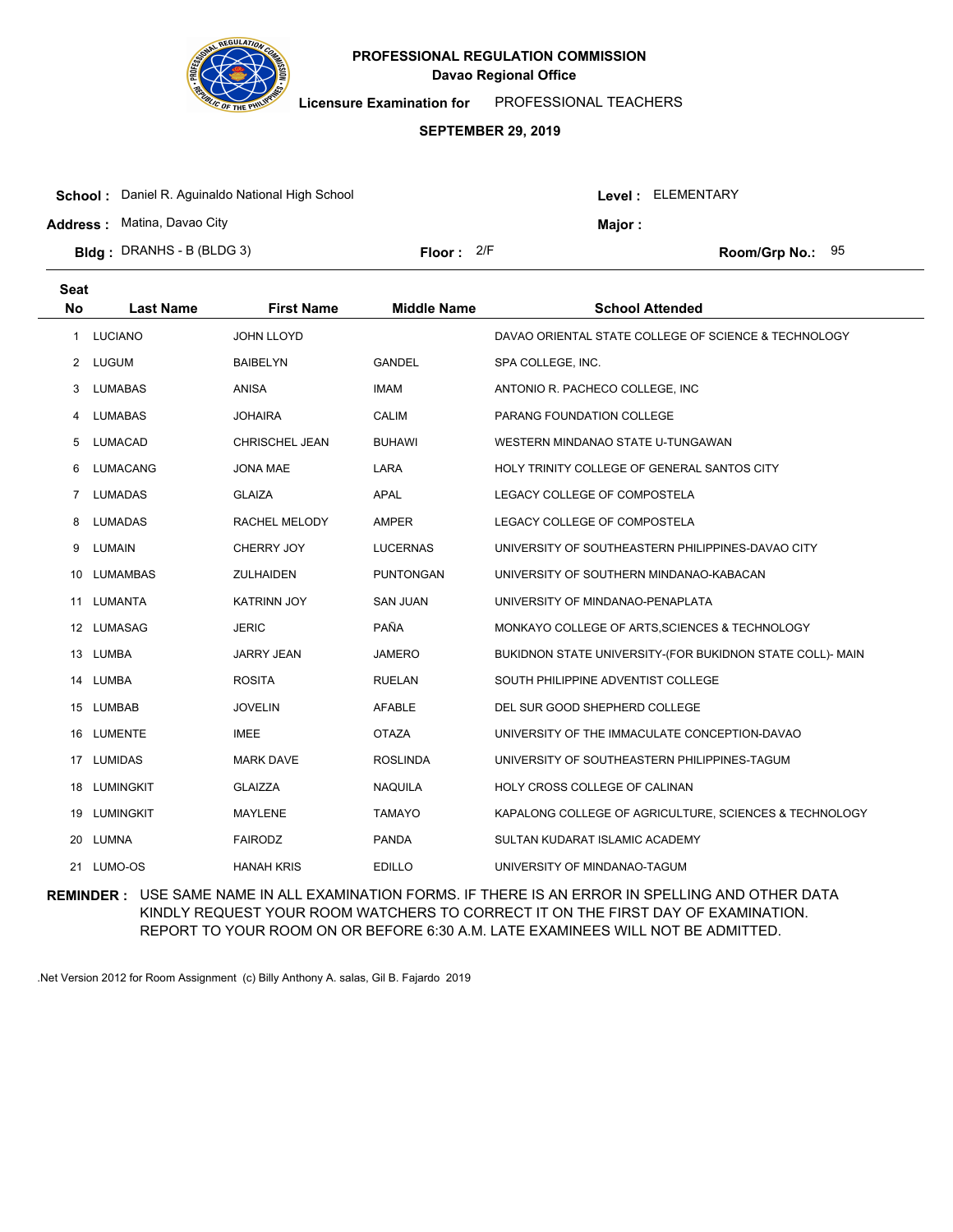

**Licensure Examination for**  PROFESSIONAL TEACHERS

#### **SEPTEMBER 29, 2019**

| <b>School:</b> Daniel R. Aguinaldo National High School |              |  | Level : ELEMENTARY |                    |  |
|---------------------------------------------------------|--------------|--|--------------------|--------------------|--|
| <b>Address:</b> Matina, Davao City                      |              |  | Maior:             |                    |  |
| <b>Bldg</b> : DRANHS - B (BLDG 3)                       | Floor: $2/F$ |  |                    | Room/Grp No.: $95$ |  |

| <b>Seat</b><br><b>No</b> | <b>Last Name</b> | <b>First Name</b>  | <b>Middle Name</b> | <b>School Attended</b>                                    |
|--------------------------|------------------|--------------------|--------------------|-----------------------------------------------------------|
| 1                        | LUCIANO          | <b>JOHN LLOYD</b>  |                    | DAVAO ORIENTAL STATE COLLEGE OF SCIENCE & TECHNOLOGY      |
| 2                        | LUGUM            | <b>BAIBELYN</b>    | <b>GANDEL</b>      | SPA COLLEGE, INC.                                         |
| 3                        | LUMABAS          | <b>ANISA</b>       | <b>IMAM</b>        | ANTONIO R. PACHECO COLLEGE, INC.                          |
| 4                        | LUMABAS          | <b>JOHAIRA</b>     | <b>CALIM</b>       | PARANG FOUNDATION COLLEGE                                 |
| 5                        | LUMACAD          | CHRISCHEL JEAN     | <b>BUHAWI</b>      | WESTERN MINDANAO STATE U-TUNGAWAN                         |
| 6                        | <b>LUMACANG</b>  | JONA MAE           | LARA               | HOLY TRINITY COLLEGE OF GENERAL SANTOS CITY               |
| 7                        | <b>LUMADAS</b>   | <b>GLAIZA</b>      | <b>APAL</b>        | LEGACY COLLEGE OF COMPOSTELA                              |
| 8                        | <b>LUMADAS</b>   | RACHEL MELODY      | <b>AMPER</b>       | LEGACY COLLEGE OF COMPOSTELA                              |
| 9                        | LUMAIN           | CHERRY JOY         | <b>LUCERNAS</b>    | UNIVERSITY OF SOUTHEASTERN PHILIPPINES-DAVAO CITY         |
| 10                       | LUMAMBAS         | ZULHAIDEN          | <b>PUNTONGAN</b>   | UNIVERSITY OF SOUTHERN MINDANAO-KABACAN                   |
| 11                       | LUMANTA          | <b>KATRINN JOY</b> | <b>SAN JUAN</b>    | UNIVERSITY OF MINDANAO-PENAPLATA                          |
|                          | 12 LUMASAG       | <b>JERIC</b>       | PAÑA               | MONKAYO COLLEGE OF ARTS, SCIENCES & TECHNOLOGY            |
| 13                       | LUMBA            | <b>JARRY JEAN</b>  | <b>JAMERO</b>      | BUKIDNON STATE UNIVERSITY-(FOR BUKIDNON STATE COLL)- MAIN |
| 14                       | LUMBA            | <b>ROSITA</b>      | <b>RUELAN</b>      | SOUTH PHILIPPINE ADVENTIST COLLEGE                        |
|                          | 15 LUMBAB        | <b>JOVELIN</b>     | <b>AFABLE</b>      | DEL SUR GOOD SHEPHERD COLLEGE                             |
| 16                       | LUMENTE          | <b>IMEE</b>        | <b>OTAZA</b>       | UNIVERSITY OF THE IMMACULATE CONCEPTION-DAVAO             |
| 17                       | <b>LUMIDAS</b>   | <b>MARK DAVE</b>   | <b>ROSLINDA</b>    | UNIVERSITY OF SOUTHEASTERN PHILIPPINES-TAGUM              |
| 18                       | LUMINGKIT        | <b>GLAIZZA</b>     | <b>NAQUILA</b>     | HOLY CROSS COLLEGE OF CALINAN                             |
|                          | 19 LUMINGKIT     | <b>MAYLENE</b>     | <b>TAMAYO</b>      | KAPALONG COLLEGE OF AGRICULTURE, SCIENCES & TECHNOLOGY    |
| 20                       | LUMNA            | <b>FAIRODZ</b>     | <b>PANDA</b>       | SULTAN KUDARAT ISLAMIC ACADEMY                            |
|                          | 21 LUMO-OS       | <b>HANAH KRIS</b>  | <b>EDILLO</b>      | UNIVERSITY OF MINDANAO-TAGUM                              |

**REMINDER :** USE SAME NAME IN ALL EXAMINATION FORMS. IF THERE IS AN ERROR IN SPELLING AND OTHER DATA KINDLY REQUEST YOUR ROOM WATCHERS TO CORRECT IT ON THE FIRST DAY OF EXAMINATION. REPORT TO YOUR ROOM ON OR BEFORE 6:30 A.M. LATE EXAMINEES WILL NOT BE ADMITTED.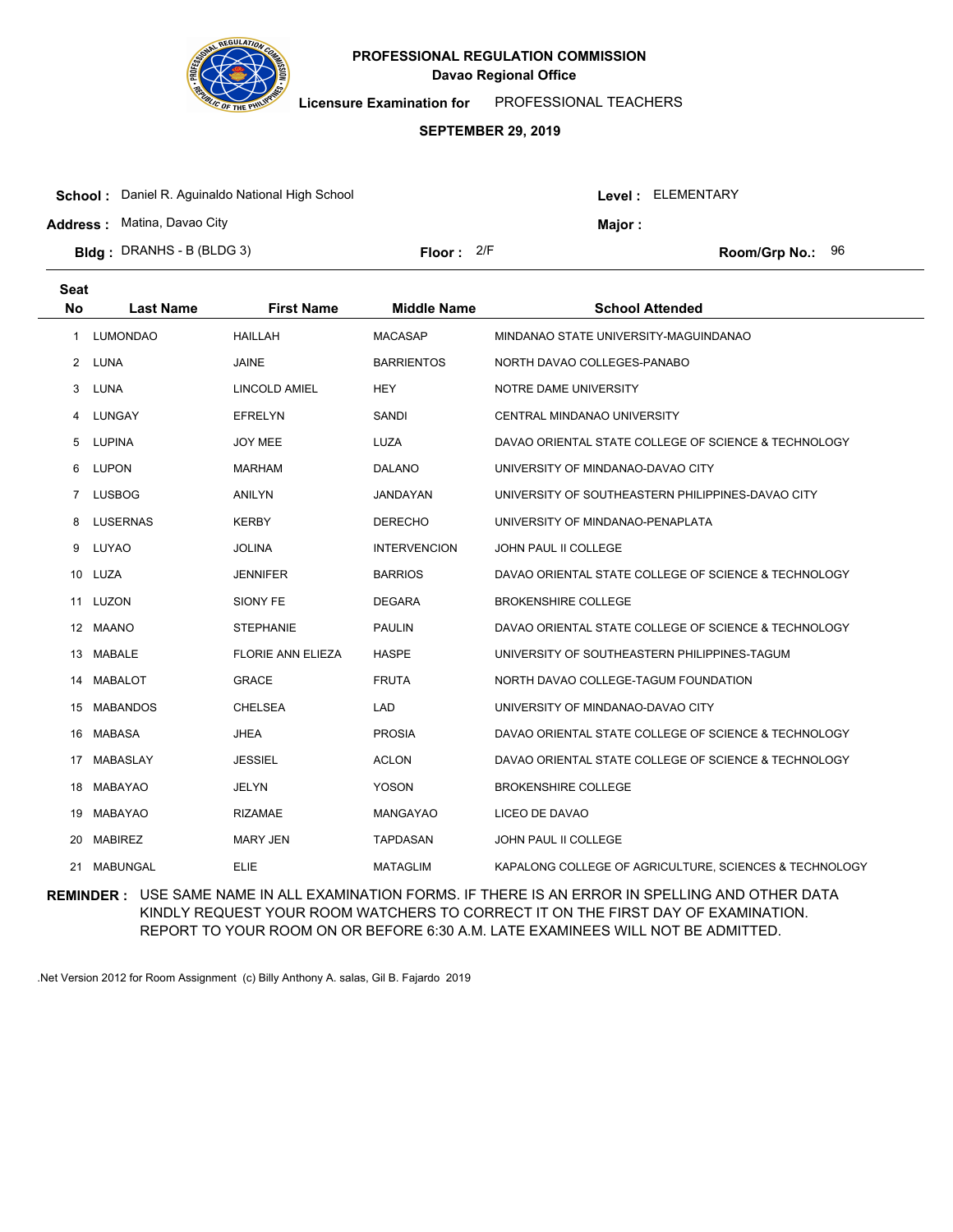

**Licensure Examination for**  PROFESSIONAL TEACHERS

### **SEPTEMBER 29, 2019**

| <b>Bldg</b> : DRANHS - B (BLDG 3)                       | Floor: $2/F$ |  |                   | <b>Room/Grp No.:</b> $96$ |  |
|---------------------------------------------------------|--------------|--|-------------------|---------------------------|--|
|                                                         |              |  |                   |                           |  |
| <b>Address: Matina, Davao City</b>                      |              |  | Maior :           |                           |  |
| <b>School:</b> Daniel R. Aguinaldo National High School |              |  | Level: ELEMENTARY |                           |  |

| <b>Seat</b><br><b>No</b> | <b>Last Name</b> | <b>First Name</b>        | <b>Middle Name</b>  | <b>School Attended</b>                                 |
|--------------------------|------------------|--------------------------|---------------------|--------------------------------------------------------|
| 1                        | <b>LUMONDAO</b>  | <b>HAILLAH</b>           | <b>MACASAP</b>      | MINDANAO STATE UNIVERSITY-MAGUINDANAO                  |
| 2                        | LUNA             | <b>JAINE</b>             | <b>BARRIENTOS</b>   | NORTH DAVAO COLLEGES-PANABO                            |
| 3                        | LUNA             | LINCOLD AMIEL            | <b>HEY</b>          | NOTRE DAME UNIVERSITY                                  |
| 4                        | LUNGAY           | <b>EFRELYN</b>           | <b>SANDI</b>        | CENTRAL MINDANAO UNIVERSITY                            |
| 5                        | <b>LUPINA</b>    | JOY MEE                  | LUZA                | DAVAO ORIENTAL STATE COLLEGE OF SCIENCE & TECHNOLOGY   |
| 6                        | <b>LUPON</b>     | <b>MARHAM</b>            | <b>DALANO</b>       | UNIVERSITY OF MINDANAO-DAVAO CITY                      |
| 7                        | <b>LUSBOG</b>    | <b>ANILYN</b>            | JANDAYAN            | UNIVERSITY OF SOUTHEASTERN PHILIPPINES-DAVAO CITY      |
| 8                        | <b>LUSERNAS</b>  | <b>KERBY</b>             | <b>DERECHO</b>      | UNIVERSITY OF MINDANAO-PENAPLATA                       |
| 9                        | LUYAO            | <b>JOLINA</b>            | <b>INTERVENCION</b> | <b>JOHN PAUL II COLLEGE</b>                            |
| 10                       | LUZA             | <b>JENNIFER</b>          | <b>BARRIOS</b>      | DAVAO ORIENTAL STATE COLLEGE OF SCIENCE & TECHNOLOGY   |
| 11                       | LUZON            | SIONY FE                 | <b>DEGARA</b>       | <b>BROKENSHIRE COLLEGE</b>                             |
|                          | 12 MAANO         | <b>STEPHANIE</b>         | <b>PAULIN</b>       | DAVAO ORIENTAL STATE COLLEGE OF SCIENCE & TECHNOLOGY   |
| 13                       | <b>MABALE</b>    | <b>FLORIE ANN ELIEZA</b> | <b>HASPE</b>        | UNIVERSITY OF SOUTHEASTERN PHILIPPINES-TAGUM           |
| 14                       | <b>MABALOT</b>   | <b>GRACE</b>             | <b>FRUTA</b>        | NORTH DAVAO COLLEGE-TAGUM FOUNDATION                   |
| 15                       | <b>MABANDOS</b>  | CHELSEA                  | <b>LAD</b>          | UNIVERSITY OF MINDANAO-DAVAO CITY                      |
| 16                       | MABASA           | <b>JHEA</b>              | <b>PROSIA</b>       | DAVAO ORIENTAL STATE COLLEGE OF SCIENCE & TECHNOLOGY   |
| 17                       | <b>MABASLAY</b>  | <b>JESSIEL</b>           | <b>ACLON</b>        | DAVAO ORIENTAL STATE COLLEGE OF SCIENCE & TECHNOLOGY   |
| 18                       | MABAYAO          | JELYN                    | <b>YOSON</b>        | <b>BROKENSHIRE COLLEGE</b>                             |
| 19                       | MABAYAO          | <b>RIZAMAE</b>           | MANGAYAO            | LICEO DE DAVAO                                         |
| 20                       | <b>MABIREZ</b>   | <b>MARY JEN</b>          | <b>TAPDASAN</b>     | JOHN PAUL II COLLEGE                                   |
| 21                       | <b>MABUNGAL</b>  | <b>ELIE</b>              | <b>MATAGLIM</b>     | KAPALONG COLLEGE OF AGRICULTURE, SCIENCES & TECHNOLOGY |

**REMINDER :** USE SAME NAME IN ALL EXAMINATION FORMS. IF THERE IS AN ERROR IN SPELLING AND OTHER DATA KINDLY REQUEST YOUR ROOM WATCHERS TO CORRECT IT ON THE FIRST DAY OF EXAMINATION. REPORT TO YOUR ROOM ON OR BEFORE 6:30 A.M. LATE EXAMINEES WILL NOT BE ADMITTED.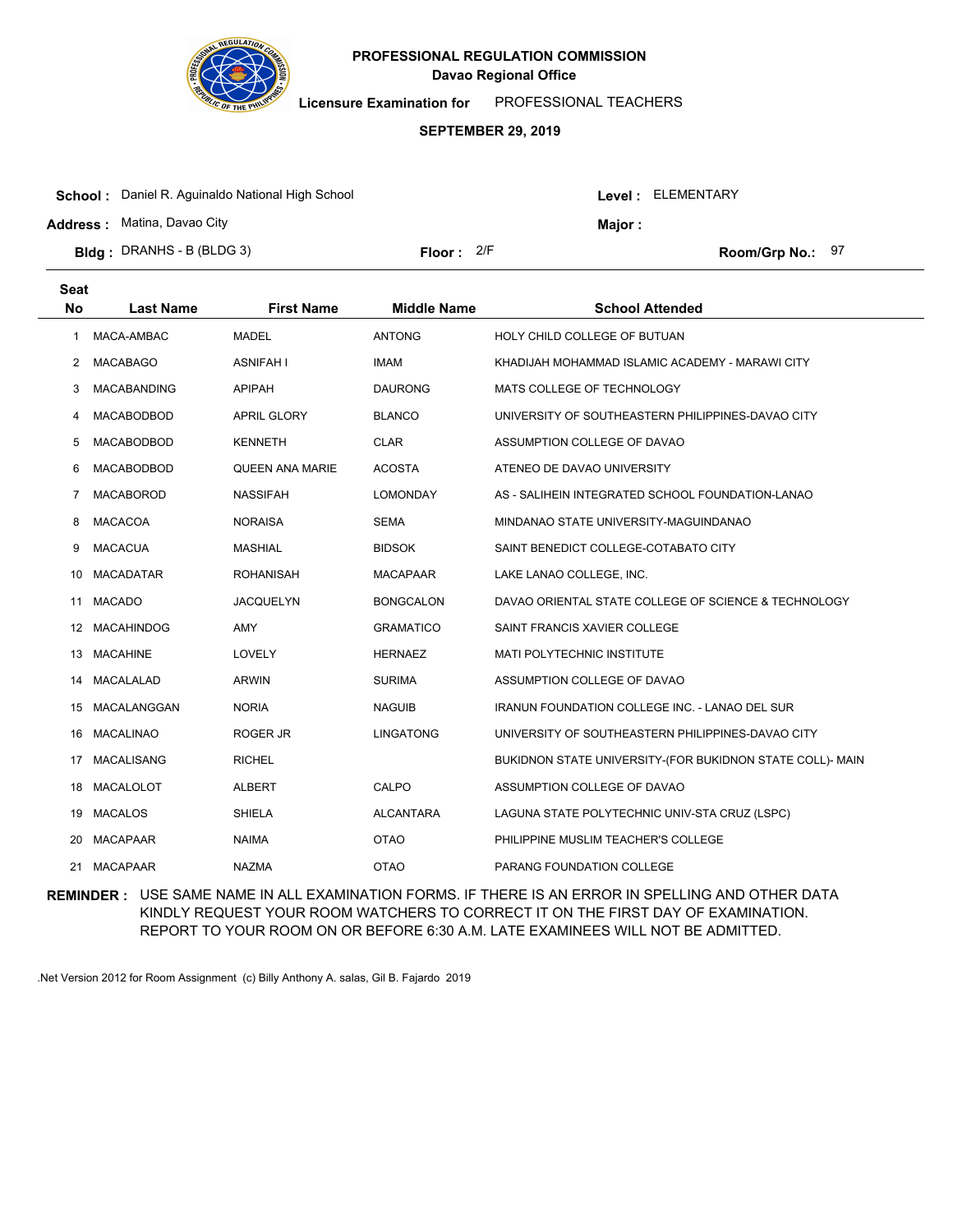

**Licensure Examination for**  PROFESSIONAL TEACHERS

### **SEPTEMBER 29, 2019**

| <b>School:</b> Daniel R. Aguinaldo National High School |              |  |         | Level : ELEMENTARY |  |  |
|---------------------------------------------------------|--------------|--|---------|--------------------|--|--|
| <b>Address: Matina, Davao City</b>                      |              |  | Major : |                    |  |  |
| <b>Bldg</b> : DRANHS - B (BLDG 3)                       | Floor: $2/F$ |  |         | Room/Grp No.: 97   |  |  |

| <b>Seat</b><br>No | <b>Last Name</b>   | <b>First Name</b>  | <b>Middle Name</b> | <b>School Attended</b>                                    |
|-------------------|--------------------|--------------------|--------------------|-----------------------------------------------------------|
| 1                 | MACA-AMBAC         | <b>MADEL</b>       | <b>ANTONG</b>      | HOLY CHILD COLLEGE OF BUTUAN                              |
| 2                 | <b>MACABAGO</b>    | <b>ASNIFAH I</b>   | <b>IMAM</b>        | KHADIJAH MOHAMMAD ISLAMIC ACADEMY - MARAWI CITY           |
| 3                 | <b>MACABANDING</b> | <b>APIPAH</b>      | <b>DAURONG</b>     | MATS COLLEGE OF TECHNOLOGY                                |
| 4                 | MACABODBOD         | <b>APRIL GLORY</b> | <b>BLANCO</b>      | UNIVERSITY OF SOUTHEASTERN PHILIPPINES-DAVAO CITY         |
| 5                 | <b>MACABODBOD</b>  | <b>KENNETH</b>     | <b>CLAR</b>        | ASSUMPTION COLLEGE OF DAVAO                               |
| 6                 | MACABODBOD         | QUEEN ANA MARIE    | <b>ACOSTA</b>      | ATENEO DE DAVAO UNIVERSITY                                |
| 7                 | <b>MACABOROD</b>   | <b>NASSIFAH</b>    | <b>LOMONDAY</b>    | AS - SALIHEIN INTEGRATED SCHOOL FOUNDATION-LANAO          |
| 8                 | <b>MACACOA</b>     | <b>NORAISA</b>     | <b>SEMA</b>        | MINDANAO STATE UNIVERSITY-MAGUINDANAO                     |
| 9                 | <b>MACACUA</b>     | <b>MASHIAL</b>     | <b>BIDSOK</b>      | SAINT BENEDICT COLLEGE-COTABATO CITY                      |
| 10                | <b>MACADATAR</b>   | <b>ROHANISAH</b>   | <b>MACAPAAR</b>    | LAKE LANAO COLLEGE, INC.                                  |
| 11                | <b>MACADO</b>      | <b>JACQUELYN</b>   | <b>BONGCALON</b>   | DAVAO ORIENTAL STATE COLLEGE OF SCIENCE & TECHNOLOGY      |
| 12                | <b>MACAHINDOG</b>  | <b>AMY</b>         | <b>GRAMATICO</b>   | SAINT FRANCIS XAVIER COLLEGE                              |
| 13                | <b>MACAHINE</b>    | LOVELY             | <b>HERNAEZ</b>     | MATI POLYTECHNIC INSTITUTE                                |
| 14                | MACALALAD          | <b>ARWIN</b>       | <b>SURIMA</b>      | ASSUMPTION COLLEGE OF DAVAO                               |
| 15                | MACALANGGAN        | <b>NORIA</b>       | <b>NAGUIB</b>      | <b>IRANUN FOUNDATION COLLEGE INC. - LANAO DEL SUR</b>     |
| 16                | <b>MACALINAO</b>   | ROGER JR           | <b>LINGATONG</b>   | UNIVERSITY OF SOUTHEASTERN PHILIPPINES-DAVAO CITY         |
| 17                | <b>MACALISANG</b>  | <b>RICHEL</b>      |                    | BUKIDNON STATE UNIVERSITY-(FOR BUKIDNON STATE COLL)- MAIN |
| 18                | MACALOLOT          | <b>ALBERT</b>      | CALPO              | ASSUMPTION COLLEGE OF DAVAO                               |
| 19                | <b>MACALOS</b>     | <b>SHIELA</b>      | <b>ALCANTARA</b>   | LAGUNA STATE POLYTECHNIC UNIV-STA CRUZ (LSPC)             |
| 20                | <b>MACAPAAR</b>    | <b>NAIMA</b>       | <b>OTAO</b>        | PHILIPPINE MUSLIM TEACHER'S COLLEGE                       |
| 21                | <b>MACAPAAR</b>    | <b>NAZMA</b>       | <b>OTAO</b>        | PARANG FOUNDATION COLLEGE                                 |

**REMINDER :** USE SAME NAME IN ALL EXAMINATION FORMS. IF THERE IS AN ERROR IN SPELLING AND OTHER DATA KINDLY REQUEST YOUR ROOM WATCHERS TO CORRECT IT ON THE FIRST DAY OF EXAMINATION. REPORT TO YOUR ROOM ON OR BEFORE 6:30 A.M. LATE EXAMINEES WILL NOT BE ADMITTED.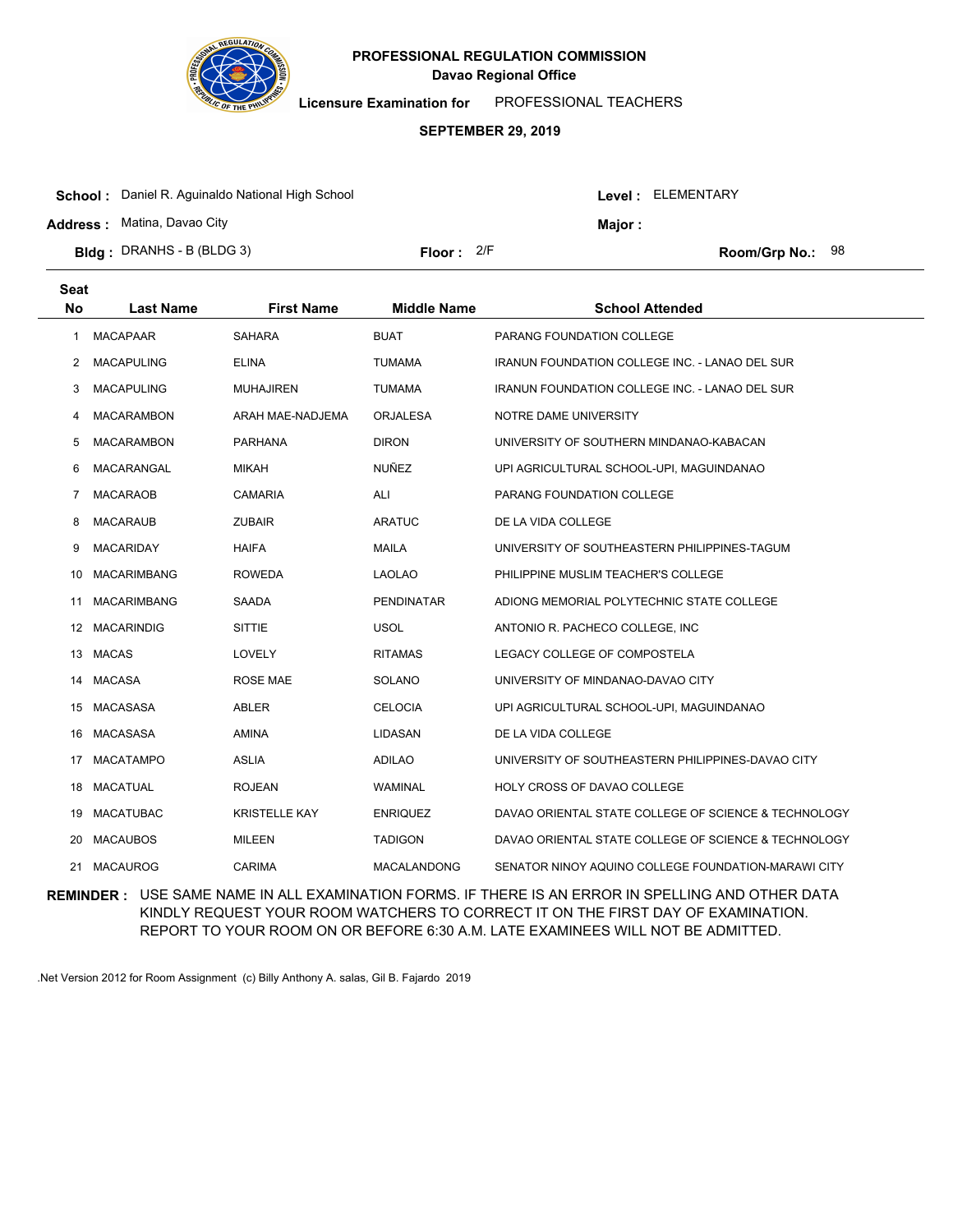

**Licensure Examination for**  PROFESSIONAL TEACHERS

### **SEPTEMBER 29, 2019**

| <b>School:</b> Daniel R. Aguinaldo National High School |                     |  |        | Level: ELEMENTARY       |  |  |
|---------------------------------------------------------|---------------------|--|--------|-------------------------|--|--|
| <b>Address: Matina, Davao City</b>                      |                     |  | Major: |                         |  |  |
| <b>Bldg</b> : DRANHS - B (BLDG 3)                       | <b>Floor:</b> $2/F$ |  |        | <b>Room/Grp No.: 98</b> |  |  |

| <b>Seat</b><br><b>No</b> | <b>Last Name</b>   | <b>First Name</b>    | <b>Middle Name</b> | <b>School Attended</b>                                |
|--------------------------|--------------------|----------------------|--------------------|-------------------------------------------------------|
| 1                        | <b>MACAPAAR</b>    | <b>SAHARA</b>        | <b>BUAT</b>        | PARANG FOUNDATION COLLEGE                             |
| 2                        | <b>MACAPULING</b>  | <b>ELINA</b>         | <b>TUMAMA</b>      | <b>IRANUN FOUNDATION COLLEGE INC. - LANAO DEL SUR</b> |
| 3                        | <b>MACAPULING</b>  | <b>MUHAJIREN</b>     | <b>TUMAMA</b>      | <b>IRANUN FOUNDATION COLLEGE INC. - LANAO DEL SUR</b> |
| 4                        | <b>MACARAMBON</b>  | ARAH MAE-NADJEMA     | <b>ORJALESA</b>    | NOTRE DAME UNIVERSITY                                 |
| 5                        | <b>MACARAMBON</b>  | <b>PARHANA</b>       | <b>DIRON</b>       | UNIVERSITY OF SOUTHERN MINDANAO-KABACAN               |
| 6                        | MACARANGAL         | <b>MIKAH</b>         | NUÑEZ              | UPI AGRICULTURAL SCHOOL-UPI, MAGUINDANAO              |
| 7                        | <b>MACARAOB</b>    | <b>CAMARIA</b>       | ALI                | PARANG FOUNDATION COLLEGE                             |
| 8                        | <b>MACARAUB</b>    | <b>ZUBAIR</b>        | <b>ARATUC</b>      | DE LA VIDA COLLEGE                                    |
| 9                        | <b>MACARIDAY</b>   | <b>HAIFA</b>         | <b>MAILA</b>       | UNIVERSITY OF SOUTHEASTERN PHILIPPINES-TAGUM          |
| 10                       | <b>MACARIMBANG</b> | <b>ROWEDA</b>        | <b>LAOLAO</b>      | PHILIPPINE MUSLIM TEACHER'S COLLEGE                   |
| 11                       | <b>MACARIMBANG</b> | SAADA                | <b>PENDINATAR</b>  | ADIONG MEMORIAL POLYTECHNIC STATE COLLEGE             |
| 12                       | <b>MACARINDIG</b>  | <b>SITTIE</b>        | <b>USOL</b>        | ANTONIO R. PACHECO COLLEGE, INC                       |
| 13                       | <b>MACAS</b>       | LOVELY               | <b>RITAMAS</b>     | LEGACY COLLEGE OF COMPOSTELA                          |
| 14                       | <b>MACASA</b>      | <b>ROSE MAE</b>      | <b>SOLANO</b>      | UNIVERSITY OF MINDANAO-DAVAO CITY                     |
| 15                       | <b>MACASASA</b>    | ABLER                | <b>CELOCIA</b>     | UPI AGRICULTURAL SCHOOL-UPI, MAGUINDANAO              |
| 16                       | <b>MACASASA</b>    | <b>AMINA</b>         | LIDASAN            | DE LA VIDA COLLEGE                                    |
| 17                       | <b>MACATAMPO</b>   | <b>ASLIA</b>         | <b>ADILAO</b>      | UNIVERSITY OF SOUTHEASTERN PHILIPPINES-DAVAO CITY     |
| 18                       | <b>MACATUAL</b>    | <b>ROJEAN</b>        | WAMINAL            | HOLY CROSS OF DAVAO COLLEGE                           |
| 19                       | <b>MACATUBAC</b>   | <b>KRISTELLE KAY</b> | <b>ENRIQUEZ</b>    | DAVAO ORIENTAL STATE COLLEGE OF SCIENCE & TECHNOLOGY  |
| 20                       | <b>MACAUBOS</b>    | <b>MILEEN</b>        | <b>TADIGON</b>     | DAVAO ORIENTAL STATE COLLEGE OF SCIENCE & TECHNOLOGY  |
| 21                       | <b>MACAUROG</b>    | <b>CARIMA</b>        | <b>MACALANDONG</b> | SENATOR NINOY AQUINO COLLEGE FOUNDATION-MARAWI CITY   |
|                          |                    |                      |                    |                                                       |

**REMINDER :** USE SAME NAME IN ALL EXAMINATION FORMS. IF THERE IS AN ERROR IN SPELLING AND OTHER DATA KINDLY REQUEST YOUR ROOM WATCHERS TO CORRECT IT ON THE FIRST DAY OF EXAMINATION. REPORT TO YOUR ROOM ON OR BEFORE 6:30 A.M. LATE EXAMINEES WILL NOT BE ADMITTED.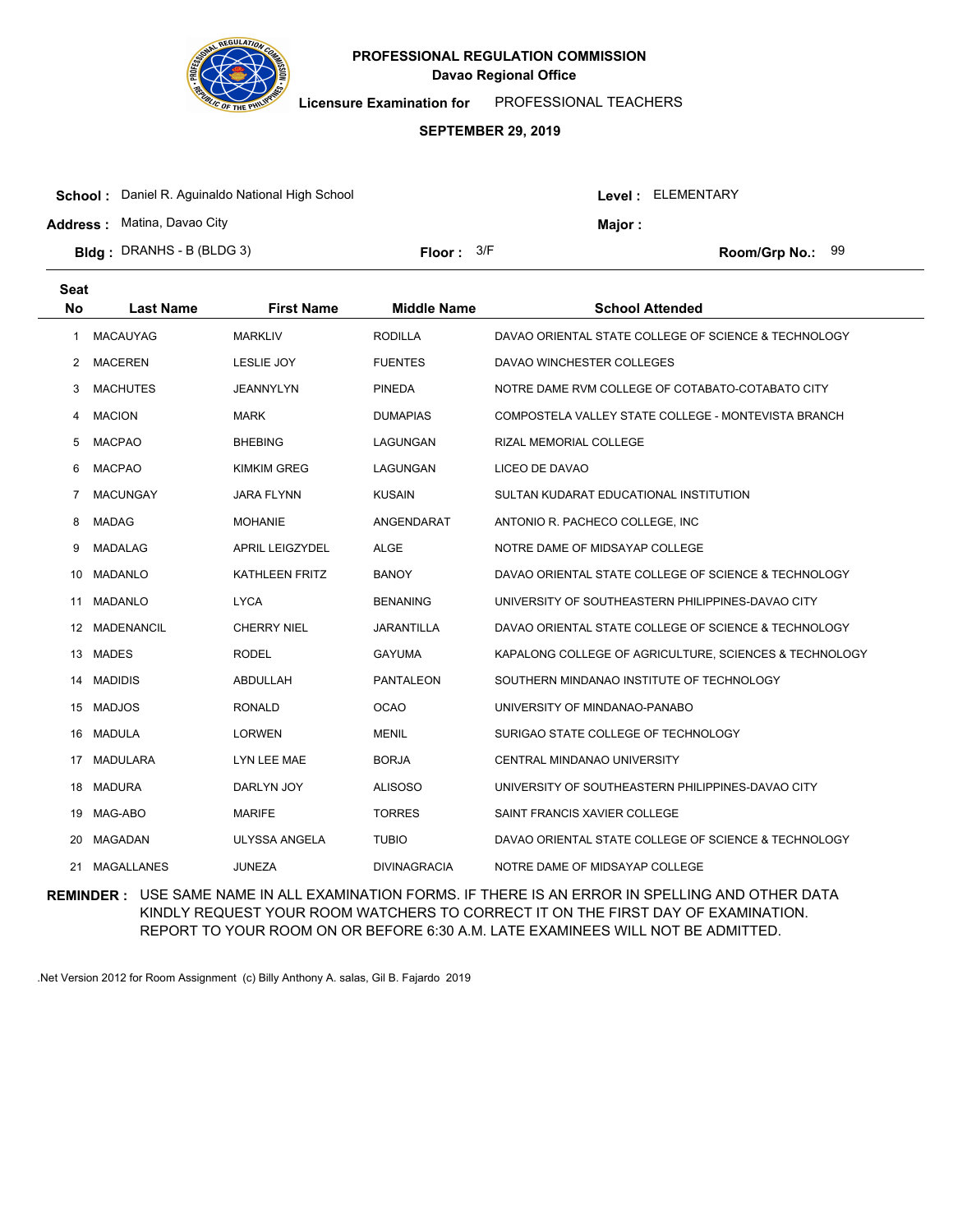

**Licensure Examination for**  PROFESSIONAL TEACHERS

#### **SEPTEMBER 29, 2019**

| <b>School:</b> Daniel R. Aguinaldo National High School |                     |  | Level: ELEMENTARY |                  |  |
|---------------------------------------------------------|---------------------|--|-------------------|------------------|--|
| <b>Address:</b> Matina, Davao City                      |                     |  | Major :           |                  |  |
| <b>Bldg</b> : DRANHS - B (BLDG 3)                       | <b>Floor:</b> $3/F$ |  |                   | Room/Grp No.: 99 |  |

| <b>Seat</b><br><b>No</b> | <b>Last Name</b>  | <b>First Name</b>      | <b>Middle Name</b>  | <b>School Attended</b>                                 |
|--------------------------|-------------------|------------------------|---------------------|--------------------------------------------------------|
| 1                        | <b>MACAUYAG</b>   | <b>MARKLIV</b>         | <b>RODILLA</b>      | DAVAO ORIENTAL STATE COLLEGE OF SCIENCE & TECHNOLOGY   |
| $\mathbf{2}^{\circ}$     | <b>MACEREN</b>    | <b>LESLIE JOY</b>      | <b>FUENTES</b>      | DAVAO WINCHESTER COLLEGES                              |
| 3                        | <b>MACHUTES</b>   | JEANNYLYN              | <b>PINEDA</b>       | NOTRE DAME RVM COLLEGE OF COTABATO-COTABATO CITY       |
| 4                        | <b>MACION</b>     | <b>MARK</b>            | <b>DUMAPIAS</b>     | COMPOSTELA VALLEY STATE COLLEGE - MONTEVISTA BRANCH    |
| 5                        | <b>MACPAO</b>     | <b>BHEBING</b>         | LAGUNGAN            | RIZAL MEMORIAL COLLEGE                                 |
| 6                        | <b>MACPAO</b>     | <b>KIMKIM GREG</b>     | LAGUNGAN            | LICEO DE DAVAO                                         |
| 7                        | <b>MACUNGAY</b>   | <b>JARA FLYNN</b>      | <b>KUSAIN</b>       | SULTAN KUDARAT EDUCATIONAL INSTITUTION                 |
| 8                        | <b>MADAG</b>      | <b>MOHANIE</b>         | ANGENDARAT          | ANTONIO R. PACHECO COLLEGE, INC                        |
| 9                        | MADALAG           | <b>APRIL LEIGZYDEL</b> | <b>ALGE</b>         | NOTRE DAME OF MIDSAYAP COLLEGE                         |
| 10                       | MADANLO           | <b>KATHLEEN FRITZ</b>  | <b>BANOY</b>        | DAVAO ORIENTAL STATE COLLEGE OF SCIENCE & TECHNOLOGY   |
| 11                       | <b>MADANLO</b>    | <b>LYCA</b>            | <b>BENANING</b>     | UNIVERSITY OF SOUTHEASTERN PHILIPPINES-DAVAO CITY      |
|                          | 12 MADENANCIL     | <b>CHERRY NIEL</b>     | <b>JARANTILLA</b>   | DAVAO ORIENTAL STATE COLLEGE OF SCIENCE & TECHNOLOGY   |
| 13                       | MADES             | <b>RODEL</b>           | <b>GAYUMA</b>       | KAPALONG COLLEGE OF AGRICULTURE, SCIENCES & TECHNOLOGY |
| 14                       | <b>MADIDIS</b>    | ABDULLAH               | PANTALEON           | SOUTHERN MINDANAO INSTITUTE OF TECHNOLOGY              |
|                          | 15 MADJOS         | <b>RONALD</b>          | <b>OCAO</b>         | UNIVERSITY OF MINDANAO-PANABO                          |
|                          | 16 MADULA         | <b>LORWEN</b>          | <b>MENIL</b>        | SURIGAO STATE COLLEGE OF TECHNOLOGY                    |
| 17                       | <b>MADULARA</b>   | LYN LEE MAE            | <b>BORJA</b>        | CENTRAL MINDANAO UNIVERSITY                            |
|                          | 18 MADURA         | DARLYN JOY             | <b>ALISOSO</b>      | UNIVERSITY OF SOUTHEASTERN PHILIPPINES-DAVAO CITY      |
|                          | 19 MAG-ABO        | <b>MARIFE</b>          | <b>TORRES</b>       | SAINT FRANCIS XAVIER COLLEGE                           |
| 20                       | <b>MAGADAN</b>    | <b>ULYSSA ANGELA</b>   | <b>TUBIO</b>        | DAVAO ORIENTAL STATE COLLEGE OF SCIENCE & TECHNOLOGY   |
| 21                       | <b>MAGALLANES</b> | <b>JUNEZA</b>          | <b>DIVINAGRACIA</b> | NOTRE DAME OF MIDSAYAP COLLEGE                         |

**REMINDER :** USE SAME NAME IN ALL EXAMINATION FORMS. IF THERE IS AN ERROR IN SPELLING AND OTHER DATA KINDLY REQUEST YOUR ROOM WATCHERS TO CORRECT IT ON THE FIRST DAY OF EXAMINATION. REPORT TO YOUR ROOM ON OR BEFORE 6:30 A.M. LATE EXAMINEES WILL NOT BE ADMITTED.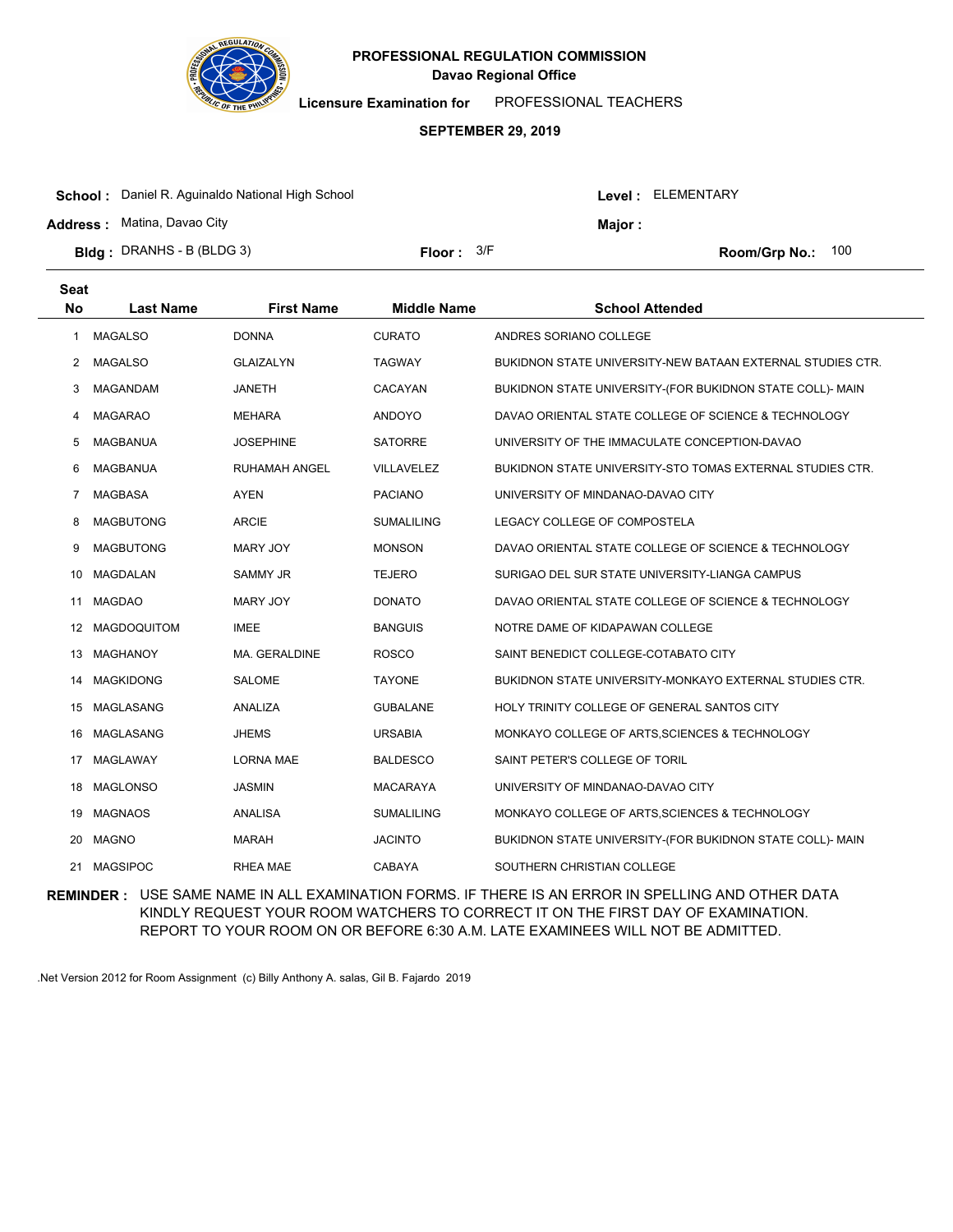

**Licensure Examination for**  PROFESSIONAL TEACHERS

#### **SEPTEMBER 29, 2019**

| <b>School:</b> Daniel R. Aguinaldo National High School |              |        | Level: ELEMENTARY |                     |  |
|---------------------------------------------------------|--------------|--------|-------------------|---------------------|--|
| <b>Address: Matina, Davao City</b>                      |              | Maior: |                   |                     |  |
| <b>Bldg</b> : DRANHS - B (BLDG 3)                       | Floor: $3/F$ |        |                   | Room/Grp No.: $100$ |  |
|                                                         |              |        |                   |                     |  |

| <b>Seat</b><br><b>No</b> | <b>Last Name</b>   | <b>First Name</b>    | <b>Middle Name</b> | <b>School Attended</b>                                         |
|--------------------------|--------------------|----------------------|--------------------|----------------------------------------------------------------|
| 1                        | <b>MAGALSO</b>     | <b>DONNA</b>         | <b>CURATO</b>      | ANDRES SORIANO COLLEGE                                         |
| 2                        | <b>MAGALSO</b>     | <b>GLAIZALYN</b>     | <b>TAGWAY</b>      | BUKIDNON STATE UNIVERSITY-NEW BATAAN EXTERNAL STUDIES CTR.     |
| 3                        | MAGANDAM           | <b>JANETH</b>        | CACAYAN            | BUKIDNON STATE UNIVERSITY-(FOR BUKIDNON STATE COLL)- MAIN      |
| 4                        | <b>MAGARAO</b>     | <b>MEHARA</b>        | <b>ANDOYO</b>      | DAVAO ORIENTAL STATE COLLEGE OF SCIENCE & TECHNOLOGY           |
| 5                        | MAGBANUA           | <b>JOSEPHINE</b>     | <b>SATORRE</b>     | UNIVERSITY OF THE IMMACULATE CONCEPTION-DAVAO                  |
| 6                        | MAGBANUA           | <b>RUHAMAH ANGEL</b> | <b>VILLAVELEZ</b>  | BUKIDNON STATE UNIVERSITY-STO TOMAS EXTERNAL STUDIES CTR.      |
| 7                        | <b>MAGBASA</b>     | <b>AYEN</b>          | <b>PACIANO</b>     | UNIVERSITY OF MINDANAO-DAVAO CITY                              |
| 8                        | <b>MAGBUTONG</b>   | <b>ARCIE</b>         | <b>SUMALILING</b>  | LEGACY COLLEGE OF COMPOSTELA                                   |
| 9                        | <b>MAGBUTONG</b>   | <b>MARY JOY</b>      | <b>MONSON</b>      | DAVAO ORIENTAL STATE COLLEGE OF SCIENCE & TECHNOLOGY           |
| 10                       | <b>MAGDALAN</b>    | <b>SAMMY JR</b>      | <b>TEJERO</b>      | SURIGAO DEL SUR STATE UNIVERSITY-LIANGA CAMPUS                 |
| 11                       | <b>MAGDAO</b>      | MARY JOY             | <b>DONATO</b>      | DAVAO ORIENTAL STATE COLLEGE OF SCIENCE & TECHNOLOGY           |
| 12                       | <b>MAGDOQUITOM</b> | <b>IMEE</b>          | <b>BANGUIS</b>     | NOTRE DAME OF KIDAPAWAN COLLEGE                                |
| 13                       | MAGHANOY           | MA. GERALDINE        | <b>ROSCO</b>       | SAINT BENEDICT COLLEGE-COTABATO CITY                           |
| 14                       | <b>MAGKIDONG</b>   | <b>SALOME</b>        | <b>TAYONE</b>      | <b>BUKIDNON STATE UNIVERSITY-MONKAYO EXTERNAL STUDIES CTR.</b> |
| 15                       | MAGLASANG          | ANALIZA              | <b>GUBALANE</b>    | HOLY TRINITY COLLEGE OF GENERAL SANTOS CITY                    |
| 16                       | MAGLASANG          | <b>JHEMS</b>         | <b>URSABIA</b>     | MONKAYO COLLEGE OF ARTS, SCIENCES & TECHNOLOGY                 |
| 17                       | MAGLAWAY           | <b>LORNA MAE</b>     | <b>BALDESCO</b>    | SAINT PETER'S COLLEGE OF TORIL                                 |
| 18                       | MAGLONSO           | <b>JASMIN</b>        | <b>MACARAYA</b>    | UNIVERSITY OF MINDANAO-DAVAO CITY                              |
| 19                       | MAGNAOS            | ANALISA              | <b>SUMALILING</b>  | MONKAYO COLLEGE OF ARTS, SCIENCES & TECHNOLOGY                 |
| 20                       | <b>MAGNO</b>       | <b>MARAH</b>         | <b>JACINTO</b>     | BUKIDNON STATE UNIVERSITY-(FOR BUKIDNON STATE COLL)- MAIN      |
| 21                       | <b>MAGSIPOC</b>    | <b>RHEA MAE</b>      | CABAYA             | SOUTHERN CHRISTIAN COLLEGE                                     |

**REMINDER :** USE SAME NAME IN ALL EXAMINATION FORMS. IF THERE IS AN ERROR IN SPELLING AND OTHER DATA KINDLY REQUEST YOUR ROOM WATCHERS TO CORRECT IT ON THE FIRST DAY OF EXAMINATION. REPORT TO YOUR ROOM ON OR BEFORE 6:30 A.M. LATE EXAMINEES WILL NOT BE ADMITTED.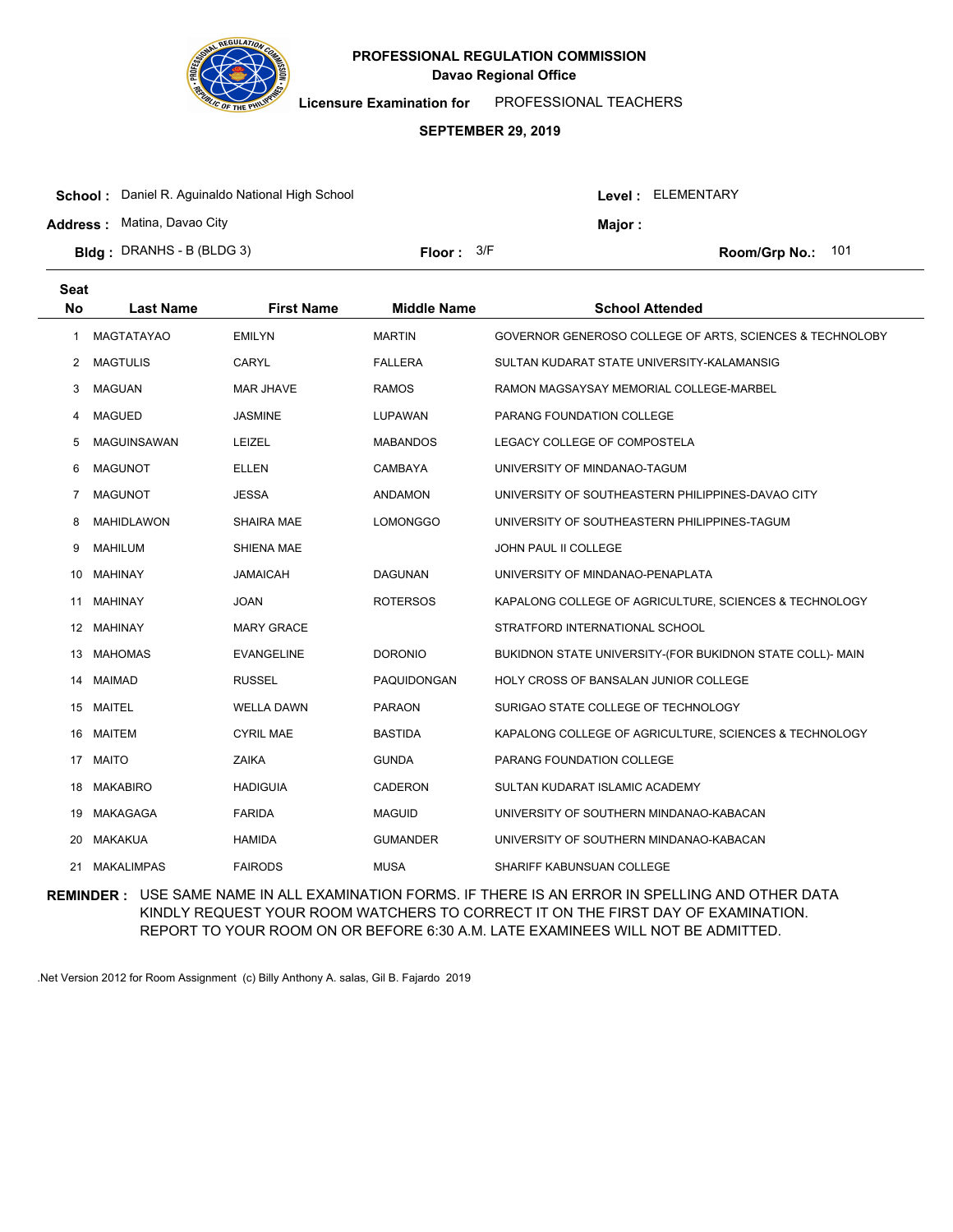

**Licensure Examination for**  PROFESSIONAL TEACHERS

#### **SEPTEMBER 29, 2019**

| <b>School:</b> Daniel R. Aguinaldo National High School | Level: ELEMENTARY   |  |                   |  |
|---------------------------------------------------------|---------------------|--|-------------------|--|
| <b>Address:</b> Matina, Davao City                      |                     |  | Maior :           |  |
| <b>Bldg</b> : DRANHS - B (BLDG 3)                       | <b>Floor:</b> $3/F$ |  | Room/Grp No.: 101 |  |

| <b>Seat</b><br><b>No</b> | <b>Last Name</b>   | <b>First Name</b> | <b>Middle Name</b> | <b>School Attended</b>                                    |
|--------------------------|--------------------|-------------------|--------------------|-----------------------------------------------------------|
| 1                        | <b>MAGTATAYAO</b>  | <b>EMILYN</b>     | <b>MARTIN</b>      | GOVERNOR GENEROSO COLLEGE OF ARTS, SCIENCES & TECHNOLOBY  |
| 2                        | <b>MAGTULIS</b>    | CARYL             | <b>FALLERA</b>     | SULTAN KUDARAT STATE UNIVERSITY-KALAMANSIG                |
| 3                        | <b>MAGUAN</b>      | <b>MAR JHAVE</b>  | <b>RAMOS</b>       | RAMON MAGSAYSAY MEMORIAL COLLEGE-MARBEL                   |
| 4                        | <b>MAGUED</b>      | <b>JASMINE</b>    | LUPAWAN            | PARANG FOUNDATION COLLEGE                                 |
| 5                        | <b>MAGUINSAWAN</b> | <b>LEIZEL</b>     | <b>MABANDOS</b>    | LEGACY COLLEGE OF COMPOSTELA                              |
| 6                        | <b>MAGUNOT</b>     | <b>ELLEN</b>      | CAMBAYA            | UNIVERSITY OF MINDANAO-TAGUM                              |
| $\overline{7}$           | <b>MAGUNOT</b>     | <b>JESSA</b>      | <b>ANDAMON</b>     | UNIVERSITY OF SOUTHEASTERN PHILIPPINES-DAVAO CITY         |
| 8                        | <b>MAHIDLAWON</b>  | <b>SHAIRA MAE</b> | <b>LOMONGGO</b>    | UNIVERSITY OF SOUTHEASTERN PHILIPPINES-TAGUM              |
| 9                        | <b>MAHILUM</b>     | <b>SHIENA MAE</b> |                    | JOHN PAUL II COLLEGE                                      |
| 10                       | <b>MAHINAY</b>     | <b>JAMAICAH</b>   | <b>DAGUNAN</b>     | UNIVERSITY OF MINDANAO-PENAPLATA                          |
| 11                       | <b>MAHINAY</b>     | <b>JOAN</b>       | <b>ROTERSOS</b>    | KAPALONG COLLEGE OF AGRICULTURE, SCIENCES & TECHNOLOGY    |
|                          | 12 MAHINAY         | <b>MARY GRACE</b> |                    | STRATFORD INTERNATIONAL SCHOOL                            |
| 13                       | <b>MAHOMAS</b>     | <b>EVANGELINE</b> | <b>DORONIO</b>     | BUKIDNON STATE UNIVERSITY-(FOR BUKIDNON STATE COLL)- MAIN |
| 14                       | MAIMAD             | <b>RUSSEL</b>     | <b>PAQUIDONGAN</b> | <b>HOLY CROSS OF BANSALAN JUNIOR COLLEGE</b>              |
|                          | 15 MAITEL          | <b>WELLA DAWN</b> | <b>PARAON</b>      | SURIGAO STATE COLLEGE OF TECHNOLOGY                       |
|                          | 16 MAITEM          | <b>CYRIL MAE</b>  | <b>BASTIDA</b>     | KAPALONG COLLEGE OF AGRICULTURE, SCIENCES & TECHNOLOGY    |
| 17                       | <b>MAITO</b>       | <b>ZAIKA</b>      | <b>GUNDA</b>       | PARANG FOUNDATION COLLEGE                                 |
| 18                       | <b>MAKABIRO</b>    | <b>HADIGUIA</b>   | CADERON            | SULTAN KUDARAT ISLAMIC ACADEMY                            |
| 19                       | MAKAGAGA           | <b>FARIDA</b>     | <b>MAGUID</b>      | UNIVERSITY OF SOUTHERN MINDANAO-KABACAN                   |
| 20                       | <b>MAKAKUA</b>     | <b>HAMIDA</b>     | <b>GUMANDER</b>    | UNIVERSITY OF SOUTHERN MINDANAO-KABACAN                   |
| 21                       | <b>MAKALIMPAS</b>  | <b>FAIRODS</b>    | <b>MUSA</b>        | SHARIFF KABUNSUAN COLLEGE                                 |
|                          |                    |                   |                    |                                                           |

**REMINDER :** USE SAME NAME IN ALL EXAMINATION FORMS. IF THERE IS AN ERROR IN SPELLING AND OTHER DATA KINDLY REQUEST YOUR ROOM WATCHERS TO CORRECT IT ON THE FIRST DAY OF EXAMINATION. REPORT TO YOUR ROOM ON OR BEFORE 6:30 A.M. LATE EXAMINEES WILL NOT BE ADMITTED.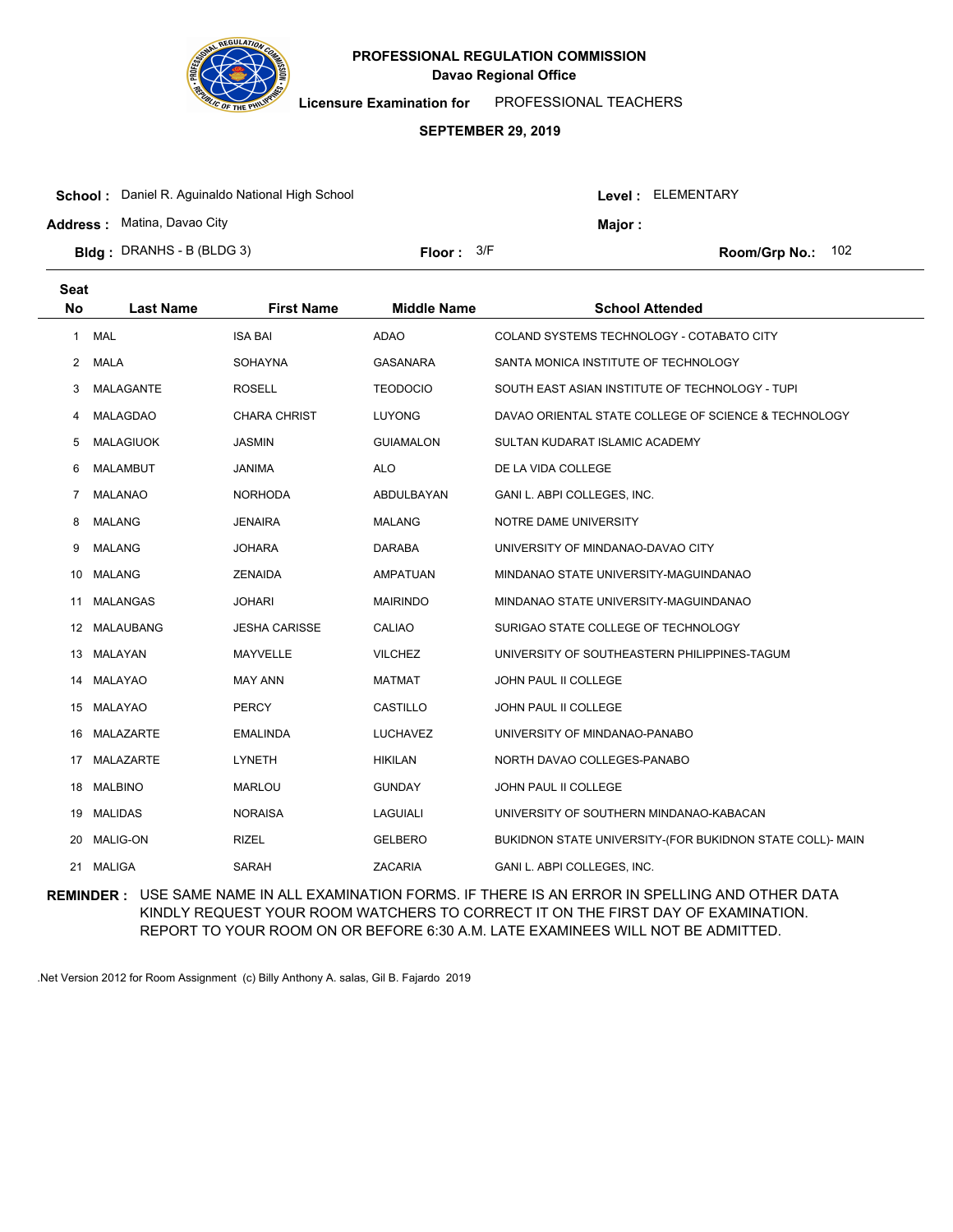

**Licensure Examination for**  PROFESSIONAL TEACHERS

### **SEPTEMBER 29, 2019**

| <b>School:</b> Daniel R. Aguinaldo National High School |              |  | Level : ELEMENTARY |                     |  |
|---------------------------------------------------------|--------------|--|--------------------|---------------------|--|
| <b>Address:</b> Matina, Davao City                      |              |  | <b>Maior</b> :     |                     |  |
| <b>Bldg</b> : DRANHS - B (BLDG 3)                       | Floor: $3/F$ |  |                    | Room/Grp No.: $102$ |  |

| <b>Seat</b><br><b>No</b> | <b>Last Name</b> | <b>First Name</b>    | <b>Middle Name</b> | <b>School Attended</b>                                    |
|--------------------------|------------------|----------------------|--------------------|-----------------------------------------------------------|
| $\mathbf{1}$             | <b>MAL</b>       | <b>ISA BAI</b>       | <b>ADAO</b>        | COLAND SYSTEMS TECHNOLOGY - COTABATO CITY                 |
| 2                        | MALA             | <b>SOHAYNA</b>       | <b>GASANARA</b>    | SANTA MONICA INSTITUTE OF TECHNOLOGY                      |
| 3                        | MALAGANTE        | <b>ROSELL</b>        | <b>TEODOCIO</b>    | SOUTH EAST ASIAN INSTITUTE OF TECHNOLOGY - TUPI           |
| 4                        | <b>MALAGDAO</b>  | <b>CHARA CHRIST</b>  | <b>LUYONG</b>      | DAVAO ORIENTAL STATE COLLEGE OF SCIENCE & TECHNOLOGY      |
| 5                        | <b>MALAGIUOK</b> | <b>JASMIN</b>        | <b>GUIAMALON</b>   | SULTAN KUDARAT ISLAMIC ACADEMY                            |
| 6                        | <b>MALAMBUT</b>  | <b>JANIMA</b>        | <b>ALO</b>         | DE LA VIDA COLLEGE                                        |
| $\overline{7}$           | <b>MALANAO</b>   | <b>NORHODA</b>       | ABDULBAYAN         | GANI L. ABPI COLLEGES, INC.                               |
| 8                        | <b>MALANG</b>    | <b>JENAIRA</b>       | <b>MALANG</b>      | NOTRE DAME UNIVERSITY                                     |
| 9                        | <b>MALANG</b>    | <b>JOHARA</b>        | <b>DARABA</b>      | UNIVERSITY OF MINDANAO-DAVAO CITY                         |
| 10                       | <b>MALANG</b>    | <b>ZENAIDA</b>       | <b>AMPATUAN</b>    | MINDANAO STATE UNIVERSITY-MAGUINDANAO                     |
| 11                       | <b>MALANGAS</b>  | <b>JOHARI</b>        | <b>MAIRINDO</b>    | MINDANAO STATE UNIVERSITY-MAGUINDANAO                     |
| 12                       | MALAUBANG        | <b>JESHA CARISSE</b> | CALIAO             | SURIGAO STATE COLLEGE OF TECHNOLOGY                       |
| 13                       | MALAYAN          | MAYVELLE             | <b>VILCHEZ</b>     | UNIVERSITY OF SOUTHEASTERN PHILIPPINES-TAGUM              |
| 14                       | MALAYAO          | <b>MAY ANN</b>       | <b>MATMAT</b>      | JOHN PAUL II COLLEGE                                      |
|                          | 15 MALAYAO       | <b>PERCY</b>         | CASTILLO           | <b>JOHN PAUL II COLLEGE</b>                               |
|                          | 16 MALAZARTE     | <b>EMALINDA</b>      | LUCHAVEZ           | UNIVERSITY OF MINDANAO-PANABO                             |
| 17                       | MALAZARTE        | <b>LYNETH</b>        | <b>HIKILAN</b>     | NORTH DAVAO COLLEGES-PANABO                               |
| 18                       | <b>MALBINO</b>   | <b>MARLOU</b>        | <b>GUNDAY</b>      | <b>JOHN PAUL II COLLEGE</b>                               |
|                          | 19 MALIDAS       | <b>NORAISA</b>       | <b>LAGUIALI</b>    | UNIVERSITY OF SOUTHERN MINDANAO-KABACAN                   |
| 20                       | <b>MALIG-ON</b>  | <b>RIZEL</b>         | <b>GELBERO</b>     | BUKIDNON STATE UNIVERSITY-(FOR BUKIDNON STATE COLL)- MAIN |
| 21                       | MALIGA           | <b>SARAH</b>         | <b>ZACARIA</b>     | GANI L. ABPI COLLEGES, INC.                               |
|                          |                  |                      |                    |                                                           |

**REMINDER :** USE SAME NAME IN ALL EXAMINATION FORMS. IF THERE IS AN ERROR IN SPELLING AND OTHER DATA KINDLY REQUEST YOUR ROOM WATCHERS TO CORRECT IT ON THE FIRST DAY OF EXAMINATION. REPORT TO YOUR ROOM ON OR BEFORE 6:30 A.M. LATE EXAMINEES WILL NOT BE ADMITTED.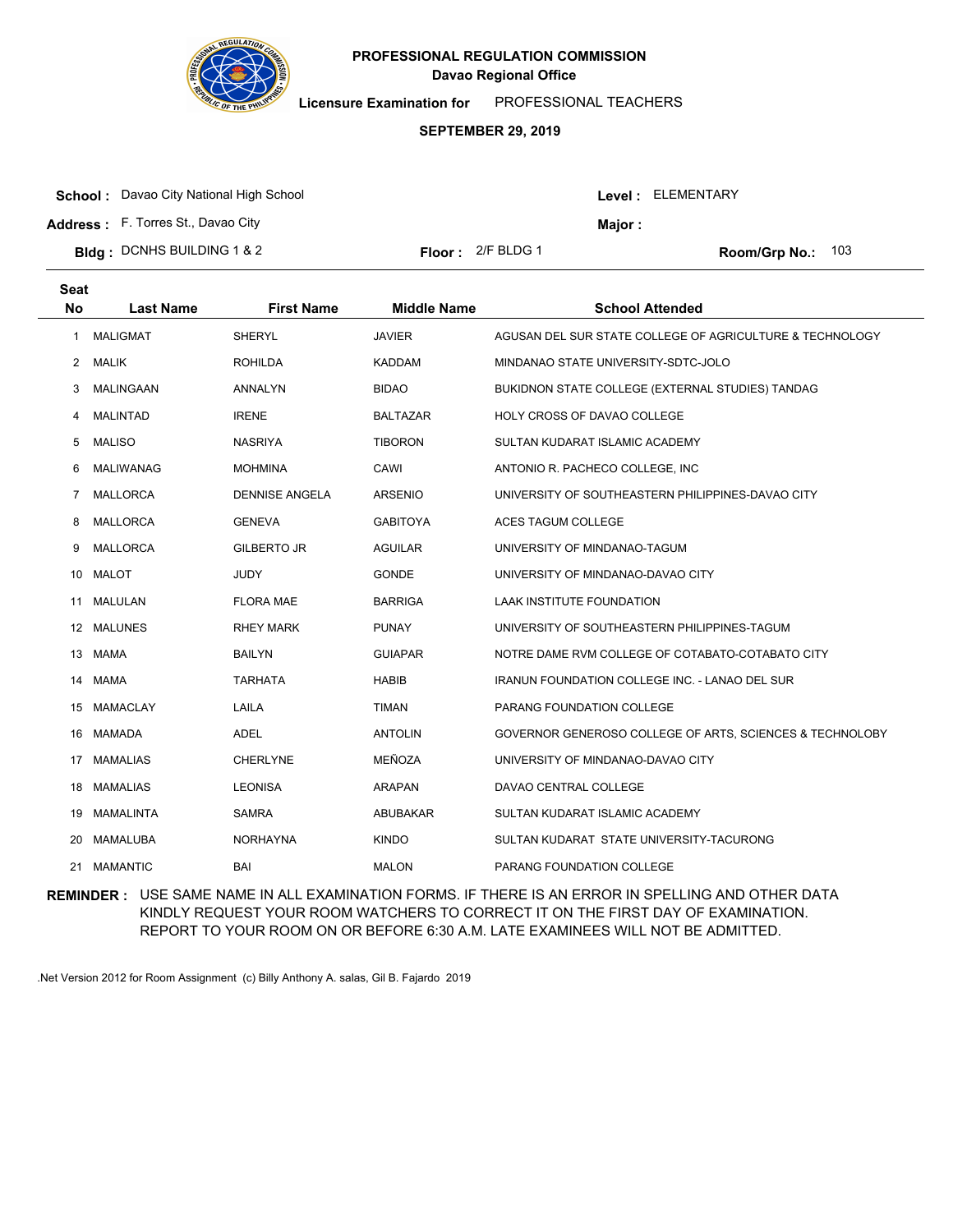

**Licensure Examination for**  PROFESSIONAL TEACHERS

#### **SEPTEMBER 29, 2019**

| <b>School:</b> Davao City National High School |                            |         | Level: ELEMENTARY          |
|------------------------------------------------|----------------------------|---------|----------------------------|
| <b>Address:</b> F. Torres St., Davao City      |                            | Major : |                            |
| <b>Bldg</b> : DCNHS BUILDING 1 & 2             | <b>Floor:</b> $2/F$ BLDG 1 |         | <b>Room/Grp No.:</b> $103$ |

| <b>Seat</b><br><b>No</b> | <b>Last Name</b> | <b>First Name</b>     | <b>Middle Name</b> | <b>School Attended</b>                                   |
|--------------------------|------------------|-----------------------|--------------------|----------------------------------------------------------|
| 1                        | <b>MALIGMAT</b>  | SHERYL                | <b>JAVIER</b>      | AGUSAN DEL SUR STATE COLLEGE OF AGRICULTURE & TECHNOLOGY |
| $\mathbf{2}$             | <b>MALIK</b>     | <b>ROHILDA</b>        | <b>KADDAM</b>      | MINDANAO STATE UNIVERSITY-SDTC-JOLO                      |
| 3                        | MALINGAAN        | ANNALYN               | <b>BIDAO</b>       | BUKIDNON STATE COLLEGE (EXTERNAL STUDIES) TANDAG         |
| 4                        | <b>MALINTAD</b>  | <b>IRENE</b>          | <b>BALTAZAR</b>    | HOLY CROSS OF DAVAO COLLEGE                              |
| 5                        | <b>MALISO</b>    | <b>NASRIYA</b>        | <b>TIBORON</b>     | SULTAN KUDARAT ISLAMIC ACADEMY                           |
| 6                        | MALIWANAG        | <b>MOHMINA</b>        | CAWI               | ANTONIO R. PACHECO COLLEGE, INC                          |
| 7                        | MALLORCA         | <b>DENNISE ANGELA</b> | <b>ARSENIO</b>     | UNIVERSITY OF SOUTHEASTERN PHILIPPINES-DAVAO CITY        |
| 8                        | <b>MALLORCA</b>  | <b>GENEVA</b>         | <b>GABITOYA</b>    | ACES TAGUM COLLEGE                                       |
| 9                        | <b>MALLORCA</b>  | <b>GILBERTO JR</b>    | <b>AGUILAR</b>     | UNIVERSITY OF MINDANAO-TAGUM                             |
| 10                       | <b>MALOT</b>     | <b>JUDY</b>           | <b>GONDE</b>       | UNIVERSITY OF MINDANAO-DAVAO CITY                        |
| 11                       | MALULAN          | <b>FLORA MAE</b>      | <b>BARRIGA</b>     | LAAK INSTITUTE FOUNDATION                                |
|                          | 12 MALUNES       | <b>RHEY MARK</b>      | <b>PUNAY</b>       | UNIVERSITY OF SOUTHEASTERN PHILIPPINES-TAGUM             |
|                          | 13 MAMA          | <b>BAILYN</b>         | <b>GUIAPAR</b>     | NOTRE DAME RVM COLLEGE OF COTABATO-COTABATO CITY         |
| 14                       | <b>MAMA</b>      | <b>TARHATA</b>        | <b>HABIB</b>       | <b>IRANUN FOUNDATION COLLEGE INC. - LANAO DEL SUR</b>    |
| 15                       | MAMACLAY         | LAILA                 | <b>TIMAN</b>       | PARANG FOUNDATION COLLEGE                                |
|                          | 16 MAMADA        | <b>ADEL</b>           | <b>ANTOLIN</b>     | GOVERNOR GENEROSO COLLEGE OF ARTS, SCIENCES & TECHNOLOBY |
| 17                       | <b>MAMALIAS</b>  | <b>CHERLYNE</b>       | MEÑOZA             | UNIVERSITY OF MINDANAO-DAVAO CITY                        |
| 18                       | MAMALIAS         | <b>LEONISA</b>        | <b>ARAPAN</b>      | DAVAO CENTRAL COLLEGE                                    |
| 19                       | MAMALINTA        | <b>SAMRA</b>          | ABUBAKAR           | SULTAN KUDARAT ISLAMIC ACADEMY                           |
| 20                       | MAMALUBA         | <b>NORHAYNA</b>       | <b>KINDO</b>       | SULTAN KUDARAT STATE UNIVERSITY-TACURONG                 |
| 21                       | <b>MAMANTIC</b>  | <b>BAI</b>            | <b>MALON</b>       | PARANG FOUNDATION COLLEGE                                |
|                          |                  |                       |                    |                                                          |

**REMINDER :** USE SAME NAME IN ALL EXAMINATION FORMS. IF THERE IS AN ERROR IN SPELLING AND OTHER DATA KINDLY REQUEST YOUR ROOM WATCHERS TO CORRECT IT ON THE FIRST DAY OF EXAMINATION. REPORT TO YOUR ROOM ON OR BEFORE 6:30 A.M. LATE EXAMINEES WILL NOT BE ADMITTED.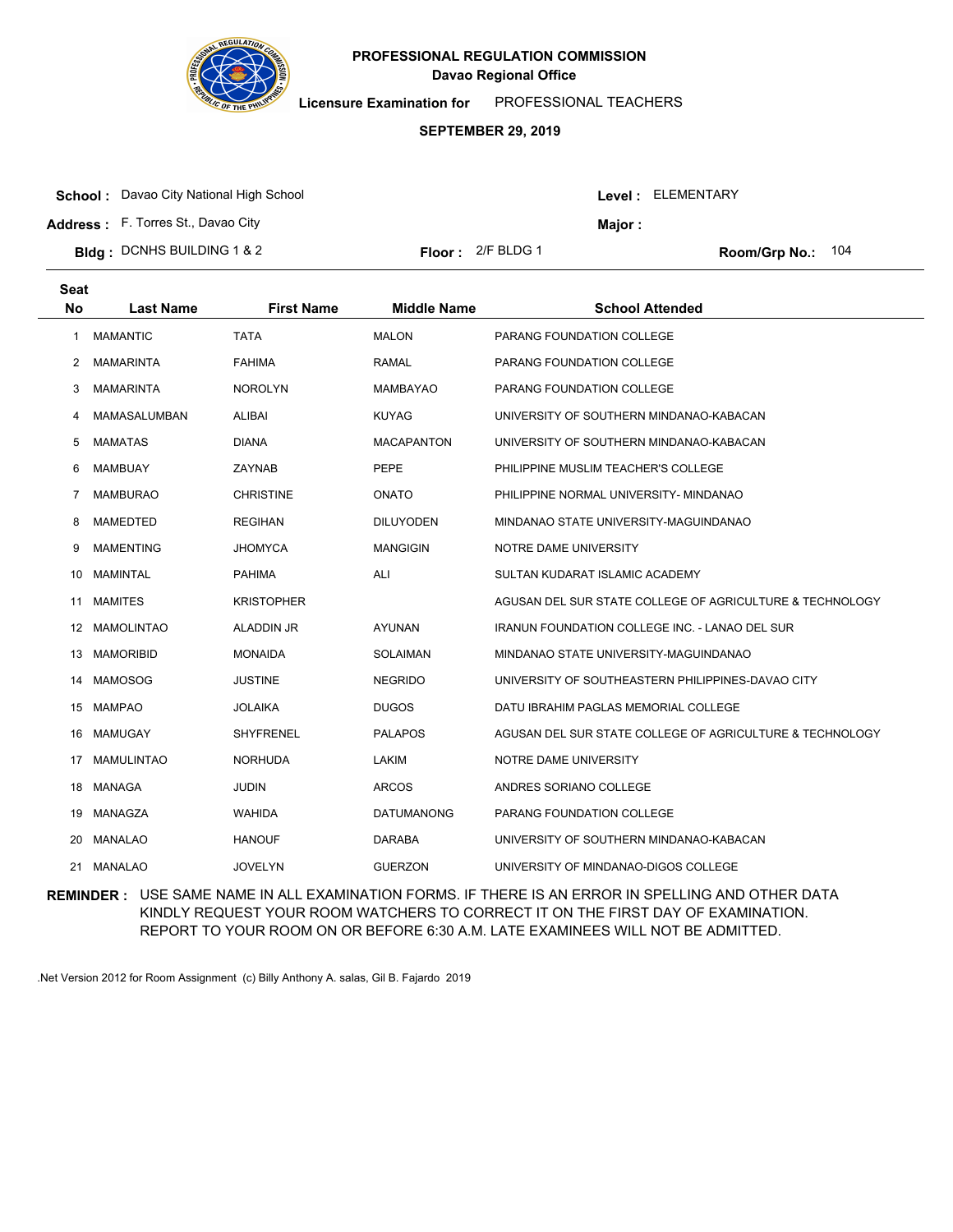

**Licensure Examination for**  PROFESSIONAL TEACHERS

### **SEPTEMBER 29, 2019**

**School :** Davao City National High School

**Address :** F. Torres St., Davao City

**Major :**

**Bldg : Floor : Room/Grp No.:** DCNHS BUILDING 1 & 2

Floor: 2/F BLDG 1 Room/Grp No.: 104

| <b>Seat</b> |                   |                   |                    |                                                          |
|-------------|-------------------|-------------------|--------------------|----------------------------------------------------------|
| <b>No</b>   | <b>Last Name</b>  | <b>First Name</b> | <b>Middle Name</b> | <b>School Attended</b>                                   |
| 1           | <b>MAMANTIC</b>   | <b>TATA</b>       | <b>MALON</b>       | PARANG FOUNDATION COLLEGE                                |
| 2           | <b>MAMARINTA</b>  | <b>FAHIMA</b>     | <b>RAMAL</b>       | PARANG FOUNDATION COLLEGE                                |
| 3           | <b>MAMARINTA</b>  | <b>NOROLYN</b>    | <b>MAMBAYAO</b>    | PARANG FOUNDATION COLLEGE                                |
| 4           | MAMASALUMBAN      | <b>ALIBAI</b>     | <b>KUYAG</b>       | UNIVERSITY OF SOUTHERN MINDANAO-KABACAN                  |
| 5           | <b>MAMATAS</b>    | <b>DIANA</b>      | <b>MACAPANTON</b>  | UNIVERSITY OF SOUTHERN MINDANAO-KABACAN                  |
| 6           | <b>MAMBUAY</b>    | ZAYNAB            | <b>PEPE</b>        | PHILIPPINE MUSLIM TEACHER'S COLLEGE                      |
| 7           | <b>MAMBURAO</b>   | <b>CHRISTINE</b>  | <b>ONATO</b>       | PHILIPPINE NORMAL UNIVERSITY- MINDANAO                   |
| 8           | MAMEDTED          | <b>REGIHAN</b>    | <b>DILUYODEN</b>   | MINDANAO STATE UNIVERSITY-MAGUINDANAO                    |
| 9           | <b>MAMENTING</b>  | <b>JHOMYCA</b>    | <b>MANGIGIN</b>    | NOTRE DAME UNIVERSITY                                    |
| 10          | <b>MAMINTAL</b>   | <b>PAHIMA</b>     | ALI                | SULTAN KUDARAT ISLAMIC ACADEMY                           |
| 11          | <b>MAMITES</b>    | <b>KRISTOPHER</b> |                    | AGUSAN DEL SUR STATE COLLEGE OF AGRICULTURE & TECHNOLOGY |
|             | 12 MAMOLINTAO     | ALADDIN JR        | <b>AYUNAN</b>      | <b>IRANUN FOUNDATION COLLEGE INC. - LANAO DEL SUR</b>    |
| 13          | <b>MAMORIBID</b>  | <b>MONAIDA</b>    | <b>SOLAIMAN</b>    | MINDANAO STATE UNIVERSITY-MAGUINDANAO                    |
| 14          | MAMOSOG           | <b>JUSTINE</b>    | <b>NEGRIDO</b>     | UNIVERSITY OF SOUTHEASTERN PHILIPPINES-DAVAO CITY        |
|             | 15 MAMPAO         | <b>JOLAIKA</b>    | <b>DUGOS</b>       | DATU IBRAHIM PAGLAS MEMORIAL COLLEGE                     |
| 16          | MAMUGAY           | <b>SHYFRENEL</b>  | <b>PALAPOS</b>     | AGUSAN DEL SUR STATE COLLEGE OF AGRICULTURE & TECHNOLOGY |
| 17          | <b>MAMULINTAO</b> | <b>NORHUDA</b>    | LAKIM              | NOTRE DAME UNIVERSITY                                    |
|             | 18 MANAGA         | <b>JUDIN</b>      | <b>ARCOS</b>       | ANDRES SORIANO COLLEGE                                   |
| 19          | MANAGZA           | <b>WAHIDA</b>     | <b>DATUMANONG</b>  | PARANG FOUNDATION COLLEGE                                |
| 20          | MANALAO           | <b>HANOUF</b>     | <b>DARABA</b>      | UNIVERSITY OF SOUTHERN MINDANAO-KABACAN                  |
| 21          | <b>MANALAO</b>    | <b>JOVELYN</b>    | <b>GUERZON</b>     | UNIVERSITY OF MINDANAO-DIGOS COLLEGE                     |
|             |                   |                   |                    |                                                          |

**REMINDER :** USE SAME NAME IN ALL EXAMINATION FORMS. IF THERE IS AN ERROR IN SPELLING AND OTHER DATA KINDLY REQUEST YOUR ROOM WATCHERS TO CORRECT IT ON THE FIRST DAY OF EXAMINATION. REPORT TO YOUR ROOM ON OR BEFORE 6:30 A.M. LATE EXAMINEES WILL NOT BE ADMITTED.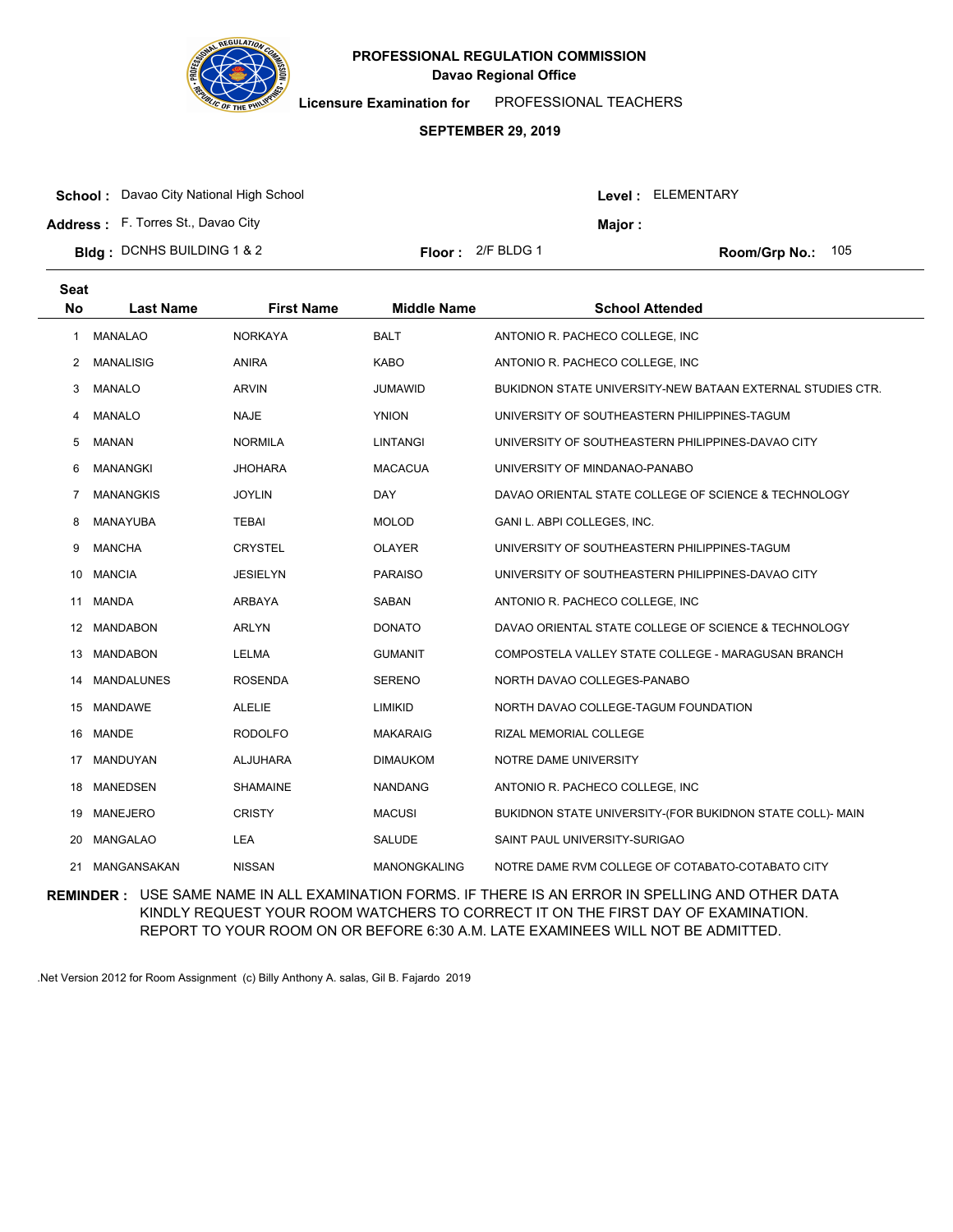

**Licensure Examination for**  PROFESSIONAL TEACHERS

#### **SEPTEMBER 29, 2019**

|  | <b>School:</b> Davao City National High School |  |
|--|------------------------------------------------|--|
|--|------------------------------------------------|--|

**Address :** F. Torres St., Davao City

| Bldg: DCNHS BUILDING 1 & 2 | <b>Floor:</b> $2/F$ BLDG 1 | Room/Grp No.: 105 |
|----------------------------|----------------------------|-------------------|
|----------------------------|----------------------------|-------------------|

| loor :<br>– 2/F BLDG 1 |  |
|------------------------|--|
|------------------------|--|

Level : ELEMENTARY

**Major :**

| <b>Seat</b><br><b>No</b> | <b>Last Name</b>  | <b>First Name</b> | <b>Middle Name</b>  | <b>School Attended</b>                                     |
|--------------------------|-------------------|-------------------|---------------------|------------------------------------------------------------|
| 1                        | <b>MANALAO</b>    | <b>NORKAYA</b>    | <b>BALT</b>         | ANTONIO R. PACHECO COLLEGE, INC.                           |
| 2                        | <b>MANALISIG</b>  | <b>ANIRA</b>      | <b>KABO</b>         | ANTONIO R. PACHECO COLLEGE, INC                            |
| 3                        | <b>MANALO</b>     | <b>ARVIN</b>      | <b>JUMAWID</b>      | BUKIDNON STATE UNIVERSITY-NEW BATAAN EXTERNAL STUDIES CTR. |
| 4                        | <b>MANALO</b>     | <b>NAJE</b>       | <b>YNION</b>        | UNIVERSITY OF SOUTHEASTERN PHILIPPINES-TAGUM               |
| 5                        | <b>MANAN</b>      | <b>NORMILA</b>    | <b>LINTANGI</b>     | UNIVERSITY OF SOUTHEASTERN PHILIPPINES-DAVAO CITY          |
| 6                        | <b>MANANGKI</b>   | <b>JHOHARA</b>    | <b>MACACUA</b>      | UNIVERSITY OF MINDANAO-PANABO                              |
| 7                        | <b>MANANGKIS</b>  | <b>JOYLIN</b>     | <b>DAY</b>          | DAVAO ORIENTAL STATE COLLEGE OF SCIENCE & TECHNOLOGY       |
| 8                        | MANAYUBA          | <b>TEBAI</b>      | <b>MOLOD</b>        | GANI L. ABPI COLLEGES, INC.                                |
| 9                        | <b>MANCHA</b>     | <b>CRYSTEL</b>    | <b>OLAYER</b>       | UNIVERSITY OF SOUTHEASTERN PHILIPPINES-TAGUM               |
| 10                       | <b>MANCIA</b>     | <b>JESIELYN</b>   | <b>PARAISO</b>      | UNIVERSITY OF SOUTHEASTERN PHILIPPINES-DAVAO CITY          |
| 11                       | <b>MANDA</b>      | <b>ARBAYA</b>     | SABAN               | ANTONIO R. PACHECO COLLEGE, INC                            |
|                          | 12 MANDABON       | <b>ARLYN</b>      | <b>DONATO</b>       | DAVAO ORIENTAL STATE COLLEGE OF SCIENCE & TECHNOLOGY       |
| 13                       | <b>MANDABON</b>   | <b>LELMA</b>      | <b>GUMANIT</b>      | COMPOSTELA VALLEY STATE COLLEGE - MARAGUSAN BRANCH         |
| 14                       | <b>MANDALUNES</b> | <b>ROSENDA</b>    | <b>SERENO</b>       | NORTH DAVAO COLLEGES-PANABO                                |
|                          | 15 MANDAWE        | <b>ALELIE</b>     | LIMIKID             | NORTH DAVAO COLLEGE-TAGUM FOUNDATION                       |
| 16                       | <b>MANDE</b>      | <b>RODOLFO</b>    | <b>MAKARAIG</b>     | RIZAL MEMORIAL COLLEGE                                     |
| 17                       | MANDUYAN          | ALJUHARA          | <b>DIMAUKOM</b>     | NOTRE DAME UNIVERSITY                                      |
| 18                       | MANEDSEN          | <b>SHAMAINE</b>   | <b>NANDANG</b>      | ANTONIO R. PACHECO COLLEGE, INC                            |
| 19                       | <b>MANEJERO</b>   | <b>CRISTY</b>     | <b>MACUSI</b>       | BUKIDNON STATE UNIVERSITY-(FOR BUKIDNON STATE COLL)- MAIN  |
| 20                       | <b>MANGALAO</b>   | LEA               | SALUDE              | SAINT PAUL UNIVERSITY-SURIGAO                              |
| 21                       | MANGANSAKAN       | <b>NISSAN</b>     | <b>MANONGKALING</b> | NOTRE DAME RVM COLLEGE OF COTABATO-COTABATO CITY           |

**REMINDER :** USE SAME NAME IN ALL EXAMINATION FORMS. IF THERE IS AN ERROR IN SPELLING AND OTHER DATA KINDLY REQUEST YOUR ROOM WATCHERS TO CORRECT IT ON THE FIRST DAY OF EXAMINATION. REPORT TO YOUR ROOM ON OR BEFORE 6:30 A.M. LATE EXAMINEES WILL NOT BE ADMITTED.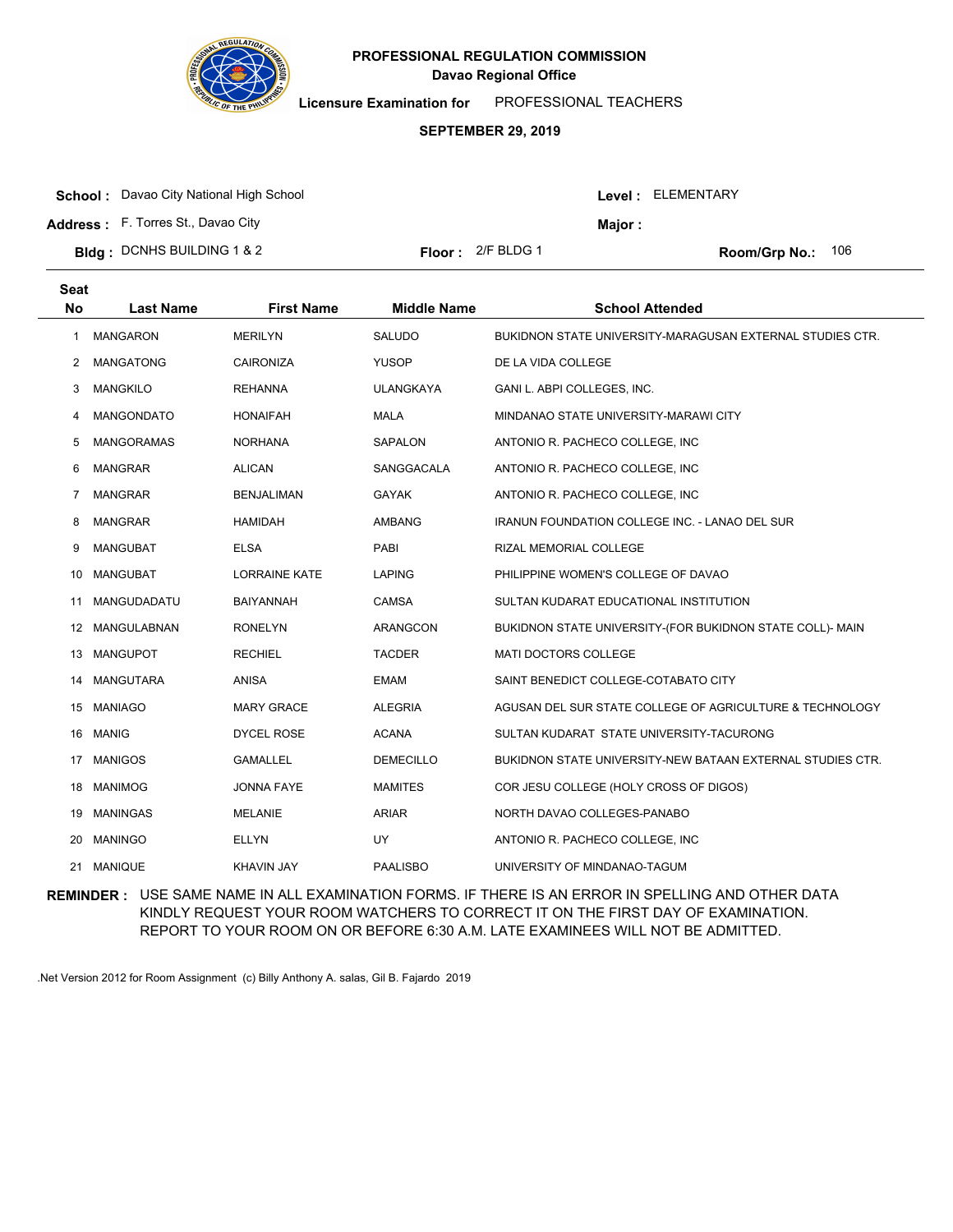

**Licensure Examination for**  PROFESSIONAL TEACHERS

### **SEPTEMBER 29, 2019**

| <b>School:</b> Davao City National High School |                            |         | Level : ELEMENTARY         |
|------------------------------------------------|----------------------------|---------|----------------------------|
| <b>Address:</b> F. Torres St., Davao City      |                            | Maior : |                            |
| <b>Bidg</b> : DCNHS BUILDING 1 & 2             | <b>Floor:</b> $2/F$ BLDG 1 |         | <b>Room/Grp No.:</b> $106$ |

| <b>Seat</b><br><b>No</b> | <b>Last Name</b>   | <b>First Name</b>    | <b>Middle Name</b> | <b>School Attended</b>                                     |
|--------------------------|--------------------|----------------------|--------------------|------------------------------------------------------------|
| 1                        | <b>MANGARON</b>    | <b>MERILYN</b>       | SALUDO             | BUKIDNON STATE UNIVERSITY-MARAGUSAN EXTERNAL STUDIES CTR.  |
| $\overline{2}$           | <b>MANGATONG</b>   | <b>CAIRONIZA</b>     | <b>YUSOP</b>       | DE LA VIDA COLLEGE                                         |
| 3                        | <b>MANGKILO</b>    | <b>REHANNA</b>       | <b>ULANGKAYA</b>   | GANI L. ABPI COLLEGES, INC.                                |
| 4                        | MANGONDATO         | <b>HONAIFAH</b>      | <b>MALA</b>        | MINDANAO STATE UNIVERSITY-MARAWI CITY                      |
| 5                        | <b>MANGORAMAS</b>  | <b>NORHANA</b>       | <b>SAPALON</b>     | ANTONIO R. PACHECO COLLEGE, INC.                           |
| 6                        | <b>MANGRAR</b>     | <b>ALICAN</b>        | SANGGACALA         | ANTONIO R. PACHECO COLLEGE, INC                            |
| 7                        | <b>MANGRAR</b>     | <b>BENJALIMAN</b>    | <b>GAYAK</b>       | ANTONIO R. PACHECO COLLEGE, INC                            |
| 8                        | <b>MANGRAR</b>     | <b>HAMIDAH</b>       | <b>AMBANG</b>      | <b>IRANUN FOUNDATION COLLEGE INC. - LANAO DEL SUR</b>      |
| 9                        | <b>MANGUBAT</b>    | <b>ELSA</b>          | PABI               | RIZAL MEMORIAL COLLEGE                                     |
| 10                       | <b>MANGUBAT</b>    | <b>LORRAINE KATE</b> | <b>LAPING</b>      | PHILIPPINE WOMEN'S COLLEGE OF DAVAO                        |
| 11                       | MANGUDADATU        | <b>BAIYANNAH</b>     | CAMSA              | SULTAN KUDARAT EDUCATIONAL INSTITUTION                     |
| 12                       | <b>MANGULABNAN</b> | <b>RONELYN</b>       | ARANGCON           | BUKIDNON STATE UNIVERSITY-(FOR BUKIDNON STATE COLL)- MAIN  |
| 13                       | <b>MANGUPOT</b>    | <b>RECHIEL</b>       | <b>TACDER</b>      | <b>MATI DOCTORS COLLEGE</b>                                |
| 14                       | <b>MANGUTARA</b>   | <b>ANISA</b>         | <b>EMAM</b>        | SAINT BENEDICT COLLEGE-COTABATO CITY                       |
| 15                       | <b>MANIAGO</b>     | <b>MARY GRACE</b>    | <b>ALEGRIA</b>     | AGUSAN DEL SUR STATE COLLEGE OF AGRICULTURE & TECHNOLOGY   |
| 16                       | <b>MANIG</b>       | <b>DYCEL ROSE</b>    | <b>ACANA</b>       | SULTAN KUDARAT STATE UNIVERSITY-TACURONG                   |
| 17                       | <b>MANIGOS</b>     | <b>GAMALLEL</b>      | <b>DEMECILLO</b>   | BUKIDNON STATE UNIVERSITY-NEW BATAAN EXTERNAL STUDIES CTR. |
| 18                       | <b>MANIMOG</b>     | JONNA FAYE           | <b>MAMITES</b>     | COR JESU COLLEGE (HOLY CROSS OF DIGOS)                     |
| 19                       | <b>MANINGAS</b>    | <b>MELANIE</b>       | <b>ARIAR</b>       | NORTH DAVAO COLLEGES-PANABO                                |
| 20                       | <b>MANINGO</b>     | <b>ELLYN</b>         | UY                 | ANTONIO R. PACHECO COLLEGE, INC                            |
| 21                       | <b>MANIQUE</b>     | <b>KHAVIN JAY</b>    | <b>PAALISBO</b>    | UNIVERSITY OF MINDANAO-TAGUM                               |

**REMINDER :** USE SAME NAME IN ALL EXAMINATION FORMS. IF THERE IS AN ERROR IN SPELLING AND OTHER DATA KINDLY REQUEST YOUR ROOM WATCHERS TO CORRECT IT ON THE FIRST DAY OF EXAMINATION. REPORT TO YOUR ROOM ON OR BEFORE 6:30 A.M. LATE EXAMINEES WILL NOT BE ADMITTED.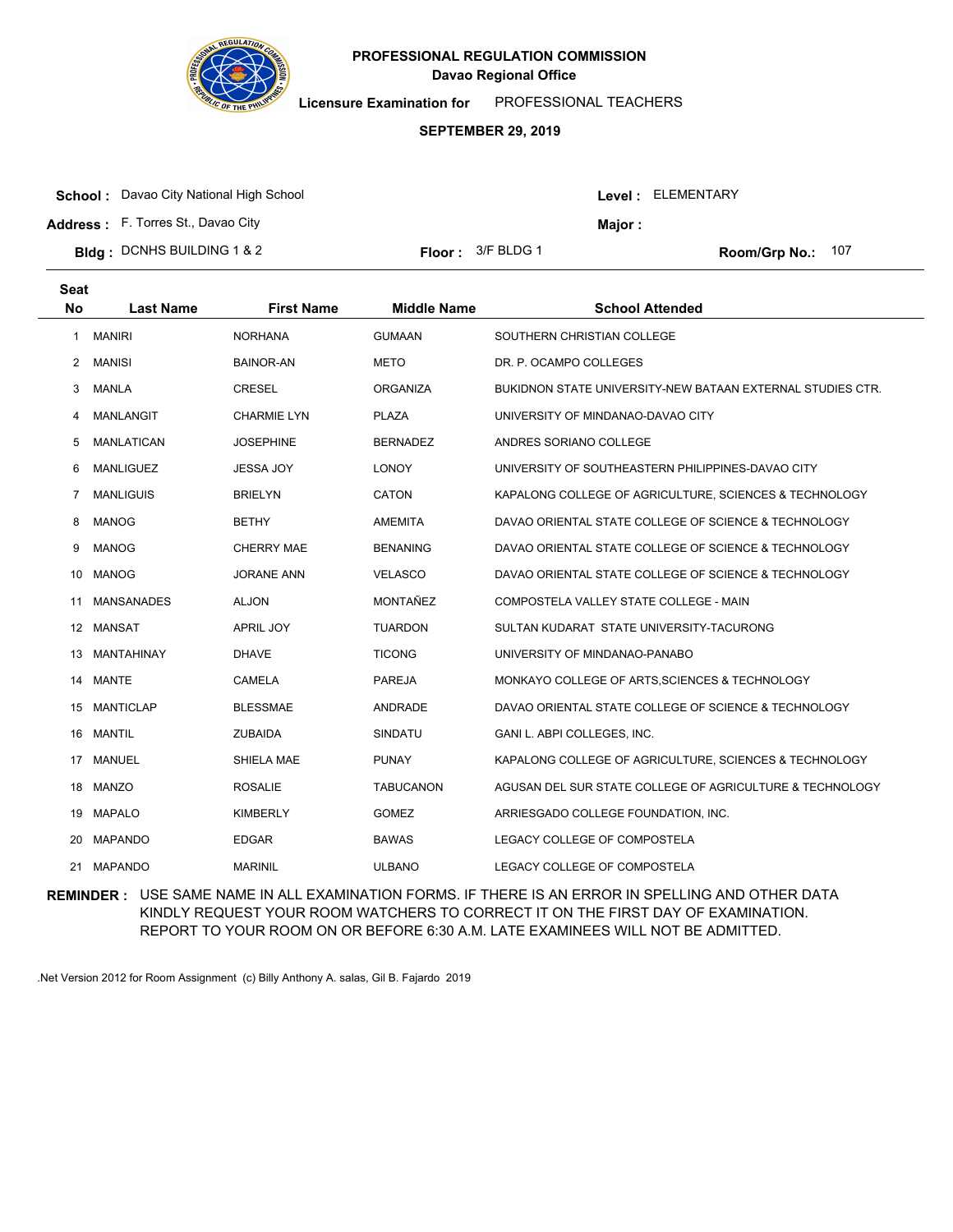

**Licensure Examination for**  PROFESSIONAL TEACHERS

#### **SEPTEMBER 29, 2019**

**School :** Davao City National High School

**Address :** F. Torres St., Davao City

**Seat**

| Bldg: DCNHS BUILDING 1 & 2 | <b>Floor:</b> $3/F$ BLDG 1 | Room/Grp No.: 107 |
|----------------------------|----------------------------|-------------------|
|                            |                            |                   |

| <b>loor :</b><br>3/F BLDG 1 |
|-----------------------------|
|-----------------------------|

Level : ELEMENTARY

**Major :**

| əeat |                   |                    |                    |                                                            |
|------|-------------------|--------------------|--------------------|------------------------------------------------------------|
| No   | <b>Last Name</b>  | <b>First Name</b>  | <b>Middle Name</b> | <b>School Attended</b>                                     |
| 1    | <b>MANIRI</b>     | <b>NORHANA</b>     | <b>GUMAAN</b>      | SOUTHERN CHRISTIAN COLLEGE                                 |
| 2    | <b>MANISI</b>     | <b>BAINOR-AN</b>   | <b>METO</b>        | DR. P. OCAMPO COLLEGES                                     |
| 3    | <b>MANLA</b>      | <b>CRESEL</b>      | <b>ORGANIZA</b>    | BUKIDNON STATE UNIVERSITY-NEW BATAAN EXTERNAL STUDIES CTR. |
| 4    | <b>MANLANGIT</b>  | <b>CHARMIE LYN</b> | <b>PLAZA</b>       | UNIVERSITY OF MINDANAO-DAVAO CITY                          |
| 5    | <b>MANLATICAN</b> | <b>JOSEPHINE</b>   | <b>BERNADEZ</b>    | ANDRES SORIANO COLLEGE                                     |
| 6    | <b>MANLIGUEZ</b>  | <b>JESSA JOY</b>   | <b>LONOY</b>       | UNIVERSITY OF SOUTHEASTERN PHILIPPINES-DAVAO CITY          |
| 7    | <b>MANLIGUIS</b>  | <b>BRIELYN</b>     | CATON              | KAPALONG COLLEGE OF AGRICULTURE, SCIENCES & TECHNOLOGY     |
| 8    | <b>MANOG</b>      | <b>BETHY</b>       | <b>AMEMITA</b>     | DAVAO ORIENTAL STATE COLLEGE OF SCIENCE & TECHNOLOGY       |
| 9    | <b>MANOG</b>      | <b>CHERRY MAE</b>  | <b>BENANING</b>    | DAVAO ORIENTAL STATE COLLEGE OF SCIENCE & TECHNOLOGY       |
| 10   | <b>MANOG</b>      | <b>JORANE ANN</b>  | <b>VELASCO</b>     | DAVAO ORIENTAL STATE COLLEGE OF SCIENCE & TECHNOLOGY       |
| 11   | <b>MANSANADES</b> | <b>ALJON</b>       | MONTAÑEZ           | COMPOSTELA VALLEY STATE COLLEGE - MAIN                     |
|      | 12 MANSAT         | <b>APRIL JOY</b>   | <b>TUARDON</b>     | SULTAN KUDARAT STATE UNIVERSITY-TACURONG                   |
| 13   | MANTAHINAY        | <b>DHAVE</b>       | <b>TICONG</b>      | UNIVERSITY OF MINDANAO-PANABO                              |
| 14   | <b>MANTE</b>      | <b>CAMELA</b>      | <b>PAREJA</b>      | MONKAYO COLLEGE OF ARTS, SCIENCES & TECHNOLOGY             |
| 15   | <b>MANTICLAP</b>  | <b>BLESSMAE</b>    | ANDRADE            | DAVAO ORIENTAL STATE COLLEGE OF SCIENCE & TECHNOLOGY       |
| 16   | <b>MANTIL</b>     | <b>ZUBAIDA</b>     | <b>SINDATU</b>     | GANI L. ABPI COLLEGES, INC.                                |
| 17   | <b>MANUEL</b>     | SHIELA MAE         | <b>PUNAY</b>       | KAPALONG COLLEGE OF AGRICULTURE, SCIENCES & TECHNOLOGY     |
|      | 18 MANZO          | <b>ROSALIE</b>     | <b>TABUCANON</b>   | AGUSAN DEL SUR STATE COLLEGE OF AGRICULTURE & TECHNOLOGY   |
| 19   | <b>MAPALO</b>     | <b>KIMBERLY</b>    | <b>GOMEZ</b>       | ARRIESGADO COLLEGE FOUNDATION, INC.                        |
| 20   | <b>MAPANDO</b>    | <b>EDGAR</b>       | <b>BAWAS</b>       | LEGACY COLLEGE OF COMPOSTELA                               |
|      | 21 MAPANDO        | <b>MARINIL</b>     | <b>ULBANO</b>      | LEGACY COLLEGE OF COMPOSTELA                               |

**REMINDER :** USE SAME NAME IN ALL EXAMINATION FORMS. IF THERE IS AN ERROR IN SPELLING AND OTHER DATA KINDLY REQUEST YOUR ROOM WATCHERS TO CORRECT IT ON THE FIRST DAY OF EXAMINATION. REPORT TO YOUR ROOM ON OR BEFORE 6:30 A.M. LATE EXAMINEES WILL NOT BE ADMITTED.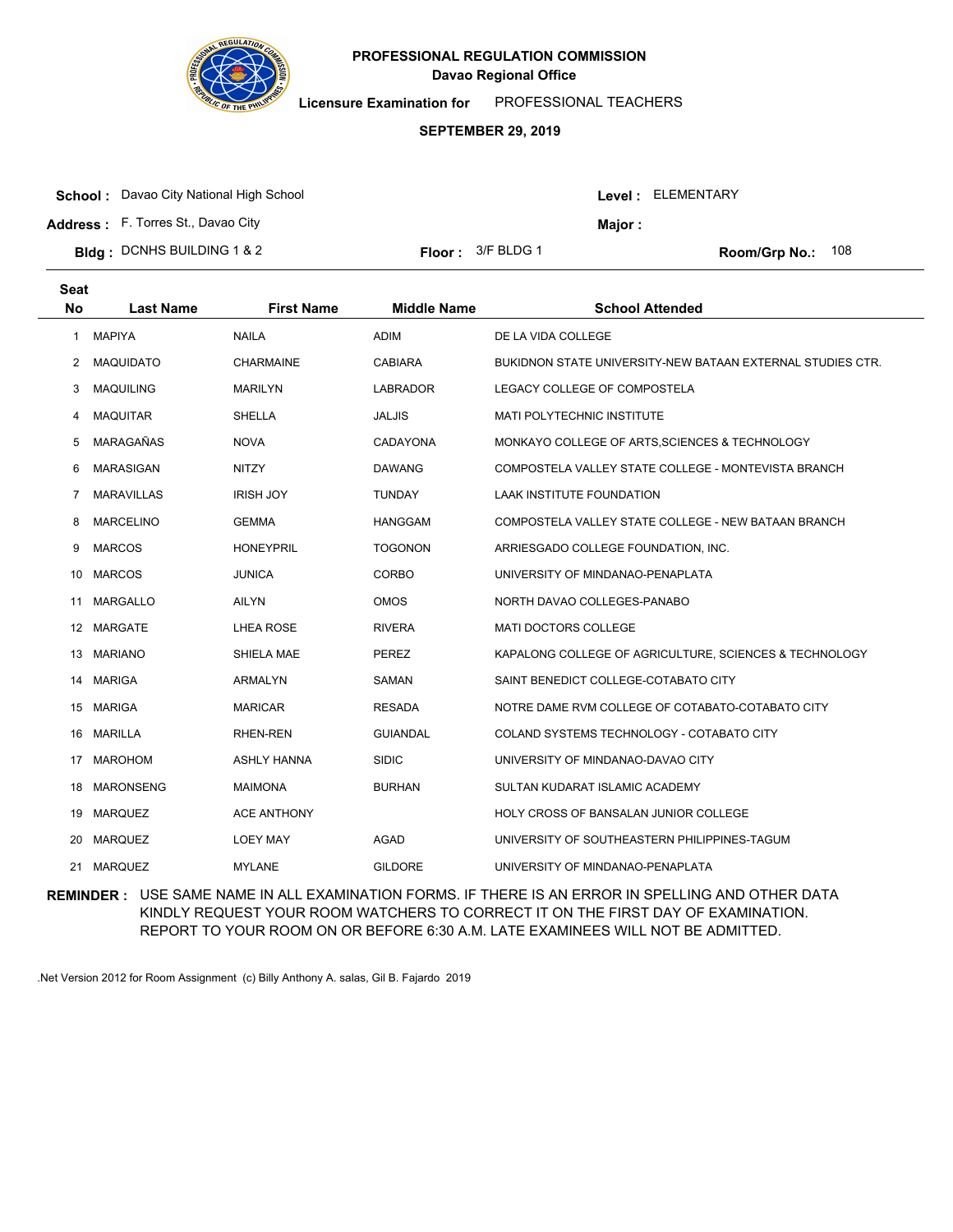

**Licensure Examination for**  PROFESSIONAL TEACHERS

#### **SEPTEMBER 29, 2019**

| <b>Bidg: DCNHS BUILDING 1 &amp; 2</b>          | <b>Floor</b> : $3/F$ BLDG 1 |         | Room/Grp No.: 108 |  |
|------------------------------------------------|-----------------------------|---------|-------------------|--|
| <b>Address:</b> F. Torres St., Davao City      |                             | Maior : |                   |  |
| <b>School:</b> Davao City National High School |                             |         | Level: ELEMENTARY |  |

| <b>Seat</b><br>No | <b>Last Name</b>  | <b>First Name</b>  | <b>Middle Name</b> | <b>School Attended</b>                                     |
|-------------------|-------------------|--------------------|--------------------|------------------------------------------------------------|
| 1                 | <b>MAPIYA</b>     | <b>NAILA</b>       | <b>ADIM</b>        | DE LA VIDA COLLEGE                                         |
| 2                 | <b>MAQUIDATO</b>  | <b>CHARMAINE</b>   | <b>CABIARA</b>     | BUKIDNON STATE UNIVERSITY-NEW BATAAN EXTERNAL STUDIES CTR. |
| 3                 | <b>MAQUILING</b>  | <b>MARILYN</b>     | <b>LABRADOR</b>    | LEGACY COLLEGE OF COMPOSTELA                               |
| 4                 | <b>MAQUITAR</b>   | <b>SHELLA</b>      | <b>JALJIS</b>      | MATI POLYTECHNIC INSTITUTE                                 |
| 5                 | MARAGAÑAS         | <b>NOVA</b>        | CADAYONA           | MONKAYO COLLEGE OF ARTS, SCIENCES & TECHNOLOGY             |
| 6                 | <b>MARASIGAN</b>  | <b>NITZY</b>       | <b>DAWANG</b>      | COMPOSTELA VALLEY STATE COLLEGE - MONTEVISTA BRANCH        |
| 7                 | <b>MARAVILLAS</b> | <b>IRISH JOY</b>   | <b>TUNDAY</b>      | <b>LAAK INSTITUTE FOUNDATION</b>                           |
| 8                 | <b>MARCELINO</b>  | <b>GEMMA</b>       | <b>HANGGAM</b>     | COMPOSTELA VALLEY STATE COLLEGE - NEW BATAAN BRANCH        |
| 9                 | <b>MARCOS</b>     | <b>HONEYPRIL</b>   | <b>TOGONON</b>     | ARRIESGADO COLLEGE FOUNDATION, INC.                        |
| 10                | <b>MARCOS</b>     | <b>JUNICA</b>      | <b>CORBO</b>       | UNIVERSITY OF MINDANAO-PENAPLATA                           |
| 11                | <b>MARGALLO</b>   | AILYN              | <b>OMOS</b>        | NORTH DAVAO COLLEGES-PANABO                                |
|                   | 12 MARGATE        | LHEA ROSE          | <b>RIVERA</b>      | MATI DOCTORS COLLEGE                                       |
| 13                | <b>MARIANO</b>    | SHIELA MAE         | <b>PEREZ</b>       | KAPALONG COLLEGE OF AGRICULTURE, SCIENCES & TECHNOLOGY     |
| 14                | <b>MARIGA</b>     | <b>ARMALYN</b>     | SAMAN              | SAINT BENEDICT COLLEGE-COTABATO CITY                       |
|                   | 15 MARIGA         | <b>MARICAR</b>     | <b>RESADA</b>      | NOTRE DAME RVM COLLEGE OF COTABATO-COTABATO CITY           |
| 16                | <b>MARILLA</b>    | <b>RHEN-REN</b>    | <b>GUIANDAL</b>    | COLAND SYSTEMS TECHNOLOGY - COTABATO CITY                  |
| 17                | <b>MAROHOM</b>    | <b>ASHLY HANNA</b> | <b>SIDIC</b>       | UNIVERSITY OF MINDANAO-DAVAO CITY                          |
| 18                | <b>MARONSENG</b>  | <b>MAIMONA</b>     | <b>BURHAN</b>      | SULTAN KUDARAT ISLAMIC ACADEMY                             |
| 19                | MARQUEZ           | <b>ACE ANTHONY</b> |                    | <b>HOLY CROSS OF BANSALAN JUNIOR COLLEGE</b>               |
| 20                | <b>MARQUEZ</b>    | <b>LOEY MAY</b>    | AGAD               | UNIVERSITY OF SOUTHEASTERN PHILIPPINES-TAGUM               |
| 21                | <b>MARQUEZ</b>    | <b>MYLANE</b>      | <b>GILDORE</b>     | UNIVERSITY OF MINDANAO-PENAPLATA                           |

**REMINDER :** USE SAME NAME IN ALL EXAMINATION FORMS. IF THERE IS AN ERROR IN SPELLING AND OTHER DATA KINDLY REQUEST YOUR ROOM WATCHERS TO CORRECT IT ON THE FIRST DAY OF EXAMINATION. REPORT TO YOUR ROOM ON OR BEFORE 6:30 A.M. LATE EXAMINEES WILL NOT BE ADMITTED.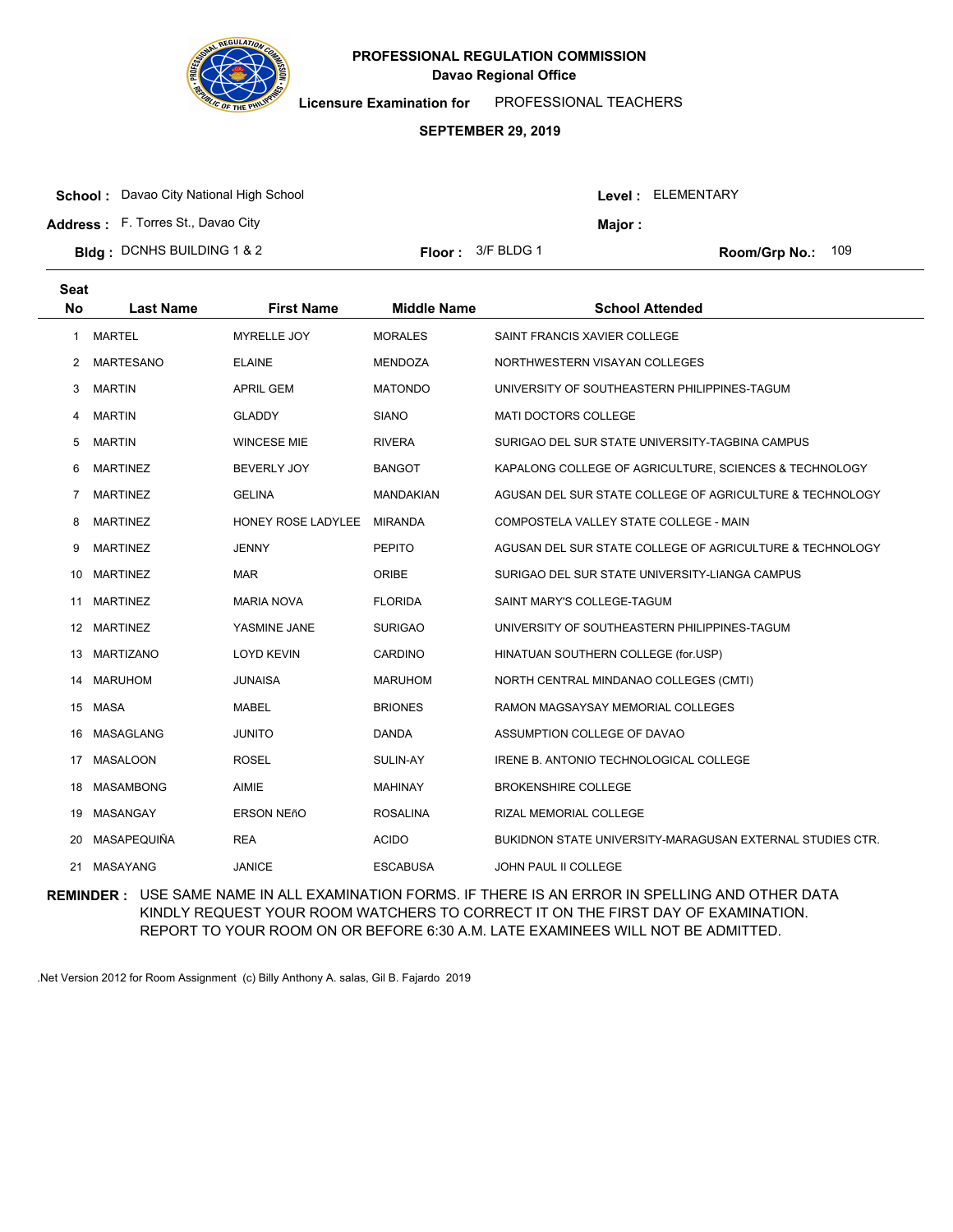

**Licensure Examination for**  PROFESSIONAL TEACHERS

#### **SEPTEMBER 29, 2019**

| <b>School:</b> Davao City National High School |                             |                | Level: ELEMENTARY |  |
|------------------------------------------------|-----------------------------|----------------|-------------------|--|
| <b>Address:</b> F. Torres St., Davao City      |                             | <b>Maior :</b> |                   |  |
| <b>Bldg: DCNHS BUILDING 1 &amp; 2</b>          | <b>Floor</b> : $3/F$ BLDG 1 |                | Room/Grp No.: 109 |  |

**Last Name First Name Middle Name School Attended Seat No** 1 MARTEL MYRELLE JOY MORALES SAINT FRANCIS XAVIER COLLEGE 2 MARTESANO ELAINE **MENDOZA NORTHWESTERN VISAYAN COLLEGES** 3 MARTIN APRIL GEM MATONDO UNIVERSITY OF SOUTHEASTERN PHILIPPINES-TAGUM 4 MARTIN GLADDY SIANO MATI DOCTORS COLLEGE 5 MARTIN WINCESE MIE RIVERA SURIGAO DEL SUR STATE UNIVERSITY-TAGBINA CAMPUS 6 MARTINEZ BEVERLY JOY BANGOT KAPALONG COLLEGE OF AGRICULTURE, SCIENCES & TECHNOLOGY 7 MARTINEZ GELINA GELINA MANDAKIAN AGUSAN DEL SUR STATE COLLEGE OF AGRICULTURE & TECHNOLOGY 8 MARTINEZ **HONEY ROSE LADYLEE MIRANDA** COMPOSTELA VALLEY STATE COLLEGE - MAIN 9 MARTINEZ JENNY PEPITO AGUSAN DEL SUR STATE COLLEGE OF AGRICULTURE & TECHNOLOGY 10 MARTINEZ MAR MAR ORIBE SURIGAO DEL SUR STATE UNIVERSITY-LIANGA CAMPUS 11 MARTINEZ MARIA NOVA FLORIDA SAINT MARY'S COLLEGE-TAGUM 12 MARTINEZ YASMINE JANE SURIGAO UNIVERSITY OF SOUTHEASTERN PHILIPPINES-TAGUM 13 MARTIZANO LOYD KEVIN CARDINO HINATUAN SOUTHERN COLLEGE (for.USP) 14 MARUHOM JUNAISA MARUHOM NORTH CENTRAL MINDANAO COLLEGES (CMTI) 15 MASA MABEL BRIONES RAMON MAGSAYSAY MEMORIAL COLLEGES 16 MASAGLANG JUNITO DANDA ASSUMPTION COLLEGE OF DAVAO 17 MASALOON ROSEL SULIN-AY IRENE B. ANTONIO TECHNOLOGICAL COLLEGE 18 MASAMBONG AIMIE AIMIE MAHINAY BROKENSHIRE COLLEGE 19 MASANGAY ERSON NEñO ROSALINA RIZAL MEMORIAL COLLEGE 20 MASAPEQUIÑA REA ACIDO BUKIDNON STATE UNIVERSITY-MARAGUSAN EXTERNAL STUDIES CTR. 21 MASAYANG JANICE ESCABUSA JOHN PAUL II COLLEGE

**REMINDER :** USE SAME NAME IN ALL EXAMINATION FORMS. IF THERE IS AN ERROR IN SPELLING AND OTHER DATA KINDLY REQUEST YOUR ROOM WATCHERS TO CORRECT IT ON THE FIRST DAY OF EXAMINATION. REPORT TO YOUR ROOM ON OR BEFORE 6:30 A.M. LATE EXAMINEES WILL NOT BE ADMITTED.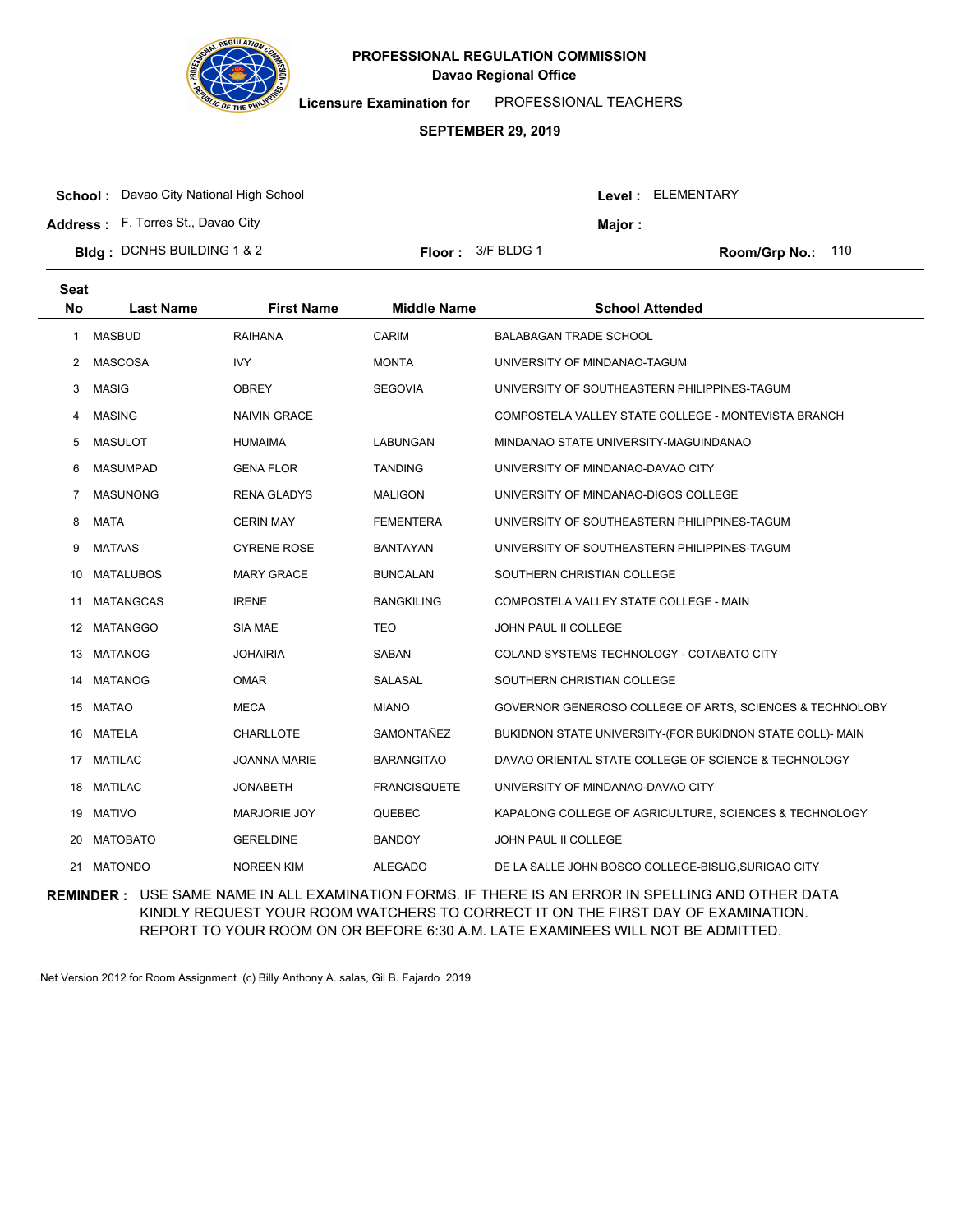

**Licensure Examination for**  PROFESSIONAL TEACHERS

### **SEPTEMBER 29, 2019**

|  | <b>School:</b> Davao City National High School |
|--|------------------------------------------------|
|--|------------------------------------------------|

Level : ELEMENTARY

**Major :**

**Address :** F. Torres St., Davao City

**Bldg : Floor : Room/Grp No.:** DCNHS BUILDING 1 & 2

Floor: 3/F BLDG 1 Room/Grp No.: 110

| <b>Seat</b><br><b>No</b> | <b>Last Name</b> | <b>First Name</b>   | <b>Middle Name</b>  | <b>School Attended</b>                                    |
|--------------------------|------------------|---------------------|---------------------|-----------------------------------------------------------|
| 1                        | <b>MASBUD</b>    | <b>RAIHANA</b>      | <b>CARIM</b>        | <b>BALABAGAN TRADE SCHOOL</b>                             |
| $\mathbf{2}^{\prime}$    | <b>MASCOSA</b>   | <b>IVY</b>          | <b>MONTA</b>        | UNIVERSITY OF MINDANAO-TAGUM                              |
| 3                        | <b>MASIG</b>     | <b>OBREY</b>        | <b>SEGOVIA</b>      | UNIVERSITY OF SOUTHEASTERN PHILIPPINES-TAGUM              |
| 4                        | <b>MASING</b>    | <b>NAIVIN GRACE</b> |                     | COMPOSTELA VALLEY STATE COLLEGE - MONTEVISTA BRANCH       |
| 5                        | <b>MASULOT</b>   | <b>HUMAIMA</b>      | LABUNGAN            | MINDANAO STATE UNIVERSITY-MAGUINDANAO                     |
| 6                        | <b>MASUMPAD</b>  | <b>GENA FLOR</b>    | <b>TANDING</b>      | UNIVERSITY OF MINDANAO-DAVAO CITY                         |
| 7                        | <b>MASUNONG</b>  | <b>RENA GLADYS</b>  | <b>MALIGON</b>      | UNIVERSITY OF MINDANAO-DIGOS COLLEGE                      |
| 8                        | <b>MATA</b>      | <b>CERIN MAY</b>    | <b>FEMENTERA</b>    | UNIVERSITY OF SOUTHEASTERN PHILIPPINES-TAGUM              |
| 9                        | <b>MATAAS</b>    | <b>CYRENE ROSE</b>  | <b>BANTAYAN</b>     | UNIVERSITY OF SOUTHEASTERN PHILIPPINES-TAGUM              |
| 10                       | <b>MATALUBOS</b> | <b>MARY GRACE</b>   | <b>BUNCALAN</b>     | SOUTHERN CHRISTIAN COLLEGE                                |
| 11                       | <b>MATANGCAS</b> | <b>IRENE</b>        | <b>BANGKILING</b>   | COMPOSTELA VALLEY STATE COLLEGE - MAIN                    |
| 12                       | <b>MATANGGO</b>  | SIA MAE             | TEO                 | <b>JOHN PAUL II COLLEGE</b>                               |
| 13                       | <b>MATANOG</b>   | <b>JOHAIRIA</b>     | SABAN               | COLAND SYSTEMS TECHNOLOGY - COTABATO CITY                 |
| 14                       | <b>MATANOG</b>   | <b>OMAR</b>         | SALASAL             | SOUTHERN CHRISTIAN COLLEGE                                |
|                          | 15 MATAO         | <b>MECA</b>         | <b>MIANO</b>        | GOVERNOR GENEROSO COLLEGE OF ARTS, SCIENCES & TECHNOLOBY  |
| 16                       | <b>MATELA</b>    | CHARLLOTE           | SAMONTAÑEZ          | BUKIDNON STATE UNIVERSITY-(FOR BUKIDNON STATE COLL)- MAIN |
| 17                       | <b>MATILAC</b>   | <b>JOANNA MARIE</b> | <b>BARANGITAO</b>   | DAVAO ORIENTAL STATE COLLEGE OF SCIENCE & TECHNOLOGY      |
|                          | 18 MATILAC       | JONABETH            | <b>FRANCISQUETE</b> | UNIVERSITY OF MINDANAO-DAVAO CITY                         |
| 19                       | <b>MATIVO</b>    | MARJORIE JOY        | QUEBEC              | KAPALONG COLLEGE OF AGRICULTURE, SCIENCES & TECHNOLOGY    |
| 20                       | <b>MATOBATO</b>  | <b>GERELDINE</b>    | <b>BANDOY</b>       | <b>JOHN PAUL II COLLEGE</b>                               |
| 21                       | MATONDO          | <b>NOREEN KIM</b>   | <b>ALEGADO</b>      | DE LA SALLE JOHN BOSCO COLLEGE-BISLIG, SURIGAO CITY       |

**REMINDER :** USE SAME NAME IN ALL EXAMINATION FORMS. IF THERE IS AN ERROR IN SPELLING AND OTHER DATA KINDLY REQUEST YOUR ROOM WATCHERS TO CORRECT IT ON THE FIRST DAY OF EXAMINATION. REPORT TO YOUR ROOM ON OR BEFORE 6:30 A.M. LATE EXAMINEES WILL NOT BE ADMITTED.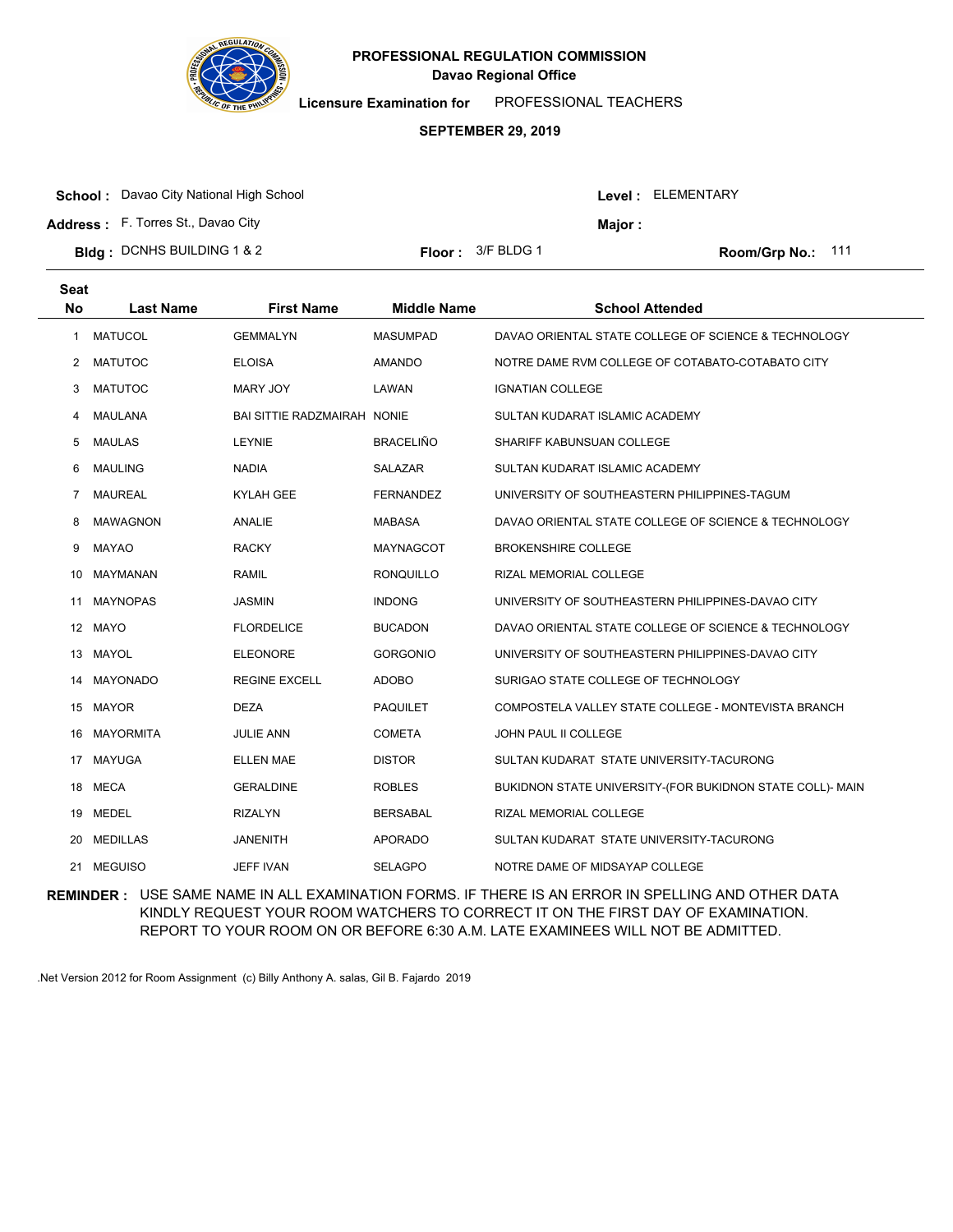

**Licensure Examination for**  PROFESSIONAL TEACHERS

### **SEPTEMBER 29, 2019**

| <b>School:</b> Davao City National High School |                            |         | Level : ELEMENTARY |
|------------------------------------------------|----------------------------|---------|--------------------|
| <b>Address:</b> F. Torres St., Davao City      |                            | Maior : |                    |
| <b>Bidg</b> : DCNHS BUILDING 1 & 2             | <b>Floor:</b> $3/F$ BLDG 1 |         | Room/Grp No.: 111  |

| <b>Seat</b><br><b>No</b> | <b>Last Name</b> | <b>First Name</b>                  | <b>Middle Name</b> | <b>School Attended</b>                                    |
|--------------------------|------------------|------------------------------------|--------------------|-----------------------------------------------------------|
| 1                        | <b>MATUCOL</b>   | <b>GEMMALYN</b>                    | <b>MASUMPAD</b>    | DAVAO ORIENTAL STATE COLLEGE OF SCIENCE & TECHNOLOGY      |
| 2                        | <b>MATUTOC</b>   | <b>ELOISA</b>                      | <b>AMANDO</b>      | NOTRE DAME RVM COLLEGE OF COTABATO-COTABATO CITY          |
| 3                        | <b>MATUTOC</b>   | MARY JOY                           | LAWAN              | <b>IGNATIAN COLLEGE</b>                                   |
| 4                        | MAULANA          | <b>BAI SITTIE RADZMAIRAH NONIE</b> |                    | SULTAN KUDARAT ISLAMIC ACADEMY                            |
| 5                        | MAULAS           | <b>LEYNIE</b>                      | <b>BRACELIÑO</b>   | SHARIFF KABUNSUAN COLLEGE                                 |
| 6                        | <b>MAULING</b>   | <b>NADIA</b>                       | SALAZAR            | SULTAN KUDARAT ISLAMIC ACADEMY                            |
| 7                        | <b>MAUREAL</b>   | <b>KYLAH GEE</b>                   | <b>FERNANDEZ</b>   | UNIVERSITY OF SOUTHEASTERN PHILIPPINES-TAGUM              |
| 8                        | <b>MAWAGNON</b>  | <b>ANALIE</b>                      | <b>MABASA</b>      | DAVAO ORIENTAL STATE COLLEGE OF SCIENCE & TECHNOLOGY      |
| 9                        | <b>MAYAO</b>     | <b>RACKY</b>                       | MAYNAGCOT          | <b>BROKENSHIRE COLLEGE</b>                                |
| 10                       | MAYMANAN         | <b>RAMIL</b>                       | <b>RONQUILLO</b>   | RIZAL MEMORIAL COLLEGE                                    |
| 11                       | <b>MAYNOPAS</b>  | <b>JASMIN</b>                      | <b>INDONG</b>      | UNIVERSITY OF SOUTHEASTERN PHILIPPINES-DAVAO CITY         |
|                          | 12 MAYO          | <b>FLORDELICE</b>                  | <b>BUCADON</b>     | DAVAO ORIENTAL STATE COLLEGE OF SCIENCE & TECHNOLOGY      |
| 13                       | <b>MAYOL</b>     | <b>ELEONORE</b>                    | <b>GORGONIO</b>    | UNIVERSITY OF SOUTHEASTERN PHILIPPINES-DAVAO CITY         |
| 14                       | <b>MAYONADO</b>  | <b>REGINE EXCELL</b>               | <b>ADOBO</b>       | SURIGAO STATE COLLEGE OF TECHNOLOGY                       |
|                          | 15 MAYOR         | <b>DEZA</b>                        | <b>PAQUILET</b>    | COMPOSTELA VALLEY STATE COLLEGE - MONTEVISTA BRANCH       |
| 16                       | <b>MAYORMITA</b> | <b>JULIE ANN</b>                   | <b>COMETA</b>      | JOHN PAUL II COLLEGE                                      |
| 17                       | <b>MAYUGA</b>    | <b>ELLEN MAE</b>                   | <b>DISTOR</b>      | SULTAN KUDARAT STATE UNIVERSITY-TACURONG                  |
|                          | 18 MECA          | <b>GERALDINE</b>                   | <b>ROBLES</b>      | BUKIDNON STATE UNIVERSITY-(FOR BUKIDNON STATE COLL)- MAIN |
| 19                       | <b>MEDEL</b>     | <b>RIZALYN</b>                     | <b>BERSABAL</b>    | RIZAL MEMORIAL COLLEGE                                    |
| 20                       | <b>MEDILLAS</b>  | <b>JANENITH</b>                    | <b>APORADO</b>     | SULTAN KUDARAT STATE UNIVERSITY-TACURONG                  |
| 21                       | <b>MEGUISO</b>   | <b>JEFF IVAN</b>                   | <b>SELAGPO</b>     | NOTRE DAME OF MIDSAYAP COLLEGE                            |

**REMINDER :** USE SAME NAME IN ALL EXAMINATION FORMS. IF THERE IS AN ERROR IN SPELLING AND OTHER DATA KINDLY REQUEST YOUR ROOM WATCHERS TO CORRECT IT ON THE FIRST DAY OF EXAMINATION. REPORT TO YOUR ROOM ON OR BEFORE 6:30 A.M. LATE EXAMINEES WILL NOT BE ADMITTED.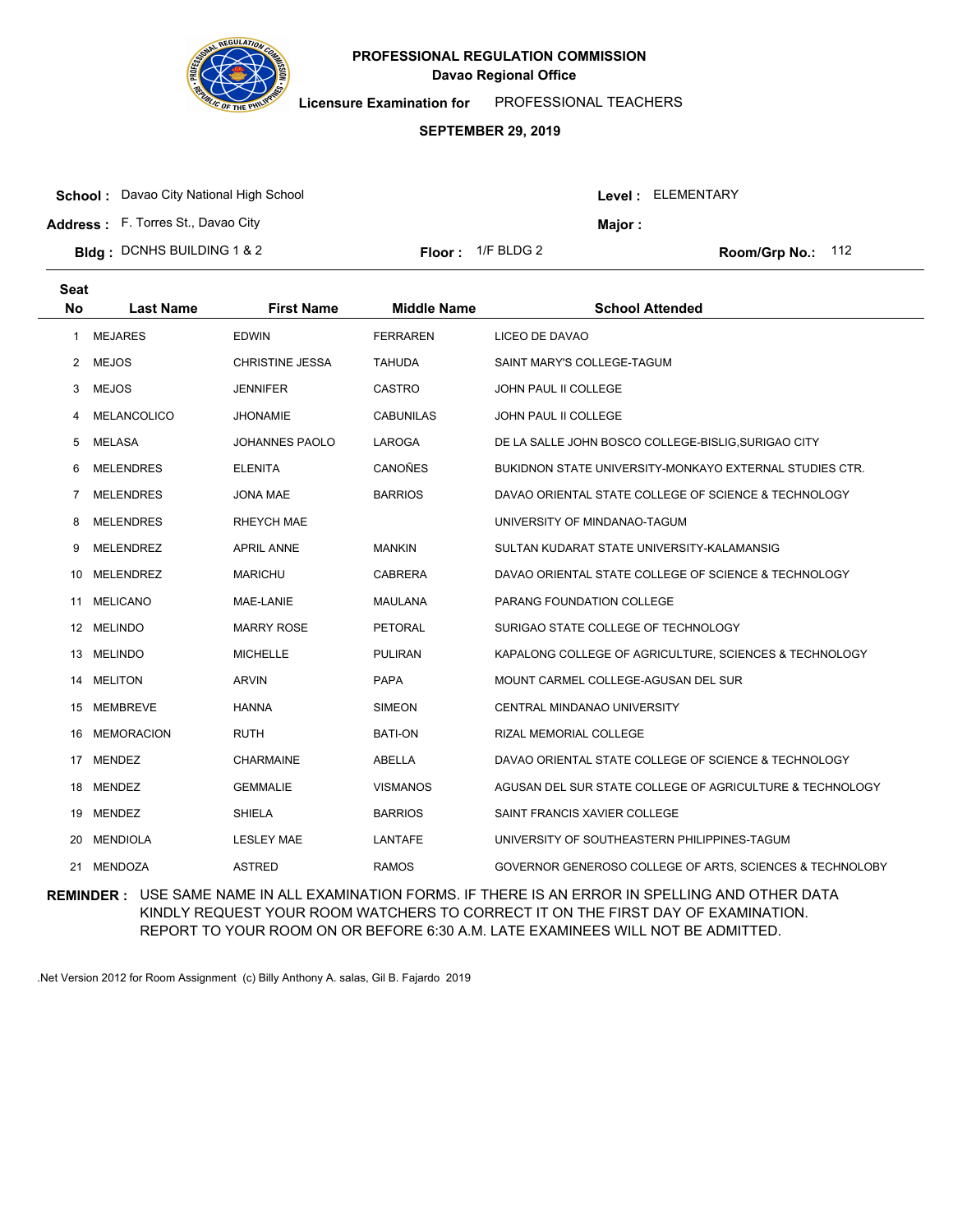

**Licensure Examination for**  PROFESSIONAL TEACHERS

### **SEPTEMBER 29, 2019**

**School :** Davao City National High School

**Address :** F. Torres St., Davao City

**Bldg : Floor : Room/Grp No.:** DCNHS BUILDING 1 & 2

Floor:  $1/F$  BLDG 2 Room/Grp No.: 112

Level : ELEMENTARY

**Major :**

| Seat<br><b>No</b> | <b>Last Name</b>   | <b>First Name</b> | <b>Middle Name</b> | <b>School Attended</b>                                         |
|-------------------|--------------------|-------------------|--------------------|----------------------------------------------------------------|
|                   |                    |                   |                    |                                                                |
| 1                 | <b>MEJARES</b>     | <b>EDWIN</b>      | <b>FERRAREN</b>    | LICEO DE DAVAO                                                 |
| 2                 | <b>MEJOS</b>       | CHRISTINE JESSA   | <b>TAHUDA</b>      | SAINT MARY'S COLLEGE-TAGUM                                     |
| 3                 | <b>MEJOS</b>       | <b>JENNIFER</b>   | <b>CASTRO</b>      | <b>JOHN PAUL II COLLEGE</b>                                    |
| 4                 | <b>MELANCOLICO</b> | <b>JHONAMIE</b>   | <b>CABUNILAS</b>   | <b>JOHN PAUL II COLLEGE</b>                                    |
| 5                 | MELASA             | JOHANNES PAOLO    | LAROGA             | DE LA SALLE JOHN BOSCO COLLEGE-BISLIG, SURIGAO CITY            |
| 6                 | <b>MELENDRES</b>   | <b>ELENITA</b>    | <b>CANOÑES</b>     | <b>BUKIDNON STATE UNIVERSITY-MONKAYO EXTERNAL STUDIES CTR.</b> |
| 7                 | <b>MELENDRES</b>   | JONA MAE          | <b>BARRIOS</b>     | DAVAO ORIENTAL STATE COLLEGE OF SCIENCE & TECHNOLOGY           |
| 8                 | <b>MELENDRES</b>   | <b>RHEYCH MAE</b> |                    | UNIVERSITY OF MINDANAO-TAGUM                                   |
| 9                 | <b>MELENDREZ</b>   | <b>APRIL ANNE</b> | <b>MANKIN</b>      | SULTAN KUDARAT STATE UNIVERSITY-KALAMANSIG                     |
| 10                | MELENDREZ          | <b>MARICHU</b>    | <b>CABRERA</b>     | DAVAO ORIENTAL STATE COLLEGE OF SCIENCE & TECHNOLOGY           |
| 11                | <b>MELICANO</b>    | MAE-LANIE         | <b>MAULANA</b>     | PARANG FOUNDATION COLLEGE                                      |
|                   | 12 MELINDO         | <b>MARRY ROSE</b> | <b>PETORAL</b>     | SURIGAO STATE COLLEGE OF TECHNOLOGY                            |
| 13                | <b>MELINDO</b>     | <b>MICHELLE</b>   | <b>PULIRAN</b>     | KAPALONG COLLEGE OF AGRICULTURE, SCIENCES & TECHNOLOGY         |
| 14                | <b>MELITON</b>     | <b>ARVIN</b>      | <b>PAPA</b>        | MOUNT CARMEL COLLEGE-AGUSAN DEL SUR                            |
| 15                | MEMBREVE           | <b>HANNA</b>      | <b>SIMEON</b>      | CENTRAL MINDANAO UNIVERSITY                                    |
| 16                | <b>MEMORACION</b>  | <b>RUTH</b>       | <b>BATI-ON</b>     | RIZAL MEMORIAL COLLEGE                                         |
| 17                | <b>MENDEZ</b>      | <b>CHARMAINE</b>  | <b>ABELLA</b>      | DAVAO ORIENTAL STATE COLLEGE OF SCIENCE & TECHNOLOGY           |
|                   | 18 MENDEZ          | <b>GEMMALIE</b>   | <b>VISMANOS</b>    | AGUSAN DEL SUR STATE COLLEGE OF AGRICULTURE & TECHNOLOGY       |
| 19                | <b>MENDEZ</b>      | <b>SHIELA</b>     | <b>BARRIOS</b>     | SAINT FRANCIS XAVIER COLLEGE                                   |
| 20                | <b>MENDIOLA</b>    | <b>LESLEY MAE</b> | LANTAFE            | UNIVERSITY OF SOUTHEASTERN PHILIPPINES-TAGUM                   |
|                   | 21 MENDOZA         | <b>ASTRED</b>     | <b>RAMOS</b>       | GOVERNOR GENEROSO COLLEGE OF ARTS, SCIENCES & TECHNOLOBY       |

**REMINDER :** USE SAME NAME IN ALL EXAMINATION FORMS. IF THERE IS AN ERROR IN SPELLING AND OTHER DATA KINDLY REQUEST YOUR ROOM WATCHERS TO CORRECT IT ON THE FIRST DAY OF EXAMINATION. REPORT TO YOUR ROOM ON OR BEFORE 6:30 A.M. LATE EXAMINEES WILL NOT BE ADMITTED.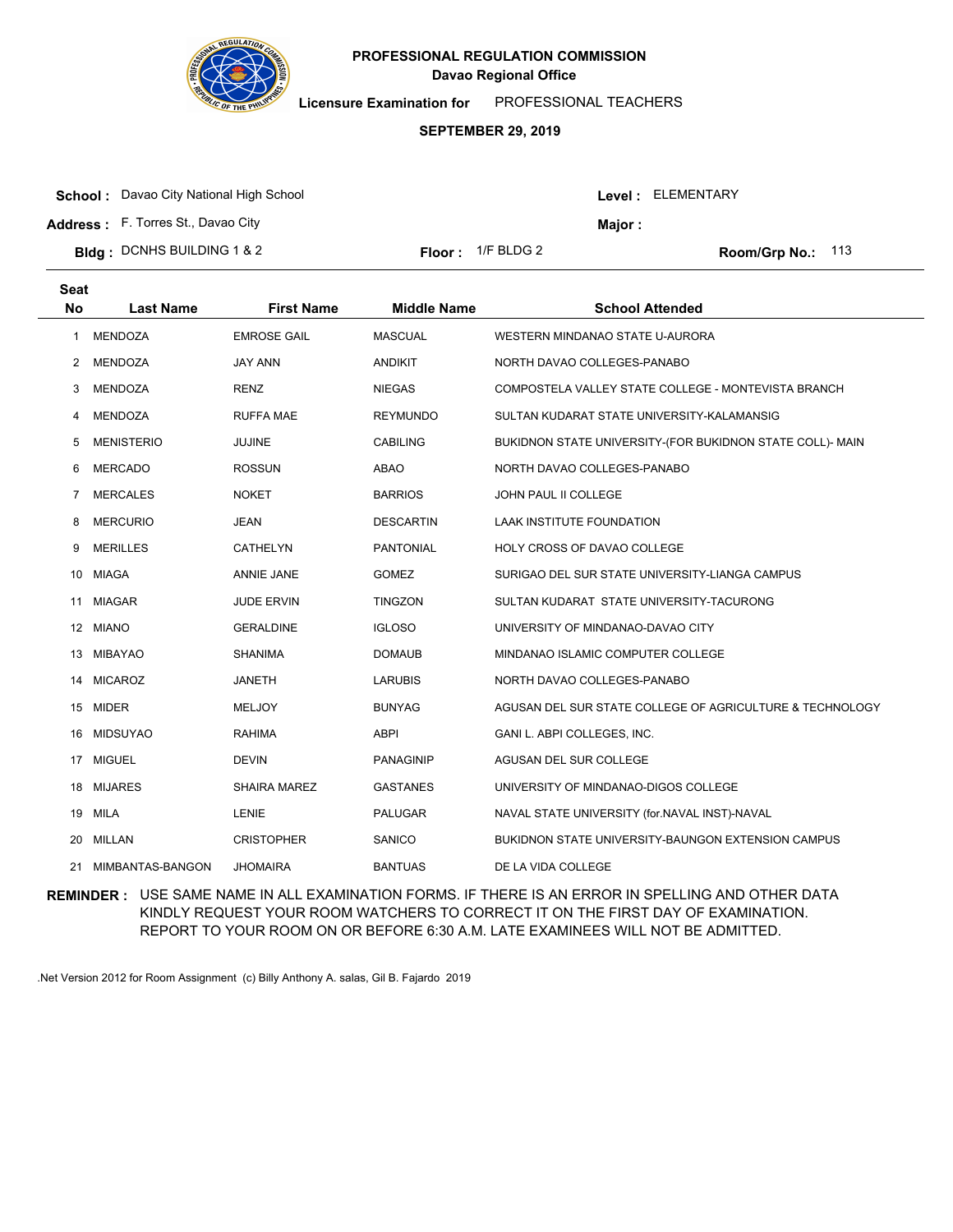

**Licensure Examination for**  PROFESSIONAL TEACHERS

### **SEPTEMBER 29, 2019**

| <b>School:</b> Davao City National High School |                             |         | <b>Level: ELEMENTARY</b>   |
|------------------------------------------------|-----------------------------|---------|----------------------------|
| <b>Address:</b> F. Torres St., Davao City      |                             | Maior : |                            |
| <b>Bldg: DCNHS BUILDING 1 &amp; 2</b>          | <b>Floor</b> : $1/F$ BLDG 2 |         | <b>Room/Grp No.:</b> $113$ |

| <b>Seat</b><br><b>No</b> | <b>Last Name</b>  | <b>First Name</b>   | <b>Middle Name</b> | <b>School Attended</b>                                    |
|--------------------------|-------------------|---------------------|--------------------|-----------------------------------------------------------|
| 1                        | <b>MENDOZA</b>    | <b>EMROSE GAIL</b>  | <b>MASCUAL</b>     | WESTERN MINDANAO STATE U-AURORA                           |
| $\overline{2}$           | <b>MENDOZA</b>    | <b>JAY ANN</b>      | <b>ANDIKIT</b>     | NORTH DAVAO COLLEGES-PANABO                               |
| 3                        | <b>MENDOZA</b>    | <b>RENZ</b>         | <b>NIEGAS</b>      | COMPOSTELA VALLEY STATE COLLEGE - MONTEVISTA BRANCH       |
| 4                        | <b>MENDOZA</b>    | <b>RUFFA MAE</b>    | <b>REYMUNDO</b>    | SULTAN KUDARAT STATE UNIVERSITY-KALAMANSIG                |
| 5                        | <b>MENISTERIO</b> | JUJINE              | <b>CABILING</b>    | BUKIDNON STATE UNIVERSITY-(FOR BUKIDNON STATE COLL)- MAIN |
| 6                        | <b>MERCADO</b>    | <b>ROSSUN</b>       | <b>ABAO</b>        | NORTH DAVAO COLLEGES-PANABO                               |
| $\overline{7}$           | <b>MERCALES</b>   | <b>NOKET</b>        | <b>BARRIOS</b>     | JOHN PAUL II COLLEGE                                      |
| 8                        | <b>MERCURIO</b>   | <b>JEAN</b>         | <b>DESCARTIN</b>   | LAAK INSTITUTE FOUNDATION                                 |
| 9                        | <b>MERILLES</b>   | CATHELYN            | <b>PANTONIAL</b>   | HOLY CROSS OF DAVAO COLLEGE                               |
| 10                       | <b>MIAGA</b>      | <b>ANNIE JANE</b>   | <b>GOMEZ</b>       | SURIGAO DEL SUR STATE UNIVERSITY-LIANGA CAMPUS            |
| 11                       | <b>MIAGAR</b>     | <b>JUDE ERVIN</b>   | <b>TINGZON</b>     | SULTAN KUDARAT STATE UNIVERSITY-TACURONG                  |
|                          | 12 MIANO          | <b>GERALDINE</b>    | <b>IGLOSO</b>      | UNIVERSITY OF MINDANAO-DAVAO CITY                         |
| 13                       | <b>MIBAYAO</b>    | <b>SHANIMA</b>      | <b>DOMAUB</b>      | MINDANAO ISLAMIC COMPUTER COLLEGE                         |
| 14                       | <b>MICAROZ</b>    | <b>JANETH</b>       | <b>LARUBIS</b>     | NORTH DAVAO COLLEGES-PANABO                               |
|                          | 15 MIDER          | <b>MELJOY</b>       | <b>BUNYAG</b>      | AGUSAN DEL SUR STATE COLLEGE OF AGRICULTURE & TECHNOLOGY  |
| 16                       | <b>MIDSUYAO</b>   | <b>RAHIMA</b>       | <b>ABPI</b>        | GANI L. ABPI COLLEGES, INC.                               |
| 17                       | <b>MIGUEL</b>     | <b>DEVIN</b>        | <b>PANAGINIP</b>   | AGUSAN DEL SUR COLLEGE                                    |
| 18                       | <b>MIJARES</b>    | <b>SHAIRA MAREZ</b> | <b>GASTANES</b>    | UNIVERSITY OF MINDANAO-DIGOS COLLEGE                      |
|                          | 19 MILA           | LENIE               | <b>PALUGAR</b>     | NAVAL STATE UNIVERSITY (for.NAVAL INST)-NAVAL             |
| 20                       | MILLAN            | <b>CRISTOPHER</b>   | SANICO             | BUKIDNON STATE UNIVERSITY-BAUNGON EXTENSION CAMPUS        |
| 21                       | MIMBANTAS-BANGON  | <b>JHOMAIRA</b>     | <b>BANTUAS</b>     | DE LA VIDA COLLEGE                                        |

**REMINDER :** USE SAME NAME IN ALL EXAMINATION FORMS. IF THERE IS AN ERROR IN SPELLING AND OTHER DATA KINDLY REQUEST YOUR ROOM WATCHERS TO CORRECT IT ON THE FIRST DAY OF EXAMINATION. REPORT TO YOUR ROOM ON OR BEFORE 6:30 A.M. LATE EXAMINEES WILL NOT BE ADMITTED.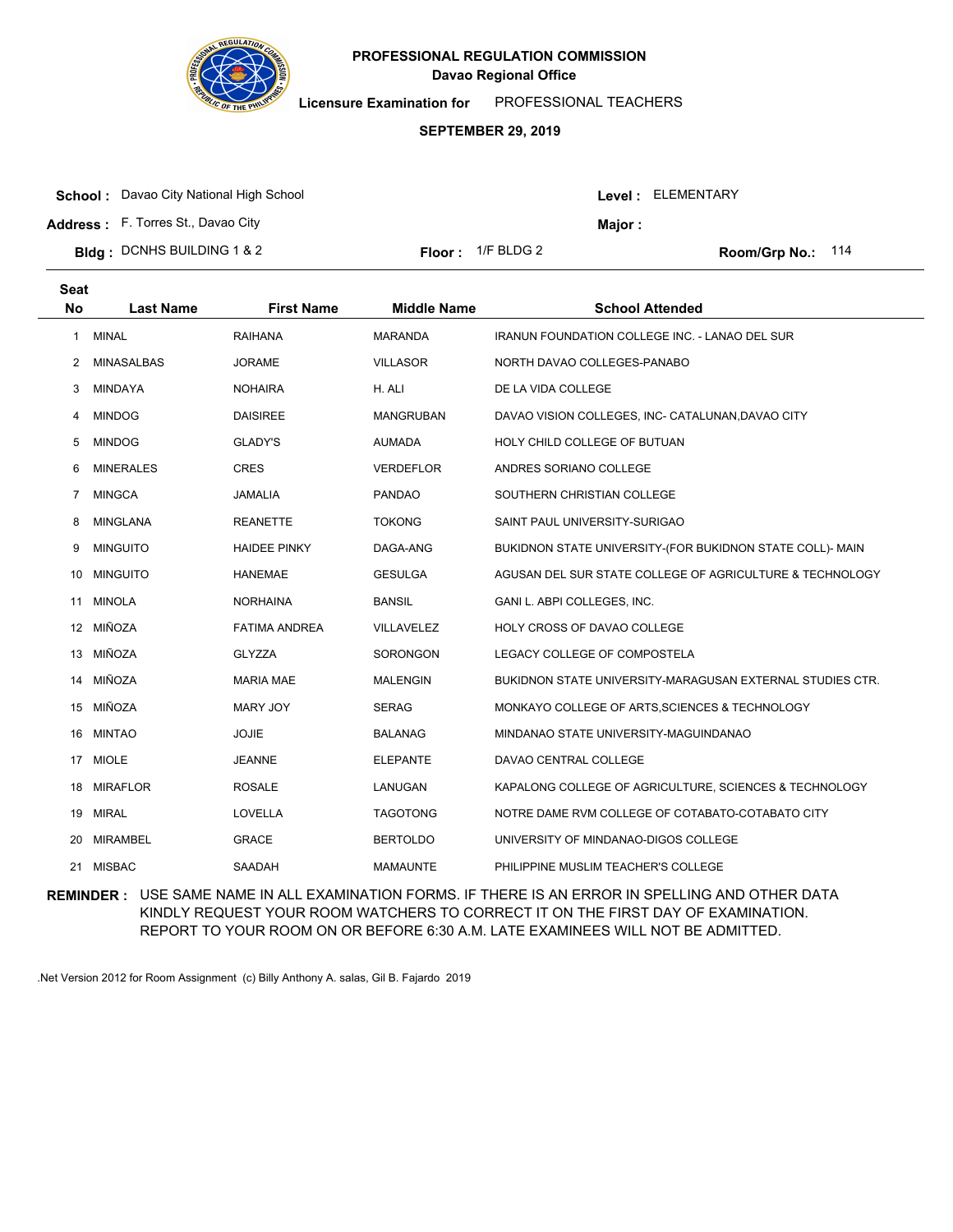

**Licensure Examination for**  PROFESSIONAL TEACHERS

### **SEPTEMBER 29, 2019**

| <b>School:</b> Davao City National High School |                             |         | Level: ELEMENTARY |  |
|------------------------------------------------|-----------------------------|---------|-------------------|--|
| <b>Address:</b> F. Torres St., Davao City      |                             | Maior : |                   |  |
| <b>Bidg:</b> DCNHS BUILDING 1 & 2              | <b>Floor</b> : $1/F$ BLDG 2 |         | Room/Grp No.: 114 |  |

| <b>Seat</b> |                  |                      |                    |                                                           |
|-------------|------------------|----------------------|--------------------|-----------------------------------------------------------|
| <b>No</b>   | <b>Last Name</b> | <b>First Name</b>    | <b>Middle Name</b> | <b>School Attended</b>                                    |
| 1           | <b>MINAL</b>     | <b>RAIHANA</b>       | <b>MARANDA</b>     | <b>IRANUN FOUNDATION COLLEGE INC. - LANAO DEL SUR</b>     |
| 2           | MINASALBAS       | <b>JORAME</b>        | <b>VILLASOR</b>    | NORTH DAVAO COLLEGES-PANABO                               |
| 3           | MINDAYA          | <b>NOHAIRA</b>       | H. ALI             | DE LA VIDA COLLEGE                                        |
| 4           | <b>MINDOG</b>    | <b>DAISIREE</b>      | <b>MANGRUBAN</b>   | DAVAO VISION COLLEGES, INC- CATALUNAN, DAVAO CITY         |
| 5           | <b>MINDOG</b>    | <b>GLADY'S</b>       | <b>AUMADA</b>      | HOLY CHILD COLLEGE OF BUTUAN                              |
| 6           | <b>MINERALES</b> | <b>CRES</b>          | <b>VERDEFLOR</b>   | ANDRES SORIANO COLLEGE                                    |
| 7           | <b>MINGCA</b>    | JAMALIA              | <b>PANDAO</b>      | SOUTHERN CHRISTIAN COLLEGE                                |
| 8           | <b>MINGLANA</b>  | <b>REANETTE</b>      | <b>TOKONG</b>      | SAINT PAUL UNIVERSITY-SURIGAO                             |
| 9           | <b>MINGUITO</b>  | <b>HAIDEE PINKY</b>  | DAGA-ANG           | BUKIDNON STATE UNIVERSITY-(FOR BUKIDNON STATE COLL)- MAIN |
| 10          | <b>MINGUITO</b>  | <b>HANEMAE</b>       | <b>GESULGA</b>     | AGUSAN DEL SUR STATE COLLEGE OF AGRICULTURE & TECHNOLOGY  |
| 11          | <b>MINOLA</b>    | <b>NORHAINA</b>      | <b>BANSIL</b>      | GANI L. ABPI COLLEGES, INC.                               |
|             | 12 MIÑOZA        | <b>FATIMA ANDREA</b> | <b>VILLAVELEZ</b>  | <b>HOLY CROSS OF DAVAO COLLEGE</b>                        |
| 13          | MIÑOZA           | <b>GLYZZA</b>        | <b>SORONGON</b>    | LEGACY COLLEGE OF COMPOSTELA                              |
| 14          | MIÑOZA           | <b>MARIA MAE</b>     | <b>MALENGIN</b>    | BUKIDNON STATE UNIVERSITY-MARAGUSAN EXTERNAL STUDIES CTR. |
|             | 15 MIÑOZA        | MARY JOY             | <b>SERAG</b>       | MONKAYO COLLEGE OF ARTS, SCIENCES & TECHNOLOGY            |
| 16          | <b>MINTAO</b>    | <b>JOJIE</b>         | <b>BALANAG</b>     | MINDANAO STATE UNIVERSITY-MAGUINDANAO                     |
| 17          | <b>MIOLE</b>     | <b>JEANNE</b>        | <b>ELEPANTE</b>    | DAVAO CENTRAL COLLEGE                                     |
| 18          | <b>MIRAFLOR</b>  | <b>ROSALE</b>        | LANUGAN            | KAPALONG COLLEGE OF AGRICULTURE, SCIENCES & TECHNOLOGY    |
| 19          | <b>MIRAL</b>     | LOVELLA              | <b>TAGOTONG</b>    | NOTRE DAME RVM COLLEGE OF COTABATO-COTABATO CITY          |
| 20          | <b>MIRAMBEL</b>  | <b>GRACE</b>         | <b>BERTOLDO</b>    | UNIVERSITY OF MINDANAO-DIGOS COLLEGE                      |
|             | 21 MISBAC        | SAADAH               | <b>MAMAUNTE</b>    | PHILIPPINE MUSLIM TEACHER'S COLLEGE                       |

**REMINDER :** USE SAME NAME IN ALL EXAMINATION FORMS. IF THERE IS AN ERROR IN SPELLING AND OTHER DATA KINDLY REQUEST YOUR ROOM WATCHERS TO CORRECT IT ON THE FIRST DAY OF EXAMINATION. REPORT TO YOUR ROOM ON OR BEFORE 6:30 A.M. LATE EXAMINEES WILL NOT BE ADMITTED.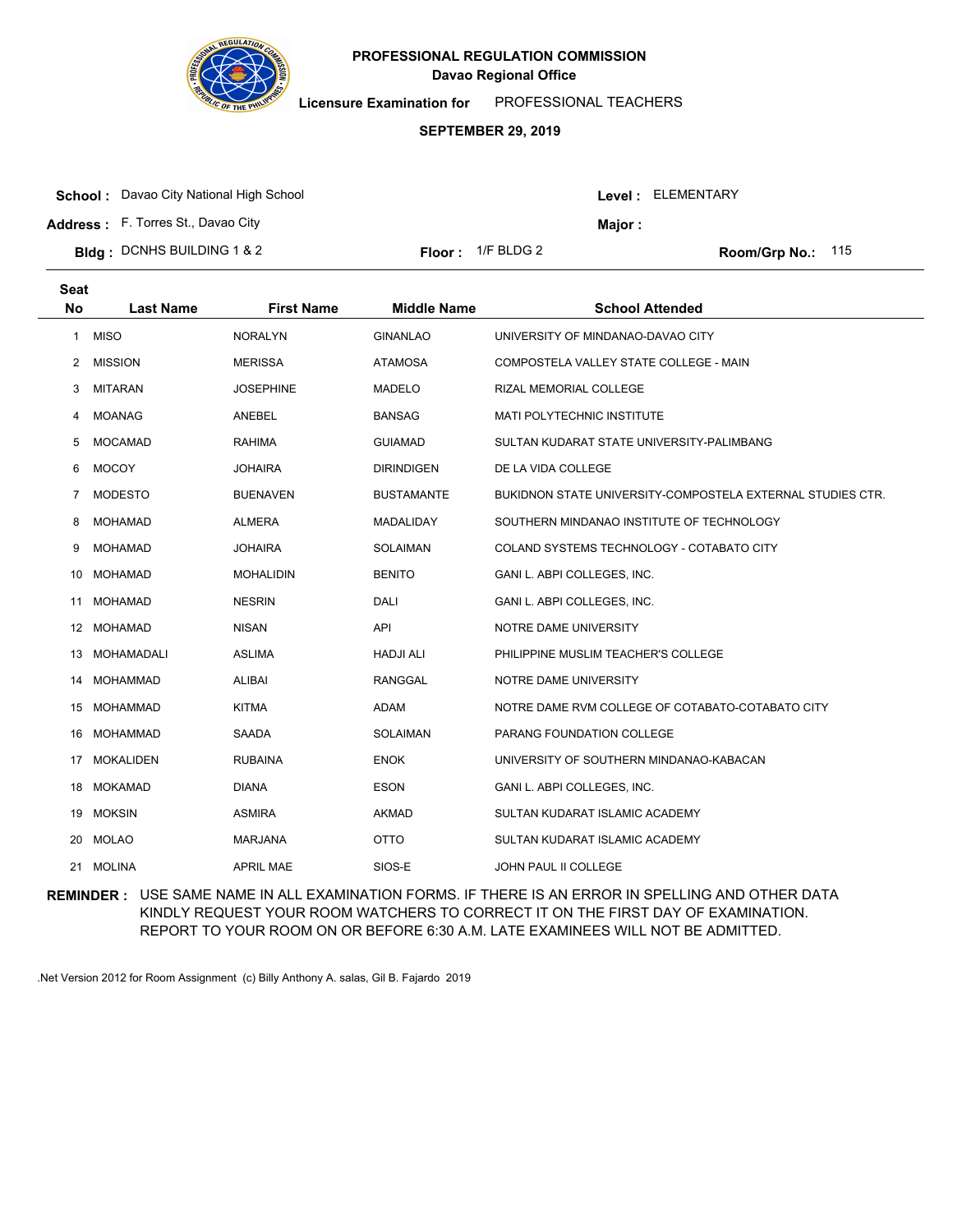

**Licensure Examination for**  PROFESSIONAL TEACHERS

### **SEPTEMBER 29, 2019**

|  | <b>School:</b> Davao City National High School |
|--|------------------------------------------------|
|--|------------------------------------------------|

**Address :** F. Torres St., Davao City

| <b>Bldg</b> : DCNHS BUILDING 1 & 2 | <b>Floor:</b> $1/F$ BLDG 2 |
|------------------------------------|----------------------------|
|                                    |                            |

Room/Grp No.: 115

Level : ELEMENTARY

**Major :**

| <b>Seat</b>    |                  |                   |                    |                                                            |
|----------------|------------------|-------------------|--------------------|------------------------------------------------------------|
| <b>No</b>      | <b>Last Name</b> | <b>First Name</b> | <b>Middle Name</b> | <b>School Attended</b>                                     |
| $\mathbf{1}$   | <b>MISO</b>      | <b>NORALYN</b>    | <b>GINANLAO</b>    | UNIVERSITY OF MINDANAO-DAVAO CITY                          |
| 2              | <b>MISSION</b>   | <b>MERISSA</b>    | <b>ATAMOSA</b>     | COMPOSTELA VALLEY STATE COLLEGE - MAIN                     |
| 3              | <b>MITARAN</b>   | <b>JOSEPHINE</b>  | <b>MADELO</b>      | RIZAL MEMORIAL COLLEGE                                     |
| 4              | <b>MOANAG</b>    | ANEBEL            | <b>BANSAG</b>      | <b>MATI POLYTECHNIC INSTITUTE</b>                          |
| 5              | <b>MOCAMAD</b>   | <b>RAHIMA</b>     | <b>GUIAMAD</b>     | SULTAN KUDARAT STATE UNIVERSITY-PALIMBANG                  |
| 6              | <b>MOCOY</b>     | <b>JOHAIRA</b>    | <b>DIRINDIGEN</b>  | DE LA VIDA COLLEGE                                         |
| $\overline{7}$ | <b>MODESTO</b>   | <b>BUENAVEN</b>   | <b>BUSTAMANTE</b>  | BUKIDNON STATE UNIVERSITY-COMPOSTELA EXTERNAL STUDIES CTR. |
| 8              | <b>MOHAMAD</b>   | <b>ALMERA</b>     | <b>MADALIDAY</b>   | SOUTHERN MINDANAO INSTITUTE OF TECHNOLOGY                  |
| 9              | <b>MOHAMAD</b>   | <b>JOHAIRA</b>    | SOLAIMAN           | COLAND SYSTEMS TECHNOLOGY - COTABATO CITY                  |
| 10             | MOHAMAD          | <b>MOHALIDIN</b>  | <b>BENITO</b>      | GANI L. ABPI COLLEGES, INC.                                |
| 11             | <b>MOHAMAD</b>   | <b>NESRIN</b>     | <b>DALI</b>        | GANI L. ABPI COLLEGES, INC.                                |
|                | 12 MOHAMAD       | <b>NISAN</b>      | <b>API</b>         | NOTRE DAME UNIVERSITY                                      |
| 13             | MOHAMADALI       | <b>ASLIMA</b>     | <b>HADJI ALI</b>   | PHILIPPINE MUSLIM TEACHER'S COLLEGE                        |
| 14             | <b>MOHAMMAD</b>  | <b>ALIBAI</b>     | <b>RANGGAL</b>     | NOTRE DAME UNIVERSITY                                      |
| 15             | MOHAMMAD         | <b>KITMA</b>      | ADAM               | NOTRE DAME RVM COLLEGE OF COTABATO-COTABATO CITY           |
|                | 16 MOHAMMAD      | SAADA             | <b>SOLAIMAN</b>    | PARANG FOUNDATION COLLEGE                                  |
| 17             | <b>MOKALIDEN</b> | <b>RUBAINA</b>    | <b>ENOK</b>        | UNIVERSITY OF SOUTHERN MINDANAO-KABACAN                    |
| 18             | MOKAMAD          | <b>DIANA</b>      | <b>ESON</b>        | GANI L. ABPI COLLEGES, INC.                                |
|                | 19 MOKSIN        | <b>ASMIRA</b>     | <b>AKMAD</b>       | SULTAN KUDARAT ISLAMIC ACADEMY                             |
| 20             | MOLAO            | <b>MARJANA</b>    | <b>OTTO</b>        | SULTAN KUDARAT ISLAMIC ACADEMY                             |
| 21             | <b>MOLINA</b>    | <b>APRIL MAE</b>  | SIOS-E             | <b>JOHN PAUL II COLLEGE</b>                                |
|                |                  |                   |                    |                                                            |

**REMINDER :** USE SAME NAME IN ALL EXAMINATION FORMS. IF THERE IS AN ERROR IN SPELLING AND OTHER DATA KINDLY REQUEST YOUR ROOM WATCHERS TO CORRECT IT ON THE FIRST DAY OF EXAMINATION. REPORT TO YOUR ROOM ON OR BEFORE 6:30 A.M. LATE EXAMINEES WILL NOT BE ADMITTED.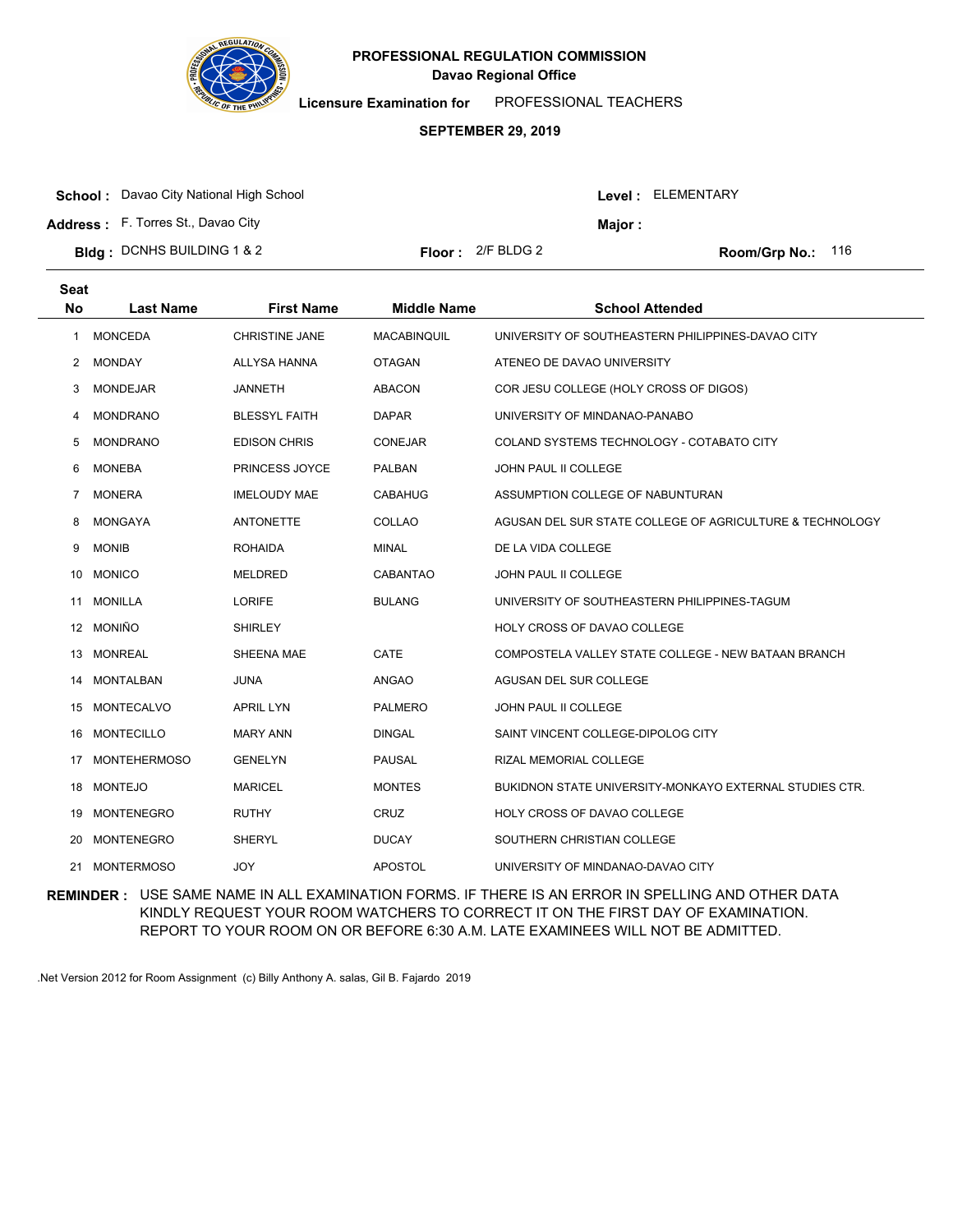

**Licensure Examination for**  PROFESSIONAL TEACHERS

### **SEPTEMBER 29, 2019**

**School :** Davao City National High School

**Address :** F. Torres St., Davao City

**Bldg : Floor : Room/Grp No.:** DCNHS BUILDING 1 & 2

Floor: 2/F BLDG 2 Room/Grp No.: 116

Level : ELEMENTARY

**Major :**

| <b>Seat</b><br><b>No</b> | <b>Last Name</b>    | <b>First Name</b>     | <b>Middle Name</b> | <b>School Attended</b>                                   |
|--------------------------|---------------------|-----------------------|--------------------|----------------------------------------------------------|
| 1                        | <b>MONCEDA</b>      | <b>CHRISTINE JANE</b> | <b>MACABINQUIL</b> | UNIVERSITY OF SOUTHEASTERN PHILIPPINES-DAVAO CITY        |
| $\mathbf{2}$             | <b>MONDAY</b>       | ALLYSA HANNA          | <b>OTAGAN</b>      | ATENEO DE DAVAO UNIVERSITY                               |
| 3                        | <b>MONDEJAR</b>     | <b>JANNETH</b>        | <b>ABACON</b>      | COR JESU COLLEGE (HOLY CROSS OF DIGOS)                   |
| 4                        | <b>MONDRANO</b>     | <b>BLESSYL FAITH</b>  | <b>DAPAR</b>       | UNIVERSITY OF MINDANAO-PANABO                            |
| 5                        | <b>MONDRANO</b>     | <b>EDISON CHRIS</b>   | <b>CONEJAR</b>     | COLAND SYSTEMS TECHNOLOGY - COTABATO CITY                |
| 6                        | <b>MONEBA</b>       | PRINCESS JOYCE        | <b>PALBAN</b>      | JOHN PAUL II COLLEGE                                     |
| 7                        | <b>MONERA</b>       | <b>IMELOUDY MAE</b>   | <b>CABAHUG</b>     | ASSUMPTION COLLEGE OF NABUNTURAN                         |
| 8                        | <b>MONGAYA</b>      | <b>ANTONETTE</b>      | COLLAO             | AGUSAN DEL SUR STATE COLLEGE OF AGRICULTURE & TECHNOLOGY |
| 9                        | <b>MONIB</b>        | <b>ROHAIDA</b>        | <b>MINAL</b>       | DE LA VIDA COLLEGE                                       |
| 10                       | <b>MONICO</b>       | <b>MELDRED</b>        | <b>CABANTAO</b>    | JOHN PAUL II COLLEGE                                     |
| 11                       | <b>MONILLA</b>      | <b>LORIFE</b>         | <b>BULANG</b>      | UNIVERSITY OF SOUTHEASTERN PHILIPPINES-TAGUM             |
|                          | 12 MONIÑO           | <b>SHIRLEY</b>        |                    | <b>HOLY CROSS OF DAVAO COLLEGE</b>                       |
| 13                       | <b>MONREAL</b>      | SHEENA MAE            | CATE               | COMPOSTELA VALLEY STATE COLLEGE - NEW BATAAN BRANCH      |
| 14                       | <b>MONTALBAN</b>    | <b>JUNA</b>           | ANGAO              | AGUSAN DEL SUR COLLEGE                                   |
| 15                       | <b>MONTECALVO</b>   | <b>APRIL LYN</b>      | <b>PALMERO</b>     | <b>JOHN PAUL II COLLEGE</b>                              |
| 16                       | <b>MONTECILLO</b>   | <b>MARY ANN</b>       | <b>DINGAL</b>      | SAINT VINCENT COLLEGE-DIPOLOG CITY                       |
| 17                       | <b>MONTEHERMOSO</b> | <b>GENELYN</b>        | <b>PAUSAL</b>      | RIZAL MEMORIAL COLLEGE                                   |
| 18.                      | <b>MONTEJO</b>      | <b>MARICEL</b>        | <b>MONTES</b>      | BUKIDNON STATE UNIVERSITY-MONKAYO EXTERNAL STUDIES CTR.  |
| 19                       | <b>MONTENEGRO</b>   | <b>RUTHY</b>          | <b>CRUZ</b>        | HOLY CROSS OF DAVAO COLLEGE                              |
| 20                       | <b>MONTENEGRO</b>   | <b>SHERYL</b>         | <b>DUCAY</b>       | SOUTHERN CHRISTIAN COLLEGE                               |
| 21                       | <b>MONTERMOSO</b>   | <b>JOY</b>            | <b>APOSTOL</b>     | UNIVERSITY OF MINDANAO-DAVAO CITY                        |

**REMINDER :** USE SAME NAME IN ALL EXAMINATION FORMS. IF THERE IS AN ERROR IN SPELLING AND OTHER DATA KINDLY REQUEST YOUR ROOM WATCHERS TO CORRECT IT ON THE FIRST DAY OF EXAMINATION. REPORT TO YOUR ROOM ON OR BEFORE 6:30 A.M. LATE EXAMINEES WILL NOT BE ADMITTED.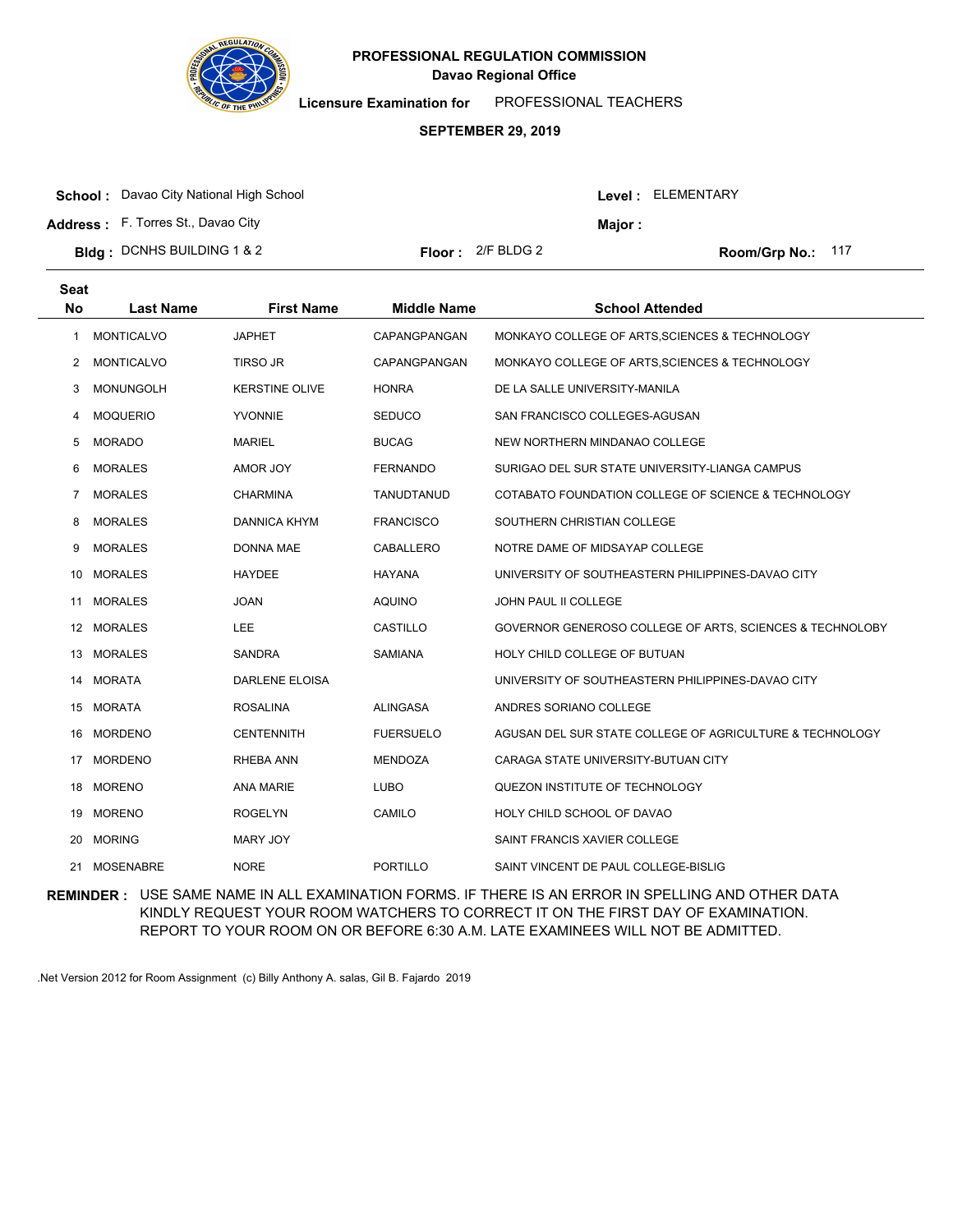

**Licensure Examination for**  PROFESSIONAL TEACHERS

### **SEPTEMBER 29, 2019**

| <b>School:</b> Davao City National High School |                            |         | Level : ELEMENTARY  |
|------------------------------------------------|----------------------------|---------|---------------------|
| <b>Address:</b> F. Torres St., Davao City      |                            | Maior : |                     |
| <b>Bidg</b> : DCNHS BUILDING 1 & 2             | <b>Floor:</b> $2/F$ BLDG 2 |         | Room/Grp No.: $117$ |

| <b>Seat</b><br>No | <b>Last Name</b>  | <b>First Name</b>     | <b>Middle Name</b> | <b>School Attended</b>                                   |
|-------------------|-------------------|-----------------------|--------------------|----------------------------------------------------------|
| 1                 | <b>MONTICALVO</b> | <b>JAPHET</b>         | CAPANGPANGAN       | MONKAYO COLLEGE OF ARTS, SCIENCES & TECHNOLOGY           |
| 2                 | <b>MONTICALVO</b> | <b>TIRSO JR</b>       | CAPANGPANGAN       | MONKAYO COLLEGE OF ARTS, SCIENCES & TECHNOLOGY           |
| 3                 | <b>MONUNGOLH</b>  | <b>KERSTINE OLIVE</b> | <b>HONRA</b>       | DE LA SALLE UNIVERSITY-MANILA                            |
| 4                 | <b>MOQUERIO</b>   | <b>YVONNIE</b>        | <b>SEDUCO</b>      | SAN FRANCISCO COLLEGES-AGUSAN                            |
| 5                 | <b>MORADO</b>     | <b>MARIEL</b>         | <b>BUCAG</b>       | NEW NORTHERN MINDANAO COLLEGE                            |
| 6                 | <b>MORALES</b>    | AMOR JOY              | <b>FERNANDO</b>    | SURIGAO DEL SUR STATE UNIVERSITY-LIANGA CAMPUS           |
| 7                 | <b>MORALES</b>    | <b>CHARMINA</b>       | TANUDTANUD         | COTABATO FOUNDATION COLLEGE OF SCIENCE & TECHNOLOGY      |
| 8                 | <b>MORALES</b>    | <b>DANNICA KHYM</b>   | <b>FRANCISCO</b>   | SOUTHERN CHRISTIAN COLLEGE                               |
| 9                 | <b>MORALES</b>    | <b>DONNA MAE</b>      | CABALLERO          | NOTRE DAME OF MIDSAYAP COLLEGE                           |
| 10                | <b>MORALES</b>    | <b>HAYDEE</b>         | <b>HAYANA</b>      | UNIVERSITY OF SOUTHEASTERN PHILIPPINES-DAVAO CITY        |
| 11                | <b>MORALES</b>    | <b>JOAN</b>           | <b>AQUINO</b>      | <b>JOHN PAUL II COLLEGE</b>                              |
|                   | 12 MORALES        | <b>LEE</b>            | CASTILLO           | GOVERNOR GENEROSO COLLEGE OF ARTS, SCIENCES & TECHNOLOBY |
| 13                | <b>MORALES</b>    | <b>SANDRA</b>         | SAMIANA            | HOLY CHILD COLLEGE OF BUTUAN                             |
| 14                | <b>MORATA</b>     | <b>DARLENE ELOISA</b> |                    | UNIVERSITY OF SOUTHEASTERN PHILIPPINES-DAVAO CITY        |
|                   | 15 MORATA         | <b>ROSALINA</b>       | <b>ALINGASA</b>    | ANDRES SORIANO COLLEGE                                   |
| 16                | <b>MORDENO</b>    | <b>CENTENNITH</b>     | <b>FUERSUELO</b>   | AGUSAN DEL SUR STATE COLLEGE OF AGRICULTURE & TECHNOLOGY |
| 17                | <b>MORDENO</b>    | <b>RHEBA ANN</b>      | <b>MENDOZA</b>     | CARAGA STATE UNIVERSITY-BUTUAN CITY                      |
|                   | 18 MORENO         | <b>ANA MARIE</b>      | <b>LUBO</b>        | QUEZON INSTITUTE OF TECHNOLOGY                           |
| 19                | <b>MORENO</b>     | <b>ROGELYN</b>        | CAMILO             | HOLY CHILD SCHOOL OF DAVAO                               |
| 20                | <b>MORING</b>     | MARY JOY              |                    | SAINT FRANCIS XAVIER COLLEGE                             |
|                   | 21 MOSENABRE      | <b>NORE</b>           | <b>PORTILLO</b>    | SAINT VINCENT DE PAUL COLLEGE-BISLIG                     |

**REMINDER :** USE SAME NAME IN ALL EXAMINATION FORMS. IF THERE IS AN ERROR IN SPELLING AND OTHER DATA KINDLY REQUEST YOUR ROOM WATCHERS TO CORRECT IT ON THE FIRST DAY OF EXAMINATION. REPORT TO YOUR ROOM ON OR BEFORE 6:30 A.M. LATE EXAMINEES WILL NOT BE ADMITTED.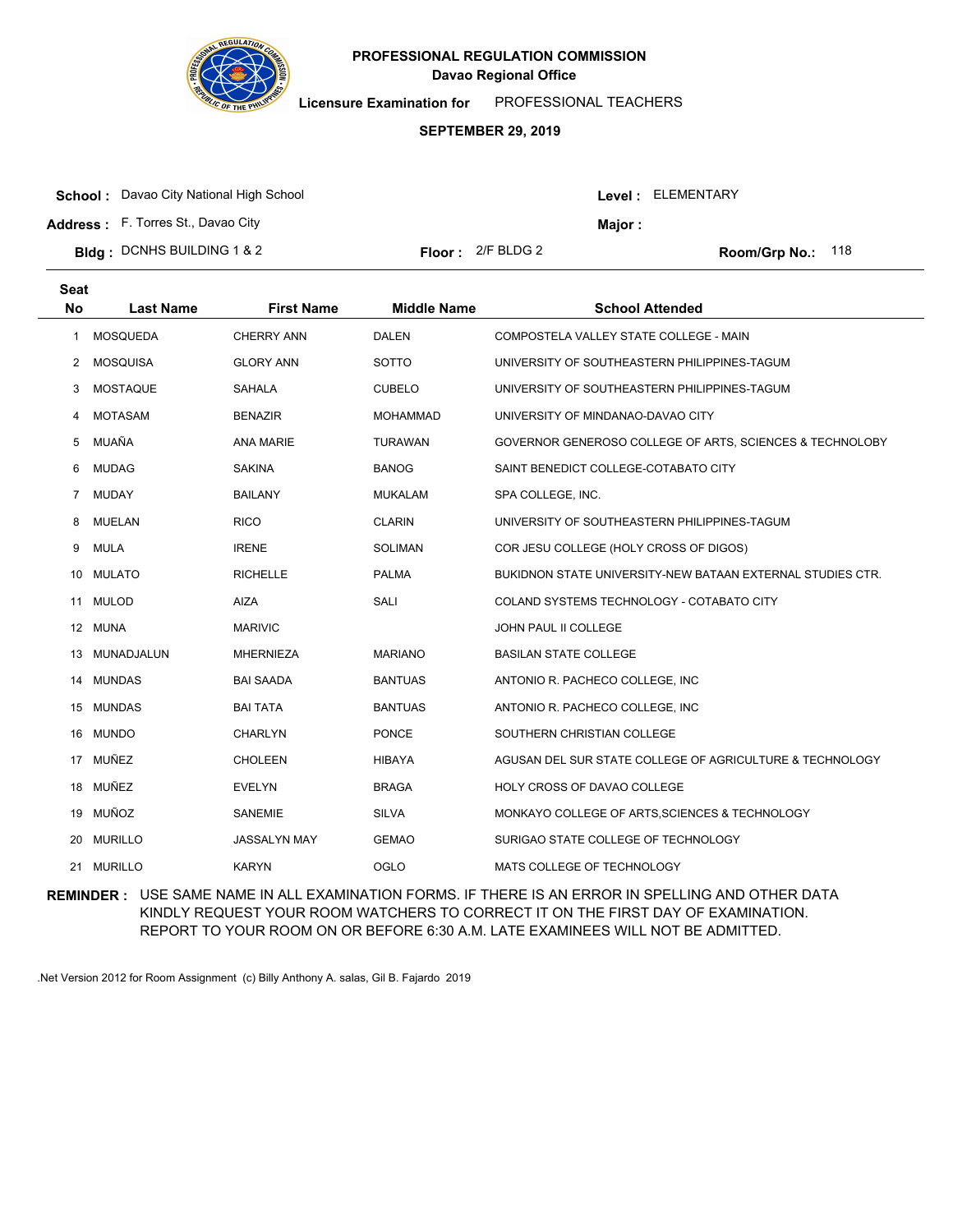

**Licensure Examination for**  PROFESSIONAL TEACHERS

### **SEPTEMBER 29, 2019**

| <b>School:</b> Davao City National High School |                            |         | Level: ELEMENTARY          |  |
|------------------------------------------------|----------------------------|---------|----------------------------|--|
| <b>Address:</b> F. Torres St., Davao City      |                            | Maior : |                            |  |
| <b>Bidg:</b> DCNHS BUILDING 1 & 2              | <b>Floor:</b> $2/F$ BLDG 2 |         | <b>Room/Grp No.:</b> $118$ |  |

| <b>Seat</b><br><b>No</b> | <b>Last Name</b> | <b>First Name</b>   | <b>Middle Name</b> | <b>School Attended</b>                                     |
|--------------------------|------------------|---------------------|--------------------|------------------------------------------------------------|
| 1                        | <b>MOSQUEDA</b>  | <b>CHERRY ANN</b>   | <b>DALEN</b>       | COMPOSTELA VALLEY STATE COLLEGE - MAIN                     |
| 2                        | <b>MOSQUISA</b>  | <b>GLORY ANN</b>    | SOTTO              | UNIVERSITY OF SOUTHEASTERN PHILIPPINES-TAGUM               |
| 3                        | <b>MOSTAQUE</b>  | SAHALA              | <b>CUBELO</b>      | UNIVERSITY OF SOUTHEASTERN PHILIPPINES-TAGUM               |
| 4                        | <b>MOTASAM</b>   | <b>BENAZIR</b>      | <b>MOHAMMAD</b>    | UNIVERSITY OF MINDANAO-DAVAO CITY                          |
| 5                        | MUAÑA            | <b>ANA MARIE</b>    | <b>TURAWAN</b>     | GOVERNOR GENEROSO COLLEGE OF ARTS, SCIENCES & TECHNOLOBY   |
| 6                        | <b>MUDAG</b>     | <b>SAKINA</b>       | <b>BANOG</b>       | SAINT BENEDICT COLLEGE-COTABATO CITY                       |
| $\overline{7}$           | <b>MUDAY</b>     | <b>BAILANY</b>      | <b>MUKALAM</b>     | SPA COLLEGE, INC.                                          |
| 8                        | <b>MUELAN</b>    | <b>RICO</b>         | <b>CLARIN</b>      | UNIVERSITY OF SOUTHEASTERN PHILIPPINES-TAGUM               |
| 9                        | <b>MULA</b>      | <b>IRENE</b>        | <b>SOLIMAN</b>     | COR JESU COLLEGE (HOLY CROSS OF DIGOS)                     |
| 10                       | <b>MULATO</b>    | <b>RICHELLE</b>     | <b>PALMA</b>       | BUKIDNON STATE UNIVERSITY-NEW BATAAN EXTERNAL STUDIES CTR. |
| 11                       | <b>MULOD</b>     | <b>AIZA</b>         | SALI               | COLAND SYSTEMS TECHNOLOGY - COTABATO CITY                  |
|                          | 12 MUNA          | <b>MARIVIC</b>      |                    | <b>JOHN PAUL II COLLEGE</b>                                |
| 13                       | MUNADJALUN       | <b>MHERNIEZA</b>    | <b>MARIANO</b>     | <b>BASILAN STATE COLLEGE</b>                               |
| 14                       | <b>MUNDAS</b>    | <b>BAI SAADA</b>    | <b>BANTUAS</b>     | ANTONIO R. PACHECO COLLEGE, INC                            |
|                          | 15 MUNDAS        | <b>BAI TATA</b>     | <b>BANTUAS</b>     | ANTONIO R. PACHECO COLLEGE, INC                            |
|                          | 16 MUNDO         | <b>CHARLYN</b>      | <b>PONCE</b>       | SOUTHERN CHRISTIAN COLLEGE                                 |
| 17                       | MUÑEZ            | <b>CHOLEEN</b>      | <b>HIBAYA</b>      | AGUSAN DEL SUR STATE COLLEGE OF AGRICULTURE & TECHNOLOGY   |
|                          | 18 MUÑEZ         | <b>EVELYN</b>       | <b>BRAGA</b>       | HOLY CROSS OF DAVAO COLLEGE                                |
|                          | 19 MUÑOZ         | <b>SANEMIE</b>      | <b>SILVA</b>       | MONKAYO COLLEGE OF ARTS, SCIENCES & TECHNOLOGY             |
| 20                       | <b>MURILLO</b>   | <b>JASSALYN MAY</b> | <b>GEMAO</b>       | SURIGAO STATE COLLEGE OF TECHNOLOGY                        |
| 21                       | <b>MURILLO</b>   | <b>KARYN</b>        | <b>OGLO</b>        | MATS COLLEGE OF TECHNOLOGY                                 |

**REMINDER :** USE SAME NAME IN ALL EXAMINATION FORMS. IF THERE IS AN ERROR IN SPELLING AND OTHER DATA KINDLY REQUEST YOUR ROOM WATCHERS TO CORRECT IT ON THE FIRST DAY OF EXAMINATION. REPORT TO YOUR ROOM ON OR BEFORE 6:30 A.M. LATE EXAMINEES WILL NOT BE ADMITTED.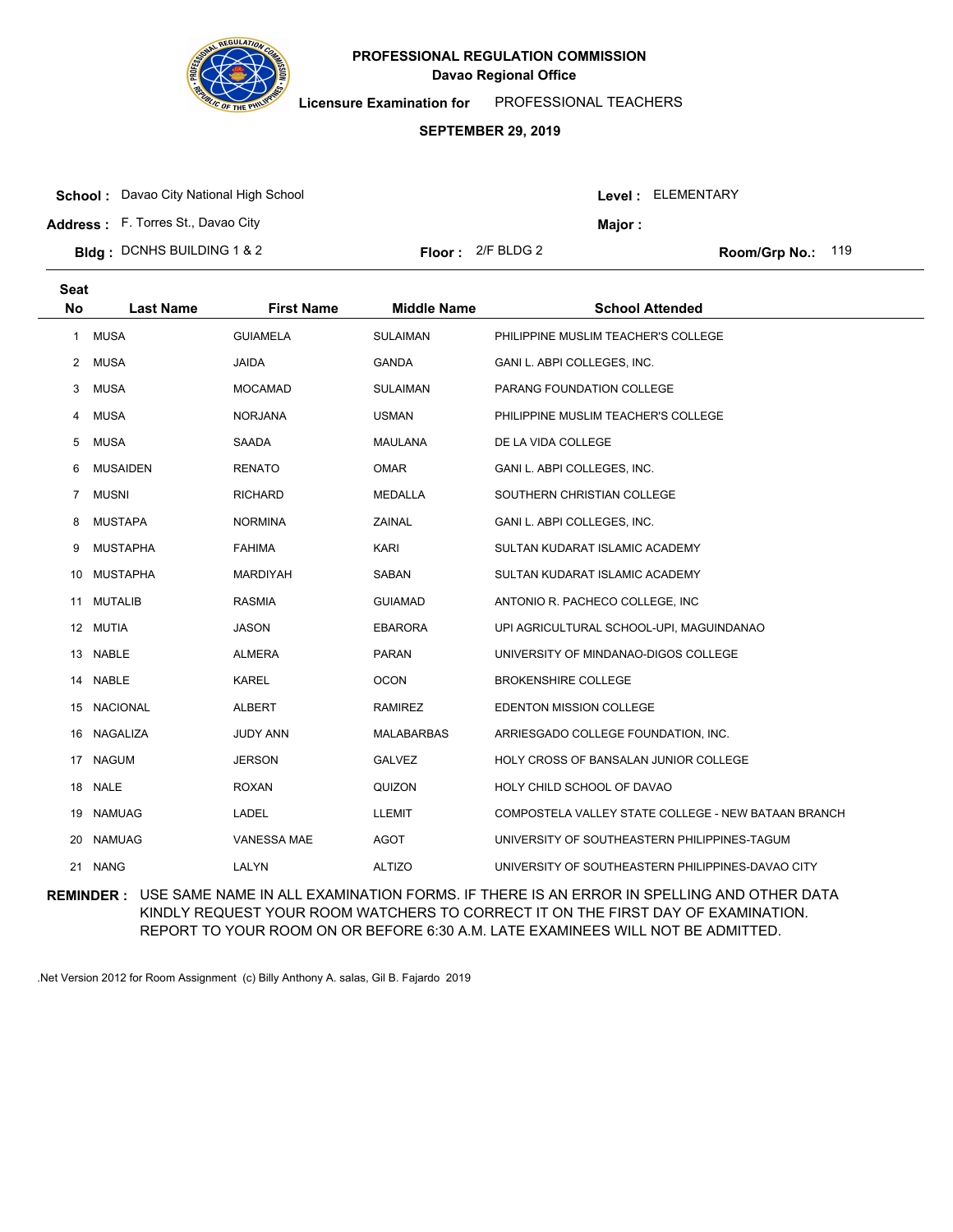

**Licensure Examination for**  PROFESSIONAL TEACHERS

### **SEPTEMBER 29, 2019**

**School :** Davao City National High School

**Address :** F. Torres St., Davao City

| Bldg: DCNHS BUILDING 1 & 2 |  | <b>Floor:</b> $2/F$ BLDG 2 |
|----------------------------|--|----------------------------|
|----------------------------|--|----------------------------|

Room/Grp No.: 119

Level : ELEMENTARY

**Major :**

| <b>Seat</b><br><b>No</b> | <b>Last Name</b> | <b>First Name</b>  | <b>Middle Name</b> | <b>School Attended</b>                              |
|--------------------------|------------------|--------------------|--------------------|-----------------------------------------------------|
| $\mathbf{1}$             | <b>MUSA</b>      | <b>GUIAMELA</b>    | <b>SULAIMAN</b>    | PHILIPPINE MUSLIM TEACHER'S COLLEGE                 |
| $\mathbf{2}$             | <b>MUSA</b>      | <b>JAIDA</b>       | <b>GANDA</b>       | GANI L. ABPI COLLEGES, INC.                         |
| 3                        | <b>MUSA</b>      | <b>MOCAMAD</b>     | <b>SULAIMAN</b>    | PARANG FOUNDATION COLLEGE                           |
| 4                        | <b>MUSA</b>      | <b>NORJANA</b>     | <b>USMAN</b>       | PHILIPPINE MUSLIM TEACHER'S COLLEGE                 |
| 5                        | <b>MUSA</b>      | SAADA              | MAULANA            | DE LA VIDA COLLEGE                                  |
| 6                        | <b>MUSAIDEN</b>  | <b>RENATO</b>      | <b>OMAR</b>        | GANI L. ABPI COLLEGES, INC.                         |
| $\overline{7}$           | <b>MUSNI</b>     | <b>RICHARD</b>     | <b>MEDALLA</b>     | SOUTHERN CHRISTIAN COLLEGE                          |
| 8                        | <b>MUSTAPA</b>   | <b>NORMINA</b>     | ZAINAL             | GANI L. ABPI COLLEGES, INC.                         |
| 9                        | <b>MUSTAPHA</b>  | <b>FAHIMA</b>      | <b>KARI</b>        | SULTAN KUDARAT ISLAMIC ACADEMY                      |
| 10                       | MUSTAPHA         | <b>MARDIYAH</b>    | SABAN              | SULTAN KUDARAT ISLAMIC ACADEMY                      |
| 11                       | <b>MUTALIB</b>   | <b>RASMIA</b>      | <b>GUIAMAD</b>     | ANTONIO R. PACHECO COLLEGE, INC                     |
|                          | 12 MUTIA         | <b>JASON</b>       | <b>EBARORA</b>     | UPI AGRICULTURAL SCHOOL-UPI, MAGUINDANAO            |
| 13                       | NABLE            | <b>ALMERA</b>      | <b>PARAN</b>       | UNIVERSITY OF MINDANAO-DIGOS COLLEGE                |
| 14                       | <b>NABLE</b>     | <b>KAREL</b>       | <b>OCON</b>        | <b>BROKENSHIRE COLLEGE</b>                          |
|                          | 15 NACIONAL      | <b>ALBERT</b>      | <b>RAMIREZ</b>     | EDENTON MISSION COLLEGE                             |
| 16                       | NAGALIZA         | <b>JUDY ANN</b>    | <b>MALABARBAS</b>  | ARRIESGADO COLLEGE FOUNDATION, INC.                 |
| 17                       | <b>NAGUM</b>     | <b>JERSON</b>      | <b>GALVEZ</b>      | HOLY CROSS OF BANSALAN JUNIOR COLLEGE               |
|                          | 18 NALE          | <b>ROXAN</b>       | QUIZON             | HOLY CHILD SCHOOL OF DAVAO                          |
| 19                       | <b>NAMUAG</b>    | LADEL              | <b>LLEMIT</b>      | COMPOSTELA VALLEY STATE COLLEGE - NEW BATAAN BRANCH |
| 20                       | <b>NAMUAG</b>    | <b>VANESSA MAE</b> | <b>AGOT</b>        | UNIVERSITY OF SOUTHEASTERN PHILIPPINES-TAGUM        |
|                          | 21 NANG          | LALYN              | <b>ALTIZO</b>      | UNIVERSITY OF SOUTHEASTERN PHILIPPINES-DAVAO CITY   |

**REMINDER :** USE SAME NAME IN ALL EXAMINATION FORMS. IF THERE IS AN ERROR IN SPELLING AND OTHER DATA KINDLY REQUEST YOUR ROOM WATCHERS TO CORRECT IT ON THE FIRST DAY OF EXAMINATION. REPORT TO YOUR ROOM ON OR BEFORE 6:30 A.M. LATE EXAMINEES WILL NOT BE ADMITTED.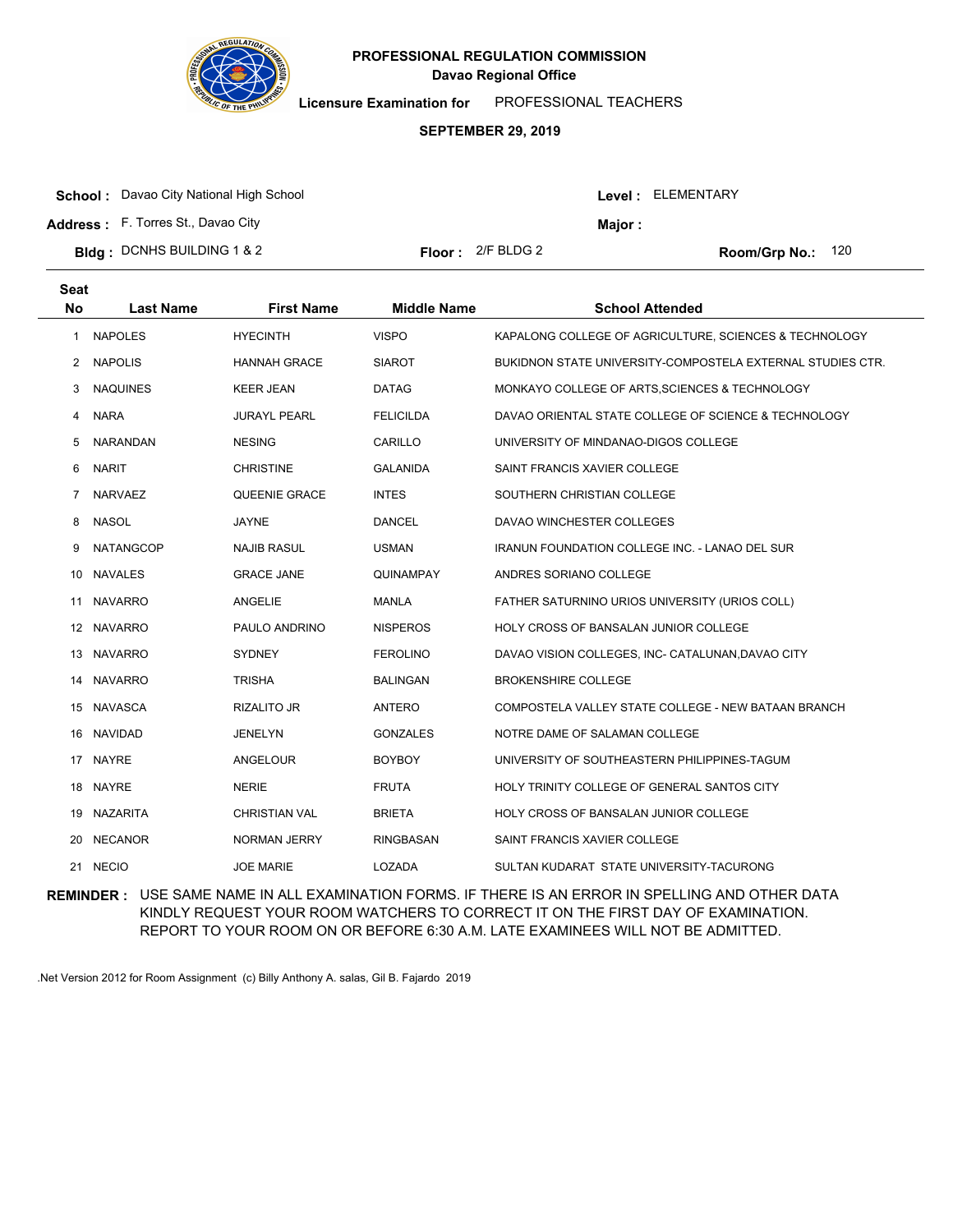

**Licensure Examination for**  PROFESSIONAL TEACHERS

### **SEPTEMBER 29, 2019**

| <b>School:</b> Davao City National High School |                            |         | <b>Level: ELEMENTARY</b>   |
|------------------------------------------------|----------------------------|---------|----------------------------|
| <b>Address:</b> F. Torres St., Davao City      |                            | Maior : |                            |
| <b>Bidg</b> : DCNHS BUILDING 1 & 2             | <b>Floor:</b> $2/F$ BLDG 2 |         | <b>Room/Grp No.:</b> $120$ |

| <b>Seat</b><br><b>No</b> | <b>Last Name</b> | <b>First Name</b>    | <b>Middle Name</b> | <b>School Attended</b>                                     |
|--------------------------|------------------|----------------------|--------------------|------------------------------------------------------------|
| 1                        | <b>NAPOLES</b>   | <b>HYECINTH</b>      | <b>VISPO</b>       | KAPALONG COLLEGE OF AGRICULTURE, SCIENCES & TECHNOLOGY     |
| 2                        | <b>NAPOLIS</b>   | <b>HANNAH GRACE</b>  | <b>SIAROT</b>      | BUKIDNON STATE UNIVERSITY-COMPOSTELA EXTERNAL STUDIES CTR. |
| 3                        | <b>NAQUINES</b>  | <b>KEER JEAN</b>     | <b>DATAG</b>       | MONKAYO COLLEGE OF ARTS, SCIENCES & TECHNOLOGY             |
| 4                        | <b>NARA</b>      | <b>JURAYL PEARL</b>  | <b>FELICILDA</b>   | DAVAO ORIENTAL STATE COLLEGE OF SCIENCE & TECHNOLOGY       |
| 5                        | <b>NARANDAN</b>  | <b>NESING</b>        | CARILLO            | UNIVERSITY OF MINDANAO-DIGOS COLLEGE                       |
| 6                        | <b>NARIT</b>     | <b>CHRISTINE</b>     | <b>GALANIDA</b>    | SAINT FRANCIS XAVIER COLLEGE                               |
| 7                        | <b>NARVAEZ</b>   | QUEENIE GRACE        | <b>INTES</b>       | SOUTHERN CHRISTIAN COLLEGE                                 |
| 8                        | <b>NASOL</b>     | <b>JAYNE</b>         | <b>DANCEL</b>      | DAVAO WINCHESTER COLLEGES                                  |
| 9                        | <b>NATANGCOP</b> | <b>NAJIB RASUL</b>   | <b>USMAN</b>       | <b>IRANUN FOUNDATION COLLEGE INC. - LANAO DEL SUR</b>      |
| 10                       | <b>NAVALES</b>   | <b>GRACE JANE</b>    | QUINAMPAY          | ANDRES SORIANO COLLEGE                                     |
| 11                       | <b>NAVARRO</b>   | ANGELIE              | <b>MANLA</b>       | FATHER SATURNINO URIOS UNIVERSITY (URIOS COLL)             |
|                          | 12 NAVARRO       | PAULO ANDRINO        | <b>NISPEROS</b>    | HOLY CROSS OF BANSALAN JUNIOR COLLEGE                      |
| 13                       | <b>NAVARRO</b>   | <b>SYDNEY</b>        | <b>FEROLINO</b>    | DAVAO VISION COLLEGES, INC- CATALUNAN, DAVAO CITY          |
| 14                       | <b>NAVARRO</b>   | <b>TRISHA</b>        | <b>BALINGAN</b>    | <b>BROKENSHIRE COLLEGE</b>                                 |
|                          | 15 NAVASCA       | <b>RIZALITO JR</b>   | ANTERO             | COMPOSTELA VALLEY STATE COLLEGE - NEW BATAAN BRANCH        |
|                          | 16 NAVIDAD       | <b>JENELYN</b>       | <b>GONZALES</b>    | NOTRE DAME OF SALAMAN COLLEGE                              |
| 17                       | <b>NAYRE</b>     | ANGELOUR             | <b>BOYBOY</b>      | UNIVERSITY OF SOUTHEASTERN PHILIPPINES-TAGUM               |
|                          | 18 NAYRE         | <b>NERIE</b>         | <b>FRUTA</b>       | HOLY TRINITY COLLEGE OF GENERAL SANTOS CITY                |
|                          | 19 NAZARITA      | <b>CHRISTIAN VAL</b> | <b>BRIETA</b>      | <b>HOLY CROSS OF BANSALAN JUNIOR COLLEGE</b>               |
| 20                       | <b>NECANOR</b>   | <b>NORMAN JERRY</b>  | <b>RINGBASAN</b>   | SAINT FRANCIS XAVIER COLLEGE                               |
|                          | 21 NECIO         | <b>JOE MARIE</b>     | LOZADA             | SULTAN KUDARAT STATE UNIVERSITY-TACURONG                   |

**REMINDER :** USE SAME NAME IN ALL EXAMINATION FORMS. IF THERE IS AN ERROR IN SPELLING AND OTHER DATA KINDLY REQUEST YOUR ROOM WATCHERS TO CORRECT IT ON THE FIRST DAY OF EXAMINATION. REPORT TO YOUR ROOM ON OR BEFORE 6:30 A.M. LATE EXAMINEES WILL NOT BE ADMITTED.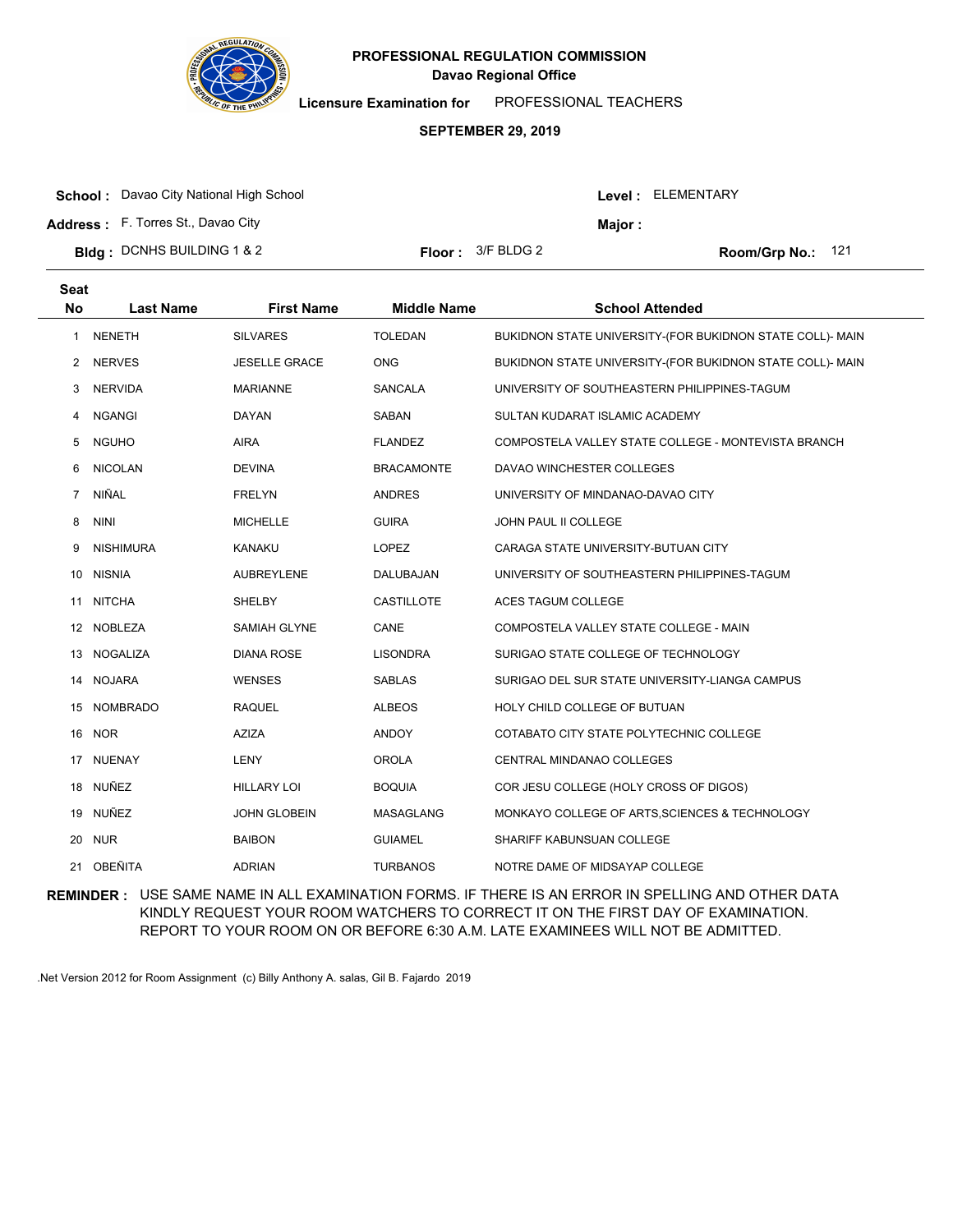

**Licensure Examination for**  PROFESSIONAL TEACHERS

### **SEPTEMBER 29, 2019**

| <b>School:</b> Davao City National High School |                            |         | Level: ELEMENTARY |  |
|------------------------------------------------|----------------------------|---------|-------------------|--|
| Address: F. Torres St., Davao City             |                            | Maior : |                   |  |
| <b>Bidg</b> : DCNHS BUILDING 1 & 2             | <b>Floor:</b> $3/F$ BLDG 2 |         | Room/Grp No.: 121 |  |

| <b>Seat</b><br><b>No</b> | <b>Last Name</b> | <b>First Name</b>    | <b>Middle Name</b> | <b>School Attended</b>                                    |
|--------------------------|------------------|----------------------|--------------------|-----------------------------------------------------------|
| 1                        | <b>NENETH</b>    | <b>SILVARES</b>      | <b>TOLEDAN</b>     | BUKIDNON STATE UNIVERSITY-(FOR BUKIDNON STATE COLL)- MAIN |
| 2                        | <b>NERVES</b>    | <b>JESELLE GRACE</b> | <b>ONG</b>         | BUKIDNON STATE UNIVERSITY-(FOR BUKIDNON STATE COLL)- MAIN |
| 3                        | <b>NERVIDA</b>   | <b>MARIANNE</b>      | <b>SANCALA</b>     | UNIVERSITY OF SOUTHEASTERN PHILIPPINES-TAGUM              |
| 4                        | <b>NGANGI</b>    | <b>DAYAN</b>         | SABAN              | SULTAN KUDARAT ISLAMIC ACADEMY                            |
| 5                        | <b>NGUHO</b>     | <b>AIRA</b>          | <b>FLANDEZ</b>     | COMPOSTELA VALLEY STATE COLLEGE - MONTEVISTA BRANCH       |
| 6                        | <b>NICOLAN</b>   | <b>DEVINA</b>        | <b>BRACAMONTE</b>  | DAVAO WINCHESTER COLLEGES                                 |
| $\overline{7}$           | <b>NIÑAL</b>     | <b>FRELYN</b>        | <b>ANDRES</b>      | UNIVERSITY OF MINDANAO-DAVAO CITY                         |
| 8                        | <b>NINI</b>      | <b>MICHELLE</b>      | <b>GUIRA</b>       | JOHN PAUL II COLLEGE                                      |
| 9                        | <b>NISHIMURA</b> | <b>KANAKU</b>        | <b>LOPEZ</b>       | CARAGA STATE UNIVERSITY-BUTUAN CITY                       |
| 10                       | <b>NISNIA</b>    | <b>AUBREYLENE</b>    | DALUBAJAN          | UNIVERSITY OF SOUTHEASTERN PHILIPPINES-TAGUM              |
| 11                       | <b>NITCHA</b>    | SHELBY               | <b>CASTILLOTE</b>  | <b>ACES TAGUM COLLEGE</b>                                 |
|                          | 12 NOBLEZA       | SAMIAH GLYNE         | CANE               | COMPOSTELA VALLEY STATE COLLEGE - MAIN                    |
| 13                       | <b>NOGALIZA</b>  | <b>DIANA ROSE</b>    | <b>LISONDRA</b>    | SURIGAO STATE COLLEGE OF TECHNOLOGY                       |
| 14                       | <b>NOJARA</b>    | <b>WENSES</b>        | <b>SABLAS</b>      | SURIGAO DEL SUR STATE UNIVERSITY-LIANGA CAMPUS            |
| 15                       | <b>NOMBRADO</b>  | <b>RAQUEL</b>        | <b>ALBEOS</b>      | HOLY CHILD COLLEGE OF BUTUAN                              |
| 16                       | <b>NOR</b>       | <b>AZIZA</b>         | <b>ANDOY</b>       | COTABATO CITY STATE POLYTECHNIC COLLEGE                   |
| 17                       | <b>NUENAY</b>    | LENY                 | <b>OROLA</b>       | CENTRAL MINDANAO COLLEGES                                 |
|                          | 18 NUÑEZ         | <b>HILLARY LOI</b>   | <b>BOQUIA</b>      | COR JESU COLLEGE (HOLY CROSS OF DIGOS)                    |
| 19                       | NUÑEZ            | <b>JOHN GLOBEIN</b>  | MASAGLANG          | MONKAYO COLLEGE OF ARTS, SCIENCES & TECHNOLOGY            |
| 20                       | <b>NUR</b>       | <b>BAIBON</b>        | <b>GUIAMEL</b>     | SHARIFF KABUNSUAN COLLEGE                                 |
|                          | 21 OBEÑITA       | <b>ADRIAN</b>        | <b>TURBANOS</b>    | NOTRE DAME OF MIDSAYAP COLLEGE                            |

**REMINDER :** USE SAME NAME IN ALL EXAMINATION FORMS. IF THERE IS AN ERROR IN SPELLING AND OTHER DATA KINDLY REQUEST YOUR ROOM WATCHERS TO CORRECT IT ON THE FIRST DAY OF EXAMINATION. REPORT TO YOUR ROOM ON OR BEFORE 6:30 A.M. LATE EXAMINEES WILL NOT BE ADMITTED.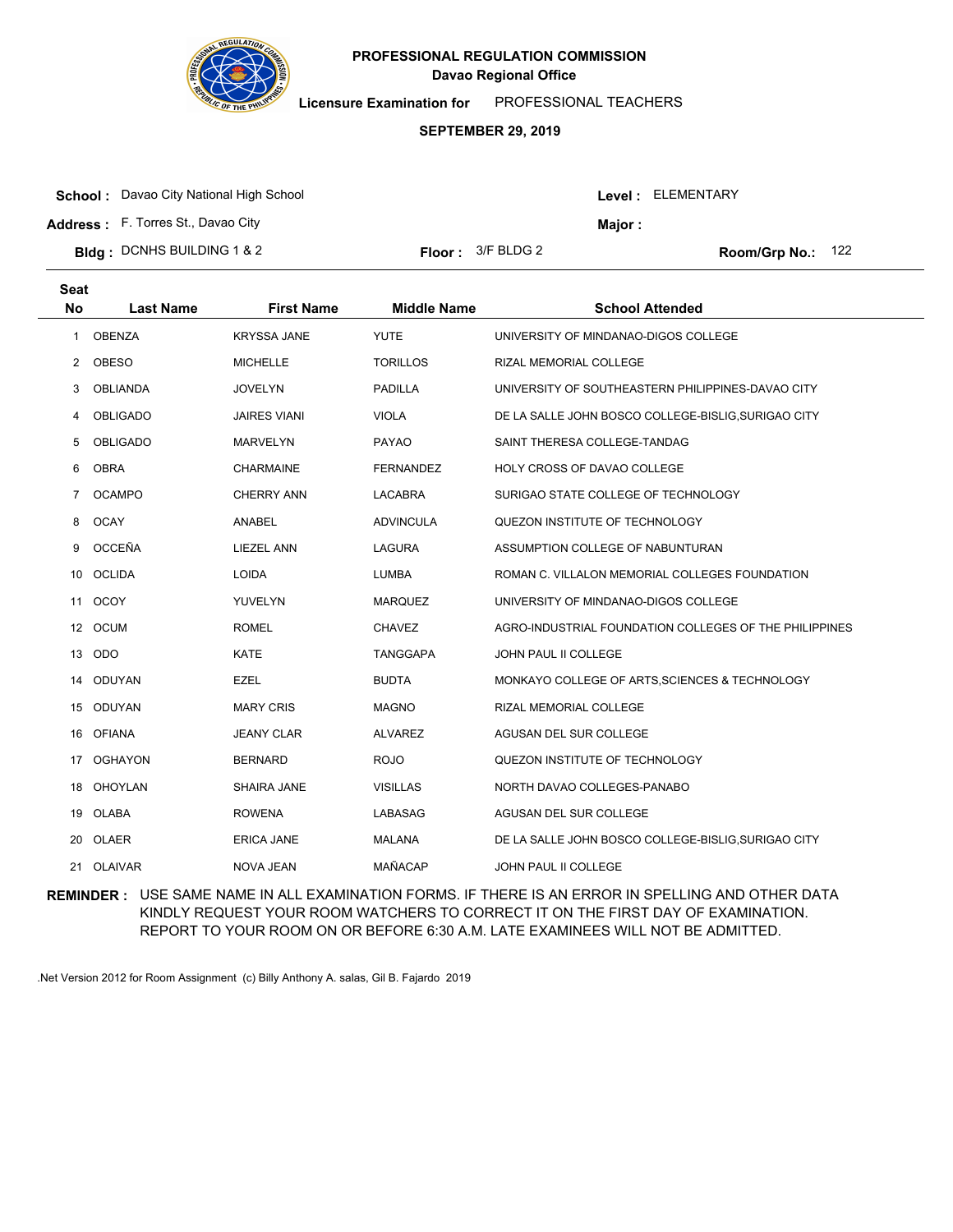

**Licensure Examination for**  PROFESSIONAL TEACHERS

### **SEPTEMBER 29, 2019**

**School :** Davao City National High School

**Address :** F. Torres St., Davao City

| <b>Bldg</b> : DCNHS BUILDING 1 & 2 | <b>Floor:</b> $3/F$ BLDG 2 |
|------------------------------------|----------------------------|
|                                    |                            |

Room/Grp No.: 122

Level : ELEMENTARY

**Major :**

| <b>Seat</b><br><b>No</b> | <b>Last Name</b> | <b>First Name</b>   | <b>Middle Name</b> | <b>School Attended</b>                                 |
|--------------------------|------------------|---------------------|--------------------|--------------------------------------------------------|
| 1                        | <b>OBENZA</b>    | <b>KRYSSA JANE</b>  | <b>YUTE</b>        | UNIVERSITY OF MINDANAO-DIGOS COLLEGE                   |
| $\overline{2}$           | <b>OBESO</b>     | <b>MICHELLE</b>     | <b>TORILLOS</b>    | RIZAL MEMORIAL COLLEGE                                 |
| 3                        | <b>OBLIANDA</b>  | <b>JOVELYN</b>      | <b>PADILLA</b>     | UNIVERSITY OF SOUTHEASTERN PHILIPPINES-DAVAO CITY      |
| 4                        | <b>OBLIGADO</b>  | <b>JAIRES VIANI</b> | <b>VIOLA</b>       | DE LA SALLE JOHN BOSCO COLLEGE-BISLIG, SURIGAO CITY    |
| 5                        | <b>OBLIGADO</b>  | <b>MARVELYN</b>     | PAYAO              | SAINT THERESA COLLEGE-TANDAG                           |
| 6                        | <b>OBRA</b>      | <b>CHARMAINE</b>    | <b>FERNANDEZ</b>   | HOLY CROSS OF DAVAO COLLEGE                            |
| $\overline{7}$           | <b>OCAMPO</b>    | <b>CHERRY ANN</b>   | <b>LACABRA</b>     | SURIGAO STATE COLLEGE OF TECHNOLOGY                    |
| 8                        | <b>OCAY</b>      | <b>ANABEL</b>       | <b>ADVINCULA</b>   | QUEZON INSTITUTE OF TECHNOLOGY                         |
| 9                        | OCCEÑA           | <b>LIEZEL ANN</b>   | <b>LAGURA</b>      | ASSUMPTION COLLEGE OF NABUNTURAN                       |
| 10                       | <b>OCLIDA</b>    | <b>LOIDA</b>        | <b>LUMBA</b>       | ROMAN C. VILLALON MEMORIAL COLLEGES FOUNDATION         |
| 11                       | <b>OCOY</b>      | <b>YUVELYN</b>      | <b>MARQUEZ</b>     | UNIVERSITY OF MINDANAO-DIGOS COLLEGE                   |
|                          | 12 OCUM          | <b>ROMEL</b>        | CHAVEZ             | AGRO-INDUSTRIAL FOUNDATION COLLEGES OF THE PHILIPPINES |
| 13                       | ODO              | <b>KATE</b>         | <b>TANGGAPA</b>    | JOHN PAUL II COLLEGE                                   |
| 14                       | <b>ODUYAN</b>    | <b>EZEL</b>         | <b>BUDTA</b>       | MONKAYO COLLEGE OF ARTS, SCIENCES & TECHNOLOGY         |
|                          | 15 ODUYAN        | <b>MARY CRIS</b>    | <b>MAGNO</b>       | RIZAL MEMORIAL COLLEGE                                 |
| 16                       | <b>OFIANA</b>    | <b>JEANY CLAR</b>   | <b>ALVAREZ</b>     | AGUSAN DEL SUR COLLEGE                                 |
| 17                       | <b>OGHAYON</b>   | <b>BERNARD</b>      | <b>ROJO</b>        | QUEZON INSTITUTE OF TECHNOLOGY                         |
|                          | 18 OHOYLAN       | SHAIRA JANE         | <b>VISILLAS</b>    | NORTH DAVAO COLLEGES-PANABO                            |
|                          | 19 OLABA         | <b>ROWENA</b>       | LABASAG            | AGUSAN DEL SUR COLLEGE                                 |
| 20                       | OLAER            | <b>ERICA JANE</b>   | <b>MALANA</b>      | DE LA SALLE JOHN BOSCO COLLEGE-BISLIG, SURIGAO CITY    |
|                          | 21 OLAIVAR       | NOVA JEAN           | <b>MAÑACAP</b>     | <b>JOHN PAUL II COLLEGE</b>                            |

**REMINDER :** USE SAME NAME IN ALL EXAMINATION FORMS. IF THERE IS AN ERROR IN SPELLING AND OTHER DATA KINDLY REQUEST YOUR ROOM WATCHERS TO CORRECT IT ON THE FIRST DAY OF EXAMINATION. REPORT TO YOUR ROOM ON OR BEFORE 6:30 A.M. LATE EXAMINEES WILL NOT BE ADMITTED.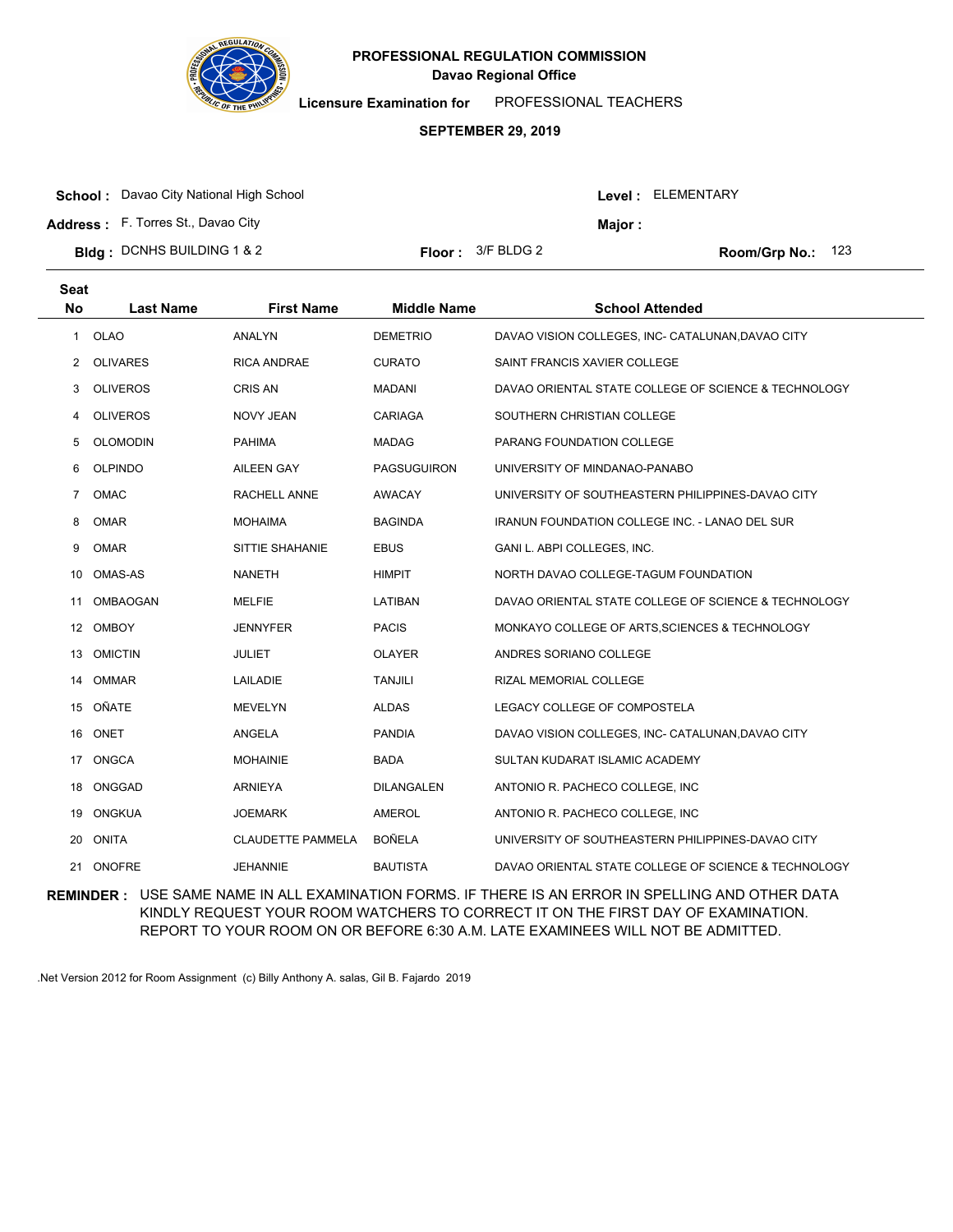

**Licensure Examination for**  PROFESSIONAL TEACHERS

### **SEPTEMBER 29, 2019**

|  | <b>School:</b> Davao City National High School |
|--|------------------------------------------------|
|--|------------------------------------------------|

**Address :** F. Torres St., Davao City

| <b>Bldg</b> : DCNHS BUILDING 1 & 2 | <b>Floor:</b> $3/F$ BLDG 2 |
|------------------------------------|----------------------------|
|                                    |                            |

Room/Grp No.: 123

Level : ELEMENTARY

**Major :**

| <b>Seat</b><br><b>No</b> | <b>Last Name</b> | <b>First Name</b>        | <b>Middle Name</b> | <b>School Attended</b>                                |
|--------------------------|------------------|--------------------------|--------------------|-------------------------------------------------------|
| 1                        | OLAO             | <b>ANALYN</b>            | <b>DEMETRIO</b>    | DAVAO VISION COLLEGES, INC- CATALUNAN, DAVAO CITY     |
| 2                        | <b>OLIVARES</b>  | <b>RICA ANDRAE</b>       | <b>CURATO</b>      | SAINT FRANCIS XAVIER COLLEGE                          |
| 3                        | <b>OLIVEROS</b>  | <b>CRIS AN</b>           | <b>MADANI</b>      | DAVAO ORIENTAL STATE COLLEGE OF SCIENCE & TECHNOLOGY  |
| 4                        | <b>OLIVEROS</b>  | <b>NOVY JEAN</b>         | CARIAGA            | SOUTHERN CHRISTIAN COLLEGE                            |
| 5                        | <b>OLOMODIN</b>  | <b>PAHIMA</b>            | <b>MADAG</b>       | PARANG FOUNDATION COLLEGE                             |
| 6                        | <b>OLPINDO</b>   | <b>AILEEN GAY</b>        | <b>PAGSUGUIRON</b> | UNIVERSITY OF MINDANAO-PANABO                         |
| $\overline{7}$           | OMAC             | RACHELL ANNE             | <b>AWACAY</b>      | UNIVERSITY OF SOUTHEASTERN PHILIPPINES-DAVAO CITY     |
| 8                        | <b>OMAR</b>      | <b>MOHAIMA</b>           | <b>BAGINDA</b>     | <b>IRANUN FOUNDATION COLLEGE INC. - LANAO DEL SUR</b> |
| 9                        | <b>OMAR</b>      | SITTIE SHAHANIE          | <b>EBUS</b>        | GANI L. ABPI COLLEGES, INC.                           |
| 10                       | <b>OMAS-AS</b>   | <b>NANETH</b>            | <b>HIMPIT</b>      | NORTH DAVAO COLLEGE-TAGUM FOUNDATION                  |
| 11                       | <b>OMBAOGAN</b>  | <b>MELFIE</b>            | LATIBAN            | DAVAO ORIENTAL STATE COLLEGE OF SCIENCE & TECHNOLOGY  |
|                          | 12 OMBOY         | JENNYFER                 | <b>PACIS</b>       | MONKAYO COLLEGE OF ARTS, SCIENCES & TECHNOLOGY        |
| 13                       | <b>OMICTIN</b>   | <b>JULIET</b>            | <b>OLAYER</b>      | ANDRES SORIANO COLLEGE                                |
| 14                       | <b>OMMAR</b>     | LAILADIE                 | <b>TANJILI</b>     | RIZAL MEMORIAL COLLEGE                                |
| 15                       | OÑATE            | <b>MEVELYN</b>           | <b>ALDAS</b>       | LEGACY COLLEGE OF COMPOSTELA                          |
| 16                       | ONET             | <b>ANGELA</b>            | <b>PANDIA</b>      | DAVAO VISION COLLEGES, INC- CATALUNAN, DAVAO CITY     |
| 17                       | <b>ONGCA</b>     | <b>MOHAINIE</b>          | <b>BADA</b>        | SULTAN KUDARAT ISLAMIC ACADEMY                        |
|                          | 18 ONGGAD        | <b>ARNIEYA</b>           | DILANGALEN         | ANTONIO R. PACHECO COLLEGE, INC                       |
| 19                       | ONGKUA           | JOEMARK                  | AMEROL             | ANTONIO R. PACHECO COLLEGE, INC                       |
| 20                       | <b>ONITA</b>     | <b>CLAUDETTE PAMMELA</b> | <b>BOÑELA</b>      | UNIVERSITY OF SOUTHEASTERN PHILIPPINES-DAVAO CITY     |
| 21                       | <b>ONOFRE</b>    | <b>JEHANNIE</b>          | <b>BAUTISTA</b>    | DAVAO ORIENTAL STATE COLLEGE OF SCIENCE & TECHNOLOGY  |

**REMINDER :** USE SAME NAME IN ALL EXAMINATION FORMS. IF THERE IS AN ERROR IN SPELLING AND OTHER DATA KINDLY REQUEST YOUR ROOM WATCHERS TO CORRECT IT ON THE FIRST DAY OF EXAMINATION. REPORT TO YOUR ROOM ON OR BEFORE 6:30 A.M. LATE EXAMINEES WILL NOT BE ADMITTED.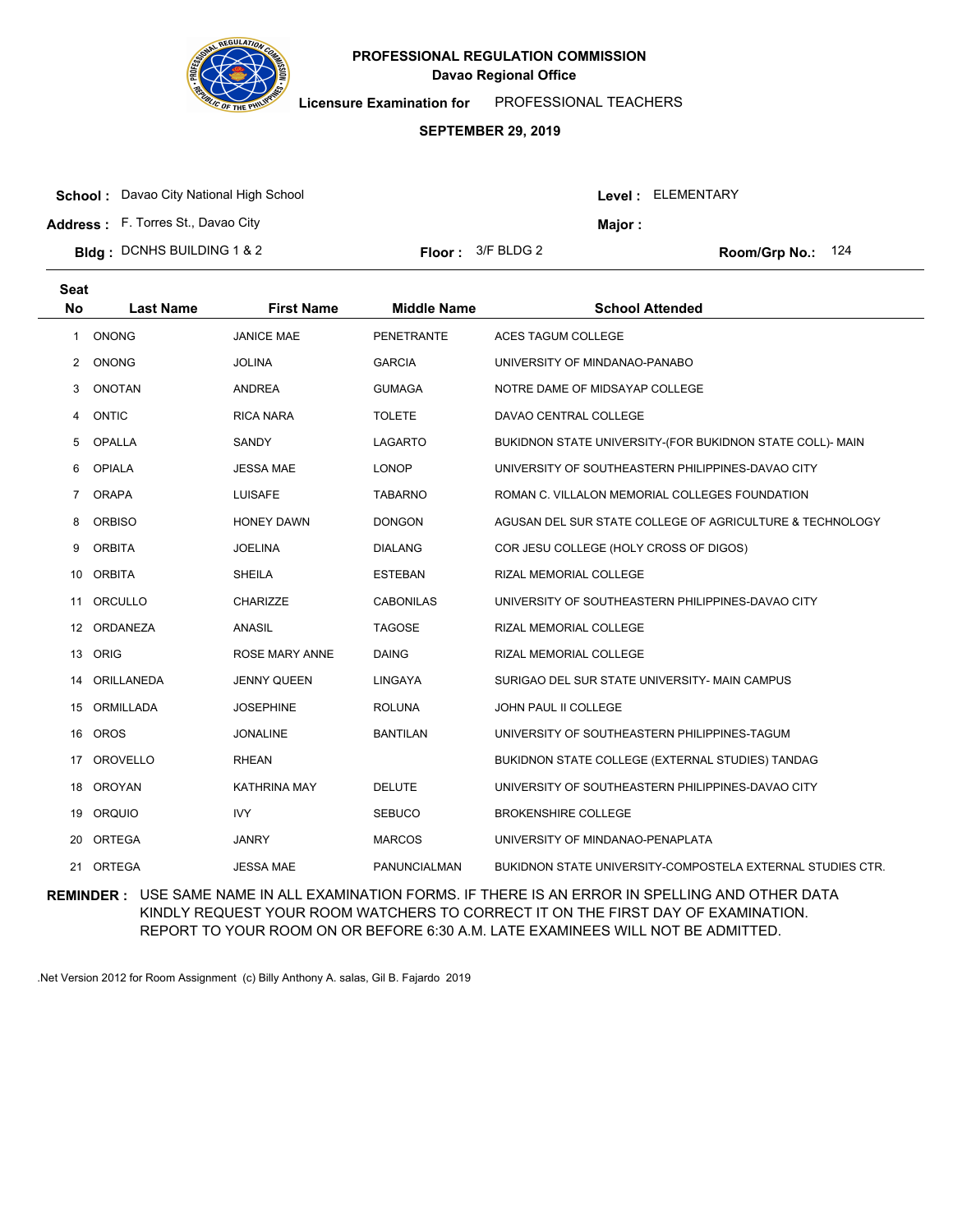

**Licensure Examination for**  PROFESSIONAL TEACHERS

### **SEPTEMBER 29, 2019**

**School :** Davao City National High School

**Address :** F. Torres St., Davao City

|  | Bldg: DCNHS BUILDING 1 & 2 |  | <b>Floor:</b> $3/F$ BLDG 2 |
|--|----------------------------|--|----------------------------|
|--|----------------------------|--|----------------------------|

Room/Grp No.: 124

Level : ELEMENTARY

**Major :**

| <b>Seat</b><br><b>No</b> | <b>Last Name</b> | <b>First Name</b>     | <b>Middle Name</b> | <b>School Attended</b>                                     |
|--------------------------|------------------|-----------------------|--------------------|------------------------------------------------------------|
|                          |                  |                       |                    |                                                            |
| 1                        | <b>ONONG</b>     | <b>JANICE MAE</b>     | <b>PENETRANTE</b>  | ACES TAGUM COLLEGE                                         |
| $\mathbf{2}$             | <b>ONONG</b>     | <b>JOLINA</b>         | <b>GARCIA</b>      | UNIVERSITY OF MINDANAO-PANABO                              |
| 3                        | <b>ONOTAN</b>    | <b>ANDREA</b>         | <b>GUMAGA</b>      | NOTRE DAME OF MIDSAYAP COLLEGE                             |
| 4                        | <b>ONTIC</b>     | <b>RICA NARA</b>      | <b>TOLETE</b>      | DAVAO CENTRAL COLLEGE                                      |
| 5                        | <b>OPALLA</b>    | SANDY                 | <b>LAGARTO</b>     | BUKIDNON STATE UNIVERSITY-(FOR BUKIDNON STATE COLL)- MAIN  |
| 6                        | <b>OPIALA</b>    | <b>JESSA MAE</b>      | <b>LONOP</b>       | UNIVERSITY OF SOUTHEASTERN PHILIPPINES-DAVAO CITY          |
| $\overline{7}$           | <b>ORAPA</b>     | <b>LUISAFE</b>        | <b>TABARNO</b>     | ROMAN C. VILLALON MEMORIAL COLLEGES FOUNDATION             |
| 8                        | <b>ORBISO</b>    | <b>HONEY DAWN</b>     | <b>DONGON</b>      | AGUSAN DEL SUR STATE COLLEGE OF AGRICULTURE & TECHNOLOGY   |
| 9                        | <b>ORBITA</b>    | <b>JOELINA</b>        | <b>DIALANG</b>     | COR JESU COLLEGE (HOLY CROSS OF DIGOS)                     |
| 10                       | <b>ORBITA</b>    | <b>SHEILA</b>         | <b>ESTEBAN</b>     | RIZAL MEMORIAL COLLEGE                                     |
| 11                       | ORCULLO          | CHARIZZE              | <b>CABONILAS</b>   | UNIVERSITY OF SOUTHEASTERN PHILIPPINES-DAVAO CITY          |
| 12                       | ORDANEZA         | <b>ANASIL</b>         | <b>TAGOSE</b>      | RIZAL MEMORIAL COLLEGE                                     |
| 13                       | ORIG             | <b>ROSE MARY ANNE</b> | <b>DAING</b>       | RIZAL MEMORIAL COLLEGE                                     |
| 14                       | ORILLANEDA       | <b>JENNY QUEEN</b>    | LINGAYA            | SURIGAO DEL SUR STATE UNIVERSITY- MAIN CAMPUS              |
| 15                       | ORMILLADA        | JOSEPHINE             | <b>ROLUNA</b>      | JOHN PAUL II COLLEGE                                       |
| 16                       | OROS             | <b>JONALINE</b>       | <b>BANTILAN</b>    | UNIVERSITY OF SOUTHEASTERN PHILIPPINES-TAGUM               |
| 17                       | <b>OROVELLO</b>  | <b>RHEAN</b>          |                    | BUKIDNON STATE COLLEGE (EXTERNAL STUDIES) TANDAG           |
|                          | 18 OROYAN        | <b>KATHRINA MAY</b>   | <b>DELUTE</b>      | UNIVERSITY OF SOUTHEASTERN PHILIPPINES-DAVAO CITY          |
| 19                       | ORQUIO           | <b>IVY</b>            | <b>SEBUCO</b>      | <b>BROKENSHIRE COLLEGE</b>                                 |
| 20                       | <b>ORTEGA</b>    | <b>JANRY</b>          | <b>MARCOS</b>      | UNIVERSITY OF MINDANAO-PENAPLATA                           |
| 21                       | <b>ORTEGA</b>    | <b>JESSA MAE</b>      | PANUNCIALMAN       | BUKIDNON STATE UNIVERSITY-COMPOSTELA EXTERNAL STUDIES CTR. |

**REMINDER :** USE SAME NAME IN ALL EXAMINATION FORMS. IF THERE IS AN ERROR IN SPELLING AND OTHER DATA KINDLY REQUEST YOUR ROOM WATCHERS TO CORRECT IT ON THE FIRST DAY OF EXAMINATION. REPORT TO YOUR ROOM ON OR BEFORE 6:30 A.M. LATE EXAMINEES WILL NOT BE ADMITTED.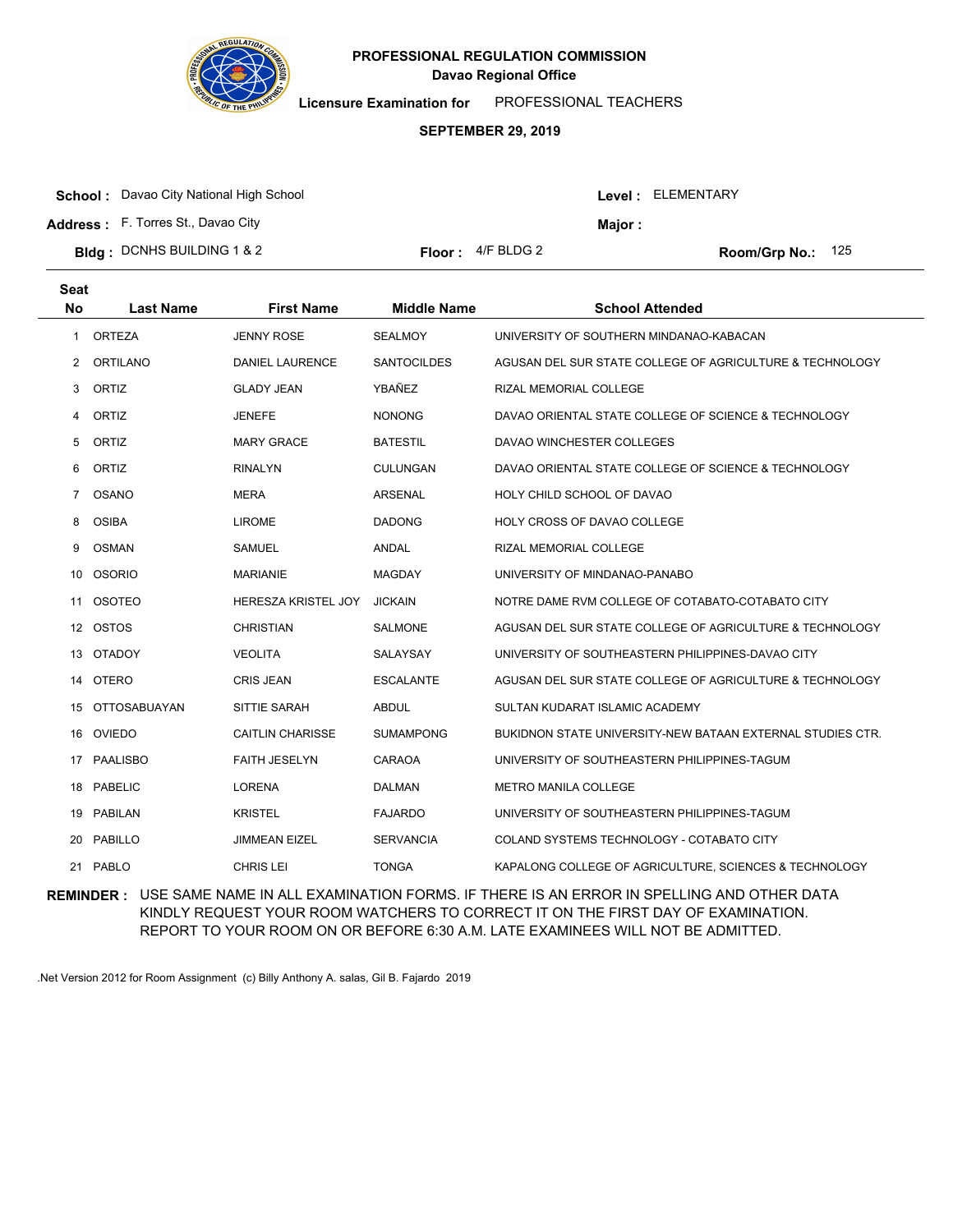

**Licensure Examination for**  PROFESSIONAL TEACHERS

### **SEPTEMBER 29, 2019**

| <b>School:</b> Davao City National High School |                             |         | <b>Level : ELEMENTARY</b>  |
|------------------------------------------------|-----------------------------|---------|----------------------------|
| <b>Address:</b> F. Torres St., Davao City      |                             | Maior : |                            |
| <b>Bldg:</b> DCNHS BUILDING 1 & 2              | <b>Floor</b> : $4/F$ BLDG 2 |         | <b>Room/Grp No.:</b> $125$ |

| <b>Seat</b><br><b>No</b> | <b>Last Name</b>    | <b>First Name</b>          | <b>Middle Name</b> | <b>School Attended</b>                                     |
|--------------------------|---------------------|----------------------------|--------------------|------------------------------------------------------------|
| 1                        | <b>ORTEZA</b>       | <b>JENNY ROSE</b>          | <b>SEALMOY</b>     | UNIVERSITY OF SOUTHERN MINDANAO-KABACAN                    |
| 2                        | ORTILANO            | <b>DANIEL LAURENCE</b>     | <b>SANTOCILDES</b> | AGUSAN DEL SUR STATE COLLEGE OF AGRICULTURE & TECHNOLOGY   |
| 3                        | ORTIZ               | <b>GLADY JEAN</b>          | YBAÑEZ             | RIZAL MEMORIAL COLLEGE                                     |
| 4                        | ORTIZ               | <b>JENEFE</b>              | <b>NONONG</b>      | DAVAO ORIENTAL STATE COLLEGE OF SCIENCE & TECHNOLOGY       |
| 5                        | ORTIZ               | <b>MARY GRACE</b>          | <b>BATESTIL</b>    | DAVAO WINCHESTER COLLEGES                                  |
| 6                        | ORTIZ               | <b>RINALYN</b>             | <b>CULUNGAN</b>    | DAVAO ORIENTAL STATE COLLEGE OF SCIENCE & TECHNOLOGY       |
| 7                        | <b>OSANO</b>        | <b>MERA</b>                | <b>ARSENAL</b>     | HOLY CHILD SCHOOL OF DAVAO                                 |
| 8                        | <b>OSIBA</b>        | <b>LIROME</b>              | <b>DADONG</b>      | <b>HOLY CROSS OF DAVAO COLLEGE</b>                         |
| 9                        | <b>OSMAN</b>        | <b>SAMUEL</b>              | <b>ANDAL</b>       | RIZAL MEMORIAL COLLEGE                                     |
| 10                       | <b>OSORIO</b>       | <b>MARIANIE</b>            | <b>MAGDAY</b>      | UNIVERSITY OF MINDANAO-PANABO                              |
| 11                       | <b>OSOTEO</b>       | <b>HERESZA KRISTEL JOY</b> | <b>JICKAIN</b>     | NOTRE DAME RVM COLLEGE OF COTABATO-COTABATO CITY           |
| 12                       | <b>OSTOS</b>        | <b>CHRISTIAN</b>           | <b>SALMONE</b>     | AGUSAN DEL SUR STATE COLLEGE OF AGRICULTURE & TECHNOLOGY   |
| 13                       | <b>OTADOY</b>       | <b>VEOLITA</b>             | SALAYSAY           | UNIVERSITY OF SOUTHEASTERN PHILIPPINES-DAVAO CITY          |
| 14                       | <b>OTERO</b>        | <b>CRIS JEAN</b>           | <b>ESCALANTE</b>   | AGUSAN DEL SUR STATE COLLEGE OF AGRICULTURE & TECHNOLOGY   |
| 15                       | <b>OTTOSABUAYAN</b> | SITTIE SARAH               | <b>ABDUL</b>       | SULTAN KUDARAT ISLAMIC ACADEMY                             |
| 16                       | <b>OVIEDO</b>       | <b>CAITLIN CHARISSE</b>    | <b>SUMAMPONG</b>   | BUKIDNON STATE UNIVERSITY-NEW BATAAN EXTERNAL STUDIES CTR. |
| 17                       | <b>PAALISBO</b>     | <b>FAITH JESELYN</b>       | CARAOA             | UNIVERSITY OF SOUTHEASTERN PHILIPPINES-TAGUM               |
| 18                       | <b>PABELIC</b>      | <b>LORENA</b>              | <b>DALMAN</b>      | <b>METRO MANILA COLLEGE</b>                                |
| 19                       | PABILAN             | <b>KRISTEL</b>             | <b>FAJARDO</b>     | UNIVERSITY OF SOUTHEASTERN PHILIPPINES-TAGUM               |
| 20                       | PABILLO             | <b>JIMMEAN EIZEL</b>       | <b>SERVANCIA</b>   | COLAND SYSTEMS TECHNOLOGY - COTABATO CITY                  |
| 21                       | <b>PABLO</b>        | <b>CHRIS LEI</b>           | <b>TONGA</b>       | KAPALONG COLLEGE OF AGRICULTURE, SCIENCES & TECHNOLOGY     |

**REMINDER :** USE SAME NAME IN ALL EXAMINATION FORMS. IF THERE IS AN ERROR IN SPELLING AND OTHER DATA KINDLY REQUEST YOUR ROOM WATCHERS TO CORRECT IT ON THE FIRST DAY OF EXAMINATION. REPORT TO YOUR ROOM ON OR BEFORE 6:30 A.M. LATE EXAMINEES WILL NOT BE ADMITTED.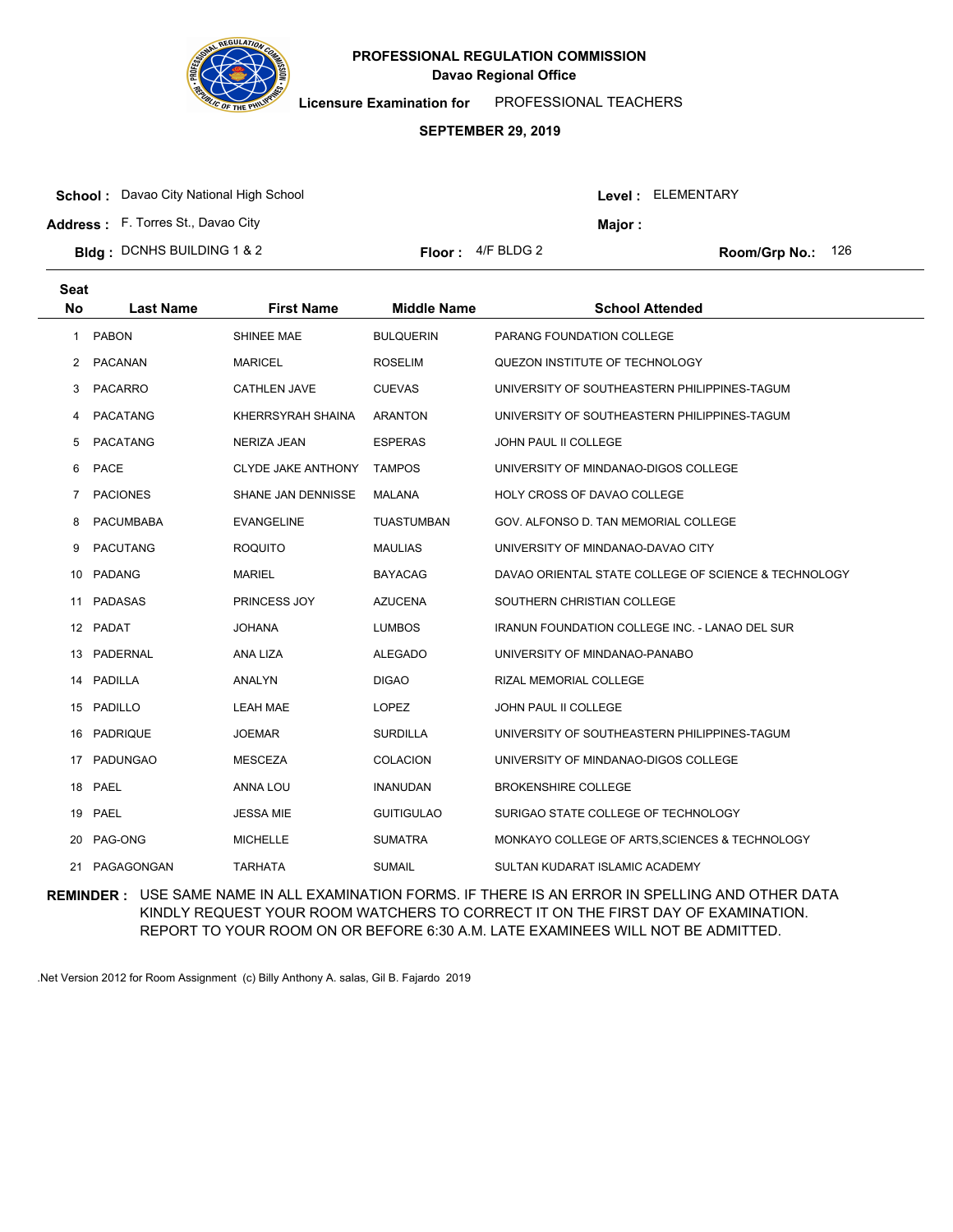

**Licensure Examination for**  PROFESSIONAL TEACHERS

### **SEPTEMBER 29, 2019**

**School :** Davao City National High School

**Address :** F. Torres St., Davao City

| Level : |  | ELEMENTARY |
|---------|--|------------|
|---------|--|------------|

**Major :**

| <b>Bidg:</b> DCNHS BUILDING 1 & 2 | <b>Floor:</b> $4/F$ BLDG 2 | <b>Room/Grp No.:</b> |
|-----------------------------------|----------------------------|----------------------|
|-----------------------------------|----------------------------|----------------------|

2 Room/Grp No.: 126

| Seat<br><b>No</b> | <b>Last Name</b> | <b>First Name</b>   | <b>Middle Name</b> | <b>School Attended</b>                                |
|-------------------|------------------|---------------------|--------------------|-------------------------------------------------------|
| 1                 | <b>PABON</b>     | SHINEE MAE          | <b>BULQUERIN</b>   | <b>PARANG FOUNDATION COLLEGE</b>                      |
| $\overline{2}$    | PACANAN          | <b>MARICEL</b>      | <b>ROSELIM</b>     | QUEZON INSTITUTE OF TECHNOLOGY                        |
| 3                 | PACARRO          | <b>CATHLEN JAVE</b> | <b>CUEVAS</b>      | UNIVERSITY OF SOUTHEASTERN PHILIPPINES-TAGUM          |
| 4                 | <b>PACATANG</b>  | KHERRSYRAH SHAINA   | <b>ARANTON</b>     | UNIVERSITY OF SOUTHEASTERN PHILIPPINES-TAGUM          |
| 5                 | PACATANG         | NERIZA JEAN         | <b>ESPERAS</b>     | JOHN PAUL II COLLEGE                                  |
| 6                 | PACE             | CLYDE JAKE ANTHONY  | <b>TAMPOS</b>      | UNIVERSITY OF MINDANAO-DIGOS COLLEGE                  |
| 7                 | <b>PACIONES</b>  | SHANE JAN DENNISSE  | MALANA             | HOLY CROSS OF DAVAO COLLEGE                           |
| 8                 | <b>PACUMBABA</b> | <b>EVANGELINE</b>   | TUASTUMBAN         | GOV. ALFONSO D. TAN MEMORIAL COLLEGE                  |
| 9                 | <b>PACUTANG</b>  | <b>ROQUITO</b>      | <b>MAULIAS</b>     | UNIVERSITY OF MINDANAO-DAVAO CITY                     |
| 10                | PADANG           | <b>MARIEL</b>       | <b>BAYACAG</b>     | DAVAO ORIENTAL STATE COLLEGE OF SCIENCE & TECHNOLOGY  |
| 11                | PADASAS          | PRINCESS JOY        | <b>AZUCENA</b>     | SOUTHERN CHRISTIAN COLLEGE                            |
|                   | 12 PADAT         | <b>JOHANA</b>       | <b>LUMBOS</b>      | <b>IRANUN FOUNDATION COLLEGE INC. - LANAO DEL SUR</b> |
|                   | 13 PADERNAL      | ANA LIZA            | <b>ALEGADO</b>     | UNIVERSITY OF MINDANAO-PANABO                         |
| 14                | PADILLA          | <b>ANALYN</b>       | <b>DIGAO</b>       | RIZAL MEMORIAL COLLEGE                                |
|                   | 15 PADILLO       | <b>LEAH MAE</b>     | <b>LOPEZ</b>       | JOHN PAUL II COLLEGE                                  |
|                   | 16 PADRIQUE      | <b>JOEMAR</b>       | <b>SURDILLA</b>    | UNIVERSITY OF SOUTHEASTERN PHILIPPINES-TAGUM          |
| 17                | <b>PADUNGAO</b>  | <b>MESCEZA</b>      | <b>COLACION</b>    | UNIVERSITY OF MINDANAO-DIGOS COLLEGE                  |
|                   | 18 PAEL          | ANNA LOU            | <b>INANUDAN</b>    | <b>BROKENSHIRE COLLEGE</b>                            |
|                   | 19 PAEL          | <b>JESSA MIE</b>    | <b>GUITIGULAO</b>  | SURIGAO STATE COLLEGE OF TECHNOLOGY                   |
| 20                | PAG-ONG          | <b>MICHELLE</b>     | <b>SUMATRA</b>     | MONKAYO COLLEGE OF ARTS, SCIENCES & TECHNOLOGY        |
| 21                | PAGAGONGAN       | <b>TARHATA</b>      | <b>SUMAIL</b>      | SULTAN KUDARAT ISLAMIC ACADEMY                        |

**REMINDER :** USE SAME NAME IN ALL EXAMINATION FORMS. IF THERE IS AN ERROR IN SPELLING AND OTHER DATA KINDLY REQUEST YOUR ROOM WATCHERS TO CORRECT IT ON THE FIRST DAY OF EXAMINATION. REPORT TO YOUR ROOM ON OR BEFORE 6:30 A.M. LATE EXAMINEES WILL NOT BE ADMITTED.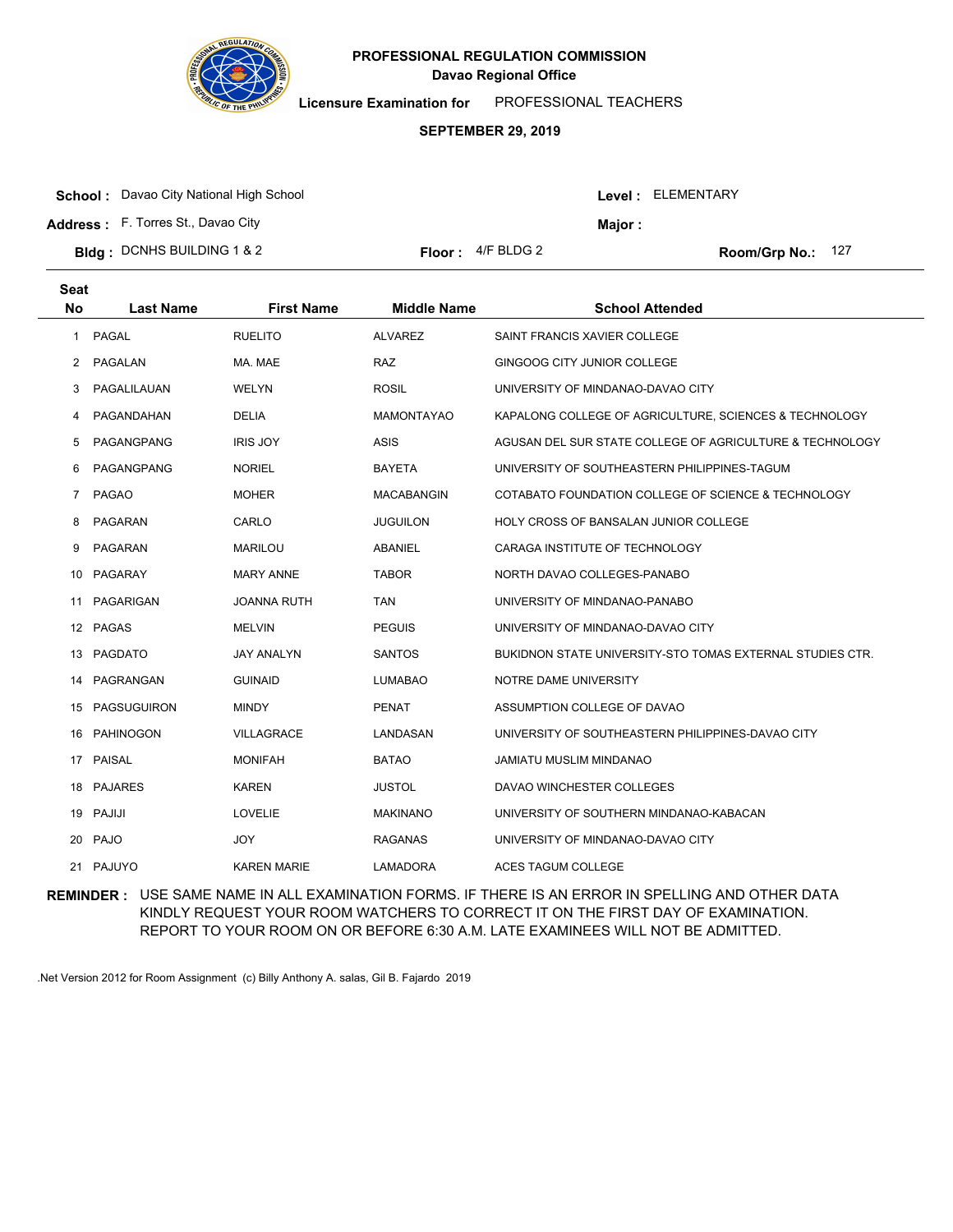

**Licensure Examination for**  PROFESSIONAL TEACHERS

### **SEPTEMBER 29, 2019**

| <b>School:</b> Davao City National High School |                             |         | <b>Level: ELEMENTARY</b> |  |
|------------------------------------------------|-----------------------------|---------|--------------------------|--|
| <b>Address:</b> F. Torres St., Davao City      |                             | Maior : |                          |  |
| <b>Bldg:</b> DCNHS BUILDING 1 & 2              | <b>Floor</b> : $4/F$ BLDG 2 |         | Room/Grp No.: 127        |  |

| <b>Seat</b><br>No | <b>Last Name</b>   | <b>First Name</b>  | <b>Middle Name</b> | <b>School Attended</b>                                    |  |
|-------------------|--------------------|--------------------|--------------------|-----------------------------------------------------------|--|
| 1                 | PAGAL              | <b>RUELITO</b>     | <b>ALVAREZ</b>     | SAINT FRANCIS XAVIER COLLEGE                              |  |
| 2                 | PAGALAN            | MA. MAE            | <b>RAZ</b>         | GINGOOG CITY JUNIOR COLLEGE                               |  |
| 3                 | PAGALILAUAN        | <b>WELYN</b>       | <b>ROSIL</b>       | UNIVERSITY OF MINDANAO-DAVAO CITY                         |  |
| 4                 | PAGANDAHAN         | <b>DELIA</b>       | <b>MAMONTAYAO</b>  | KAPALONG COLLEGE OF AGRICULTURE, SCIENCES & TECHNOLOGY    |  |
| 5                 | PAGANGPANG         | <b>IRIS JOY</b>    | <b>ASIS</b>        | AGUSAN DEL SUR STATE COLLEGE OF AGRICULTURE & TECHNOLOGY  |  |
| 6                 | PAGANGPANG         | <b>NORIEL</b>      | <b>BAYETA</b>      | UNIVERSITY OF SOUTHEASTERN PHILIPPINES-TAGUM              |  |
| $\overline{7}$    | <b>PAGAO</b>       | <b>MOHER</b>       | <b>MACABANGIN</b>  | COTABATO FOUNDATION COLLEGE OF SCIENCE & TECHNOLOGY       |  |
| 8                 | PAGARAN            | CARLO              | <b>JUGUILON</b>    | HOLY CROSS OF BANSALAN JUNIOR COLLEGE                     |  |
| 9                 | PAGARAN            | <b>MARILOU</b>     | <b>ABANIEL</b>     | CARAGA INSTITUTE OF TECHNOLOGY                            |  |
| 10                | PAGARAY            | <b>MARY ANNE</b>   | <b>TABOR</b>       | NORTH DAVAO COLLEGES-PANABO                               |  |
| 11                | PAGARIGAN          | <b>JOANNA RUTH</b> | <b>TAN</b>         | UNIVERSITY OF MINDANAO-PANABO                             |  |
|                   | 12 PAGAS           | <b>MELVIN</b>      | <b>PEGUIS</b>      | UNIVERSITY OF MINDANAO-DAVAO CITY                         |  |
|                   | 13 PAGDATO         | <b>JAY ANALYN</b>  | <b>SANTOS</b>      | BUKIDNON STATE UNIVERSITY-STO TOMAS EXTERNAL STUDIES CTR. |  |
| 14                | PAGRANGAN          | <b>GUINAID</b>     | <b>LUMABAO</b>     | NOTRE DAME UNIVERSITY                                     |  |
| 15                | <b>PAGSUGUIRON</b> | <b>MINDY</b>       | <b>PENAT</b>       | ASSUMPTION COLLEGE OF DAVAO                               |  |
|                   | 16 PAHINOGON       | <b>VILLAGRACE</b>  | LANDASAN           | UNIVERSITY OF SOUTHEASTERN PHILIPPINES-DAVAO CITY         |  |
| 17                | <b>PAISAL</b>      | <b>MONIFAH</b>     | <b>BATAO</b>       | <b>JAMIATU MUSLIM MINDANAO</b>                            |  |
| 18                | PAJARES            | <b>KAREN</b>       | <b>JUSTOL</b>      | DAVAO WINCHESTER COLLEGES                                 |  |
|                   | 19 PAJIJI          | <b>LOVELIE</b>     | <b>MAKINANO</b>    | UNIVERSITY OF SOUTHERN MINDANAO-KABACAN                   |  |
| 20                | <b>PAJO</b>        | JOY                | <b>RAGANAS</b>     | UNIVERSITY OF MINDANAO-DAVAO CITY                         |  |
|                   | 21 PAJUYO          | <b>KAREN MARIE</b> | LAMADORA           | <b>ACES TAGUM COLLEGE</b>                                 |  |
|                   |                    |                    |                    |                                                           |  |

**REMINDER :** USE SAME NAME IN ALL EXAMINATION FORMS. IF THERE IS AN ERROR IN SPELLING AND OTHER DATA KINDLY REQUEST YOUR ROOM WATCHERS TO CORRECT IT ON THE FIRST DAY OF EXAMINATION. REPORT TO YOUR ROOM ON OR BEFORE 6:30 A.M. LATE EXAMINEES WILL NOT BE ADMITTED.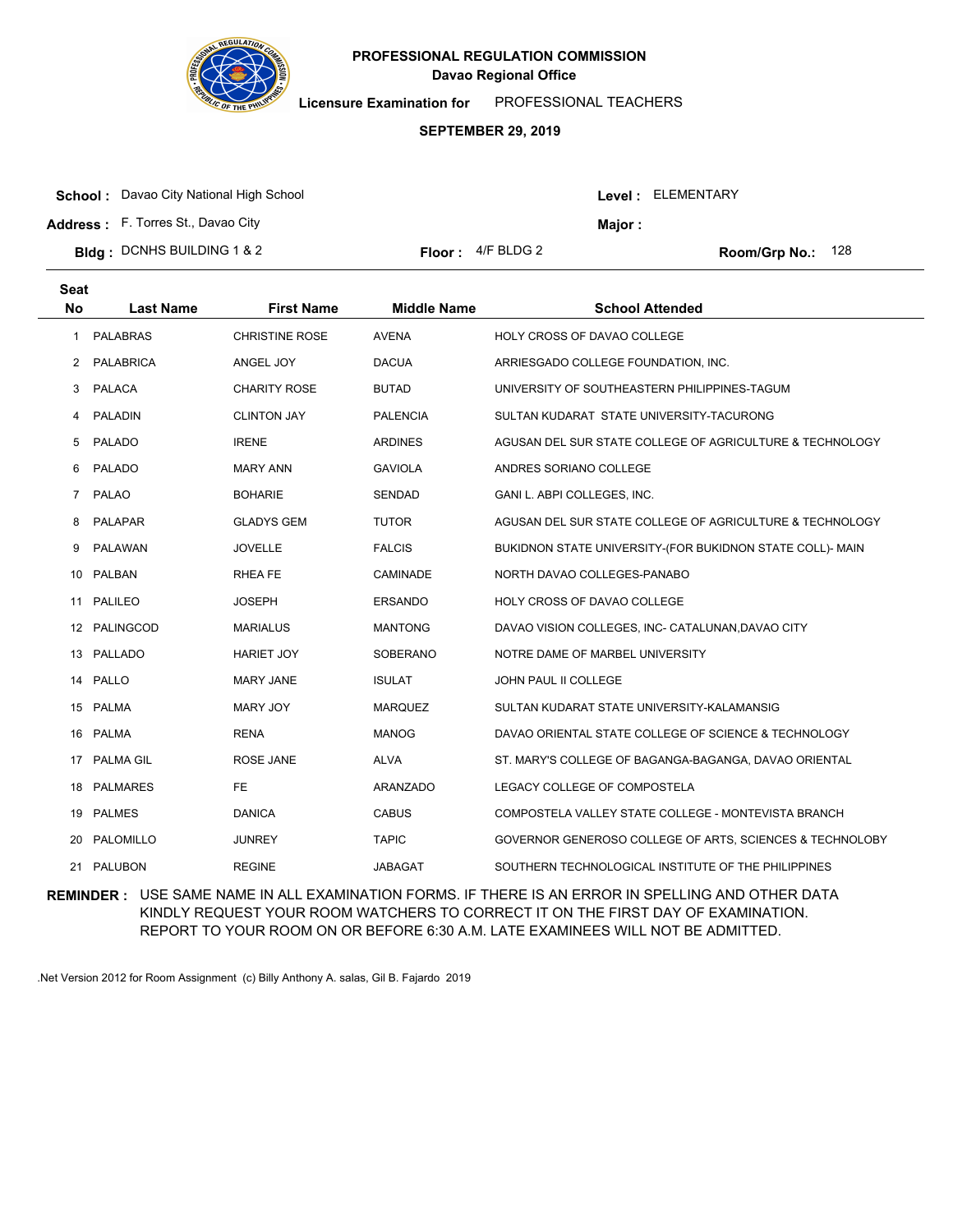

**Licensure Examination for**  PROFESSIONAL TEACHERS

### **SEPTEMBER 29, 2019**

|  | <b>School:</b> Davao City National High School |  |
|--|------------------------------------------------|--|
|--|------------------------------------------------|--|

**Address :** F. Torres St., Davao City

**Seat**

| Bldg: DCNHS BUILDING 1 & 2 | <b>Floor:</b> $4/F$ BLDG 2 | Room/Grp No.: 128 |
|----------------------------|----------------------------|-------------------|
|                            |                            |                   |

| loor : _ | 4/F BLDG 2 |  |
|----------|------------|--|
|          |            |  |

Level : ELEMENTARY

**Major :**

| əeal                 |                  |                       |                    |                                                           |
|----------------------|------------------|-----------------------|--------------------|-----------------------------------------------------------|
| <b>No</b>            | <b>Last Name</b> | <b>First Name</b>     | <b>Middle Name</b> | <b>School Attended</b>                                    |
| 1                    | <b>PALABRAS</b>  | <b>CHRISTINE ROSE</b> | <b>AVENA</b>       | HOLY CROSS OF DAVAO COLLEGE                               |
| $\mathbf{2}^{\circ}$ | PALABRICA        | ANGEL JOY             | <b>DACUA</b>       | ARRIESGADO COLLEGE FOUNDATION, INC.                       |
| 3                    | PALACA           | <b>CHARITY ROSE</b>   | <b>BUTAD</b>       | UNIVERSITY OF SOUTHEASTERN PHILIPPINES-TAGUM              |
| 4                    | PALADIN          | <b>CLINTON JAY</b>    | <b>PALENCIA</b>    | SULTAN KUDARAT STATE UNIVERSITY-TACURONG                  |
| 5                    | PALADO           | <b>IRENE</b>          | <b>ARDINES</b>     | AGUSAN DEL SUR STATE COLLEGE OF AGRICULTURE & TECHNOLOGY  |
| 6                    | PALADO           | <b>MARY ANN</b>       | <b>GAVIOLA</b>     | ANDRES SORIANO COLLEGE                                    |
| 7                    | <b>PALAO</b>     | <b>BOHARIE</b>        | <b>SENDAD</b>      | GANI L. ABPI COLLEGES, INC.                               |
| 8                    | PALAPAR          | <b>GLADYS GEM</b>     | <b>TUTOR</b>       | AGUSAN DEL SUR STATE COLLEGE OF AGRICULTURE & TECHNOLOGY  |
| 9                    | PALAWAN          | <b>JOVELLE</b>        | <b>FALCIS</b>      | BUKIDNON STATE UNIVERSITY-(FOR BUKIDNON STATE COLL)- MAIN |
|                      | 10 PALBAN        | <b>RHEA FE</b>        | CAMINADE           | NORTH DAVAO COLLEGES-PANABO                               |
|                      | 11 PALILEO       | <b>JOSEPH</b>         | <b>ERSANDO</b>     | HOLY CROSS OF DAVAO COLLEGE                               |
|                      | 12 PALINGCOD     | <b>MARIALUS</b>       | <b>MANTONG</b>     | DAVAO VISION COLLEGES, INC- CATALUNAN, DAVAO CITY         |
|                      | 13 PALLADO       | <b>HARIET JOY</b>     | <b>SOBERANO</b>    | NOTRE DAME OF MARBEL UNIVERSITY                           |
|                      | 14 PALLO         | <b>MARY JANE</b>      | <b>ISULAT</b>      | JOHN PAUL II COLLEGE                                      |
|                      | 15 PALMA         | MARY JOY              | <b>MARQUEZ</b>     | SULTAN KUDARAT STATE UNIVERSITY-KALAMANSIG                |
|                      | 16 PALMA         | <b>RENA</b>           | <b>MANOG</b>       | DAVAO ORIENTAL STATE COLLEGE OF SCIENCE & TECHNOLOGY      |
| 17                   | PALMA GIL        | ROSE JANE             | ALVA               | ST. MARY'S COLLEGE OF BAGANGA-BAGANGA, DAVAO ORIENTAL     |
|                      | 18 PALMARES      | FE.                   | ARANZADO           | LEGACY COLLEGE OF COMPOSTELA                              |
|                      | 19 PALMES        | <b>DANICA</b>         | <b>CABUS</b>       | COMPOSTELA VALLEY STATE COLLEGE - MONTEVISTA BRANCH       |
| 20                   | PALOMILLO        | <b>JUNREY</b>         | <b>TAPIC</b>       | GOVERNOR GENEROSO COLLEGE OF ARTS, SCIENCES & TECHNOLOBY  |
| 21                   | PALUBON          | <b>REGINE</b>         | <b>JABAGAT</b>     | SOUTHERN TECHNOLOGICAL INSTITUTE OF THE PHILIPPINES       |

**REMINDER :** USE SAME NAME IN ALL EXAMINATION FORMS. IF THERE IS AN ERROR IN SPELLING AND OTHER DATA KINDLY REQUEST YOUR ROOM WATCHERS TO CORRECT IT ON THE FIRST DAY OF EXAMINATION. REPORT TO YOUR ROOM ON OR BEFORE 6:30 A.M. LATE EXAMINEES WILL NOT BE ADMITTED.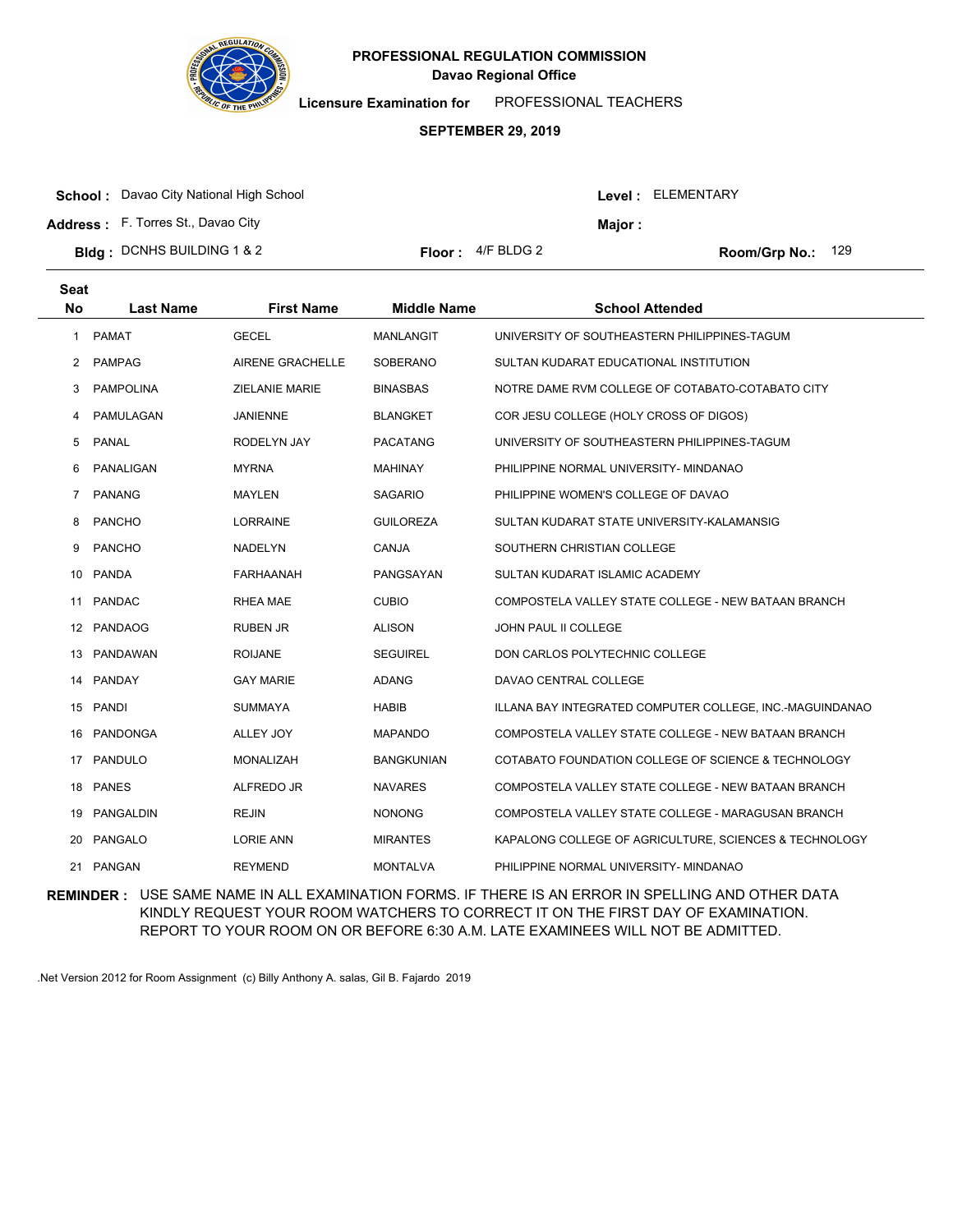

**Licensure Examination for**  PROFESSIONAL TEACHERS

### **SEPTEMBER 29, 2019**

**School :** Davao City National High School

**Address :** F. Torres St., Davao City

| <b>Bldg</b> : DCNHS BUILDING 1 & 2 | <b>Floor:</b> $4/F$ BLDG 2 |
|------------------------------------|----------------------------|
|                                    |                            |

Room/Grp No.: 129

Level : ELEMENTARY

**Major :**

| <b>Seat</b><br>No | <b>Last Name</b> | <b>First Name</b>       | <b>Middle Name</b> | <b>School Attended</b>                                   |
|-------------------|------------------|-------------------------|--------------------|----------------------------------------------------------|
| $\mathbf{1}$      | PAMAT            | <b>GECEL</b>            | <b>MANLANGIT</b>   | UNIVERSITY OF SOUTHEASTERN PHILIPPINES-TAGUM             |
| 2                 | <b>PAMPAG</b>    | <b>AIRENE GRACHELLE</b> | <b>SOBERANO</b>    | SULTAN KUDARAT EDUCATIONAL INSTITUTION                   |
| 3                 | <b>PAMPOLINA</b> | <b>ZIELANIE MARIE</b>   | <b>BINASBAS</b>    | NOTRE DAME RVM COLLEGE OF COTABATO-COTABATO CITY         |
| 4                 | PAMULAGAN        | <b>JANIENNE</b>         | <b>BLANGKET</b>    | COR JESU COLLEGE (HOLY CROSS OF DIGOS)                   |
| 5                 | <b>PANAL</b>     | RODELYN JAY             | <b>PACATANG</b>    | UNIVERSITY OF SOUTHEASTERN PHILIPPINES-TAGUM             |
| 6                 | PANALIGAN        | <b>MYRNA</b>            | <b>MAHINAY</b>     | PHILIPPINE NORMAL UNIVERSITY- MINDANAO                   |
| $\overline{7}$    | <b>PANANG</b>    | MAYLEN                  | <b>SAGARIO</b>     | PHILIPPINE WOMEN'S COLLEGE OF DAVAO                      |
| 8                 | <b>PANCHO</b>    | <b>LORRAINE</b>         | <b>GUILOREZA</b>   | SULTAN KUDARAT STATE UNIVERSITY-KALAMANSIG               |
| 9                 | <b>PANCHO</b>    | <b>NADELYN</b>          | CANJA              | SOUTHERN CHRISTIAN COLLEGE                               |
| 10                | <b>PANDA</b>     | <b>FARHAANAH</b>        | PANGSAYAN          | SULTAN KUDARAT ISLAMIC ACADEMY                           |
| 11                | PANDAC           | <b>RHEA MAE</b>         | <b>CUBIO</b>       | COMPOSTELA VALLEY STATE COLLEGE - NEW BATAAN BRANCH      |
|                   | 12 PANDAOG       | <b>RUBEN JR</b>         | <b>ALISON</b>      | <b>JOHN PAUL II COLLEGE</b>                              |
| 13                | PANDAWAN         | <b>ROIJANE</b>          | <b>SEGUIREL</b>    | DON CARLOS POLYTECHNIC COLLEGE                           |
| 14                | PANDAY           | <b>GAY MARIE</b>        | <b>ADANG</b>       | DAVAO CENTRAL COLLEGE                                    |
|                   | 15 PANDI         | <b>SUMMAYA</b>          | <b>HABIB</b>       | ILLANA BAY INTEGRATED COMPUTER COLLEGE, INC.-MAGUINDANAO |
| 16                | <b>PANDONGA</b>  | ALLEY JOY               | <b>MAPANDO</b>     | COMPOSTELA VALLEY STATE COLLEGE - NEW BATAAN BRANCH      |
| 17                | PANDULO          | <b>MONALIZAH</b>        | <b>BANGKUNIAN</b>  | COTABATO FOUNDATION COLLEGE OF SCIENCE & TECHNOLOGY      |
| 18                | <b>PANES</b>     | ALFREDO JR              | <b>NAVARES</b>     | COMPOSTELA VALLEY STATE COLLEGE - NEW BATAAN BRANCH      |
| 19                | PANGALDIN        | <b>REJIN</b>            | <b>NONONG</b>      | COMPOSTELA VALLEY STATE COLLEGE - MARAGUSAN BRANCH       |
| 20                | PANGALO          | <b>LORIE ANN</b>        | <b>MIRANTES</b>    | KAPALONG COLLEGE OF AGRICULTURE, SCIENCES & TECHNOLOGY   |
| 21                | PANGAN           | <b>REYMEND</b>          | <b>MONTALVA</b>    | PHILIPPINE NORMAL UNIVERSITY- MINDANAO                   |

**REMINDER :** USE SAME NAME IN ALL EXAMINATION FORMS. IF THERE IS AN ERROR IN SPELLING AND OTHER DATA KINDLY REQUEST YOUR ROOM WATCHERS TO CORRECT IT ON THE FIRST DAY OF EXAMINATION. REPORT TO YOUR ROOM ON OR BEFORE 6:30 A.M. LATE EXAMINEES WILL NOT BE ADMITTED.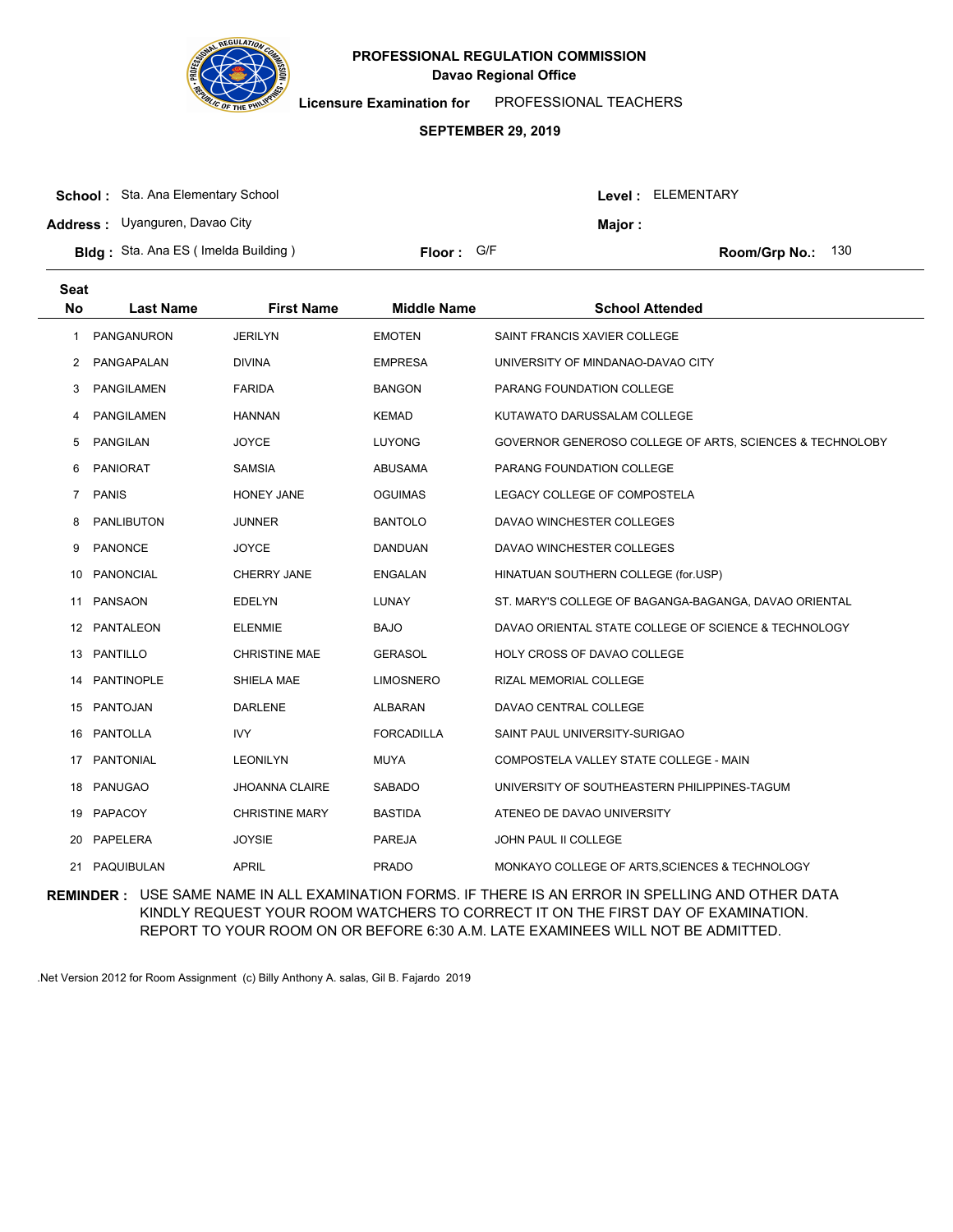

**Licensure Examination for**  PROFESSIONAL TEACHERS

### **SEPTEMBER 29, 2019**

| <b>School:</b> Sta. Ana Elementary School  |            |         | Level : ELEMENTARY         |
|--------------------------------------------|------------|---------|----------------------------|
| <b>Address:</b> Uyanguren, Davao City      |            | Major : |                            |
| <b>Bldg:</b> Sta. Ana ES (Imelda Building) | Floor: G/F |         | <b>Room/Grp No.:</b> $130$ |

| <b>Seat</b><br><b>No</b> | <b>Last Name</b>  | <b>First Name</b>     | <b>Middle Name</b> | <b>School Attended</b>                                   |
|--------------------------|-------------------|-----------------------|--------------------|----------------------------------------------------------|
| 1                        | PANGANURON        | <b>JERILYN</b>        | <b>EMOTEN</b>      | SAINT FRANCIS XAVIER COLLEGE                             |
| 2                        | PANGAPALAN        | <b>DIVINA</b>         | <b>EMPRESA</b>     | UNIVERSITY OF MINDANAO-DAVAO CITY                        |
| 3                        | <b>PANGILAMEN</b> | <b>FARIDA</b>         | <b>BANGON</b>      | <b>PARANG FOUNDATION COLLEGE</b>                         |
| 4                        | <b>PANGILAMEN</b> | <b>HANNAN</b>         | <b>KEMAD</b>       | KUTAWATO DARUSSALAM COLLEGE                              |
| 5                        | <b>PANGILAN</b>   | <b>JOYCE</b>          | <b>LUYONG</b>      | GOVERNOR GENEROSO COLLEGE OF ARTS, SCIENCES & TECHNOLOBY |
| 6                        | <b>PANIORAT</b>   | <b>SAMSIA</b>         | <b>ABUSAMA</b>     | PARANG FOUNDATION COLLEGE                                |
| 7                        | <b>PANIS</b>      | <b>HONEY JANE</b>     | <b>OGUIMAS</b>     | LEGACY COLLEGE OF COMPOSTELA                             |
| 8                        | <b>PANLIBUTON</b> | <b>JUNNER</b>         | <b>BANTOLO</b>     | DAVAO WINCHESTER COLLEGES                                |
| 9                        | <b>PANONCE</b>    | <b>JOYCE</b>          | DANDUAN            | DAVAO WINCHESTER COLLEGES                                |
| 10                       | <b>PANONCIAL</b>  | CHERRY JANE           | <b>ENGALAN</b>     | HINATUAN SOUTHERN COLLEGE (for.USP)                      |
| 11                       | PANSAON           | <b>EDELYN</b>         | <b>LUNAY</b>       | ST. MARY'S COLLEGE OF BAGANGA-BAGANGA, DAVAO ORIENTAL    |
|                          | 12 PANTALEON      | <b>ELENMIE</b>        | <b>BAJO</b>        | DAVAO ORIENTAL STATE COLLEGE OF SCIENCE & TECHNOLOGY     |
| 13                       | PANTILLO          | <b>CHRISTINE MAE</b>  | <b>GERASOL</b>     | HOLY CROSS OF DAVAO COLLEGE                              |
| 14                       | PANTINOPLE        | SHIELA MAE            | <b>LIMOSNERO</b>   | RIZAL MEMORIAL COLLEGE                                   |
|                          | 15 PANTOJAN       | <b>DARLENE</b>        | ALBARAN            | DAVAO CENTRAL COLLEGE                                    |
| 16                       | <b>PANTOLLA</b>   | <b>IVY</b>            | <b>FORCADILLA</b>  | SAINT PAUL UNIVERSITY-SURIGAO                            |
| 17                       | <b>PANTONIAL</b>  | <b>LEONILYN</b>       | <b>MUYA</b>        | COMPOSTELA VALLEY STATE COLLEGE - MAIN                   |
|                          | 18 PANUGAO        | <b>JHOANNA CLAIRE</b> | SABADO             | UNIVERSITY OF SOUTHEASTERN PHILIPPINES-TAGUM             |
|                          | 19 PAPACOY        | <b>CHRISTINE MARY</b> | <b>BASTIDA</b>     | ATENEO DE DAVAO UNIVERSITY                               |
| 20                       | PAPELERA          | <b>JOYSIE</b>         | <b>PAREJA</b>      | JOHN PAUL II COLLEGE                                     |
| 21                       | PAQUIBULAN        | <b>APRIL</b>          | <b>PRADO</b>       | MONKAYO COLLEGE OF ARTS, SCIENCES & TECHNOLOGY           |

**REMINDER :** USE SAME NAME IN ALL EXAMINATION FORMS. IF THERE IS AN ERROR IN SPELLING AND OTHER DATA KINDLY REQUEST YOUR ROOM WATCHERS TO CORRECT IT ON THE FIRST DAY OF EXAMINATION. REPORT TO YOUR ROOM ON OR BEFORE 6:30 A.M. LATE EXAMINEES WILL NOT BE ADMITTED.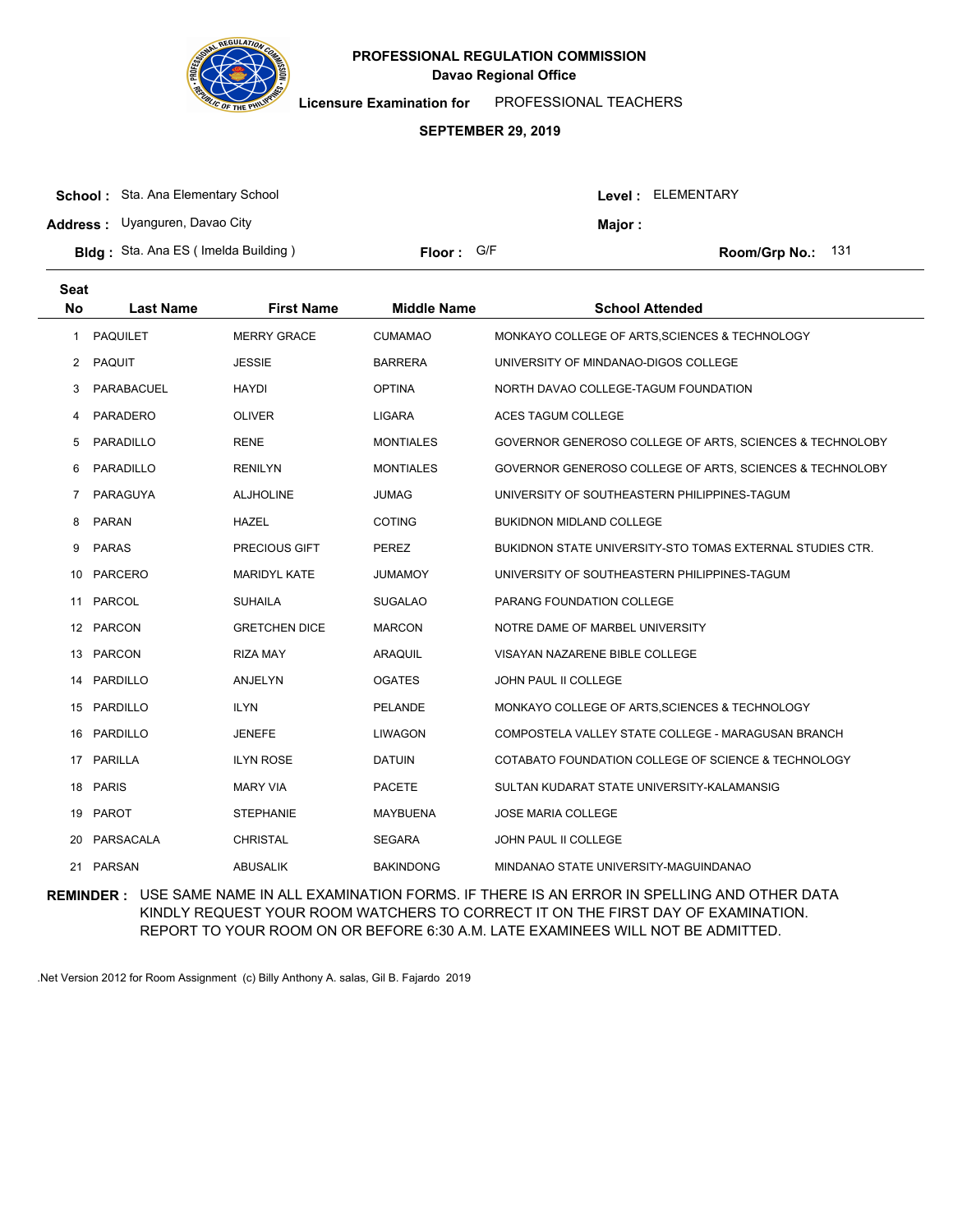

**Licensure Examination for**  PROFESSIONAL TEACHERS

### **SEPTEMBER 29, 2019**

| <b>School:</b> Sta. Ana Elementary School  |                     |         | Level : ELEMENTARY  |
|--------------------------------------------|---------------------|---------|---------------------|
| <b>Address:</b> Uyanguren, Davao City      |                     | Major : |                     |
| <b>Bldg:</b> Sta. Ana ES (Imelda Building) | <b>Floor:</b> $G/F$ |         | Room/Grp No.: $131$ |

| <b>Seat</b><br>No    | <b>Last Name</b> | <b>First Name</b>    | <b>Middle Name</b> | <b>School Attended</b>                                    |
|----------------------|------------------|----------------------|--------------------|-----------------------------------------------------------|
| 1                    | <b>PAQUILET</b>  | <b>MERRY GRACE</b>   | <b>CUMAMAO</b>     | MONKAYO COLLEGE OF ARTS, SCIENCES & TECHNOLOGY            |
| $\mathbf{2}^{\circ}$ | PAQUIT           | JESSIE               | <b>BARRERA</b>     | UNIVERSITY OF MINDANAO-DIGOS COLLEGE                      |
| 3                    | PARABACUEL       | <b>HAYDI</b>         | <b>OPTINA</b>      | NORTH DAVAO COLLEGE-TAGUM FOUNDATION                      |
| 4                    | <b>PARADERO</b>  | <b>OLIVER</b>        | <b>LIGARA</b>      | ACES TAGUM COLLEGE                                        |
| 5                    | PARADILLO        | <b>RENE</b>          | <b>MONTIALES</b>   | GOVERNOR GENEROSO COLLEGE OF ARTS, SCIENCES & TECHNOLOBY  |
| 6                    | PARADILLO        | <b>RENILYN</b>       | <b>MONTIALES</b>   | GOVERNOR GENEROSO COLLEGE OF ARTS, SCIENCES & TECHNOLOBY  |
| 7                    | PARAGUYA         | <b>ALJHOLINE</b>     | <b>JUMAG</b>       | UNIVERSITY OF SOUTHEASTERN PHILIPPINES-TAGUM              |
| 8                    | <b>PARAN</b>     | <b>HAZEL</b>         | <b>COTING</b>      | <b>BUKIDNON MIDLAND COLLEGE</b>                           |
| 9                    | <b>PARAS</b>     | <b>PRECIOUS GIFT</b> | <b>PEREZ</b>       | BUKIDNON STATE UNIVERSITY-STO TOMAS EXTERNAL STUDIES CTR. |
| 10                   | <b>PARCERO</b>   | <b>MARIDYL KATE</b>  | <b>JUMAMOY</b>     | UNIVERSITY OF SOUTHEASTERN PHILIPPINES-TAGUM              |
| 11                   | <b>PARCOL</b>    | <b>SUHAILA</b>       | <b>SUGALAO</b>     | PARANG FOUNDATION COLLEGE                                 |
|                      | 12 PARCON        | <b>GRETCHEN DICE</b> | <b>MARCON</b>      | NOTRE DAME OF MARBEL UNIVERSITY                           |
| 13                   | PARCON           | <b>RIZA MAY</b>      | ARAQUIL            | VISAYAN NAZARENE BIBLE COLLEGE                            |
| 14                   | PARDILLO         | ANJELYN              | <b>OGATES</b>      | JOHN PAUL II COLLEGE                                      |
|                      | 15 PARDILLO      | <b>ILYN</b>          | <b>PELANDE</b>     | MONKAYO COLLEGE OF ARTS, SCIENCES & TECHNOLOGY            |
| 16                   | PARDILLO         | JENEFE               | <b>LIWAGON</b>     | COMPOSTELA VALLEY STATE COLLEGE - MARAGUSAN BRANCH        |
| 17                   | <b>PARILLA</b>   | <b>ILYN ROSE</b>     | <b>DATUIN</b>      | COTABATO FOUNDATION COLLEGE OF SCIENCE & TECHNOLOGY       |
|                      | 18 PARIS         | <b>MARY VIA</b>      | <b>PACETE</b>      | SULTAN KUDARAT STATE UNIVERSITY-KALAMANSIG                |
| 19                   | <b>PAROT</b>     | <b>STEPHANIE</b>     | <b>MAYBUENA</b>    | <b>JOSE MARIA COLLEGE</b>                                 |
| 20                   | PARSACALA        | <b>CHRISTAL</b>      | <b>SEGARA</b>      | JOHN PAUL II COLLEGE                                      |
|                      | 21 PARSAN        | <b>ABUSALIK</b>      | <b>BAKINDONG</b>   | MINDANAO STATE UNIVERSITY-MAGUINDANAO                     |

**REMINDER :** USE SAME NAME IN ALL EXAMINATION FORMS. IF THERE IS AN ERROR IN SPELLING AND OTHER DATA KINDLY REQUEST YOUR ROOM WATCHERS TO CORRECT IT ON THE FIRST DAY OF EXAMINATION. REPORT TO YOUR ROOM ON OR BEFORE 6:30 A.M. LATE EXAMINEES WILL NOT BE ADMITTED.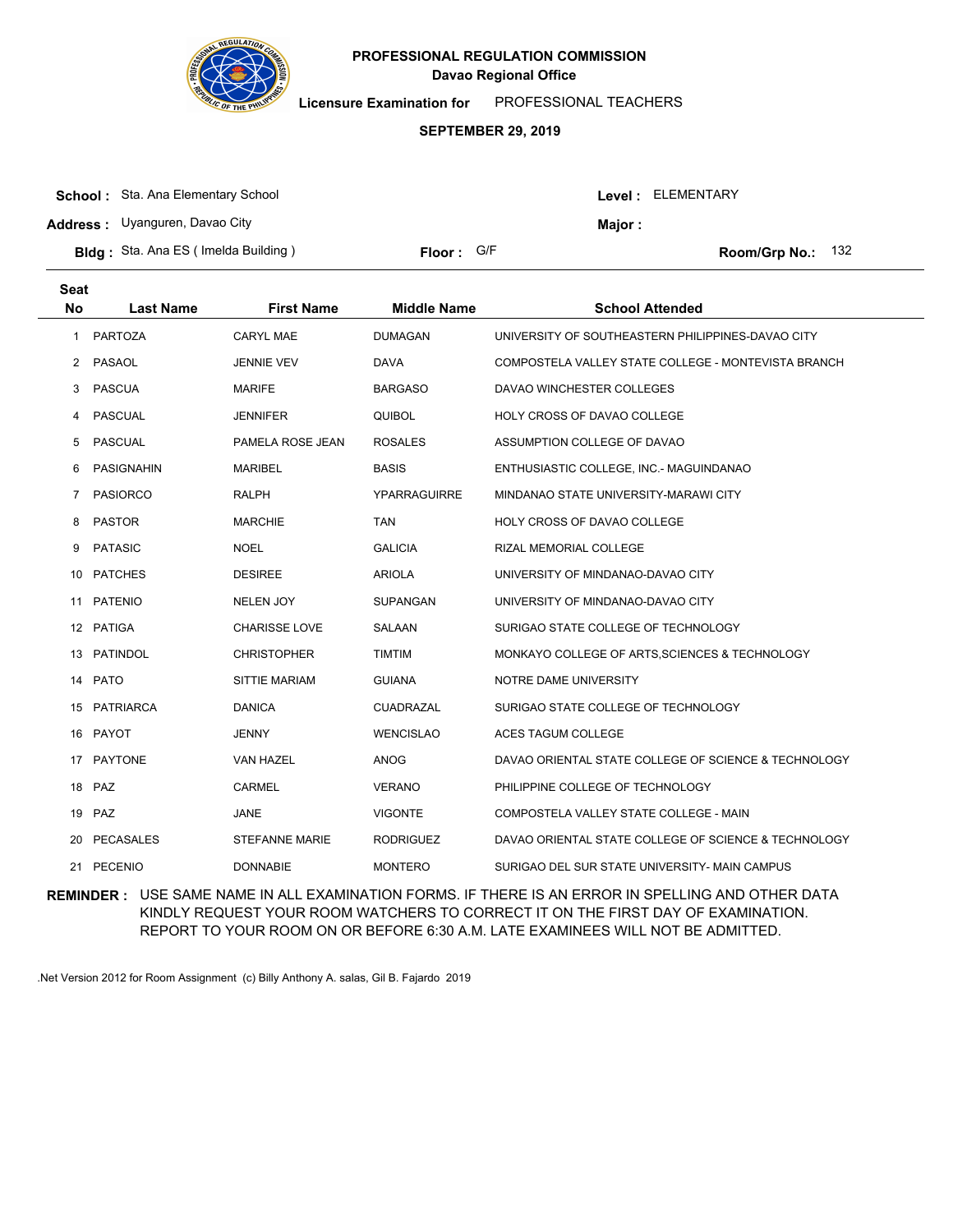

**Licensure Examination for**  PROFESSIONAL TEACHERS

### **SEPTEMBER 29, 2019**

| <b>School:</b> Sta. Ana Elementary School   |            |        | Level: ELEMENTARY          |
|---------------------------------------------|------------|--------|----------------------------|
| <b>Address:</b> Uyanguren, Davao City       |            | Maior: |                            |
| <b>Bldg</b> : Sta. Ana ES (Imelda Building) | Floor: G/F |        | <b>Room/Grp No.:</b> $132$ |

| <b>Seat</b><br><b>No</b> | <b>Last Name</b>  | <b>First Name</b>    | <b>Middle Name</b>  | <b>School Attended</b>                               |
|--------------------------|-------------------|----------------------|---------------------|------------------------------------------------------|
| 1                        | <b>PARTOZA</b>    | <b>CARYL MAE</b>     | <b>DUMAGAN</b>      | UNIVERSITY OF SOUTHEASTERN PHILIPPINES-DAVAO CITY    |
| $\mathbf{2}$             | PASAOL            | <b>JENNIE VEV</b>    | <b>DAVA</b>         | COMPOSTELA VALLEY STATE COLLEGE - MONTEVISTA BRANCH  |
| 3                        | <b>PASCUA</b>     | <b>MARIFE</b>        | <b>BARGASO</b>      | DAVAO WINCHESTER COLLEGES                            |
| 4                        | <b>PASCUAL</b>    | <b>JENNIFER</b>      | <b>QUIBOL</b>       | HOLY CROSS OF DAVAO COLLEGE                          |
| 5                        | <b>PASCUAL</b>    | PAMELA ROSE JEAN     | <b>ROSALES</b>      | ASSUMPTION COLLEGE OF DAVAO                          |
| 6                        | <b>PASIGNAHIN</b> | <b>MARIBEL</b>       | <b>BASIS</b>        | ENTHUSIASTIC COLLEGE, INC.- MAGUINDANAO              |
| 7                        | <b>PASIORCO</b>   | RALPH                | <b>YPARRAGUIRRE</b> | MINDANAO STATE UNIVERSITY-MARAWI CITY                |
| 8                        | <b>PASTOR</b>     | <b>MARCHIE</b>       | <b>TAN</b>          | HOLY CROSS OF DAVAO COLLEGE                          |
| 9                        | <b>PATASIC</b>    | <b>NOEL</b>          | <b>GALICIA</b>      | RIZAL MEMORIAL COLLEGE                               |
| 10                       | <b>PATCHES</b>    | <b>DESIREE</b>       | <b>ARIOLA</b>       | UNIVERSITY OF MINDANAO-DAVAO CITY                    |
| 11                       | <b>PATENIO</b>    | <b>NELEN JOY</b>     | <b>SUPANGAN</b>     | UNIVERSITY OF MINDANAO-DAVAO CITY                    |
|                          | 12 PATIGA         | <b>CHARISSE LOVE</b> | <b>SALAAN</b>       | SURIGAO STATE COLLEGE OF TECHNOLOGY                  |
| 13                       | <b>PATINDOL</b>   | <b>CHRISTOPHER</b>   | <b>TIMTIM</b>       | MONKAYO COLLEGE OF ARTS, SCIENCES & TECHNOLOGY       |
| 14                       | <b>PATO</b>       | <b>SITTIE MARIAM</b> | <b>GUIANA</b>       | NOTRE DAME UNIVERSITY                                |
|                          | 15 PATRIARCA      | <b>DANICA</b>        | <b>CUADRAZAL</b>    | SURIGAO STATE COLLEGE OF TECHNOLOGY                  |
|                          | 16 PAYOT          | JENNY                | <b>WENCISLAO</b>    | <b>ACES TAGUM COLLEGE</b>                            |
| 17                       | <b>PAYTONE</b>    | <b>VAN HAZEL</b>     | <b>ANOG</b>         | DAVAO ORIENTAL STATE COLLEGE OF SCIENCE & TECHNOLOGY |
|                          | 18 PAZ            | <b>CARMEL</b>        | <b>VERANO</b>       | PHILIPPINE COLLEGE OF TECHNOLOGY                     |
|                          | 19 PAZ            | JANE                 | <b>VIGONTE</b>      | COMPOSTELA VALLEY STATE COLLEGE - MAIN               |
| 20                       | <b>PECASALES</b>  | STEFANNE MARIE       | <b>RODRIGUEZ</b>    | DAVAO ORIENTAL STATE COLLEGE OF SCIENCE & TECHNOLOGY |
|                          | 21 PECENIO        | <b>DONNABIE</b>      | <b>MONTERO</b>      | SURIGAO DEL SUR STATE UNIVERSITY- MAIN CAMPUS        |

**REMINDER :** USE SAME NAME IN ALL EXAMINATION FORMS. IF THERE IS AN ERROR IN SPELLING AND OTHER DATA KINDLY REQUEST YOUR ROOM WATCHERS TO CORRECT IT ON THE FIRST DAY OF EXAMINATION. REPORT TO YOUR ROOM ON OR BEFORE 6:30 A.M. LATE EXAMINEES WILL NOT BE ADMITTED.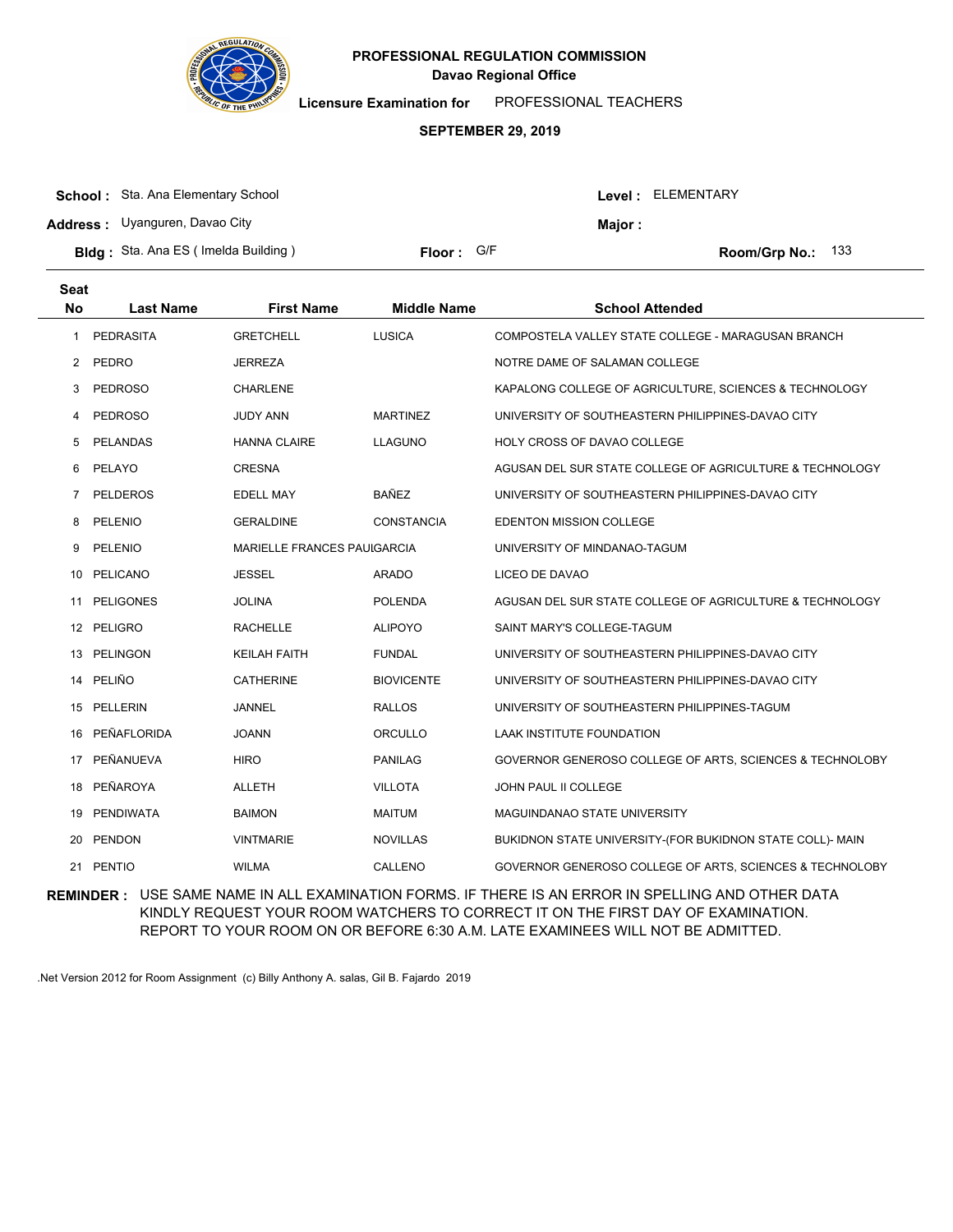

**Licensure Examination for**  PROFESSIONAL TEACHERS

#### **SEPTEMBER 29, 2019**

| <b>School:</b> Sta. Ana Elementary School  |                     |               | <b>Level: ELEMENTARY</b>   |
|--------------------------------------------|---------------------|---------------|----------------------------|
| <b>Address:</b> Uyanguren, Davao City      |                     | <b>Maior:</b> |                            |
| <b>Bldg:</b> Sta. Ana ES (Imelda Building) | <b>Floor:</b> $G/F$ |               | <b>Room/Grp No.:</b> $133$ |

| <b>Seat</b>           |                  |                             |                    |                                                           |
|-----------------------|------------------|-----------------------------|--------------------|-----------------------------------------------------------|
| <b>No</b>             | <b>Last Name</b> | <b>First Name</b>           | <b>Middle Name</b> | <b>School Attended</b>                                    |
| 1                     | <b>PEDRASITA</b> | <b>GRETCHELL</b>            | <b>LUSICA</b>      | COMPOSTELA VALLEY STATE COLLEGE - MARAGUSAN BRANCH        |
| $\mathbf{2}^{\prime}$ | PEDRO            | <b>JERREZA</b>              |                    | NOTRE DAME OF SALAMAN COLLEGE                             |
| 3                     | <b>PEDROSO</b>   | <b>CHARLENE</b>             |                    | KAPALONG COLLEGE OF AGRICULTURE, SCIENCES & TECHNOLOGY    |
| 4                     | <b>PEDROSO</b>   | JUDY ANN                    | <b>MARTINEZ</b>    | UNIVERSITY OF SOUTHEASTERN PHILIPPINES-DAVAO CITY         |
| 5                     | <b>PELANDAS</b>  | <b>HANNA CLAIRE</b>         | <b>LLAGUNO</b>     | HOLY CROSS OF DAVAO COLLEGE                               |
| 6                     | PELAYO           | <b>CRESNA</b>               |                    | AGUSAN DEL SUR STATE COLLEGE OF AGRICULTURE & TECHNOLOGY  |
| 7                     | <b>PELDEROS</b>  | <b>EDELL MAY</b>            | <b>BAÑEZ</b>       | UNIVERSITY OF SOUTHEASTERN PHILIPPINES-DAVAO CITY         |
| 8                     | PELENIO          | <b>GERALDINE</b>            | <b>CONSTANCIA</b>  | <b>EDENTON MISSION COLLEGE</b>                            |
| 9                     | PELENIO          | MARIELLE FRANCES PAUIGARCIA |                    | UNIVERSITY OF MINDANAO-TAGUM                              |
|                       | 10 PELICANO      | <b>JESSEL</b>               | <b>ARADO</b>       | LICEO DE DAVAO                                            |
| 11                    | <b>PELIGONES</b> | <b>JOLINA</b>               | <b>POLENDA</b>     | AGUSAN DEL SUR STATE COLLEGE OF AGRICULTURE & TECHNOLOGY  |
| 12                    | PELIGRO          | <b>RACHELLE</b>             | <b>ALIPOYO</b>     | SAINT MARY'S COLLEGE-TAGUM                                |
|                       | 13 PELINGON      | <b>KEILAH FAITH</b>         | <b>FUNDAL</b>      | UNIVERSITY OF SOUTHEASTERN PHILIPPINES-DAVAO CITY         |
| 14                    | PELIÑO           | <b>CATHERINE</b>            | <b>BIOVICENTE</b>  | UNIVERSITY OF SOUTHEASTERN PHILIPPINES-DAVAO CITY         |
|                       | 15 PELLERIN      | <b>JANNEL</b>               | <b>RALLOS</b>      | UNIVERSITY OF SOUTHEASTERN PHILIPPINES-TAGUM              |
| 16                    | PEÑAFLORIDA      | <b>JOANN</b>                | ORCULLO            | LAAK INSTITUTE FOUNDATION                                 |
| 17                    | PEÑANUEVA        | <b>HIRO</b>                 | <b>PANILAG</b>     | GOVERNOR GENEROSO COLLEGE OF ARTS, SCIENCES & TECHNOLOBY  |
| 18                    | PEÑAROYA         | <b>ALLETH</b>               | <b>VILLOTA</b>     | JOHN PAUL II COLLEGE                                      |
| 19                    | PENDIWATA        | <b>BAIMON</b>               | <b>MAITUM</b>      | MAGUINDANAO STATE UNIVERSITY                              |
| 20                    | <b>PENDON</b>    | <b>VINTMARIE</b>            | <b>NOVILLAS</b>    | BUKIDNON STATE UNIVERSITY-(FOR BUKIDNON STATE COLL)- MAIN |
| 21                    | <b>PENTIO</b>    | <b>WILMA</b>                | CALLENO            | GOVERNOR GENEROSO COLLEGE OF ARTS, SCIENCES & TECHNOLOBY  |
|                       |                  |                             |                    |                                                           |

**REMINDER :** USE SAME NAME IN ALL EXAMINATION FORMS. IF THERE IS AN ERROR IN SPELLING AND OTHER DATA KINDLY REQUEST YOUR ROOM WATCHERS TO CORRECT IT ON THE FIRST DAY OF EXAMINATION. REPORT TO YOUR ROOM ON OR BEFORE 6:30 A.M. LATE EXAMINEES WILL NOT BE ADMITTED.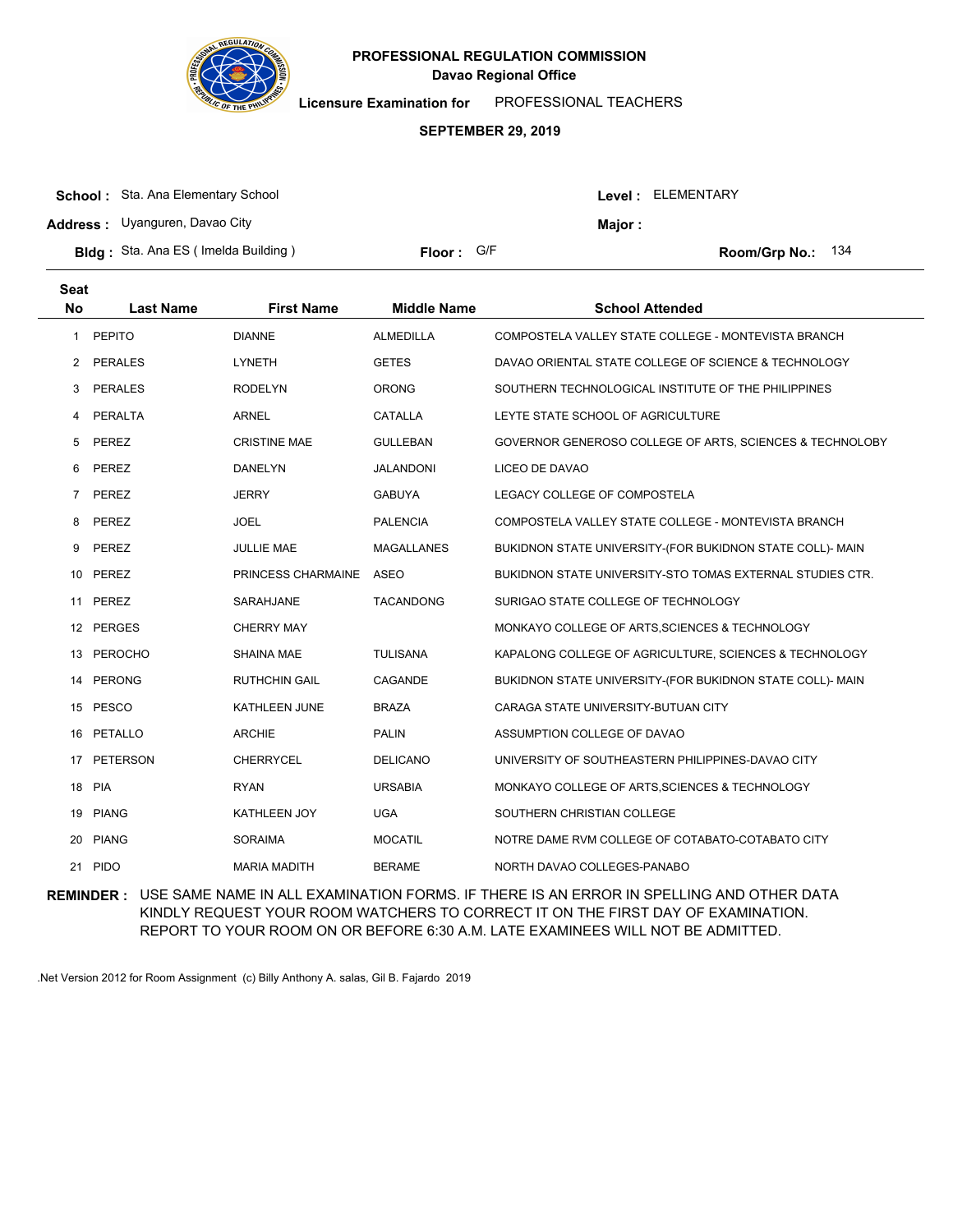

**Licensure Examination for**  PROFESSIONAL TEACHERS

#### **SEPTEMBER 29, 2019**

| <b>School:</b> Sta. Ana Elementary School   |            |               | Level: ELEMENTARY   |
|---------------------------------------------|------------|---------------|---------------------|
| <b>Address:</b> Uyanguren, Davao City       |            | <b>Maior:</b> |                     |
| <b>Bldg</b> : Sta. Ana ES (Imelda Building) | Floor: G/F |               | Room/Grp No.: $134$ |

| <b>Seat</b><br><b>No</b> | <b>Last Name</b> | <b>First Name</b>    | <b>Middle Name</b> | <b>School Attended</b>                                    |
|--------------------------|------------------|----------------------|--------------------|-----------------------------------------------------------|
| 1                        | <b>PEPITO</b>    | <b>DIANNE</b>        | <b>ALMEDILLA</b>   | COMPOSTELA VALLEY STATE COLLEGE - MONTEVISTA BRANCH       |
| 2                        | <b>PERALES</b>   | <b>LYNETH</b>        | <b>GETES</b>       | DAVAO ORIENTAL STATE COLLEGE OF SCIENCE & TECHNOLOGY      |
| 3                        | <b>PERALES</b>   | <b>RODELYN</b>       | <b>ORONG</b>       | SOUTHERN TECHNOLOGICAL INSTITUTE OF THE PHILIPPINES       |
| 4                        | PERALTA          | <b>ARNEL</b>         | CATALLA            | LEYTE STATE SCHOOL OF AGRICULTURE                         |
| 5                        | PEREZ            | <b>CRISTINE MAE</b>  | <b>GULLEBAN</b>    | GOVERNOR GENEROSO COLLEGE OF ARTS, SCIENCES & TECHNOLOBY  |
| 6                        | PEREZ            | <b>DANELYN</b>       | JALANDONI          | LICEO DE DAVAO                                            |
| $\overline{7}$           | PEREZ            | <b>JERRY</b>         | <b>GABUYA</b>      | LEGACY COLLEGE OF COMPOSTELA                              |
| 8                        | PEREZ            | <b>JOEL</b>          | <b>PALENCIA</b>    | COMPOSTELA VALLEY STATE COLLEGE - MONTEVISTA BRANCH       |
| 9                        | PEREZ            | JULLIE MAE           | MAGALLANES         | BUKIDNON STATE UNIVERSITY-(FOR BUKIDNON STATE COLL)- MAIN |
| 10                       | PEREZ            | PRINCESS CHARMAINE   | ASEO               | BUKIDNON STATE UNIVERSITY-STO TOMAS EXTERNAL STUDIES CTR. |
| 11                       | <b>PEREZ</b>     | SARAHJANE            | <b>TACANDONG</b>   | SURIGAO STATE COLLEGE OF TECHNOLOGY                       |
|                          | 12 PERGES        | <b>CHERRY MAY</b>    |                    | MONKAYO COLLEGE OF ARTS, SCIENCES & TECHNOLOGY            |
| 13                       | <b>PEROCHO</b>   | <b>SHAINA MAE</b>    | <b>TULISANA</b>    | KAPALONG COLLEGE OF AGRICULTURE, SCIENCES & TECHNOLOGY    |
| 14                       | <b>PERONG</b>    | <b>RUTHCHIN GAIL</b> | CAGANDE            | BUKIDNON STATE UNIVERSITY-(FOR BUKIDNON STATE COLL)- MAIN |
|                          | 15 PESCO         | KATHLEEN JUNE        | <b>BRAZA</b>       | CARAGA STATE UNIVERSITY-BUTUAN CITY                       |
| 16                       | PETALLO          | <b>ARCHIE</b>        | <b>PALIN</b>       | ASSUMPTION COLLEGE OF DAVAO                               |
| 17                       | <b>PETERSON</b>  | <b>CHERRYCEL</b>     | <b>DELICANO</b>    | UNIVERSITY OF SOUTHEASTERN PHILIPPINES-DAVAO CITY         |
|                          | 18 PIA           | <b>RYAN</b>          | <b>URSABIA</b>     | MONKAYO COLLEGE OF ARTS, SCIENCES & TECHNOLOGY            |
| 19                       | <b>PIANG</b>     | <b>KATHLEEN JOY</b>  | <b>UGA</b>         | SOUTHERN CHRISTIAN COLLEGE                                |
| 20                       | <b>PIANG</b>     | <b>SORAIMA</b>       | <b>MOCATIL</b>     | NOTRE DAME RVM COLLEGE OF COTABATO-COTABATO CITY          |
| 21                       | <b>PIDO</b>      | <b>MARIA MADITH</b>  | <b>BERAME</b>      | NORTH DAVAO COLLEGES-PANABO                               |

**REMINDER :** USE SAME NAME IN ALL EXAMINATION FORMS. IF THERE IS AN ERROR IN SPELLING AND OTHER DATA KINDLY REQUEST YOUR ROOM WATCHERS TO CORRECT IT ON THE FIRST DAY OF EXAMINATION. REPORT TO YOUR ROOM ON OR BEFORE 6:30 A.M. LATE EXAMINEES WILL NOT BE ADMITTED.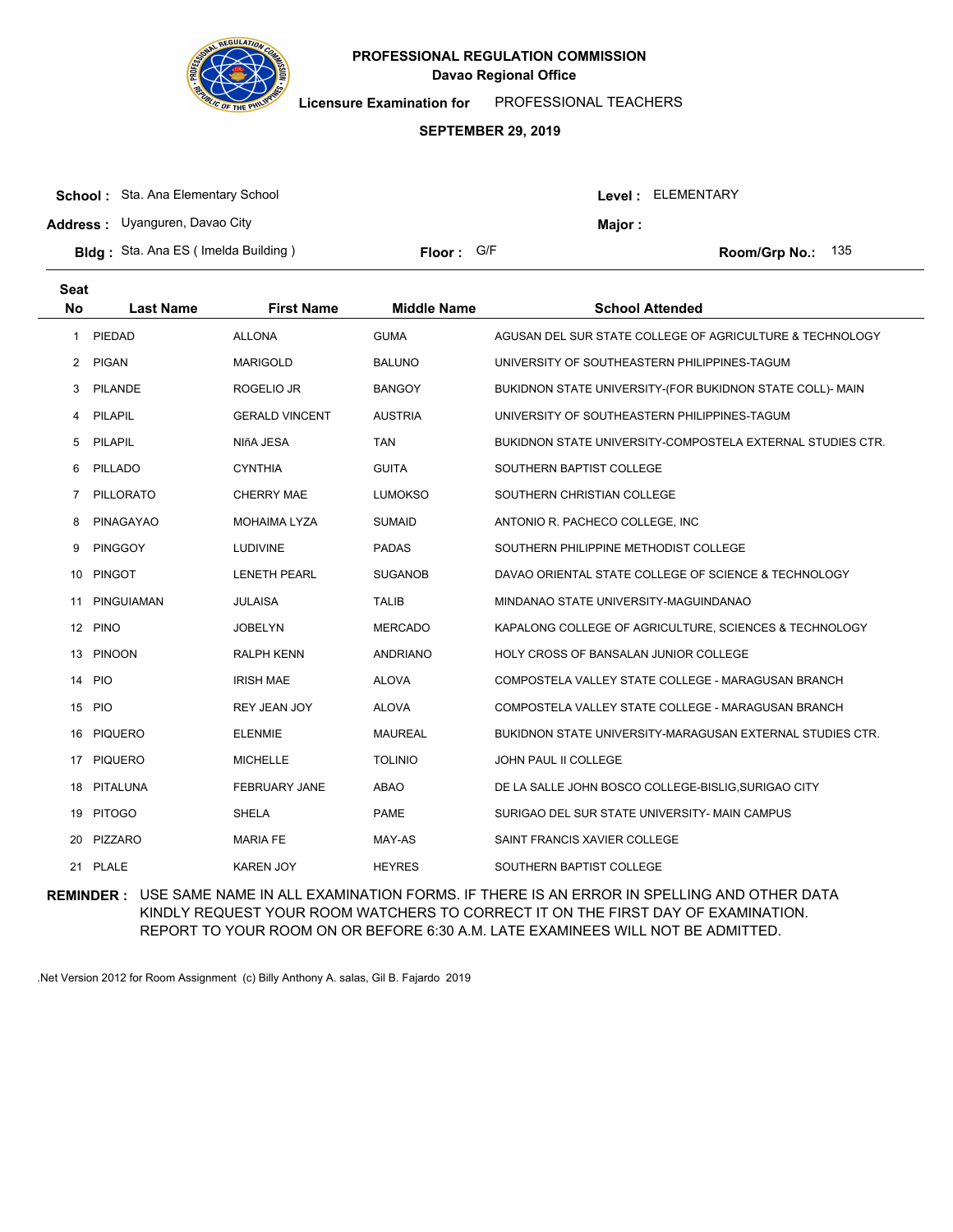

**Licensure Examination for**  PROFESSIONAL TEACHERS

### **SEPTEMBER 29, 2019**

| <b>School:</b> Sta. Ana Elementary School   |            |         | Level: ELEMENTARY   |  |
|---------------------------------------------|------------|---------|---------------------|--|
| <b>Address:</b> Uyanguren, Davao City       |            | Maior : |                     |  |
| <b>Bldg</b> : Sta. Ana ES (Imelda Building) | Floor: G/F |         | Room/Grp No.: $135$ |  |

| <b>Seat</b><br><b>No</b> | <b>Last Name</b>  | <b>First Name</b>     | <b>Middle Name</b> | <b>School Attended</b>                                     |
|--------------------------|-------------------|-----------------------|--------------------|------------------------------------------------------------|
| 1                        | PIEDAD            | <b>ALLONA</b>         | <b>GUMA</b>        | AGUSAN DEL SUR STATE COLLEGE OF AGRICULTURE & TECHNOLOGY   |
| $\mathbf{2}$             | <b>PIGAN</b>      | <b>MARIGOLD</b>       | <b>BALUNO</b>      | UNIVERSITY OF SOUTHEASTERN PHILIPPINES-TAGUM               |
| 3                        | <b>PILANDE</b>    | ROGELIO JR            | <b>BANGOY</b>      | BUKIDNON STATE UNIVERSITY-(FOR BUKIDNON STATE COLL)- MAIN  |
| 4                        | PILAPIL           | <b>GERALD VINCENT</b> | <b>AUSTRIA</b>     | UNIVERSITY OF SOUTHEASTERN PHILIPPINES-TAGUM               |
| 5                        | PILAPIL           | NIñA JESA             | <b>TAN</b>         | BUKIDNON STATE UNIVERSITY-COMPOSTELA EXTERNAL STUDIES CTR. |
| 6                        | PILLADO           | <b>CYNTHIA</b>        | <b>GUITA</b>       | SOUTHERN BAPTIST COLLEGE                                   |
| $\overline{7}$           | PILLORATO         | <b>CHERRY MAE</b>     | <b>LUMOKSO</b>     | SOUTHERN CHRISTIAN COLLEGE                                 |
| 8                        | <b>PINAGAYAO</b>  | <b>MOHAIMA LYZA</b>   | <b>SUMAID</b>      | ANTONIO R. PACHECO COLLEGE, INC.                           |
| 9                        | <b>PINGGOY</b>    | <b>LUDIVINE</b>       | <b>PADAS</b>       | SOUTHERN PHILIPPINE METHODIST COLLEGE                      |
| 10                       | <b>PINGOT</b>     | <b>LENETH PEARL</b>   | <b>SUGANOB</b>     | DAVAO ORIENTAL STATE COLLEGE OF SCIENCE & TECHNOLOGY       |
| 11                       | <b>PINGUIAMAN</b> | <b>JULAISA</b>        | <b>TALIB</b>       | MINDANAO STATE UNIVERSITY-MAGUINDANAO                      |
|                          | 12 PINO           | <b>JOBELYN</b>        | <b>MERCADO</b>     | KAPALONG COLLEGE OF AGRICULTURE, SCIENCES & TECHNOLOGY     |
| 13                       | <b>PINOON</b>     | <b>RALPH KENN</b>     | <b>ANDRIANO</b>    | HOLY CROSS OF BANSALAN JUNIOR COLLEGE                      |
| 14                       | <b>PIO</b>        | <b>IRISH MAE</b>      | <b>ALOVA</b>       | COMPOSTELA VALLEY STATE COLLEGE - MARAGUSAN BRANCH         |
|                          | 15 PIO            | <b>REY JEAN JOY</b>   | <b>ALOVA</b>       | COMPOSTELA VALLEY STATE COLLEGE - MARAGUSAN BRANCH         |
| 16                       | <b>PIQUERO</b>    | <b>ELENMIE</b>        | <b>MAUREAL</b>     | BUKIDNON STATE UNIVERSITY-MARAGUSAN EXTERNAL STUDIES CTR.  |
| 17                       | <b>PIQUERO</b>    | <b>MICHELLE</b>       | <b>TOLINIO</b>     | <b>JOHN PAUL II COLLEGE</b>                                |
| 18                       | PITALUNA          | <b>FEBRUARY JANE</b>  | <b>ABAO</b>        | DE LA SALLE JOHN BOSCO COLLEGE-BISLIG, SURIGAO CITY        |
|                          | 19 PITOGO         | <b>SHELA</b>          | <b>PAME</b>        | SURIGAO DEL SUR STATE UNIVERSITY- MAIN CAMPUS              |
| 20                       | PIZZARO           | <b>MARIA FE</b>       | MAY-AS             | SAINT FRANCIS XAVIER COLLEGE                               |
| 21                       | PLALE             | <b>KAREN JOY</b>      | <b>HEYRES</b>      | SOUTHERN BAPTIST COLLEGE                                   |

**REMINDER :** USE SAME NAME IN ALL EXAMINATION FORMS. IF THERE IS AN ERROR IN SPELLING AND OTHER DATA KINDLY REQUEST YOUR ROOM WATCHERS TO CORRECT IT ON THE FIRST DAY OF EXAMINATION. REPORT TO YOUR ROOM ON OR BEFORE 6:30 A.M. LATE EXAMINEES WILL NOT BE ADMITTED.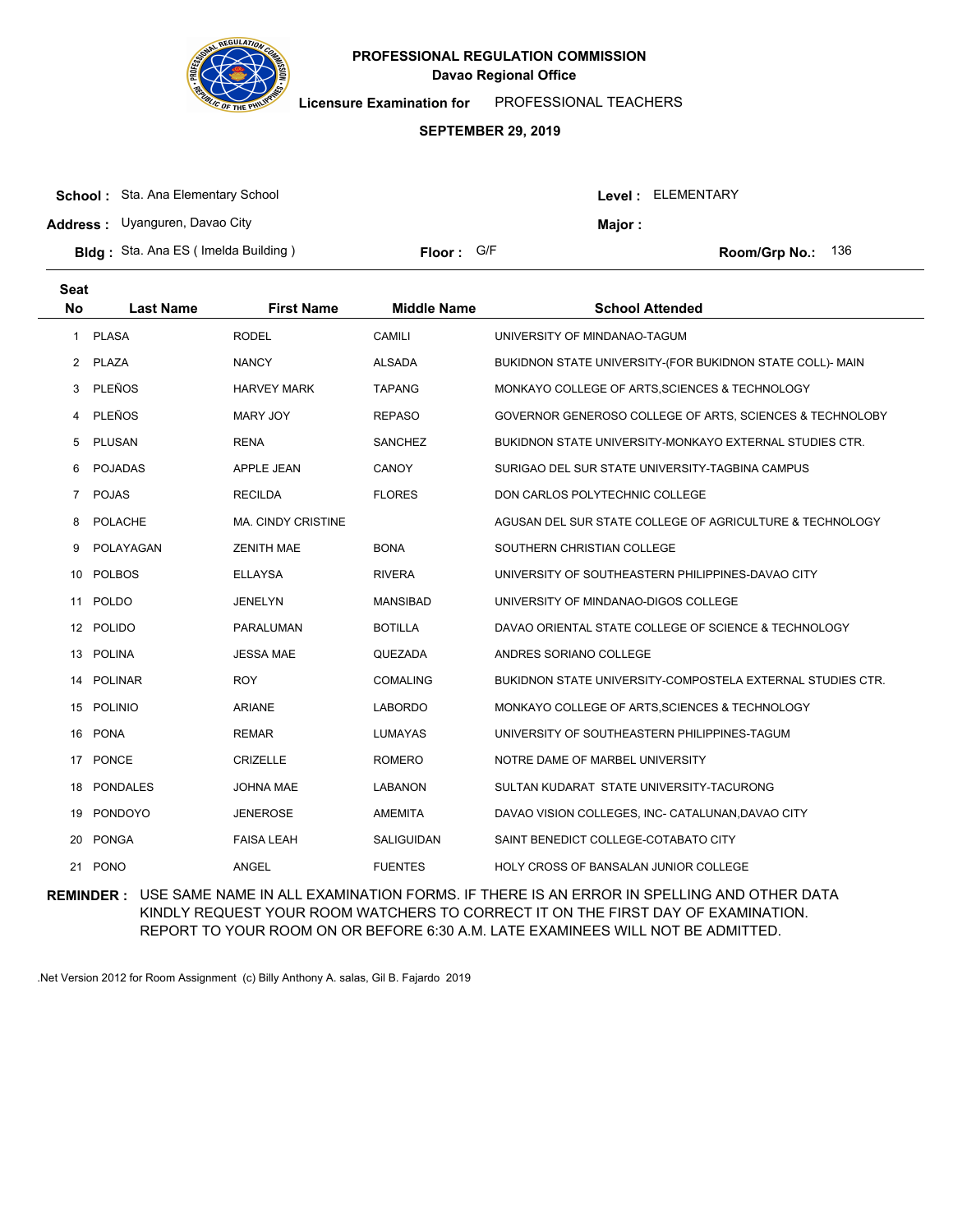

**Licensure Examination for**  PROFESSIONAL TEACHERS

### **SEPTEMBER 29, 2019**

| <b>School:</b> Sta. Ana Elementary School  |            |         | Level: ELEMENTARY          |
|--------------------------------------------|------------|---------|----------------------------|
| <b>Address:</b> Uyanguren, Davao City      |            | Major : |                            |
| <b>Bldg:</b> Sta. Ana ES (Imelda Building) | Floor: G/F |         | <b>Room/Grp No.:</b> $136$ |

| <b>Seat</b><br><b>No</b> | <b>Last Name</b> | <b>First Name</b>         | <b>Middle Name</b> | <b>School Attended</b>                                         |
|--------------------------|------------------|---------------------------|--------------------|----------------------------------------------------------------|
| 1                        | <b>PLASA</b>     | <b>RODEL</b>              | CAMILI             | UNIVERSITY OF MINDANAO-TAGUM                                   |
| $\mathbf{2}$             | <b>PLAZA</b>     | <b>NANCY</b>              | <b>ALSADA</b>      | BUKIDNON STATE UNIVERSITY-(FOR BUKIDNON STATE COLL)- MAIN      |
| 3                        | PLEÑOS           | <b>HARVEY MARK</b>        | <b>TAPANG</b>      | MONKAYO COLLEGE OF ARTS, SCIENCES & TECHNOLOGY                 |
| 4                        | <b>PLEÑOS</b>    | <b>MARY JOY</b>           | <b>REPASO</b>      | GOVERNOR GENEROSO COLLEGE OF ARTS, SCIENCES & TECHNOLOBY       |
| 5                        | PLUSAN           | <b>RENA</b>               | <b>SANCHEZ</b>     | <b>BUKIDNON STATE UNIVERSITY-MONKAYO EXTERNAL STUDIES CTR.</b> |
| 6                        | <b>POJADAS</b>   | APPLE JEAN                | CANOY              | SURIGAO DEL SUR STATE UNIVERSITY-TAGBINA CAMPUS                |
| $\overline{7}$           | <b>POJAS</b>     | <b>RECILDA</b>            | <b>FLORES</b>      | DON CARLOS POLYTECHNIC COLLEGE                                 |
| 8                        | <b>POLACHE</b>   | <b>MA. CINDY CRISTINE</b> |                    | AGUSAN DEL SUR STATE COLLEGE OF AGRICULTURE & TECHNOLOGY       |
| 9                        | POLAYAGAN        | <b>ZENITH MAE</b>         | <b>BONA</b>        | SOUTHERN CHRISTIAN COLLEGE                                     |
| 10                       | <b>POLBOS</b>    | <b>ELLAYSA</b>            | <b>RIVERA</b>      | UNIVERSITY OF SOUTHEASTERN PHILIPPINES-DAVAO CITY              |
| 11                       | <b>POLDO</b>     | <b>JENELYN</b>            | <b>MANSIBAD</b>    | UNIVERSITY OF MINDANAO-DIGOS COLLEGE                           |
| 12                       | <b>POLIDO</b>    | PARALUMAN                 | <b>BOTILLA</b>     | DAVAO ORIENTAL STATE COLLEGE OF SCIENCE & TECHNOLOGY           |
|                          | 13 POLINA        | <b>JESSA MAE</b>          | QUEZADA            | ANDRES SORIANO COLLEGE                                         |
| 14                       | <b>POLINAR</b>   | <b>ROY</b>                | <b>COMALING</b>    | BUKIDNON STATE UNIVERSITY-COMPOSTELA EXTERNAL STUDIES CTR.     |
| 15                       | <b>POLINIO</b>   | <b>ARIANE</b>             | <b>LABORDO</b>     | MONKAYO COLLEGE OF ARTS, SCIENCES & TECHNOLOGY                 |
| 16                       | <b>PONA</b>      | <b>REMAR</b>              | LUMAYAS            | UNIVERSITY OF SOUTHEASTERN PHILIPPINES-TAGUM                   |
| 17                       | PONCE            | <b>CRIZELLE</b>           | <b>ROMERO</b>      | NOTRE DAME OF MARBEL UNIVERSITY                                |
| 18                       | <b>PONDALES</b>  | <b>JOHNA MAE</b>          | <b>LABANON</b>     | SULTAN KUDARAT STATE UNIVERSITY-TACURONG                       |
| 19                       | PONDOYO          | <b>JENEROSE</b>           | <b>AMEMITA</b>     | DAVAO VISION COLLEGES, INC- CATALUNAN, DAVAO CITY              |
| 20                       | <b>PONGA</b>     | <b>FAISA LEAH</b>         | SALIGUIDAN         | SAINT BENEDICT COLLEGE-COTABATO CITY                           |
| 21                       | <b>PONO</b>      | <b>ANGEL</b>              | <b>FUENTES</b>     | HOLY CROSS OF BANSALAN JUNIOR COLLEGE                          |
|                          |                  |                           |                    |                                                                |

**REMINDER :** USE SAME NAME IN ALL EXAMINATION FORMS. IF THERE IS AN ERROR IN SPELLING AND OTHER DATA KINDLY REQUEST YOUR ROOM WATCHERS TO CORRECT IT ON THE FIRST DAY OF EXAMINATION. REPORT TO YOUR ROOM ON OR BEFORE 6:30 A.M. LATE EXAMINEES WILL NOT BE ADMITTED.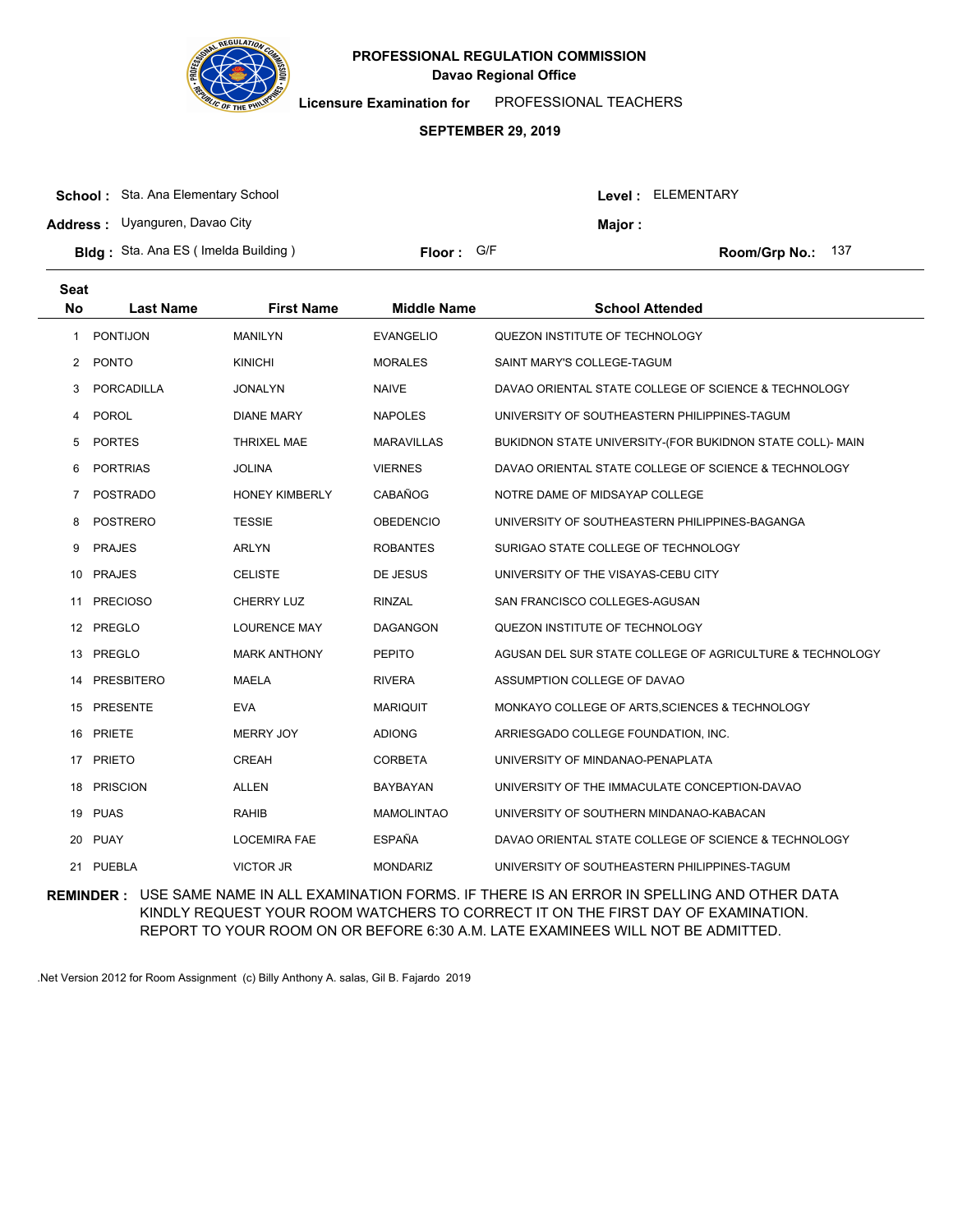

**Licensure Examination for**  PROFESSIONAL TEACHERS

#### **SEPTEMBER 29, 2019**

| <b>School:</b> Sta. Ana Elementary School  |            |               | Level : ELEMENTARY |
|--------------------------------------------|------------|---------------|--------------------|
| <b>Address:</b> Uyanguren, Davao City      |            | <b>Major:</b> |                    |
| <b>Bldg:</b> Sta. Ana ES (Imelda Building) | Floor: G/F |               | Room/Grp No.: 137  |

| <b>Seat</b><br><b>No</b> | <b>Last Name</b>  | <b>First Name</b>     | <b>Middle Name</b> | <b>School Attended</b>                                    |
|--------------------------|-------------------|-----------------------|--------------------|-----------------------------------------------------------|
| 1                        | <b>PONTIJON</b>   | <b>MANILYN</b>        | <b>EVANGELIO</b>   | QUEZON INSTITUTE OF TECHNOLOGY                            |
| 2                        | <b>PONTO</b>      | <b>KINICHI</b>        | <b>MORALES</b>     | SAINT MARY'S COLLEGE-TAGUM                                |
| 3                        | <b>PORCADILLA</b> | <b>JONALYN</b>        | <b>NAIVE</b>       | DAVAO ORIENTAL STATE COLLEGE OF SCIENCE & TECHNOLOGY      |
| 4                        | <b>POROL</b>      | <b>DIANE MARY</b>     | <b>NAPOLES</b>     | UNIVERSITY OF SOUTHEASTERN PHILIPPINES-TAGUM              |
| 5                        | <b>PORTES</b>     | <b>THRIXEL MAE</b>    | <b>MARAVILLAS</b>  | BUKIDNON STATE UNIVERSITY-(FOR BUKIDNON STATE COLL)- MAIN |
| 6                        | <b>PORTRIAS</b>   | <b>JOLINA</b>         | <b>VIERNES</b>     | DAVAO ORIENTAL STATE COLLEGE OF SCIENCE & TECHNOLOGY      |
| 7                        | <b>POSTRADO</b>   | <b>HONEY KIMBERLY</b> | CABAÑOG            | NOTRE DAME OF MIDSAYAP COLLEGE                            |
| 8                        | <b>POSTRERO</b>   | <b>TESSIE</b>         | <b>OBEDENCIO</b>   | UNIVERSITY OF SOUTHEASTERN PHILIPPINES-BAGANGA            |
| 9                        | <b>PRAJES</b>     | <b>ARLYN</b>          | <b>ROBANTES</b>    | SURIGAO STATE COLLEGE OF TECHNOLOGY                       |
| 10                       | <b>PRAJES</b>     | <b>CELISTE</b>        | DE JESUS           | UNIVERSITY OF THE VISAYAS-CEBU CITY                       |
| 11                       | <b>PRECIOSO</b>   | <b>CHERRY LUZ</b>     | <b>RINZAL</b>      | SAN FRANCISCO COLLEGES-AGUSAN                             |
|                          | 12 PREGLO         | <b>LOURENCE MAY</b>   | <b>DAGANGON</b>    | QUEZON INSTITUTE OF TECHNOLOGY                            |
| 13                       | PREGLO            | <b>MARK ANTHONY</b>   | <b>PEPITO</b>      | AGUSAN DEL SUR STATE COLLEGE OF AGRICULTURE & TECHNOLOGY  |
| 14                       | <b>PRESBITERO</b> | <b>MAELA</b>          | <b>RIVERA</b>      | ASSUMPTION COLLEGE OF DAVAO                               |
|                          | 15 PRESENTE       | <b>EVA</b>            | <b>MARIQUIT</b>    | MONKAYO COLLEGE OF ARTS, SCIENCES & TECHNOLOGY            |
| 16                       | <b>PRIETE</b>     | <b>MERRY JOY</b>      | <b>ADIONG</b>      | ARRIESGADO COLLEGE FOUNDATION, INC.                       |
| 17                       | <b>PRIETO</b>     | CREAH                 | <b>CORBETA</b>     | UNIVERSITY OF MINDANAO-PENAPLATA                          |
|                          | 18 PRISCION       | <b>ALLEN</b>          | BAYBAYAN           | UNIVERSITY OF THE IMMACULATE CONCEPTION-DAVAO             |
|                          | 19 PUAS           | RAHIB                 | <b>MAMOLINTAO</b>  | UNIVERSITY OF SOUTHERN MINDANAO-KABACAN                   |
| 20                       | <b>PUAY</b>       | <b>LOCEMIRA FAE</b>   | <b>ESPAÑA</b>      | DAVAO ORIENTAL STATE COLLEGE OF SCIENCE & TECHNOLOGY      |
|                          | 21 PUEBLA         | <b>VICTOR JR</b>      | <b>MONDARIZ</b>    | UNIVERSITY OF SOUTHEASTERN PHILIPPINES-TAGUM              |

**REMINDER :** USE SAME NAME IN ALL EXAMINATION FORMS. IF THERE IS AN ERROR IN SPELLING AND OTHER DATA KINDLY REQUEST YOUR ROOM WATCHERS TO CORRECT IT ON THE FIRST DAY OF EXAMINATION. REPORT TO YOUR ROOM ON OR BEFORE 6:30 A.M. LATE EXAMINEES WILL NOT BE ADMITTED.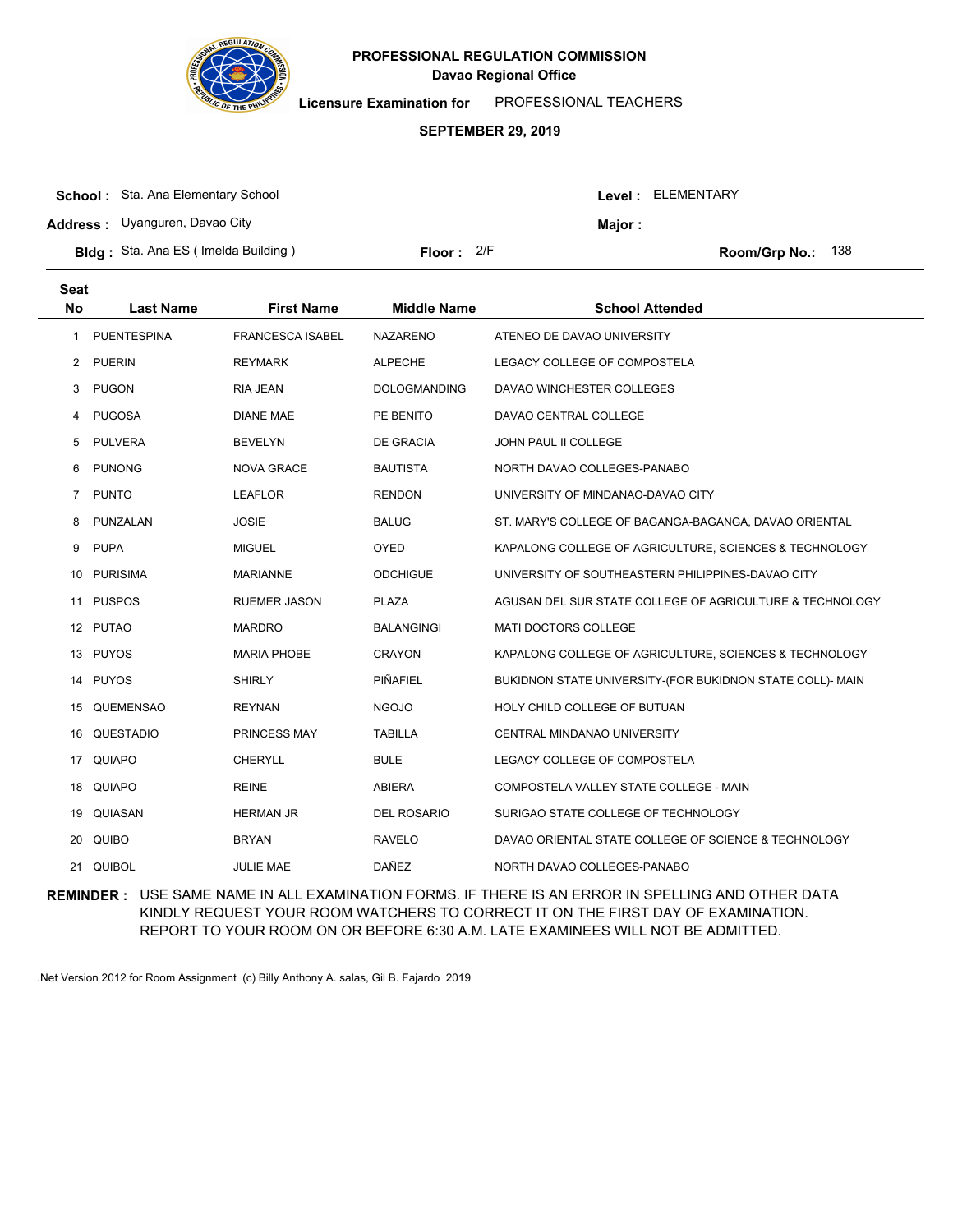

**Licensure Examination for**  PROFESSIONAL TEACHERS

### **SEPTEMBER 29, 2019**

| <b>School:</b> Sta. Ana Elementary School   |              |        | Level: ELEMENTARY |
|---------------------------------------------|--------------|--------|-------------------|
| <b>Address:</b> Uyanguren, Davao City       |              | Maior: |                   |
| <b>Bldg</b> : Sta. Ana ES (Imelda Building) | Floor: $2/F$ |        | Room/Grp No.: 138 |

| <b>Seat</b><br><b>Last Name</b> | <b>First Name</b>                                                                                               | <b>Middle Name</b>  | <b>School Attended</b>                                    |
|---------------------------------|-----------------------------------------------------------------------------------------------------------------|---------------------|-----------------------------------------------------------|
| <b>PUENTESPINA</b>              | <b>FRANCESCA ISABEL</b>                                                                                         | <b>NAZARENO</b>     | ATENEO DE DAVAO UNIVERSITY                                |
| <b>PUERIN</b>                   | <b>REYMARK</b>                                                                                                  | <b>ALPECHE</b>      | LEGACY COLLEGE OF COMPOSTELA                              |
| <b>PUGON</b>                    | <b>RIA JEAN</b>                                                                                                 | <b>DOLOGMANDING</b> | DAVAO WINCHESTER COLLEGES                                 |
| <b>PUGOSA</b>                   | <b>DIANE MAE</b>                                                                                                | PE BENITO           | DAVAO CENTRAL COLLEGE                                     |
| <b>PULVERA</b>                  | <b>BEVELYN</b>                                                                                                  | <b>DE GRACIA</b>    | JOHN PAUL II COLLEGE                                      |
| <b>PUNONG</b>                   | <b>NOVA GRACE</b>                                                                                               | <b>BAUTISTA</b>     | NORTH DAVAO COLLEGES-PANABO                               |
| <b>PUNTO</b>                    | <b>LEAFLOR</b>                                                                                                  | <b>RENDON</b>       | UNIVERSITY OF MINDANAO-DAVAO CITY                         |
| PUNZALAN                        | <b>JOSIE</b>                                                                                                    | <b>BALUG</b>        | ST. MARY'S COLLEGE OF BAGANGA-BAGANGA, DAVAO ORIENTAL     |
| <b>PUPA</b>                     | <b>MIGUEL</b>                                                                                                   | <b>OYED</b>         | KAPALONG COLLEGE OF AGRICULTURE, SCIENCES & TECHNOLOGY    |
| <b>PURISIMA</b>                 | <b>MARIANNE</b>                                                                                                 | <b>ODCHIGUE</b>     | UNIVERSITY OF SOUTHEASTERN PHILIPPINES-DAVAO CITY         |
| <b>PUSPOS</b>                   | <b>RUEMER JASON</b>                                                                                             | <b>PLAZA</b>        | AGUSAN DEL SUR STATE COLLEGE OF AGRICULTURE & TECHNOLOGY  |
|                                 | <b>MARDRO</b>                                                                                                   | <b>BALANGINGI</b>   | <b>MATI DOCTORS COLLEGE</b>                               |
|                                 | <b>MARIA PHOBE</b>                                                                                              | <b>CRAYON</b>       | KAPALONG COLLEGE OF AGRICULTURE, SCIENCES & TECHNOLOGY    |
| <b>PUYOS</b>                    | <b>SHIRLY</b>                                                                                                   | PIÑAFIEL            | BUKIDNON STATE UNIVERSITY-(FOR BUKIDNON STATE COLL)- MAIN |
| <b>QUEMENSAO</b>                | <b>REYNAN</b>                                                                                                   | <b>NGOJO</b>        | HOLY CHILD COLLEGE OF BUTUAN                              |
|                                 | PRINCESS MAY                                                                                                    | <b>TABILLA</b>      | CENTRAL MINDANAO UNIVERSITY                               |
| <b>QUIAPO</b>                   | <b>CHERYLL</b>                                                                                                  | <b>BULE</b>         | LEGACY COLLEGE OF COMPOSTELA                              |
| QUIAPO                          | <b>REINE</b>                                                                                                    | <b>ABIERA</b>       | COMPOSTELA VALLEY STATE COLLEGE - MAIN                    |
|                                 | <b>HERMAN JR</b>                                                                                                | <b>DEL ROSARIO</b>  | SURIGAO STATE COLLEGE OF TECHNOLOGY                       |
| <b>QUIBO</b>                    | <b>BRYAN</b>                                                                                                    | <b>RAVELO</b>       | DAVAO ORIENTAL STATE COLLEGE OF SCIENCE & TECHNOLOGY      |
| <b>QUIBOL</b>                   | JULIE MAE                                                                                                       | <b>DAÑEZ</b>        | NORTH DAVAO COLLEGES-PANABO                               |
|                                 | <b>No</b><br>10<br>11<br>12 PUTAO<br>13 PUYOS<br>14<br>15<br>16 QUESTADIO<br>17<br>18<br>19 QUIASAN<br>20<br>21 |                     |                                                           |

**REMINDER :** USE SAME NAME IN ALL EXAMINATION FORMS. IF THERE IS AN ERROR IN SPELLING AND OTHER DATA KINDLY REQUEST YOUR ROOM WATCHERS TO CORRECT IT ON THE FIRST DAY OF EXAMINATION. REPORT TO YOUR ROOM ON OR BEFORE 6:30 A.M. LATE EXAMINEES WILL NOT BE ADMITTED.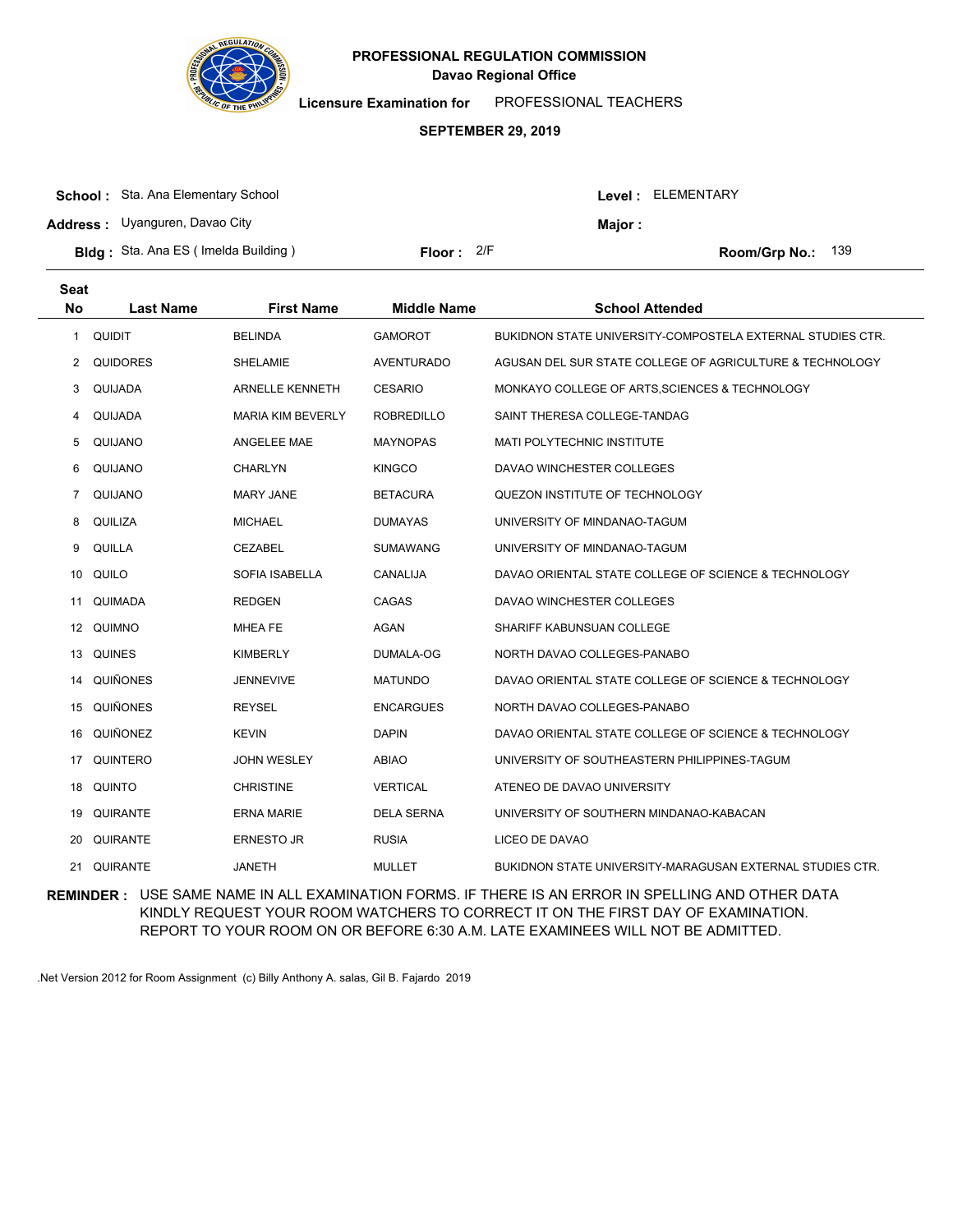

**Licensure Examination for**  PROFESSIONAL TEACHERS

### **SEPTEMBER 29, 2019**

| <b>School:</b> Sta. Ana Elementary School  |              | Level : ELEMENTARY |                            |  |
|--------------------------------------------|--------------|--------------------|----------------------------|--|
| <b>Address:</b> Uyanguren, Davao City      |              | <b>Maior:</b>      |                            |  |
| <b>Bldg:</b> Sta. Ana ES (Imelda Building) | Floor: $2/F$ |                    | <b>Room/Grp No.:</b> $139$ |  |

|                 | <b>First Name</b>                                                                                                                  | <b>Middle Name</b> | <b>School Attended</b>                                     |
|-----------------|------------------------------------------------------------------------------------------------------------------------------------|--------------------|------------------------------------------------------------|
| <b>QUIDIT</b>   | <b>BELINDA</b>                                                                                                                     | <b>GAMOROT</b>     | BUKIDNON STATE UNIVERSITY-COMPOSTELA EXTERNAL STUDIES CTR. |
| <b>QUIDORES</b> | <b>SHELAMIE</b>                                                                                                                    | <b>AVENTURADO</b>  | AGUSAN DEL SUR STATE COLLEGE OF AGRICULTURE & TECHNOLOGY   |
| QUIJADA         | <b>ARNELLE KENNETH</b>                                                                                                             | <b>CESARIO</b>     | MONKAYO COLLEGE OF ARTS, SCIENCES & TECHNOLOGY             |
| QUIJADA         | <b>MARIA KIM BEVERLY</b>                                                                                                           | <b>ROBREDILLO</b>  | SAINT THERESA COLLEGE-TANDAG                               |
| QUIJANO         | <b>ANGELEE MAE</b>                                                                                                                 | <b>MAYNOPAS</b>    | <b>MATI POLYTECHNIC INSTITUTE</b>                          |
| QUIJANO         | <b>CHARLYN</b>                                                                                                                     | <b>KINGCO</b>      | DAVAO WINCHESTER COLLEGES                                  |
| QUIJANO         | <b>MARY JANE</b>                                                                                                                   | <b>BETACURA</b>    | QUEZON INSTITUTE OF TECHNOLOGY                             |
| <b>QUILIZA</b>  | <b>MICHAEL</b>                                                                                                                     | <b>DUMAYAS</b>     | UNIVERSITY OF MINDANAO-TAGUM                               |
| QUILLA          | <b>CEZABEL</b>                                                                                                                     | <b>SUMAWANG</b>    | UNIVERSITY OF MINDANAO-TAGUM                               |
| QUILO           | SOFIA ISABELLA                                                                                                                     | CANALIJA           | DAVAO ORIENTAL STATE COLLEGE OF SCIENCE & TECHNOLOGY       |
| QUIMADA         | <b>REDGEN</b>                                                                                                                      | CAGAS              | DAVAO WINCHESTER COLLEGES                                  |
| QUIMNO          | <b>MHEA FE</b>                                                                                                                     | AGAN               | SHARIFF KABUNSUAN COLLEGE                                  |
| <b>QUINES</b>   | <b>KIMBERLY</b>                                                                                                                    | DUMALA-OG          | NORTH DAVAO COLLEGES-PANABO                                |
| <b>QUIÑONES</b> | <b>JENNEVIVE</b>                                                                                                                   | <b>MATUNDO</b>     | DAVAO ORIENTAL STATE COLLEGE OF SCIENCE & TECHNOLOGY       |
| QUIÑONES        | <b>REYSEL</b>                                                                                                                      | <b>ENCARGUES</b>   | NORTH DAVAO COLLEGES-PANABO                                |
| QUIÑONEZ        | <b>KEVIN</b>                                                                                                                       | <b>DAPIN</b>       | DAVAO ORIENTAL STATE COLLEGE OF SCIENCE & TECHNOLOGY       |
| QUINTERO        | <b>JOHN WESLEY</b>                                                                                                                 | <b>ABIAO</b>       | UNIVERSITY OF SOUTHEASTERN PHILIPPINES-TAGUM               |
| <b>QUINTO</b>   | <b>CHRISTINE</b>                                                                                                                   | <b>VERTICAL</b>    | ATENEO DE DAVAO UNIVERSITY                                 |
| QUIRANTE        | <b>ERNA MARIE</b>                                                                                                                  | <b>DELA SERNA</b>  | UNIVERSITY OF SOUTHERN MINDANAO-KABACAN                    |
| QUIRANTE        | <b>ERNESTO JR</b>                                                                                                                  | <b>RUSIA</b>       | LICEO DE DAVAO                                             |
| QUIRANTE        | <b>JANETH</b>                                                                                                                      | <b>MULLET</b>      | BUKIDNON STATE UNIVERSITY-MARAGUSAN EXTERNAL STUDIES CTR.  |
|                 | <b>Seat</b><br><b>No</b><br><b>Last Name</b><br>10<br>11<br>12 <sup>12</sup><br>13<br>14<br>15<br>16<br>17<br>18<br>19<br>20<br>21 |                    |                                                            |

**REMINDER :** USE SAME NAME IN ALL EXAMINATION FORMS. IF THERE IS AN ERROR IN SPELLING AND OTHER DATA KINDLY REQUEST YOUR ROOM WATCHERS TO CORRECT IT ON THE FIRST DAY OF EXAMINATION. REPORT TO YOUR ROOM ON OR BEFORE 6:30 A.M. LATE EXAMINEES WILL NOT BE ADMITTED.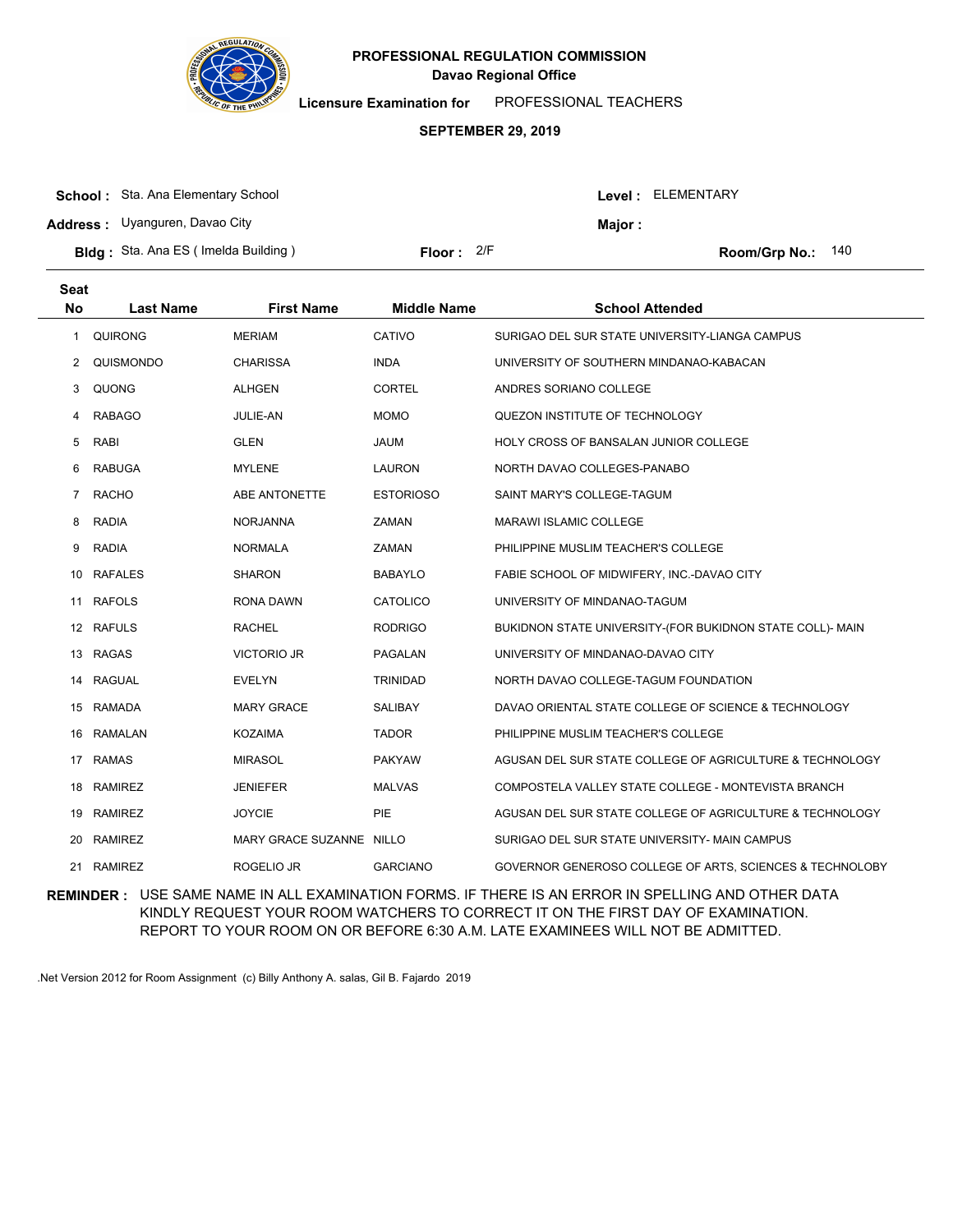

**Licensure Examination for**  PROFESSIONAL TEACHERS

### **SEPTEMBER 29, 2019**

| <b>School:</b> Sta. Ana Elementary School  |              |               | Level : ELEMENTARY  |
|--------------------------------------------|--------------|---------------|---------------------|
| <b>Address:</b> Uyanguren, Davao City      |              | <b>Maior:</b> |                     |
| <b>Bldg:</b> Sta. Ana ES (Imelda Building) | Floor: $2/F$ |               | Room/Grp No.: $140$ |

| <b>Seat</b><br><b>No</b> | <b>Last Name</b> | <b>First Name</b>        | <b>Middle Name</b> | <b>School Attended</b>                                    |
|--------------------------|------------------|--------------------------|--------------------|-----------------------------------------------------------|
| 1                        | <b>QUIRONG</b>   | <b>MERIAM</b>            | CATIVO             | SURIGAO DEL SUR STATE UNIVERSITY-LIANGA CAMPUS            |
| 2                        | QUISMONDO        | <b>CHARISSA</b>          | <b>INDA</b>        | UNIVERSITY OF SOUTHERN MINDANAO-KABACAN                   |
| 3                        | <b>QUONG</b>     | <b>ALHGEN</b>            | <b>CORTEL</b>      | ANDRES SORIANO COLLEGE                                    |
| 4                        | <b>RABAGO</b>    | JULIE-AN                 | <b>MOMO</b>        | QUEZON INSTITUTE OF TECHNOLOGY                            |
| 5                        | RABI             | <b>GLEN</b>              | <b>JAUM</b>        | HOLY CROSS OF BANSALAN JUNIOR COLLEGE                     |
| 6                        | <b>RABUGA</b>    | <b>MYLENE</b>            | <b>LAURON</b>      | NORTH DAVAO COLLEGES-PANABO                               |
| 7                        | <b>RACHO</b>     | ABE ANTONETTE            | <b>ESTORIOSO</b>   | SAINT MARY'S COLLEGE-TAGUM                                |
| 8                        | <b>RADIA</b>     | <b>NORJANNA</b>          | ZAMAN              | MARAWI ISLAMIC COLLEGE                                    |
| 9                        | <b>RADIA</b>     | <b>NORMALA</b>           | ZAMAN              | PHILIPPINE MUSLIM TEACHER'S COLLEGE                       |
| 10                       | <b>RAFALES</b>   | <b>SHARON</b>            | <b>BABAYLO</b>     | FABIE SCHOOL OF MIDWIFERY, INC.-DAVAO CITY                |
| 11                       | <b>RAFOLS</b>    | RONA DAWN                | <b>CATOLICO</b>    | UNIVERSITY OF MINDANAO-TAGUM                              |
|                          | 12 RAFULS        | <b>RACHEL</b>            | <b>RODRIGO</b>     | BUKIDNON STATE UNIVERSITY-(FOR BUKIDNON STATE COLL)- MAIN |
| 13                       | <b>RAGAS</b>     | <b>VICTORIO JR</b>       | PAGALAN            | UNIVERSITY OF MINDANAO-DAVAO CITY                         |
| 14                       | <b>RAGUAL</b>    | <b>EVELYN</b>            | <b>TRINIDAD</b>    | NORTH DAVAO COLLEGE-TAGUM FOUNDATION                      |
|                          | 15 RAMADA        | <b>MARY GRACE</b>        | SALIBAY            | DAVAO ORIENTAL STATE COLLEGE OF SCIENCE & TECHNOLOGY      |
| 16                       | RAMALAN          | <b>KOZAIMA</b>           | <b>TADOR</b>       | PHILIPPINE MUSLIM TEACHER'S COLLEGE                       |
| 17                       | <b>RAMAS</b>     | <b>MIRASOL</b>           | <b>PAKYAW</b>      | AGUSAN DEL SUR STATE COLLEGE OF AGRICULTURE & TECHNOLOGY  |
|                          | 18 RAMIREZ       | JENIEFER                 | <b>MALVAS</b>      | COMPOSTELA VALLEY STATE COLLEGE - MONTEVISTA BRANCH       |
| 19                       | <b>RAMIREZ</b>   | <b>JOYCIE</b>            | PIE                | AGUSAN DEL SUR STATE COLLEGE OF AGRICULTURE & TECHNOLOGY  |
| 20                       | <b>RAMIREZ</b>   | MARY GRACE SUZANNE NILLO |                    | SURIGAO DEL SUR STATE UNIVERSITY- MAIN CAMPUS             |
|                          | 21 RAMIREZ       | ROGELIO JR               | <b>GARCIANO</b>    | GOVERNOR GENEROSO COLLEGE OF ARTS, SCIENCES & TECHNOLOBY  |

**REMINDER :** USE SAME NAME IN ALL EXAMINATION FORMS. IF THERE IS AN ERROR IN SPELLING AND OTHER DATA KINDLY REQUEST YOUR ROOM WATCHERS TO CORRECT IT ON THE FIRST DAY OF EXAMINATION. REPORT TO YOUR ROOM ON OR BEFORE 6:30 A.M. LATE EXAMINEES WILL NOT BE ADMITTED.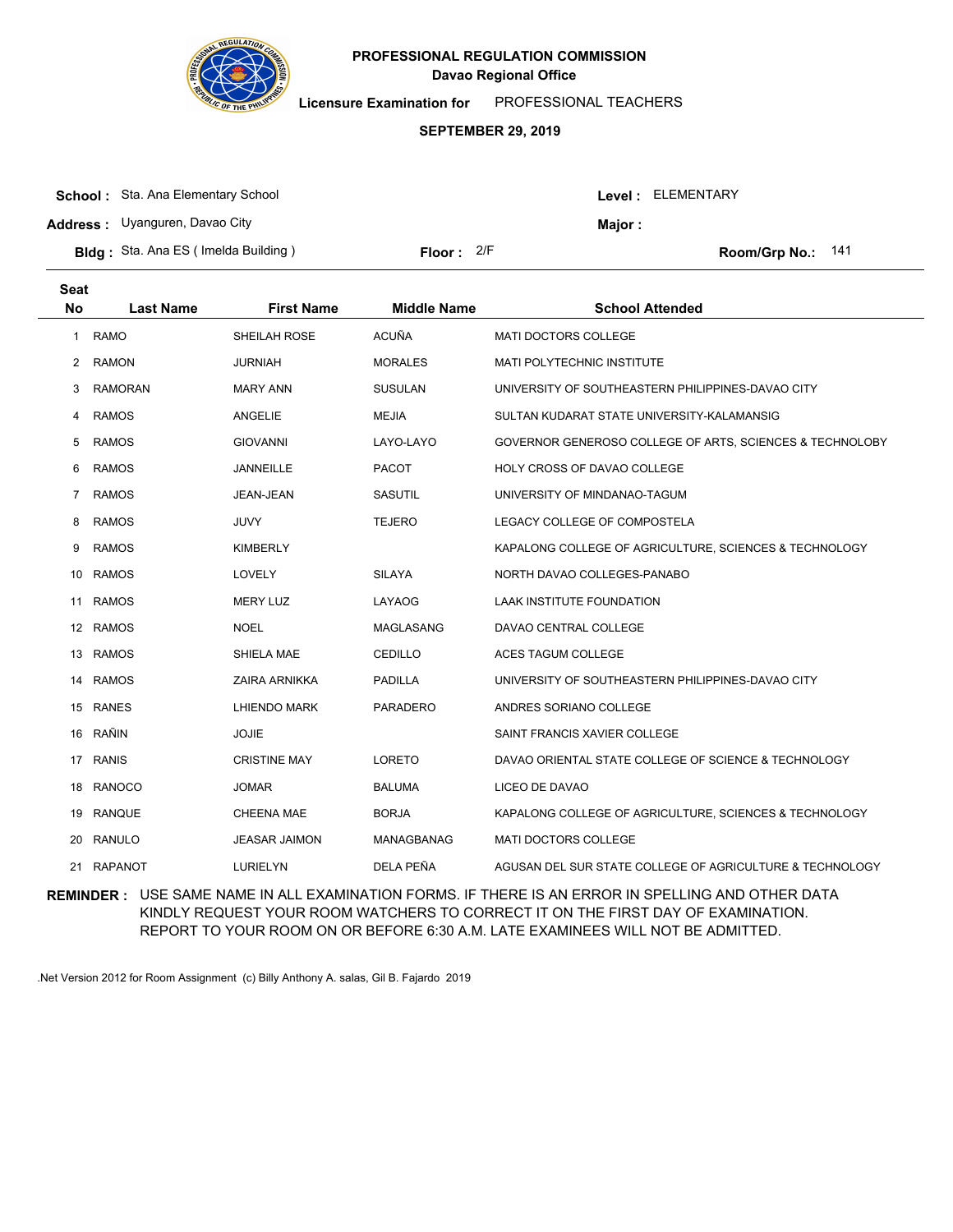

**Licensure Examination for**  PROFESSIONAL TEACHERS

#### **SEPTEMBER 29, 2019**

| <b>School:</b> Sta. Ana Elementary School  |                     |         | Level : ELEMENTARY  |
|--------------------------------------------|---------------------|---------|---------------------|
| <b>Address:</b> Uyanguren, Davao City      |                     | Major : |                     |
| <b>Bldg:</b> Sta. Ana ES (Imelda Building) | <b>Floor:</b> $2/F$ |         | Room/Grp No.: $141$ |

| <b>Seat</b><br><b>No</b> | <b>Last Name</b> | <b>First Name</b>    | <b>Middle Name</b> | <b>School Attended</b>                                   |
|--------------------------|------------------|----------------------|--------------------|----------------------------------------------------------|
| 1                        | <b>RAMO</b>      | SHEILAH ROSE         | <b>ACUÑA</b>       | <b>MATI DOCTORS COLLEGE</b>                              |
| 2                        | <b>RAMON</b>     | <b>JURNIAH</b>       | <b>MORALES</b>     | <b>MATI POLYTECHNIC INSTITUTE</b>                        |
| 3                        | <b>RAMORAN</b>   | <b>MARY ANN</b>      | <b>SUSULAN</b>     | UNIVERSITY OF SOUTHEASTERN PHILIPPINES-DAVAO CITY        |
| 4                        | <b>RAMOS</b>     | <b>ANGELIE</b>       | <b>MEJIA</b>       | SULTAN KUDARAT STATE UNIVERSITY-KALAMANSIG               |
| 5                        | <b>RAMOS</b>     | <b>GIOVANNI</b>      | LAYO-LAYO          | GOVERNOR GENEROSO COLLEGE OF ARTS, SCIENCES & TECHNOLOBY |
| 6                        | <b>RAMOS</b>     | JANNEILLE            | <b>PACOT</b>       | HOLY CROSS OF DAVAO COLLEGE                              |
| 7                        | <b>RAMOS</b>     | JEAN-JEAN            | <b>SASUTIL</b>     | UNIVERSITY OF MINDANAO-TAGUM                             |
| 8                        | <b>RAMOS</b>     | JUVY                 | <b>TEJERO</b>      | LEGACY COLLEGE OF COMPOSTELA                             |
| 9                        | <b>RAMOS</b>     | <b>KIMBERLY</b>      |                    | KAPALONG COLLEGE OF AGRICULTURE, SCIENCES & TECHNOLOGY   |
| 10                       | <b>RAMOS</b>     | LOVELY               | <b>SILAYA</b>      | NORTH DAVAO COLLEGES-PANABO                              |
| 11                       | <b>RAMOS</b>     | <b>MERY LUZ</b>      | LAYAOG             | <b>LAAK INSTITUTE FOUNDATION</b>                         |
|                          | 12 RAMOS         | <b>NOEL</b>          | <b>MAGLASANG</b>   | DAVAO CENTRAL COLLEGE                                    |
| 13                       | <b>RAMOS</b>     | SHIELA MAE           | <b>CEDILLO</b>     | <b>ACES TAGUM COLLEGE</b>                                |
| 14                       | <b>RAMOS</b>     | ZAIRA ARNIKKA        | <b>PADILLA</b>     | UNIVERSITY OF SOUTHEASTERN PHILIPPINES-DAVAO CITY        |
|                          | 15 RANES         | LHIENDO MARK         | <b>PARADERO</b>    | ANDRES SORIANO COLLEGE                                   |
| 16                       | RAÑIN            | <b>JOJIE</b>         |                    | SAINT FRANCIS XAVIER COLLEGE                             |
| 17                       | <b>RANIS</b>     | <b>CRISTINE MAY</b>  | <b>LORETO</b>      | DAVAO ORIENTAL STATE COLLEGE OF SCIENCE & TECHNOLOGY     |
| 18                       | <b>RANOCO</b>    | <b>JOMAR</b>         | <b>BALUMA</b>      | LICEO DE DAVAO                                           |
| 19                       | <b>RANQUE</b>    | <b>CHEENA MAE</b>    | <b>BORJA</b>       | KAPALONG COLLEGE OF AGRICULTURE, SCIENCES & TECHNOLOGY   |
| 20                       | <b>RANULO</b>    | <b>JEASAR JAIMON</b> | <b>MANAGBANAG</b>  | MATI DOCTORS COLLEGE                                     |
| 21                       | <b>RAPANOT</b>   | <b>LURIELYN</b>      | <b>DELA PEÑA</b>   | AGUSAN DEL SUR STATE COLLEGE OF AGRICULTURE & TECHNOLOGY |

**REMINDER :** USE SAME NAME IN ALL EXAMINATION FORMS. IF THERE IS AN ERROR IN SPELLING AND OTHER DATA KINDLY REQUEST YOUR ROOM WATCHERS TO CORRECT IT ON THE FIRST DAY OF EXAMINATION. REPORT TO YOUR ROOM ON OR BEFORE 6:30 A.M. LATE EXAMINEES WILL NOT BE ADMITTED.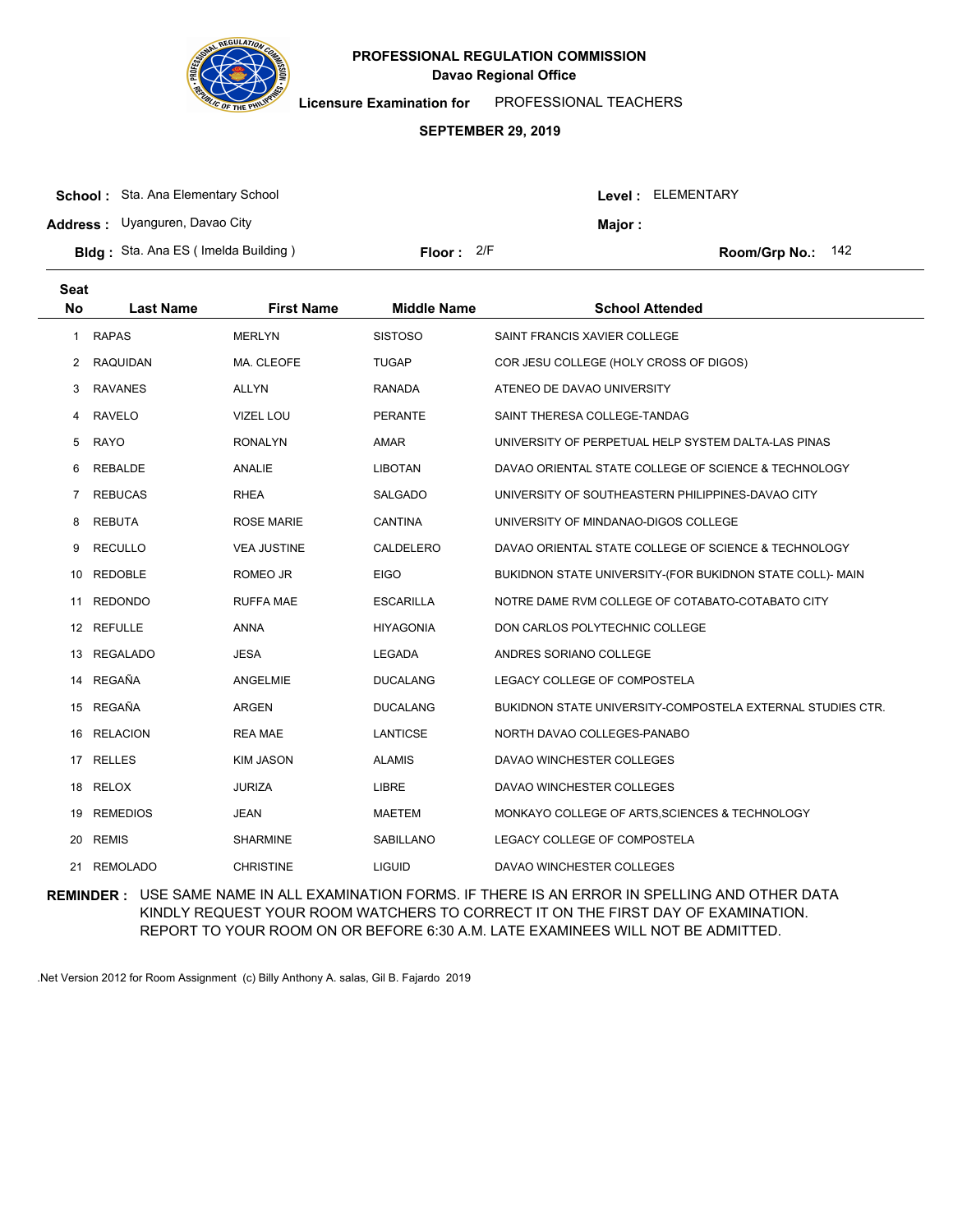

**Licensure Examination for**  PROFESSIONAL TEACHERS

#### **SEPTEMBER 29, 2019**

| <b>School:</b> Sta. Ana Elementary School  |            |         | <b>Level: ELEMENTARY</b> |
|--------------------------------------------|------------|---------|--------------------------|
| <b>Address:</b> Uyanguren, Davao City      |            | Maior : |                          |
| <b>Bldg:</b> Sta. Ana ES (Imelda Building) | Floor: 2/F |         | Room/Grp No.: $142$      |

| <b>Seat</b><br><b>No</b> | <b>Last Name</b> | <b>First Name</b>  | <b>Middle Name</b> | <b>School Attended</b>                                     |
|--------------------------|------------------|--------------------|--------------------|------------------------------------------------------------|
| 1                        | <b>RAPAS</b>     | <b>MERLYN</b>      | <b>SISTOSO</b>     | SAINT FRANCIS XAVIER COLLEGE                               |
| 2                        | <b>RAQUIDAN</b>  | MA. CLEOFE         | <b>TUGAP</b>       | COR JESU COLLEGE (HOLY CROSS OF DIGOS)                     |
| 3                        | <b>RAVANES</b>   | ALLYN              | <b>RANADA</b>      | ATENEO DE DAVAO UNIVERSITY                                 |
| 4                        | <b>RAVELO</b>    | <b>VIZEL LOU</b>   | <b>PERANTE</b>     | SAINT THERESA COLLEGE-TANDAG                               |
| 5                        | <b>RAYO</b>      | <b>RONALYN</b>     | <b>AMAR</b>        | UNIVERSITY OF PERPETUAL HELP SYSTEM DALTA-LAS PINAS        |
| 6                        | REBALDE          | ANALIE             | <b>LIBOTAN</b>     | DAVAO ORIENTAL STATE COLLEGE OF SCIENCE & TECHNOLOGY       |
| $\overline{7}$           | <b>REBUCAS</b>   | <b>RHEA</b>        | <b>SALGADO</b>     | UNIVERSITY OF SOUTHEASTERN PHILIPPINES-DAVAO CITY          |
| 8                        | <b>REBUTA</b>    | <b>ROSE MARIE</b>  | <b>CANTINA</b>     | UNIVERSITY OF MINDANAO-DIGOS COLLEGE                       |
| 9                        | <b>RECULLO</b>   | <b>VEA JUSTINE</b> | CALDELERO          | DAVAO ORIENTAL STATE COLLEGE OF SCIENCE & TECHNOLOGY       |
| 10                       | <b>REDOBLE</b>   | ROMEO JR           | <b>EIGO</b>        | BUKIDNON STATE UNIVERSITY-(FOR BUKIDNON STATE COLL)- MAIN  |
| 11                       | <b>REDONDO</b>   | <b>RUFFA MAE</b>   | <b>ESCARILLA</b>   | NOTRE DAME RVM COLLEGE OF COTABATO-COTABATO CITY           |
| 12                       | <b>REFULLE</b>   | <b>ANNA</b>        | <b>HIYAGONIA</b>   | DON CARLOS POLYTECHNIC COLLEGE                             |
| 13                       | <b>REGALADO</b>  | JESA               | LEGADA             | ANDRES SORIANO COLLEGE                                     |
| 14                       | <b>REGAÑA</b>    | <b>ANGELMIE</b>    | <b>DUCALANG</b>    | LEGACY COLLEGE OF COMPOSTELA                               |
| 15                       | REGAÑA           | ARGEN              | <b>DUCALANG</b>    | BUKIDNON STATE UNIVERSITY-COMPOSTELA EXTERNAL STUDIES CTR. |
| 16                       | <b>RELACION</b>  | <b>REA MAE</b>     | LANTICSE           | NORTH DAVAO COLLEGES-PANABO                                |
| 17                       | <b>RELLES</b>    | <b>KIM JASON</b>   | <b>ALAMIS</b>      | DAVAO WINCHESTER COLLEGES                                  |
| 18                       | <b>RELOX</b>     | <b>JURIZA</b>      | LIBRE              | DAVAO WINCHESTER COLLEGES                                  |
| 19                       | <b>REMEDIOS</b>  | <b>JEAN</b>        | <b>MAETEM</b>      | MONKAYO COLLEGE OF ARTS, SCIENCES & TECHNOLOGY             |
| 20                       | <b>REMIS</b>     | <b>SHARMINE</b>    | <b>SABILLANO</b>   | LEGACY COLLEGE OF COMPOSTELA                               |
| 21                       | <b>REMOLADO</b>  | <b>CHRISTINE</b>   | <b>LIGUID</b>      | DAVAO WINCHESTER COLLEGES                                  |
|                          |                  |                    |                    |                                                            |

**REMINDER :** USE SAME NAME IN ALL EXAMINATION FORMS. IF THERE IS AN ERROR IN SPELLING AND OTHER DATA KINDLY REQUEST YOUR ROOM WATCHERS TO CORRECT IT ON THE FIRST DAY OF EXAMINATION. REPORT TO YOUR ROOM ON OR BEFORE 6:30 A.M. LATE EXAMINEES WILL NOT BE ADMITTED.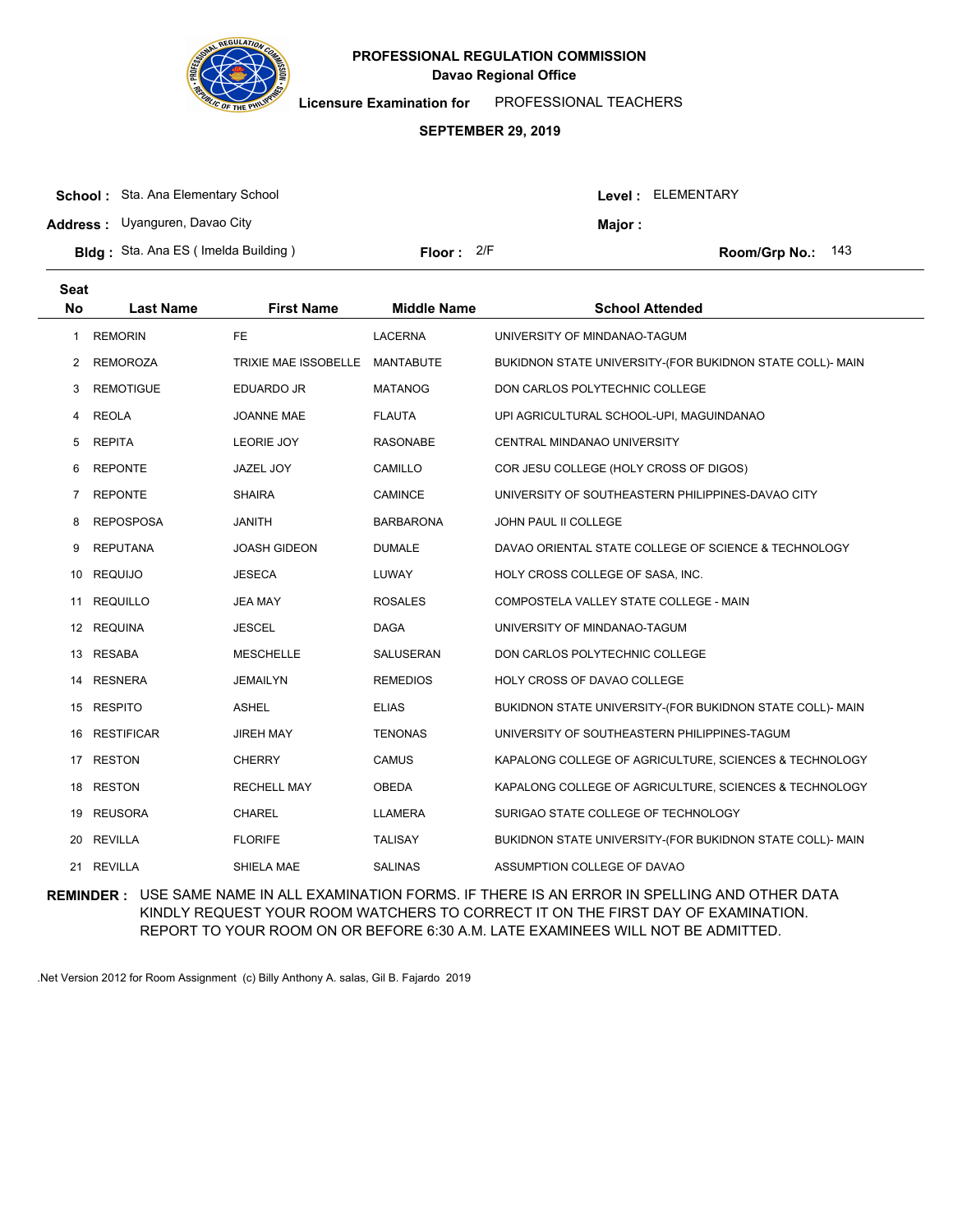

**Licensure Examination for**  PROFESSIONAL TEACHERS

### **SEPTEMBER 29, 2019**

| <b>School:</b> Sta. Ana Elementary School  |                     |        | Level: ELEMENTARY   |
|--------------------------------------------|---------------------|--------|---------------------|
| <b>Address:</b> Uyanguren, Davao City      |                     | Major: |                     |
| <b>Bldg:</b> Sta. Ana ES (Imelda Building) | <b>Floor:</b> $2/F$ |        | Room/Grp No.: $143$ |

| <b>Seat</b><br>No | <b>Last Name</b>  | <b>First Name</b>           | <b>Middle Name</b> | <b>School Attended</b>                                    |
|-------------------|-------------------|-----------------------------|--------------------|-----------------------------------------------------------|
| $\mathbf{1}$      | <b>REMORIN</b>    | <b>FE</b>                   | <b>LACERNA</b>     | UNIVERSITY OF MINDANAO-TAGUM                              |
| 2                 | <b>REMOROZA</b>   | <b>TRIXIE MAE ISSOBELLE</b> | <b>MANTABUTE</b>   | BUKIDNON STATE UNIVERSITY-(FOR BUKIDNON STATE COLL)- MAIN |
| 3                 | <b>REMOTIGUE</b>  | <b>EDUARDO JR</b>           | <b>MATANOG</b>     | DON CARLOS POLYTECHNIC COLLEGE                            |
| 4                 | <b>REOLA</b>      | <b>JOANNE MAE</b>           | <b>FLAUTA</b>      | UPI AGRICULTURAL SCHOOL-UPI, MAGUINDANAO                  |
| 5                 | <b>REPITA</b>     | <b>LEORIE JOY</b>           | <b>RASONABE</b>    | CENTRAL MINDANAO UNIVERSITY                               |
| 6                 | <b>REPONTE</b>    | <b>JAZEL JOY</b>            | CAMILLO            | COR JESU COLLEGE (HOLY CROSS OF DIGOS)                    |
| 7                 | <b>REPONTE</b>    | <b>SHAIRA</b>               | <b>CAMINCE</b>     | UNIVERSITY OF SOUTHEASTERN PHILIPPINES-DAVAO CITY         |
| 8                 | <b>REPOSPOSA</b>  | <b>JANITH</b>               | <b>BARBARONA</b>   | JOHN PAUL II COLLEGE                                      |
| 9                 | <b>REPUTANA</b>   | <b>JOASH GIDEON</b>         | <b>DUMALE</b>      | DAVAO ORIENTAL STATE COLLEGE OF SCIENCE & TECHNOLOGY      |
| 10                | <b>REQUIJO</b>    | <b>JESECA</b>               | LUWAY              | HOLY CROSS COLLEGE OF SASA, INC.                          |
| 11                | <b>REQUILLO</b>   | <b>JEA MAY</b>              | <b>ROSALES</b>     | COMPOSTELA VALLEY STATE COLLEGE - MAIN                    |
|                   | 12 REQUINA        | <b>JESCEL</b>               | <b>DAGA</b>        | UNIVERSITY OF MINDANAO-TAGUM                              |
| 13                | <b>RESABA</b>     | <b>MESCHELLE</b>            | SALUSERAN          | DON CARLOS POLYTECHNIC COLLEGE                            |
| 14                | <b>RESNERA</b>    | <b>JEMAILYN</b>             | <b>REMEDIOS</b>    | HOLY CROSS OF DAVAO COLLEGE                               |
|                   | 15 RESPITO        | <b>ASHEL</b>                | <b>ELIAS</b>       | BUKIDNON STATE UNIVERSITY-(FOR BUKIDNON STATE COLL)- MAIN |
| 16                | <b>RESTIFICAR</b> | <b>JIREH MAY</b>            | <b>TENONAS</b>     | UNIVERSITY OF SOUTHEASTERN PHILIPPINES-TAGUM              |
| 17                | <b>RESTON</b>     | <b>CHERRY</b>               | <b>CAMUS</b>       | KAPALONG COLLEGE OF AGRICULTURE, SCIENCES & TECHNOLOGY    |
| 18                | <b>RESTON</b>     | <b>RECHELL MAY</b>          | OBEDA              | KAPALONG COLLEGE OF AGRICULTURE, SCIENCES & TECHNOLOGY    |
|                   | 19 REUSORA        | <b>CHAREL</b>               | <b>LLAMERA</b>     | SURIGAO STATE COLLEGE OF TECHNOLOGY                       |
| 20                | <b>REVILLA</b>    | <b>FLORIFE</b>              | <b>TALISAY</b>     | BUKIDNON STATE UNIVERSITY-(FOR BUKIDNON STATE COLL)- MAIN |
|                   | 21 REVILLA        | SHIELA MAE                  | <b>SALINAS</b>     | ASSUMPTION COLLEGE OF DAVAO                               |
|                   |                   |                             |                    |                                                           |

**REMINDER :** USE SAME NAME IN ALL EXAMINATION FORMS. IF THERE IS AN ERROR IN SPELLING AND OTHER DATA KINDLY REQUEST YOUR ROOM WATCHERS TO CORRECT IT ON THE FIRST DAY OF EXAMINATION. REPORT TO YOUR ROOM ON OR BEFORE 6:30 A.M. LATE EXAMINEES WILL NOT BE ADMITTED.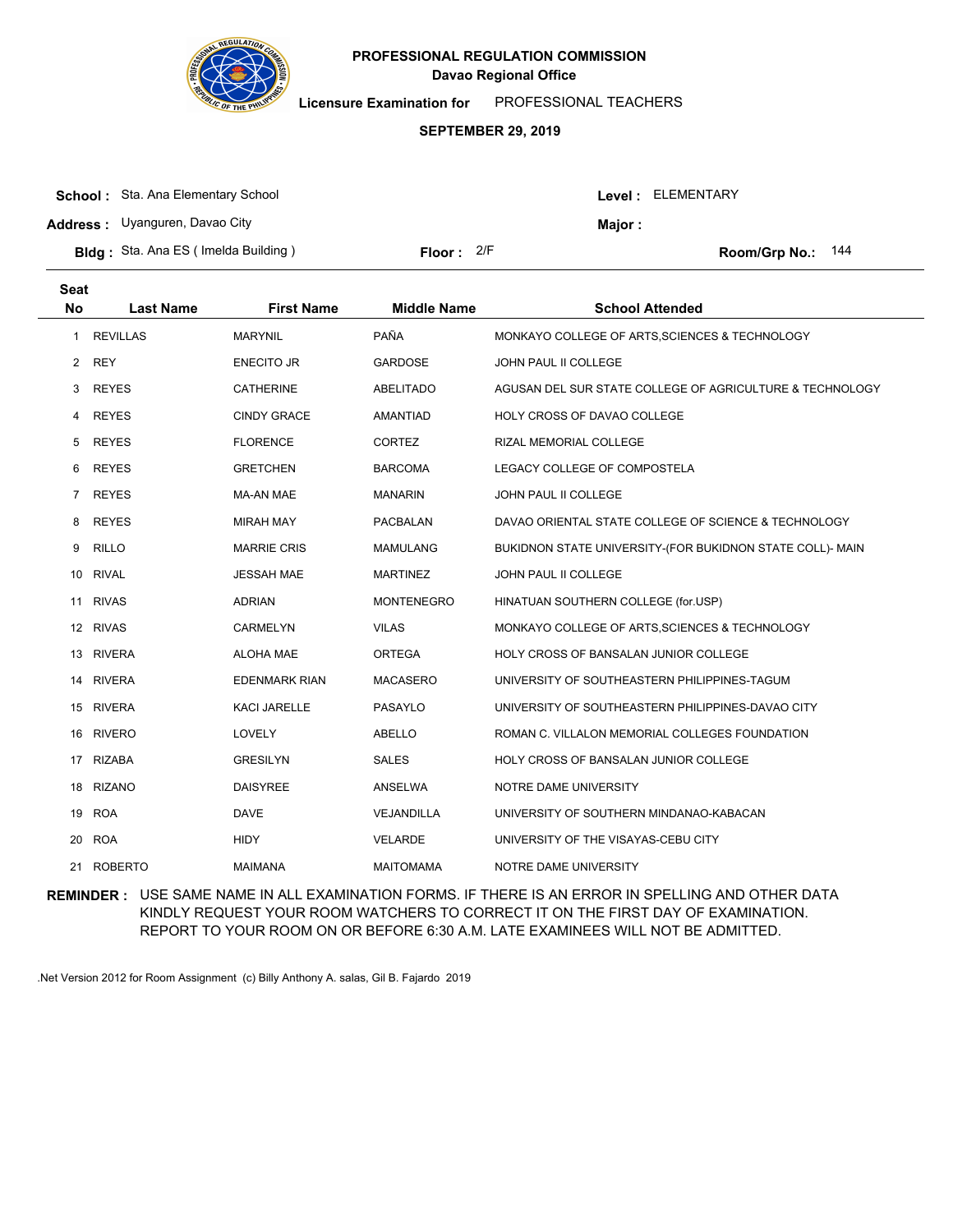

**Licensure Examination for**  PROFESSIONAL TEACHERS

### **SEPTEMBER 29, 2019**

| <b>School:</b> Sta. Ana Elementary School   |              |                | Level : ELEMENTARY  |
|---------------------------------------------|--------------|----------------|---------------------|
| <b>Address:</b> Uyanguren, Davao City       |              | <b>Maior</b> : |                     |
| <b>Bldg</b> : Sta. Ana ES (Imelda Building) | Floor: $2/F$ |                | Room/Grp No.: $144$ |

| <b>Seat</b><br><b>No</b> | <b>Last Name</b> | <b>First Name</b>    | <b>Middle Name</b> | <b>School Attended</b>                                    |
|--------------------------|------------------|----------------------|--------------------|-----------------------------------------------------------|
| 1                        | <b>REVILLAS</b>  | <b>MARYNIL</b>       | PAÑA               | MONKAYO COLLEGE OF ARTS, SCIENCES & TECHNOLOGY            |
| 2                        | <b>REY</b>       | <b>ENECITO JR</b>    | <b>GARDOSE</b>     | JOHN PAUL II COLLEGE                                      |
| 3                        | <b>REYES</b>     | <b>CATHERINE</b>     | <b>ABELITADO</b>   | AGUSAN DEL SUR STATE COLLEGE OF AGRICULTURE & TECHNOLOGY  |
| 4                        | <b>REYES</b>     | <b>CINDY GRACE</b>   | <b>AMANTIAD</b>    | HOLY CROSS OF DAVAO COLLEGE                               |
| 5                        | <b>REYES</b>     | <b>FLORENCE</b>      | CORTEZ             | RIZAL MEMORIAL COLLEGE                                    |
| 6                        | <b>REYES</b>     | <b>GRETCHEN</b>      | <b>BARCOMA</b>     | LEGACY COLLEGE OF COMPOSTELA                              |
| $\overline{7}$           | <b>REYES</b>     | <b>MA-AN MAE</b>     | <b>MANARIN</b>     | JOHN PAUL II COLLEGE                                      |
| 8                        | <b>REYES</b>     | <b>MIRAH MAY</b>     | PACBALAN           | DAVAO ORIENTAL STATE COLLEGE OF SCIENCE & TECHNOLOGY      |
| 9                        | <b>RILLO</b>     | <b>MARRIE CRIS</b>   | MAMULANG           | BUKIDNON STATE UNIVERSITY-(FOR BUKIDNON STATE COLL)- MAIN |
| 10                       | <b>RIVAL</b>     | <b>JESSAH MAE</b>    | <b>MARTINEZ</b>    | JOHN PAUL II COLLEGE                                      |
| 11                       | <b>RIVAS</b>     | <b>ADRIAN</b>        | <b>MONTENEGRO</b>  | HINATUAN SOUTHERN COLLEGE (for.USP)                       |
|                          | 12 RIVAS         | CARMELYN             | <b>VILAS</b>       | MONKAYO COLLEGE OF ARTS, SCIENCES & TECHNOLOGY            |
| 13                       | <b>RIVERA</b>    | <b>ALOHA MAE</b>     | <b>ORTEGA</b>      | HOLY CROSS OF BANSALAN JUNIOR COLLEGE                     |
| 14                       | <b>RIVERA</b>    | <b>EDENMARK RIAN</b> | <b>MACASERO</b>    | UNIVERSITY OF SOUTHEASTERN PHILIPPINES-TAGUM              |
|                          | 15 RIVERA        | <b>KACI JARELLE</b>  | PASAYLO            | UNIVERSITY OF SOUTHEASTERN PHILIPPINES-DAVAO CITY         |
| 16                       | <b>RIVERO</b>    | LOVELY               | <b>ABELLO</b>      | ROMAN C. VILLALON MEMORIAL COLLEGES FOUNDATION            |
| 17                       | <b>RIZABA</b>    | <b>GRESILYN</b>      | <b>SALES</b>       | HOLY CROSS OF BANSALAN JUNIOR COLLEGE                     |
| 18                       | <b>RIZANO</b>    | <b>DAISYREE</b>      | ANSELWA            | NOTRE DAME UNIVERSITY                                     |
| 19                       | <b>ROA</b>       | <b>DAVE</b>          | VEJANDILLA         | UNIVERSITY OF SOUTHERN MINDANAO-KABACAN                   |
| 20                       | <b>ROA</b>       | <b>HIDY</b>          | <b>VELARDE</b>     | UNIVERSITY OF THE VISAYAS-CEBU CITY                       |
| 21                       | <b>ROBERTO</b>   | <b>MAIMANA</b>       | <b>MAITOMAMA</b>   | NOTRE DAME UNIVERSITY                                     |

**REMINDER :** USE SAME NAME IN ALL EXAMINATION FORMS. IF THERE IS AN ERROR IN SPELLING AND OTHER DATA KINDLY REQUEST YOUR ROOM WATCHERS TO CORRECT IT ON THE FIRST DAY OF EXAMINATION. REPORT TO YOUR ROOM ON OR BEFORE 6:30 A.M. LATE EXAMINEES WILL NOT BE ADMITTED.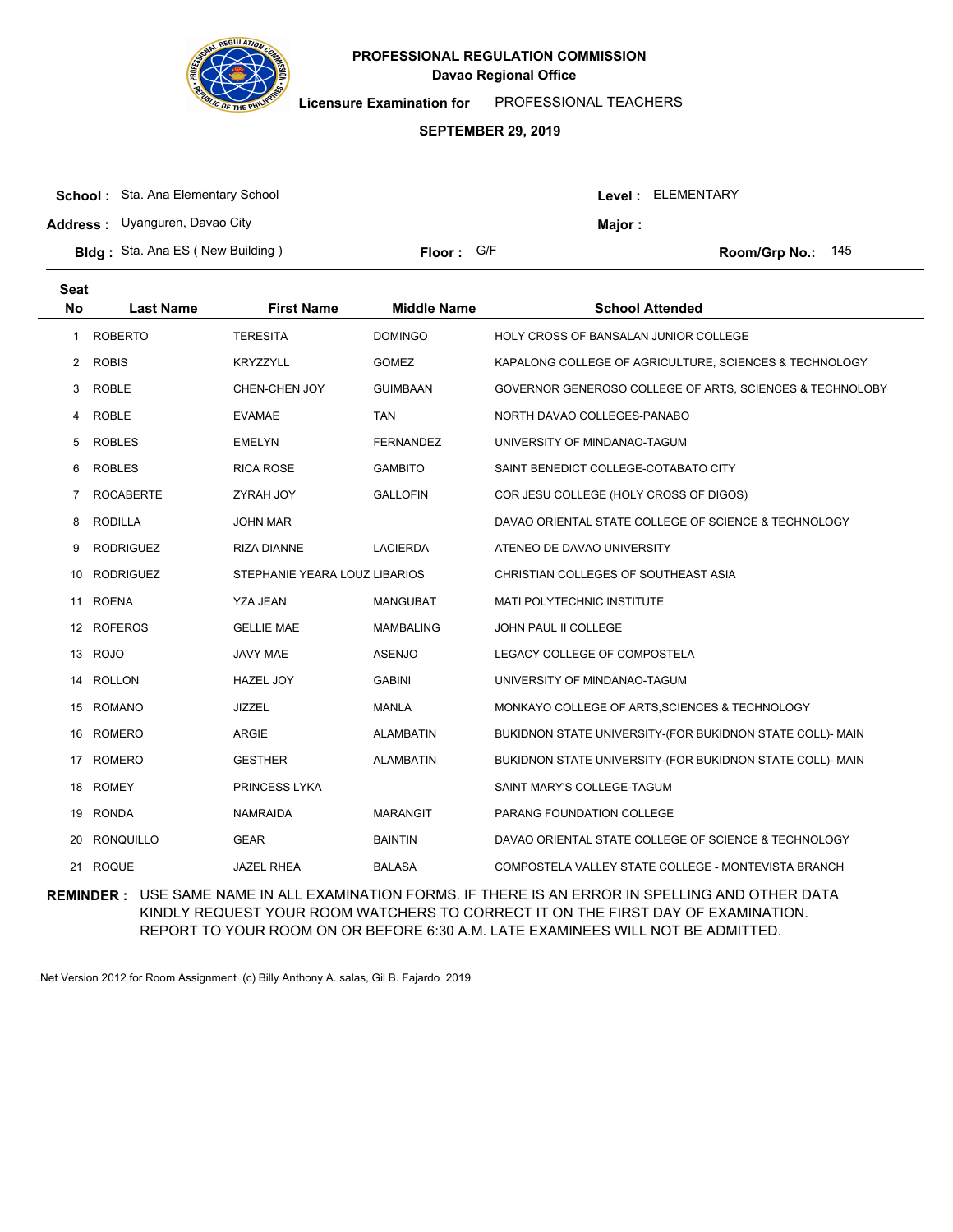

**Licensure Examination for**  PROFESSIONAL TEACHERS

### **SEPTEMBER 29, 2019**

| <b>School:</b> Sta. Ana Elementary School |            |        | <b>Level: ELEMENTARY</b> |
|-------------------------------------------|------------|--------|--------------------------|
| <b>Address:</b> Uyanguren, Davao City     |            | Major: |                          |
| <b>Bldg:</b> Sta. Ana ES (New Building)   | Floor: G/F |        | Room/Grp No.: $145$      |

| <b>Seat</b><br><b>No</b> | <b>Last Name</b> | <b>First Name</b>             | <b>Middle Name</b> | <b>School Attended</b>                                    |
|--------------------------|------------------|-------------------------------|--------------------|-----------------------------------------------------------|
| 1                        | <b>ROBERTO</b>   | <b>TERESITA</b>               | <b>DOMINGO</b>     | HOLY CROSS OF BANSALAN JUNIOR COLLEGE                     |
| 2                        | <b>ROBIS</b>     | <b>KRYZZYLL</b>               | <b>GOMEZ</b>       | KAPALONG COLLEGE OF AGRICULTURE, SCIENCES & TECHNOLOGY    |
| 3                        | ROBLE            | CHEN-CHEN JOY                 | <b>GUIMBAAN</b>    | GOVERNOR GENEROSO COLLEGE OF ARTS, SCIENCES & TECHNOLOBY  |
| 4                        | <b>ROBLE</b>     | <b>EVAMAE</b>                 | <b>TAN</b>         | NORTH DAVAO COLLEGES-PANABO                               |
| 5                        | <b>ROBLES</b>    | <b>EMELYN</b>                 | <b>FERNANDEZ</b>   | UNIVERSITY OF MINDANAO-TAGUM                              |
| 6                        | <b>ROBLES</b>    | <b>RICA ROSE</b>              | <b>GAMBITO</b>     | SAINT BENEDICT COLLEGE-COTABATO CITY                      |
| 7                        | <b>ROCABERTE</b> | <b>ZYRAH JOY</b>              | <b>GALLOFIN</b>    | COR JESU COLLEGE (HOLY CROSS OF DIGOS)                    |
| 8                        | <b>RODILLA</b>   | <b>JOHN MAR</b>               |                    | DAVAO ORIENTAL STATE COLLEGE OF SCIENCE & TECHNOLOGY      |
| 9                        | <b>RODRIGUEZ</b> | <b>RIZA DIANNE</b>            | <b>LACIERDA</b>    | ATENEO DE DAVAO UNIVERSITY                                |
| 10                       | <b>RODRIGUEZ</b> | STEPHANIE YEARA LOUZ LIBARIOS |                    | CHRISTIAN COLLEGES OF SOUTHEAST ASIA                      |
| 11                       | <b>ROENA</b>     | <b>YZA JEAN</b>               | <b>MANGUBAT</b>    | MATI POLYTECHNIC INSTITUTE                                |
|                          | 12 ROFEROS       | <b>GELLIE MAE</b>             | <b>MAMBALING</b>   | JOHN PAUL II COLLEGE                                      |
| 13                       | <b>ROJO</b>      | <b>JAVY MAE</b>               | <b>ASENJO</b>      | LEGACY COLLEGE OF COMPOSTELA                              |
| 14                       | <b>ROLLON</b>    | <b>HAZEL JOY</b>              | <b>GABINI</b>      | UNIVERSITY OF MINDANAO-TAGUM                              |
|                          | 15 ROMANO        | <b>JIZZEL</b>                 | <b>MANLA</b>       | MONKAYO COLLEGE OF ARTS, SCIENCES & TECHNOLOGY            |
| 16                       | <b>ROMERO</b>    | <b>ARGIE</b>                  | <b>ALAMBATIN</b>   | BUKIDNON STATE UNIVERSITY-(FOR BUKIDNON STATE COLL)- MAIN |
| 17                       | <b>ROMERO</b>    | <b>GESTHER</b>                | <b>ALAMBATIN</b>   | BUKIDNON STATE UNIVERSITY-(FOR BUKIDNON STATE COLL)- MAIN |
|                          | 18 ROMEY         | PRINCESS LYKA                 |                    | SAINT MARY'S COLLEGE-TAGUM                                |
| 19                       | <b>RONDA</b>     | <b>NAMRAIDA</b>               | <b>MARANGIT</b>    | PARANG FOUNDATION COLLEGE                                 |
| 20                       | <b>RONQUILLO</b> | <b>GEAR</b>                   | <b>BAINTIN</b>     | DAVAO ORIENTAL STATE COLLEGE OF SCIENCE & TECHNOLOGY      |
|                          | 21 ROQUE         | <b>JAZEL RHEA</b>             | <b>BALASA</b>      | COMPOSTELA VALLEY STATE COLLEGE - MONTEVISTA BRANCH       |

**REMINDER :** USE SAME NAME IN ALL EXAMINATION FORMS. IF THERE IS AN ERROR IN SPELLING AND OTHER DATA KINDLY REQUEST YOUR ROOM WATCHERS TO CORRECT IT ON THE FIRST DAY OF EXAMINATION. REPORT TO YOUR ROOM ON OR BEFORE 6:30 A.M. LATE EXAMINEES WILL NOT BE ADMITTED.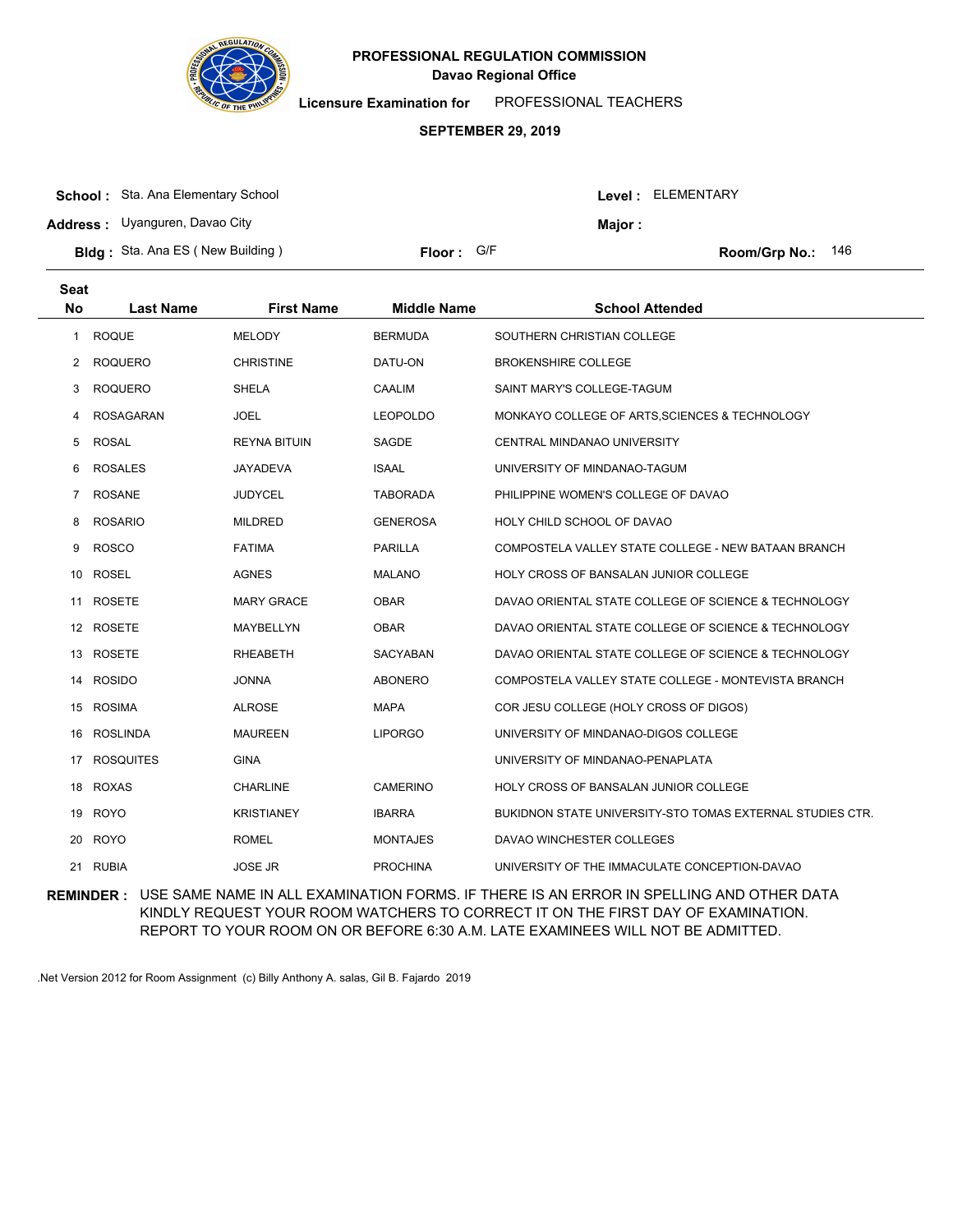

**Licensure Examination for**  PROFESSIONAL TEACHERS

### **SEPTEMBER 29, 2019**

| <b>School:</b> Sta. Ana Elementary School |            |        | Level: ELEMENTARY          |
|-------------------------------------------|------------|--------|----------------------------|
| <b>Address:</b> Uyanguren, Davao City     |            | Maior: |                            |
| <b>Bldg:</b> Sta. Ana ES (New Building)   | Floor: G/F |        | <b>Room/Grp No.:</b> $146$ |

| <b>Seat</b><br><b>No</b> | <b>Last Name</b> | <b>First Name</b>   | <b>Middle Name</b> | <b>School Attended</b>                                    |
|--------------------------|------------------|---------------------|--------------------|-----------------------------------------------------------|
| 1                        | <b>ROQUE</b>     | <b>MELODY</b>       | <b>BERMUDA</b>     | SOUTHERN CHRISTIAN COLLEGE                                |
| 2                        | <b>ROQUERO</b>   | <b>CHRISTINE</b>    | DATU-ON            | <b>BROKENSHIRE COLLEGE</b>                                |
| 3                        | <b>ROQUERO</b>   | <b>SHELA</b>        | CAALIM             | SAINT MARY'S COLLEGE-TAGUM                                |
| 4                        | <b>ROSAGARAN</b> | <b>JOEL</b>         | <b>LEOPOLDO</b>    | MONKAYO COLLEGE OF ARTS, SCIENCES & TECHNOLOGY            |
| 5                        | <b>ROSAL</b>     | <b>REYNA BITUIN</b> | SAGDE              | CENTRAL MINDANAO UNIVERSITY                               |
| 6                        | <b>ROSALES</b>   | <b>JAYADEVA</b>     | <b>ISAAL</b>       | UNIVERSITY OF MINDANAO-TAGUM                              |
| $\overline{7}$           | <b>ROSANE</b>    | <b>JUDYCEL</b>      | <b>TABORADA</b>    | PHILIPPINE WOMEN'S COLLEGE OF DAVAO                       |
| 8                        | <b>ROSARIO</b>   | <b>MILDRED</b>      | <b>GENEROSA</b>    | HOLY CHILD SCHOOL OF DAVAO                                |
| 9                        | <b>ROSCO</b>     | <b>FATIMA</b>       | <b>PARILLA</b>     | COMPOSTELA VALLEY STATE COLLEGE - NEW BATAAN BRANCH       |
| 10                       | ROSEL            | <b>AGNES</b>        | <b>MALANO</b>      | HOLY CROSS OF BANSALAN JUNIOR COLLEGE                     |
| 11                       | <b>ROSETE</b>    | <b>MARY GRACE</b>   | <b>OBAR</b>        | DAVAO ORIENTAL STATE COLLEGE OF SCIENCE & TECHNOLOGY      |
|                          | 12 ROSETE        | MAYBELLYN           | <b>OBAR</b>        | DAVAO ORIENTAL STATE COLLEGE OF SCIENCE & TECHNOLOGY      |
|                          | 13 ROSETE        | <b>RHEABETH</b>     | <b>SACYABAN</b>    | DAVAO ORIENTAL STATE COLLEGE OF SCIENCE & TECHNOLOGY      |
| 14                       | <b>ROSIDO</b>    | <b>JONNA</b>        | <b>ABONERO</b>     | COMPOSTELA VALLEY STATE COLLEGE - MONTEVISTA BRANCH       |
| 15                       | <b>ROSIMA</b>    | <b>ALROSE</b>       | <b>MAPA</b>        | COR JESU COLLEGE (HOLY CROSS OF DIGOS)                    |
| 16                       | <b>ROSLINDA</b>  | <b>MAUREEN</b>      | <b>LIPORGO</b>     | UNIVERSITY OF MINDANAO-DIGOS COLLEGE                      |
| 17                       | <b>ROSQUITES</b> | <b>GINA</b>         |                    | UNIVERSITY OF MINDANAO-PENAPLATA                          |
| 18                       | <b>ROXAS</b>     | <b>CHARLINE</b>     | <b>CAMERINO</b>    | HOLY CROSS OF BANSALAN JUNIOR COLLEGE                     |
|                          | 19 ROYO          | <b>KRISTIANEY</b>   | <b>IBARRA</b>      | BUKIDNON STATE UNIVERSITY-STO TOMAS EXTERNAL STUDIES CTR. |
|                          | 20 ROYO          | <b>ROMEL</b>        | <b>MONTAJES</b>    | DAVAO WINCHESTER COLLEGES                                 |
| 21                       | <b>RUBIA</b>     | <b>JOSE JR</b>      | <b>PROCHINA</b>    | UNIVERSITY OF THE IMMACULATE CONCEPTION-DAVAO             |
|                          |                  |                     |                    |                                                           |

**REMINDER :** USE SAME NAME IN ALL EXAMINATION FORMS. IF THERE IS AN ERROR IN SPELLING AND OTHER DATA KINDLY REQUEST YOUR ROOM WATCHERS TO CORRECT IT ON THE FIRST DAY OF EXAMINATION. REPORT TO YOUR ROOM ON OR BEFORE 6:30 A.M. LATE EXAMINEES WILL NOT BE ADMITTED.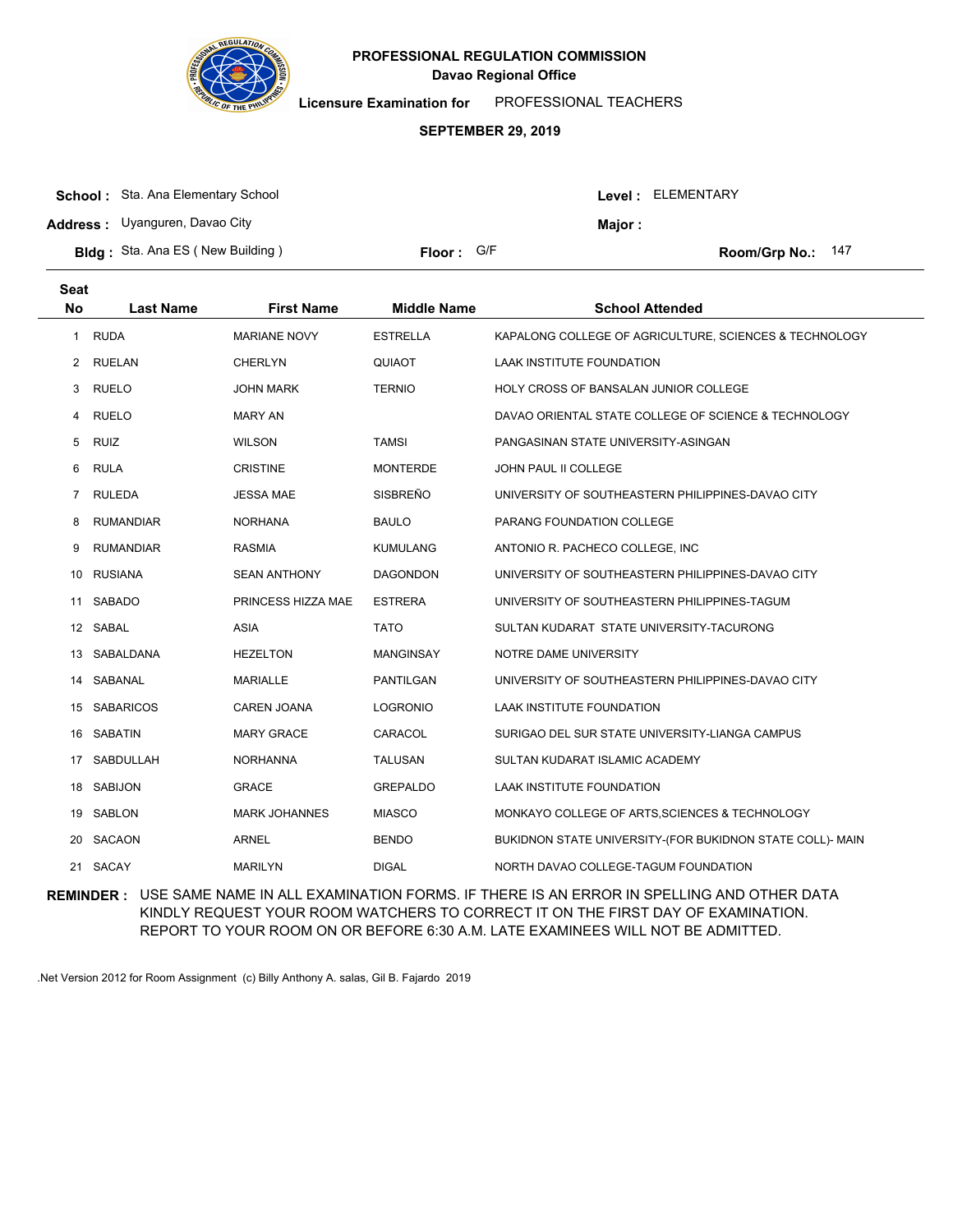

**Licensure Examination for**  PROFESSIONAL TEACHERS

#### **SEPTEMBER 29, 2019**

| <b>School:</b> Sta. Ana Elementary School |            | Level : ELEMENTARY |
|-------------------------------------------|------------|--------------------|
| <b>Address:</b> Uyanguren, Davao City     |            | <b>Maior</b> :     |
| <b>Bldg:</b> Sta. Ana ES (New Building)   | Floor: G/F | Room/Grp No.: 147  |

| <b>Seat</b><br><b>No</b> | <b>Last Name</b> | <b>First Name</b>    | <b>Middle Name</b> | <b>School Attended</b>                                    |
|--------------------------|------------------|----------------------|--------------------|-----------------------------------------------------------|
| 1                        | <b>RUDA</b>      | <b>MARIANE NOVY</b>  | <b>ESTRELLA</b>    | KAPALONG COLLEGE OF AGRICULTURE, SCIENCES & TECHNOLOGY    |
| 2                        | <b>RUELAN</b>    | <b>CHERLYN</b>       | QUIAOT             | <b>LAAK INSTITUTE FOUNDATION</b>                          |
| 3                        | <b>RUELO</b>     | <b>JOHN MARK</b>     | <b>TERNIO</b>      | <b>HOLY CROSS OF BANSALAN JUNIOR COLLEGE</b>              |
| 4                        | <b>RUELO</b>     | <b>MARY AN</b>       |                    | DAVAO ORIENTAL STATE COLLEGE OF SCIENCE & TECHNOLOGY      |
| 5                        | <b>RUIZ</b>      | <b>WILSON</b>        | <b>TAMSI</b>       | PANGASINAN STATE UNIVERSITY-ASINGAN                       |
| 6                        | <b>RULA</b>      | <b>CRISTINE</b>      | <b>MONTERDE</b>    | JOHN PAUL II COLLEGE                                      |
| 7                        | <b>RULEDA</b>    | <b>JESSA MAE</b>     | SISBREÑO           | UNIVERSITY OF SOUTHEASTERN PHILIPPINES-DAVAO CITY         |
| 8                        | <b>RUMANDIAR</b> | <b>NORHANA</b>       | <b>BAULO</b>       | PARANG FOUNDATION COLLEGE                                 |
| 9                        | <b>RUMANDIAR</b> | <b>RASMIA</b>        | <b>KUMULANG</b>    | ANTONIO R. PACHECO COLLEGE, INC                           |
| 10                       | <b>RUSIANA</b>   | <b>SEAN ANTHONY</b>  | <b>DAGONDON</b>    | UNIVERSITY OF SOUTHEASTERN PHILIPPINES-DAVAO CITY         |
| 11                       | <b>SABADO</b>    | PRINCESS HIZZA MAE   | <b>ESTRERA</b>     | UNIVERSITY OF SOUTHEASTERN PHILIPPINES-TAGUM              |
|                          | 12 SABAL         | <b>ASIA</b>          | <b>TATO</b>        | SULTAN KUDARAT STATE UNIVERSITY-TACURONG                  |
| 13                       | SABALDANA        | <b>HEZELTON</b>      | <b>MANGINSAY</b>   | NOTRE DAME UNIVERSITY                                     |
| 14                       | SABANAL          | <b>MARIALLE</b>      | PANTILGAN          | UNIVERSITY OF SOUTHEASTERN PHILIPPINES-DAVAO CITY         |
| 15                       | <b>SABARICOS</b> | CAREN JOANA          | <b>LOGRONIO</b>    | LAAK INSTITUTE FOUNDATION                                 |
|                          | 16 SABATIN       | <b>MARY GRACE</b>    | CARACOL            | SURIGAO DEL SUR STATE UNIVERSITY-LIANGA CAMPUS            |
| 17                       | SABDULLAH        | <b>NORHANNA</b>      | <b>TALUSAN</b>     | SULTAN KUDARAT ISLAMIC ACADEMY                            |
| 18                       | <b>SABIJON</b>   | <b>GRACE</b>         | <b>GREPALDO</b>    | LAAK INSTITUTE FOUNDATION                                 |
| 19                       | SABLON           | <b>MARK JOHANNES</b> | <b>MIASCO</b>      | MONKAYO COLLEGE OF ARTS, SCIENCES & TECHNOLOGY            |
| 20                       | SACAON           | <b>ARNEL</b>         | <b>BENDO</b>       | BUKIDNON STATE UNIVERSITY-(FOR BUKIDNON STATE COLL)- MAIN |
| 21                       | SACAY            | <b>MARILYN</b>       | <b>DIGAL</b>       | NORTH DAVAO COLLEGE-TAGUM FOUNDATION                      |
|                          |                  |                      |                    |                                                           |

**REMINDER :** USE SAME NAME IN ALL EXAMINATION FORMS. IF THERE IS AN ERROR IN SPELLING AND OTHER DATA KINDLY REQUEST YOUR ROOM WATCHERS TO CORRECT IT ON THE FIRST DAY OF EXAMINATION. REPORT TO YOUR ROOM ON OR BEFORE 6:30 A.M. LATE EXAMINEES WILL NOT BE ADMITTED.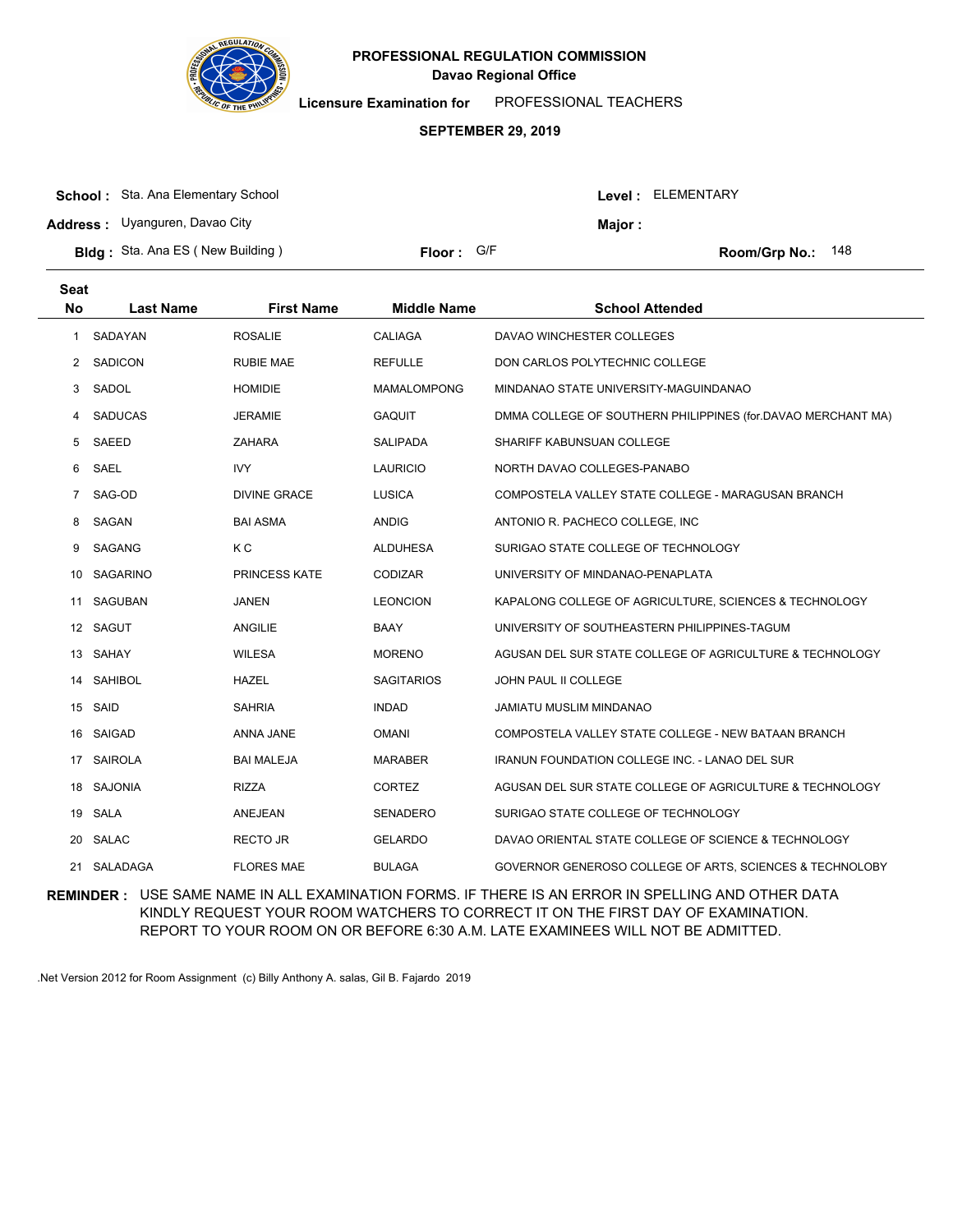

**Licensure Examination for**  PROFESSIONAL TEACHERS

#### **SEPTEMBER 29, 2019**

| <b>School:</b> Sta. Ana Elementary School |            |               | Level : ELEMENTARY         |
|-------------------------------------------|------------|---------------|----------------------------|
| <b>Address:</b> Uyanguren, Davao City     |            | <b>Major:</b> |                            |
| <b>Bldg:</b> Sta. Ana ES (New Building)   | Floor: G/F |               | <b>Room/Grp No.:</b> $148$ |

| <b>Seat</b><br><b>No</b> | <b>Last Name</b> | <b>First Name</b>    | <b>Middle Name</b> | <b>School Attended</b>                                       |
|--------------------------|------------------|----------------------|--------------------|--------------------------------------------------------------|
| 1                        | SADAYAN          | <b>ROSALIE</b>       | <b>CALIAGA</b>     | DAVAO WINCHESTER COLLEGES                                    |
| 2                        | <b>SADICON</b>   | <b>RUBIE MAE</b>     | <b>REFULLE</b>     | DON CARLOS POLYTECHNIC COLLEGE                               |
| 3                        | SADOL            | <b>HOMIDIE</b>       | <b>MAMALOMPONG</b> | MINDANAO STATE UNIVERSITY-MAGUINDANAO                        |
| 4                        | <b>SADUCAS</b>   | <b>JERAMIE</b>       | <b>GAQUIT</b>      | DMMA COLLEGE OF SOUTHERN PHILIPPINES (for.DAVAO MERCHANT MA) |
| 5                        | <b>SAEED</b>     | <b>ZAHARA</b>        | <b>SALIPADA</b>    | SHARIFF KABUNSUAN COLLEGE                                    |
| 6                        | SAEL             | <b>IVY</b>           | <b>LAURICIO</b>    | NORTH DAVAO COLLEGES-PANABO                                  |
| $\overline{7}$           | SAG-OD           | <b>DIVINE GRACE</b>  | <b>LUSICA</b>      | COMPOSTELA VALLEY STATE COLLEGE - MARAGUSAN BRANCH           |
| 8                        | SAGAN            | <b>BAI ASMA</b>      | <b>ANDIG</b>       | ANTONIO R. PACHECO COLLEGE, INC                              |
| 9                        | SAGANG           | K C                  | <b>ALDUHESA</b>    | SURIGAO STATE COLLEGE OF TECHNOLOGY                          |
| 10                       | <b>SAGARINO</b>  | <b>PRINCESS KATE</b> | CODIZAR            | UNIVERSITY OF MINDANAO-PENAPLATA                             |
| 11                       | SAGUBAN          | <b>JANEN</b>         | <b>LEONCION</b>    | KAPALONG COLLEGE OF AGRICULTURE, SCIENCES & TECHNOLOGY       |
|                          | 12 SAGUT         | <b>ANGILIE</b>       | <b>BAAY</b>        | UNIVERSITY OF SOUTHEASTERN PHILIPPINES-TAGUM                 |
| 13                       | SAHAY            | <b>WILESA</b>        | <b>MORENO</b>      | AGUSAN DEL SUR STATE COLLEGE OF AGRICULTURE & TECHNOLOGY     |
| 14                       | <b>SAHIBOL</b>   | <b>HAZEL</b>         | <b>SAGITARIOS</b>  | <b>JOHN PAUL II COLLEGE</b>                                  |
| 15                       | SAID             | <b>SAHRIA</b>        | <b>INDAD</b>       | JAMIATU MUSLIM MINDANAO                                      |
|                          | 16 SAIGAD        | ANNA JANE            | <b>OMANI</b>       | COMPOSTELA VALLEY STATE COLLEGE - NEW BATAAN BRANCH          |
| 17                       | <b>SAIROLA</b>   | <b>BAI MALEJA</b>    | <b>MARABER</b>     | <b>IRANUN FOUNDATION COLLEGE INC. - LANAO DEL SUR</b>        |
| 18                       | <b>SAJONIA</b>   | <b>RIZZA</b>         | <b>CORTEZ</b>      | AGUSAN DEL SUR STATE COLLEGE OF AGRICULTURE & TECHNOLOGY     |
|                          | 19 SALA          | <b>ANEJEAN</b>       | <b>SENADERO</b>    | SURIGAO STATE COLLEGE OF TECHNOLOGY                          |
| 20                       | <b>SALAC</b>     | <b>RECTO JR</b>      | <b>GELARDO</b>     | DAVAO ORIENTAL STATE COLLEGE OF SCIENCE & TECHNOLOGY         |
| 21                       | SALADAGA         | <b>FLORES MAE</b>    | <b>BULAGA</b>      | GOVERNOR GENEROSO COLLEGE OF ARTS, SCIENCES & TECHNOLOBY     |

**REMINDER :** USE SAME NAME IN ALL EXAMINATION FORMS. IF THERE IS AN ERROR IN SPELLING AND OTHER DATA KINDLY REQUEST YOUR ROOM WATCHERS TO CORRECT IT ON THE FIRST DAY OF EXAMINATION. REPORT TO YOUR ROOM ON OR BEFORE 6:30 A.M. LATE EXAMINEES WILL NOT BE ADMITTED.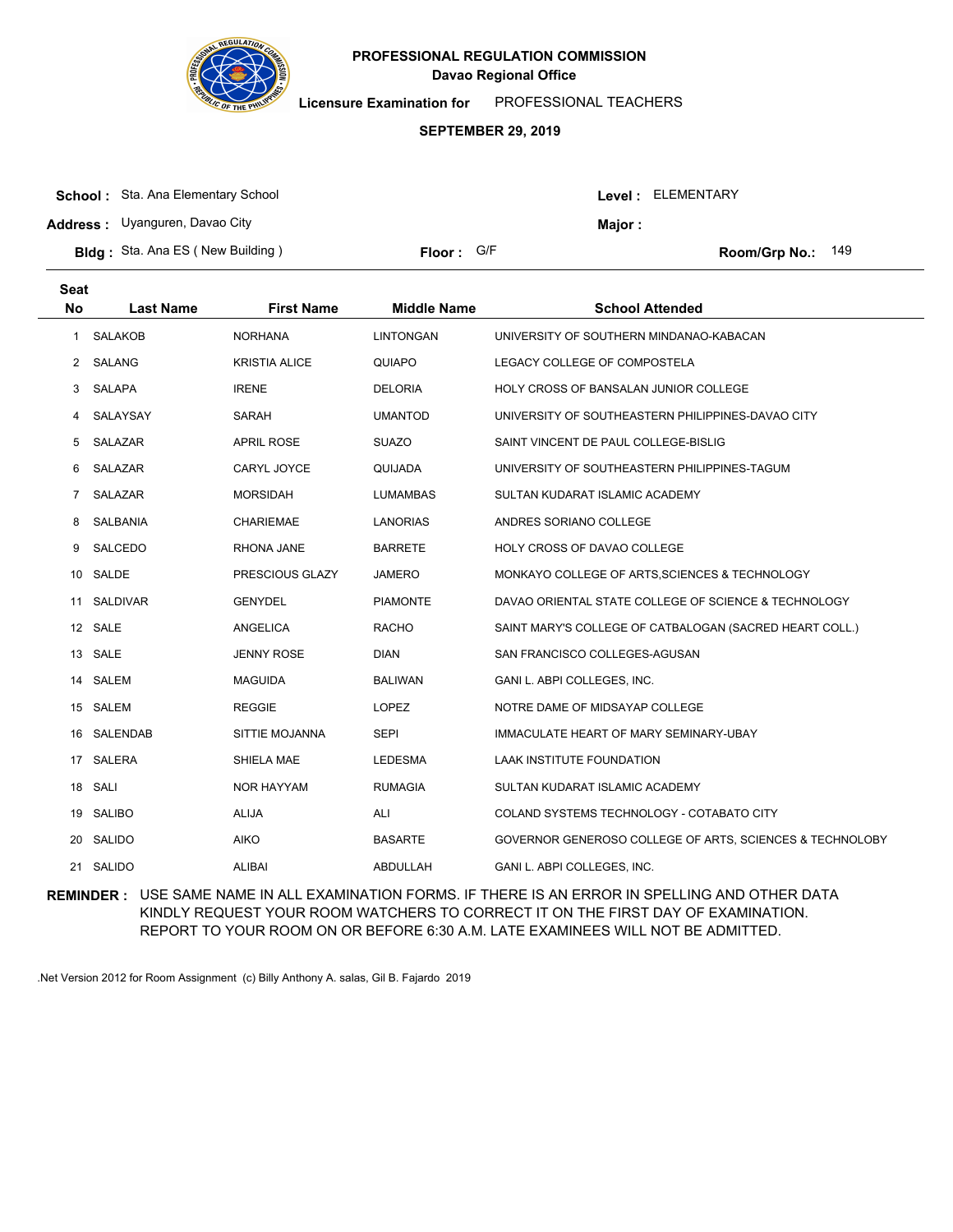

**Licensure Examination for**  PROFESSIONAL TEACHERS

### **SEPTEMBER 29, 2019**

| <b>School:</b> Sta. Ana Elementary School |            |                | <b>Level: ELEMENTARY</b>   |
|-------------------------------------------|------------|----------------|----------------------------|
| <b>Address:</b> Uyanguren, Davao City     |            | <b>Maior</b> : |                            |
| <b>Bldg:</b> Sta. Ana ES (New Building)   | Floor: G/F |                | <b>Room/Grp No.:</b> $149$ |

| <b>Seat</b><br><b>No</b> | <b>Last Name</b> | <b>First Name</b>    | <b>Middle Name</b> | <b>School Attended</b>                                   |
|--------------------------|------------------|----------------------|--------------------|----------------------------------------------------------|
| 1                        | <b>SALAKOB</b>   | <b>NORHANA</b>       | LINTONGAN          | UNIVERSITY OF SOUTHERN MINDANAO-KABACAN                  |
| 2                        | SALANG           | <b>KRISTIA ALICE</b> | <b>QUIAPO</b>      | LEGACY COLLEGE OF COMPOSTELA                             |
| 3                        | SALAPA           | <b>IRENE</b>         | <b>DELORIA</b>     | <b>HOLY CROSS OF BANSALAN JUNIOR COLLEGE</b>             |
| 4                        | SALAYSAY         | <b>SARAH</b>         | <b>UMANTOD</b>     | UNIVERSITY OF SOUTHEASTERN PHILIPPINES-DAVAO CITY        |
| 5                        | SALAZAR          | <b>APRIL ROSE</b>    | <b>SUAZO</b>       | SAINT VINCENT DE PAUL COLLEGE-BISLIG                     |
| 6                        | SALAZAR          | CARYL JOYCE          | QUIJADA            | UNIVERSITY OF SOUTHEASTERN PHILIPPINES-TAGUM             |
| $\overline{7}$           | SALAZAR          | <b>MORSIDAH</b>      | <b>LUMAMBAS</b>    | SULTAN KUDARAT ISLAMIC ACADEMY                           |
| 8                        | <b>SALBANIA</b>  | <b>CHARIEMAE</b>     | <b>LANORIAS</b>    | ANDRES SORIANO COLLEGE                                   |
| 9                        | SALCEDO          | RHONA JANE           | <b>BARRETE</b>     | HOLY CROSS OF DAVAO COLLEGE                              |
| 10                       | SALDE            | PRESCIOUS GLAZY      | <b>JAMERO</b>      | MONKAYO COLLEGE OF ARTS, SCIENCES & TECHNOLOGY           |
| 11                       | <b>SALDIVAR</b>  | <b>GENYDEL</b>       | <b>PIAMONTE</b>    | DAVAO ORIENTAL STATE COLLEGE OF SCIENCE & TECHNOLOGY     |
|                          | 12 SALE          | ANGELICA             | <b>RACHO</b>       | SAINT MARY'S COLLEGE OF CATBALOGAN (SACRED HEART COLL.)  |
| 13                       | SALE             | <b>JENNY ROSE</b>    | <b>DIAN</b>        | SAN FRANCISCO COLLEGES-AGUSAN                            |
| 14                       | SALEM            | <b>MAGUIDA</b>       | <b>BALIWAN</b>     | GANI L. ABPI COLLEGES, INC.                              |
|                          | 15 SALEM         | <b>REGGIE</b>        | <b>LOPEZ</b>       | NOTRE DAME OF MIDSAYAP COLLEGE                           |
| 16                       | SALENDAB         | SITTIE MOJANNA       | <b>SEPI</b>        | IMMACULATE HEART OF MARY SEMINARY-UBAY                   |
| 17                       | SALERA           | SHIELA MAE           | <b>LEDESMA</b>     | LAAK INSTITUTE FOUNDATION                                |
|                          | 18 SALI          | <b>NOR HAYYAM</b>    | <b>RUMAGIA</b>     | SULTAN KUDARAT ISLAMIC ACADEMY                           |
| 19                       | <b>SALIBO</b>    | <b>ALIJA</b>         | ALI                | COLAND SYSTEMS TECHNOLOGY - COTABATO CITY                |
| 20                       | <b>SALIDO</b>    | <b>AIKO</b>          | <b>BASARTE</b>     | GOVERNOR GENEROSO COLLEGE OF ARTS, SCIENCES & TECHNOLOBY |
|                          | 21 SALIDO        | <b>ALIBAI</b>        | ABDULLAH           | GANI L. ABPI COLLEGES, INC.                              |

**REMINDER :** USE SAME NAME IN ALL EXAMINATION FORMS. IF THERE IS AN ERROR IN SPELLING AND OTHER DATA KINDLY REQUEST YOUR ROOM WATCHERS TO CORRECT IT ON THE FIRST DAY OF EXAMINATION. REPORT TO YOUR ROOM ON OR BEFORE 6:30 A.M. LATE EXAMINEES WILL NOT BE ADMITTED.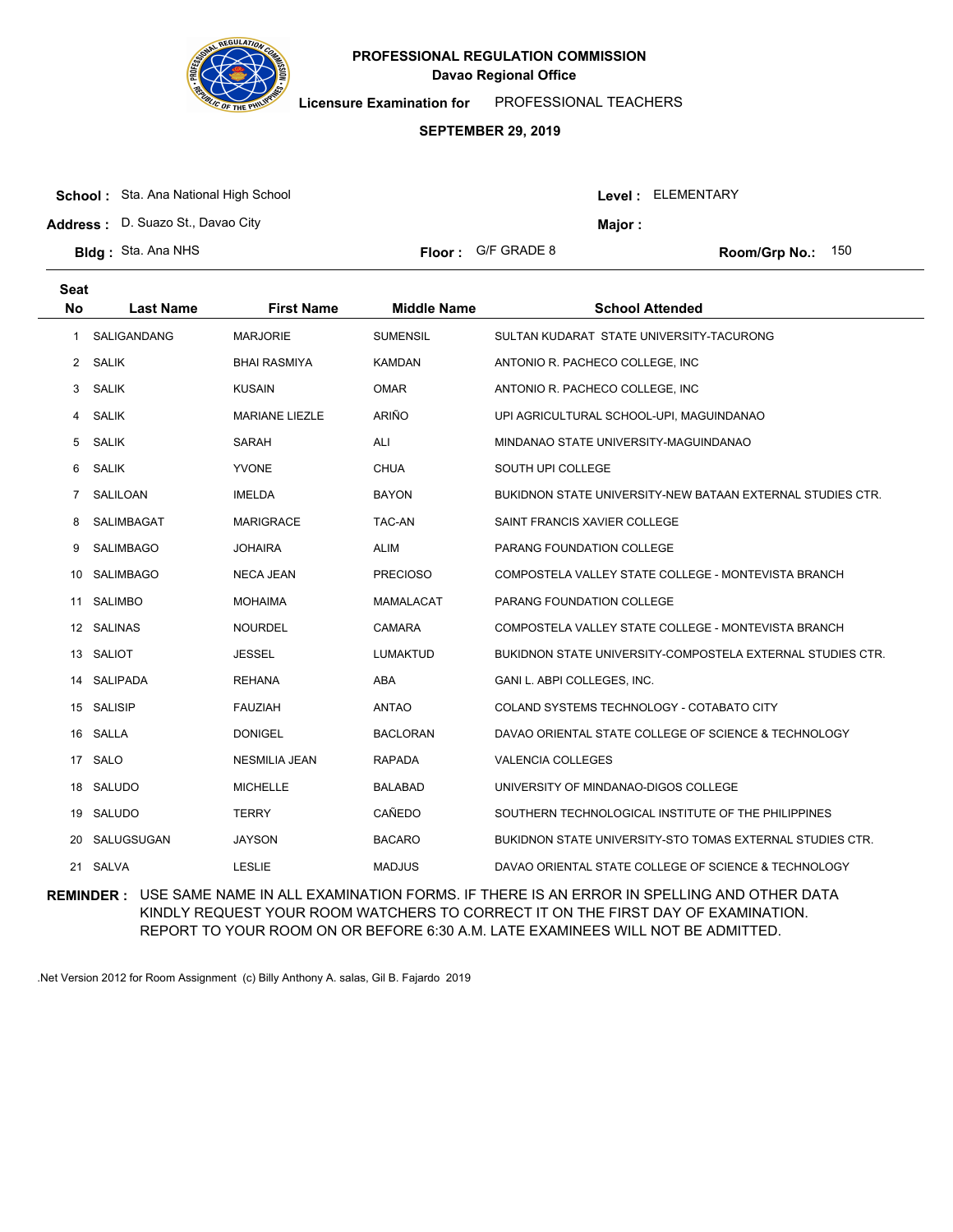

**Licensure Examination for**  PROFESSIONAL TEACHERS

### **SEPTEMBER 29, 2019**

|  | <b>School:</b> Sta. Ana National High School |  |
|--|----------------------------------------------|--|
|--|----------------------------------------------|--|

**Address :** D. Suazo St., Davao City

| <b>3Idg:</b> Sta. Ana NHS |  |  |  |
|---------------------------|--|--|--|
|---------------------------|--|--|--|

| or : | G/F GRADE 8 |  |
|------|-------------|--|
|      |             |  |

**Bldg : Floor : Room/Grp No.:** G/F GRADE 8 150

Level : ELEMENTARY

**Major :**

| <b>Seat</b><br><b>No</b> | <b>Last Name</b> | <b>First Name</b>     | <b>Middle Name</b> | <b>School Attended</b>                                           |
|--------------------------|------------------|-----------------------|--------------------|------------------------------------------------------------------|
| 1                        | SALIGANDANG      | <b>MARJORIE</b>       | <b>SUMENSIL</b>    | SULTAN KUDARAT STATE UNIVERSITY-TACURONG                         |
| $\mathbf{2}$             | <b>SALIK</b>     | <b>BHAI RASMIYA</b>   | <b>KAMDAN</b>      | ANTONIO R. PACHECO COLLEGE, INC.                                 |
| 3                        | SALIK            | <b>KUSAIN</b>         | <b>OMAR</b>        | ANTONIO R. PACHECO COLLEGE, INC.                                 |
| 4                        | <b>SALIK</b>     | <b>MARIANE LIEZLE</b> | ARIÑO              | UPI AGRICULTURAL SCHOOL-UPI, MAGUINDANAO                         |
| 5                        | <b>SALIK</b>     | <b>SARAH</b>          | ALI                | MINDANAO STATE UNIVERSITY-MAGUINDANAO                            |
| 6                        | <b>SALIK</b>     | <b>YVONE</b>          | <b>CHUA</b>        | SOUTH UPI COLLEGE                                                |
| $\overline{7}$           | SALILOAN         | <b>IMELDA</b>         | <b>BAYON</b>       | BUKIDNON STATE UNIVERSITY-NEW BATAAN EXTERNAL STUDIES CTR.       |
| 8                        | SALIMBAGAT       | <b>MARIGRACE</b>      | <b>TAC-AN</b>      | SAINT FRANCIS XAVIER COLLEGE                                     |
| 9                        | <b>SALIMBAGO</b> | <b>JOHAIRA</b>        | <b>ALIM</b>        | PARANG FOUNDATION COLLEGE                                        |
| 10                       | <b>SALIMBAGO</b> | <b>NECA JEAN</b>      | <b>PRECIOSO</b>    | COMPOSTELA VALLEY STATE COLLEGE - MONTEVISTA BRANCH              |
| 11                       | <b>SALIMBO</b>   | <b>MOHAIMA</b>        | <b>MAMALACAT</b>   | PARANG FOUNDATION COLLEGE                                        |
|                          | 12 SALINAS       | <b>NOURDEL</b>        | <b>CAMARA</b>      | COMPOSTELA VALLEY STATE COLLEGE - MONTEVISTA BRANCH              |
|                          | 13 SALIOT        | <b>JESSEL</b>         | <b>LUMAKTUD</b>    | BUKIDNON STATE UNIVERSITY-COMPOSTELA EXTERNAL STUDIES CTR.       |
| 14                       | <b>SALIPADA</b>  | <b>REHANA</b>         | <b>ABA</b>         | GANI L. ABPI COLLEGES, INC.                                      |
|                          | 15 SALISIP       | <b>FAUZIAH</b>        | <b>ANTAO</b>       | COLAND SYSTEMS TECHNOLOGY - COTABATO CITY                        |
|                          | 16 SALLA         | <b>DONIGEL</b>        | <b>BACLORAN</b>    | DAVAO ORIENTAL STATE COLLEGE OF SCIENCE & TECHNOLOGY             |
| 17                       | SALO             | <b>NESMILIA JEAN</b>  | <b>RAPADA</b>      | <b>VALENCIA COLLEGES</b>                                         |
|                          | 18 SALUDO        | <b>MICHELLE</b>       | <b>BALABAD</b>     | UNIVERSITY OF MINDANAO-DIGOS COLLEGE                             |
|                          | 19 SALUDO        | <b>TERRY</b>          | <b>CAÑEDO</b>      | SOUTHERN TECHNOLOGICAL INSTITUTE OF THE PHILIPPINES              |
| 20                       | SALUGSUGAN       | <b>JAYSON</b>         | <b>BACARO</b>      | <b>BUKIDNON STATE UNIVERSITY-STO TOMAS EXTERNAL STUDIES CTR.</b> |
| 21                       | SALVA            | <b>LESLIE</b>         | <b>MADJUS</b>      | DAVAO ORIENTAL STATE COLLEGE OF SCIENCE & TECHNOLOGY             |

**REMINDER :** USE SAME NAME IN ALL EXAMINATION FORMS. IF THERE IS AN ERROR IN SPELLING AND OTHER DATA KINDLY REQUEST YOUR ROOM WATCHERS TO CORRECT IT ON THE FIRST DAY OF EXAMINATION. REPORT TO YOUR ROOM ON OR BEFORE 6:30 A.M. LATE EXAMINEES WILL NOT BE ADMITTED.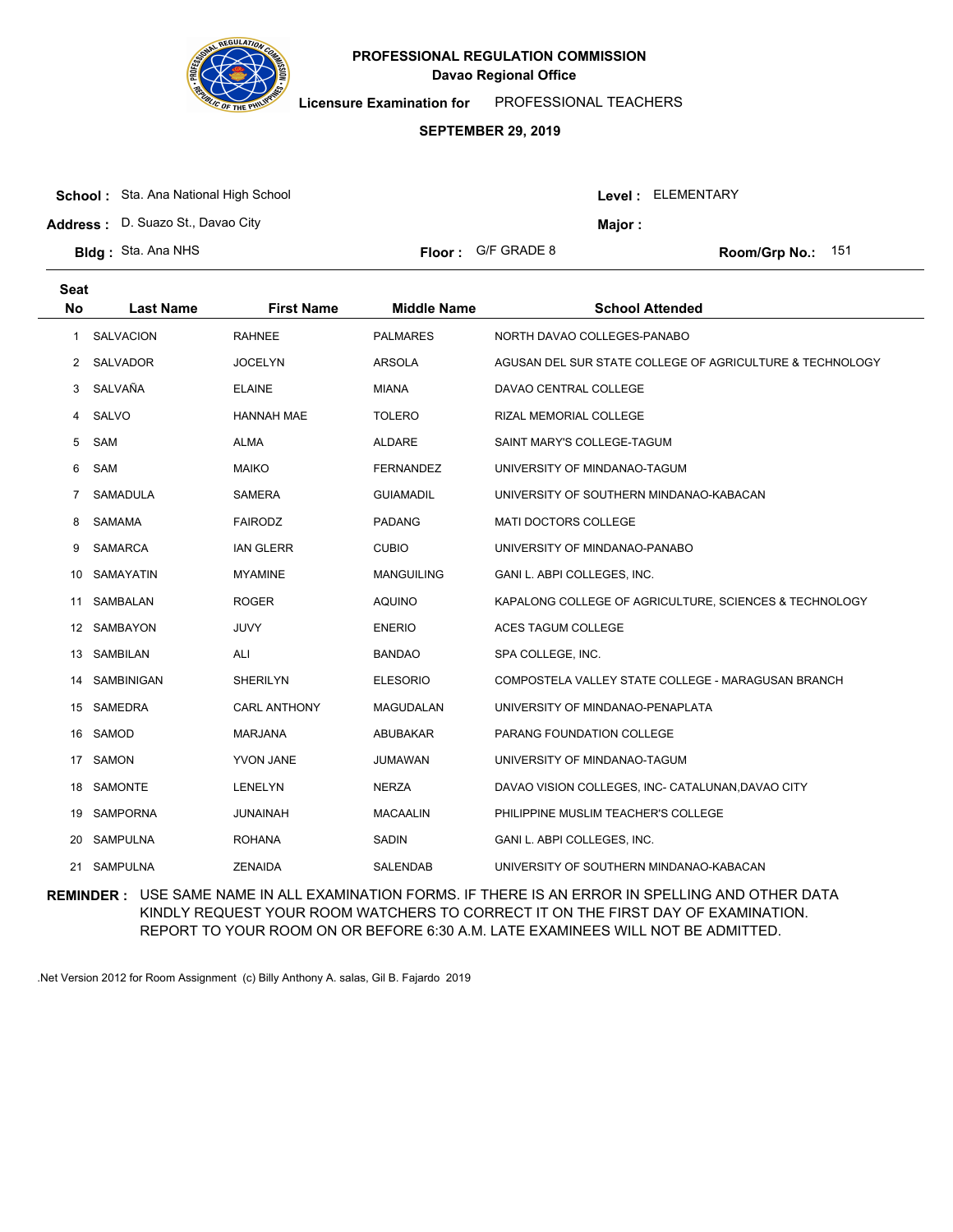

**Licensure Examination for**  PROFESSIONAL TEACHERS

### **SEPTEMBER 29, 2019**

| <b>School:</b> Sta. Ana National High School |                | Level: ELEMENTARY |
|----------------------------------------------|----------------|-------------------|
| <b>Address:</b> D. Suazo St., Davao Citv     | <b>Maior</b> : |                   |

**Bldg : Floor : Room/Grp No.:** Sta. Ana NHS

Floor: G/F GRADE 8 151

| Seat<br><b>No</b> | <b>Last Name</b> | <b>First Name</b>   | <b>Middle Name</b> | <b>School Attended</b>                                   |
|-------------------|------------------|---------------------|--------------------|----------------------------------------------------------|
| 1                 | <b>SALVACION</b> | <b>RAHNEE</b>       | <b>PALMARES</b>    | NORTH DAVAO COLLEGES-PANABO                              |
| $2^{\circ}$       | <b>SALVADOR</b>  | <b>JOCELYN</b>      | <b>ARSOLA</b>      | AGUSAN DEL SUR STATE COLLEGE OF AGRICULTURE & TECHNOLOGY |
| 3                 | SALVAÑA          | <b>ELAINE</b>       | <b>MIANA</b>       | DAVAO CENTRAL COLLEGE                                    |
| 4                 | SALVO            | <b>HANNAH MAE</b>   | <b>TOLERO</b>      | RIZAL MEMORIAL COLLEGE                                   |
| 5                 | SAM              | <b>ALMA</b>         | ALDARE             | SAINT MARY'S COLLEGE-TAGUM                               |
| 6                 | SAM              | <b>MAIKO</b>        | <b>FERNANDEZ</b>   | UNIVERSITY OF MINDANAO-TAGUM                             |
| 7                 | <b>SAMADULA</b>  | <b>SAMERA</b>       | <b>GUIAMADIL</b>   | UNIVERSITY OF SOUTHERN MINDANAO-KABACAN                  |
| 8                 | <b>SAMAMA</b>    | <b>FAIRODZ</b>      | <b>PADANG</b>      | MATI DOCTORS COLLEGE                                     |
| 9                 | <b>SAMARCA</b>   | <b>IAN GLERR</b>    | <b>CUBIO</b>       | UNIVERSITY OF MINDANAO-PANABO                            |
| 10                | <b>SAMAYATIN</b> | <b>MYAMINE</b>      | <b>MANGUILING</b>  | GANI L. ABPI COLLEGES, INC.                              |
| 11                | <b>SAMBALAN</b>  | <b>ROGER</b>        | <b>AQUINO</b>      | KAPALONG COLLEGE OF AGRICULTURE, SCIENCES & TECHNOLOGY   |
|                   | 12 SAMBAYON      | <b>JUVY</b>         | <b>ENERIO</b>      | <b>ACES TAGUM COLLEGE</b>                                |
| 13                | SAMBILAN         | ALI                 | <b>BANDAO</b>      | SPA COLLEGE, INC.                                        |
| 14                | SAMBINIGAN       | <b>SHERILYN</b>     | <b>ELESORIO</b>    | COMPOSTELA VALLEY STATE COLLEGE - MARAGUSAN BRANCH       |
|                   | 15 SAMEDRA       | <b>CARL ANTHONY</b> | MAGUDALAN          | UNIVERSITY OF MINDANAO-PENAPLATA                         |
| 16                | SAMOD            | <b>MARJANA</b>      | ABUBAKAR           | PARANG FOUNDATION COLLEGE                                |
| 17                | <b>SAMON</b>     | <b>YVON JANE</b>    | JUMAWAN            | UNIVERSITY OF MINDANAO-TAGUM                             |
|                   | 18 SAMONTE       | <b>LENELYN</b>      | <b>NERZA</b>       | DAVAO VISION COLLEGES, INC- CATALUNAN, DAVAO CITY        |
| 19                | <b>SAMPORNA</b>  | <b>JUNAINAH</b>     | <b>MACAALIN</b>    | PHILIPPINE MUSLIM TEACHER'S COLLEGE                      |
| 20                | <b>SAMPULNA</b>  | <b>ROHANA</b>       | SADIN              | GANI L. ABPI COLLEGES, INC.                              |
| 21                | <b>SAMPULNA</b>  | <b>ZENAIDA</b>      | SALENDAB           | UNIVERSITY OF SOUTHERN MINDANAO-KABACAN                  |

**REMINDER :** USE SAME NAME IN ALL EXAMINATION FORMS. IF THERE IS AN ERROR IN SPELLING AND OTHER DATA KINDLY REQUEST YOUR ROOM WATCHERS TO CORRECT IT ON THE FIRST DAY OF EXAMINATION. REPORT TO YOUR ROOM ON OR BEFORE 6:30 A.M. LATE EXAMINEES WILL NOT BE ADMITTED.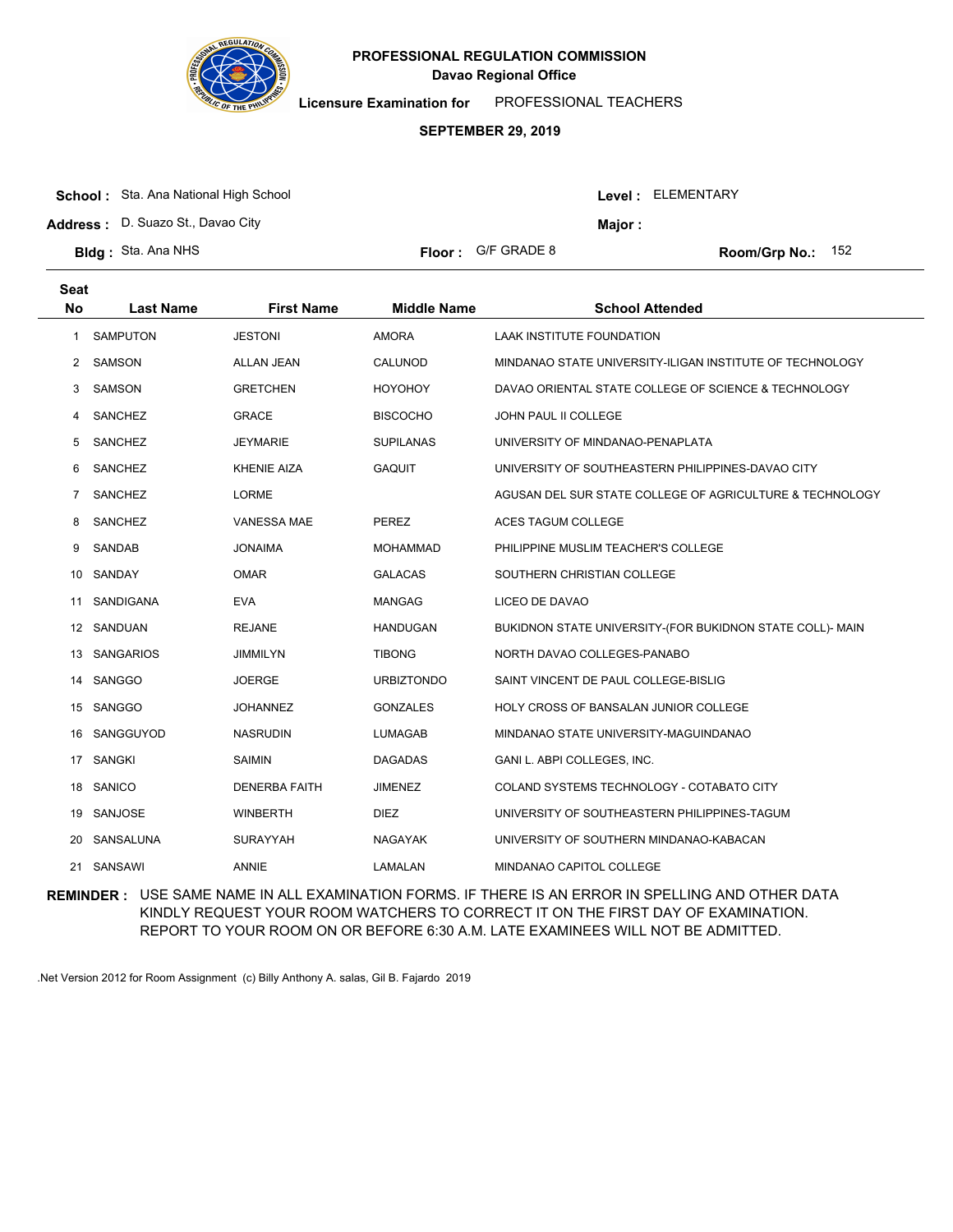

**Licensure Examination for**  PROFESSIONAL TEACHERS

#### **SEPTEMBER 29, 2019**

| <b>School:</b> Sta. Ana National High School |                             |         | <b>Level: ELEMENTARY</b>   |
|----------------------------------------------|-----------------------------|---------|----------------------------|
| <b>Address:</b> D. Suazo St., Davao City     |                             | Maior : |                            |
| <b>Bldg:</b> Sta. Ana NHS                    | <b>Floor:</b> $G/F$ GRADE 8 |         | <b>Room/Grp No.:</b> $152$ |

| <b>Seat</b><br><b>No</b> | <b>Last Name</b> | <b>First Name</b>    | <b>Middle Name</b> | <b>School Attended</b>                                    |
|--------------------------|------------------|----------------------|--------------------|-----------------------------------------------------------|
| 1                        | SAMPUTON         | <b>JESTONI</b>       | <b>AMORA</b>       | <b>LAAK INSTITUTE FOUNDATION</b>                          |
| 2                        | <b>SAMSON</b>    | <b>ALLAN JEAN</b>    | CALUNOD            | MINDANAO STATE UNIVERSITY-ILIGAN INSTITUTE OF TECHNOLOGY  |
| 3                        | SAMSON           | <b>GRETCHEN</b>      | <b>HOYOHOY</b>     | DAVAO ORIENTAL STATE COLLEGE OF SCIENCE & TECHNOLOGY      |
| 4                        | SANCHEZ          | <b>GRACE</b>         | <b>BISCOCHO</b>    | JOHN PAUL II COLLEGE                                      |
| 5                        | SANCHEZ          | <b>JEYMARIE</b>      | <b>SUPILANAS</b>   | UNIVERSITY OF MINDANAO-PENAPLATA                          |
| 6                        | SANCHEZ          | <b>KHENIE AIZA</b>   | <b>GAQUIT</b>      | UNIVERSITY OF SOUTHEASTERN PHILIPPINES-DAVAO CITY         |
| 7                        | SANCHEZ          | <b>LORME</b>         |                    | AGUSAN DEL SUR STATE COLLEGE OF AGRICULTURE & TECHNOLOGY  |
| 8                        | SANCHEZ          | VANESSA MAE          | PEREZ              | ACES TAGUM COLLEGE                                        |
| 9                        | SANDAB           | <b>JONAIMA</b>       | <b>MOHAMMAD</b>    | PHILIPPINE MUSLIM TEACHER'S COLLEGE                       |
| 10                       | SANDAY           | <b>OMAR</b>          | <b>GALACAS</b>     | SOUTHERN CHRISTIAN COLLEGE                                |
| 11                       | SANDIGANA        | <b>EVA</b>           | <b>MANGAG</b>      | LICEO DE DAVAO                                            |
|                          | 12 SANDUAN       | <b>REJANE</b>        | <b>HANDUGAN</b>    | BUKIDNON STATE UNIVERSITY-(FOR BUKIDNON STATE COLL)- MAIN |
| 13                       | <b>SANGARIOS</b> | <b>JIMMILYN</b>      | <b>TIBONG</b>      | NORTH DAVAO COLLEGES-PANABO                               |
| 14                       | SANGGO           | <b>JOERGE</b>        | <b>URBIZTONDO</b>  | SAINT VINCENT DE PAUL COLLEGE-BISLIG                      |
| 15                       | SANGGO           | <b>JOHANNEZ</b>      | <b>GONZALES</b>    | HOLY CROSS OF BANSALAN JUNIOR COLLEGE                     |
| 16                       | SANGGUYOD        | <b>NASRUDIN</b>      | LUMAGAB            | MINDANAO STATE UNIVERSITY-MAGUINDANAO                     |
| 17                       | <b>SANGKI</b>    | <b>SAIMIN</b>        | <b>DAGADAS</b>     | GANI L. ABPI COLLEGES, INC.                               |
| 18                       | SANICO           | <b>DENERBA FAITH</b> | <b>JIMENEZ</b>     | COLAND SYSTEMS TECHNOLOGY - COTABATO CITY                 |
| 19                       | SANJOSE          | <b>WINBERTH</b>      | <b>DIEZ</b>        | UNIVERSITY OF SOUTHEASTERN PHILIPPINES-TAGUM              |
| 20                       | SANSALUNA        | <b>SURAYYAH</b>      | NAGAYAK            | UNIVERSITY OF SOUTHERN MINDANAO-KABACAN                   |
| 21                       | SANSAWI          | ANNIE                | LAMALAN            | MINDANAO CAPITOL COLLEGE                                  |

**REMINDER :** USE SAME NAME IN ALL EXAMINATION FORMS. IF THERE IS AN ERROR IN SPELLING AND OTHER DATA KINDLY REQUEST YOUR ROOM WATCHERS TO CORRECT IT ON THE FIRST DAY OF EXAMINATION. REPORT TO YOUR ROOM ON OR BEFORE 6:30 A.M. LATE EXAMINEES WILL NOT BE ADMITTED.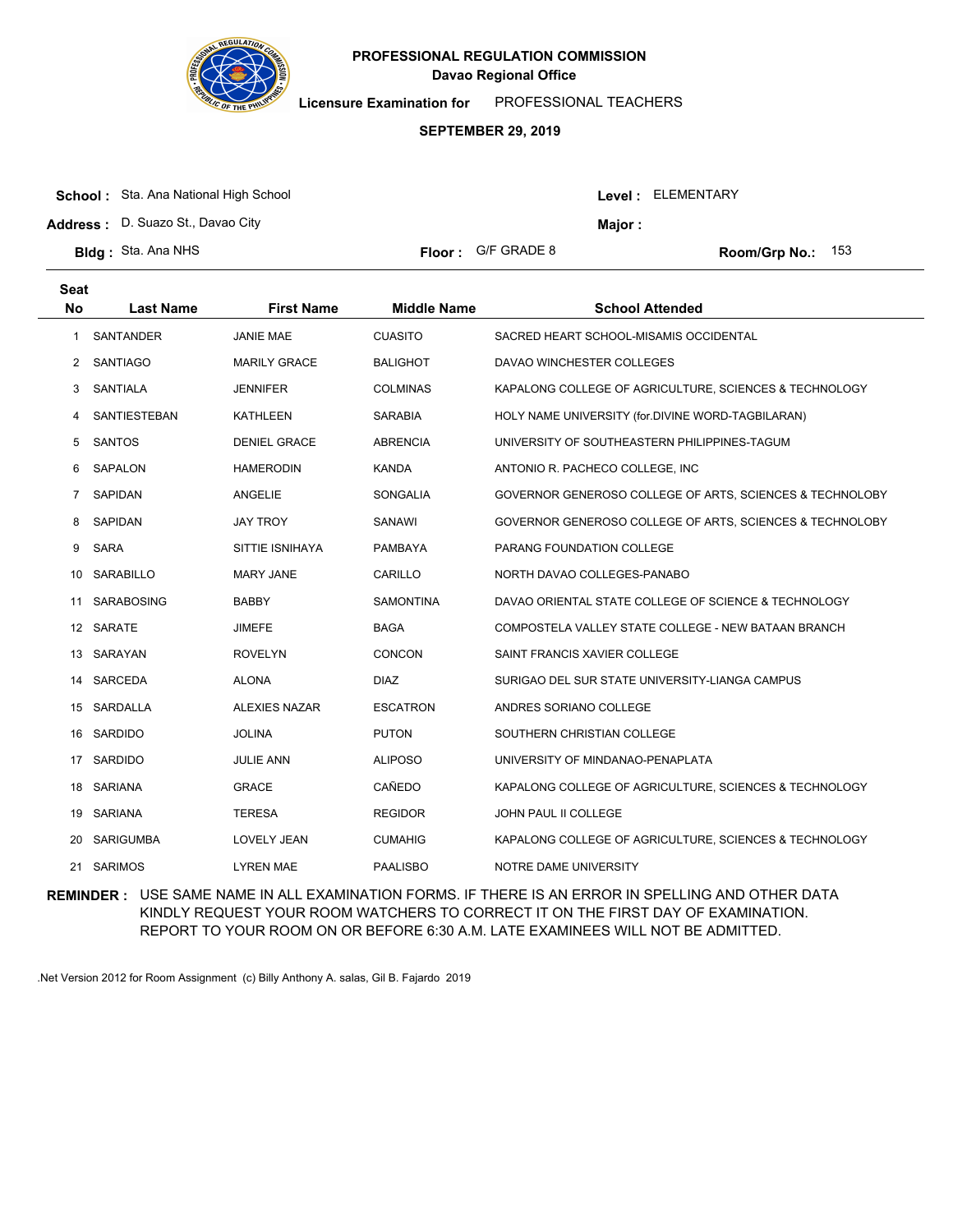

**Licensure Examination for**  PROFESSIONAL TEACHERS

### **SEPTEMBER 29, 2019**

| <b>School:</b> Sta. Ana National High School |  |
|----------------------------------------------|--|
|                                              |  |

**Address :** D. Suazo St., Davao City

| <b>Bldg: Sta. Ana NHS</b> |  | <b>Floor:</b> G/F GRADE 8 |
|---------------------------|--|---------------------------|
|---------------------------|--|---------------------------|

**Seat**

| $\bigcap_{n\in\mathbb{N}}$ |  |  |
|----------------------------|--|--|

Room/Grp No.: 153

Level : ELEMENTARY

**Major :**

| əual                 |                     |                      |                    |                                                          |
|----------------------|---------------------|----------------------|--------------------|----------------------------------------------------------|
| <b>No</b>            | <b>Last Name</b>    | <b>First Name</b>    | <b>Middle Name</b> | <b>School Attended</b>                                   |
| 1.                   | SANTANDER           | <b>JANIE MAE</b>     | <b>CUASITO</b>     | SACRED HEART SCHOOL-MISAMIS OCCIDENTAL                   |
| $\mathbf{2}^{\circ}$ | <b>SANTIAGO</b>     | <b>MARILY GRACE</b>  | BALIGHOT           | DAVAO WINCHESTER COLLEGES                                |
| 3                    | SANTIALA            | <b>JENNIFER</b>      | <b>COLMINAS</b>    | KAPALONG COLLEGE OF AGRICULTURE, SCIENCES & TECHNOLOGY   |
| 4                    | <b>SANTIESTEBAN</b> | KATHLEEN             | SARABIA            | HOLY NAME UNIVERSITY (for.DIVINE WORD-TAGBILARAN)        |
| 5                    | SANTOS              | <b>DENIEL GRACE</b>  | <b>ABRENCIA</b>    | UNIVERSITY OF SOUTHEASTERN PHILIPPINES-TAGUM             |
| 6                    | SAPALON             | <b>HAMERODIN</b>     | <b>KANDA</b>       | ANTONIO R. PACHECO COLLEGE, INC                          |
| 7                    | <b>SAPIDAN</b>      | ANGELIE              | <b>SONGALIA</b>    | GOVERNOR GENEROSO COLLEGE OF ARTS, SCIENCES & TECHNOLOBY |
| 8                    | SAPIDAN             | <b>JAY TROY</b>      | SANAWI             | GOVERNOR GENEROSO COLLEGE OF ARTS, SCIENCES & TECHNOLOBY |
| 9                    | <b>SARA</b>         | SITTIE ISNIHAYA      | <b>PAMBAYA</b>     | PARANG FOUNDATION COLLEGE                                |
| 10                   | <b>SARABILLO</b>    | <b>MARY JANE</b>     | CARILLO            | NORTH DAVAO COLLEGES-PANABO                              |
| 11                   | <b>SARABOSING</b>   | <b>BABBY</b>         | SAMONTINA          | DAVAO ORIENTAL STATE COLLEGE OF SCIENCE & TECHNOLOGY     |
|                      | 12 SARATE           | <b>JIMEFE</b>        | <b>BAGA</b>        | COMPOSTELA VALLEY STATE COLLEGE - NEW BATAAN BRANCH      |
| 13                   | SARAYAN             | <b>ROVELYN</b>       | <b>CONCON</b>      | SAINT FRANCIS XAVIER COLLEGE                             |
| 14                   | SARCEDA             | <b>ALONA</b>         | <b>DIAZ</b>        | SURIGAO DEL SUR STATE UNIVERSITY-LIANGA CAMPUS           |
| 15                   | SARDALLA            | <b>ALEXIES NAZAR</b> | <b>ESCATRON</b>    | ANDRES SORIANO COLLEGE                                   |
| 16.                  | SARDIDO             | <b>JOLINA</b>        | <b>PUTON</b>       | SOUTHERN CHRISTIAN COLLEGE                               |
| 17                   | SARDIDO             | <b>JULIE ANN</b>     | <b>ALIPOSO</b>     | UNIVERSITY OF MINDANAO-PENAPLATA                         |
| 18                   | SARIANA             | <b>GRACE</b>         | CAÑEDO             | KAPALONG COLLEGE OF AGRICULTURE, SCIENCES & TECHNOLOGY   |
|                      | 19 SARIANA          | <b>TERESA</b>        | <b>REGIDOR</b>     | JOHN PAUL II COLLEGE                                     |
| 20                   | <b>SARIGUMBA</b>    | <b>LOVELY JEAN</b>   | <b>CUMAHIG</b>     | KAPALONG COLLEGE OF AGRICULTURE, SCIENCES & TECHNOLOGY   |
| 21                   | <b>SARIMOS</b>      | <b>LYREN MAE</b>     | <b>PAALISBO</b>    | NOTRE DAME UNIVERSITY                                    |

**REMINDER :** USE SAME NAME IN ALL EXAMINATION FORMS. IF THERE IS AN ERROR IN SPELLING AND OTHER DATA KINDLY REQUEST YOUR ROOM WATCHERS TO CORRECT IT ON THE FIRST DAY OF EXAMINATION. REPORT TO YOUR ROOM ON OR BEFORE 6:30 A.M. LATE EXAMINEES WILL NOT BE ADMITTED.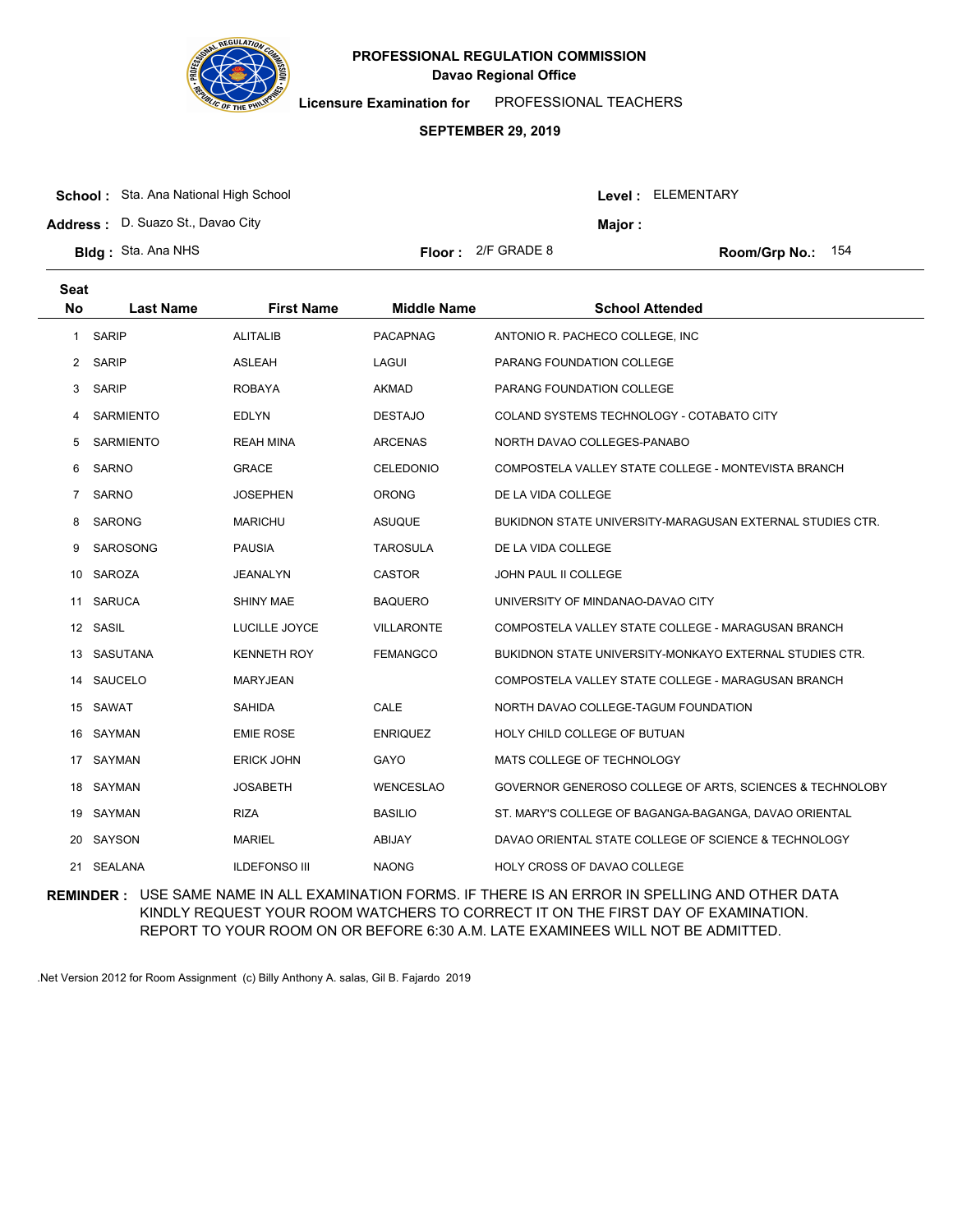

**Licensure Examination for**  PROFESSIONAL TEACHERS

### **SEPTEMBER 29, 2019**

|  | <b>School:</b> Sta. Ana National High School |
|--|----------------------------------------------|
|--|----------------------------------------------|

**Address :** D. Suazo St., Davao City

| <b>3Idg:</b> Sta. Ana NHS |  |  |  |
|---------------------------|--|--|--|
|---------------------------|--|--|--|

| or : | 2/F GRADE 8 |
|------|-------------|
|------|-------------|

**Bldg : Floor : Room/Grp No.:** 2/F GRADE 8 154

Level : ELEMENTARY

**Major :**

| <b>Seat</b>    |                  |                      |                    |                                                                |
|----------------|------------------|----------------------|--------------------|----------------------------------------------------------------|
| <b>No</b>      | <b>Last Name</b> | <b>First Name</b>    | <b>Middle Name</b> | <b>School Attended</b>                                         |
| $\mathbf{1}$   | <b>SARIP</b>     | <b>ALITALIB</b>      | <b>PACAPNAG</b>    | ANTONIO R. PACHECO COLLEGE, INC.                               |
| 2              | <b>SARIP</b>     | <b>ASLEAH</b>        | LAGUI              | PARANG FOUNDATION COLLEGE                                      |
| 3              | <b>SARIP</b>     | <b>ROBAYA</b>        | <b>AKMAD</b>       | PARANG FOUNDATION COLLEGE                                      |
| 4              | <b>SARMIENTO</b> | <b>EDLYN</b>         | <b>DESTAJO</b>     | COLAND SYSTEMS TECHNOLOGY - COTABATO CITY                      |
| 5              | <b>SARMIENTO</b> | <b>REAH MINA</b>     | <b>ARCENAS</b>     | NORTH DAVAO COLLEGES-PANABO                                    |
| 6              | SARNO            | <b>GRACE</b>         | <b>CELEDONIO</b>   | COMPOSTELA VALLEY STATE COLLEGE - MONTEVISTA BRANCH            |
| $\overline{7}$ | <b>SARNO</b>     | JOSEPHEN             | <b>ORONG</b>       | DE LA VIDA COLLEGE                                             |
| 8              | <b>SARONG</b>    | <b>MARICHU</b>       | <b>ASUQUE</b>      | BUKIDNON STATE UNIVERSITY-MARAGUSAN EXTERNAL STUDIES CTR.      |
| 9              | <b>SAROSONG</b>  | <b>PAUSIA</b>        | <b>TAROSULA</b>    | DE LA VIDA COLLEGE                                             |
|                | 10 SAROZA        | <b>JEANALYN</b>      | <b>CASTOR</b>      | JOHN PAUL II COLLEGE                                           |
| 11             | <b>SARUCA</b>    | <b>SHINY MAE</b>     | <b>BAQUERO</b>     | UNIVERSITY OF MINDANAO-DAVAO CITY                              |
|                | 12 SASIL         | LUCILLE JOYCE        | <b>VILLARONTE</b>  | COMPOSTELA VALLEY STATE COLLEGE - MARAGUSAN BRANCH             |
|                | 13 SASUTANA      | <b>KENNETH ROY</b>   | <b>FEMANGCO</b>    | <b>BUKIDNON STATE UNIVERSITY-MONKAYO EXTERNAL STUDIES CTR.</b> |
|                | 14 SAUCELO       | <b>MARYJEAN</b>      |                    | COMPOSTELA VALLEY STATE COLLEGE - MARAGUSAN BRANCH             |
|                | 15 SAWAT         | <b>SAHIDA</b>        | CALE               | NORTH DAVAO COLLEGE-TAGUM FOUNDATION                           |
|                | 16 SAYMAN        | <b>EMIE ROSE</b>     | <b>ENRIQUEZ</b>    | HOLY CHILD COLLEGE OF BUTUAN                                   |
| 17             | SAYMAN           | <b>ERICK JOHN</b>    | <b>GAYO</b>        | MATS COLLEGE OF TECHNOLOGY                                     |
|                | 18 SAYMAN        | <b>JOSABETH</b>      | <b>WENCESLAO</b>   | GOVERNOR GENEROSO COLLEGE OF ARTS, SCIENCES & TECHNOLOBY       |
|                | 19 SAYMAN        | <b>RIZA</b>          | <b>BASILIO</b>     | ST. MARY'S COLLEGE OF BAGANGA-BAGANGA, DAVAO ORIENTAL          |
|                | 20 SAYSON        | <b>MARIEL</b>        | ABIJAY             | DAVAO ORIENTAL STATE COLLEGE OF SCIENCE & TECHNOLOGY           |
|                | 21 SEALANA       | <b>ILDEFONSO III</b> | <b>NAONG</b>       | HOLY CROSS OF DAVAO COLLEGE                                    |
|                |                  |                      |                    |                                                                |

**REMINDER :** USE SAME NAME IN ALL EXAMINATION FORMS. IF THERE IS AN ERROR IN SPELLING AND OTHER DATA KINDLY REQUEST YOUR ROOM WATCHERS TO CORRECT IT ON THE FIRST DAY OF EXAMINATION. REPORT TO YOUR ROOM ON OR BEFORE 6:30 A.M. LATE EXAMINEES WILL NOT BE ADMITTED.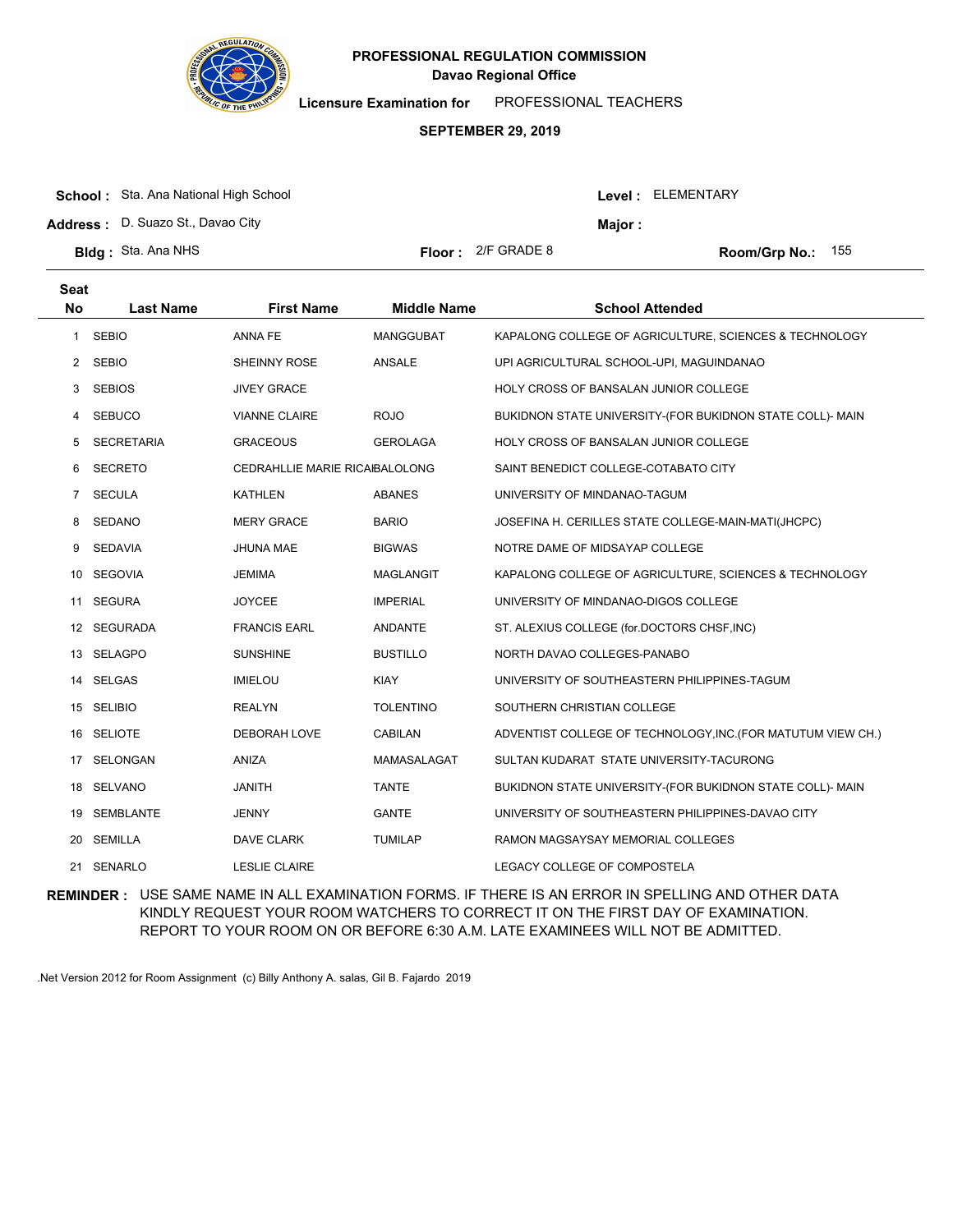

**Licensure Examination for**  PROFESSIONAL TEACHERS

### **SEPTEMBER 29, 2019**

| <b>School:</b> Sta. Ana National High School |                             |        | Level: ELEMENTARY          |
|----------------------------------------------|-----------------------------|--------|----------------------------|
| <b>Address:</b> D. Suazo St., Davao City     |                             | Major: |                            |
| <b>Bldg:</b> Sta. Ana NHS                    | <b>Floor:</b> $2/F$ GRADE 8 |        | <b>Room/Grp No.:</b> $155$ |

| <b>Seat</b><br><b>No</b> | <b>Last Name</b>  | <b>First Name</b>                     | <b>Middle Name</b> | <b>School Attended</b>                                       |
|--------------------------|-------------------|---------------------------------------|--------------------|--------------------------------------------------------------|
| $\mathbf{1}$             | <b>SEBIO</b>      | ANNA FE                               | MANGGUBAT          | KAPALONG COLLEGE OF AGRICULTURE, SCIENCES & TECHNOLOGY       |
|                          | 2 SEBIO           | <b>SHEINNY ROSE</b>                   | ANSALE             | UPI AGRICULTURAL SCHOOL-UPI, MAGUINDANAO                     |
| 3                        | <b>SEBIOS</b>     | <b>JIVEY GRACE</b>                    |                    | <b>HOLY CROSS OF BANSALAN JUNIOR COLLEGE</b>                 |
| 4                        | <b>SEBUCO</b>     | <b>VIANNE CLAIRE</b>                  | <b>ROJO</b>        | BUKIDNON STATE UNIVERSITY-(FOR BUKIDNON STATE COLL)- MAIN    |
| 5                        | <b>SECRETARIA</b> | <b>GRACEOUS</b>                       | <b>GEROLAGA</b>    | <b>HOLY CROSS OF BANSALAN JUNIOR COLLEGE</b>                 |
| 6                        | <b>SECRETO</b>    | <b>CEDRAHLLIE MARIE RICAIBALOLONG</b> |                    | SAINT BENEDICT COLLEGE-COTABATO CITY                         |
| 7                        | <b>SECULA</b>     | KATHLEN                               | <b>ABANES</b>      | UNIVERSITY OF MINDANAO-TAGUM                                 |
| 8                        | <b>SEDANO</b>     | <b>MERY GRACE</b>                     | <b>BARIO</b>       | JOSEFINA H. CERILLES STATE COLLEGE-MAIN-MATI(JHCPC)          |
| 9                        | <b>SEDAVIA</b>    | JHUNA MAE                             | <b>BIGWAS</b>      | NOTRE DAME OF MIDSAYAP COLLEGE                               |
|                          | 10 SEGOVIA        | <b>JEMIMA</b>                         | <b>MAGLANGIT</b>   | KAPALONG COLLEGE OF AGRICULTURE, SCIENCES & TECHNOLOGY       |
| 11                       | <b>SEGURA</b>     | <b>JOYCEE</b>                         | <b>IMPERIAL</b>    | UNIVERSITY OF MINDANAO-DIGOS COLLEGE                         |
|                          | 12 SEGURADA       | <b>FRANCIS EARL</b>                   | <b>ANDANTE</b>     | ST. ALEXIUS COLLEGE (for.DOCTORS CHSF, INC)                  |
|                          | 13 SELAGPO        | <b>SUNSHINE</b>                       | <b>BUSTILLO</b>    | NORTH DAVAO COLLEGES-PANABO                                  |
|                          | 14 SELGAS         | <b>IMIELOU</b>                        | <b>KIAY</b>        | UNIVERSITY OF SOUTHEASTERN PHILIPPINES-TAGUM                 |
|                          | 15 SELIBIO        | <b>REALYN</b>                         | <b>TOLENTINO</b>   | SOUTHERN CHRISTIAN COLLEGE                                   |
|                          | 16 SELIOTE        | <b>DEBORAH LOVE</b>                   | <b>CABILAN</b>     | ADVENTIST COLLEGE OF TECHNOLOGY, INC. (FOR MATUTUM VIEW CH.) |
| 17                       | <b>SELONGAN</b>   | <b>ANIZA</b>                          | MAMASALAGAT        | SULTAN KUDARAT STATE UNIVERSITY-TACURONG                     |
|                          | 18 SELVANO        | <b>JANITH</b>                         | <b>TANTE</b>       | BUKIDNON STATE UNIVERSITY-(FOR BUKIDNON STATE COLL)- MAIN    |
| 19                       | SEMBLANTE         | <b>JENNY</b>                          | <b>GANTE</b>       | UNIVERSITY OF SOUTHEASTERN PHILIPPINES-DAVAO CITY            |
| 20                       | <b>SEMILLA</b>    | DAVE CLARK                            | <b>TUMILAP</b>     | RAMON MAGSAYSAY MEMORIAL COLLEGES                            |
| 21                       | SENARLO           | <b>LESLIE CLAIRE</b>                  |                    | LEGACY COLLEGE OF COMPOSTELA                                 |

**REMINDER :** USE SAME NAME IN ALL EXAMINATION FORMS. IF THERE IS AN ERROR IN SPELLING AND OTHER DATA KINDLY REQUEST YOUR ROOM WATCHERS TO CORRECT IT ON THE FIRST DAY OF EXAMINATION. REPORT TO YOUR ROOM ON OR BEFORE 6:30 A.M. LATE EXAMINEES WILL NOT BE ADMITTED.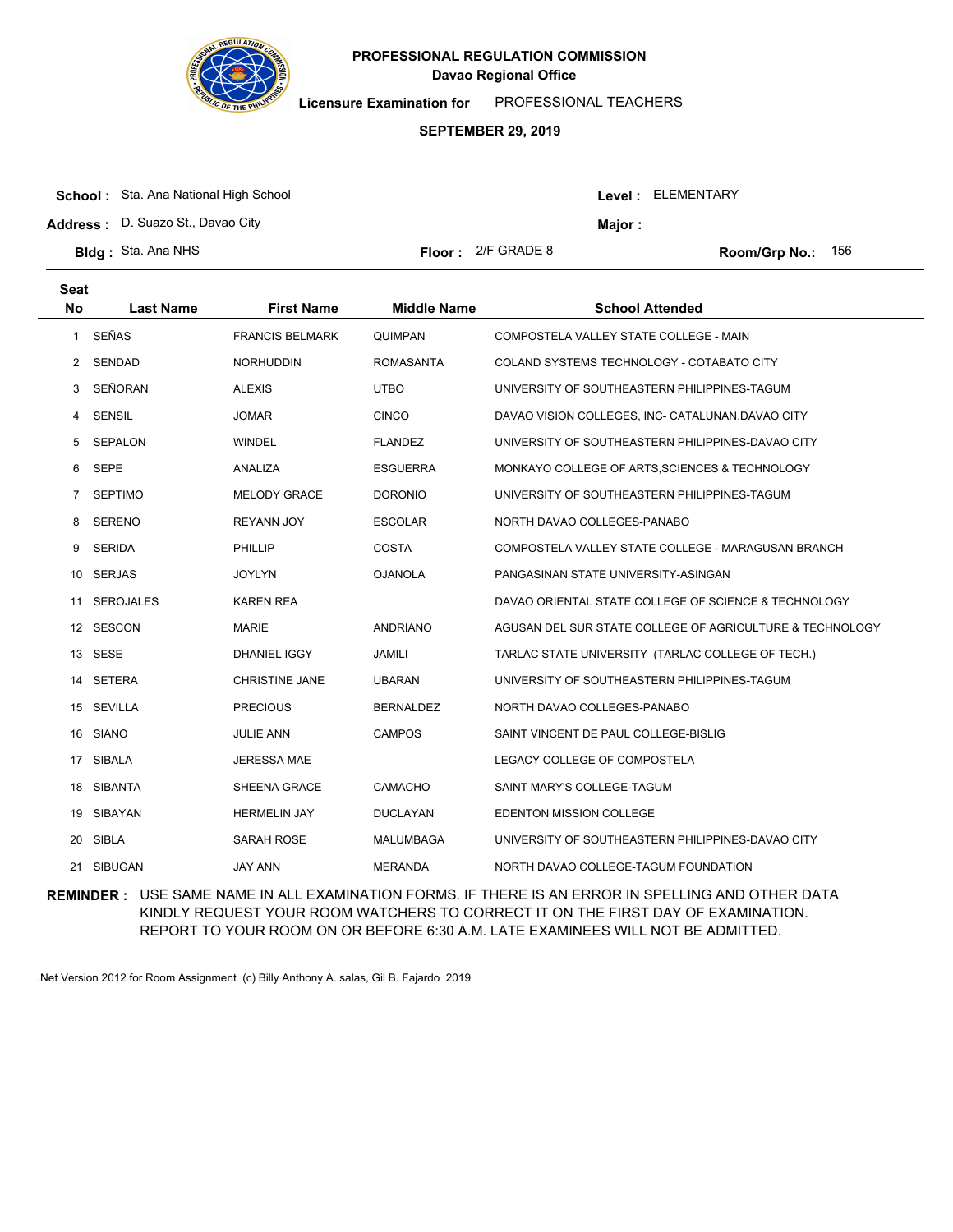

**Licensure Examination for**  PROFESSIONAL TEACHERS

### **SEPTEMBER 29, 2019**

|  | <b>School:</b> Sta. Ana National High School |
|--|----------------------------------------------|
|--|----------------------------------------------|

**Address :** D. Suazo St., Davao City

**Bldg : Floor : Room/Grp No.:** Sta. Ana NHS

**Seat**

Floor: 2/F GRADE 8 **156 Room/Grp No.: 156** 

Level : ELEMENTARY

**Major :**

| əeat           |                  |                        |                    |                                                          |
|----------------|------------------|------------------------|--------------------|----------------------------------------------------------|
| No             | <b>Last Name</b> | <b>First Name</b>      | <b>Middle Name</b> | <b>School Attended</b>                                   |
| $\mathbf{1}$   | SEÑAS            | <b>FRANCIS BELMARK</b> | <b>QUIMPAN</b>     | COMPOSTELA VALLEY STATE COLLEGE - MAIN                   |
| $2^{\circ}$    | <b>SENDAD</b>    | <b>NORHUDDIN</b>       | <b>ROMASANTA</b>   | COLAND SYSTEMS TECHNOLOGY - COTABATO CITY                |
| 3              | SEÑORAN          | <b>ALEXIS</b>          | <b>UTBO</b>        | UNIVERSITY OF SOUTHEASTERN PHILIPPINES-TAGUM             |
| 4              | <b>SENSIL</b>    | <b>JOMAR</b>           | <b>CINCO</b>       | DAVAO VISION COLLEGES, INC- CATALUNAN, DAVAO CITY        |
| 5              | SEPALON          | <b>WINDEL</b>          | <b>FLANDEZ</b>     | UNIVERSITY OF SOUTHEASTERN PHILIPPINES-DAVAO CITY        |
| 6              | <b>SEPE</b>      | ANALIZA                | <b>ESGUERRA</b>    | MONKAYO COLLEGE OF ARTS, SCIENCES & TECHNOLOGY           |
| $\overline{7}$ | <b>SEPTIMO</b>   | <b>MELODY GRACE</b>    | <b>DORONIO</b>     | UNIVERSITY OF SOUTHEASTERN PHILIPPINES-TAGUM             |
| 8              | <b>SERENO</b>    | <b>REYANN JOY</b>      | <b>ESCOLAR</b>     | NORTH DAVAO COLLEGES-PANABO                              |
| 9              | <b>SERIDA</b>    | <b>PHILLIP</b>         | COSTA              | COMPOSTELA VALLEY STATE COLLEGE - MARAGUSAN BRANCH       |
| 10             | <b>SERJAS</b>    | <b>JOYLYN</b>          | <b>OJANOLA</b>     | PANGASINAN STATE UNIVERSITY-ASINGAN                      |
| 11             | <b>SEROJALES</b> | <b>KAREN REA</b>       |                    | DAVAO ORIENTAL STATE COLLEGE OF SCIENCE & TECHNOLOGY     |
|                | 12 SESCON        | <b>MARIE</b>           | <b>ANDRIANO</b>    | AGUSAN DEL SUR STATE COLLEGE OF AGRICULTURE & TECHNOLOGY |
|                | 13 SESE          | DHANIEL IGGY           | <b>JAMILI</b>      | TARLAC STATE UNIVERSITY (TARLAC COLLEGE OF TECH.)        |
| 14             | SETERA           | <b>CHRISTINE JANE</b>  | <b>UBARAN</b>      | UNIVERSITY OF SOUTHEASTERN PHILIPPINES-TAGUM             |
|                | 15 SEVILLA       | <b>PRECIOUS</b>        | <b>BERNALDEZ</b>   | NORTH DAVAO COLLEGES-PANABO                              |
|                | 16 SIANO         | <b>JULIE ANN</b>       | <b>CAMPOS</b>      | SAINT VINCENT DE PAUL COLLEGE-BISLIG                     |
| 17             | <b>SIBALA</b>    | <b>JERESSA MAE</b>     |                    | LEGACY COLLEGE OF COMPOSTELA                             |
| 18             | SIBANTA          | SHEENA GRACE           | <b>CAMACHO</b>     | SAINT MARY'S COLLEGE-TAGUM                               |
| 19             | SIBAYAN          | <b>HERMELIN JAY</b>    | <b>DUCLAYAN</b>    | <b>EDENTON MISSION COLLEGE</b>                           |
| 20             | <b>SIBLA</b>     | SARAH ROSE             | MALUMBAGA          | UNIVERSITY OF SOUTHEASTERN PHILIPPINES-DAVAO CITY        |
|                | 21 SIBUGAN       | <b>JAY ANN</b>         | <b>MERANDA</b>     | NORTH DAVAO COLLEGE-TAGUM FOUNDATION                     |

**REMINDER :** USE SAME NAME IN ALL EXAMINATION FORMS. IF THERE IS AN ERROR IN SPELLING AND OTHER DATA KINDLY REQUEST YOUR ROOM WATCHERS TO CORRECT IT ON THE FIRST DAY OF EXAMINATION. REPORT TO YOUR ROOM ON OR BEFORE 6:30 A.M. LATE EXAMINEES WILL NOT BE ADMITTED.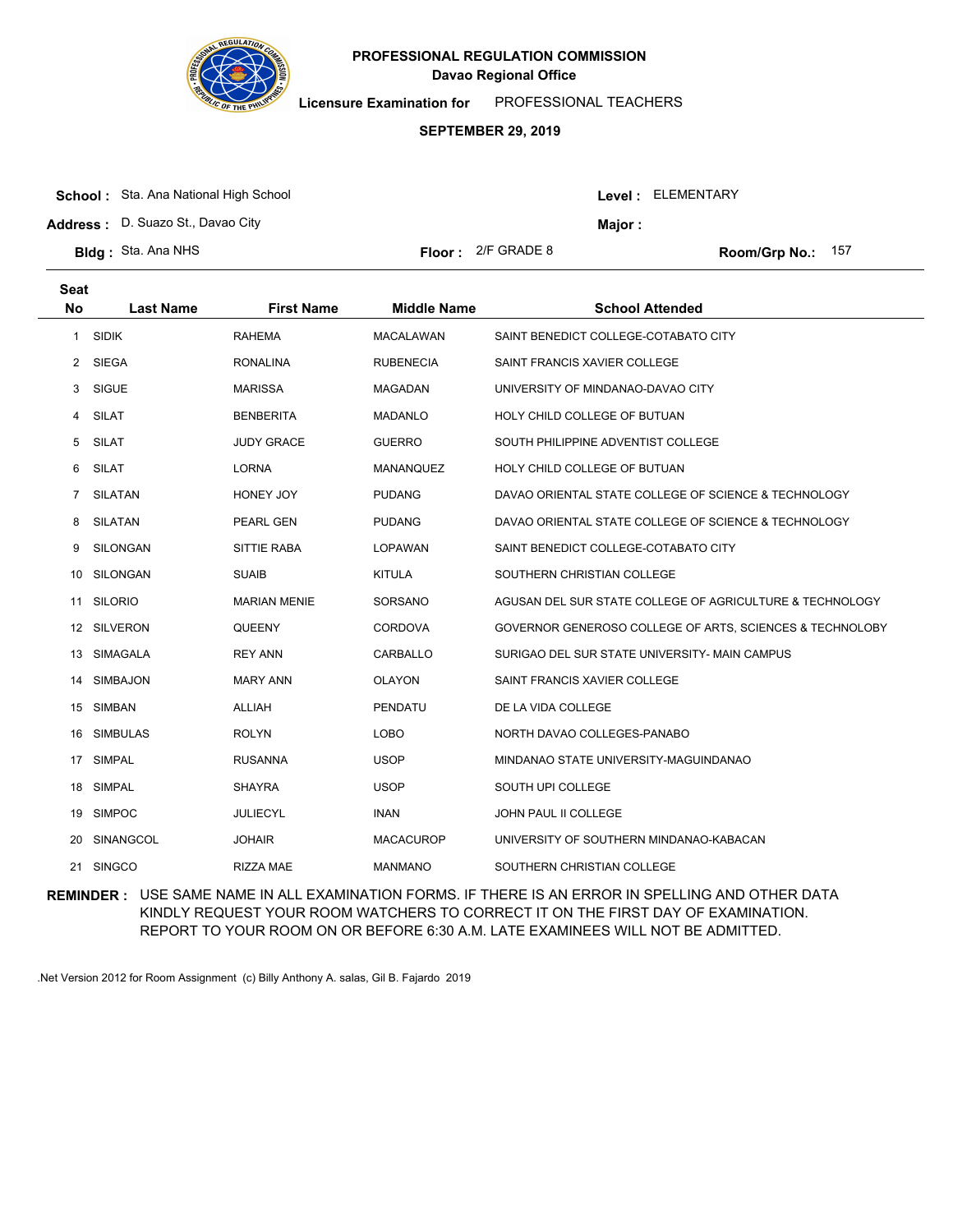

**Licensure Examination for**  PROFESSIONAL TEACHERS

### **SEPTEMBER 29, 2019**

**Address :** D. Suazo St., Davao City

| Level : | ELEMENTARY |
|---------|------------|
|---------|------------|

**Major :**

| <b>Floor:</b> $2/F$ GRADE 8<br><b>Bidg:</b> Sta. Ana NHS<br>Room/Grp No.: |
|---------------------------------------------------------------------------|
|---------------------------------------------------------------------------|

8 **Room/Grp No.: 157** 

| Seat<br><b>No</b> | <b>Last Name</b> | <b>First Name</b>   | <b>Middle Name</b> | <b>School Attended</b>                                   |
|-------------------|------------------|---------------------|--------------------|----------------------------------------------------------|
| 1                 | <b>SIDIK</b>     | <b>RAHEMA</b>       | <b>MACALAWAN</b>   | SAINT BENEDICT COLLEGE-COTABATO CITY                     |
|                   | 2 SIEGA          | <b>RONALINA</b>     | <b>RUBENECIA</b>   | SAINT FRANCIS XAVIER COLLEGE                             |
| 3                 | <b>SIGUE</b>     | <b>MARISSA</b>      | <b>MAGADAN</b>     | UNIVERSITY OF MINDANAO-DAVAO CITY                        |
| 4                 | SILAT            | <b>BENBERITA</b>    | <b>MADANLO</b>     | HOLY CHILD COLLEGE OF BUTUAN                             |
| 5                 | SILAT            | <b>JUDY GRACE</b>   | <b>GUERRO</b>      | SOUTH PHILIPPINE ADVENTIST COLLEGE                       |
| 6                 | <b>SILAT</b>     | <b>LORNA</b>        | <b>MANANQUEZ</b>   | HOLY CHILD COLLEGE OF BUTUAN                             |
| 7                 | <b>SILATAN</b>   | HONEY JOY           | <b>PUDANG</b>      | DAVAO ORIENTAL STATE COLLEGE OF SCIENCE & TECHNOLOGY     |
| 8                 | <b>SILATAN</b>   | PEARL GEN           | <b>PUDANG</b>      | DAVAO ORIENTAL STATE COLLEGE OF SCIENCE & TECHNOLOGY     |
| 9                 | SILONGAN         | SITTIE RABA         | <b>LOPAWAN</b>     | SAINT BENEDICT COLLEGE-COTABATO CITY                     |
| 10                | SILONGAN         | <b>SUAIB</b>        | <b>KITULA</b>      | SOUTHERN CHRISTIAN COLLEGE                               |
| 11                | <b>SILORIO</b>   | <b>MARIAN MENIE</b> | SORSANO            | AGUSAN DEL SUR STATE COLLEGE OF AGRICULTURE & TECHNOLOGY |
|                   | 12 SILVERON      | QUEENY              | CORDOVA            | GOVERNOR GENEROSO COLLEGE OF ARTS, SCIENCES & TECHNOLOBY |
| 13                | SIMAGALA         | <b>REY ANN</b>      | CARBALLO           | SURIGAO DEL SUR STATE UNIVERSITY- MAIN CAMPUS            |
| 14                | SIMBAJON         | <b>MARY ANN</b>     | <b>OLAYON</b>      | SAINT FRANCIS XAVIER COLLEGE                             |
|                   | 15 SIMBAN        | ALLIAH              | <b>PENDATU</b>     | DE LA VIDA COLLEGE                                       |
| 16                | <b>SIMBULAS</b>  | <b>ROLYN</b>        | <b>LOBO</b>        | NORTH DAVAO COLLEGES-PANABO                              |
| 17                | <b>SIMPAL</b>    | <b>RUSANNA</b>      | <b>USOP</b>        | MINDANAO STATE UNIVERSITY-MAGUINDANAO                    |
|                   | 18 SIMPAL        | <b>SHAYRA</b>       | <b>USOP</b>        | SOUTH UPI COLLEGE                                        |
| 19                | <b>SIMPOC</b>    | <b>JULIECYL</b>     | <b>INAN</b>        | JOHN PAUL II COLLEGE                                     |
| 20                | SINANGCOL        | <b>JOHAIR</b>       | <b>MACACUROP</b>   | UNIVERSITY OF SOUTHERN MINDANAO-KABACAN                  |
|                   | 21 SINGCO        | <b>RIZZA MAE</b>    | <b>MANMANO</b>     | SOUTHERN CHRISTIAN COLLEGE                               |

**REMINDER :** USE SAME NAME IN ALL EXAMINATION FORMS. IF THERE IS AN ERROR IN SPELLING AND OTHER DATA KINDLY REQUEST YOUR ROOM WATCHERS TO CORRECT IT ON THE FIRST DAY OF EXAMINATION. REPORT TO YOUR ROOM ON OR BEFORE 6:30 A.M. LATE EXAMINEES WILL NOT BE ADMITTED.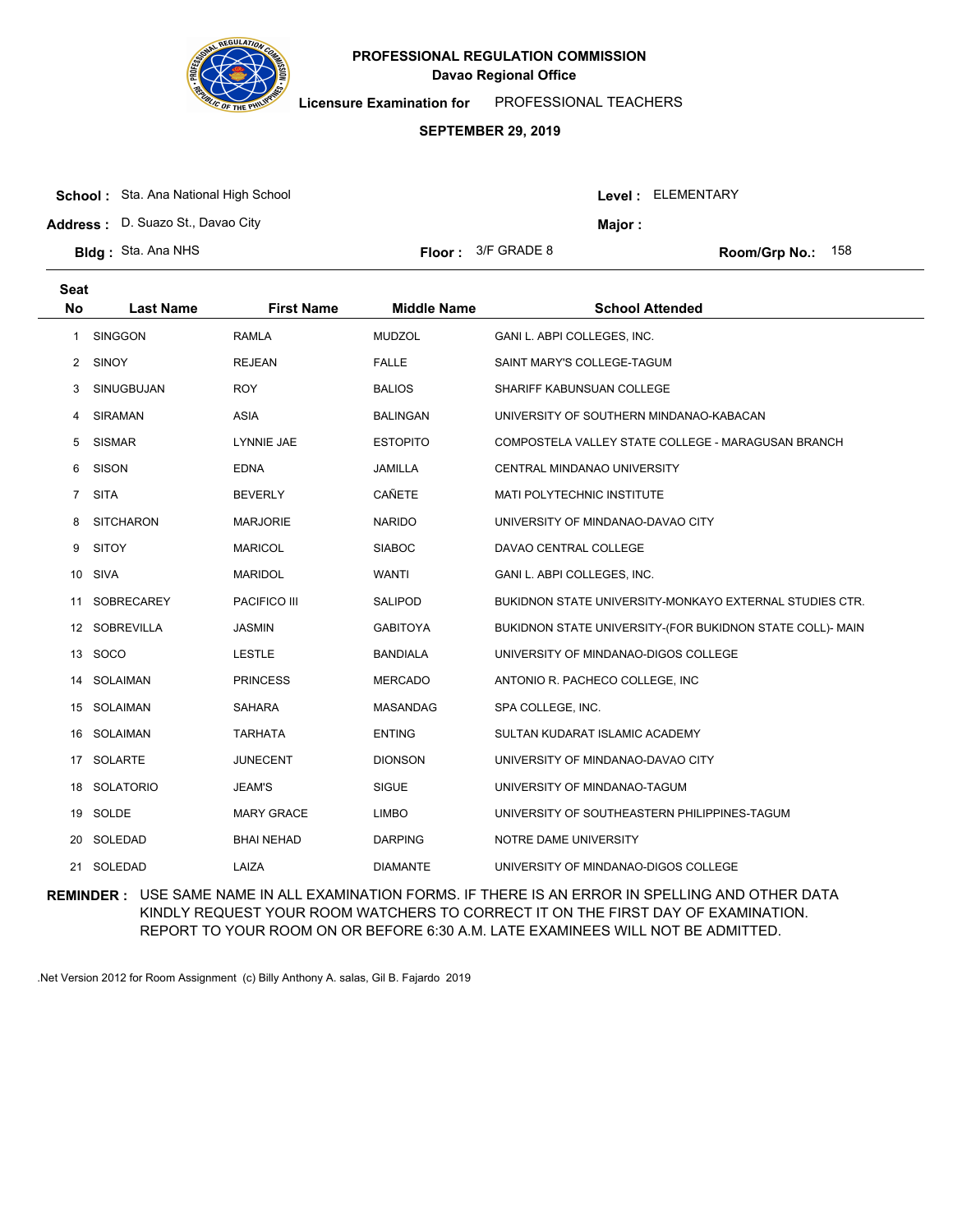

**Licensure Examination for**  PROFESSIONAL TEACHERS

### **SEPTEMBER 29, 2019**

|  | <b>School:</b> Sta. Ana National High School |
|--|----------------------------------------------|
|--|----------------------------------------------|

**Address :** D. Suazo St., Davao City

| or : | 3/F GRADE 8 |  |
|------|-------------|--|
|------|-------------|--|

**Bldg :** Sta. Ana NHS **Floor :** 3/F GRADE 8 158 158 158 158 158 158 158

Level : ELEMENTARY

**Major :**

| <b>Seat</b><br><b>No</b> | <b>Last Name</b>  | <b>First Name</b>   | <b>Middle Name</b> | <b>School Attended</b>                                    |
|--------------------------|-------------------|---------------------|--------------------|-----------------------------------------------------------|
| $\mathbf{1}$             | <b>SINGGON</b>    | <b>RAMLA</b>        | <b>MUDZOL</b>      | GANI L. ABPI COLLEGES, INC.                               |
| 2                        | SINOY             | <b>REJEAN</b>       | <b>FALLE</b>       | SAINT MARY'S COLLEGE-TAGUM                                |
| 3                        | <b>SINUGBUJAN</b> | <b>ROY</b>          | <b>BALIOS</b>      | SHARIFF KABUNSUAN COLLEGE                                 |
| 4                        | <b>SIRAMAN</b>    | <b>ASIA</b>         | <b>BALINGAN</b>    | UNIVERSITY OF SOUTHERN MINDANAO-KABACAN                   |
| 5                        | <b>SISMAR</b>     | <b>LYNNIE JAE</b>   | <b>ESTOPITO</b>    | COMPOSTELA VALLEY STATE COLLEGE - MARAGUSAN BRANCH        |
| 6                        | <b>SISON</b>      | <b>EDNA</b>         | <b>JAMILLA</b>     | <b>CENTRAL MINDANAO UNIVERSITY</b>                        |
| $\overline{7}$           | <b>SITA</b>       | <b>BEVERLY</b>      | CAÑETE             | MATI POLYTECHNIC INSTITUTE                                |
| 8                        | <b>SITCHARON</b>  | <b>MARJORIE</b>     | <b>NARIDO</b>      | UNIVERSITY OF MINDANAO-DAVAO CITY                         |
| 9                        | <b>SITOY</b>      | <b>MARICOL</b>      | <b>SIABOC</b>      | DAVAO CENTRAL COLLEGE                                     |
| 10                       | <b>SIVA</b>       | <b>MARIDOL</b>      | <b>WANTI</b>       | GANI L. ABPI COLLEGES, INC.                               |
| 11                       | <b>SOBRECAREY</b> | <b>PACIFICO III</b> | <b>SALIPOD</b>     | BUKIDNON STATE UNIVERSITY-MONKAYO EXTERNAL STUDIES CTR.   |
|                          | 12 SOBREVILLA     | <b>JASMIN</b>       | <b>GABITOYA</b>    | BUKIDNON STATE UNIVERSITY-(FOR BUKIDNON STATE COLL)- MAIN |
| 13                       | SOCO              | <b>LESTLE</b>       | <b>BANDIALA</b>    | UNIVERSITY OF MINDANAO-DIGOS COLLEGE                      |
| 14                       | SOLAIMAN          | <b>PRINCESS</b>     | <b>MERCADO</b>     | ANTONIO R. PACHECO COLLEGE, INC                           |
|                          | 15 SOLAIMAN       | <b>SAHARA</b>       | <b>MASANDAG</b>    | SPA COLLEGE, INC.                                         |
| 16                       | SOLAIMAN          | <b>TARHATA</b>      | <b>ENTING</b>      | SULTAN KUDARAT ISLAMIC ACADEMY                            |
| 17                       | SOLARTE           | <b>JUNECENT</b>     | <b>DIONSON</b>     | UNIVERSITY OF MINDANAO-DAVAO CITY                         |
|                          | 18 SOLATORIO      | <b>JEAM'S</b>       | <b>SIGUE</b>       | UNIVERSITY OF MINDANAO-TAGUM                              |
|                          | 19 SOLDE          | <b>MARY GRACE</b>   | <b>LIMBO</b>       | UNIVERSITY OF SOUTHEASTERN PHILIPPINES-TAGUM              |
| 20                       | SOLEDAD           | <b>BHAI NEHAD</b>   | <b>DARPING</b>     | NOTRE DAME UNIVERSITY                                     |
| 21                       | SOLEDAD           | LAIZA               | <b>DIAMANTE</b>    | UNIVERSITY OF MINDANAO-DIGOS COLLEGE                      |

**REMINDER :** USE SAME NAME IN ALL EXAMINATION FORMS. IF THERE IS AN ERROR IN SPELLING AND OTHER DATA KINDLY REQUEST YOUR ROOM WATCHERS TO CORRECT IT ON THE FIRST DAY OF EXAMINATION. REPORT TO YOUR ROOM ON OR BEFORE 6:30 A.M. LATE EXAMINEES WILL NOT BE ADMITTED.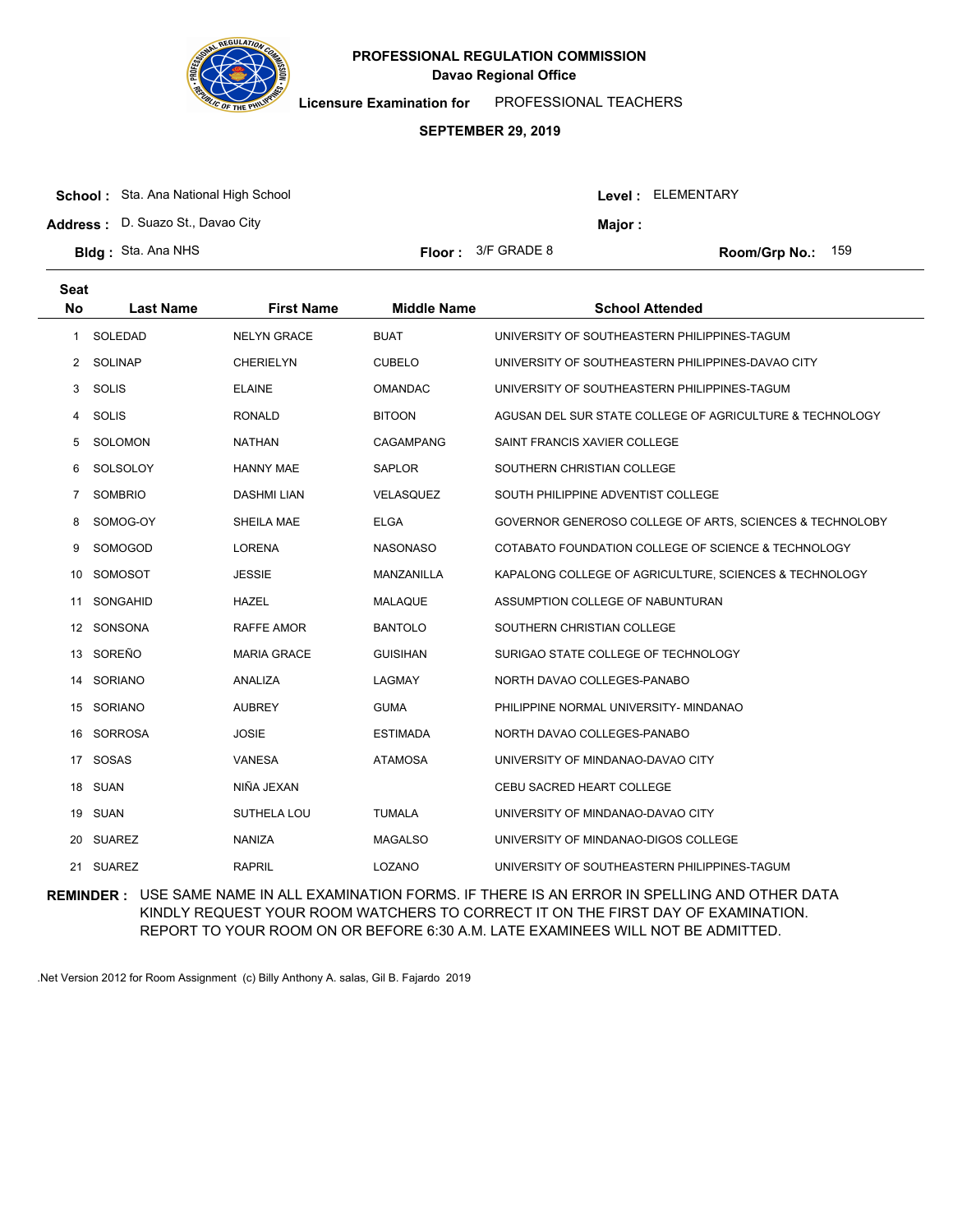

**Licensure Examination for**  PROFESSIONAL TEACHERS

### **SEPTEMBER 29, 2019**

| <b>School:</b> Sta. Ana National High School |                             |         | <b>Level: ELEMENTARY</b>   |  |
|----------------------------------------------|-----------------------------|---------|----------------------------|--|
| <b>Address: D. Suazo St., Davao City</b>     |                             | Maior : |                            |  |
| <b>BIdg:</b> Sta. Ana NHS                    | <b>Floor:</b> $3/F$ GRADE 8 |         | <b>Room/Grp No.:</b> $159$ |  |

| Seat<br><b>No</b> | <b>Last Name</b> | <b>First Name</b>  | <b>Middle Name</b> | <b>School Attended</b>                                   |
|-------------------|------------------|--------------------|--------------------|----------------------------------------------------------|
| 1                 | SOLEDAD          | <b>NELYN GRACE</b> | <b>BUAT</b>        | UNIVERSITY OF SOUTHEASTERN PHILIPPINES-TAGUM             |
|                   | 2 SOLINAP        | <b>CHERIELYN</b>   | <b>CUBELO</b>      | UNIVERSITY OF SOUTHEASTERN PHILIPPINES-DAVAO CITY        |
| 3                 | <b>SOLIS</b>     | <b>ELAINE</b>      | <b>OMANDAC</b>     | UNIVERSITY OF SOUTHEASTERN PHILIPPINES-TAGUM             |
| 4                 | <b>SOLIS</b>     | <b>RONALD</b>      | <b>BITOON</b>      | AGUSAN DEL SUR STATE COLLEGE OF AGRICULTURE & TECHNOLOGY |
| 5                 | SOLOMON          | <b>NATHAN</b>      | <b>CAGAMPANG</b>   | SAINT FRANCIS XAVIER COLLEGE                             |
| 6                 | SOLSOLOY         | HANNY MAE          | <b>SAPLOR</b>      | SOUTHERN CHRISTIAN COLLEGE                               |
| 7                 | <b>SOMBRIO</b>   | <b>DASHMI LIAN</b> | VELASQUEZ          | SOUTH PHILIPPINE ADVENTIST COLLEGE                       |
| 8                 | SOMOG-OY         | SHEILA MAE         | <b>ELGA</b>        | GOVERNOR GENEROSO COLLEGE OF ARTS, SCIENCES & TECHNOLOBY |
| 9                 | SOMOGOD          | <b>LORENA</b>      | <b>NASONASO</b>    | COTABATO FOUNDATION COLLEGE OF SCIENCE & TECHNOLOGY      |
| 10                | SOMOSOT          | <b>JESSIE</b>      | MANZANILLA         | KAPALONG COLLEGE OF AGRICULTURE, SCIENCES & TECHNOLOGY   |
| 11                | SONGAHID         | <b>HAZEL</b>       | <b>MALAQUE</b>     | ASSUMPTION COLLEGE OF NABUNTURAN                         |
|                   | 12 SONSONA       | RAFFE AMOR         | <b>BANTOLO</b>     | SOUTHERN CHRISTIAN COLLEGE                               |
| 13                | SOREÑO           | <b>MARIA GRACE</b> | <b>GUISIHAN</b>    | SURIGAO STATE COLLEGE OF TECHNOLOGY                      |
| 14                | SORIANO          | ANALIZA            | LAGMAY             | NORTH DAVAO COLLEGES-PANABO                              |
|                   | 15 SORIANO       | <b>AUBREY</b>      | <b>GUMA</b>        | PHILIPPINE NORMAL UNIVERSITY- MINDANAO                   |
| 16                | <b>SORROSA</b>   | <b>JOSIE</b>       | <b>ESTIMADA</b>    | NORTH DAVAO COLLEGES-PANABO                              |
| 17                | SOSAS            | <b>VANESA</b>      | <b>ATAMOSA</b>     | UNIVERSITY OF MINDANAO-DAVAO CITY                        |
|                   | 18 SUAN          | NIÑA JEXAN         |                    | <b>CEBU SACRED HEART COLLEGE</b>                         |
|                   | 19 SUAN          | SUTHELA LOU        | <b>TUMALA</b>      | UNIVERSITY OF MINDANAO-DAVAO CITY                        |
| 20                | SUAREZ           | <b>NANIZA</b>      | <b>MAGALSO</b>     | UNIVERSITY OF MINDANAO-DIGOS COLLEGE                     |
|                   | 21 SUAREZ        | <b>RAPRIL</b>      | LOZANO             | UNIVERSITY OF SOUTHEASTERN PHILIPPINES-TAGUM             |

**REMINDER :** USE SAME NAME IN ALL EXAMINATION FORMS. IF THERE IS AN ERROR IN SPELLING AND OTHER DATA KINDLY REQUEST YOUR ROOM WATCHERS TO CORRECT IT ON THE FIRST DAY OF EXAMINATION. REPORT TO YOUR ROOM ON OR BEFORE 6:30 A.M. LATE EXAMINEES WILL NOT BE ADMITTED.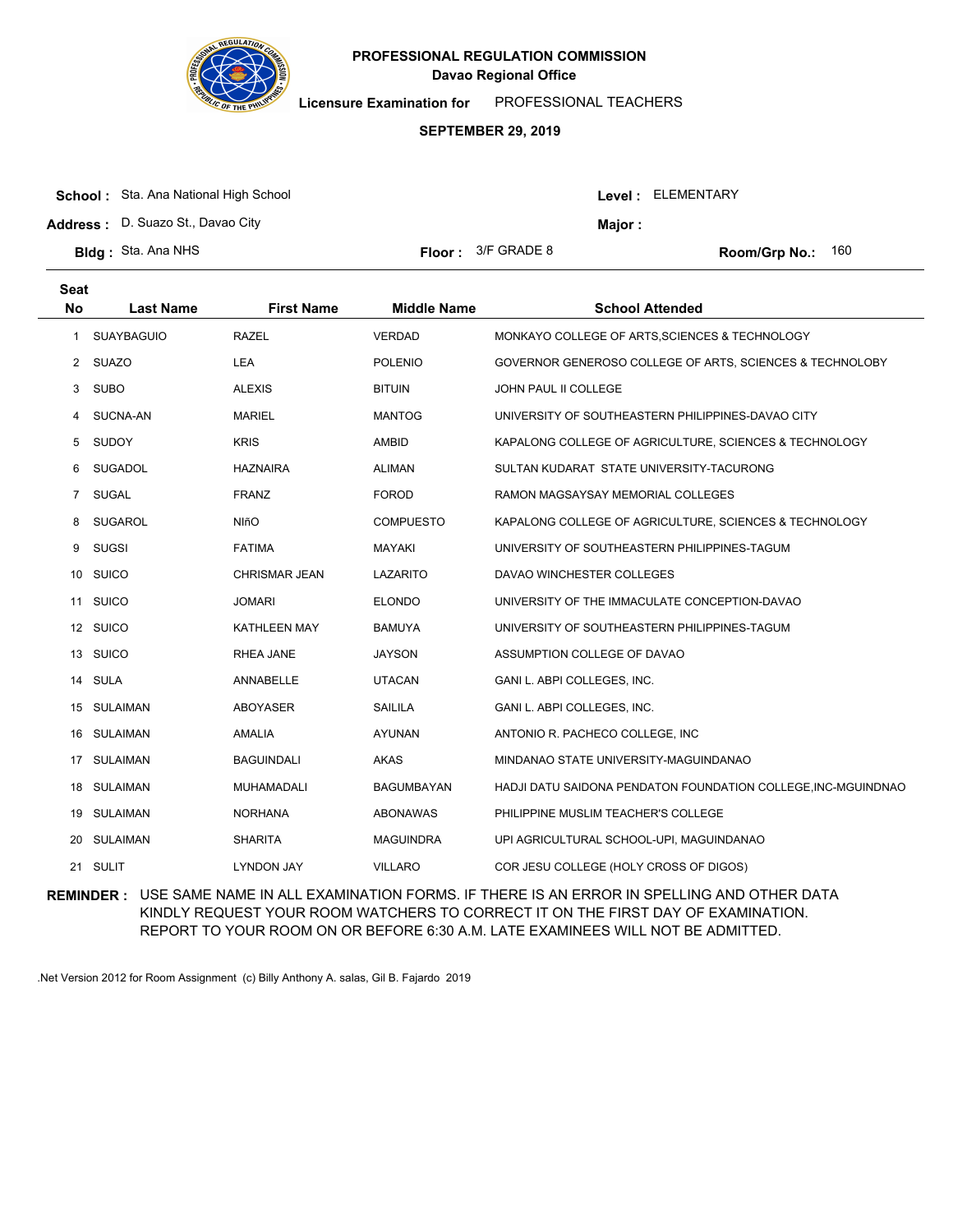

**Licensure Examination for**  PROFESSIONAL TEACHERS

#### **SEPTEMBER 29, 2019**

| <b>School:</b> Sta. Ana National High School |                             |         | Level: ELEMENTARY          |
|----------------------------------------------|-----------------------------|---------|----------------------------|
| <b>Address:</b> D. Suazo St., Davao City     |                             | Major : |                            |
| <b>Bldg:</b> Sta. Ana NHS                    | <b>Floor:</b> $3/F$ GRADE 8 |         | <b>Room/Grp No.:</b> $160$ |

| <b>Seat</b><br><b>No</b> | <b>Last Name</b>  | <b>First Name</b>   | <b>Middle Name</b> | <b>School Attended</b>                                        |
|--------------------------|-------------------|---------------------|--------------------|---------------------------------------------------------------|
| 1                        | <b>SUAYBAGUIO</b> | <b>RAZEL</b>        | <b>VERDAD</b>      | MONKAYO COLLEGE OF ARTS, SCIENCES & TECHNOLOGY                |
| $\mathbf{2}$             | <b>SUAZO</b>      | LEA                 | <b>POLENIO</b>     | GOVERNOR GENEROSO COLLEGE OF ARTS, SCIENCES & TECHNOLOBY      |
| 3                        | <b>SUBO</b>       | <b>ALEXIS</b>       | <b>BITUIN</b>      | JOHN PAUL II COLLEGE                                          |
| 4                        | SUCNA-AN          | <b>MARIEL</b>       | <b>MANTOG</b>      | UNIVERSITY OF SOUTHEASTERN PHILIPPINES-DAVAO CITY             |
| 5                        | <b>SUDOY</b>      | <b>KRIS</b>         | AMBID              | KAPALONG COLLEGE OF AGRICULTURE, SCIENCES & TECHNOLOGY        |
| 6                        | <b>SUGADOL</b>    | <b>HAZNAIRA</b>     | <b>ALIMAN</b>      | SULTAN KUDARAT STATE UNIVERSITY-TACURONG                      |
| $\overline{7}$           | <b>SUGAL</b>      | <b>FRANZ</b>        | <b>FOROD</b>       | RAMON MAGSAYSAY MEMORIAL COLLEGES                             |
| 8                        | <b>SUGAROL</b>    | <b>NIñO</b>         | <b>COMPUESTO</b>   | KAPALONG COLLEGE OF AGRICULTURE, SCIENCES & TECHNOLOGY        |
| 9                        | <b>SUGSI</b>      | <b>FATIMA</b>       | <b>MAYAKI</b>      | UNIVERSITY OF SOUTHEASTERN PHILIPPINES-TAGUM                  |
| 10                       | <b>SUICO</b>      | CHRISMAR JEAN       | <b>LAZARITO</b>    | DAVAO WINCHESTER COLLEGES                                     |
| 11                       | <b>SUICO</b>      | <b>JOMARI</b>       | <b>ELONDO</b>      | UNIVERSITY OF THE IMMACULATE CONCEPTION-DAVAO                 |
|                          | 12 SUICO          | <b>KATHLEEN MAY</b> | <b>BAMUYA</b>      | UNIVERSITY OF SOUTHEASTERN PHILIPPINES-TAGUM                  |
|                          | 13 SUICO          | RHEA JANE           | <b>JAYSON</b>      | ASSUMPTION COLLEGE OF DAVAO                                   |
| 14                       | <b>SULA</b>       | ANNABELLE           | <b>UTACAN</b>      | GANI L. ABPI COLLEGES, INC.                                   |
|                          | 15 SULAIMAN       | <b>ABOYASER</b>     | <b>SAILILA</b>     | GANI L. ABPI COLLEGES, INC.                                   |
| 16                       | SULAIMAN          | <b>AMALIA</b>       | <b>AYUNAN</b>      | ANTONIO R. PACHECO COLLEGE, INC                               |
| 17                       | <b>SULAIMAN</b>   | <b>BAGUINDALI</b>   | <b>AKAS</b>        | MINDANAO STATE UNIVERSITY-MAGUINDANAO                         |
|                          | 18 SULAIMAN       | MUHAMADALI          | <b>BAGUMBAYAN</b>  | HADJI DATU SAIDONA PENDATON FOUNDATION COLLEGE, INC-MGUINDNAO |
|                          | 19 SULAIMAN       | <b>NORHANA</b>      | ABONAWAS           | PHILIPPINE MUSLIM TEACHER'S COLLEGE                           |
| 20                       | SULAIMAN          | <b>SHARITA</b>      | <b>MAGUINDRA</b>   | UPI AGRICULTURAL SCHOOL-UPI, MAGUINDANAO                      |
| 21                       | <b>SULIT</b>      | <b>LYNDON JAY</b>   | <b>VILLARO</b>     | COR JESU COLLEGE (HOLY CROSS OF DIGOS)                        |

**REMINDER :** USE SAME NAME IN ALL EXAMINATION FORMS. IF THERE IS AN ERROR IN SPELLING AND OTHER DATA KINDLY REQUEST YOUR ROOM WATCHERS TO CORRECT IT ON THE FIRST DAY OF EXAMINATION. REPORT TO YOUR ROOM ON OR BEFORE 6:30 A.M. LATE EXAMINEES WILL NOT BE ADMITTED.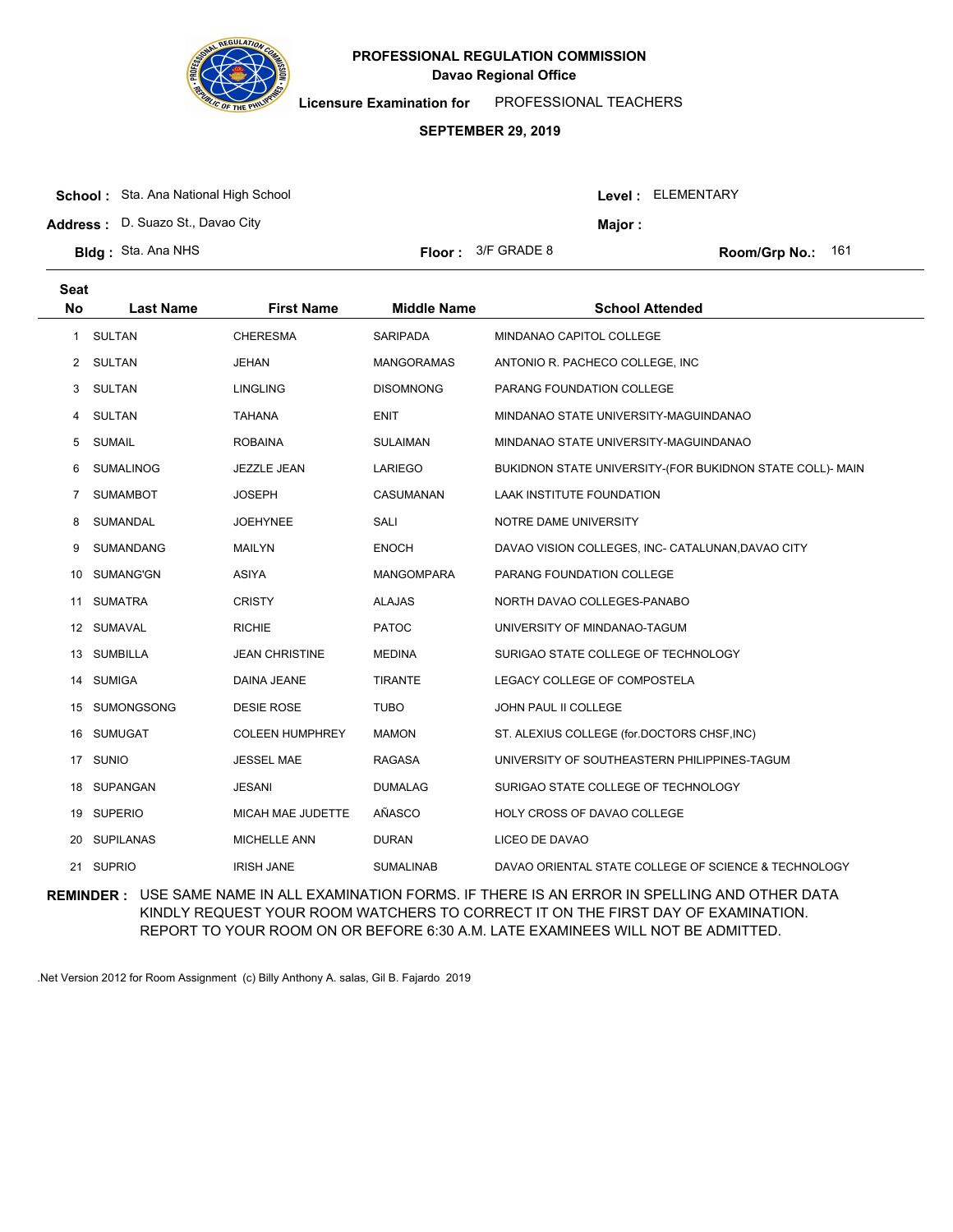

**Licensure Examination for**  PROFESSIONAL TEACHERS

### **SEPTEMBER 29, 2019**

| <b>School:</b> Sta. Ana National High School |
|----------------------------------------------|
| <b>Address:</b> D. Suazo St., Davao City     |

**Seat**

**Bldg : Floor : Room/Grp No.:** Sta. Ana NHS Floor: 3/F GRADE 8 161

Level : ELEMENTARY

**Major :**

| ວeat      |                  |                        |                    |                                                           |
|-----------|------------------|------------------------|--------------------|-----------------------------------------------------------|
| <b>No</b> | <b>Last Name</b> | <b>First Name</b>      | <b>Middle Name</b> | <b>School Attended</b>                                    |
| 1         | SULTAN           | <b>CHERESMA</b>        | <b>SARIPADA</b>    | MINDANAO CAPITOL COLLEGE                                  |
|           | 2 SULTAN         | <b>JEHAN</b>           | <b>MANGORAMAS</b>  | ANTONIO R. PACHECO COLLEGE, INC                           |
| 3         | <b>SULTAN</b>    | <b>LINGLING</b>        | <b>DISOMNONG</b>   | PARANG FOUNDATION COLLEGE                                 |
| 4         | <b>SULTAN</b>    | <b>TAHANA</b>          | <b>ENIT</b>        | MINDANAO STATE UNIVERSITY-MAGUINDANAO                     |
| 5         | SUMAIL           | <b>ROBAINA</b>         | <b>SULAIMAN</b>    | MINDANAO STATE UNIVERSITY-MAGUINDANAO                     |
| 6         | <b>SUMALINOG</b> | JEZZLE JEAN            | LARIEGO            | BUKIDNON STATE UNIVERSITY-(FOR BUKIDNON STATE COLL)- MAIN |
| 7         | <b>SUMAMBOT</b>  | <b>JOSEPH</b>          | CASUMANAN          | <b>LAAK INSTITUTE FOUNDATION</b>                          |
| 8         | SUMANDAL         | <b>JOEHYNEE</b>        | SALI               | NOTRE DAME UNIVERSITY                                     |
| 9         | SUMANDANG        | <b>MAILYN</b>          | <b>ENOCH</b>       | DAVAO VISION COLLEGES, INC- CATALUNAN, DAVAO CITY         |
| 10        | SUMANG'GN        | ASIYA                  | <b>MANGOMPARA</b>  | PARANG FOUNDATION COLLEGE                                 |
| 11        | <b>SUMATRA</b>   | <b>CRISTY</b>          | <b>ALAJAS</b>      | NORTH DAVAO COLLEGES-PANABO                               |
| 12        | SUMAVAL          | <b>RICHIE</b>          | <b>PATOC</b>       | UNIVERSITY OF MINDANAO-TAGUM                              |
| 13        | SUMBILLA         | <b>JEAN CHRISTINE</b>  | <b>MEDINA</b>      | SURIGAO STATE COLLEGE OF TECHNOLOGY                       |
| 14        | <b>SUMIGA</b>    | DAINA JEANE            | <b>TIRANTE</b>     | LEGACY COLLEGE OF COMPOSTELA                              |
| 15        | SUMONGSONG       | <b>DESIE ROSE</b>      | <b>TUBO</b>        | JOHN PAUL II COLLEGE                                      |
| 16        | <b>SUMUGAT</b>   | <b>COLEEN HUMPHREY</b> | <b>MAMON</b>       | ST. ALEXIUS COLLEGE (for.DOCTORS CHSF, INC)               |
| 17        | <b>SUNIO</b>     | <b>JESSEL MAE</b>      | RAGASA             | UNIVERSITY OF SOUTHEASTERN PHILIPPINES-TAGUM              |
|           | 18 SUPANGAN      | <b>JESANI</b>          | <b>DUMALAG</b>     | SURIGAO STATE COLLEGE OF TECHNOLOGY                       |
| 19        | <b>SUPERIO</b>   | MICAH MAE JUDETTE      | AÑASCO             | HOLY CROSS OF DAVAO COLLEGE                               |
| 20        | <b>SUPILANAS</b> | <b>MICHELLE ANN</b>    | <b>DURAN</b>       | LICEO DE DAVAO                                            |
|           | 21 SUPRIO        | <b>IRISH JANE</b>      | <b>SUMALINAB</b>   | DAVAO ORIENTAL STATE COLLEGE OF SCIENCE & TECHNOLOGY      |

**REMINDER :** USE SAME NAME IN ALL EXAMINATION FORMS. IF THERE IS AN ERROR IN SPELLING AND OTHER DATA KINDLY REQUEST YOUR ROOM WATCHERS TO CORRECT IT ON THE FIRST DAY OF EXAMINATION. REPORT TO YOUR ROOM ON OR BEFORE 6:30 A.M. LATE EXAMINEES WILL NOT BE ADMITTED.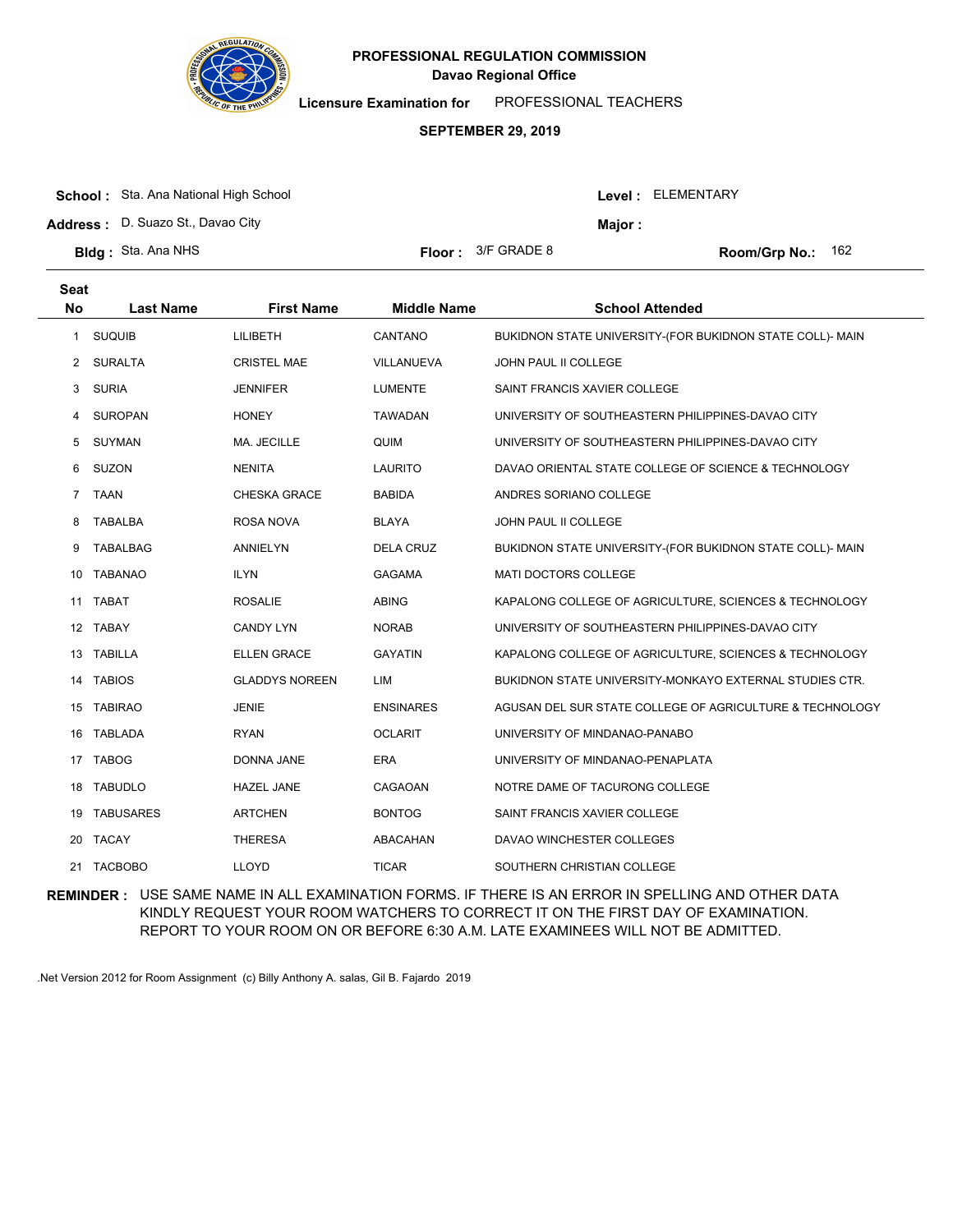

**Licensure Examination for**  PROFESSIONAL TEACHERS

### **SEPTEMBER 29, 2019**

| <b>School:</b> Sta. Ana National High School |                             |                | Level: ELEMENTARY          |
|----------------------------------------------|-----------------------------|----------------|----------------------------|
| <b>Address: D. Suazo St., Davao City</b>     |                             | <b>Maior :</b> |                            |
| <b>BIdg:</b> Sta. Ana NHS                    | <b>Floor:</b> $3/F$ GRADE 8 |                | <b>Room/Grp No.:</b> $162$ |

| <b>Seat</b><br><b>No</b> | <b>Last Name</b> | <b>First Name</b>     | <b>Middle Name</b> | <b>School Attended</b>                                    |
|--------------------------|------------------|-----------------------|--------------------|-----------------------------------------------------------|
| 1                        | <b>SUQUIB</b>    | LILIBETH              | CANTANO            | BUKIDNON STATE UNIVERSITY-(FOR BUKIDNON STATE COLL)- MAIN |
| 2                        | <b>SURALTA</b>   | <b>CRISTEL MAE</b>    | <b>VILLANUEVA</b>  | JOHN PAUL II COLLEGE                                      |
| 3                        | <b>SURIA</b>     | <b>JENNIFER</b>       | <b>LUMENTE</b>     | SAINT FRANCIS XAVIER COLLEGE                              |
| 4                        | <b>SUROPAN</b>   | <b>HONEY</b>          | <b>TAWADAN</b>     | UNIVERSITY OF SOUTHEASTERN PHILIPPINES-DAVAO CITY         |
| 5                        | <b>SUYMAN</b>    | MA. JECILLE           | QUIM               | UNIVERSITY OF SOUTHEASTERN PHILIPPINES-DAVAO CITY         |
| 6                        | SUZON            | <b>NENITA</b>         | <b>LAURITO</b>     | DAVAO ORIENTAL STATE COLLEGE OF SCIENCE & TECHNOLOGY      |
| $\overline{7}$           | <b>TAAN</b>      | <b>CHESKA GRACE</b>   | <b>BABIDA</b>      | ANDRES SORIANO COLLEGE                                    |
| 8                        | <b>TABALBA</b>   | <b>ROSA NOVA</b>      | <b>BLAYA</b>       | JOHN PAUL II COLLEGE                                      |
| 9                        | <b>TABALBAG</b>  | <b>ANNIELYN</b>       | <b>DELA CRUZ</b>   | BUKIDNON STATE UNIVERSITY-(FOR BUKIDNON STATE COLL)- MAIN |
| 10                       | <b>TABANAO</b>   | <b>ILYN</b>           | <b>GAGAMA</b>      | MATI DOCTORS COLLEGE                                      |
| 11                       | <b>TABAT</b>     | <b>ROSALIE</b>        | <b>ABING</b>       | KAPALONG COLLEGE OF AGRICULTURE, SCIENCES & TECHNOLOGY    |
|                          | 12 TABAY         | <b>CANDY LYN</b>      | <b>NORAB</b>       | UNIVERSITY OF SOUTHEASTERN PHILIPPINES-DAVAO CITY         |
| 13                       | <b>TABILLA</b>   | <b>ELLEN GRACE</b>    | <b>GAYATIN</b>     | KAPALONG COLLEGE OF AGRICULTURE, SCIENCES & TECHNOLOGY    |
| 14                       | <b>TABIOS</b>    | <b>GLADDYS NOREEN</b> | LIM                | BUKIDNON STATE UNIVERSITY-MONKAYO EXTERNAL STUDIES CTR.   |
| 15                       | <b>TABIRAO</b>   | <b>JENIE</b>          | <b>ENSINARES</b>   | AGUSAN DEL SUR STATE COLLEGE OF AGRICULTURE & TECHNOLOGY  |
|                          | 16 TABLADA       | <b>RYAN</b>           | <b>OCLARIT</b>     | UNIVERSITY OF MINDANAO-PANABO                             |
| 17                       | <b>TABOG</b>     | <b>DONNA JANE</b>     | <b>ERA</b>         | UNIVERSITY OF MINDANAO-PENAPLATA                          |
| 18                       | <b>TABUDLO</b>   | <b>HAZEL JANE</b>     | CAGAOAN            | NOTRE DAME OF TACURONG COLLEGE                            |
| 19                       | <b>TABUSARES</b> | <b>ARTCHEN</b>        | <b>BONTOG</b>      | SAINT FRANCIS XAVIER COLLEGE                              |
| 20                       | <b>TACAY</b>     | <b>THERESA</b>        | ABACAHAN           | DAVAO WINCHESTER COLLEGES                                 |
| 21                       | <b>TACBOBO</b>   | <b>LLOYD</b>          | <b>TICAR</b>       | SOUTHERN CHRISTIAN COLLEGE                                |
|                          |                  |                       |                    |                                                           |

**REMINDER :** USE SAME NAME IN ALL EXAMINATION FORMS. IF THERE IS AN ERROR IN SPELLING AND OTHER DATA KINDLY REQUEST YOUR ROOM WATCHERS TO CORRECT IT ON THE FIRST DAY OF EXAMINATION. REPORT TO YOUR ROOM ON OR BEFORE 6:30 A.M. LATE EXAMINEES WILL NOT BE ADMITTED.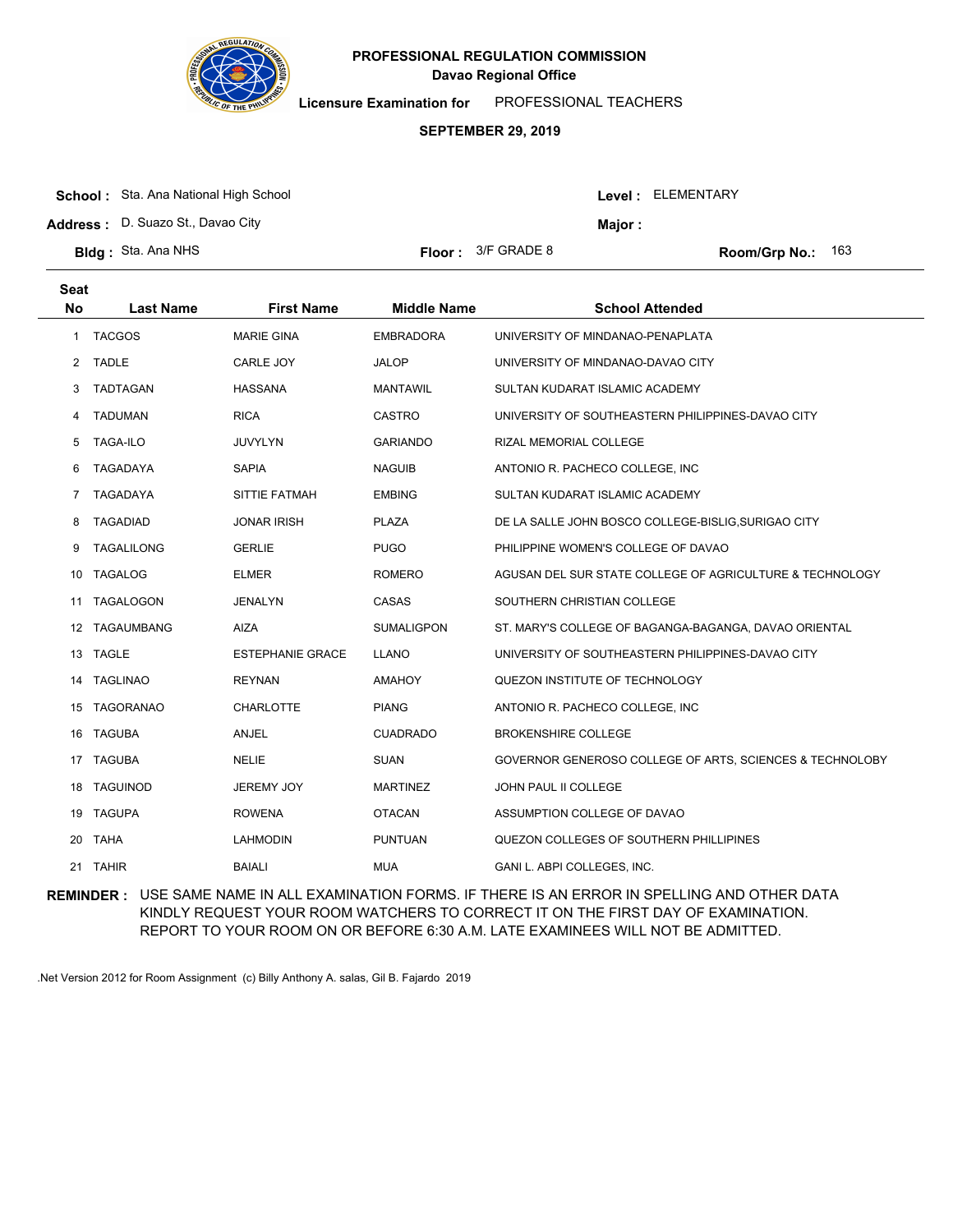

**Licensure Examination for**  PROFESSIONAL TEACHERS

### **SEPTEMBER 29, 2019**

|  | <b>School:</b> Sta. Ana National High School |
|--|----------------------------------------------|
|--|----------------------------------------------|

**Address :** D. Suazo St., Davao City

| <b>3Idg:</b> Sta. Ana NHS |  |  |  |
|---------------------------|--|--|--|
|---------------------------|--|--|--|

| or : | 3/F GRADE 8 |  |
|------|-------------|--|

**Bldg:** Sta. Ana NHS Floor: 3/F GRADE 8 Room/Grp No.: 163

Level : ELEMENTARY

**Major :**

| <b>Seat</b>    |                   |                         |                    |                                                          |
|----------------|-------------------|-------------------------|--------------------|----------------------------------------------------------|
| <b>No</b>      | <b>Last Name</b>  | <b>First Name</b>       | <b>Middle Name</b> | <b>School Attended</b>                                   |
| $\mathbf{1}$   | <b>TACGOS</b>     | <b>MARIE GINA</b>       | <b>EMBRADORA</b>   | UNIVERSITY OF MINDANAO-PENAPLATA                         |
| $\overline{2}$ | <b>TADLE</b>      | CARLE JOY               | <b>JALOP</b>       | UNIVERSITY OF MINDANAO-DAVAO CITY                        |
| 3              | <b>TADTAGAN</b>   | <b>HASSANA</b>          | <b>MANTAWIL</b>    | SULTAN KUDARAT ISLAMIC ACADEMY                           |
| 4              | <b>TADUMAN</b>    | <b>RICA</b>             | <b>CASTRO</b>      | UNIVERSITY OF SOUTHEASTERN PHILIPPINES-DAVAO CITY        |
| 5              | <b>TAGA-ILO</b>   | <b>JUVYLYN</b>          | <b>GARIANDO</b>    | RIZAL MEMORIAL COLLEGE                                   |
| 6              | TAGADAYA          | <b>SAPIA</b>            | <b>NAGUIB</b>      | ANTONIO R. PACHECO COLLEGE, INC                          |
| 7              | TAGADAYA          | SITTIE FATMAH           | <b>EMBING</b>      | SULTAN KUDARAT ISLAMIC ACADEMY                           |
| 8              | <b>TAGADIAD</b>   | <b>JONAR IRISH</b>      | <b>PLAZA</b>       | DE LA SALLE JOHN BOSCO COLLEGE-BISLIG, SURIGAO CITY      |
| 9              | <b>TAGALILONG</b> | <b>GERLIE</b>           | <b>PUGO</b>        | PHILIPPINE WOMEN'S COLLEGE OF DAVAO                      |
| 10             | <b>TAGALOG</b>    | <b>ELMER</b>            | <b>ROMERO</b>      | AGUSAN DEL SUR STATE COLLEGE OF AGRICULTURE & TECHNOLOGY |
| 11             | <b>TAGALOGON</b>  | <b>JENALYN</b>          | CASAS              | SOUTHERN CHRISTIAN COLLEGE                               |
| 12             | TAGAUMBANG        | <b>AIZA</b>             | <b>SUMALIGPON</b>  | ST. MARY'S COLLEGE OF BAGANGA-BAGANGA, DAVAO ORIENTAL    |
|                | 13 TAGLE          | <b>ESTEPHANIE GRACE</b> | LLANO              | UNIVERSITY OF SOUTHEASTERN PHILIPPINES-DAVAO CITY        |
| 14             | <b>TAGLINAO</b>   | <b>REYNAN</b>           | <b>AMAHOY</b>      | QUEZON INSTITUTE OF TECHNOLOGY                           |
| 15             | <b>TAGORANAO</b>  | <b>CHARLOTTE</b>        | <b>PIANG</b>       | ANTONIO R. PACHECO COLLEGE, INC                          |
| 16             | <b>TAGUBA</b>     | ANJEL                   | <b>CUADRADO</b>    | <b>BROKENSHIRE COLLEGE</b>                               |
| 17             | <b>TAGUBA</b>     | <b>NELIE</b>            | <b>SUAN</b>        | GOVERNOR GENEROSO COLLEGE OF ARTS, SCIENCES & TECHNOLOBY |
| 18             | <b>TAGUINOD</b>   | JEREMY JOY              | <b>MARTINEZ</b>    | <b>JOHN PAUL II COLLEGE</b>                              |
| 19             | <b>TAGUPA</b>     | <b>ROWENA</b>           | <b>OTACAN</b>      | ASSUMPTION COLLEGE OF DAVAO                              |
| 20             | <b>TAHA</b>       | <b>LAHMODIN</b>         | <b>PUNTUAN</b>     | QUEZON COLLEGES OF SOUTHERN PHILLIPINES                  |
| 21             | <b>TAHIR</b>      | <b>BAIALI</b>           | MUA                | GANI L. ABPI COLLEGES, INC.                              |
|                |                   |                         |                    |                                                          |

**REMINDER :** USE SAME NAME IN ALL EXAMINATION FORMS. IF THERE IS AN ERROR IN SPELLING AND OTHER DATA KINDLY REQUEST YOUR ROOM WATCHERS TO CORRECT IT ON THE FIRST DAY OF EXAMINATION. REPORT TO YOUR ROOM ON OR BEFORE 6:30 A.M. LATE EXAMINEES WILL NOT BE ADMITTED.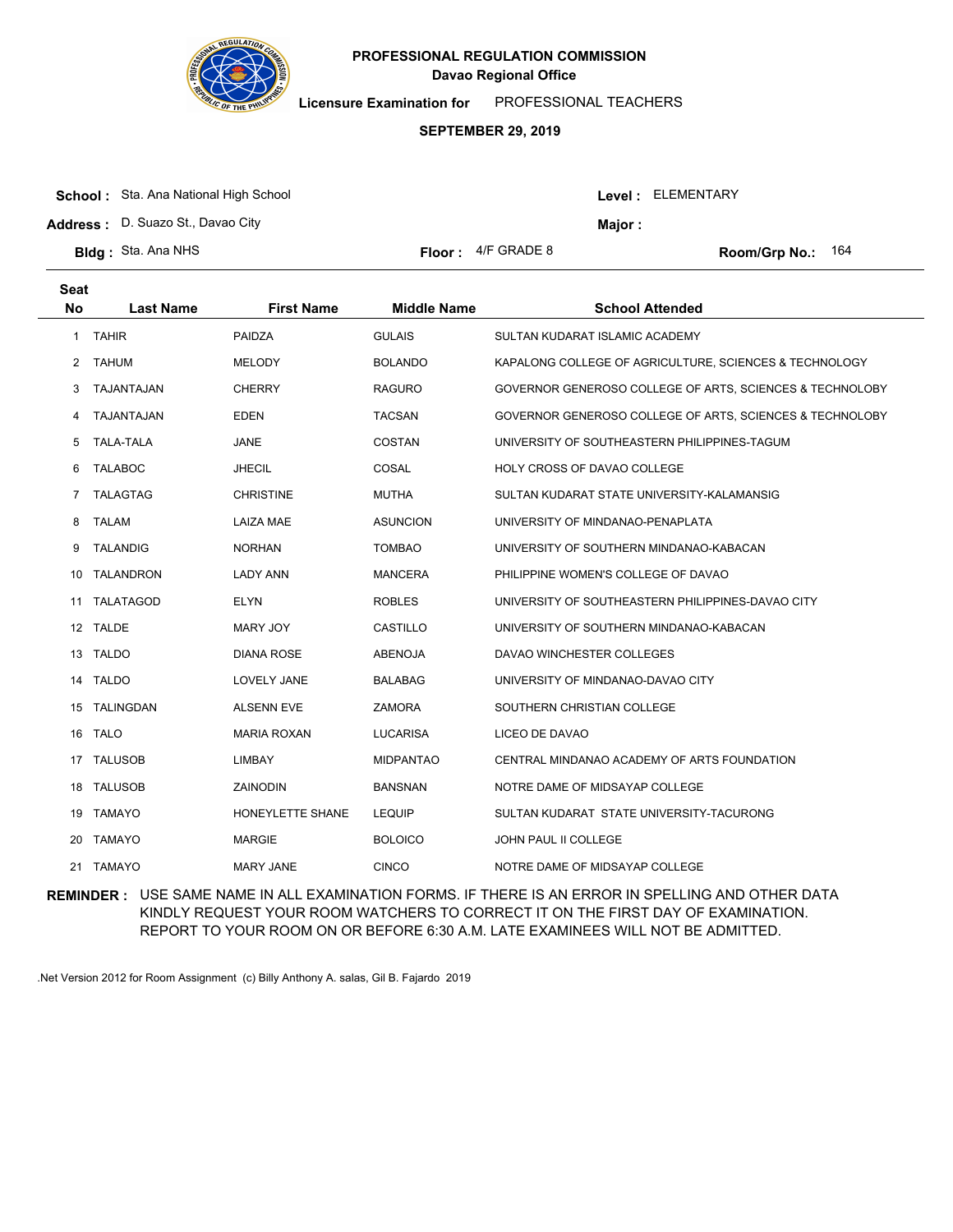

**Licensure Examination for**  PROFESSIONAL TEACHERS

### **SEPTEMBER 29, 2019**

| <b>School:</b> Sta. Ana National High School |                             | Level: ELEMENTARY |                          |
|----------------------------------------------|-----------------------------|-------------------|--------------------------|
| Address: D. Suazo St., Davao City            |                             | <b>Maior :</b>    |                          |
| <b>BIda:</b> Sta. Ana NHS                    | <b>Floor:</b> $4/F$ GRADE 8 |                   | <b>Room/Grp No.: 164</b> |

| <b>Seat</b><br>No | <b>Last Name</b> | <b>First Name</b>  | <b>Middle Name</b> | <b>School Attended</b>                                   |
|-------------------|------------------|--------------------|--------------------|----------------------------------------------------------|
| 1                 | <b>TAHIR</b>     | PAIDZA             | <b>GULAIS</b>      | SULTAN KUDARAT ISLAMIC ACADEMY                           |
| 2                 | <b>TAHUM</b>     | <b>MELODY</b>      | <b>BOLANDO</b>     | KAPALONG COLLEGE OF AGRICULTURE, SCIENCES & TECHNOLOGY   |
| 3                 | TAJANTAJAN       | <b>CHERRY</b>      | <b>RAGURO</b>      | GOVERNOR GENEROSO COLLEGE OF ARTS, SCIENCES & TECHNOLOBY |
| 4                 | TAJANTAJAN       | <b>EDEN</b>        | <b>TACSAN</b>      | GOVERNOR GENEROSO COLLEGE OF ARTS, SCIENCES & TECHNOLOBY |
| 5                 | <b>TALA-TALA</b> | JANE               | COSTAN             | UNIVERSITY OF SOUTHEASTERN PHILIPPINES-TAGUM             |
| 6                 | <b>TALABOC</b>   | <b>JHECIL</b>      | COSAL              | HOLY CROSS OF DAVAO COLLEGE                              |
| 7                 | TALAGTAG         | <b>CHRISTINE</b>   | <b>MUTHA</b>       | SULTAN KUDARAT STATE UNIVERSITY-KALAMANSIG               |
| 8                 | <b>TALAM</b>     | <b>LAIZA MAE</b>   | <b>ASUNCION</b>    | UNIVERSITY OF MINDANAO-PENAPLATA                         |
| 9                 | <b>TALANDIG</b>  | <b>NORHAN</b>      | <b>TOMBAO</b>      | UNIVERSITY OF SOUTHERN MINDANAO-KABACAN                  |
| 10                | <b>TALANDRON</b> | LADY ANN           | <b>MANCERA</b>     | PHILIPPINE WOMEN'S COLLEGE OF DAVAO                      |
| 11                | <b>TALATAGOD</b> | <b>ELYN</b>        | <b>ROBLES</b>      | UNIVERSITY OF SOUTHEASTERN PHILIPPINES-DAVAO CITY        |
|                   | 12 TALDE         | MARY JOY           | <b>CASTILLO</b>    | UNIVERSITY OF SOUTHERN MINDANAO-KABACAN                  |
|                   | 13 TALDO         | <b>DIANA ROSE</b>  | <b>ABENOJA</b>     | DAVAO WINCHESTER COLLEGES                                |
| 14                | <b>TALDO</b>     | LOVELY JANE        | <b>BALABAG</b>     | UNIVERSITY OF MINDANAO-DAVAO CITY                        |
|                   | 15 TALINGDAN     | <b>ALSENN EVE</b>  | <b>ZAMORA</b>      | SOUTHERN CHRISTIAN COLLEGE                               |
|                   | 16 TALO          | <b>MARIA ROXAN</b> | <b>LUCARISA</b>    | LICEO DE DAVAO                                           |
| 17                | <b>TALUSOB</b>   | LIMBAY             | <b>MIDPANTAO</b>   | CENTRAL MINDANAO ACADEMY OF ARTS FOUNDATION              |
|                   | 18 TALUSOB       | ZAINODIN           | <b>BANSNAN</b>     | NOTRE DAME OF MIDSAYAP COLLEGE                           |
|                   | 19 TAMAYO        | HONEYLETTE SHANE   | <b>LEQUIP</b>      | SULTAN KUDARAT STATE UNIVERSITY-TACURONG                 |
| 20                | <b>TAMAYO</b>    | <b>MARGIE</b>      | <b>BOLOICO</b>     | JOHN PAUL II COLLEGE                                     |
|                   | 21 TAMAYO        | <b>MARY JANE</b>   | <b>CINCO</b>       | NOTRE DAME OF MIDSAYAP COLLEGE                           |

**REMINDER :** USE SAME NAME IN ALL EXAMINATION FORMS. IF THERE IS AN ERROR IN SPELLING AND OTHER DATA KINDLY REQUEST YOUR ROOM WATCHERS TO CORRECT IT ON THE FIRST DAY OF EXAMINATION. REPORT TO YOUR ROOM ON OR BEFORE 6:30 A.M. LATE EXAMINEES WILL NOT BE ADMITTED.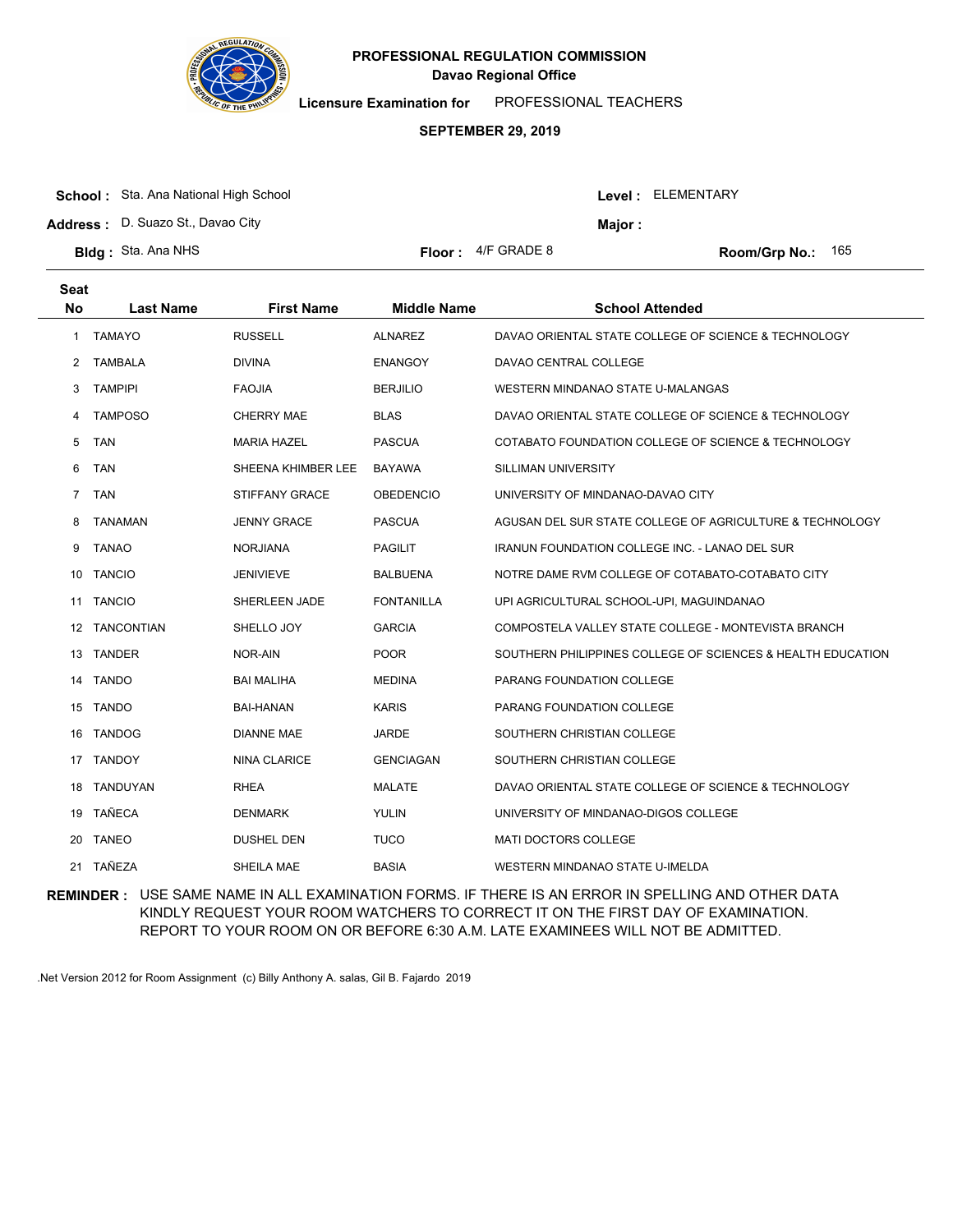

**Licensure Examination for**  PROFESSIONAL TEACHERS

### **SEPTEMBER 29, 2019**

| <b>School:</b> Sta. Ana National High School | Level: ELEMENTARY           |         |                            |
|----------------------------------------------|-----------------------------|---------|----------------------------|
| <b>Address:</b> D. Suazo St., Davao City     |                             | Maior : |                            |
| <b>BIda</b> : Sta. Ana NHS                   | <b>Floor:</b> $4/F$ GRADE 8 |         | <b>Room/Grp No.:</b> $165$ |

| Seat<br><b>No</b> | <b>Last Name</b> | <b>First Name</b>     | <b>Middle Name</b> | <b>School Attended</b>                                      |
|-------------------|------------------|-----------------------|--------------------|-------------------------------------------------------------|
| 1                 | <b>TAMAYO</b>    | <b>RUSSELL</b>        | <b>ALNAREZ</b>     | DAVAO ORIENTAL STATE COLLEGE OF SCIENCE & TECHNOLOGY        |
| $\overline{2}$    | <b>TAMBALA</b>   | <b>DIVINA</b>         | <b>ENANGOY</b>     | DAVAO CENTRAL COLLEGE                                       |
| 3                 | <b>TAMPIPI</b>   | <b>FAOJIA</b>         | <b>BERJILIO</b>    | WESTERN MINDANAO STATE U-MALANGAS                           |
| 4                 | <b>TAMPOSO</b>   | <b>CHERRY MAE</b>     | <b>BLAS</b>        | DAVAO ORIENTAL STATE COLLEGE OF SCIENCE & TECHNOLOGY        |
| 5                 | <b>TAN</b>       | <b>MARIA HAZEL</b>    | <b>PASCUA</b>      | COTABATO FOUNDATION COLLEGE OF SCIENCE & TECHNOLOGY         |
| 6                 | <b>TAN</b>       | SHEENA KHIMBER LEE    | <b>BAYAWA</b>      | SILLIMAN UNIVERSITY                                         |
| $\overline{7}$    | <b>TAN</b>       | <b>STIFFANY GRACE</b> | <b>OBEDENCIO</b>   | UNIVERSITY OF MINDANAO-DAVAO CITY                           |
| 8                 | <b>TANAMAN</b>   | <b>JENNY GRACE</b>    | <b>PASCUA</b>      | AGUSAN DEL SUR STATE COLLEGE OF AGRICULTURE & TECHNOLOGY    |
| 9                 | <b>TANAO</b>     | <b>NORJIANA</b>       | <b>PAGILIT</b>     | <b>IRANUN FOUNDATION COLLEGE INC. - LANAO DEL SUR</b>       |
| 10                | <b>TANCIO</b>    | <b>JENIVIEVE</b>      | <b>BALBUENA</b>    | NOTRE DAME RVM COLLEGE OF COTABATO-COTABATO CITY            |
| 11                | <b>TANCIO</b>    | SHERLEEN JADE         | <b>FONTANILLA</b>  | UPI AGRICULTURAL SCHOOL-UPI, MAGUINDANAO                    |
|                   | 12 TANCONTIAN    | SHELLO JOY            | <b>GARCIA</b>      | COMPOSTELA VALLEY STATE COLLEGE - MONTEVISTA BRANCH         |
| 13                | <b>TANDER</b>    | NOR-AIN               | <b>POOR</b>        | SOUTHERN PHILIPPINES COLLEGE OF SCIENCES & HEALTH EDUCATION |
| 14                | <b>TANDO</b>     | <b>BAI MALIHA</b>     | <b>MEDINA</b>      | <b>PARANG FOUNDATION COLLEGE</b>                            |
|                   | 15 TANDO         | <b>BAI-HANAN</b>      | <b>KARIS</b>       | PARANG FOUNDATION COLLEGE                                   |
| 16                | <b>TANDOG</b>    | <b>DIANNE MAE</b>     | <b>JARDE</b>       | SOUTHERN CHRISTIAN COLLEGE                                  |
| 17                | <b>TANDOY</b>    | <b>NINA CLARICE</b>   | <b>GENCIAGAN</b>   | SOUTHERN CHRISTIAN COLLEGE                                  |
| 18                | TANDUYAN         | <b>RHEA</b>           | <b>MALATE</b>      | DAVAO ORIENTAL STATE COLLEGE OF SCIENCE & TECHNOLOGY        |
| 19                | TAÑECA           | <b>DENMARK</b>        | <b>YULIN</b>       | UNIVERSITY OF MINDANAO-DIGOS COLLEGE                        |
| 20                | <b>TANEO</b>     | <b>DUSHEL DEN</b>     | <b>TUCO</b>        | <b>MATI DOCTORS COLLEGE</b>                                 |
|                   | 21 TAÑEZA        | SHEILA MAE            | <b>BASIA</b>       | WESTERN MINDANAO STATE U-IMELDA                             |

**REMINDER :** USE SAME NAME IN ALL EXAMINATION FORMS. IF THERE IS AN ERROR IN SPELLING AND OTHER DATA KINDLY REQUEST YOUR ROOM WATCHERS TO CORRECT IT ON THE FIRST DAY OF EXAMINATION. REPORT TO YOUR ROOM ON OR BEFORE 6:30 A.M. LATE EXAMINEES WILL NOT BE ADMITTED.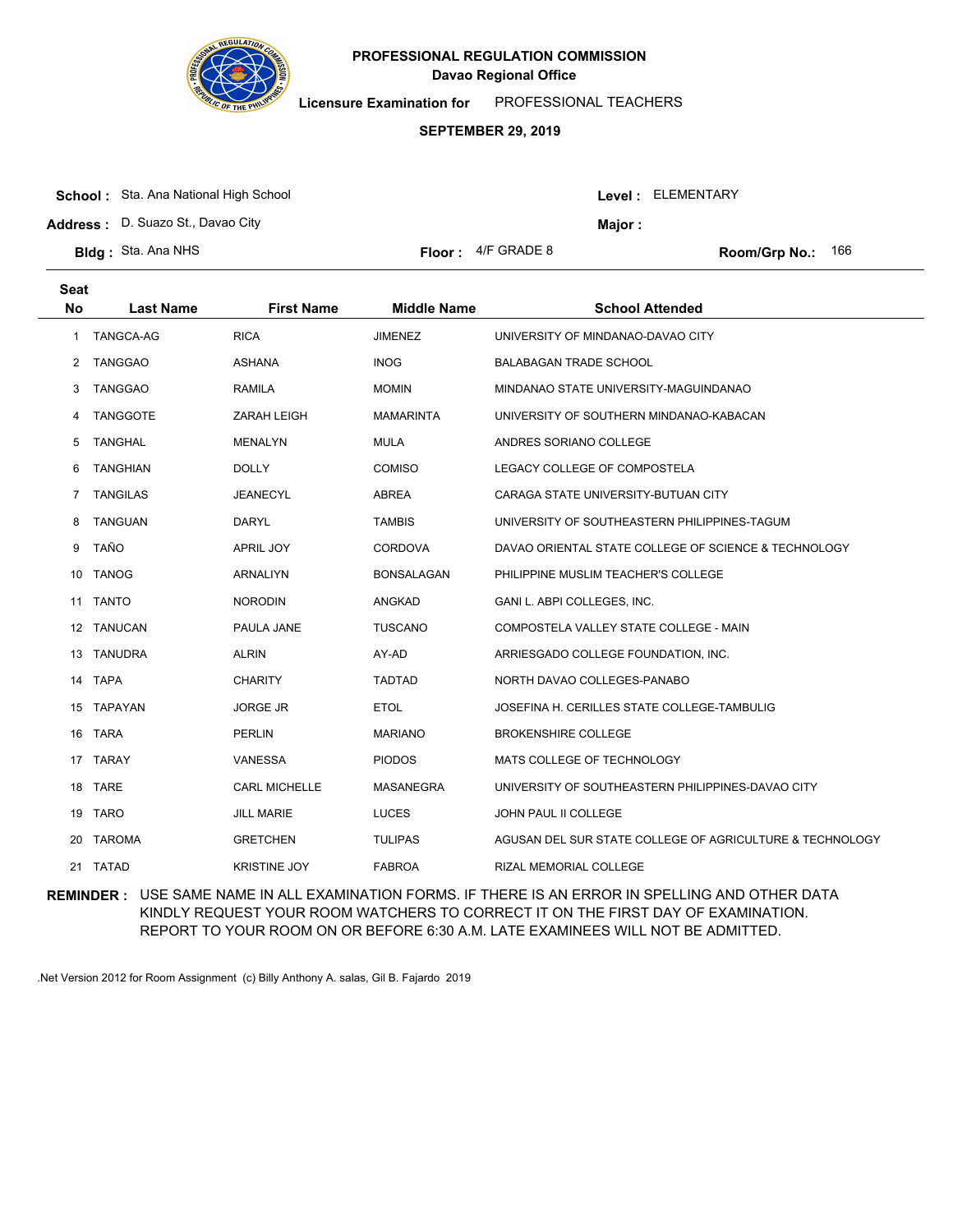

**Licensure Examination for**  PROFESSIONAL TEACHERS

### **SEPTEMBER 29, 2019**

|  | <b>School:</b> Sta. Ana National High School |
|--|----------------------------------------------|
|--|----------------------------------------------|

**Address :** D. Suazo St., Davao City

| <b>3Idg:</b> Sta. Ana NHS |  |  |  |
|---------------------------|--|--|--|
|---------------------------|--|--|--|

**Seat**

| or : | 4/F GRADE 8 |
|------|-------------|
|      |             |

**Bldg:** Sta. Ana NHS Floor: 4/F GRADE 8 Room/Grp No.: 166

Level : ELEMENTARY

**Major :**

| əeat      |                  |                      |                    |                                                          |
|-----------|------------------|----------------------|--------------------|----------------------------------------------------------|
| <b>No</b> | <b>Last Name</b> | <b>First Name</b>    | <b>Middle Name</b> | <b>School Attended</b>                                   |
| 1         | TANGCA-AG        | <b>RICA</b>          | <b>JIMENEZ</b>     | UNIVERSITY OF MINDANAO-DAVAO CITY                        |
| 2         | <b>TANGGAO</b>   | ASHANA               | <b>INOG</b>        | BALABAGAN TRADE SCHOOL                                   |
| 3         | <b>TANGGAO</b>   | <b>RAMILA</b>        | <b>MOMIN</b>       | MINDANAO STATE UNIVERSITY-MAGUINDANAO                    |
| 4         | <b>TANGGOTE</b>  | <b>ZARAH LEIGH</b>   | <b>MAMARINTA</b>   | UNIVERSITY OF SOUTHERN MINDANAO-KABACAN                  |
| 5         | <b>TANGHAL</b>   | <b>MENALYN</b>       | <b>MULA</b>        | ANDRES SORIANO COLLEGE                                   |
| 6         | <b>TANGHIAN</b>  | <b>DOLLY</b>         | <b>COMISO</b>      | LEGACY COLLEGE OF COMPOSTELA                             |
| 7         | <b>TANGILAS</b>  | JEANECYL             | ABREA              | CARAGA STATE UNIVERSITY-BUTUAN CITY                      |
| 8         | <b>TANGUAN</b>   | <b>DARYL</b>         | <b>TAMBIS</b>      | UNIVERSITY OF SOUTHEASTERN PHILIPPINES-TAGUM             |
| 9         | <b>TAÑO</b>      | <b>APRIL JOY</b>     | CORDOVA            | DAVAO ORIENTAL STATE COLLEGE OF SCIENCE & TECHNOLOGY     |
| 10        | <b>TANOG</b>     | <b>ARNALIYN</b>      | <b>BONSALAGAN</b>  | PHILIPPINE MUSLIM TEACHER'S COLLEGE                      |
| 11        | <b>TANTO</b>     | <b>NORODIN</b>       | ANGKAD             | GANI L. ABPI COLLEGES, INC.                              |
|           | 12 TANUCAN       | PAULA JANE           | <b>TUSCANO</b>     | COMPOSTELA VALLEY STATE COLLEGE - MAIN                   |
|           | 13 TANUDRA       | <b>ALRIN</b>         | AY-AD              | ARRIESGADO COLLEGE FOUNDATION, INC.                      |
|           | 14 TAPA          | <b>CHARITY</b>       | <b>TADTAD</b>      | NORTH DAVAO COLLEGES-PANABO                              |
|           | 15 TAPAYAN       | <b>JORGE JR</b>      | <b>ETOL</b>        | JOSEFINA H. CERILLES STATE COLLEGE-TAMBULIG              |
|           | 16 TARA          | <b>PERLIN</b>        | <b>MARIANO</b>     | <b>BROKENSHIRE COLLEGE</b>                               |
|           | 17 TARAY         | VANESSA              | <b>PIODOS</b>      | MATS COLLEGE OF TECHNOLOGY                               |
|           | 18 TARE          | <b>CARL MICHELLE</b> | MASANEGRA          | UNIVERSITY OF SOUTHEASTERN PHILIPPINES-DAVAO CITY        |
|           | 19 TARO          | <b>JILL MARIE</b>    | <b>LUCES</b>       | JOHN PAUL II COLLEGE                                     |
| 20        | <b>TAROMA</b>    | <b>GRETCHEN</b>      | <b>TULIPAS</b>     | AGUSAN DEL SUR STATE COLLEGE OF AGRICULTURE & TECHNOLOGY |
| 21        | <b>TATAD</b>     | <b>KRISTINE JOY</b>  | <b>FABROA</b>      | RIZAL MEMORIAL COLLEGE                                   |

**REMINDER :** USE SAME NAME IN ALL EXAMINATION FORMS. IF THERE IS AN ERROR IN SPELLING AND OTHER DATA KINDLY REQUEST YOUR ROOM WATCHERS TO CORRECT IT ON THE FIRST DAY OF EXAMINATION. REPORT TO YOUR ROOM ON OR BEFORE 6:30 A.M. LATE EXAMINEES WILL NOT BE ADMITTED.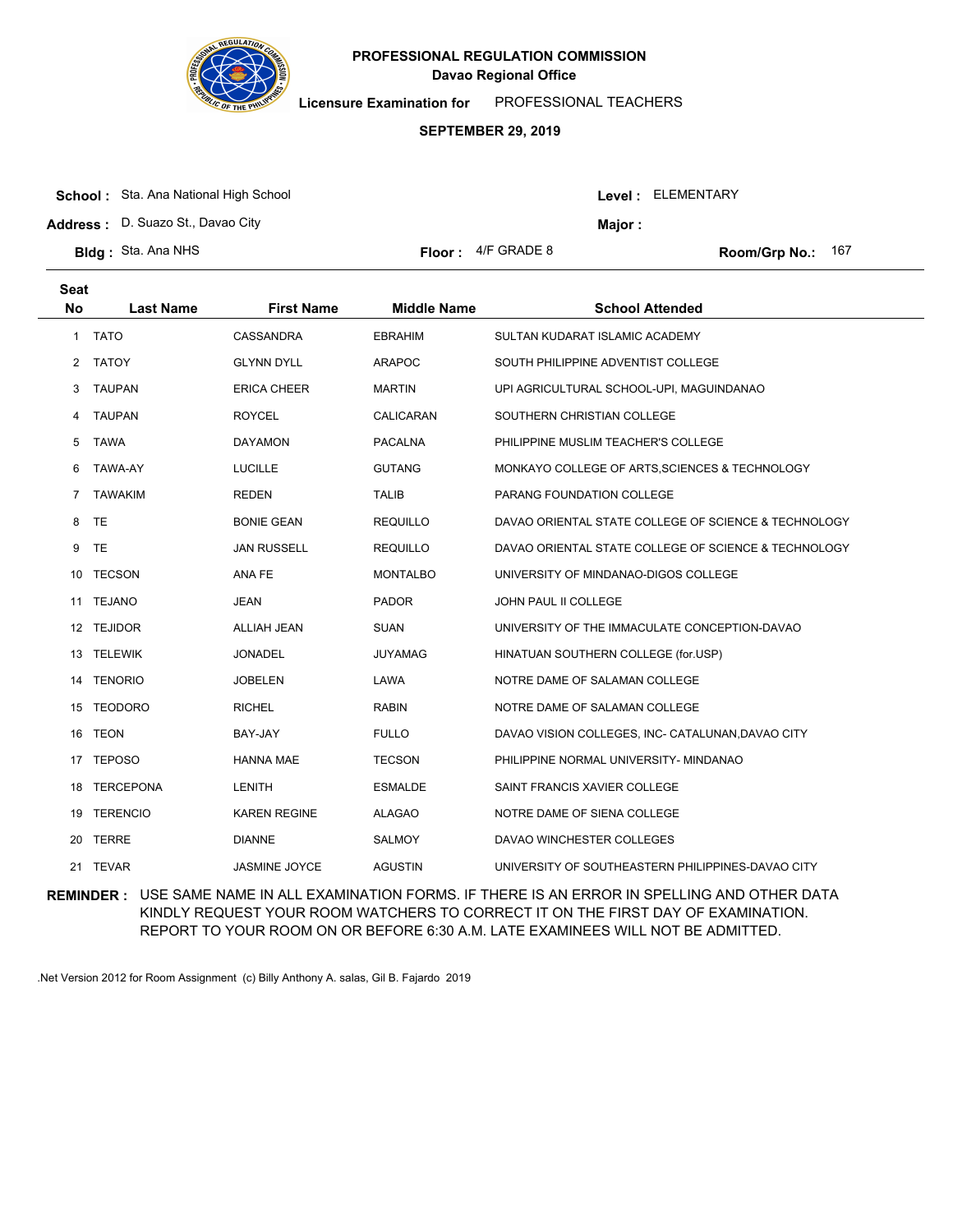

**Licensure Examination for**  PROFESSIONAL TEACHERS

### **SEPTEMBER 29, 2019**

|  | <b>School:</b> Sta. Ana National High School |
|--|----------------------------------------------|
|--|----------------------------------------------|

**Address :** D. Suazo St., Davao City

|  |  | dg: Sta. Ana NHS |
|--|--|------------------|
|  |  |                  |

**Bldg :** Sta. Ana NHS **Floor :**  $4/F$  GRADE 8

Room/Grp No.: 167

Level : ELEMENTARY

**Major :**

| <b>Seat</b><br>No. | <b>Last Name</b> | <b>First Name</b>    | <b>Middle Name</b> | <b>School Attended</b>                               |
|--------------------|------------------|----------------------|--------------------|------------------------------------------------------|
| 1                  | <b>TATO</b>      | CASSANDRA            | <b>EBRAHIM</b>     | SULTAN KUDARAT ISLAMIC ACADEMY                       |
| 2                  | <b>TATOY</b>     | <b>GLYNN DYLL</b>    | <b>ARAPOC</b>      | SOUTH PHILIPPINE ADVENTIST COLLEGE                   |
| 3                  | <b>TAUPAN</b>    | <b>ERICA CHEER</b>   | <b>MARTIN</b>      | UPI AGRICULTURAL SCHOOL-UPI, MAGUINDANAO             |
| 4                  | <b>TAUPAN</b>    | <b>ROYCEL</b>        | CALICARAN          | SOUTHERN CHRISTIAN COLLEGE                           |
| 5                  | <b>TAWA</b>      | <b>DAYAMON</b>       | <b>PACALNA</b>     | PHILIPPINE MUSLIM TEACHER'S COLLEGE                  |
| 6                  | TAWA-AY          | <b>LUCILLE</b>       | <b>GUTANG</b>      | MONKAYO COLLEGE OF ARTS, SCIENCES & TECHNOLOGY       |
| 7                  | <b>TAWAKIM</b>   | <b>REDEN</b>         | <b>TALIB</b>       | PARANG FOUNDATION COLLEGE                            |
| 8                  | <b>TE</b>        | <b>BONIE GEAN</b>    | <b>REQUILLO</b>    | DAVAO ORIENTAL STATE COLLEGE OF SCIENCE & TECHNOLOGY |
| 9                  | TE               | <b>JAN RUSSELL</b>   | <b>REQUILLO</b>    | DAVAO ORIENTAL STATE COLLEGE OF SCIENCE & TECHNOLOGY |
| 10                 | <b>TECSON</b>    | ANA FE               | <b>MONTALBO</b>    | UNIVERSITY OF MINDANAO-DIGOS COLLEGE                 |
| 11                 | <b>TEJANO</b>    | <b>JEAN</b>          | <b>PADOR</b>       | JOHN PAUL II COLLEGE                                 |
|                    | 12 TEJIDOR       | <b>ALLIAH JEAN</b>   | <b>SUAN</b>        | UNIVERSITY OF THE IMMACULATE CONCEPTION-DAVAO        |
| 13                 | <b>TELEWIK</b>   | <b>JONADEL</b>       | <b>JUYAMAG</b>     | HINATUAN SOUTHERN COLLEGE (for.USP)                  |
| 14                 | <b>TENORIO</b>   | <b>JOBELEN</b>       | LAWA               | NOTRE DAME OF SALAMAN COLLEGE                        |
|                    | 15 TEODORO       | <b>RICHEL</b>        | <b>RABIN</b>       | NOTRE DAME OF SALAMAN COLLEGE                        |
| 16                 | <b>TEON</b>      | BAY-JAY              | <b>FULLO</b>       | DAVAO VISION COLLEGES, INC- CATALUNAN, DAVAO CITY    |
| 17                 | <b>TEPOSO</b>    | <b>HANNA MAE</b>     | <b>TECSON</b>      | PHILIPPINE NORMAL UNIVERSITY- MINDANAO               |
| 18                 | <b>TERCEPONA</b> | LENITH               | <b>ESMALDE</b>     | SAINT FRANCIS XAVIER COLLEGE                         |
| 19                 | <b>TERENCIO</b>  | <b>KAREN REGINE</b>  | <b>ALAGAO</b>      | NOTRE DAME OF SIENA COLLEGE                          |
| 20                 | TERRE            | <b>DIANNE</b>        | <b>SALMOY</b>      | DAVAO WINCHESTER COLLEGES                            |
|                    | 21 TEVAR         | <b>JASMINE JOYCE</b> | <b>AGUSTIN</b>     | UNIVERSITY OF SOUTHEASTERN PHILIPPINES-DAVAO CITY    |

**REMINDER :** USE SAME NAME IN ALL EXAMINATION FORMS. IF THERE IS AN ERROR IN SPELLING AND OTHER DATA KINDLY REQUEST YOUR ROOM WATCHERS TO CORRECT IT ON THE FIRST DAY OF EXAMINATION. REPORT TO YOUR ROOM ON OR BEFORE 6:30 A.M. LATE EXAMINEES WILL NOT BE ADMITTED.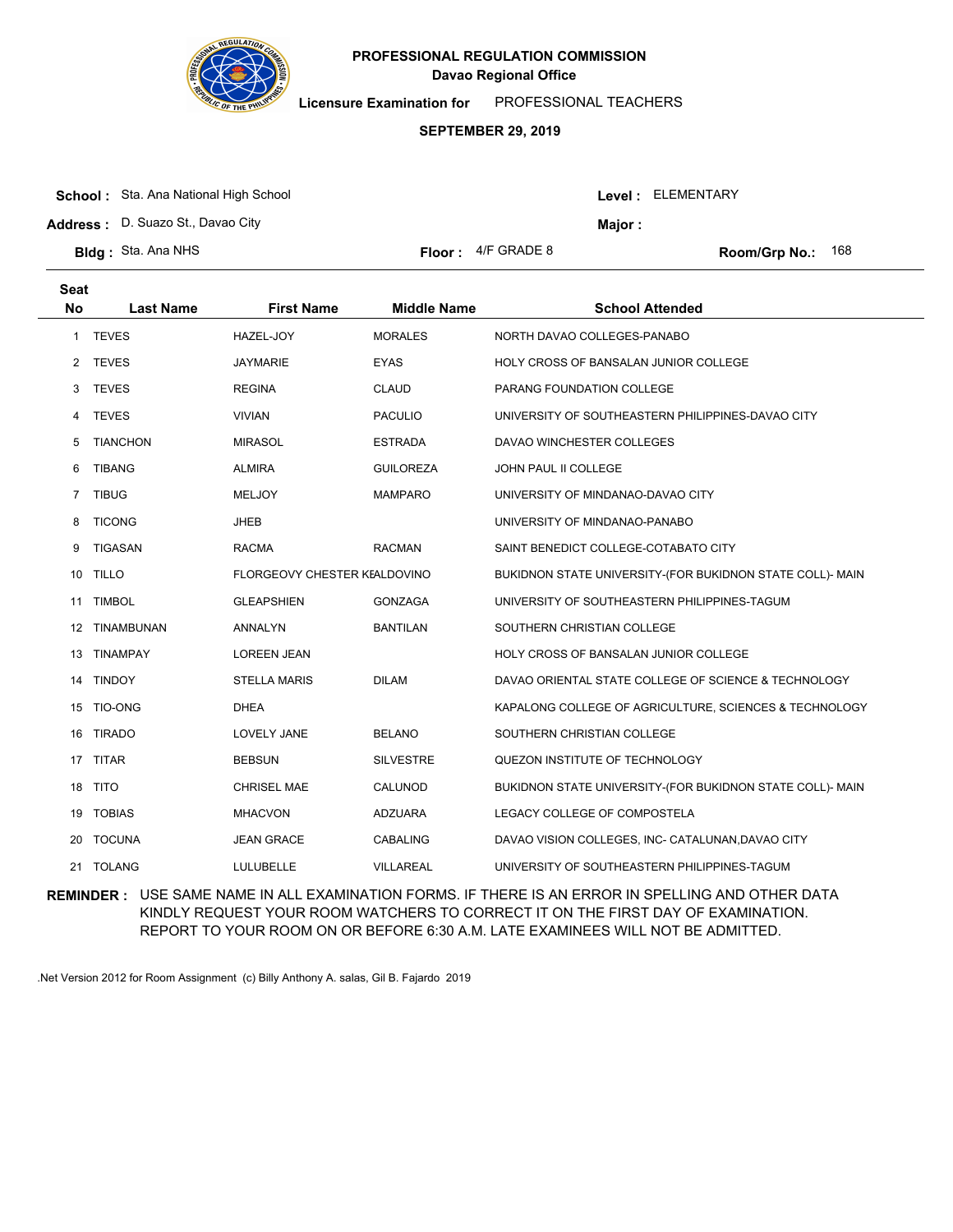

**Licensure Examination for**  PROFESSIONAL TEACHERS

### **SEPTEMBER 29, 2019**

| <b>School:</b> Sta. Ana National High School |  |
|----------------------------------------------|--|
|----------------------------------------------|--|

**Address :** D. Suazo St., Davao City

| <b>3Idg:</b> Sta. Ana NHS |  |  |  |
|---------------------------|--|--|--|
|---------------------------|--|--|--|

**Seat**

|  | 4/F GRADE 8 |
|--|-------------|
|  |             |

**Bldg:** Sta. Ana NHS Floor: 4/F GRADE 8 Room/Grp No.: 168

Level : ELEMENTARY

**Major :**

| əeal      |                  |                              |                    |                                                           |
|-----------|------------------|------------------------------|--------------------|-----------------------------------------------------------|
| <b>No</b> | <b>Last Name</b> | <b>First Name</b>            | <b>Middle Name</b> | <b>School Attended</b>                                    |
| 1.        | <b>TEVES</b>     | HAZEL-JOY                    | <b>MORALES</b>     | NORTH DAVAO COLLEGES-PANABO                               |
| 2         | <b>TEVES</b>     | JAYMARIE                     | <b>EYAS</b>        | <b>HOLY CROSS OF BANSALAN JUNIOR COLLEGE</b>              |
| 3         | <b>TEVES</b>     | <b>REGINA</b>                | <b>CLAUD</b>       | PARANG FOUNDATION COLLEGE                                 |
| 4         | <b>TEVES</b>     | <b>VIVIAN</b>                | <b>PACULIO</b>     | UNIVERSITY OF SOUTHEASTERN PHILIPPINES-DAVAO CITY         |
| 5         | <b>TIANCHON</b>  | <b>MIRASOL</b>               | <b>ESTRADA</b>     | DAVAO WINCHESTER COLLEGES                                 |
| 6         | <b>TIBANG</b>    | <b>ALMIRA</b>                | <b>GUILOREZA</b>   | JOHN PAUL II COLLEGE                                      |
| 7         | <b>TIBUG</b>     | <b>MELJOY</b>                | <b>MAMPARO</b>     | UNIVERSITY OF MINDANAO-DAVAO CITY                         |
| 8         | <b>TICONG</b>    | <b>JHEB</b>                  |                    | UNIVERSITY OF MINDANAO-PANABO                             |
| 9         | <b>TIGASAN</b>   | <b>RACMA</b>                 | <b>RACMAN</b>      | SAINT BENEDICT COLLEGE-COTABATO CITY                      |
| 10        | <b>TILLO</b>     | FLORGEOVY CHESTER KEALDOVINO |                    | BUKIDNON STATE UNIVERSITY-(FOR BUKIDNON STATE COLL)- MAIN |
| 11        | <b>TIMBOL</b>    | <b>GLEAPSHIEN</b>            | <b>GONZAGA</b>     | UNIVERSITY OF SOUTHEASTERN PHILIPPINES-TAGUM              |
| 12        | TINAMBUNAN       | ANNALYN                      | <b>BANTILAN</b>    | SOUTHERN CHRISTIAN COLLEGE                                |
| 13        | TINAMPAY         | <b>LOREEN JEAN</b>           |                    | HOLY CROSS OF BANSALAN JUNIOR COLLEGE                     |
|           | 14 TINDOY        | STELLA MARIS                 | <b>DILAM</b>       | DAVAO ORIENTAL STATE COLLEGE OF SCIENCE & TECHNOLOGY      |
|           | 15 TIO-ONG       | <b>DHEA</b>                  |                    | KAPALONG COLLEGE OF AGRICULTURE, SCIENCES & TECHNOLOGY    |
| 16        | <b>TIRADO</b>    | LOVELY JANE                  | <b>BELANO</b>      | SOUTHERN CHRISTIAN COLLEGE                                |
|           | 17 TITAR         | <b>BEBSUN</b>                | <b>SILVESTRE</b>   | QUEZON INSTITUTE OF TECHNOLOGY                            |
|           | 18 TITO          | <b>CHRISEL MAE</b>           | CALUNOD            | BUKIDNON STATE UNIVERSITY-(FOR BUKIDNON STATE COLL)- MAIN |
| 19        | <b>TOBIAS</b>    | <b>MHACVON</b>               | <b>ADZUARA</b>     | LEGACY COLLEGE OF COMPOSTELA                              |
| 20        | <b>TOCUNA</b>    | <b>JEAN GRACE</b>            | <b>CABALING</b>    | DAVAO VISION COLLEGES, INC- CATALUNAN, DAVAO CITY         |
| 21        | <b>TOLANG</b>    | LULUBELLE                    | <b>VILLAREAL</b>   | UNIVERSITY OF SOUTHEASTERN PHILIPPINES-TAGUM              |
|           |                  |                              |                    |                                                           |

**REMINDER :** USE SAME NAME IN ALL EXAMINATION FORMS. IF THERE IS AN ERROR IN SPELLING AND OTHER DATA KINDLY REQUEST YOUR ROOM WATCHERS TO CORRECT IT ON THE FIRST DAY OF EXAMINATION. REPORT TO YOUR ROOM ON OR BEFORE 6:30 A.M. LATE EXAMINEES WILL NOT BE ADMITTED.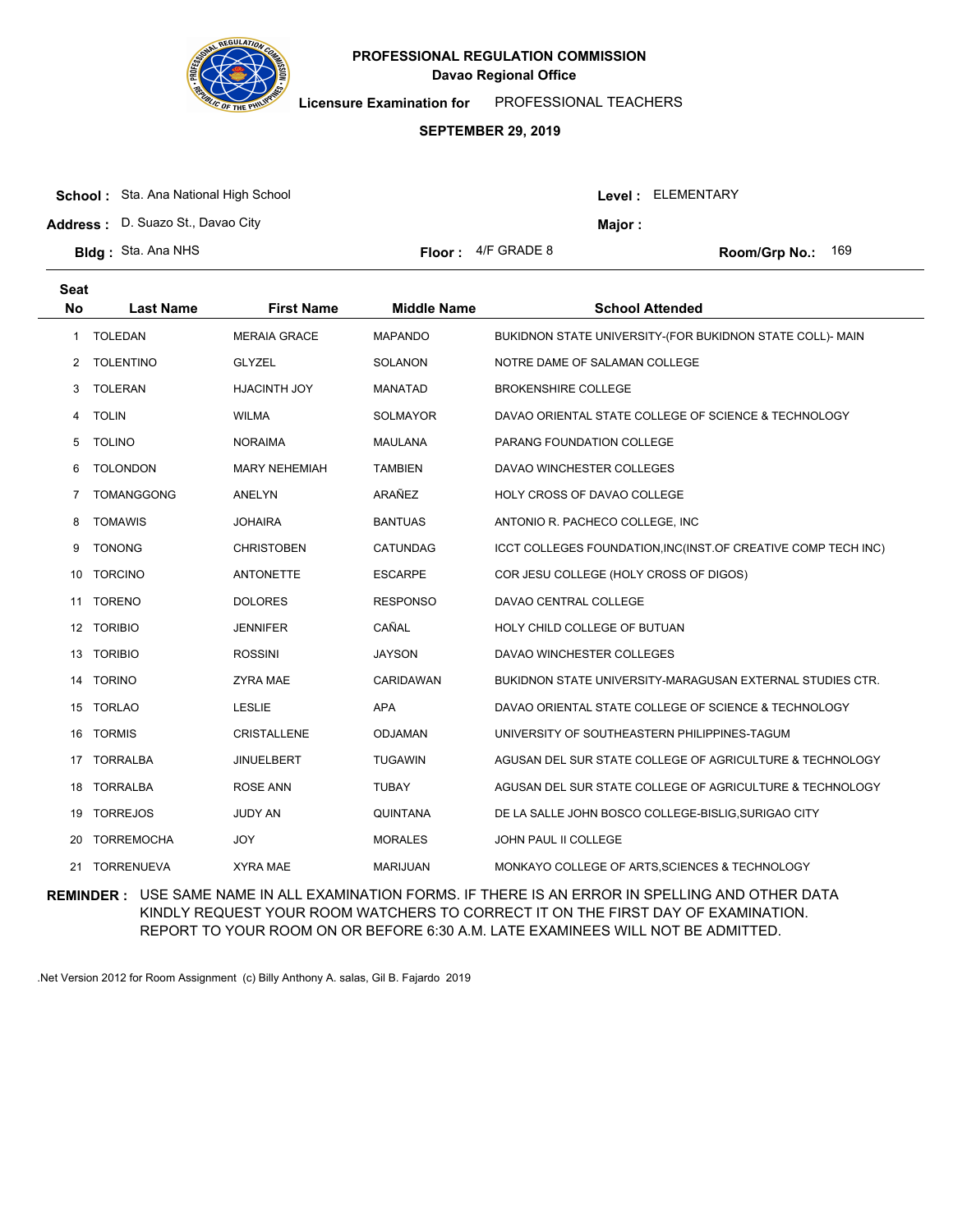

**Licensure Examination for**  PROFESSIONAL TEACHERS

### **SEPTEMBER 29, 2019**

| <b>School:</b> Sta. Ana National High School |                             |                | Level: ELEMENTARY        |
|----------------------------------------------|-----------------------------|----------------|--------------------------|
| Address: D. Suazo St., Davao City            |                             | <b>Maior :</b> |                          |
| <b>Bldg:</b> Sta. Ana NHS                    | <b>Floor:</b> $4/F$ GRADE 8 |                | <b>Room/Grp No.: 169</b> |

| <b>Seat</b><br><b>No</b> | <b>Last Name</b>  | <b>First Name</b>    | <b>Middle Name</b> | <b>School Attended</b>                                        |
|--------------------------|-------------------|----------------------|--------------------|---------------------------------------------------------------|
| 1                        | <b>TOLEDAN</b>    | <b>MERAIA GRACE</b>  | <b>MAPANDO</b>     | BUKIDNON STATE UNIVERSITY-(FOR BUKIDNON STATE COLL)- MAIN     |
| 2                        | <b>TOLENTINO</b>  | <b>GLYZEL</b>        | <b>SOLANON</b>     | NOTRE DAME OF SALAMAN COLLEGE                                 |
| 3                        | <b>TOLERAN</b>    | HJACINTH JOY         | <b>MANATAD</b>     | <b>BROKENSHIRE COLLEGE</b>                                    |
| 4                        | <b>TOLIN</b>      | <b>WILMA</b>         | <b>SOLMAYOR</b>    | DAVAO ORIENTAL STATE COLLEGE OF SCIENCE & TECHNOLOGY          |
| 5                        | <b>TOLINO</b>     | <b>NORAIMA</b>       | <b>MAULANA</b>     | PARANG FOUNDATION COLLEGE                                     |
| 6                        | <b>TOLONDON</b>   | <b>MARY NEHEMIAH</b> | <b>TAMBIEN</b>     | DAVAO WINCHESTER COLLEGES                                     |
| 7                        | <b>TOMANGGONG</b> | ANELYN               | ARAÑEZ             | HOLY CROSS OF DAVAO COLLEGE                                   |
| 8                        | <b>TOMAWIS</b>    | <b>JOHAIRA</b>       | <b>BANTUAS</b>     | ANTONIO R. PACHECO COLLEGE, INC                               |
| 9                        | <b>TONONG</b>     | <b>CHRISTOBEN</b>    | CATUNDAG           | ICCT COLLEGES FOUNDATION, INC(INST.OF CREATIVE COMP TECH INC) |
| 10                       | <b>TORCINO</b>    | <b>ANTONETTE</b>     | <b>ESCARPE</b>     | COR JESU COLLEGE (HOLY CROSS OF DIGOS)                        |
| 11                       | <b>TORENO</b>     | <b>DOLORES</b>       | <b>RESPONSO</b>    | DAVAO CENTRAL COLLEGE                                         |
|                          | 12 TORIBIO        | <b>JENNIFER</b>      | CAÑAL              | HOLY CHILD COLLEGE OF BUTUAN                                  |
| 13                       | <b>TORIBIO</b>    | <b>ROSSINI</b>       | <b>JAYSON</b>      | DAVAO WINCHESTER COLLEGES                                     |
| 14                       | <b>TORINO</b>     | <b>ZYRA MAE</b>      | CARIDAWAN          | BUKIDNON STATE UNIVERSITY-MARAGUSAN EXTERNAL STUDIES CTR.     |
|                          | 15 TORLAO         | <b>LESLIE</b>        | APA                | DAVAO ORIENTAL STATE COLLEGE OF SCIENCE & TECHNOLOGY          |
| 16                       | <b>TORMIS</b>     | <b>CRISTALLENE</b>   | ODJAMAN            | UNIVERSITY OF SOUTHEASTERN PHILIPPINES-TAGUM                  |
| 17                       | <b>TORRALBA</b>   | <b>JINUELBERT</b>    | <b>TUGAWIN</b>     | AGUSAN DEL SUR STATE COLLEGE OF AGRICULTURE & TECHNOLOGY      |
| 18                       | <b>TORRALBA</b>   | <b>ROSE ANN</b>      | <b>TUBAY</b>       | AGUSAN DEL SUR STATE COLLEGE OF AGRICULTURE & TECHNOLOGY      |
| 19                       | <b>TORREJOS</b>   | JUDY AN              | QUINTANA           | DE LA SALLE JOHN BOSCO COLLEGE-BISLIG, SURIGAO CITY           |
| 20                       | <b>TORREMOCHA</b> | JOY                  | <b>MORALES</b>     | <b>JOHN PAUL II COLLEGE</b>                                   |
|                          | 21 TORRENUEVA     | <b>XYRA MAE</b>      | <b>MARIJUAN</b>    | MONKAYO COLLEGE OF ARTS, SCIENCES & TECHNOLOGY                |

**REMINDER :** USE SAME NAME IN ALL EXAMINATION FORMS. IF THERE IS AN ERROR IN SPELLING AND OTHER DATA KINDLY REQUEST YOUR ROOM WATCHERS TO CORRECT IT ON THE FIRST DAY OF EXAMINATION. REPORT TO YOUR ROOM ON OR BEFORE 6:30 A.M. LATE EXAMINEES WILL NOT BE ADMITTED.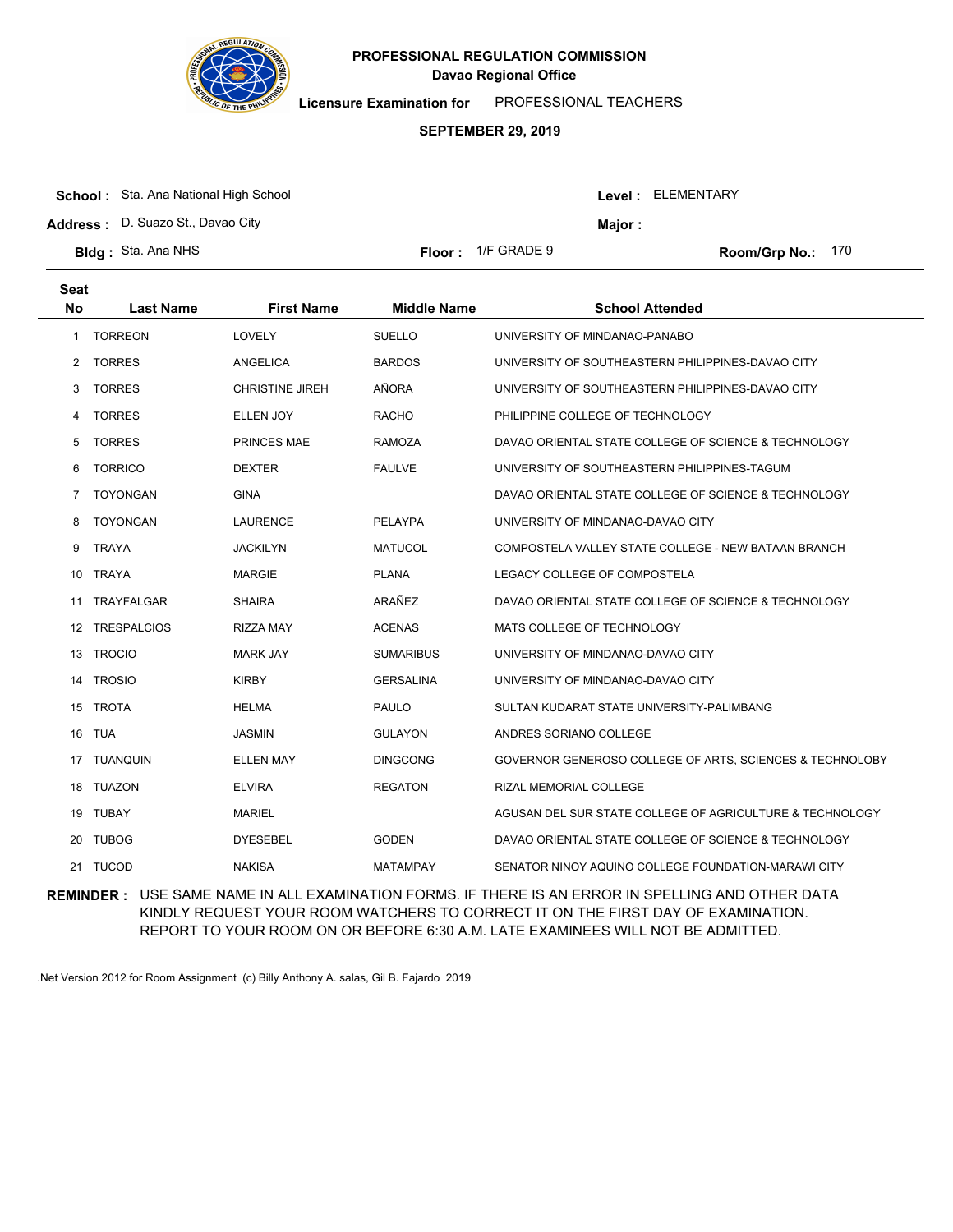

**Licensure Examination for**  PROFESSIONAL TEACHERS

### **SEPTEMBER 29, 2019**

| <b>School:</b> Sta. Ana National High School |  |  |
|----------------------------------------------|--|--|
|                                              |  |  |

**Address :** D. Suazo St., Davao City

**Major :**

| <b>Bldg: Sta. Ana NHS</b> | <b>Floor:</b> $1/F$ GRADE 9 | Room/Grp No.: 170 |
|---------------------------|-----------------------------|-------------------|
|                           |                             |                   |

| Floor : | TIF GRADE 9 |  |
|---------|-------------|--|
|         |             |  |

| Seat           |                    |                        |                    |                                                          |
|----------------|--------------------|------------------------|--------------------|----------------------------------------------------------|
| <b>No</b>      | <b>Last Name</b>   | <b>First Name</b>      | <b>Middle Name</b> | <b>School Attended</b>                                   |
| $\mathbf{1}$   | <b>TORREON</b>     | LOVELY                 | <b>SUELLO</b>      | UNIVERSITY OF MINDANAO-PANABO                            |
| $\overline{2}$ | <b>TORRES</b>      | ANGELICA               | <b>BARDOS</b>      | UNIVERSITY OF SOUTHEASTERN PHILIPPINES-DAVAO CITY        |
| 3              | <b>TORRES</b>      | <b>CHRISTINE JIREH</b> | AÑORA              | UNIVERSITY OF SOUTHEASTERN PHILIPPINES-DAVAO CITY        |
| 4              | <b>TORRES</b>      | ELLEN JOY              | <b>RACHO</b>       | PHILIPPINE COLLEGE OF TECHNOLOGY                         |
| 5              | <b>TORRES</b>      | <b>PRINCES MAE</b>     | <b>RAMOZA</b>      | DAVAO ORIENTAL STATE COLLEGE OF SCIENCE & TECHNOLOGY     |
| 6              | <b>TORRICO</b>     | <b>DEXTER</b>          | <b>FAULVE</b>      | UNIVERSITY OF SOUTHEASTERN PHILIPPINES-TAGUM             |
| 7              | <b>TOYONGAN</b>    | <b>GINA</b>            |                    | DAVAO ORIENTAL STATE COLLEGE OF SCIENCE & TECHNOLOGY     |
| 8              | <b>TOYONGAN</b>    | <b>LAURENCE</b>        | <b>PELAYPA</b>     | UNIVERSITY OF MINDANAO-DAVAO CITY                        |
| 9              | <b>TRAYA</b>       | <b>JACKILYN</b>        | <b>MATUCOL</b>     | COMPOSTELA VALLEY STATE COLLEGE - NEW BATAAN BRANCH      |
| 10             | <b>TRAYA</b>       | <b>MARGIE</b>          | <b>PLANA</b>       | LEGACY COLLEGE OF COMPOSTELA                             |
| 11             | <b>TRAYFALGAR</b>  | <b>SHAIRA</b>          | ARAÑEZ             | DAVAO ORIENTAL STATE COLLEGE OF SCIENCE & TECHNOLOGY     |
| 12             | <b>TRESPALCIOS</b> | <b>RIZZA MAY</b>       | <b>ACENAS</b>      | MATS COLLEGE OF TECHNOLOGY                               |
| 13             | <b>TROCIO</b>      | <b>MARK JAY</b>        | <b>SUMARIBUS</b>   | UNIVERSITY OF MINDANAO-DAVAO CITY                        |
| 14             | <b>TROSIO</b>      | <b>KIRBY</b>           | <b>GERSALINA</b>   | UNIVERSITY OF MINDANAO-DAVAO CITY                        |
| 15             | <b>TROTA</b>       | <b>HELMA</b>           | PAULO              | SULTAN KUDARAT STATE UNIVERSITY-PALIMBANG                |
| 16             | <b>TUA</b>         | <b>JASMIN</b>          | <b>GULAYON</b>     | ANDRES SORIANO COLLEGE                                   |
| 17             | <b>TUANQUIN</b>    | <b>ELLEN MAY</b>       | DINGCONG           | GOVERNOR GENEROSO COLLEGE OF ARTS, SCIENCES & TECHNOLOBY |
| 18             | <b>TUAZON</b>      | <b>ELVIRA</b>          | <b>REGATON</b>     | <b>RIZAL MEMORIAL COLLEGE</b>                            |
| 19             | TUBAY              | <b>MARIEL</b>          |                    | AGUSAN DEL SUR STATE COLLEGE OF AGRICULTURE & TECHNOLOGY |
| 20             | <b>TUBOG</b>       | <b>DYESEBEL</b>        | <b>GODEN</b>       | DAVAO ORIENTAL STATE COLLEGE OF SCIENCE & TECHNOLOGY     |
|                | 21 TUCOD           | <b>NAKISA</b>          | <b>MATAMPAY</b>    | SENATOR NINOY AQUINO COLLEGE FOUNDATION-MARAWI CITY      |

**REMINDER :** USE SAME NAME IN ALL EXAMINATION FORMS. IF THERE IS AN ERROR IN SPELLING AND OTHER DATA KINDLY REQUEST YOUR ROOM WATCHERS TO CORRECT IT ON THE FIRST DAY OF EXAMINATION. REPORT TO YOUR ROOM ON OR BEFORE 6:30 A.M. LATE EXAMINEES WILL NOT BE ADMITTED.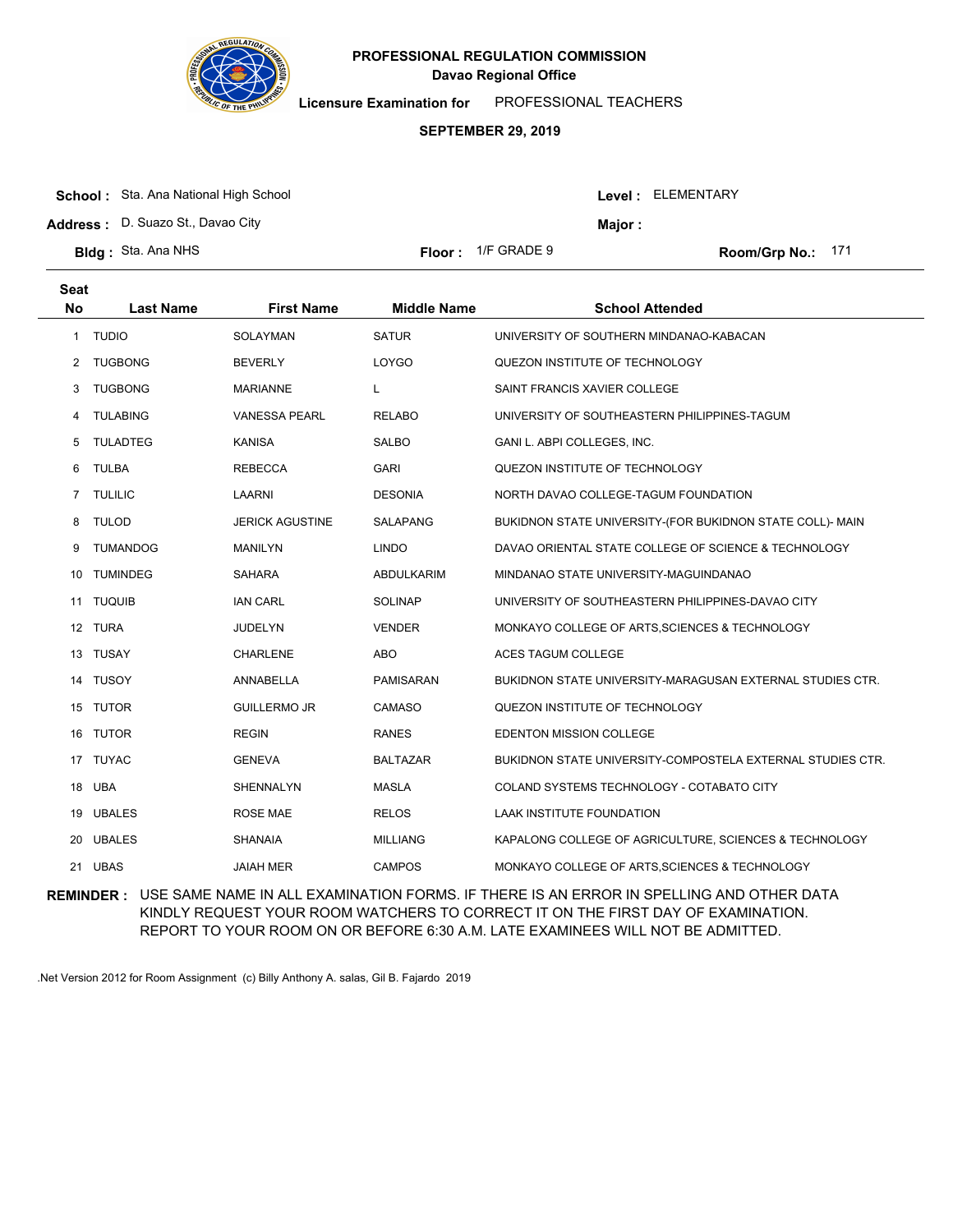

**Licensure Examination for**  PROFESSIONAL TEACHERS

### **SEPTEMBER 29, 2019**

| <b>School:</b> Sta. Ana National High School |                             |         | Level: ELEMENTARY |  |
|----------------------------------------------|-----------------------------|---------|-------------------|--|
| <b>Address:</b> D. Suazo St., Davao City     |                             | Maior : |                   |  |
| <b>BIdg:</b> Sta. Ana NHS                    | <b>Floor:</b> $1/F$ GRADE 9 |         | Room/Grp No.: 171 |  |

| <b>Seat</b><br><b>No</b> | <b>Last Name</b> | <b>First Name</b>      | <b>Middle Name</b> | <b>School Attended</b>                                     |
|--------------------------|------------------|------------------------|--------------------|------------------------------------------------------------|
| 1                        | <b>TUDIO</b>     | <b>SOLAYMAN</b>        | <b>SATUR</b>       | UNIVERSITY OF SOUTHERN MINDANAO-KABACAN                    |
| 2                        | <b>TUGBONG</b>   | <b>BEVERLY</b>         | LOYGO              | QUEZON INSTITUTE OF TECHNOLOGY                             |
| 3                        | <b>TUGBONG</b>   | <b>MARIANNE</b>        | L.                 | SAINT FRANCIS XAVIER COLLEGE                               |
| 4                        | <b>TULABING</b>  | <b>VANESSA PEARL</b>   | <b>RELABO</b>      | UNIVERSITY OF SOUTHEASTERN PHILIPPINES-TAGUM               |
| 5                        | <b>TULADTEG</b>  | <b>KANISA</b>          | <b>SALBO</b>       | GANI L. ABPI COLLEGES, INC.                                |
| 6                        | <b>TULBA</b>     | <b>REBECCA</b>         | <b>GARI</b>        | QUEZON INSTITUTE OF TECHNOLOGY                             |
| $\overline{7}$           | <b>TULILIC</b>   | <b>LAARNI</b>          | <b>DESONIA</b>     | NORTH DAVAO COLLEGE-TAGUM FOUNDATION                       |
| 8                        | <b>TULOD</b>     | <b>JERICK AGUSTINE</b> | SALAPANG           | BUKIDNON STATE UNIVERSITY-(FOR BUKIDNON STATE COLL)- MAIN  |
| 9                        | <b>TUMANDOG</b>  | <b>MANILYN</b>         | <b>LINDO</b>       | DAVAO ORIENTAL STATE COLLEGE OF SCIENCE & TECHNOLOGY       |
| 10                       | <b>TUMINDEG</b>  | <b>SAHARA</b>          | <b>ABDULKARIM</b>  | MINDANAO STATE UNIVERSITY-MAGUINDANAO                      |
| 11                       | <b>TUQUIB</b>    | <b>IAN CARL</b>        | <b>SOLINAP</b>     | UNIVERSITY OF SOUTHEASTERN PHILIPPINES-DAVAO CITY          |
|                          | 12 TURA          | <b>JUDELYN</b>         | <b>VENDER</b>      | MONKAYO COLLEGE OF ARTS, SCIENCES & TECHNOLOGY             |
|                          | 13 TUSAY         | CHARLENE               | <b>ABO</b>         | <b>ACES TAGUM COLLEGE</b>                                  |
| 14                       | <b>TUSOY</b>     | ANNABELLA              | PAMISARAN          | BUKIDNON STATE UNIVERSITY-MARAGUSAN EXTERNAL STUDIES CTR.  |
|                          | 15 TUTOR         | <b>GUILLERMO JR</b>    | CAMASO             | QUEZON INSTITUTE OF TECHNOLOGY                             |
|                          | 16 TUTOR         | <b>REGIN</b>           | <b>RANES</b>       | EDENTON MISSION COLLEGE                                    |
| 17                       | <b>TUYAC</b>     | <b>GENEVA</b>          | <b>BALTAZAR</b>    | BUKIDNON STATE UNIVERSITY-COMPOSTELA EXTERNAL STUDIES CTR. |
| 18                       | <b>UBA</b>       | <b>SHENNALYN</b>       | <b>MASLA</b>       | COLAND SYSTEMS TECHNOLOGY - COTABATO CITY                  |
|                          | 19 UBALES        | <b>ROSE MAE</b>        | <b>RELOS</b>       | LAAK INSTITUTE FOUNDATION                                  |
| 20                       | <b>UBALES</b>    | <b>SHANAIA</b>         | <b>MILLIANG</b>    | KAPALONG COLLEGE OF AGRICULTURE, SCIENCES & TECHNOLOGY     |
| 21                       | <b>UBAS</b>      | <b>JAIAH MER</b>       | <b>CAMPOS</b>      | MONKAYO COLLEGE OF ARTS, SCIENCES & TECHNOLOGY             |
|                          |                  |                        |                    |                                                            |

**REMINDER :** USE SAME NAME IN ALL EXAMINATION FORMS. IF THERE IS AN ERROR IN SPELLING AND OTHER DATA KINDLY REQUEST YOUR ROOM WATCHERS TO CORRECT IT ON THE FIRST DAY OF EXAMINATION. REPORT TO YOUR ROOM ON OR BEFORE 6:30 A.M. LATE EXAMINEES WILL NOT BE ADMITTED.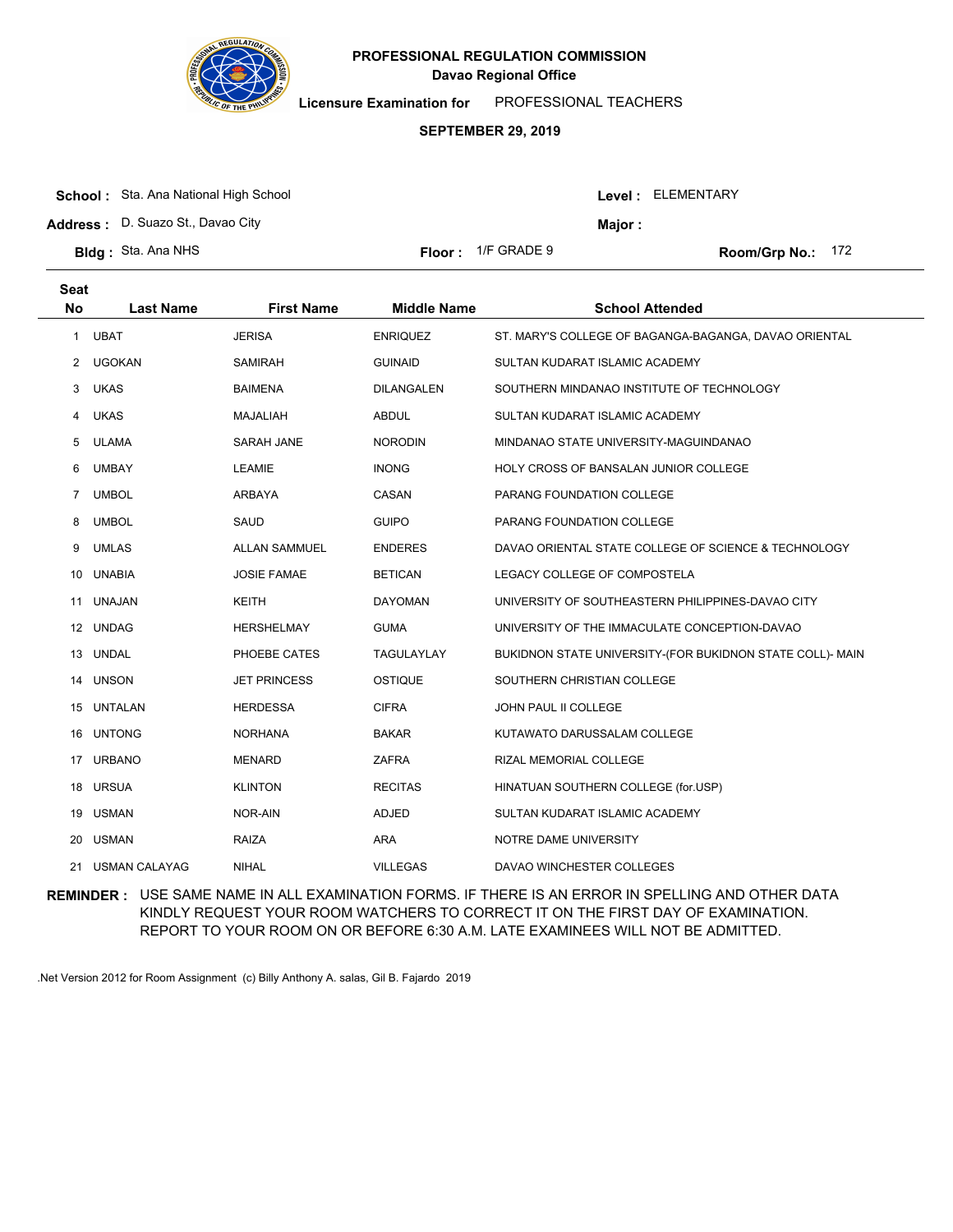

**Licensure Examination for**  PROFESSIONAL TEACHERS

### **SEPTEMBER 29, 2019**

| <b>School:</b> Sta. Ana National High School |                             |         | Level: ELEMENTARY   |
|----------------------------------------------|-----------------------------|---------|---------------------|
| Address: D. Suazo St., Davao City            |                             | Major : |                     |
| <b>BIdg:</b> Sta. Ana NHS                    | <b>Floor:</b> $1/F$ GRADE 9 |         | Room/Grp No.: $172$ |

| <b>Seat</b><br><b>No</b> | <b>Last Name</b>     | <b>First Name</b>    | <b>Middle Name</b> | <b>School Attended</b>                                    |
|--------------------------|----------------------|----------------------|--------------------|-----------------------------------------------------------|
| 1                        | <b>UBAT</b>          | <b>JERISA</b>        | <b>ENRIQUEZ</b>    | ST. MARY'S COLLEGE OF BAGANGA-BAGANGA, DAVAO ORIENTAL     |
| 2                        | <b>UGOKAN</b>        | <b>SAMIRAH</b>       | <b>GUINAID</b>     | SULTAN KUDARAT ISLAMIC ACADEMY                            |
| 3                        | <b>UKAS</b>          | <b>BAIMENA</b>       | <b>DILANGALEN</b>  | SOUTHERN MINDANAO INSTITUTE OF TECHNOLOGY                 |
| 4                        | <b>UKAS</b>          | <b>MAJALIAH</b>      | <b>ABDUL</b>       | SULTAN KUDARAT ISLAMIC ACADEMY                            |
| 5                        | <b>ULAMA</b>         | <b>SARAH JANE</b>    | <b>NORODIN</b>     | MINDANAO STATE UNIVERSITY-MAGUINDANAO                     |
| 6                        | <b>UMBAY</b>         | <b>LEAMIE</b>        | <b>INONG</b>       | HOLY CROSS OF BANSALAN JUNIOR COLLEGE                     |
| 7                        | <b>UMBOL</b>         | <b>ARBAYA</b>        | CASAN              | PARANG FOUNDATION COLLEGE                                 |
| 8                        | <b>UMBOL</b>         | <b>SAUD</b>          | <b>GUIPO</b>       | PARANG FOUNDATION COLLEGE                                 |
| 9                        | <b>UMLAS</b>         | <b>ALLAN SAMMUEL</b> | <b>ENDERES</b>     | DAVAO ORIENTAL STATE COLLEGE OF SCIENCE & TECHNOLOGY      |
| 10                       | <b>UNABIA</b>        | <b>JOSIE FAMAE</b>   | <b>BETICAN</b>     | LEGACY COLLEGE OF COMPOSTELA                              |
| 11                       | <b>UNAJAN</b>        | <b>KEITH</b>         | <b>DAYOMAN</b>     | UNIVERSITY OF SOUTHEASTERN PHILIPPINES-DAVAO CITY         |
|                          | 12 UNDAG             | <b>HERSHELMAY</b>    | <b>GUMA</b>        | UNIVERSITY OF THE IMMACULATE CONCEPTION-DAVAO             |
| 13                       | <b>UNDAL</b>         | PHOEBE CATES         | TAGULAYLAY         | BUKIDNON STATE UNIVERSITY-(FOR BUKIDNON STATE COLL)- MAIN |
| 14                       | <b>UNSON</b>         | <b>JET PRINCESS</b>  | <b>OSTIQUE</b>     | SOUTHERN CHRISTIAN COLLEGE                                |
|                          | 15 UNTALAN           | <b>HERDESSA</b>      | <b>CIFRA</b>       | JOHN PAUL II COLLEGE                                      |
| 16                       | <b>UNTONG</b>        | <b>NORHANA</b>       | <b>BAKAR</b>       | KUTAWATO DARUSSALAM COLLEGE                               |
| 17                       | <b>URBANO</b>        | <b>MENARD</b>        | <b>ZAFRA</b>       | RIZAL MEMORIAL COLLEGE                                    |
|                          | 18 URSUA             | <b>KLINTON</b>       | <b>RECITAS</b>     | HINATUAN SOUTHERN COLLEGE (for.USP)                       |
| 19                       | <b>USMAN</b>         | NOR-AIN              | <b>ADJED</b>       | SULTAN KUDARAT ISLAMIC ACADEMY                            |
| 20                       | <b>USMAN</b>         | <b>RAIZA</b>         | ARA                | NOTRE DAME UNIVERSITY                                     |
| 21                       | <b>USMAN CALAYAG</b> | <b>NIHAL</b>         | <b>VILLEGAS</b>    | DAVAO WINCHESTER COLLEGES                                 |

**REMINDER :** USE SAME NAME IN ALL EXAMINATION FORMS. IF THERE IS AN ERROR IN SPELLING AND OTHER DATA KINDLY REQUEST YOUR ROOM WATCHERS TO CORRECT IT ON THE FIRST DAY OF EXAMINATION. REPORT TO YOUR ROOM ON OR BEFORE 6:30 A.M. LATE EXAMINEES WILL NOT BE ADMITTED.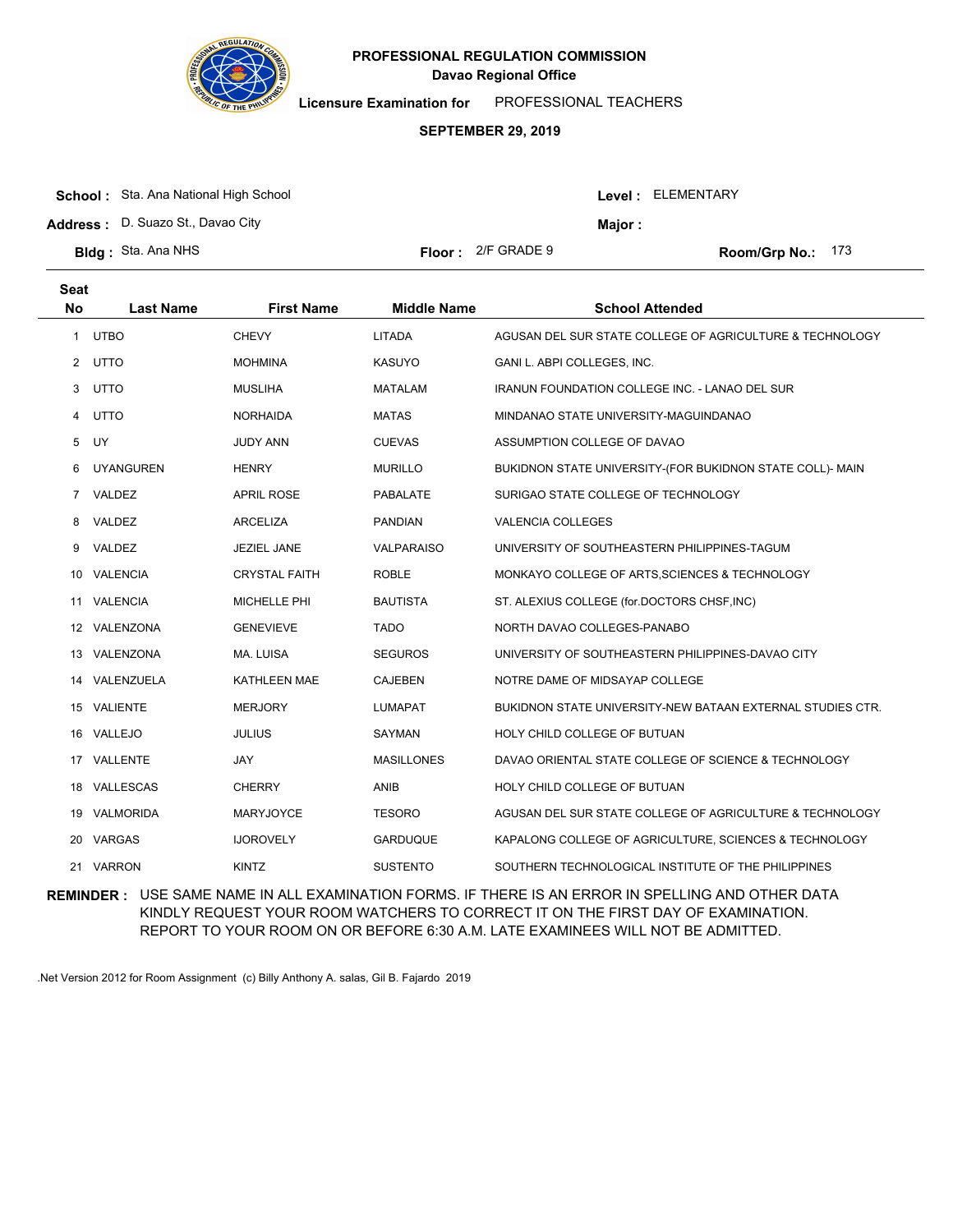

**Licensure Examination for**  PROFESSIONAL TEACHERS

### **SEPTEMBER 29, 2019**

| <b>School:</b> Sta. Ana National High School |                             |         | <b>Level: ELEMENTARY</b> |
|----------------------------------------------|-----------------------------|---------|--------------------------|
| <b>Address:</b> D. Suazo St., Davao City     |                             | Maior : |                          |
| <b>Bldg</b> : Sta. Ana NHS                   | <b>Floor:</b> $2/F$ GRADE 9 |         | <b>Room/Grp No.: 173</b> |

| Seat<br><b>No</b> | <b>Last Name</b> | <b>First Name</b>    | <b>Middle Name</b> | <b>School Attended</b>                                     |
|-------------------|------------------|----------------------|--------------------|------------------------------------------------------------|
| $\mathbf{1}$      | <b>UTBO</b>      | <b>CHEVY</b>         | <b>LITADA</b>      | AGUSAN DEL SUR STATE COLLEGE OF AGRICULTURE & TECHNOLOGY   |
|                   | 2 UTTO           | <b>MOHMINA</b>       | <b>KASUYO</b>      | GANI L. ABPI COLLEGES, INC.                                |
| 3                 | <b>UTTO</b>      | <b>MUSLIHA</b>       | <b>MATALAM</b>     | <b>IRANUN FOUNDATION COLLEGE INC. - LANAO DEL SUR</b>      |
| 4                 | <b>UTTO</b>      | <b>NORHAIDA</b>      | <b>MATAS</b>       | MINDANAO STATE UNIVERSITY-MAGUINDANAO                      |
| 5                 | UY               | <b>JUDY ANN</b>      | <b>CUEVAS</b>      | ASSUMPTION COLLEGE OF DAVAO                                |
| 6                 | <b>UYANGUREN</b> | <b>HENRY</b>         | <b>MURILLO</b>     | BUKIDNON STATE UNIVERSITY-(FOR BUKIDNON STATE COLL)- MAIN  |
| 7                 | VALDEZ           | <b>APRIL ROSE</b>    | PABALATE           | SURIGAO STATE COLLEGE OF TECHNOLOGY                        |
| 8                 | VALDEZ           | <b>ARCELIZA</b>      | <b>PANDIAN</b>     | <b>VALENCIA COLLEGES</b>                                   |
| 9                 | VALDEZ           | <b>JEZIEL JANE</b>   | <b>VALPARAISO</b>  | UNIVERSITY OF SOUTHEASTERN PHILIPPINES-TAGUM               |
| 10                | <b>VALENCIA</b>  | <b>CRYSTAL FAITH</b> | <b>ROBLE</b>       | MONKAYO COLLEGE OF ARTS, SCIENCES & TECHNOLOGY             |
| 11                | <b>VALENCIA</b>  | MICHELLE PHI         | <b>BAUTISTA</b>    | ST. ALEXIUS COLLEGE (for.DOCTORS CHSF, INC)                |
|                   | 12 VALENZONA     | <b>GENEVIEVE</b>     | <b>TADO</b>        | NORTH DAVAO COLLEGES-PANABO                                |
| 13                | VALENZONA        | MA. LUISA            | <b>SEGUROS</b>     | UNIVERSITY OF SOUTHEASTERN PHILIPPINES-DAVAO CITY          |
| 14                | VALENZUELA       | KATHLEEN MAE         | <b>CAJEBEN</b>     | NOTRE DAME OF MIDSAYAP COLLEGE                             |
|                   | 15 VALIENTE      | <b>MERJORY</b>       | <b>LUMAPAT</b>     | BUKIDNON STATE UNIVERSITY-NEW BATAAN EXTERNAL STUDIES CTR. |
|                   | 16 VALLEJO       | <b>JULIUS</b>        | <b>SAYMAN</b>      | HOLY CHILD COLLEGE OF BUTUAN                               |
| 17                | VALLENTE         | JAY                  | <b>MASILLONES</b>  | DAVAO ORIENTAL STATE COLLEGE OF SCIENCE & TECHNOLOGY       |
|                   | 18 VALLESCAS     | <b>CHERRY</b>        | ANIB               | HOLY CHILD COLLEGE OF BUTUAN                               |
|                   | 19 VALMORIDA     | <b>MARYJOYCE</b>     | <b>TESORO</b>      | AGUSAN DEL SUR STATE COLLEGE OF AGRICULTURE & TECHNOLOGY   |
| 20                | <b>VARGAS</b>    | <b>IJOROVELY</b>     | <b>GARDUQUE</b>    | KAPALONG COLLEGE OF AGRICULTURE, SCIENCES & TECHNOLOGY     |
| 21                | <b>VARRON</b>    | <b>KINTZ</b>         | <b>SUSTENTO</b>    | SOUTHERN TECHNOLOGICAL INSTITUTE OF THE PHILIPPINES        |

**REMINDER :** USE SAME NAME IN ALL EXAMINATION FORMS. IF THERE IS AN ERROR IN SPELLING AND OTHER DATA KINDLY REQUEST YOUR ROOM WATCHERS TO CORRECT IT ON THE FIRST DAY OF EXAMINATION. REPORT TO YOUR ROOM ON OR BEFORE 6:30 A.M. LATE EXAMINEES WILL NOT BE ADMITTED.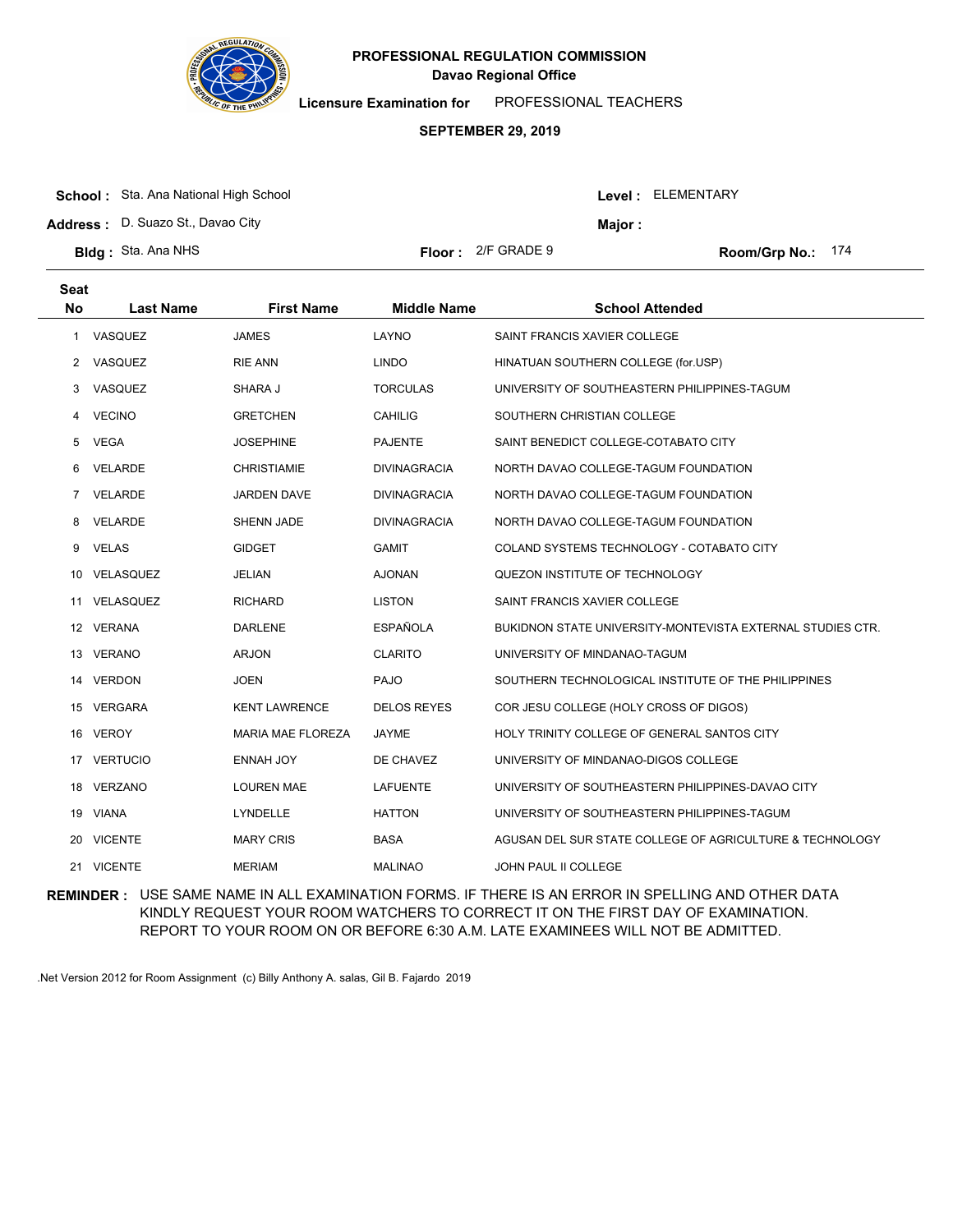

**Licensure Examination for**  PROFESSIONAL TEACHERS

### **SEPTEMBER 29, 2019**

|  | <b>School:</b> Sta. Ana National High School |
|--|----------------------------------------------|
|--|----------------------------------------------|

**Address :** D. Suazo St., Davao City

| <b>Bldg</b> : Sta. Ana NHS | <b>Floor:</b> $2/F$ GRADE 9 |
|----------------------------|-----------------------------|
|                            |                             |

**Seat**

Room/Grp No.: 174

Level : ELEMENTARY

**Major :**

| əeat      |                  |                          |                     |                                                            |
|-----------|------------------|--------------------------|---------------------|------------------------------------------------------------|
| <b>No</b> | <b>Last Name</b> | <b>First Name</b>        | <b>Middle Name</b>  | <b>School Attended</b>                                     |
| 1         | VASQUEZ          | <b>JAMES</b>             | LAYNO               | SAINT FRANCIS XAVIER COLLEGE                               |
|           | 2 VASQUEZ        | <b>RIE ANN</b>           | <b>LINDO</b>        | HINATUAN SOUTHERN COLLEGE (for.USP)                        |
| 3         | VASQUEZ          | SHARA J                  | <b>TORCULAS</b>     | UNIVERSITY OF SOUTHEASTERN PHILIPPINES-TAGUM               |
| 4         | <b>VECINO</b>    | <b>GRETCHEN</b>          | <b>CAHILIG</b>      | SOUTHERN CHRISTIAN COLLEGE                                 |
| 5         | VEGA             | JOSEPHINE                | <b>PAJENTE</b>      | SAINT BENEDICT COLLEGE-COTABATO CITY                       |
| 6         | <b>VELARDE</b>   | <b>CHRISTIAMIE</b>       | <b>DIVINAGRACIA</b> | NORTH DAVAO COLLEGE-TAGUM FOUNDATION                       |
| 7         | <b>VELARDE</b>   | <b>JARDEN DAVE</b>       | <b>DIVINAGRACIA</b> | NORTH DAVAO COLLEGE-TAGUM FOUNDATION                       |
| 8         | VELARDE          | <b>SHENN JADE</b>        | <b>DIVINAGRACIA</b> | NORTH DAVAO COLLEGE-TAGUM FOUNDATION                       |
| 9         | <b>VELAS</b>     | <b>GIDGET</b>            | <b>GAMIT</b>        | COLAND SYSTEMS TECHNOLOGY - COTABATO CITY                  |
| 10        | VELASQUEZ        | <b>JELIAN</b>            | <b>AJONAN</b>       | QUEZON INSTITUTE OF TECHNOLOGY                             |
|           | 11 VELASQUEZ     | <b>RICHARD</b>           | <b>LISTON</b>       | SAINT FRANCIS XAVIER COLLEGE                               |
|           | 12 VERANA        | <b>DARLENE</b>           | <b>ESPAÑOLA</b>     | BUKIDNON STATE UNIVERSITY-MONTEVISTA EXTERNAL STUDIES CTR. |
|           | 13 VERANO        | <b>ARJON</b>             | <b>CLARITO</b>      | UNIVERSITY OF MINDANAO-TAGUM                               |
|           | 14 VERDON        | <b>JOEN</b>              | <b>PAJO</b>         | SOUTHERN TECHNOLOGICAL INSTITUTE OF THE PHILIPPINES        |
|           | 15 VERGARA       | <b>KENT LAWRENCE</b>     | <b>DELOS REYES</b>  | COR JESU COLLEGE (HOLY CROSS OF DIGOS)                     |
|           | 16 VEROY         | <b>MARIA MAE FLOREZA</b> | <b>JAYME</b>        | HOLY TRINITY COLLEGE OF GENERAL SANTOS CITY                |
|           | 17 VERTUCIO      | ENNAH JOY                | DE CHAVEZ           | UNIVERSITY OF MINDANAO-DIGOS COLLEGE                       |
|           | 18 VERZANO       | <b>LOUREN MAE</b>        | <b>LAFUENTE</b>     | UNIVERSITY OF SOUTHEASTERN PHILIPPINES-DAVAO CITY          |
|           | 19 VIANA         | LYNDELLE                 | <b>HATTON</b>       | UNIVERSITY OF SOUTHEASTERN PHILIPPINES-TAGUM               |
|           | 20 VICENTE       | <b>MARY CRIS</b>         | <b>BASA</b>         | AGUSAN DEL SUR STATE COLLEGE OF AGRICULTURE & TECHNOLOGY   |
|           | 21 VICENTE       | <b>MERIAM</b>            | <b>MALINAO</b>      | <b>JOHN PAUL II COLLEGE</b>                                |

**REMINDER :** USE SAME NAME IN ALL EXAMINATION FORMS. IF THERE IS AN ERROR IN SPELLING AND OTHER DATA KINDLY REQUEST YOUR ROOM WATCHERS TO CORRECT IT ON THE FIRST DAY OF EXAMINATION. REPORT TO YOUR ROOM ON OR BEFORE 6:30 A.M. LATE EXAMINEES WILL NOT BE ADMITTED.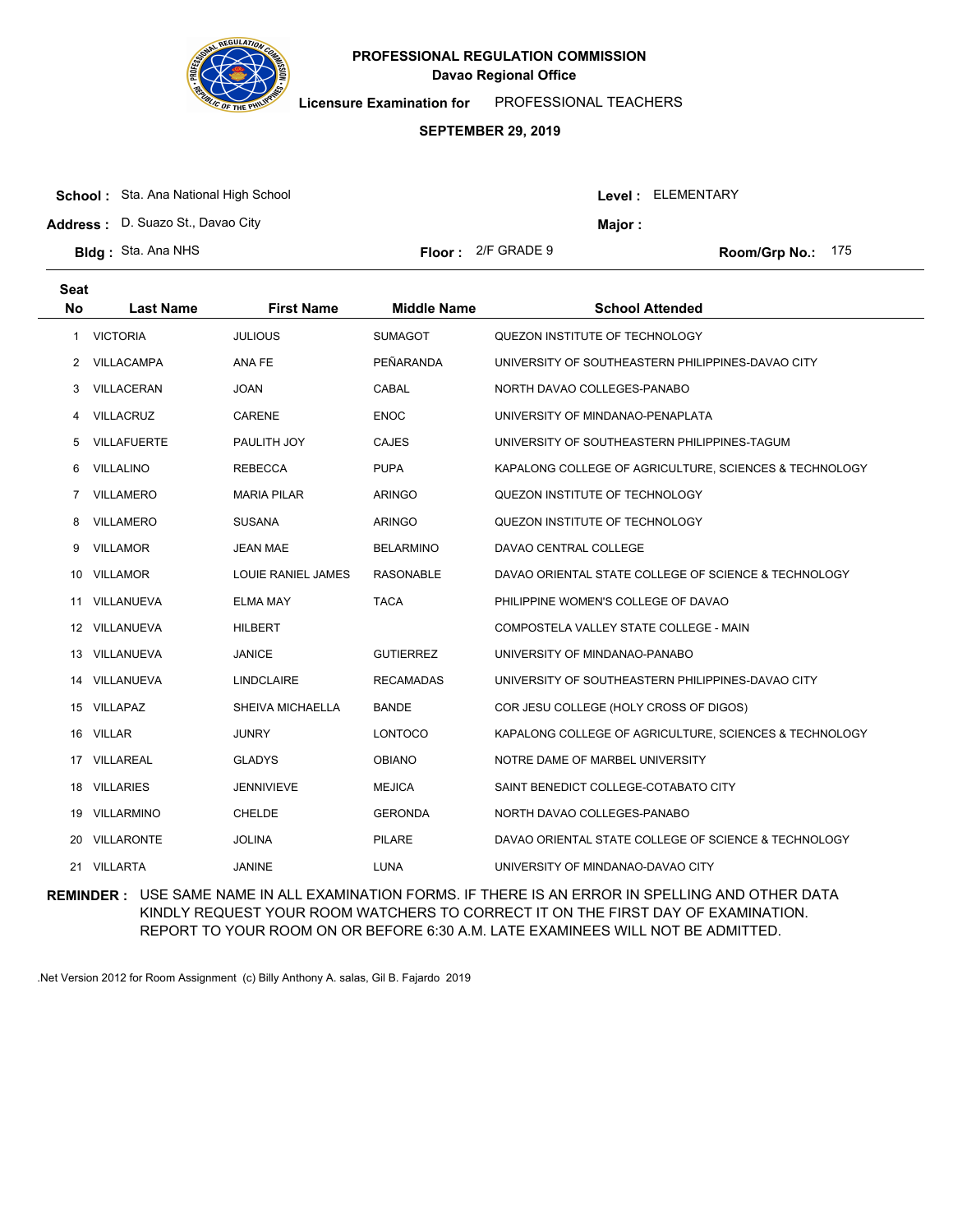

**Licensure Examination for**  PROFESSIONAL TEACHERS

### **SEPTEMBER 29, 2019**

| <b>School:</b> Sta. Ana National High School |                             |         | <b>Level: ELEMENTARY</b> |  |
|----------------------------------------------|-----------------------------|---------|--------------------------|--|
| <b>Address:</b> D. Suazo St., Davao City     |                             | Maior : |                          |  |
| <b>Bidg</b> : Sta. Ana NHS                   | <b>Floor:</b> $2/F$ GRADE 9 |         | Room/Grp No.: $175$      |  |

| <b>Seat</b> |                    |                    |                    |                                                        |
|-------------|--------------------|--------------------|--------------------|--------------------------------------------------------|
| <b>No</b>   | <b>Last Name</b>   | <b>First Name</b>  | <b>Middle Name</b> | <b>School Attended</b>                                 |
| 1           | <b>VICTORIA</b>    | <b>JULIOUS</b>     | <b>SUMAGOT</b>     | QUEZON INSTITUTE OF TECHNOLOGY                         |
| 2           | VILLACAMPA         | ANA FE             | PEÑARANDA          | UNIVERSITY OF SOUTHEASTERN PHILIPPINES-DAVAO CITY      |
| 3           | VILLACERAN         | <b>JOAN</b>        | CABAL              | NORTH DAVAO COLLEGES-PANABO                            |
| 4           | <b>VILLACRUZ</b>   | <b>CARENE</b>      | <b>ENOC</b>        | UNIVERSITY OF MINDANAO-PENAPLATA                       |
| 5           | <b>VILLAFUERTE</b> | PAULITH JOY        | <b>CAJES</b>       | UNIVERSITY OF SOUTHEASTERN PHILIPPINES-TAGUM           |
| 6           | VILLALINO          | <b>REBECCA</b>     | <b>PUPA</b>        | KAPALONG COLLEGE OF AGRICULTURE, SCIENCES & TECHNOLOGY |
| 7           | <b>VILLAMERO</b>   | <b>MARIA PILAR</b> | <b>ARINGO</b>      | QUEZON INSTITUTE OF TECHNOLOGY                         |
| 8           | <b>VILLAMERO</b>   | <b>SUSANA</b>      | <b>ARINGO</b>      | QUEZON INSTITUTE OF TECHNOLOGY                         |
| 9           | <b>VILLAMOR</b>    | <b>JEAN MAE</b>    | <b>BELARMINO</b>   | DAVAO CENTRAL COLLEGE                                  |
| 10          | <b>VILLAMOR</b>    | LOUIE RANIEL JAMES | <b>RASONABLE</b>   | DAVAO ORIENTAL STATE COLLEGE OF SCIENCE & TECHNOLOGY   |
| 11          | VILLANUEVA         | <b>ELMA MAY</b>    | <b>TACA</b>        | PHILIPPINE WOMEN'S COLLEGE OF DAVAO                    |
| 12          | VILLANUEVA         | <b>HILBERT</b>     |                    | COMPOSTELA VALLEY STATE COLLEGE - MAIN                 |
| 13          | VILLANUEVA         | <b>JANICE</b>      | <b>GUTIERREZ</b>   | UNIVERSITY OF MINDANAO-PANABO                          |
| 14          | VILLANUEVA         | <b>LINDCLAIRE</b>  | <b>RECAMADAS</b>   | UNIVERSITY OF SOUTHEASTERN PHILIPPINES-DAVAO CITY      |
| 15          | VILLAPAZ           | SHEIVA MICHAELLA   | <b>BANDE</b>       | COR JESU COLLEGE (HOLY CROSS OF DIGOS)                 |
|             | 16 VILLAR          | <b>JUNRY</b>       | <b>LONTOCO</b>     | KAPALONG COLLEGE OF AGRICULTURE, SCIENCES & TECHNOLOGY |
| 17          | <b>VILLAREAL</b>   | <b>GLADYS</b>      | <b>OBIANO</b>      | NOTRE DAME OF MARBEL UNIVERSITY                        |
| 18          | <b>VILLARIES</b>   | <b>JENNIVIEVE</b>  | <b>MEJICA</b>      | SAINT BENEDICT COLLEGE-COTABATO CITY                   |
| 19          | VILLARMINO         | <b>CHELDE</b>      | <b>GERONDA</b>     | NORTH DAVAO COLLEGES-PANABO                            |
| 20          | <b>VILLARONTE</b>  | <b>JOLINA</b>      | <b>PILARE</b>      | DAVAO ORIENTAL STATE COLLEGE OF SCIENCE & TECHNOLOGY   |
| 21          | <b>VILLARTA</b>    | <b>JANINE</b>      | <b>LUNA</b>        | UNIVERSITY OF MINDANAO-DAVAO CITY                      |
|             |                    |                    |                    |                                                        |

**REMINDER :** USE SAME NAME IN ALL EXAMINATION FORMS. IF THERE IS AN ERROR IN SPELLING AND OTHER DATA KINDLY REQUEST YOUR ROOM WATCHERS TO CORRECT IT ON THE FIRST DAY OF EXAMINATION. REPORT TO YOUR ROOM ON OR BEFORE 6:30 A.M. LATE EXAMINEES WILL NOT BE ADMITTED.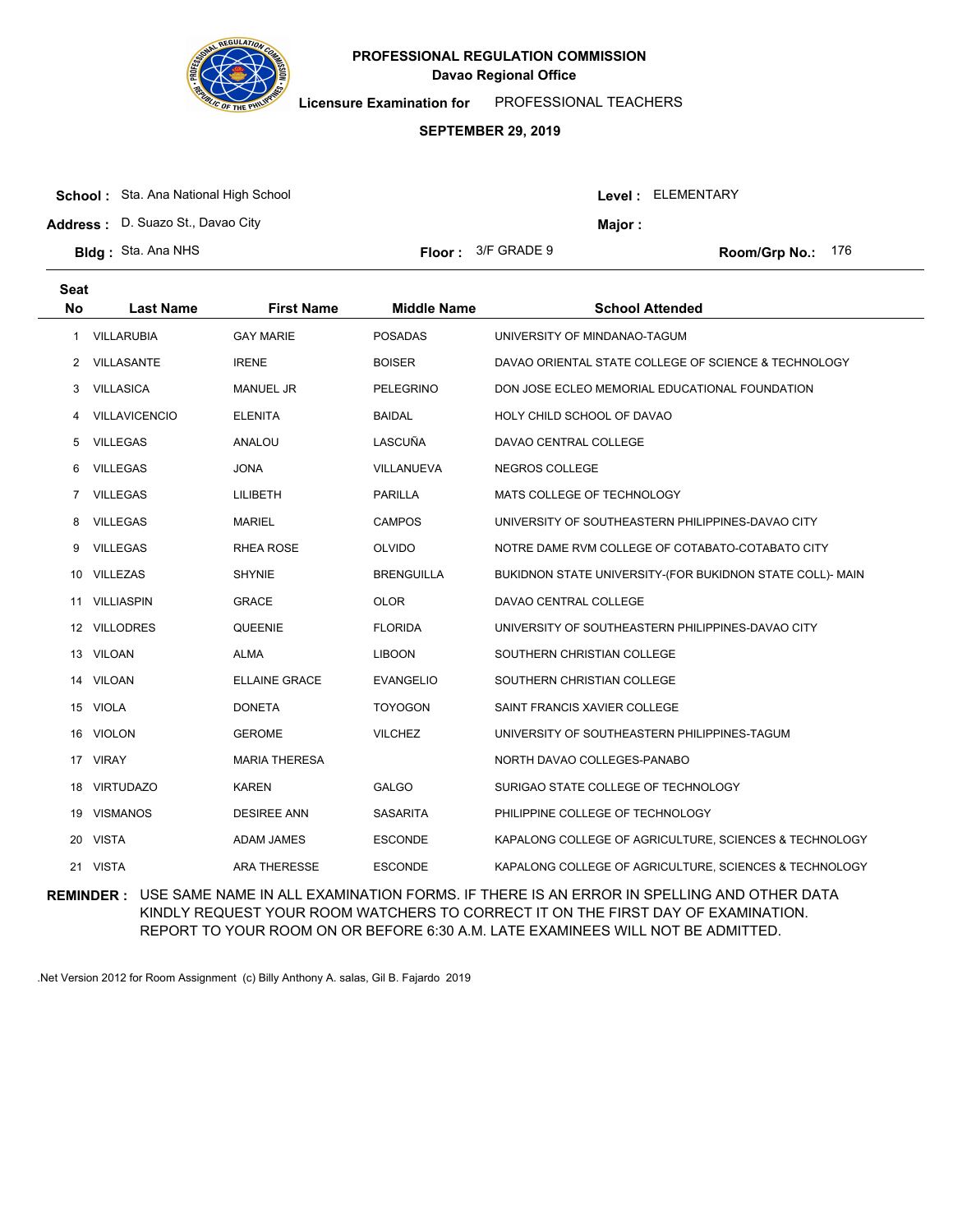

**Licensure Examination for**  PROFESSIONAL TEACHERS

### **SEPTEMBER 29, 2019**

|  | <b>School:</b> Sta. Ana National High School |
|--|----------------------------------------------|
|--|----------------------------------------------|

**Address :** D. Suazo St., Davao City

| <b>Bldg</b> : Sta. Ana NHS | <b>Floor:</b> $3/F$ GRADE 9 |
|----------------------------|-----------------------------|
|                            |                             |

**Seat**

Room/Grp No.: 176

Level : ELEMENTARY

**Major :**

| ວeat         |                      |                      |                    |                                                           |
|--------------|----------------------|----------------------|--------------------|-----------------------------------------------------------|
| <b>No</b>    | <b>Last Name</b>     | <b>First Name</b>    | <b>Middle Name</b> | <b>School Attended</b>                                    |
| 1            | VILLARUBIA           | <b>GAY MARIE</b>     | <b>POSADAS</b>     | UNIVERSITY OF MINDANAO-TAGUM                              |
| $\mathbf{2}$ | VILLASANTE           | <b>IRENE</b>         | <b>BOISER</b>      | DAVAO ORIENTAL STATE COLLEGE OF SCIENCE & TECHNOLOGY      |
| 3            | <b>VILLASICA</b>     | <b>MANUEL JR</b>     | <b>PELEGRINO</b>   | DON JOSE ECLEO MEMORIAL EDUCATIONAL FOUNDATION            |
| 4            | <b>VILLAVICENCIO</b> | <b>ELENITA</b>       | <b>BAIDAL</b>      | HOLY CHILD SCHOOL OF DAVAO                                |
| 5            | VILLEGAS             | ANALOU               | LASCUÑA            | DAVAO CENTRAL COLLEGE                                     |
| 6            | <b>VILLEGAS</b>      | <b>JONA</b>          | VILLANUEVA         | NEGROS COLLEGE                                            |
| 7            | <b>VILLEGAS</b>      | <b>LILIBETH</b>      | <b>PARILLA</b>     | MATS COLLEGE OF TECHNOLOGY                                |
| 8            | VILLEGAS             | <b>MARIEL</b>        | <b>CAMPOS</b>      | UNIVERSITY OF SOUTHEASTERN PHILIPPINES-DAVAO CITY         |
| 9            | <b>VILLEGAS</b>      | RHEA ROSE            | <b>OLVIDO</b>      | NOTRE DAME RVM COLLEGE OF COTABATO-COTABATO CITY          |
|              | 10 VILLEZAS          | <b>SHYNIE</b>        | <b>BRENGUILLA</b>  | BUKIDNON STATE UNIVERSITY-(FOR BUKIDNON STATE COLL)- MAIN |
|              | 11 VILLIASPIN        | <b>GRACE</b>         | <b>OLOR</b>        | DAVAO CENTRAL COLLEGE                                     |
|              | 12 VILLODRES         | QUEENIE              | <b>FLORIDA</b>     | UNIVERSITY OF SOUTHEASTERN PHILIPPINES-DAVAO CITY         |
|              | 13 VILOAN            | <b>ALMA</b>          | <b>LIBOON</b>      | SOUTHERN CHRISTIAN COLLEGE                                |
|              | 14 VILOAN            | <b>ELLAINE GRACE</b> | <b>EVANGELIO</b>   | SOUTHERN CHRISTIAN COLLEGE                                |
|              | 15 VIOLA             | <b>DONETA</b>        | <b>TOYOGON</b>     | SAINT FRANCIS XAVIER COLLEGE                              |
|              | 16 VIOLON            | <b>GEROME</b>        | <b>VILCHEZ</b>     | UNIVERSITY OF SOUTHEASTERN PHILIPPINES-TAGUM              |
|              | 17 VIRAY             | <b>MARIA THERESA</b> |                    | NORTH DAVAO COLLEGES-PANABO                               |
|              | 18 VIRTUDAZO         | <b>KAREN</b>         | <b>GALGO</b>       | SURIGAO STATE COLLEGE OF TECHNOLOGY                       |
|              | 19 VISMANOS          | <b>DESIREE ANN</b>   | <b>SASARITA</b>    | PHILIPPINE COLLEGE OF TECHNOLOGY                          |
|              | 20 VISTA             | <b>ADAM JAMES</b>    | <b>ESCONDE</b>     | KAPALONG COLLEGE OF AGRICULTURE, SCIENCES & TECHNOLOGY    |
|              | 21 VISTA             | <b>ARA THERESSE</b>  | <b>ESCONDE</b>     | KAPALONG COLLEGE OF AGRICULTURE, SCIENCES & TECHNOLOGY    |

**REMINDER :** USE SAME NAME IN ALL EXAMINATION FORMS. IF THERE IS AN ERROR IN SPELLING AND OTHER DATA KINDLY REQUEST YOUR ROOM WATCHERS TO CORRECT IT ON THE FIRST DAY OF EXAMINATION. REPORT TO YOUR ROOM ON OR BEFORE 6:30 A.M. LATE EXAMINEES WILL NOT BE ADMITTED.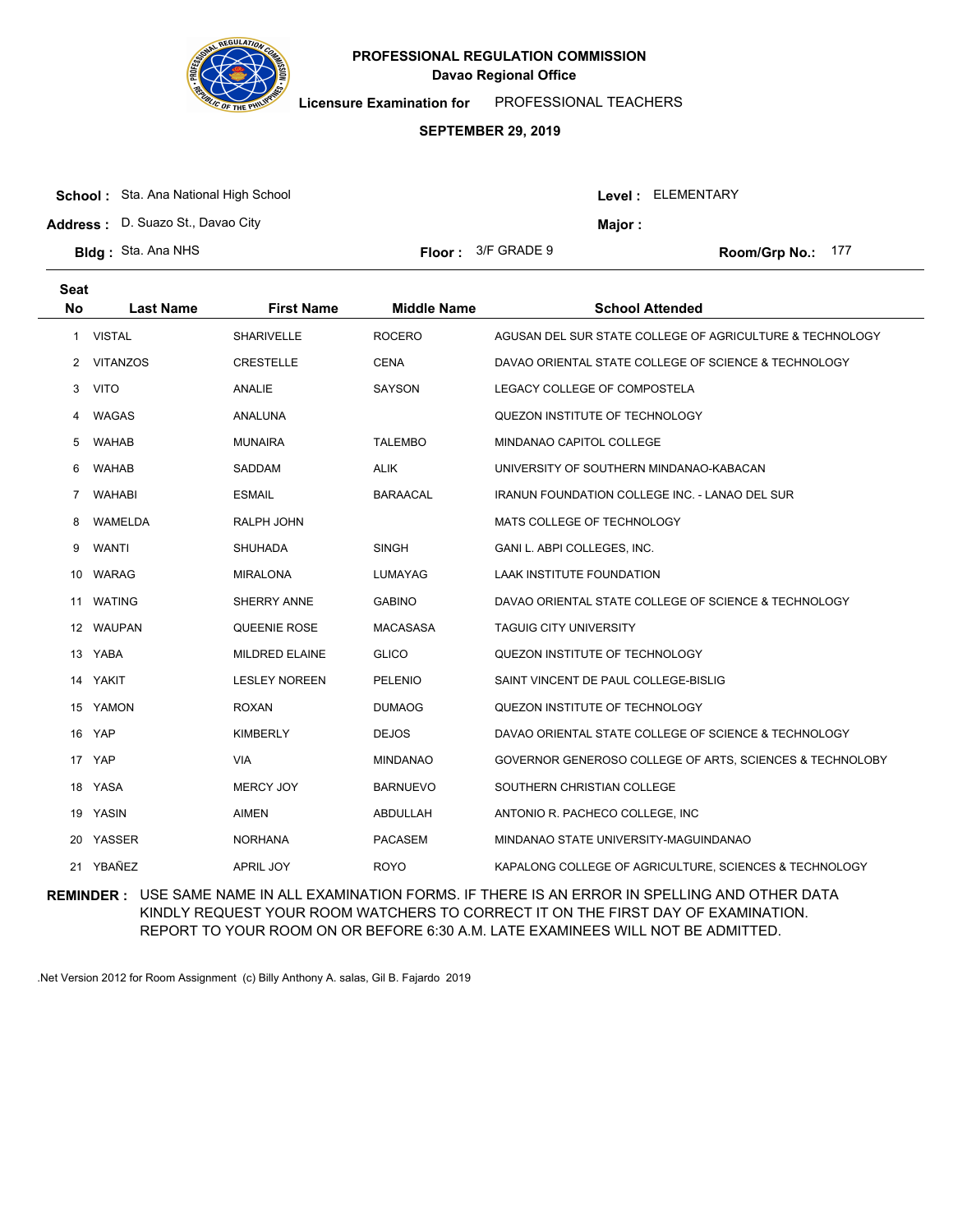

**Licensure Examination for**  PROFESSIONAL TEACHERS

### **SEPTEMBER 29, 2019**

| <b>School:</b> Sta. Ana National High School |                           |         | Level : ELEMENTARY |
|----------------------------------------------|---------------------------|---------|--------------------|
| <b>Address: D. Suazo St., Davao City</b>     |                           | Major : |                    |
| <b>Bldg</b> : Sta. Ana NHS                   | <b>Floor:</b> 3/F GRADE 9 |         | Room/Grp No.: 177  |

| <b>Seat</b><br><b>No</b> | <b>Last Name</b> | <b>First Name</b>     | <b>Middle Name</b> | <b>School Attended</b>                                   |
|--------------------------|------------------|-----------------------|--------------------|----------------------------------------------------------|
| 1                        | <b>VISTAL</b>    | <b>SHARIVELLE</b>     | <b>ROCERO</b>      | AGUSAN DEL SUR STATE COLLEGE OF AGRICULTURE & TECHNOLOGY |
| 2                        | <b>VITANZOS</b>  | <b>CRESTELLE</b>      | <b>CENA</b>        | DAVAO ORIENTAL STATE COLLEGE OF SCIENCE & TECHNOLOGY     |
| 3                        | <b>VITO</b>      | ANALIE                | <b>SAYSON</b>      | LEGACY COLLEGE OF COMPOSTELA                             |
| 4                        | WAGAS            | ANALUNA               |                    | QUEZON INSTITUTE OF TECHNOLOGY                           |
| 5                        | <b>WAHAB</b>     | <b>MUNAIRA</b>        | <b>TALEMBO</b>     | MINDANAO CAPITOL COLLEGE                                 |
| 6                        | <b>WAHAB</b>     | <b>SADDAM</b>         | <b>ALIK</b>        | UNIVERSITY OF SOUTHERN MINDANAO-KABACAN                  |
| 7                        | <b>WAHABI</b>    | <b>ESMAIL</b>         | <b>BARAACAL</b>    | <b>IRANUN FOUNDATION COLLEGE INC. - LANAO DEL SUR</b>    |
| 8                        | WAMELDA          | RALPH JOHN            |                    | MATS COLLEGE OF TECHNOLOGY                               |
| 9                        | <b>WANTI</b>     | <b>SHUHADA</b>        | <b>SINGH</b>       | GANI L. ABPI COLLEGES, INC.                              |
| 10                       | <b>WARAG</b>     | <b>MIRALONA</b>       | LUMAYAG            | LAAK INSTITUTE FOUNDATION                                |
| 11                       | <b>WATING</b>    | SHERRY ANNE           | <b>GABINO</b>      | DAVAO ORIENTAL STATE COLLEGE OF SCIENCE & TECHNOLOGY     |
|                          | 12 WAUPAN        | QUEENIE ROSE          | <b>MACASASA</b>    | <b>TAGUIG CITY UNIVERSITY</b>                            |
| 13                       | YABA             | <b>MILDRED ELAINE</b> | <b>GLICO</b>       | QUEZON INSTITUTE OF TECHNOLOGY                           |
| 14                       | YAKIT            | <b>LESLEY NOREEN</b>  | PELENIO            | SAINT VINCENT DE PAUL COLLEGE-BISLIG                     |
|                          | 15 YAMON         | <b>ROXAN</b>          | <b>DUMAOG</b>      | QUEZON INSTITUTE OF TECHNOLOGY                           |
| 16                       | YAP              | <b>KIMBERLY</b>       | <b>DEJOS</b>       | DAVAO ORIENTAL STATE COLLEGE OF SCIENCE & TECHNOLOGY     |
| 17                       | YAP              | VIA.                  | <b>MINDANAO</b>    | GOVERNOR GENEROSO COLLEGE OF ARTS, SCIENCES & TECHNOLOBY |
|                          | 18 YASA          | <b>MERCY JOY</b>      | <b>BARNUEVO</b>    | SOUTHERN CHRISTIAN COLLEGE                               |
|                          | 19 YASIN         | <b>AIMEN</b>          | ABDULLAH           | ANTONIO R. PACHECO COLLEGE, INC                          |
| 20                       | YASSER           | <b>NORHANA</b>        | <b>PACASEM</b>     | MINDANAO STATE UNIVERSITY-MAGUINDANAO                    |
|                          | 21 YBAÑEZ        | <b>APRIL JOY</b>      | <b>ROYO</b>        | KAPALONG COLLEGE OF AGRICULTURE, SCIENCES & TECHNOLOGY   |

**REMINDER :** USE SAME NAME IN ALL EXAMINATION FORMS. IF THERE IS AN ERROR IN SPELLING AND OTHER DATA KINDLY REQUEST YOUR ROOM WATCHERS TO CORRECT IT ON THE FIRST DAY OF EXAMINATION. REPORT TO YOUR ROOM ON OR BEFORE 6:30 A.M. LATE EXAMINEES WILL NOT BE ADMITTED.